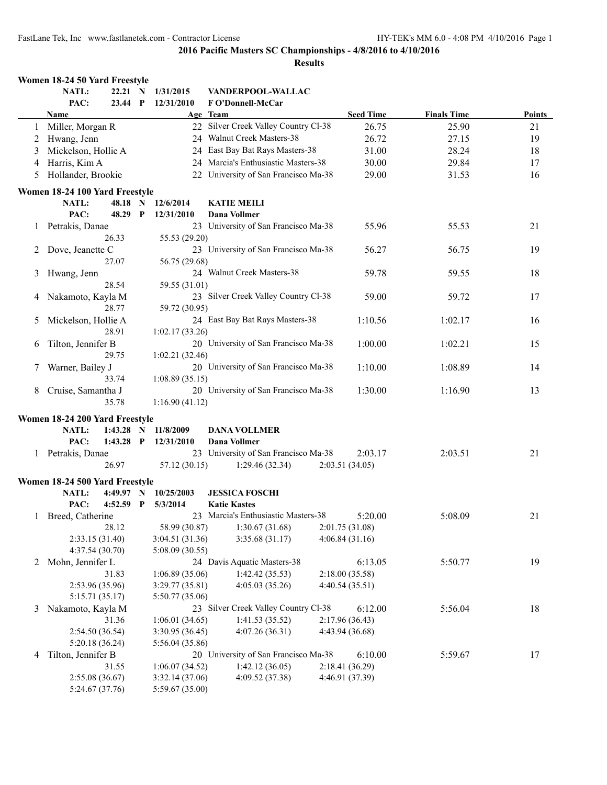|   | Women 18-24 50 Yard Freestyle  |             |             |                 |                                      |                  |                    |        |
|---|--------------------------------|-------------|-------------|-----------------|--------------------------------------|------------------|--------------------|--------|
|   | NATL:                          | 22.21 N     |             | 1/31/2015       | VANDERPOOL-WALLAC                    |                  |                    |        |
|   | PAC:                           | 23.44 P     |             | 12/31/2010      | F O'Donnell-McCar                    |                  |                    |        |
|   | Name                           |             |             |                 | Age Team                             | <b>Seed Time</b> | <b>Finals Time</b> | Points |
| 1 | Miller, Morgan R               |             |             |                 | 22 Silver Creek Valley Country Cl-38 | 26.75            | 25.90              | 21     |
| 2 | Hwang, Jenn                    |             |             |                 | 24 Walnut Creek Masters-38           | 26.72            | 27.15              | 19     |
| 3 | Mickelson, Hollie A            |             |             |                 | 24 East Bay Bat Rays Masters-38      | 31.00            | 28.24              | 18     |
| 4 | Harris, Kim A                  |             |             |                 | 24 Marcia's Enthusiastic Masters-38  | 30.00            | 29.84              | 17     |
| 5 | Hollander, Brookie             |             |             |                 | 22 University of San Francisco Ma-38 | 29.00            | 31.53              | 16     |
|   | Women 18-24 100 Yard Freestyle |             |             |                 |                                      |                  |                    |        |
|   | NATL:                          | 48.18 N     |             | 12/6/2014       | <b>KATIE MEILI</b>                   |                  |                    |        |
|   | PAC:                           | 48.29       | $\mathbf P$ | 12/31/2010      | <b>Dana Vollmer</b>                  |                  |                    |        |
| 1 | Petrakis, Danae                |             |             |                 | 23 University of San Francisco Ma-38 | 55.96            | 55.53              | 21     |
|   |                                | 26.33       |             | 55.53 (29.20)   |                                      |                  |                    |        |
| 2 | Dove, Jeanette C               |             |             |                 | 23 University of San Francisco Ma-38 | 56.27            | 56.75              | 19     |
|   |                                | 27.07       |             | 56.75 (29.68)   |                                      |                  |                    |        |
| 3 | Hwang, Jenn                    |             |             |                 | 24 Walnut Creek Masters-38           | 59.78            | 59.55              | 18     |
|   |                                | 28.54       |             | 59.55 (31.01)   |                                      |                  |                    |        |
| 4 | Nakamoto, Kayla M              |             |             |                 | 23 Silver Creek Valley Country Cl-38 | 59.00            | 59.72              | 17     |
|   |                                | 28.77       |             | 59.72 (30.95)   |                                      |                  |                    |        |
| 5 | Mickelson, Hollie A            |             |             |                 | 24 East Bay Bat Rays Masters-38      | 1:10.56          | 1:02.17            | 16     |
|   |                                | 28.91       |             | 1:02.17(33.26)  |                                      |                  |                    |        |
| 6 | Tilton, Jennifer B             |             |             |                 | 20 University of San Francisco Ma-38 | 1:00.00          | 1:02.21            | 15     |
|   |                                | 29.75       |             | 1:02.21(32.46)  |                                      |                  |                    |        |
| 7 | Warner, Bailey J               |             |             |                 | 20 University of San Francisco Ma-38 | 1:10.00          | 1:08.89            | 14     |
|   |                                | 33.74       |             | 1:08.89(35.15)  |                                      |                  |                    |        |
| 8 | Cruise, Samantha J             |             |             |                 | 20 University of San Francisco Ma-38 | 1:30.00          | 1:16.90            | 13     |
|   |                                | 35.78       |             | 1:16.90(41.12)  |                                      |                  |                    |        |
|   | Women 18-24 200 Yard Freestyle |             |             |                 |                                      |                  |                    |        |
|   | <b>NATL:</b>                   | $1:43.28$ N |             | 11/8/2009       | <b>DANA VOLLMER</b>                  |                  |                    |        |
|   | PAC:                           | $1:43.28$ P |             | 12/31/2010      | <b>Dana Vollmer</b>                  |                  |                    |        |
|   | 1 Petrakis, Danae              |             |             |                 | 23 University of San Francisco Ma-38 | 2:03.17          | 2:03.51            | 21     |
|   |                                | 26.97       |             | 57.12 (30.15)   | 1:29.46(32.34)                       | 2:03.51 (34.05)  |                    |        |
|   | Women 18-24 500 Yard Freestyle |             |             |                 |                                      |                  |                    |        |
|   | NATL:                          | 4:49.97 N   |             | 10/25/2003      | <b>JESSICA FOSCHI</b>                |                  |                    |        |
|   | PAC:                           | $4:52.59$ P |             | 5/3/2014        | <b>Katie Kastes</b>                  |                  |                    |        |
|   | 1 Breed, Catherine             |             |             |                 | 23 Marcia's Enthusiastic Masters-38  | 5:20.00          | 5:08.09            | 21     |
|   |                                | 28.12       |             | 58.99 (30.87)   | 1:30.67(31.68)                       | 2:01.75(31.08)   |                    |        |
|   | 2:33.15 (31.40)                |             |             | 3:04.51(31.36)  | 3:35.68(31.17)                       | 4:06.84(31.16)   |                    |        |
|   | 4:37.54 (30.70)                |             |             | 5:08.09(30.55)  |                                      |                  |                    |        |
| 2 | Mohn, Jennifer L               |             |             |                 | 24 Davis Aquatic Masters-38          | 6:13.05          | 5:50.77            | 19     |
|   |                                | 31.83       |             | 1:06.89(35.06)  | 1:42.42(35.53)                       | 2:18.00(35.58)   |                    |        |
|   | 2:53.96 (35.96)                |             |             | 3:29.77(35.81)  | 4:05.03(35.26)                       | 4:40.54(35.51)   |                    |        |
|   | 5:15.71(35.17)                 |             |             | 5:50.77 (35.06) |                                      |                  |                    |        |
| 3 | Nakamoto, Kayla M              |             |             |                 | 23 Silver Creek Valley Country Cl-38 | 6:12.00          | 5:56.04            | 18     |
|   |                                | 31.36       |             | 1:06.01(34.65)  | 1:41.53(35.52)                       | 2:17.96(36.43)   |                    |        |
|   | 2:54.50(36.54)                 |             |             | 3:30.95(36.45)  | 4:07.26(36.31)                       | 4:43.94 (36.68)  |                    |        |
|   | 5:20.18(36.24)                 |             |             | 5:56.04(35.86)  |                                      |                  |                    |        |
| 4 | Tilton, Jennifer B             |             |             |                 | 20 University of San Francisco Ma-38 | 6:10.00          | 5:59.67            | 17     |
|   |                                | 31.55       |             | 1:06.07(34.52)  | 1:42.12(36.05)                       | 2:18.41(36.29)   |                    |        |
|   | 2:55.08 (36.67)                |             |             | 3:32.14(37.06)  | 4:09.52 (37.38)                      | 4:46.91 (37.39)  |                    |        |
|   | 5:24.67 (37.76)                |             |             | 5:59.67 (35.00) |                                      |                  |                    |        |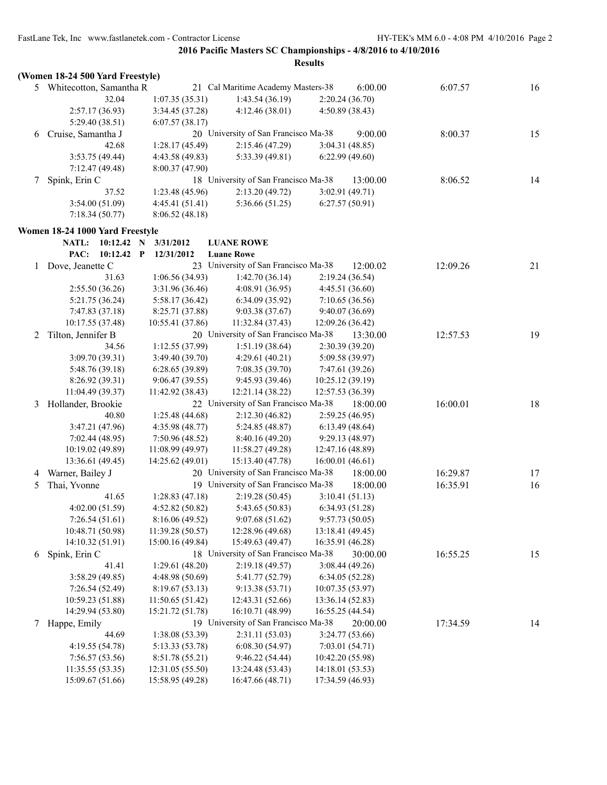|   |                                  |                  |                                      | <b>Results</b>   |          |    |
|---|----------------------------------|------------------|--------------------------------------|------------------|----------|----|
|   | (Women 18-24 500 Yard Freestyle) |                  |                                      |                  |          |    |
|   | 5 Whitecotton, Samantha R        |                  | 21 Cal Maritime Academy Masters-38   | 6:00.00          | 6:07.57  | 16 |
|   | 32.04                            | 1:07.35(35.31)   | 1:43.54(36.19)                       | 2:20.24 (36.70)  |          |    |
|   | 2:57.17(36.93)                   | 3:34.45 (37.28)  | 4:12.46(38.01)                       | 4:50.89 (38.43)  |          |    |
|   | 5:29.40 (38.51)                  | 6:07.57(38.17)   |                                      |                  |          |    |
| 6 | Cruise, Samantha J               |                  | 20 University of San Francisco Ma-38 | 9:00.00          | 8:00.37  | 15 |
|   | 42.68                            | 1:28.17 (45.49)  | 2:15.46(47.29)                       | 3:04.31(48.85)   |          |    |
|   | 3:53.75(49.44)                   | 4:43.58 (49.83)  | 5:33.39 (49.81)                      | 6:22.99(49.60)   |          |    |
|   | 7:12.47 (49.48)                  | 8:00.37(47.90)   |                                      |                  |          |    |
| 7 | Spink, Erin C                    |                  | 18 University of San Francisco Ma-38 | 13:00.00         | 8:06.52  | 14 |
|   | 37.52                            | 1:23.48 (45.96)  | 2:13.20(49.72)                       | 3:02.91(49.71)   |          |    |
|   | 3:54.00(51.09)                   | 4:45.41 (51.41)  | 5:36.66 (51.25)                      | 6:27.57(50.91)   |          |    |
|   | 7:18.34(50.77)                   | 8:06.52(48.18)   |                                      |                  |          |    |
|   | Women 18-24 1000 Yard Freestyle  |                  |                                      |                  |          |    |
|   | <b>NATL:</b><br>$10:12.42$ N     | 3/31/2012        | <b>LUANE ROWE</b>                    |                  |          |    |
|   | PAC:<br>10:12.42 P               | 12/31/2012       | <b>Luane Rowe</b>                    |                  |          |    |
| 1 | Dove, Jeanette C                 |                  | 23 University of San Francisco Ma-38 | 12:00.02         | 12:09.26 | 21 |
|   | 31.63                            | 1:06.56 (34.93)  | 1:42.70(36.14)                       | 2:19.24 (36.54)  |          |    |
|   | 2:55.50(36.26)                   | 3:31.96 (36.46)  | 4:08.91 (36.95)                      | 4:45.51(36.60)   |          |    |
|   | 5:21.75 (36.24)                  | 5:58.17 (36.42)  | 6:34.09 (35.92)                      | 7:10.65(36.56)   |          |    |
|   | 7:47.83(37.18)                   | 8:25.71 (37.88)  | 9:03.38(37.67)                       | 9:40.07(36.69)   |          |    |
|   | 10:17.55 (37.48)                 | 10:55.41 (37.86) | 11:32.84 (37.43)                     | 12:09.26 (36.42) |          |    |
| 2 | Tilton, Jennifer B               |                  | 20 University of San Francisco Ma-38 | 13:30.00         | 12:57.53 | 19 |
|   | 34.56                            | 1:12.55 (37.99)  | 1:51.19(38.64)                       | 2:30.39 (39.20)  |          |    |
|   | 3:09.70 (39.31)                  | 3:49.40 (39.70)  | 4:29.61(40.21)                       | 5:09.58 (39.97)  |          |    |
|   | 5:48.76 (39.18)                  | 6:28.65(39.89)   | 7:08.35(39.70)                       | 7:47.61 (39.26)  |          |    |
|   | 8:26.92 (39.31)                  | 9:06.47(39.55)   | 9:45.93(39.46)                       | 10:25.12(39.19)  |          |    |
|   | 11:04.49 (39.37)                 | 11:42.92 (38.43) | 12:21.14 (38.22)                     | 12:57.53 (36.39) |          |    |
| 3 | Hollander, Brookie               |                  | 22 University of San Francisco Ma-38 | 18:00.00         | 16:00.01 | 18 |
|   | 40.80                            | 1:25.48 (44.68)  | 2:12.30(46.82)                       | 2:59.25(46.95)   |          |    |
|   | 3:47.21 (47.96)                  | 4:35.98(48.77)   | 5:24.85(48.87)                       | 6:13.49(48.64)   |          |    |
|   | 7:02.44(48.95)                   | 7:50.96(48.52)   | 8:40.16(49.20)                       | 9:29.13(48.97)   |          |    |
|   | 10:19.02 (49.89)                 | 11:08.99(49.97)  | 11:58.27(49.28)                      | 12:47.16 (48.89) |          |    |
|   | 13:36.61 (49.45)                 | 14:25.62 (49.01) | 15:13.40 (47.78)                     | 16:00.01 (46.61) |          |    |
| 4 | Warner, Bailey J                 |                  | 20 University of San Francisco Ma-38 | 18:00.00         | 16:29.87 | 17 |
| 5 | Thai, Yvonne                     |                  | 19 University of San Francisco Ma-38 | 18:00.00         | 16:35.91 | 16 |
|   | 41.65                            | 1:28.83 (47.18)  | 2:19.28 (50.45)                      | 3:10.41 (51.13)  |          |    |
|   | 4:02.00(51.59)                   | 4:52.82 (50.82)  | 5:43.65 (50.83)                      | 6:34.93 (51.28)  |          |    |
|   | 7:26.54(51.61)                   | 8:16.06 (49.52)  | 9:07.68(51.62)                       | 9:57.73(50.05)   |          |    |
|   | 10:48.71 (50.98)                 | 11:39.28 (50.57) | 12:28.96 (49.68)                     | 13:18.41 (49.45) |          |    |
|   | 14:10.32 (51.91)                 | 15:00.16 (49.84) | 15:49.63 (49.47)                     | 16:35.91 (46.28) |          |    |
| 6 | Spink, Erin C                    |                  | 18 University of San Francisco Ma-38 | 30:00.00         | 16:55.25 | 15 |
|   | 41.41                            | 1:29.61(48.20)   | 2:19.18(49.57)                       | 3:08.44(49.26)   |          |    |
|   | 3:58.29(49.85)                   | 4:48.98 (50.69)  | 5:41.77 (52.79)                      | 6:34.05 (52.28)  |          |    |
|   | 7:26.54 (52.49)                  | 8:19.67(53.13)   | 9:13.38 (53.71)                      | 10:07.35 (53.97) |          |    |
|   | 10:59.23 (51.88)                 | 11:50.65(51.42)  | 12:43.31 (52.66)                     | 13:36.14 (52.83) |          |    |
|   | 14:29.94 (53.80)                 | 15:21.72 (51.78) | 16:10.71 (48.99)                     | 16:55.25 (44.54) |          |    |
| 7 | Happe, Emily                     |                  | 19 University of San Francisco Ma-38 | 20:00.00         | 17:34.59 | 14 |
|   | 44.69                            | 1:38.08 (53.39)  | 2:31.11(53.03)                       | 3:24.77(53.66)   |          |    |
|   | 4:19.55 (54.78)                  | 5:13.33 (53.78)  | 6:08.30(54.97)                       | 7:03.01(54.71)   |          |    |
|   | 7:56.57(53.56)                   | 8:51.78 (55.21)  | 9:46.22 (54.44)                      | 10:42.20 (55.98) |          |    |
|   | 11:35.55(53.35)                  | 12:31.05(55.50)  | 13:24.48 (53.43)                     | 14:18.01 (53.53) |          |    |
|   | 15:09.67 (51.66)                 | 15:58.95 (49.28) | 16:47.66 (48.71)                     | 17:34.59 (46.93) |          |    |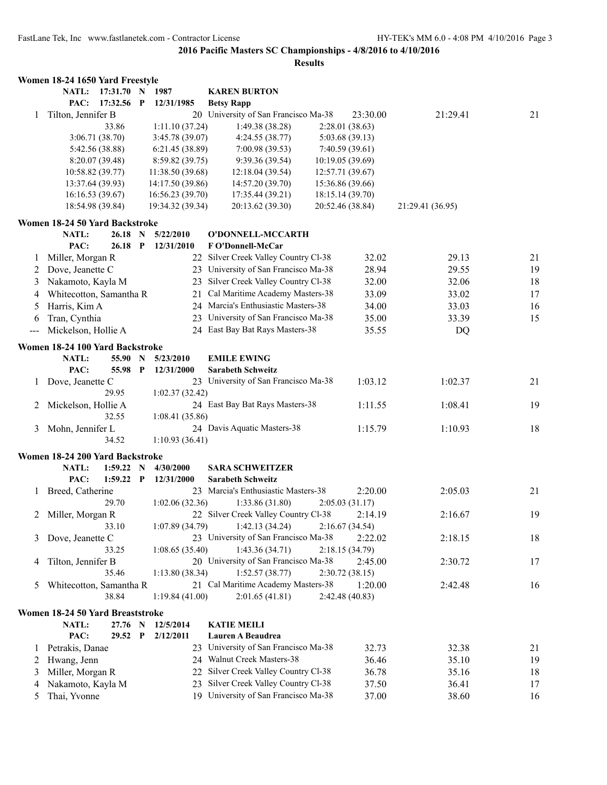|              | Women 18-24 1650 Yard Freestyle         |           |              |                         |                                        |                  |                  |    |
|--------------|-----------------------------------------|-----------|--------------|-------------------------|----------------------------------------|------------------|------------------|----|
|              | NATL:                                   | 17:31.70  | N            | 1987                    | <b>KAREN BURTON</b>                    |                  |                  |    |
|              | PAC:                                    | 17:32.56  | P            | 12/31/1985              | <b>Betsy Rapp</b>                      |                  |                  |    |
| 1            | Tilton, Jennifer B                      |           |              |                         | 20 University of San Francisco Ma-38   | 23:30.00         | 21:29.41         | 21 |
|              |                                         | 33.86     |              | 1:11.10(37.24)          | 1:49.38 (38.28)                        | 2:28.01 (38.63)  |                  |    |
|              | 3:06.71(38.70)                          |           |              | 3:45.78 (39.07)         | 4:24.55(38.77)                         | 5:03.68(39.13)   |                  |    |
|              | 5:42.56 (38.88)                         |           |              | 6:21.45(38.89)          | 7:00.98(39.53)                         | 7:40.59(39.61)   |                  |    |
|              | 8:20.07 (39.48)                         |           |              | 8:59.82(39.75)          | 9:39.36 (39.54)                        | 10:19.05(39.69)  |                  |    |
|              | 10:58.82 (39.77)                        |           |              | 11:38.50 (39.68)        | 12:18.04(39.54)                        | 12:57.71 (39.67) |                  |    |
|              | 13:37.64 (39.93)                        |           |              | 14:17.50 (39.86)        | 14:57.20 (39.70)                       | 15:36.86 (39.66) |                  |    |
|              | 16:16.53(39.67)                         |           |              | 16:56.23 (39.70)        | 17:35.44 (39.21)                       | 18:15.14 (39.70) |                  |    |
|              | 18:54.98 (39.84)                        |           |              | 19:34.32 (39.34)        | 20:13.62 (39.30)                       | 20:52.46 (38.84) | 21:29.41 (36.95) |    |
|              |                                         |           |              |                         |                                        |                  |                  |    |
|              | Women 18-24 50 Yard Backstroke<br>NATL: | 26.18     |              |                         |                                        |                  |                  |    |
|              | PAC:                                    | $26.18$ P | $\mathbf N$  | 5/22/2010<br>12/31/2010 | O'DONNELL-MCCARTH<br>F O'Donnell-McCar |                  |                  |    |
|              |                                         |           |              |                         |                                        |                  |                  |    |
| 1            | Miller, Morgan R                        |           |              |                         | 22 Silver Creek Valley Country Cl-38   | 32.02            | 29.13            | 21 |
| 2            | Dove, Jeanette C                        |           |              |                         | 23 University of San Francisco Ma-38   | 28.94            | 29.55            | 19 |
| 3            | Nakamoto, Kayla M                       |           |              |                         | 23 Silver Creek Valley Country Cl-38   | 32.00            | 32.06            | 18 |
| 4            | Whitecotton, Samantha R                 |           |              | 21                      | Cal Maritime Academy Masters-38        | 33.09            | 33.02            | 17 |
| 5            | Harris, Kim A                           |           |              |                         | 24 Marcia's Enthusiastic Masters-38    | 34.00            | 33.03            | 16 |
| 6            | Tran, Cynthia                           |           |              |                         | 23 University of San Francisco Ma-38   | 35.00            | 33.39            | 15 |
| $--$         | Mickelson, Hollie A                     |           |              |                         | 24 East Bay Bat Rays Masters-38        | 35.55            | DQ               |    |
|              | Women 18-24 100 Yard Backstroke         |           |              |                         |                                        |                  |                  |    |
|              | NATL:                                   | 55.90 N   |              | 5/23/2010               | <b>EMILE EWING</b>                     |                  |                  |    |
|              | PAC:                                    | 55.98 P   |              | 12/31/2000              | <b>Sarabeth Schweitz</b>               |                  |                  |    |
| 1            | Dove, Jeanette C                        |           |              |                         | 23 University of San Francisco Ma-38   | 1:03.12          | 1:02.37          | 21 |
|              | 29.95                                   |           |              | 1:02.37(32.42)          |                                        |                  |                  |    |
| 2            | Mickelson, Hollie A                     |           |              |                         | 24 East Bay Bat Rays Masters-38        | 1:11.55          | 1:08.41          | 19 |
|              |                                         | 32.55     |              |                         |                                        |                  |                  |    |
|              |                                         |           |              | 1:08.41(35.86)          |                                        |                  |                  |    |
| 3            | Mohn, Jennifer L                        |           |              |                         | 24 Davis Aquatic Masters-38            | 1:15.79          | 1:10.93          | 18 |
|              |                                         | 34.52     |              | 1:10.93(36.41)          |                                        |                  |                  |    |
|              | Women 18-24 200 Yard Backstroke         |           |              |                         |                                        |                  |                  |    |
|              | NATL:                                   | 1:59.22   | N            | 4/30/2000               | <b>SARA SCHWEITZER</b>                 |                  |                  |    |
|              | PAC:                                    | 1:59.22   | $\mathbf{P}$ | 12/31/2000              | <b>Sarabeth Schweitz</b>               |                  |                  |    |
| $\mathbf{I}$ | Breed, Catherine                        |           |              |                         | 23 Marcia's Enthusiastic Masters-38    | 2:20.00          | 2:05.03          | 21 |
|              |                                         | 29.70     |              | 1:02.06(32.36)          | 1:33.86(31.80)                         | 2:05.03(31.17)   |                  |    |
| 2            | Miller, Morgan R                        |           |              |                         | 22 Silver Creek Valley Country Cl-38   | 2:14.19          | 2:16.67          | 19 |
|              |                                         | 33.10     |              | 1:07.89(34.79)          | 1:42.13 (34.24)                        | 2:16.67(34.54)   |                  |    |
| 3            | Dove, Jeanette C                        |           |              |                         | 23 University of San Francisco Ma-38   | 2:22.02          | 2:18.15          | 18 |
|              |                                         | 33.25     |              | 1:08.65(35.40)          | 1:43.36(34.71)                         | 2:18.15(34.79)   |                  |    |
| 4            | Tilton, Jennifer B                      |           |              |                         | 20 University of San Francisco Ma-38   | 2:45.00          | 2:30.72          | 17 |
|              |                                         | 35.46     |              | 1:13.80(38.34)          | 1:52.57(38.77)                         | 2:30.72(38.15)   |                  |    |
| 5            | Whitecotton, Samantha R                 |           |              |                         | 21 Cal Maritime Academy Masters-38     | 1:20.00          | 2:42.48          | 16 |
|              |                                         | 38.84     |              | 1:19.84(41.00)          | 2:01.65(41.81)                         | 2:42.48 (40.83)  |                  |    |
|              |                                         |           |              |                         |                                        |                  |                  |    |
|              | Women 18-24 50 Yard Breaststroke        |           |              |                         |                                        |                  |                  |    |
|              | NATL:                                   | 27.76 N   |              | 12/5/2014               | <b>KATIE MEILI</b>                     |                  |                  |    |
|              | PAC:                                    | 29.52 P   |              | 2/12/2011               | Lauren A Beaudrea                      |                  |                  |    |
| 1            | Petrakis, Danae                         |           |              |                         | 23 University of San Francisco Ma-38   | 32.73            | 32.38            | 21 |
| 2            | Hwang, Jenn                             |           |              |                         | 24 Walnut Creek Masters-38             | 36.46            | 35.10            | 19 |
| 3            | Miller, Morgan R                        |           |              | 22                      | Silver Creek Valley Country Cl-38      | 36.78            | 35.16            | 18 |
| 4            | Nakamoto, Kayla M                       |           |              | 23                      | Silver Creek Valley Country Cl-38      | 37.50            | 36.41            | 17 |
| 5            | Thai, Yvonne                            |           |              | 19                      | University of San Francisco Ma-38      | 37.00            | 38.60            | 16 |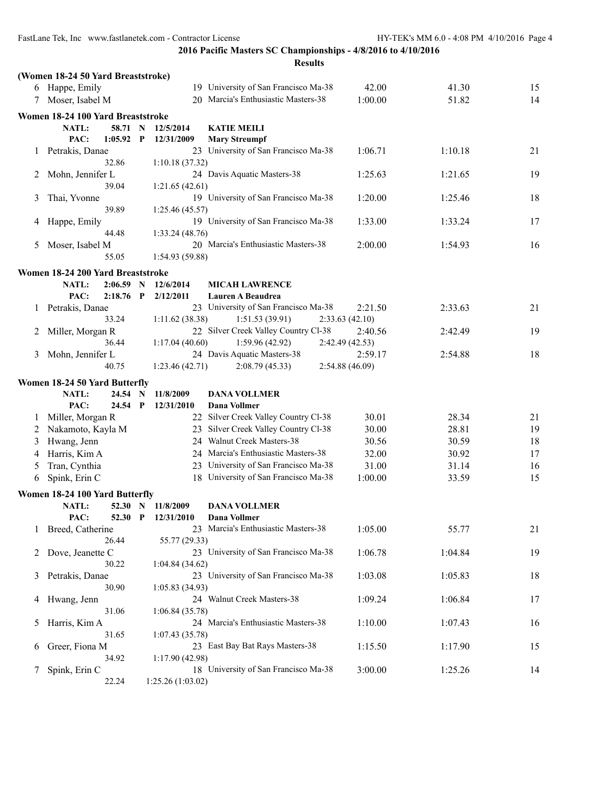|         |                                         |              |                        | <b>Results</b>                             |                 |         |    |
|---------|-----------------------------------------|--------------|------------------------|--------------------------------------------|-----------------|---------|----|
|         | (Women 18-24 50 Yard Breaststroke)      |              |                        |                                            |                 |         |    |
|         | 6 Happe, Emily                          |              |                        | 19 University of San Francisco Ma-38       | 42.00           | 41.30   | 15 |
|         | 7 Moser, Isabel M                       |              |                        | 20 Marcia's Enthusiastic Masters-38        | 1:00.00         | 51.82   | 14 |
|         | Women 18-24 100 Yard Breaststroke       |              |                        |                                            |                 |         |    |
|         | NATL:<br>58.71                          | N            | 12/5/2014              | <b>KATIE MEILI</b>                         |                 |         |    |
|         | PAC:<br>1:05.92                         | $\mathbf{P}$ | 12/31/2009             | <b>Mary Streumpf</b>                       |                 |         |    |
| $\perp$ | Petrakis, Danae                         |              |                        | 23 University of San Francisco Ma-38       | 1:06.71         | 1:10.18 | 21 |
|         | 32.86                                   |              | 1:10.18(37.32)         |                                            |                 |         |    |
| 2       | Mohn, Jennifer L                        |              |                        | 24 Davis Aquatic Masters-38                | 1:25.63         | 1:21.65 | 19 |
|         | 39.04                                   |              | 1:21.65(42.61)         |                                            |                 |         |    |
| 3       | Thai, Yvonne                            |              |                        | 19 University of San Francisco Ma-38       | 1:20.00         | 1:25.46 | 18 |
|         | 39.89                                   |              | 1:25.46(45.57)         |                                            |                 |         |    |
| 4       | Happe, Emily<br>44.48                   |              |                        | 19 University of San Francisco Ma-38       | 1:33.00         | 1:33.24 | 17 |
| 5       | Moser, Isabel M                         |              | 1:33.24(48.76)         | 20 Marcia's Enthusiastic Masters-38        | 2:00.00         | 1:54.93 | 16 |
|         | 55.05                                   |              | 1:54.93(59.88)         |                                            |                 |         |    |
|         |                                         |              |                        |                                            |                 |         |    |
|         | Women 18-24 200 Yard Breaststroke       |              |                        |                                            |                 |         |    |
|         | NATL:<br>2:06.59<br>PAC:<br>$2:18.76$ P | N            | 12/6/2014<br>2/12/2011 | <b>MICAH LAWRENCE</b><br>Lauren A Beaudrea |                 |         |    |
| 1       | Petrakis, Danae                         |              |                        | 23 University of San Francisco Ma-38       | 2:21.50         | 2:33.63 | 21 |
|         | 33.24                                   |              | 1:11.62(38.38)         | 1:51.53(39.91)                             | 2:33.63(42.10)  |         |    |
| 2       | Miller, Morgan R                        |              |                        | 22 Silver Creek Valley Country Cl-38       | 2:40.56         | 2:42.49 | 19 |
|         | 36.44                                   |              | 1:17.04(40.60)         | 1:59.96 (42.92)                            | 2:42.49 (42.53) |         |    |
| 3       | Mohn, Jennifer L                        |              |                        | 24 Davis Aquatic Masters-38                | 2:59.17         | 2:54.88 | 18 |
|         | 40.75                                   |              | 1:23.46(42.71)         | 2:08.79(45.33)                             | 2:54.88 (46.09) |         |    |
|         | Women 18-24 50 Yard Butterfly           |              |                        |                                            |                 |         |    |
|         | NATL:<br>24.54                          | N            | 11/8/2009              | <b>DANA VOLLMER</b>                        |                 |         |    |
|         | PAC:<br>24.54 P                         |              | 12/31/2010             | <b>Dana Vollmer</b>                        |                 |         |    |
| 1       | Miller, Morgan R                        |              |                        | 22 Silver Creek Valley Country Cl-38       | 30.01           | 28.34   | 21 |
| 2       | Nakamoto, Kayla M                       |              |                        | 23 Silver Creek Valley Country Cl-38       | 30.00           | 28.81   | 19 |
| 3       | Hwang, Jenn                             |              |                        | 24 Walnut Creek Masters-38                 | 30.56           | 30.59   | 18 |
| 4       | Harris, Kim A                           |              |                        | 24 Marcia's Enthusiastic Masters-38        | 32.00           | 30.92   | 17 |
| 5       | Tran, Cynthia                           |              |                        | 23 University of San Francisco Ma-38       | 31.00           | 31.14   | 16 |
| 6       | Spink, Erin C                           |              |                        | 18 University of San Francisco Ma-38       | 1:00.00         | 33.59   | 15 |
|         | Women 18-24 100 Yard Butterfly          |              |                        |                                            |                 |         |    |
|         | NATL:<br>52.30 N                        |              | 11/8/2009              | <b>DANA VOLLMER</b>                        |                 |         |    |
|         | PAC:<br>52.30                           | P            | 12/31/2010             | Dana Vollmer                               |                 |         |    |
| 1       | Breed, Catherine                        |              |                        | 23 Marcia's Enthusiastic Masters-38        | 1:05.00         | 55.77   | 21 |
|         | 26.44                                   |              | 55.77 (29.33)          |                                            |                 |         |    |
| 2       | Dove, Jeanette C                        |              |                        | 23 University of San Francisco Ma-38       | 1:06.78         | 1:04.84 | 19 |
|         | 30.22                                   |              | 1:04.84(34.62)         |                                            |                 |         |    |
| 3       | Petrakis, Danae                         |              |                        | 23 University of San Francisco Ma-38       | 1:03.08         | 1:05.83 | 18 |
|         | 30.90                                   |              | 1:05.83(34.93)         |                                            |                 |         |    |
| 4       | Hwang, Jenn                             |              |                        | 24 Walnut Creek Masters-38                 | 1:09.24         | 1:06.84 | 17 |
|         | 31.06                                   |              | 1:06.84(35.78)         |                                            |                 |         |    |
| 5       | Harris, Kim A<br>31.65                  |              | 1:07.43(35.78)         | 24 Marcia's Enthusiastic Masters-38        | 1:10.00         | 1:07.43 | 16 |
| 6       | Greer, Fiona M                          |              |                        | 23 East Bay Bat Rays Masters-38            | 1:15.50         | 1:17.90 | 15 |
|         | 34.92                                   |              | 1:17.90(42.98)         |                                            |                 |         |    |
| 7       | Spink, Erin C                           |              |                        | 18 University of San Francisco Ma-38       | 3:00.00         | 1:25.26 | 14 |
|         | 22.24                                   |              | 1:25.26 (1:03.02)      |                                            |                 |         |    |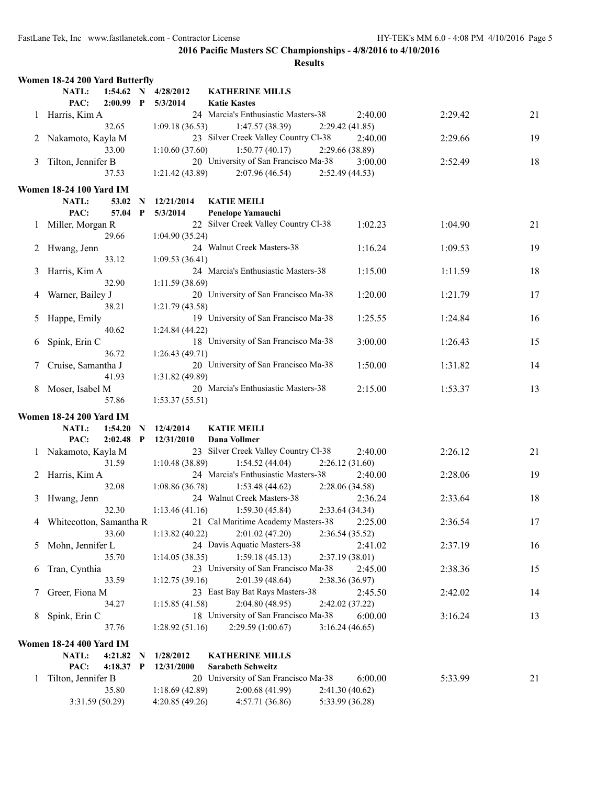|   | Women 18-24 200 Yard Butterfly      |              |                                 |                                               |                 |         |    |
|---|-------------------------------------|--------------|---------------------------------|-----------------------------------------------|-----------------|---------|----|
|   | <b>NATL:</b><br>PAC:<br>$2:00.99$ P |              | 1:54.62 N 4/28/2012<br>5/3/2014 | <b>KATHERINE MILLS</b><br><b>Katie Kastes</b> |                 |         |    |
|   | 1 Harris, Kim A                     |              |                                 | 24 Marcia's Enthusiastic Masters-38           | 2:40.00         | 2:29.42 | 21 |
|   | 32.65                               |              | 1:09.18(36.53)                  | 1:47.57(38.39)                                | 2:29.42(41.85)  |         |    |
| 2 | Nakamoto, Kayla M                   |              |                                 | 23 Silver Creek Valley Country Cl-38          | 2:40.00         | 2:29.66 | 19 |
|   | 33.00                               |              | 1:10.60(37.60)                  | 1:50.77(40.17)                                | 2:29.66 (38.89) |         |    |
| 3 | Tilton, Jennifer B                  |              |                                 | 20 University of San Francisco Ma-38          | 3:00.00         | 2:52.49 | 18 |
|   | 37.53                               |              | 1:21.42 (43.89)                 | 2:07.96(46.54)                                | 2:52.49(44.53)  |         |    |
|   |                                     |              |                                 |                                               |                 |         |    |
|   | <b>Women 18-24 100 Yard IM</b>      |              |                                 |                                               |                 |         |    |
|   | NATL:<br>53.02                      | N            | 12/21/2014                      | <b>KATIE MEILI</b>                            |                 |         |    |
|   | PAC:<br>57.04                       | $\mathbf{P}$ | 5/3/2014                        | Penelope Yamauchi                             |                 |         |    |
|   | Miller, Morgan R                    |              |                                 | 22 Silver Creek Valley Country Cl-38          | 1:02.23         | 1:04.90 | 21 |
|   | 29.66                               |              | 1:04.90(35.24)                  |                                               |                 |         |    |
| 2 | Hwang, Jenn                         |              |                                 | 24 Walnut Creek Masters-38                    | 1:16.24         | 1:09.53 | 19 |
|   | 33.12                               |              | 1:09.53(36.41)                  |                                               |                 |         |    |
| 3 | Harris, Kim A                       |              |                                 | 24 Marcia's Enthusiastic Masters-38           | 1:15.00         | 1:11.59 | 18 |
|   | 32.90                               |              | 1:11.59(38.69)                  |                                               |                 |         |    |
| 4 | Warner, Bailey J                    |              |                                 | 20 University of San Francisco Ma-38          | 1:20.00         | 1:21.79 | 17 |
|   | 38.21                               |              | 1:21.79 (43.58)                 |                                               |                 |         |    |
| 5 | Happe, Emily                        |              |                                 | 19 University of San Francisco Ma-38          | 1:25.55         | 1:24.84 | 16 |
|   | 40.62                               |              | 1:24.84(44.22)                  |                                               |                 |         |    |
| 6 | Spink, Erin C                       |              |                                 | 18 University of San Francisco Ma-38          | 3:00.00         | 1:26.43 | 15 |
|   | 36.72                               |              | 1:26.43(49.71)                  |                                               |                 |         |    |
|   | Cruise, Samantha J                  |              |                                 | 20 University of San Francisco Ma-38          | 1:50.00         | 1:31.82 | 14 |
|   | 41.93                               |              | 1:31.82(49.89)                  |                                               |                 |         |    |
| 8 | Moser, Isabel M                     |              |                                 | 20 Marcia's Enthusiastic Masters-38           | 2:15.00         | 1:53.37 | 13 |
|   | 57.86                               |              | 1:53.37(55.51)                  |                                               |                 |         |    |
|   | <b>Women 18-24 200 Yard IM</b>      |              |                                 |                                               |                 |         |    |
|   | NATL:<br>1:54.20                    | N            | 12/4/2014                       | <b>KATIE MEILI</b>                            |                 |         |    |
|   | PAC:<br>2:02.48                     | $\mathbf{P}$ | 12/31/2010                      | Dana Vollmer                                  |                 |         |    |
|   | Nakamoto, Kayla M                   |              |                                 | 23 Silver Creek Valley Country Cl-38          | 2:40.00         | 2:26.12 | 21 |
|   | 31.59                               |              | 1:10.48(38.89)                  | 1:54.52(44.04)                                | 2:26.12(31.60)  |         |    |
|   | Harris, Kim A                       |              |                                 | 24 Marcia's Enthusiastic Masters-38           | 2:40.00         | 2:28.06 | 19 |
|   | 32.08                               |              | 1:08.86(36.78)                  | 1:53.48(44.62)                                | 2:28.06 (34.58) |         |    |
| 3 | Hwang, Jenn                         |              |                                 | 24 Walnut Creek Masters-38                    | 2:36.24         | 2:33.64 | 18 |
|   | 32.30                               |              | 1:13.46(41.16)                  | 1:59.30(45.84)                                | 2:33.64(34.34)  |         |    |
| 4 | Whitecotton, Samantha R             |              |                                 | 21 Cal Maritime Academy Masters-38 2:25.00    |                 | 2:36.54 | 17 |
|   | 33.60                               |              | 1:13.82(40.22)                  | 2:01.02(47.20)                                | 2:36.54(35.52)  |         |    |
| 5 | Mohn, Jennifer L                    |              |                                 | 24 Davis Aquatic Masters-38                   | 2:41.02         | 2:37.19 | 16 |
|   | 35.70                               |              | 1:14.05(38.35)                  | 1:59.18(45.13)                                | 2:37.19 (38.01) |         |    |
| 6 | Tran, Cynthia                       |              |                                 | 23 University of San Francisco Ma-38          | 2:45.00         | 2:38.36 | 15 |
|   | 33.59                               |              | 1:12.75(39.16)                  | 2:01.39(48.64)                                | 2:38.36 (36.97) |         |    |
| 7 | Greer, Fiona M                      |              |                                 | 23 East Bay Bat Rays Masters-38               | 2:45.50         | 2:42.02 | 14 |
|   | 34.27                               |              | 1:15.85(41.58)                  | 2:04.80(48.95)                                | 2:42.02 (37.22) |         |    |
| 8 | Spink, Erin C                       |              |                                 | 18 University of San Francisco Ma-38          | 6:00.00         | 3:16.24 | 13 |
|   | 37.76                               |              | 1:28.92(51.16)                  | 2:29.59(1:00.67)                              | 3:16.24(46.65)  |         |    |
|   |                                     |              |                                 |                                               |                 |         |    |
|   | <b>Women 18-24 400 Yard IM</b>      |              |                                 |                                               |                 |         |    |
|   | NATL:<br>4:21.82                    | N            | 1/28/2012                       | <b>KATHERINE MILLS</b>                        |                 |         |    |
|   | PAC:<br>4:18.37 P                   |              | 12/31/2000                      | <b>Sarabeth Schweitz</b>                      |                 |         |    |
| 1 | Tilton, Jennifer B                  |              |                                 | 20 University of San Francisco Ma-38          | 6:00.00         | 5:33.99 | 21 |
|   | 35.80                               |              | 1:18.69(42.89)                  | 2:00.68(41.99)                                | 2:41.30(40.62)  |         |    |
|   | 3:31.59(50.29)                      |              | 4:20.85(49.26)                  | 4:57.71 (36.86)                               | 5:33.99 (36.28) |         |    |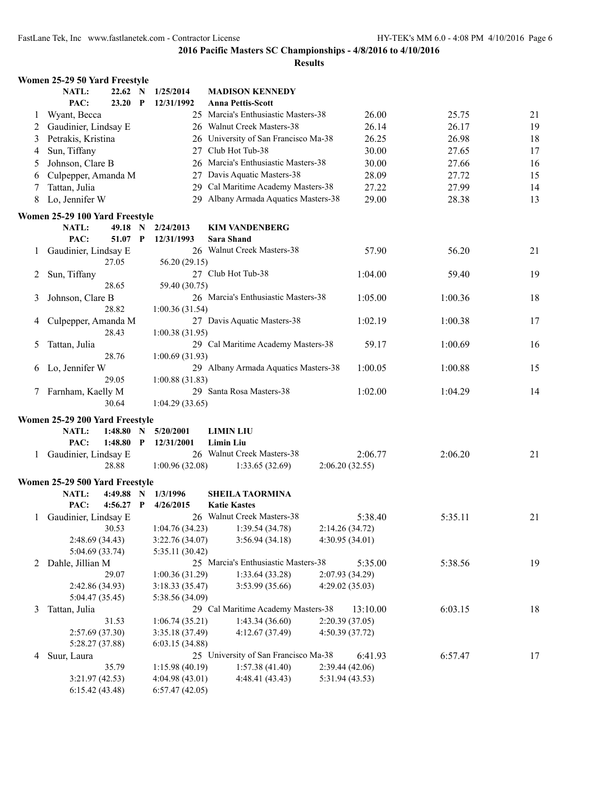|   | Women 25-29 50 Yard Freestyle  |             |             |                 |                                      |                 |         |    |
|---|--------------------------------|-------------|-------------|-----------------|--------------------------------------|-----------------|---------|----|
|   | NATL:                          | 22.62 N     |             | 1/25/2014       | <b>MADISON KENNEDY</b>               |                 |         |    |
|   | PAC:                           | 23.20       | $\mathbf P$ | 12/31/1992      | <b>Anna Pettis-Scott</b>             |                 |         |    |
| 1 | Wyant, Becca                   |             |             |                 | 25 Marcia's Enthusiastic Masters-38  | 26.00           | 25.75   | 21 |
| 2 | Gaudinier, Lindsay E           |             |             |                 | 26 Walnut Creek Masters-38           | 26.14           | 26.17   | 19 |
| 3 | Petrakis, Kristina             |             |             |                 | 26 University of San Francisco Ma-38 | 26.25           | 26.98   | 18 |
| 4 | Sun, Tiffany                   |             |             |                 | 27 Club Hot Tub-38                   | 30.00           | 27.65   | 17 |
| 5 | Johnson, Clare B               |             |             |                 | 26 Marcia's Enthusiastic Masters-38  | 30.00           | 27.66   | 16 |
| 6 | Culpepper, Amanda M            |             |             |                 | 27 Davis Aquatic Masters-38          | 28.09           | 27.72   | 15 |
| 7 | Tattan, Julia                  |             |             |                 | 29 Cal Maritime Academy Masters-38   | 27.22           | 27.99   | 14 |
| 8 | Lo, Jennifer W                 |             |             |                 | 29 Albany Armada Aquatics Masters-38 | 29.00           | 28.38   | 13 |
|   | Women 25-29 100 Yard Freestyle |             |             |                 |                                      |                 |         |    |
|   | NATL:                          | 49.18 N     |             | 2/24/2013       | <b>KIM VANDENBERG</b>                |                 |         |    |
|   | PAC:                           | 51.07 P     |             | 12/31/1993      | <b>Sara Shand</b>                    |                 |         |    |
| 1 | Gaudinier, Lindsay E           |             |             |                 | 26 Walnut Creek Masters-38           | 57.90           | 56.20   | 21 |
|   |                                | 27.05       |             | 56.20 (29.15)   |                                      |                 |         |    |
| 2 | Sun, Tiffany                   |             |             |                 | 27 Club Hot Tub-38                   | 1:04.00         | 59.40   | 19 |
|   |                                | 28.65       |             | 59.40 (30.75)   |                                      |                 |         |    |
| 3 | Johnson, Clare B               |             |             |                 | 26 Marcia's Enthusiastic Masters-38  | 1:05.00         | 1:00.36 | 18 |
|   |                                | 28.82       |             | 1:00.36(31.54)  |                                      |                 |         |    |
| 4 | Culpepper, Amanda M            |             |             |                 | 27 Davis Aquatic Masters-38          | 1:02.19         | 1:00.38 | 17 |
|   |                                | 28.43       |             | 1:00.38(31.95)  |                                      |                 |         |    |
| 5 | Tattan, Julia                  |             |             |                 | 29 Cal Maritime Academy Masters-38   | 59.17           | 1:00.69 | 16 |
|   |                                | 28.76       |             | 1:00.69(31.93)  |                                      |                 |         |    |
| 6 | Lo, Jennifer W                 |             |             |                 | 29 Albany Armada Aquatics Masters-38 | 1:00.05         | 1:00.88 | 15 |
|   |                                | 29.05       |             | 1:00.88(31.83)  |                                      |                 |         |    |
|   | 7 Farnham, Kaelly M            |             |             |                 | 29 Santa Rosa Masters-38             | 1:02.00         | 1:04.29 | 14 |
|   |                                | 30.64       |             | 1:04.29(33.65)  |                                      |                 |         |    |
|   | Women 25-29 200 Yard Freestyle |             |             |                 |                                      |                 |         |    |
|   | NATL:                          | 1:48.80     | $\mathbf N$ | 5/20/2001       | <b>LIMIN LIU</b>                     |                 |         |    |
|   | PAC:                           | $1:48.80$ P |             | 12/31/2001      | <b>Limin Liu</b>                     |                 |         |    |
|   | 1 Gaudinier, Lindsay E         |             |             |                 | 26 Walnut Creek Masters-38           | 2:06.77         | 2:06.20 | 21 |
|   |                                | 28.88       |             | 1:00.96(32.08)  | 1:33.65(32.69)                       | 2:06.20(32.55)  |         |    |
|   | Women 25-29 500 Yard Freestyle |             |             |                 |                                      |                 |         |    |
|   | NATL:                          | $4:49.88$ N |             | 1/3/1996        | <b>SHEILA TAORMINA</b>               |                 |         |    |
|   | PAC:                           | $4:56.27$ P |             | 4/26/2015       | <b>Katie Kastes</b>                  |                 |         |    |
|   | 1 Gaudinier, Lindsay E         |             |             |                 | 26 Walnut Creek Masters-38           | 5:38.40         | 5:35.11 | 21 |
|   |                                | 30.53       |             | 1:04.76(34.23)  | 1:39.54(34.78)                       | 2:14.26(34.72)  |         |    |
|   | 2:48.69(34.43)                 |             |             | 3:22.76 (34.07) | 3:56.94(34.18)                       | 4:30.95(34.01)  |         |    |
|   | 5:04.69 (33.74)                |             |             | 5:35.11 (30.42) |                                      |                 |         |    |
| 2 | Dahle, Jillian M               |             |             |                 | 25 Marcia's Enthusiastic Masters-38  | 5:35.00         | 5:38.56 | 19 |
|   |                                | 29.07       |             | 1:00.36(31.29)  | 1:33.64(33.28)                       | 2:07.93 (34.29) |         |    |
|   | 2:42.86 (34.93)                |             |             | 3:18.33(35.47)  | 3:53.99 (35.66)                      | 4:29.02(35.03)  |         |    |
|   | 5:04.47 (35.45)                |             |             | 5:38.56 (34.09) |                                      |                 |         |    |
| 3 | Tattan, Julia                  |             |             |                 | 29 Cal Maritime Academy Masters-38   | 13:10.00        | 6:03.15 | 18 |
|   |                                | 31.53       |             | 1:06.74(35.21)  | 1:43.34 (36.60)                      | 2:20.39(37.05)  |         |    |
|   | 2:57.69(37.30)                 |             |             | 3:35.18 (37.49) | 4:12.67 (37.49)                      | 4:50.39 (37.72) |         |    |
|   | 5:28.27 (37.88)                |             |             | 6:03.15(34.88)  |                                      |                 |         |    |
| 4 | Suur, Laura                    |             |             |                 | 25 University of San Francisco Ma-38 | 6:41.93         | 6:57.47 | 17 |
|   |                                | 35.79       |             | 1:15.98(40.19)  | 1:57.38(41.40)                       | 2:39.44(42.06)  |         |    |
|   | 3:21.97(42.53)                 |             |             | 4:04.98 (43.01) | 4:48.41 (43.43)                      | 5:31.94 (43.53) |         |    |
|   | 6:15.42(43.48)                 |             |             | 6:57.47(42.05)  |                                      |                 |         |    |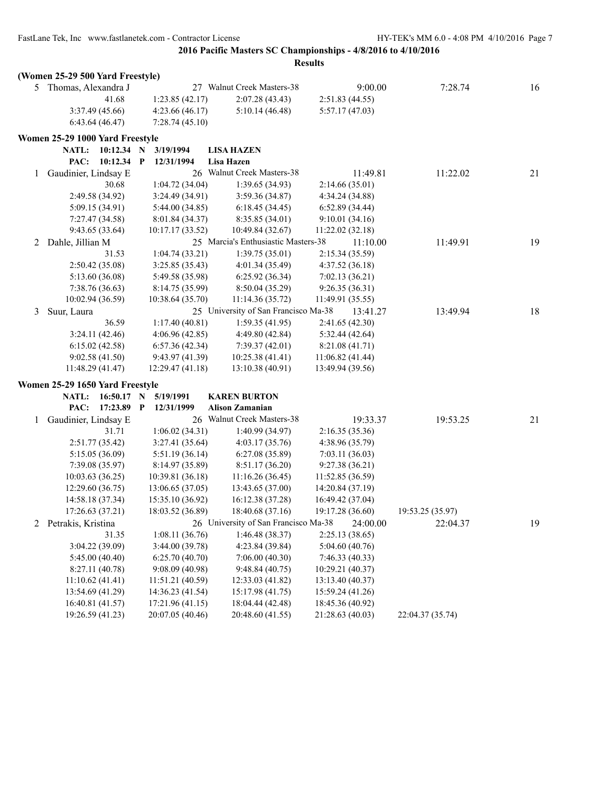|              | (Women 25-29 500 Yard Freestyle) |              |                            |                                      |                  |                  |    |
|--------------|----------------------------------|--------------|----------------------------|--------------------------------------|------------------|------------------|----|
|              | 5 Thomas, Alexandra J            |              |                            | 27 Walnut Creek Masters-38           | 9:00.00          | 7:28.74          | 16 |
|              |                                  | 41.68        | 1:23.85(42.17)             | 2:07.28(43.43)                       | 2:51.83(44.55)   |                  |    |
|              | 3:37.49 (45.66)                  |              | 4:23.66(46.17)             | 5:10.14(46.48)                       | 5:57.17(47.03)   |                  |    |
|              | 6:43.64(46.47)                   |              | 7:28.74(45.10)             |                                      |                  |                  |    |
|              | Women 25-29 1000 Yard Freestyle  |              |                            |                                      |                  |                  |    |
|              | <b>NATL:</b>                     | $10:12.34$ N | 3/19/1994                  | <b>LISA HAZEN</b>                    |                  |                  |    |
|              | PAC:                             | $10:12.34$ P | 12/31/1994                 | Lisa Hazen                           |                  |                  |    |
| $\mathbf{1}$ | Gaudinier, Lindsay E             |              |                            | 26 Walnut Creek Masters-38           | 11:49.81         | 11:22.02         | 21 |
|              |                                  | 30.68        | 1:04.72(34.04)             | 1:39.65(34.93)                       | 2:14.66(35.01)   |                  |    |
|              | 2:49.58 (34.92)                  |              | 3:24.49(34.91)             | 3:59.36 (34.87)                      | 4:34.24 (34.88)  |                  |    |
|              | 5:09.15 (34.91)                  |              | 5:44.00 (34.85)            | 6:18.45(34.45)                       | 6:52.89(34.44)   |                  |    |
|              | 7:27.47 (34.58)                  |              | 8:01.84 (34.37)            | 8:35.85 (34.01)                      | 9:10.01(34.16)   |                  |    |
|              | 9:43.65 (33.64)                  |              | 10:17.17 (33.52)           | 10:49.84 (32.67)                     | 11:22.02 (32.18) |                  |    |
| 2            | Dahle, Jillian M                 |              |                            | 25 Marcia's Enthusiastic Masters-38  | 11:10.00         | 11:49.91         | 19 |
|              |                                  | 31.53        | 1:04.74(33.21)             | 1:39.75 (35.01)                      | 2:15.34 (35.59)  |                  |    |
|              | 2:50.42(35.08)                   |              | 3:25.85(35.43)             | 4:01.34 (35.49)                      | 4:37.52 (36.18)  |                  |    |
|              | 5:13.60 (36.08)                  |              | 5:49.58 (35.98)            | 6:25.92(36.34)                       | 7:02.13(36.21)   |                  |    |
|              | 7:38.76 (36.63)                  |              | 8:14.75 (35.99)            | 8:50.04 (35.29)                      | 9:26.35(36.31)   |                  |    |
|              | 10:02.94 (36.59)                 |              | 10:38.64 (35.70)           | 11:14.36 (35.72)                     | 11:49.91 (35.55) |                  |    |
| 3            | Suur, Laura                      |              |                            | 25 University of San Francisco Ma-38 | 13:41.27         | 13:49.94         | 18 |
|              |                                  | 36.59        | 1:17.40(40.81)             | 1:59.35(41.95)                       | 2:41.65 (42.30)  |                  |    |
|              | 3:24.11(42.46)                   |              | 4:06.96(42.85)             | 4:49.80 (42.84)                      | 5:32.44 (42.64)  |                  |    |
|              | 6:15.02(42.58)                   |              | 6:57.36(42.34)             | 7:39.37(42.01)                       | 8:21.08 (41.71)  |                  |    |
|              | 9:02.58(41.50)                   |              | 9:43.97 (41.39)            | 10:25.38 (41.41)                     | 11:06.82 (41.44) |                  |    |
|              | 11:48.29 (41.47)                 |              | 12:29.47 (41.18)           | 13:10.38(40.91)                      | 13:49.94 (39.56) |                  |    |
|              | Women 25-29 1650 Yard Freestyle  |              |                            |                                      |                  |                  |    |
|              | NATL:                            | $16:50.17$ N | 5/19/1991                  | <b>KAREN BURTON</b>                  |                  |                  |    |
|              | PAC:                             | 17:23.89     | $\mathbf{P}$<br>12/31/1999 | <b>Alison Zamanian</b>               |                  |                  |    |
| $\mathbf{1}$ | Gaudinier, Lindsay E             |              |                            | 26 Walnut Creek Masters-38           | 19:33.37         | 19:53.25         | 21 |
|              |                                  | 31.71        | 1:06.02(34.31)             | 1:40.99(34.97)                       | 2:16.35(35.36)   |                  |    |
|              | 2:51.77 (35.42)                  |              | 3:27.41 (35.64)            | 4:03.17(35.76)                       | 4:38.96 (35.79)  |                  |    |
|              | 5:15.05 (36.09)                  |              | 5:51.19(36.14)             | 6:27.08(35.89)                       | 7:03.11(36.03)   |                  |    |
|              | 7:39.08(35.97)                   |              | 8:14.97 (35.89)            | 8:51.17(36.20)                       | 9:27.38(36.21)   |                  |    |
|              | 10:03.63(36.25)                  |              | 10:39.81 (36.18)           | 11:16.26(36.45)                      | 11:52.85(36.59)  |                  |    |
|              | 12:29.60 (36.75)                 |              | 13:06.65(37.05)            | 13:43.65 (37.00)                     | 14:20.84 (37.19) |                  |    |
|              | 14:58.18 (37.34)                 |              | 15:35.10 (36.92)           | 16:12.38 (37.28)                     | 16:49.42 (37.04) |                  |    |
|              | 17:26.63 (37.21)                 |              | 18:03.52 (36.89)           | 18:40.68 (37.16)                     | 19:17.28 (36.60) | 19:53.25 (35.97) |    |
| 2            | Petrakis, Kristina               |              |                            | 26 University of San Francisco Ma-38 | 24:00.00         | 22:04.37         | 19 |
|              |                                  | 31.35        | 1:08.11(36.76)             | 1:46.48(38.37)                       | 2:25.13(38.65)   |                  |    |
|              | 3:04.22 (39.09)                  |              | 3:44.00(39.78)             | 4:23.84 (39.84)                      | 5:04.60(40.76)   |                  |    |
|              | 5:45.00(40.40)                   |              | 6:25.70(40.70)             | 7:06.00(40.30)                       | 7:46.33 (40.33)  |                  |    |
|              | 8:27.11 (40.78)                  |              | 9:08.09 (40.98)            | 9:48.84(40.75)                       | 10:29.21 (40.37) |                  |    |
|              | 11:10.62(41.41)                  |              | 11:51.21 (40.59)           | 12:33.03 (41.82)                     | 13:13.40 (40.37) |                  |    |
|              | 13:54.69 (41.29)                 |              | 14:36.23 (41.54)           | 15:17.98 (41.75)                     | 15:59.24 (41.26) |                  |    |
|              | 16:40.81 (41.57)                 |              | 17:21.96 (41.15)           | 18:04.44 (42.48)                     | 18:45.36 (40.92) |                  |    |
|              | 19:26.59 (41.23)                 |              | 20:07.05 (40.46)           | 20:48.60 (41.55)                     | 21:28.63 (40.03) | 22:04.37 (35.74) |    |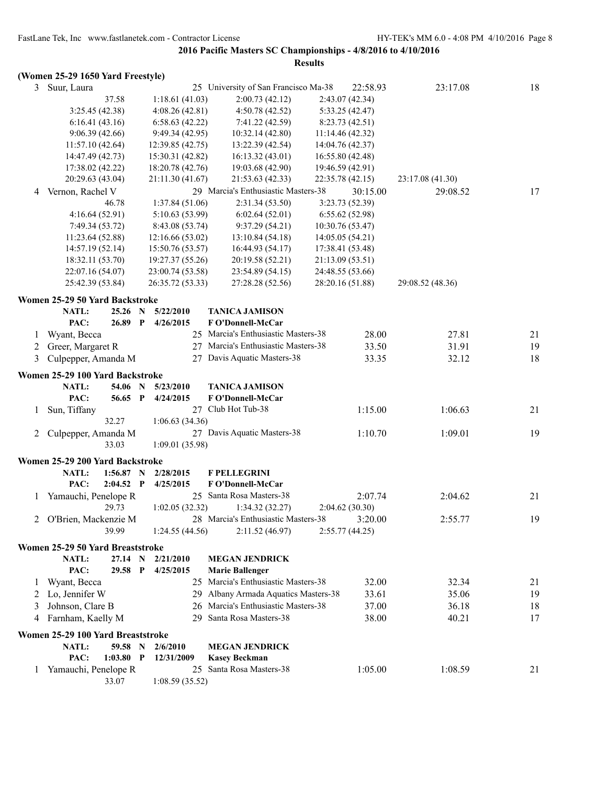|         | (Women 25-29 1650 Yard Freestyle)        |             |             |                  |                                      |                  |                  |    |
|---------|------------------------------------------|-------------|-------------|------------------|--------------------------------------|------------------|------------------|----|
| 3       | Suur, Laura                              |             |             |                  | 25 University of San Francisco Ma-38 | 22:58.93         | 23:17.08         | 18 |
|         |                                          | 37.58       |             | 1:18.61(41.03)   | 2:00.73(42.12)                       | 2:43.07 (42.34)  |                  |    |
|         | 3:25.45(42.38)                           |             |             | 4:08.26(42.81)   | 4:50.78 (42.52)                      | 5:33.25 (42.47)  |                  |    |
|         | 6:16.41(43.16)                           |             |             | 6:58.63(42.22)   | 7:41.22 (42.59)                      | 8:23.73(42.51)   |                  |    |
|         | 9:06.39(42.66)                           |             |             | 9:49.34(42.95)   | 10:32.14 (42.80)                     | 11:14.46(42.32)  |                  |    |
|         | 11:57.10(42.64)                          |             |             | 12:39.85 (42.75) | 13:22.39 (42.54)                     | 14:04.76 (42.37) |                  |    |
|         | 14:47.49 (42.73)                         |             |             | 15:30.31 (42.82) | 16:13.32(43.01)                      | 16:55.80 (42.48) |                  |    |
|         | 17:38.02 (42.22)                         |             |             | 18:20.78 (42.76) | 19:03.68 (42.90)                     | 19:46.59 (42.91) |                  |    |
|         | 20:29.63 (43.04)                         |             |             | 21:11.30 (41.67) | 21:53.63 (42.33)                     | 22:35.78 (42.15) | 23:17.08 (41.30) |    |
| 4       | Vernon, Rachel V                         |             |             |                  | 29 Marcia's Enthusiastic Masters-38  | 30:15.00         | 29:08.52         | 17 |
|         |                                          | 46.78       |             | 1:37.84(51.06)   | 2:31.34 (53.50)                      | 3:23.73 (52.39)  |                  |    |
|         | 4:16.64(52.91)                           |             |             | 5:10.63(53.99)   | 6:02.64(52.01)                       | 6:55.62(52.98)   |                  |    |
|         | 7:49.34 (53.72)                          |             |             | 8:43.08 (53.74)  | 9:37.29(54.21)                       | 10:30.76 (53.47) |                  |    |
|         | 11:23.64 (52.88)                         |             |             | 12:16.66 (53.02) | 13:10.84 (54.18)                     | 14:05.05(54.21)  |                  |    |
|         | 14:57.19 (52.14)                         |             |             | 15:50.76 (53.57) | 16:44.93 (54.17)                     | 17:38.41 (53.48) |                  |    |
|         | 18:32.11 (53.70)                         |             |             | 19:27.37 (55.26) | 20:19.58 (52.21)                     | 21:13.09 (53.51) |                  |    |
|         | 22:07.16 (54.07)                         |             |             | 23:00.74 (53.58) | 23:54.89 (54.15)                     | 24:48.55 (53.66) |                  |    |
|         | 25:42.39 (53.84)                         |             |             | 26:35.72 (53.33) | 27:28.28 (52.56)                     | 28:20.16 (51.88) | 29:08.52 (48.36) |    |
|         | Women 25-29 50 Yard Backstroke           |             |             |                  |                                      |                  |                  |    |
|         | NATL:                                    | $25.26$ N   |             | 5/22/2010        | <b>TANICA JAMISON</b>                |                  |                  |    |
|         | PAC:                                     | 26.89 P     |             | 4/26/2015        | F O'Donnell-McCar                    |                  |                  |    |
| 1       | Wyant, Becca                             |             |             |                  | 25 Marcia's Enthusiastic Masters-38  | 28.00            | 27.81            | 21 |
| 2       | Greer, Margaret R                        |             |             |                  | 27 Marcia's Enthusiastic Masters-38  | 33.50            | 31.91            | 19 |
| 3       | Culpepper, Amanda M                      |             |             |                  | 27 Davis Aquatic Masters-38          | 33.35            | 32.12            | 18 |
|         |                                          |             |             |                  |                                      |                  |                  |    |
|         | Women 25-29 100 Yard Backstroke<br>NATL: | 54.06 N     |             | 5/23/2010        | <b>TANICA JAMISON</b>                |                  |                  |    |
|         | PAC:                                     | 56.65 P     |             | 4/24/2015        | F O'Donnell-McCar                    |                  |                  |    |
|         |                                          |             |             |                  | 27 Club Hot Tub-38                   | 1:15.00          | 1:06.63          | 21 |
| 1       | Sun, Tiffany                             | 32.27       |             | 1:06.63(34.36)   |                                      |                  |                  |    |
| 2       | Culpepper, Amanda M                      |             |             |                  | 27 Davis Aquatic Masters-38          | 1:10.70          | 1:09.01          | 19 |
|         |                                          | 33.03       |             | 1:09.01(35.98)   |                                      |                  |                  |    |
|         |                                          |             |             |                  |                                      |                  |                  |    |
|         | Women 25-29 200 Yard Backstroke          |             |             |                  |                                      |                  |                  |    |
|         | NATL:                                    | $1:56.87$ N |             | 2/28/2015        | <b>F PELLEGRINI</b>                  |                  |                  |    |
|         | PAC:                                     | $2:04.52$ P |             | 4/25/2015        | F O'Donnell-McCar                    |                  |                  |    |
|         | Yamauchi, Penelope R                     |             |             |                  | 25 Santa Rosa Masters-38             | 2:07.74          | 2:04.62          | 21 |
|         |                                          | 29.73       |             | 1:02.05(32.32)   | 1:34.32(32.27)                       | 2:04.62(30.30)   |                  |    |
| 2       | O'Brien, Mackenzie M                     |             |             |                  | 28 Marcia's Enthusiastic Masters-38  | 3:20.00          | 2:55.77          | 19 |
|         |                                          | 39.99       |             | 1:24.55(44.56)   | 2:11.52(46.97)                       | 2:55.77(44.25)   |                  |    |
|         | Women 25-29 50 Yard Breaststroke         |             |             |                  |                                      |                  |                  |    |
|         | NATL:                                    | 27.14       | $\mathbf N$ | 2/21/2010        | <b>MEGAN JENDRICK</b>                |                  |                  |    |
|         | PAC:                                     | 29.58       | $\mathbf P$ | 4/25/2015        | <b>Marie Ballenger</b>               |                  |                  |    |
| $\perp$ | Wyant, Becca                             |             |             |                  | 25 Marcia's Enthusiastic Masters-38  | 32.00            | 32.34            | 21 |
| 2       | Lo, Jennifer W                           |             |             | 29               | Albany Armada Aquatics Masters-38    | 33.61            | 35.06            | 19 |
| 3       | Johnson, Clare B                         |             |             | 26               | Marcia's Enthusiastic Masters-38     | 37.00            | 36.18            | 18 |
| 4       | Farnham, Kaelly M                        |             |             | 29               | Santa Rosa Masters-38                | 38.00            | 40.21            | 17 |
|         | Women 25-29 100 Yard Breaststroke        |             |             |                  |                                      |                  |                  |    |
|         | NATL:                                    | 59.58 N     |             | 2/6/2010         | <b>MEGAN JENDRICK</b>                |                  |                  |    |
|         | PAC:                                     | $1:03.80$ P |             | 12/31/2009       | <b>Kasey Beckman</b>                 |                  |                  |    |
| $\perp$ | Yamauchi, Penelope R                     |             |             |                  | 25 Santa Rosa Masters-38             | 1:05.00          | 1:08.59          | 21 |
|         |                                          | 33.07       |             | 1:08.59(35.52)   |                                      |                  |                  |    |
|         |                                          |             |             |                  |                                      |                  |                  |    |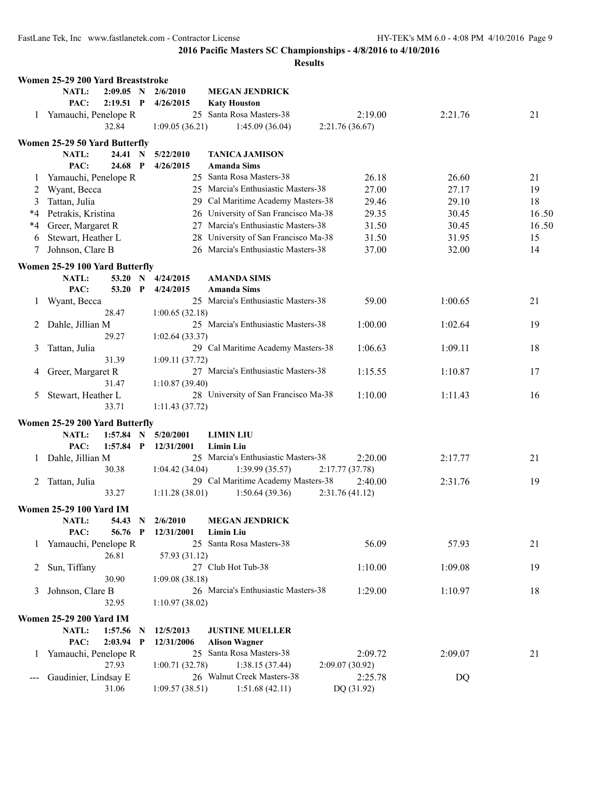|              | Women 25-29 200 Yard Breaststroke                              |                         |                                                  |                |         |       |
|--------------|----------------------------------------------------------------|-------------------------|--------------------------------------------------|----------------|---------|-------|
|              | <b>NATL:</b><br>$2:09.05$ N                                    | 2/6/2010                | <b>MEGAN JENDRICK</b>                            |                |         |       |
|              | PAC:<br>$2:19.51$ P                                            | 4/26/2015               | <b>Katy Houston</b>                              |                |         |       |
|              | 1 Yamauchi, Penelope R                                         | 25                      | Santa Rosa Masters-38                            | 2:19.00        | 2:21.76 | 21    |
|              | 32.84                                                          | 1:09.05(36.21)          | 1:45.09(36.04)                                   | 2:21.76(36.67) |         |       |
|              | Women 25-29 50 Yard Butterfly                                  |                         |                                                  |                |         |       |
|              | NATL:<br>24.41 N                                               | 5/22/2010               | <b>TANICA JAMISON</b>                            |                |         |       |
|              | PAC:<br>24.68 P                                                | 4/26/2015               | <b>Amanda Sims</b>                               |                |         |       |
| 1            | Yamauchi, Penelope R                                           |                         | 25 Santa Rosa Masters-38                         | 26.18          | 26.60   | 21    |
| 2            | Wyant, Becca                                                   |                         | 25 Marcia's Enthusiastic Masters-38              | 27.00          | 27.17   | 19    |
| 3            | Tattan, Julia                                                  | 29.                     | Cal Maritime Academy Masters-38                  | 29.46          | 29.10   | 18    |
| *4           | Petrakis, Kristina                                             | 26                      | University of San Francisco Ma-38                | 29.35          | 30.45   | 16.50 |
| *4           | Greer, Margaret R                                              | 27                      | Marcia's Enthusiastic Masters-38                 | 31.50          | 30.45   | 16.50 |
| 6            | Stewart, Heather L                                             | 28                      | University of San Francisco Ma-38                | 31.50          | 31.95   | 15    |
| 7            | Johnson, Clare B                                               |                         | 26 Marcia's Enthusiastic Masters-38              | 37.00          | 32.00   | 14    |
|              | Women 25-29 100 Yard Butterfly                                 |                         |                                                  |                |         |       |
|              | NATL:<br>53.20 N                                               | 4/24/2015               | <b>AMANDA SIMS</b>                               |                |         |       |
|              | PAC:<br>53.20<br>$\mathbf{P}$                                  | 4/24/2015               | <b>Amanda Sims</b>                               |                |         |       |
| 1            | Wyant, Becca                                                   |                         | 25 Marcia's Enthusiastic Masters-38              | 59.00          | 1:00.65 | 21    |
|              | 28.47                                                          | 1:00.65(32.18)          |                                                  |                |         |       |
| 2            | Dahle, Jillian M                                               |                         | 25 Marcia's Enthusiastic Masters-38              | 1:00.00        | 1:02.64 | 19    |
|              | 29.27                                                          | 1:02.64(33.37)          |                                                  |                |         |       |
| 3            | Tattan, Julia                                                  |                         | 29 Cal Maritime Academy Masters-38               | 1:06.63        | 1:09.11 | 18    |
|              | 31.39                                                          | 1:09.11 (37.72)         |                                                  |                |         |       |
| 4            | Greer, Margaret R                                              |                         | 27 Marcia's Enthusiastic Masters-38              | 1:15.55        | 1:10.87 | 17    |
|              | 31.47                                                          | 1:10.87(39.40)          |                                                  |                |         |       |
| 5            | Stewart, Heather L                                             |                         | 28 University of San Francisco Ma-38             | 1:10.00        | 1:11.43 | 16    |
|              | 33.71                                                          | 1:11.43(37.72)          |                                                  |                |         |       |
|              | Women 25-29 200 Yard Butterfly                                 |                         |                                                  |                |         |       |
|              | NATL:<br>1:57.84<br>N                                          | 5/20/2001               | <b>LIMIN LIU</b>                                 |                |         |       |
|              | PAC:<br>$1:57.84$ P                                            | 12/31/2001              | <b>Limin Liu</b>                                 |                |         |       |
| 1            | Dahle, Jillian M                                               |                         | 25 Marcia's Enthusiastic Masters-38              | 2:20.00        | 2:17.77 | 21    |
|              | 30.38                                                          | 1:04.42(34.04)          | 1:39.99(35.57)                                   | 2:17.77(37.78) |         |       |
| 2            | Tattan, Julia                                                  |                         | 29 Cal Maritime Academy Masters-38               | 2:40.00        | 2:31.76 | 19    |
|              | 33.27                                                          | 1:11.28(38.01)          | 1:50.64(39.36)                                   | 2:31.76(41.12) |         |       |
|              |                                                                |                         |                                                  |                |         |       |
|              | <b>Women 25-29 100 Yard IM</b>                                 | 2/6/2010                | <b>MEGAN JENDRICK</b>                            |                |         |       |
|              | NATL:<br>54.43<br>$\mathbf N$<br>PAC:<br>56.76<br>$\mathbf{P}$ | 12/31/2001              | <b>Limin Liu</b>                                 |                |         |       |
| $\mathbf{1}$ | Yamauchi, Penelope R                                           | 25                      | Santa Rosa Masters-38                            | 56.09          | 57.93   | 21    |
|              | 26.81                                                          | 57.93 (31.12)           |                                                  |                |         |       |
| 2            | Sun, Tiffany                                                   |                         | 27 Club Hot Tub-38                               | 1:10.00        | 1:09.08 | 19    |
|              | 30.90                                                          | 1:09.08(38.18)          |                                                  |                |         |       |
| 3            | Johnson, Clare B                                               |                         | 26 Marcia's Enthusiastic Masters-38              | 1:29.00        | 1:10.97 | 18    |
|              | 32.95                                                          | 1:10.97(38.02)          |                                                  |                |         |       |
|              |                                                                |                         |                                                  |                |         |       |
|              | <b>Women 25-29 200 Yard IM</b><br>NATL:                        |                         |                                                  |                |         |       |
|              | 1:57.56<br>N<br>PAC:<br>$2:03.94$ P                            | 12/5/2013<br>12/31/2006 | <b>JUSTINE MUELLER</b>                           |                |         |       |
| $\mathbf{1}$ | Yamauchi, Penelope R                                           |                         | <b>Alison Wagner</b><br>25 Santa Rosa Masters-38 | 2:09.72        | 2:09.07 | 21    |
|              | 27.93                                                          | 1:00.71(32.78)          | 1:38.15(37.44)                                   | 2:09.07(30.92) |         |       |
|              | Gaudinier, Lindsay E                                           |                         | 26 Walnut Creek Masters-38                       | 2:25.78        | DQ      |       |
|              | 31.06                                                          | 1:09.57(38.51)          | 1:51.68(42.11)                                   | DQ (31.92)     |         |       |
|              |                                                                |                         |                                                  |                |         |       |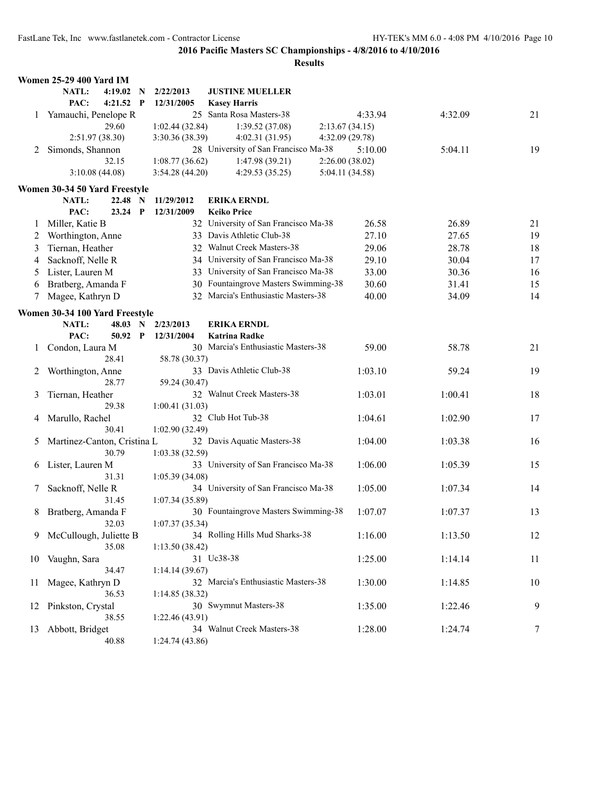|    | <b>Women 25-29 400 Yard IM</b> |              |                 |                                      |                 |         |    |
|----|--------------------------------|--------------|-----------------|--------------------------------------|-----------------|---------|----|
|    | NATL:<br>4:19.02               | - N          | 2/22/2013       | <b>JUSTINE MUELLER</b>               |                 |         |    |
|    | PAC:<br>$4:21.52$ P            |              | 12/31/2005      | <b>Kasey Harris</b>                  |                 |         |    |
|    | 1 Yamauchi, Penelope R         |              |                 | 25 Santa Rosa Masters-38             | 4:33.94         | 4:32.09 | 21 |
|    | 29.60                          |              | 1:02.44(32.84)  | 1:39.52(37.08)                       | 2:13.67(34.15)  |         |    |
|    | 2:51.97 (38.30)                |              | 3:30.36 (38.39) | 4:02.31(31.95)                       | 4:32.09(29.78)  |         |    |
| 2  | Simonds, Shannon               |              |                 | 28 University of San Francisco Ma-38 | 5:10.00         | 5:04.11 | 19 |
|    | 32.15                          |              | 1:08.77(36.62)  | 1:47.98 (39.21)                      | 2:26.00(38.02)  |         |    |
|    | 3:10.08(44.08)                 |              | 3:54.28(44.20)  | 4:29.53(35.25)                       | 5:04.11 (34.58) |         |    |
|    |                                |              |                 |                                      |                 |         |    |
|    | Women 30-34 50 Yard Freestyle  |              |                 |                                      |                 |         |    |
|    | NATL:<br>22.48 N               |              | 11/29/2012      | <b>ERIKA ERNDL</b>                   |                 |         |    |
|    | PAC:<br>23.24                  | $\mathbf{P}$ | 12/31/2009      | <b>Keiko Price</b>                   |                 |         |    |
| 1  | Miller, Katie B                |              |                 | 32 University of San Francisco Ma-38 | 26.58           | 26.89   | 21 |
| 2  | Worthington, Anne              |              |                 | 33 Davis Athletic Club-38            | 27.10           | 27.65   | 19 |
| 3  | Tiernan, Heather               |              |                 | 32 Walnut Creek Masters-38           | 29.06           | 28.78   | 18 |
| 4  | Sacknoff, Nelle R              |              |                 | 34 University of San Francisco Ma-38 | 29.10           | 30.04   | 17 |
| 5  | Lister, Lauren M               |              |                 | 33 University of San Francisco Ma-38 | 33.00           | 30.36   | 16 |
| 6  | Bratberg, Amanda F             |              |                 | 30 Fountaingrove Masters Swimming-38 | 30.60           | 31.41   | 15 |
| 7  | Magee, Kathryn D               |              |                 | 32 Marcia's Enthusiastic Masters-38  | 40.00           | 34.09   | 14 |
|    |                                |              |                 |                                      |                 |         |    |
|    | Women 30-34 100 Yard Freestyle |              |                 |                                      |                 |         |    |
|    | NATL:<br>48.03 N               |              | 2/23/2013       | <b>ERIKA ERNDL</b>                   |                 |         |    |
|    | PAC:<br>50.92 P                |              | 12/31/2004      | <b>Katrina Radke</b>                 |                 |         |    |
| 1  | Condon, Laura M                |              |                 | 30 Marcia's Enthusiastic Masters-38  | 59.00           | 58.78   | 21 |
|    | 28.41                          |              | 58.78 (30.37)   |                                      |                 |         |    |
| 2  | Worthington, Anne              |              |                 | 33 Davis Athletic Club-38            | 1:03.10         | 59.24   | 19 |
|    | 28.77                          |              | 59.24 (30.47)   |                                      |                 |         |    |
| 3  | Tiernan, Heather               |              |                 | 32 Walnut Creek Masters-38           | 1:03.01         | 1:00.41 | 18 |
|    | 29.38                          |              | 1:00.41(31.03)  |                                      |                 |         |    |
| 4  | Marullo, Rachel                |              |                 | 32 Club Hot Tub-38                   | 1:04.61         | 1:02.90 | 17 |
|    | 30.41                          |              | 1:02.90(32.49)  |                                      |                 |         |    |
| 5  | Martinez-Canton, Cristina L    |              |                 | 32 Davis Aquatic Masters-38          | 1:04.00         | 1:03.38 | 16 |
|    | 30.79                          |              | 1:03.38(32.59)  |                                      |                 |         |    |
| 6  | Lister, Lauren M               |              |                 | 33 University of San Francisco Ma-38 | 1:06.00         | 1:05.39 | 15 |
|    | 31.31                          |              | 1:05.39(34.08)  |                                      |                 |         |    |
| 7  | Sacknoff, Nelle R              |              |                 | 34 University of San Francisco Ma-38 | 1:05.00         | 1:07.34 | 14 |
|    | 31.45                          |              | 1:07.34(35.89)  |                                      |                 |         |    |
| 8  | Bratberg, Amanda F             |              |                 | 30 Fountaingrove Masters Swimming-38 | 1:07.07         | 1:07.37 | 13 |
|    | 32.03                          |              | 1:07.37(35.34)  |                                      |                 |         |    |
| 9. | McCullough, Juliette B         |              |                 | 34 Rolling Hills Mud Sharks-38       | 1:16.00         | 1:13.50 | 12 |
|    | 35.08                          |              | 1:13.50(38.42)  |                                      |                 |         |    |
|    |                                |              |                 | 31 Uc38-38                           |                 |         |    |
| 10 | Vaughn, Sara                   |              |                 |                                      | 1:25.00         | 1:14.14 | 11 |
|    | 34.47                          |              | 1:14.14(39.67)  |                                      |                 |         |    |
| 11 | Magee, Kathryn D               |              |                 | 32 Marcia's Enthusiastic Masters-38  | 1:30.00         | 1:14.85 | 10 |
|    | 36.53                          |              | 1:14.85(38.32)  |                                      |                 |         |    |
| 12 | Pinkston, Crystal              |              |                 | 30 Swymnut Masters-38                | 1:35.00         | 1:22.46 | 9  |
|    | 38.55                          |              | 1:22.46(43.91)  |                                      |                 |         |    |
| 13 | Abbott, Bridget                |              |                 | 34 Walnut Creek Masters-38           | 1:28.00         | 1:24.74 | 7  |
|    | 40.88                          |              | 1:24.74(43.86)  |                                      |                 |         |    |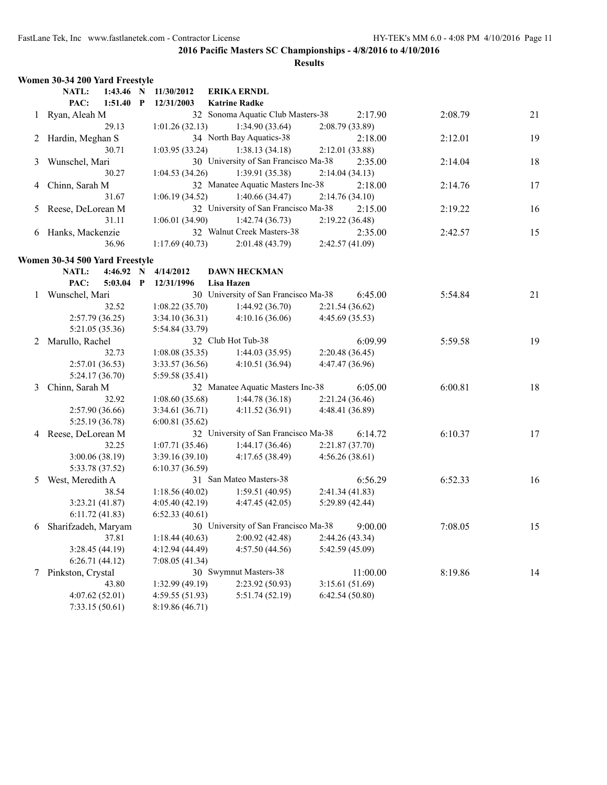|   | Women 30-34 200 Yard Freestyle         |                     |                                                           |                 |          |         |    |
|---|----------------------------------------|---------------------|-----------------------------------------------------------|-----------------|----------|---------|----|
|   | 1:43.46 N<br>NATL:<br>PAC:             | 11/30/2012          | <b>ERIKA ERNDL</b>                                        |                 |          |         |    |
|   | $1:51.40$ P<br>1 Ryan, Aleah M         | 12/31/2003          | <b>Katrine Radke</b><br>32 Sonoma Aquatic Club Masters-38 |                 | 2:17.90  | 2:08.79 | 21 |
|   | 29.13                                  | 1:01.26(32.13)      | 1:34.90(33.64)                                            | 2:08.79(33.89)  |          |         |    |
|   | Hardin, Meghan S                       |                     | 34 North Bay Aquatics-38                                  |                 | 2:18.00  | 2:12.01 | 19 |
|   | 30.71                                  | 1:03.95(33.24)      | 1:38.13(34.18)                                            | 2:12.01(33.88)  |          |         |    |
| 3 | Wunschel, Mari                         |                     | 30 University of San Francisco Ma-38                      |                 | 2:35.00  | 2:14.04 | 18 |
|   | 30.27                                  | 1:04.53(34.26)      | 1:39.91(35.38)                                            | 2:14.04(34.13)  |          |         |    |
| 4 | Chinn, Sarah M                         |                     | 32 Manatee Aquatic Masters Inc-38                         |                 | 2:18.00  | 2:14.76 | 17 |
|   | 31.67                                  | 1:06.19(34.52)      | 1:40.66(34.47)                                            | 2:14.76(34.10)  |          |         |    |
| 5 | Reese, DeLorean M                      |                     | 32 University of San Francisco Ma-38                      |                 | 2:15.00  | 2:19.22 | 16 |
|   | 31.11                                  | 1:06.01(34.90)      | 1:42.74(36.73)                                            | 2:19.22(36.48)  |          |         |    |
|   | 6 Hanks, Mackenzie                     |                     | 32 Walnut Creek Masters-38                                |                 | 2:35.00  | 2:42.57 | 15 |
|   | 36.96                                  | 1:17.69(40.73)      | 2:01.48(43.79)                                            | 2:42.57 (41.09) |          |         |    |
|   |                                        |                     |                                                           |                 |          |         |    |
|   | Women 30-34 500 Yard Freestyle         |                     |                                                           |                 |          |         |    |
|   | NATL:                                  | 4:46.92 N 4/14/2012 | <b>DAWN HECKMAN</b>                                       |                 |          |         |    |
|   | PAC:<br>$5:03.04$ P                    | 12/31/1996          | Lisa Hazen                                                |                 |          |         |    |
| 1 | Wunschel, Mari                         |                     | 30 University of San Francisco Ma-38                      |                 | 6:45.00  | 5:54.84 | 21 |
|   | 32.52                                  | 1:08.22(35.70)      | 1:44.92(36.70)                                            | 2:21.54(36.62)  |          |         |    |
|   | 2:57.79(36.25)                         | 3:34.10(36.31)      | 4:10.16(36.06)                                            | 4:45.69 (35.53) |          |         |    |
|   | 5:21.05 (35.36)                        | 5:54.84 (33.79)     |                                                           |                 |          |         |    |
| 2 | Marullo, Rachel                        |                     | 32 Club Hot Tub-38                                        |                 | 6:09.99  | 5:59.58 | 19 |
|   | 32.73                                  | 1:08.08(35.35)      | 1:44.03(35.95)                                            | 2:20.48(36.45)  |          |         |    |
|   | 2:57.01(36.53)                         | 3:33.57(36.56)      | 4:10.51 (36.94)                                           | 4:47.47 (36.96) |          |         |    |
|   | 5:24.17(36.70)                         | 5:59.58 (35.41)     |                                                           |                 |          |         |    |
| 3 | Chinn, Sarah M                         |                     | 32 Manatee Aquatic Masters Inc-38                         |                 | 6:05.00  | 6:00.81 | 18 |
|   | 32.92                                  | 1:08.60(35.68)      | 1:44.78(36.18)                                            | 2:21.24(36.46)  |          |         |    |
|   | 2:57.90(36.66)                         | 3:34.61(36.71)      | 4:11.52(36.91)                                            | 4:48.41 (36.89) |          |         |    |
|   | 5:25.19 (36.78)<br>4 Reese, DeLorean M | 6:00.81(35.62)      | 32 University of San Francisco Ma-38                      |                 | 6:14.72  | 6:10.37 | 17 |
|   | 32.25                                  | 1:07.71(35.46)      | 1:44.17(36.46)                                            | 2:21.87 (37.70) |          |         |    |
|   | 3:00.06(38.19)                         | 3:39.16(39.10)      | 4:17.65(38.49)                                            | 4:56.26(38.61)  |          |         |    |
|   | 5:33.78 (37.52)                        | 6:10.37(36.59)      |                                                           |                 |          |         |    |
| 5 | West, Meredith A                       |                     | 31 San Mateo Masters-38                                   |                 | 6:56.29  | 6:52.33 | 16 |
|   | 38.54                                  | 1:18.56(40.02)      | 1:59.51(40.95)                                            | 2:41.34(41.83)  |          |         |    |
|   | 3:23.21(41.87)                         | 4:05.40(42.19)      | 4:47.45(42.05)                                            | 5:29.89 (42.44) |          |         |    |
|   | 6:11.72(41.83)                         | 6:52.33(40.61)      |                                                           |                 |          |         |    |
| 6 | Sharifzadeh, Maryam                    |                     | 30 University of San Francisco Ma-38                      |                 | 9:00.00  | 7:08.05 | 15 |
|   | 37.81                                  | 1:18.44(40.63)      | 2:00.92(42.48)                                            | 2:44.26 (43.34) |          |         |    |
|   | 3:28.45 (44.19)                        | 4:12.94 (44.49)     | 4:57.50(44.56)                                            | 5:42.59 (45.09) |          |         |    |
|   | 6:26.71(44.12)                         | 7:08.05(41.34)      |                                                           |                 |          |         |    |
| 7 | Pinkston, Crystal                      |                     | 30 Swymnut Masters-38                                     |                 | 11:00.00 | 8:19.86 | 14 |
|   | 43.80                                  | 1:32.99 (49.19)     | 2:23.92 (50.93)                                           | 3:15.61(51.69)  |          |         |    |
|   | 4:07.62(52.01)                         | 4:59.55 (51.93)     | 5:51.74 (52.19)                                           | 6:42.54(50.80)  |          |         |    |
|   | 7:33.15(50.61)                         | 8:19.86(46.71)      |                                                           |                 |          |         |    |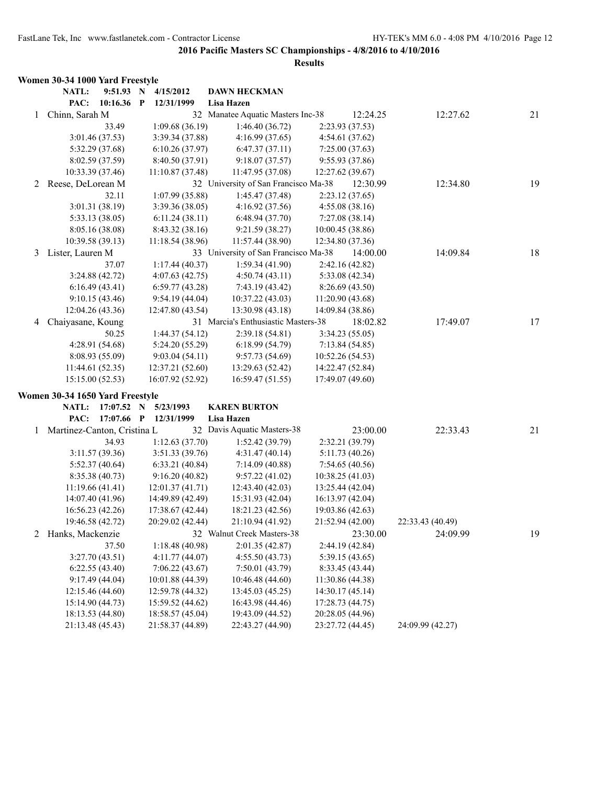|              | Women 30-34 1000 Yard Freestyle |                  |              |                  |                                      |                  |          |                  |    |
|--------------|---------------------------------|------------------|--------------|------------------|--------------------------------------|------------------|----------|------------------|----|
|              | NATL:                           | 9:51.93 N        |              | 4/15/2012        | <b>DAWN HECKMAN</b>                  |                  |          |                  |    |
|              | PAC:                            | 10:16.36         | $\mathbf{P}$ | 12/31/1999       | Lisa Hazen                           |                  |          |                  |    |
| $\mathbf{1}$ | Chinn, Sarah M                  |                  |              |                  | 32 Manatee Aquatic Masters Inc-38    |                  | 12:24.25 | 12:27.62         | 21 |
|              |                                 | 33.49            |              | 1:09.68(36.19)   | 1:46.40(36.72)                       | 2:23.93 (37.53)  |          |                  |    |
|              |                                 | 3:01.46 (37.53)  |              | 3:39.34 (37.88)  | 4:16.99(37.65)                       | 4:54.61 (37.62)  |          |                  |    |
|              |                                 | 5:32.29 (37.68)  |              | 6:10.26(37.97)   | 6:47.37(37.11)                       | 7:25.00(37.63)   |          |                  |    |
|              |                                 | 8:02.59 (37.59)  |              | 8:40.50 (37.91)  | 9:18.07(37.57)                       | 9:55.93 (37.86)  |          |                  |    |
|              |                                 | 10:33.39 (37.46) |              | 11:10.87 (37.48) | 11:47.95 (37.08)                     | 12:27.62 (39.67) |          |                  |    |
| 2            | Reese, DeLorean M               |                  |              |                  | 32 University of San Francisco Ma-38 |                  | 12:30.99 | 12:34.80         | 19 |
|              |                                 | 32.11            |              | 1:07.99(35.88)   | 1:45.47 (37.48)                      | 2:23.12(37.65)   |          |                  |    |
|              |                                 | 3:01.31 (38.19)  |              | 3:39.36 (38.05)  | 4:16.92(37.56)                       | 4:55.08(38.16)   |          |                  |    |
|              |                                 | 5:33.13 (38.05)  |              | 6:11.24(38.11)   | 6:48.94 (37.70)                      | 7:27.08(38.14)   |          |                  |    |
|              |                                 | 8:05.16 (38.08)  |              | 8:43.32 (38.16)  | 9:21.59 (38.27)                      | 10:00.45(38.86)  |          |                  |    |
|              |                                 | 10:39.58 (39.13) |              | 11:18.54 (38.96) | 11:57.44 (38.90)                     | 12:34.80 (37.36) |          |                  |    |
| 3            | Lister, Lauren M                |                  |              |                  | 33 University of San Francisco Ma-38 |                  | 14:00.00 | 14:09.84         | 18 |
|              |                                 | 37.07            |              | 1:17.44(40.37)   | 1:59.34(41.90)                       | 2:42.16 (42.82)  |          |                  |    |
|              |                                 | 3:24.88(42.72)   |              | 4:07.63(42.75)   | 4:50.74(43.11)                       | 5:33.08 (42.34)  |          |                  |    |
|              |                                 | 6:16.49(43.41)   |              | 6:59.77(43.28)   | 7:43.19 (43.42)                      | 8:26.69 (43.50)  |          |                  |    |
|              |                                 | 9:10.15(43.46)   |              | 9:54.19(44.04)   | 10:37.22 (43.03)                     | 11:20.90 (43.68) |          |                  |    |
|              |                                 | 12:04.26 (43.36) |              | 12:47.80 (43.54) | 13:30.98 (43.18)                     | 14:09.84 (38.86) |          |                  |    |
| 4            | Chaiyasane, Koung               |                  |              |                  | 31 Marcia's Enthusiastic Masters-38  |                  | 18:02.82 | 17:49.07         | 17 |
|              |                                 | 50.25            |              | 1:44.37(54.12)   | 2:39.18(54.81)                       | 3:34.23 (55.05)  |          |                  |    |
|              |                                 | 4:28.91 (54.68)  |              | 5:24.20 (55.29)  | 6:18.99(54.79)                       | 7:13.84(54.85)   |          |                  |    |
|              |                                 | 8:08.93 (55.09)  |              | 9:03.04(54.11)   | 9:57.73(54.69)                       | 10:52.26(54.53)  |          |                  |    |
|              |                                 | 11:44.61(52.35)  |              | 12:37.21 (52.60) | 13:29.63 (52.42)                     | 14:22.47 (52.84) |          |                  |    |
|              | 15:15.00(52.53)                 |                  |              | 16:07.92 (52.92) | 16:59.47(51.55)                      | 17:49.07 (49.60) |          |                  |    |
|              | Women 30-34 1650 Yard Freestyle |                  |              |                  |                                      |                  |          |                  |    |
|              | <b>NATL:</b>                    | $17:07.52$ N     |              | 5/23/1993        | <b>KAREN BURTON</b>                  |                  |          |                  |    |
|              | PAC:                            | 17:07.66 P       |              | 12/31/1999       | Lisa Hazen                           |                  |          |                  |    |
| 1            | Martinez-Canton, Cristina L     |                  |              |                  | 32 Davis Aquatic Masters-38          |                  | 23:00.00 | 22:33.43         | 21 |
|              |                                 | 34.93            |              | 1:12.63(37.70)   | 1:52.42 (39.79)                      | 2:32.21 (39.79)  |          |                  |    |
|              |                                 | 3:11.57(39.36)   |              | 3:51.33(39.76)   | 4:31.47(40.14)                       | 5:11.73(40.26)   |          |                  |    |
|              |                                 | 5:52.37(40.64)   |              | 6:33.21(40.84)   | 7:14.09(40.88)                       | 7:54.65(40.56)   |          |                  |    |
|              |                                 | 8:35.38 (40.73)  |              | 9:16.20(40.82)   | 9:57.22(41.02)                       | 10:38.25 (41.03) |          |                  |    |
|              |                                 | 11:19.66(41.41)  |              | 12:01.37(41.71)  | 12:43.40 (42.03)                     | 13:25.44 (42.04) |          |                  |    |
|              |                                 | 14:07.40 (41.96) |              | 14:49.89 (42.49) | 15:31.93 (42.04)                     | 16:13.97 (42.04) |          |                  |    |
|              |                                 | 16:56.23 (42.26) |              | 17:38.67 (42.44) | 18:21.23 (42.56)                     | 19:03.86 (42.63) |          |                  |    |
|              |                                 | 19:46.58 (42.72) |              | 20:29.02 (42.44) | 21:10.94 (41.92)                     | 21:52.94 (42.00) |          | 22:33.43 (40.49) |    |
|              | 2 Hanks, Mackenzie              |                  |              |                  | 32 Walnut Creek Masters-38           |                  | 23:30.00 | 24:09.99         | 19 |
|              |                                 | 37.50            |              | 1:18.48(40.98)   | 2:01.35(42.87)                       | 2:44.19 (42.84)  |          |                  |    |
|              |                                 | 3:27.70(43.51)   |              | 4:11.77(44.07)   | 4:55.50(43.73)                       | 5:39.15 (43.65)  |          |                  |    |
|              |                                 | 6:22.55(43.40)   |              | 7:06.22(43.67)   | 7:50.01(43.79)                       | 8:33.45 (43.44)  |          |                  |    |
|              |                                 | 9:17.49(44.04)   |              | 10:01.88 (44.39) | 10:46.48 (44.60)                     | 11:30.86 (44.38) |          |                  |    |
|              |                                 | 12:15.46 (44.60) |              | 12:59.78 (44.32) | 13:45.03 (45.25)                     | 14:30.17 (45.14) |          |                  |    |
|              |                                 | 15:14.90 (44.73) |              | 15:59.52 (44.62) | 16:43.98 (44.46)                     | 17:28.73 (44.75) |          |                  |    |
|              |                                 | 18:13.53 (44.80) |              | 18:58.57 (45.04) | 19:43.09 (44.52)                     | 20:28.05 (44.96) |          |                  |    |
|              | 21:13.48 (45.43)                |                  |              | 21:58.37 (44.89) | 22:43.27 (44.90)                     | 23:27.72 (44.45) |          | 24:09.99 (42.27) |    |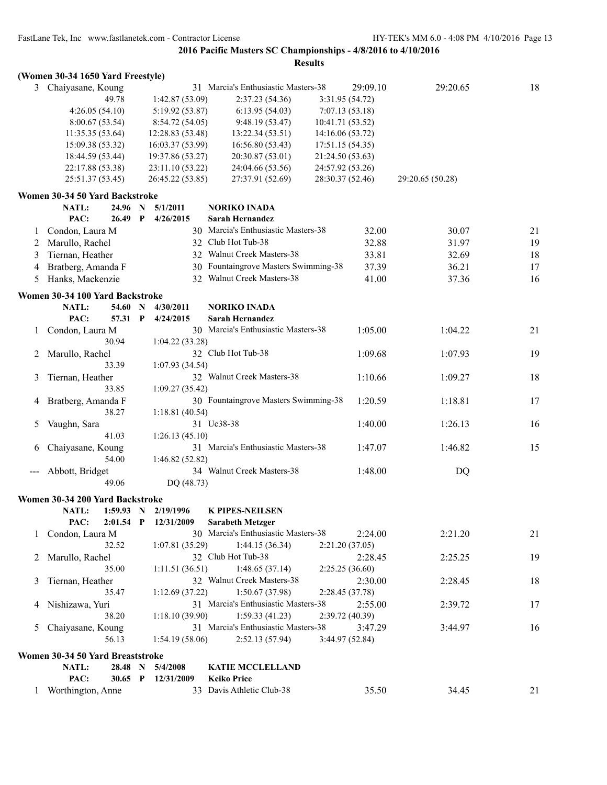|              | (Women 30-34 1650 Yard Freestyle) |             |                  |                                      |                  |                  |    |
|--------------|-----------------------------------|-------------|------------------|--------------------------------------|------------------|------------------|----|
|              | 3 Chaiyasane, Koung               |             |                  | 31 Marcia's Enthusiastic Masters-38  | 29:09.10         | 29:20.65         | 18 |
|              |                                   | 49.78       | 1:42.87(53.09)   | 2:37.23 (54.36)                      | 3:31.95 (54.72)  |                  |    |
|              | 4:26.05(54.10)                    |             | 5:19.92 (53.87)  | 6:13.95(54.03)                       | 7:07.13(53.18)   |                  |    |
|              | 8:00.67(53.54)                    |             | 8:54.72(54.05)   | 9:48.19(53.47)                       | 10:41.71 (53.52) |                  |    |
|              | 11:35.35(53.64)                   |             | 12:28.83 (53.48) | 13:22.34 (53.51)                     | 14:16.06 (53.72) |                  |    |
|              | 15:09.38 (53.32)                  |             | 16:03.37 (53.99) | 16:56.80 (53.43)                     | 17:51.15 (54.35) |                  |    |
|              | 18:44.59 (53.44)                  |             | 19:37.86 (53.27) | 20:30.87 (53.01)                     | 21:24.50 (53.63) |                  |    |
|              | 22:17.88 (53.38)                  |             | 23:11.10 (53.22) | 24:04.66 (53.56)                     | 24:57.92 (53.26) |                  |    |
|              | 25:51.37 (53.45)                  |             | 26:45.22 (53.85) | 27:37.91 (52.69)                     | 28:30.37 (52.46) | 29:20.65 (50.28) |    |
|              | Women 30-34 50 Yard Backstroke    |             |                  |                                      |                  |                  |    |
|              | NATL:                             | 24.96 N     | 5/1/2011         | <b>NORIKO INADA</b>                  |                  |                  |    |
|              | PAC:                              | 26.49 P     | 4/26/2015        | <b>Sarah Hernandez</b>               |                  |                  |    |
| 1            | Condon, Laura M                   |             |                  | 30 Marcia's Enthusiastic Masters-38  | 32.00            | 30.07            | 21 |
| 2            | Marullo, Rachel                   |             |                  | 32 Club Hot Tub-38                   | 32.88            | 31.97            | 19 |
|              | Tiernan, Heather                  |             |                  | 32 Walnut Creek Masters-38           | 33.81            |                  | 18 |
| 3            |                                   |             |                  | 30 Fountaingrove Masters Swimming-38 |                  | 32.69            |    |
| 4            | Bratberg, Amanda F                |             |                  | 32 Walnut Creek Masters-38           | 37.39            | 36.21            | 17 |
| 5            | Hanks, Mackenzie                  |             |                  |                                      | 41.00            | 37.36            | 16 |
|              | Women 30-34 100 Yard Backstroke   |             |                  |                                      |                  |                  |    |
|              | NATL:                             | 54.60 N     | 4/30/2011        | <b>NORIKO INADA</b>                  |                  |                  |    |
|              | PAC:                              | 57.31 P     | 4/24/2015        | <b>Sarah Hernandez</b>               |                  |                  |    |
| $\mathbf{I}$ | Condon, Laura M                   |             |                  | 30 Marcia's Enthusiastic Masters-38  | 1:05.00          | 1:04.22          | 21 |
|              |                                   | 30.94       | 1:04.22(33.28)   |                                      |                  |                  |    |
|              | Marullo, Rachel                   |             |                  | 32 Club Hot Tub-38                   | 1:09.68          | 1:07.93          | 19 |
|              |                                   | 33.39       | 1:07.93(34.54)   |                                      |                  |                  |    |
| 3            | Tiernan, Heather                  |             |                  | 32 Walnut Creek Masters-38           | 1:10.66          | 1:09.27          | 18 |
|              |                                   | 33.85       | 1:09.27(35.42)   |                                      |                  |                  |    |
|              | Bratberg, Amanda F                |             |                  | 30 Fountaingrove Masters Swimming-38 | 1:20.59          | 1:18.81          | 17 |
|              |                                   | 38.27       | 1:18.81(40.54)   |                                      |                  |                  |    |
| 5            | Vaughn, Sara                      |             |                  | 31 Uc38-38                           | 1:40.00          | 1:26.13          | 16 |
|              |                                   | 41.03       | 1:26.13(45.10)   |                                      |                  |                  |    |
| 6            | Chaiyasane, Koung                 |             |                  | 31 Marcia's Enthusiastic Masters-38  | 1:47.07          | 1:46.82          | 15 |
|              |                                   | 54.00       | 1:46.82 (52.82)  |                                      |                  |                  |    |
|              | Abbott, Bridget                   |             |                  | 34 Walnut Creek Masters-38           | 1:48.00          | DQ               |    |
|              |                                   | 49.06       | DQ (48.73)       |                                      |                  |                  |    |
|              | Women 30-34 200 Yard Backstroke   |             |                  |                                      |                  |                  |    |
|              | <b>NATL:</b>                      | 1:59.93 N   | 2/19/1996        | <b>K PIPES-NEILSEN</b>               |                  |                  |    |
|              | PAC:                              | $2:01.54$ P | 12/31/2009       | <b>Sarabeth Metzger</b>              |                  |                  |    |
| 1            | Condon, Laura M                   |             |                  | 30 Marcia's Enthusiastic Masters-38  | 2:24.00          | 2:21.20          | 21 |
|              |                                   | 32.52       | 1:07.81(35.29)   | 1:44.15(36.34)                       | 2:21.20(37.05)   |                  |    |
| 2            | Marullo, Rachel                   |             |                  | 32 Club Hot Tub-38                   | 2:28.45          | 2:25.25          | 19 |
|              |                                   | 35.00       | 1:11.51(36.51)   | 1:48.65(37.14)                       | 2:25.25(36.60)   |                  |    |
| 3            | Tiernan, Heather                  |             |                  | 32 Walnut Creek Masters-38           | 2:30.00          | 2:28.45          | 18 |
|              |                                   | 35.47       | 1:12.69(37.22)   | 1:50.67(37.98)                       | 2:28.45(37.78)   |                  |    |
| 4            | Nishizawa, Yuri                   |             |                  | 31 Marcia's Enthusiastic Masters-38  | 2:55.00          | 2:39.72          | 17 |
|              |                                   | 38.20       | 1:18.10(39.90)   | 1:59.33(41.23)                       | 2:39.72 (40.39)  |                  |    |
| 5            | Chaiyasane, Koung                 |             |                  | 31 Marcia's Enthusiastic Masters-38  | 3:47.29          | 3:44.97          | 16 |
|              |                                   | 56.13       | 1:54.19(58.06)   | 2:52.13(57.94)                       | 3:44.97 (52.84)  |                  |    |
|              | Women 30-34 50 Yard Breaststroke  |             |                  |                                      |                  |                  |    |
|              | NATL:                             | 28.48 N     | 5/4/2008         | <b>KATIE MCCLELLAND</b>              |                  |                  |    |
|              | PAC:                              | 30.65 P     | 12/31/2009       | <b>Keiko Price</b>                   |                  |                  |    |
| $\mathbf{1}$ | Worthington, Anne                 |             |                  | 33 Davis Athletic Club-38            | 35.50            | 34.45            | 21 |
|              |                                   |             |                  |                                      |                  |                  |    |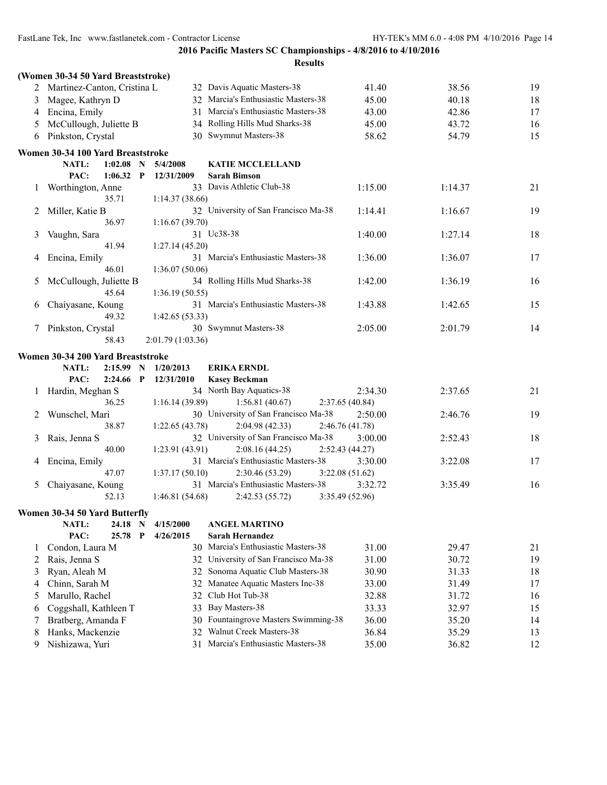|         |                                                  |                        | <b>Results</b>                                    |         |         |    |
|---------|--------------------------------------------------|------------------------|---------------------------------------------------|---------|---------|----|
|         | (Women 30-34 50 Yard Breaststroke)               |                        |                                                   |         |         |    |
|         | 2 Martinez-Canton, Cristina L                    |                        | 32 Davis Aquatic Masters-38                       | 41.40   | 38.56   | 19 |
| 3       | Magee, Kathryn D                                 |                        | 32 Marcia's Enthusiastic Masters-38               | 45.00   | 40.18   | 18 |
| 4       | Encina, Emily                                    |                        | 31 Marcia's Enthusiastic Masters-38               | 43.00   | 42.86   | 17 |
| 5       | McCullough, Juliette B                           |                        | 34 Rolling Hills Mud Sharks-38                    | 45.00   | 43.72   | 16 |
| 6       | Pinkston, Crystal                                |                        | 30 Swymnut Masters-38                             | 58.62   | 54.79   | 15 |
|         | Women 30-34 100 Yard Breaststroke                |                        |                                                   |         |         |    |
|         | 1:02.08<br>NATL:<br>$\mathbf N$                  | 5/4/2008               | <b>KATIE MCCLELLAND</b>                           |         |         |    |
|         | PAC:<br>$1:06.32$ P                              | 12/31/2009             | <b>Sarah Bimson</b>                               |         |         |    |
|         | Worthington, Anne                                |                        | 33 Davis Athletic Club-38                         | 1:15.00 | 1:14.37 | 21 |
|         | 35.71                                            | 1:14.37(38.66)         |                                                   |         |         |    |
| 2       | Miller, Katie B                                  |                        | 32 University of San Francisco Ma-38              | 1:14.41 | 1:16.67 | 19 |
|         | 36.97                                            | 1:16.67(39.70)         |                                                   |         |         |    |
| 3       | Vaughn, Sara                                     |                        | 31 Uc38-38                                        | 1:40.00 | 1:27.14 | 18 |
|         | 41.94                                            | 1:27.14(45.20)         |                                                   |         |         |    |
| 4       | Encina, Emily                                    |                        | 31 Marcia's Enthusiastic Masters-38               | 1:36.00 | 1:36.07 | 17 |
|         | 46.01                                            | 1:36.07(50.06)         |                                                   |         |         |    |
| 5       | McCullough, Juliette B                           |                        | 34 Rolling Hills Mud Sharks-38                    | 1:42.00 | 1:36.19 | 16 |
|         | 45.64                                            | 1:36.19(50.55)         |                                                   |         |         |    |
| 6       | Chaiyasane, Koung                                |                        | 31 Marcia's Enthusiastic Masters-38               | 1:43.88 | 1:42.65 | 15 |
|         | 49.32                                            | 1:42.65(53.33)         |                                                   |         |         |    |
| 7       | Pinkston, Crystal                                |                        | 30 Swymnut Masters-38                             | 2:05.00 | 2:01.79 | 14 |
|         | 58.43                                            | 2:01.79 (1:03.36)      |                                                   |         |         |    |
|         | Women 30-34 200 Yard Breaststroke                |                        |                                                   |         |         |    |
|         | <b>NATL:</b><br>2:15.99<br>N                     | 1/20/2013              | <b>ERIKA ERNDL</b>                                |         |         |    |
|         | PAC:<br>2:24.66<br>P                             | 12/31/2010             | <b>Kasey Beckman</b>                              |         |         |    |
| $\perp$ | Hardin, Meghan S                                 |                        | 34 North Bay Aquatics-38                          | 2:34.30 | 2:37.65 | 21 |
|         | 36.25                                            | 1:16.14(39.89)         | 1:56.81(40.67)<br>2:37.65(40.84)                  |         |         |    |
| 2       | Wunschel, Mari                                   |                        | 30 University of San Francisco Ma-38              | 2:50.00 | 2:46.76 | 19 |
|         | 38.87                                            | 1:22.65(43.78)         | 2:04.98(42.33)<br>2:46.76 (41.78)                 |         |         |    |
| 3       | Rais, Jenna S                                    |                        | 32 University of San Francisco Ma-38              | 3:00.00 | 2:52.43 | 18 |
|         | 40.00                                            | 1:23.91(43.91)         | 2:08.16(44.25)<br>2:52.43 (44.27)                 |         |         |    |
| 4       | Encina, Emily                                    |                        | 31 Marcia's Enthusiastic Masters-38               | 3:30.00 | 3:22.08 | 17 |
|         | 47.07                                            | 1:37.17(50.10)         | 2:30.46 (53.29)<br>3:22.08(51.62)                 |         |         |    |
|         | Chaiyasane, Koung                                |                        | 31 Marcia's Enthusiastic Masters-38               | 3:32.72 | 3:35.49 | 16 |
|         | 52.13                                            | 1:46.81(54.68)         | 3:35.49 (52.96)<br>2:42.53(55.72)                 |         |         |    |
|         |                                                  |                        |                                                   |         |         |    |
|         | Women 30-34 50 Yard Butterfly                    |                        |                                                   |         |         |    |
|         | NATL:<br>24.18 N<br>PAC:<br>25.78<br>$\mathbf P$ | 4/15/2000<br>4/26/2015 | <b>ANGEL MARTINO</b><br>Sarah Hernandez           |         |         |    |
|         |                                                  |                        | 30 Marcia's Enthusiastic Masters-38               | 31.00   | 29.47   |    |
| 1       | Condon, Laura M                                  |                        | University of San Francisco Ma-38                 |         | 30.72   | 21 |
| 2       | Rais, Jenna S                                    | 32                     | Sonoma Aquatic Club Masters-38                    | 31.00   |         | 19 |
| 3       | Ryan, Aleah M                                    | 32                     |                                                   | 30.90   | 31.33   | 18 |
| 4       | Chinn, Sarah M                                   | 32                     | Manatee Aquatic Masters Inc-38<br>Club Hot Tub-38 | 33.00   | 31.49   | 17 |
| 5       | Marullo, Rachel                                  | 32                     | Bay Masters-38                                    | 32.88   | 31.72   | 16 |
| 6       | Coggshall, Kathleen T                            | 33                     | Fountaingrove Masters Swimming-38                 | 33.33   | 32.97   | 15 |
| 7       | Bratberg, Amanda F                               | 30                     | Walnut Creek Masters-38                           | 36.00   | 35.20   | 14 |
| 8       | Hanks, Mackenzie                                 | 32                     |                                                   | 36.84   | 35.29   | 13 |
| 9       | Nishizawa, Yuri                                  | 31                     | Marcia's Enthusiastic Masters-38                  | 35.00   | 36.82   | 12 |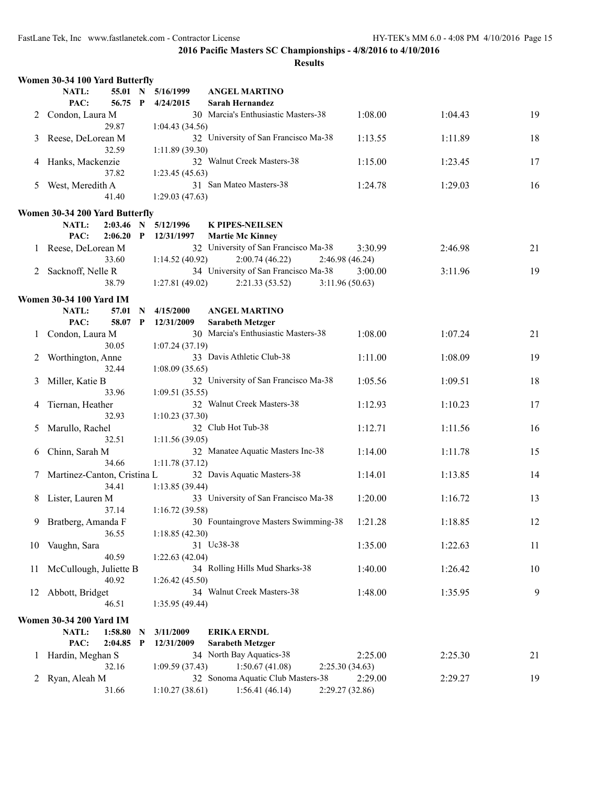|    | Women 30-34 100 Yard Butterfly  |              |                |                                            |                 |         |         |    |
|----|---------------------------------|--------------|----------------|--------------------------------------------|-----------------|---------|---------|----|
|    | NATL:<br>55.01 N                |              | 5/16/1999      | <b>ANGEL MARTINO</b>                       |                 |         |         |    |
|    | PAC:<br>56.75 P                 |              | 4/24/2015      | <b>Sarah Hernandez</b>                     |                 |         |         |    |
| 2  | Condon, Laura M                 |              |                | 30 Marcia's Enthusiastic Masters-38        |                 | 1:08.00 | 1:04.43 | 19 |
|    | 29.87                           |              | 1:04.43(34.56) |                                            |                 |         |         |    |
| 3  | Reese, DeLorean M               |              |                | 32 University of San Francisco Ma-38       |                 | 1:13.55 | 1:11.89 | 18 |
|    | 32.59                           |              | 1:11.89(39.30) |                                            |                 |         |         |    |
| 4  | Hanks, Mackenzie                |              |                | 32 Walnut Creek Masters-38                 |                 | 1:15.00 | 1:23.45 | 17 |
|    | 37.82                           |              | 1:23.45(45.63) |                                            |                 |         |         |    |
| 5  | West, Meredith A                |              |                | 31 San Mateo Masters-38                    |                 | 1:24.78 | 1:29.03 | 16 |
|    | 41.40                           |              | 1:29.03(47.63) |                                            |                 |         |         |    |
|    | Women 30-34 200 Yard Butterfly  |              |                |                                            |                 |         |         |    |
|    | <b>NATL:</b><br>$2:03.46$ N     |              | 5/12/1996      | <b>K PIPES-NEILSEN</b>                     |                 |         |         |    |
|    | PAC:<br>2:06.20                 | $\mathbf{P}$ | 12/31/1997     | <b>Martie Mc Kinney</b>                    |                 |         |         |    |
| 1  | Reese, DeLorean M               |              |                | 32 University of San Francisco Ma-38       |                 | 3:30.99 | 2:46.98 | 21 |
|    | 33.60                           |              | 1:14.52(40.92) | 2:00.74(46.22)                             | 2:46.98 (46.24) |         |         |    |
| 2  | Sacknoff, Nelle R               |              |                | 34 University of San Francisco Ma-38       |                 | 3:00.00 | 3:11.96 | 19 |
|    | 38.79                           |              | 1:27.81(49.02) | 2:21.33(53.52)                             | 3:11.96(50.63)  |         |         |    |
|    | <b>Women 30-34 100 Yard IM</b>  |              |                |                                            |                 |         |         |    |
|    | NATL:<br>57.01                  | N            | 4/15/2000      | <b>ANGEL MARTINO</b>                       |                 |         |         |    |
|    | 58.07 P<br>PAC:                 |              | 12/31/2009     | <b>Sarabeth Metzger</b>                    |                 |         |         |    |
|    | Condon, Laura M                 |              |                | 30 Marcia's Enthusiastic Masters-38        |                 | 1:08.00 | 1:07.24 | 21 |
|    | 30.05                           |              | 1:07.24(37.19) |                                            |                 |         |         |    |
|    | Worthington, Anne<br>32.44      |              | 1:08.09(35.65) | 33 Davis Athletic Club-38                  |                 | 1:11.00 | 1:08.09 | 19 |
| 3  | Miller, Katie B                 |              |                | 32 University of San Francisco Ma-38       |                 | 1:05.56 | 1:09.51 | 18 |
|    | 33.96                           |              | 1:09.51(35.55) |                                            |                 |         |         |    |
| 4  | Tiernan, Heather                |              |                | 32 Walnut Creek Masters-38                 |                 | 1:12.93 | 1:10.23 | 17 |
|    | 32.93                           |              | 1:10.23(37.30) |                                            |                 |         |         |    |
| 5  | Marullo, Rachel                 |              |                | 32 Club Hot Tub-38                         |                 | 1:12.71 | 1:11.56 | 16 |
|    | 32.51                           |              | 1:11.56(39.05) |                                            |                 |         |         |    |
| 6  | Chinn, Sarah M                  |              |                | 32 Manatee Aquatic Masters Inc-38          |                 | 1:14.00 | 1:11.78 | 15 |
|    | 34.66                           |              | 1:11.78(37.12) |                                            |                 |         |         |    |
| 7  | Martinez-Canton, Cristina L     |              |                | 32 Davis Aquatic Masters-38                |                 | 1:14.01 | 1:13.85 | 14 |
|    | 34.41                           |              | 1:13.85(39.44) |                                            |                 |         |         |    |
| 8  | Lister, Lauren M                |              |                | 33 University of San Francisco Ma-38       |                 | 1:20.00 | 1:16.72 | 13 |
|    | 37.14                           |              | 1:16.72(39.58) |                                            |                 |         |         |    |
|    | 9 Bratberg, Amanda F            |              |                | 30 Fountaingrove Masters Swimming-38       |                 | 1:21.28 | 1:18.85 | 12 |
|    | 36.55                           |              | 1:18.85(42.30) |                                            |                 |         |         |    |
| 10 | Vaughn, Sara                    |              |                | 31 Uc38-38                                 |                 | 1:35.00 | 1:22.63 | 11 |
|    | 40.59                           |              | 1:22.63(42.04) | 34 Rolling Hills Mud Sharks-38             |                 |         |         |    |
| 11 | McCullough, Juliette B<br>40.92 |              |                |                                            |                 | 1:40.00 | 1:26.42 | 10 |
|    | 12 Abbott, Bridget              |              | 1:26.42(45.50) | 34 Walnut Creek Masters-38                 |                 | 1:48.00 | 1:35.95 | 9  |
|    | 46.51                           |              | 1:35.95(49.44) |                                            |                 |         |         |    |
|    |                                 |              |                |                                            |                 |         |         |    |
|    | <b>Women 30-34 200 Yard IM</b>  |              |                |                                            |                 |         |         |    |
|    | <b>NATL:</b><br>1:58.80         | N            | 3/11/2009      | <b>ERIKA ERNDL</b>                         |                 |         |         |    |
|    | PAC:<br>$2:04.85$ P             |              | 12/31/2009     | <b>Sarabeth Metzger</b>                    |                 |         |         |    |
|    | 1 Hardin, Meghan S<br>32.16     |              | 1:09.59(37.43) | 34 North Bay Aquatics-38<br>1:50.67(41.08) | 2:25.30(34.63)  | 2:25.00 | 2:25.30 | 21 |
| 2  | Ryan, Aleah M                   |              |                | 32 Sonoma Aquatic Club Masters-38          |                 | 2:29.00 | 2:29.27 | 19 |
|    | 31.66                           |              | 1:10.27(38.61) | 1:56.41(46.14)                             | 2:29.27(32.86)  |         |         |    |
|    |                                 |              |                |                                            |                 |         |         |    |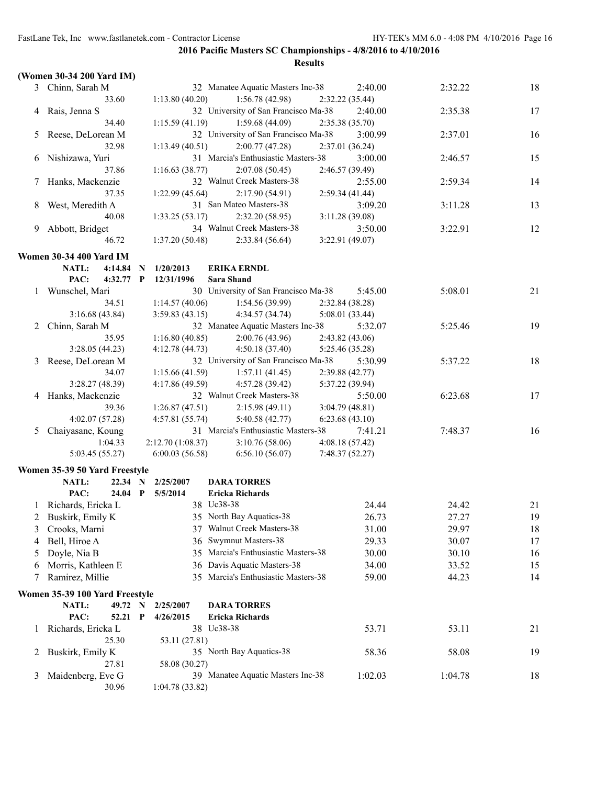|   | (Women 30-34 200 Yard IM)                         |   |                   |                                      |                 |         |    |
|---|---------------------------------------------------|---|-------------------|--------------------------------------|-----------------|---------|----|
|   | 3 Chinn, Sarah M                                  |   |                   | 32 Manatee Aquatic Masters Inc-38    | 2:40.00         | 2:32.22 | 18 |
|   | 33.60                                             |   | 1:13.80(40.20)    | 1:56.78(42.98)                       | 2:32.22 (35.44) |         |    |
|   | 4 Rais, Jenna S                                   |   |                   | 32 University of San Francisco Ma-38 | 2:40.00         | 2:35.38 | 17 |
|   | 34.40                                             |   | 1:15.59(41.19)    | 1:59.68(44.09)                       | 2:35.38(35.70)  |         |    |
| 5 | Reese, DeLorean M                                 |   |                   | 32 University of San Francisco Ma-38 | 3:00.99         | 2:37.01 | 16 |
|   | 32.98                                             |   | 1:13.49(40.51)    | 2:00.77(47.28)                       | 2:37.01 (36.24) |         |    |
| 6 | Nishizawa, Yuri                                   |   |                   | 31 Marcia's Enthusiastic Masters-38  | 3:00.00         | 2:46.57 | 15 |
|   | 37.86                                             |   | 1:16.63(38.77)    | 2:07.08(50.45)                       | 2:46.57 (39.49) |         |    |
| 7 | Hanks, Mackenzie                                  |   |                   | 32 Walnut Creek Masters-38           | 2:55.00         | 2:59.34 | 14 |
|   | 37.35                                             |   | 1:22.99 (45.64)   | 2:17.90(54.91)                       | 2:59.34(41.44)  |         |    |
| 8 | West, Meredith A                                  |   |                   | 31 San Mateo Masters-38              | 3:09.20         | 3:11.28 | 13 |
|   | 40.08                                             |   | 1:33.25(53.17)    | 2:32.20(58.95)                       | 3:11.28(39.08)  |         |    |
|   |                                                   |   |                   | 34 Walnut Creek Masters-38           | 3:50.00         | 3:22.91 | 12 |
| 9 | Abbott, Bridget                                   |   |                   |                                      |                 |         |    |
|   | 46.72                                             |   | 1:37.20(50.48)    | 2:33.84 (56.64)                      | 3:22.91 (49.07) |         |    |
|   | <b>Women 30-34 400 Yard IM</b>                    |   |                   |                                      |                 |         |    |
|   | NATL:<br>4:14.84                                  | N | 1/20/2013         | <b>ERIKA ERNDL</b>                   |                 |         |    |
|   | PAC:<br>4:32.77                                   | P | 12/31/1996        | <b>Sara Shand</b>                    |                 |         |    |
|   | Wunschel, Mari                                    |   |                   | 30 University of San Francisco Ma-38 | 5:45.00         | 5:08.01 | 21 |
|   | 34.51                                             |   | 1:14.57(40.06)    | 1:54.56 (39.99)                      | 2:32.84 (38.28) |         |    |
|   | 3:16.68(43.84)                                    |   | 3:59.83(43.15)    | 4:34.57 (34.74)                      | 5:08.01 (33.44) |         |    |
|   | 2 Chinn, Sarah M                                  |   |                   | 32 Manatee Aquatic Masters Inc-38    | 5:32.07         | 5:25.46 | 19 |
|   | 35.95                                             |   | 1:16.80(40.85)    | 2:00.76(43.96)                       | 2:43.82(43.06)  |         |    |
|   | 3:28.05(44.23)                                    |   | 4:12.78(44.73)    | 4:50.18(37.40)                       | 5:25.46 (35.28) |         |    |
| 3 | Reese, DeLorean M                                 |   |                   | 32 University of San Francisco Ma-38 | 5:30.99         | 5:37.22 | 18 |
|   | 34.07                                             |   | 1:15.66(41.59)    | 1:57.11(41.45)                       | 2:39.88(42.77)  |         |    |
|   | 3:28.27(48.39)                                    |   | 4:17.86(49.59)    | 4:57.28 (39.42)                      | 5:37.22 (39.94) |         |    |
|   | 4 Hanks, Mackenzie                                |   |                   | 32 Walnut Creek Masters-38           | 5:50.00         | 6:23.68 | 17 |
|   | 39.36                                             |   | 1:26.87(47.51)    | 2:15.98(49.11)                       | 3:04.79(48.81)  |         |    |
|   | 4:02.07(57.28)                                    |   | 4:57.81(55.74)    | 5:40.58 (42.77)                      | 6:23.68(43.10)  |         |    |
| 5 | Chaiyasane, Koung                                 |   |                   | 31 Marcia's Enthusiastic Masters-38  | 7:41.21         | 7:48.37 | 16 |
|   | 1:04.33                                           |   | 2:12.70 (1:08.37) | 3:10.76(58.06)                       | 4:08.18(57.42)  |         |    |
|   | 5:03.45 (55.27)                                   |   | 6:00.03(56.58)    | 6:56.10(56.07)                       | 7:48.37(52.27)  |         |    |
|   |                                                   |   |                   |                                      |                 |         |    |
|   | Women 35-39 50 Yard Freestyle<br>NATL:<br>22.34 N |   | 2/25/2007         | <b>DARA TORRES</b>                   |                 |         |    |
|   | PAC:<br>$24.04$ P                                 |   | 5/5/2014          | <b>Ericka Richards</b>               |                 |         |    |
|   |                                                   |   |                   | 38 Uc38-38                           | 24.44           | 24.42   | 21 |
|   | 1 Richards, Ericka L                              |   |                   |                                      |                 |         |    |
|   | 2 Buskirk, Emily K                                |   |                   | 35 North Bay Aquatics-38             | 26.73           | 27.27   | 19 |
| 3 | Crooks, Marni                                     |   |                   | 37 Walnut Creek Masters-38           | 31.00           | 29.97   | 18 |
| 4 | Bell, Hiroe A                                     |   | 36                | Swymnut Masters-38                   | 29.33           | 30.07   | 17 |
| 5 | Doyle, Nia B                                      |   |                   | 35 Marcia's Enthusiastic Masters-38  | 30.00           | 30.10   | 16 |
| 6 | Morris, Kathleen E                                |   |                   | 36 Davis Aquatic Masters-38          | 34.00           | 33.52   | 15 |
| 7 | Ramirez, Millie                                   |   |                   | 35 Marcia's Enthusiastic Masters-38  | 59.00           | 44.23   | 14 |
|   | Women 35-39 100 Yard Freestyle                    |   |                   |                                      |                 |         |    |
|   | NATL:                                             |   | 49.72 N 2/25/2007 | <b>DARA TORRES</b>                   |                 |         |    |
|   | PAC:<br>52.21 P                                   |   | 4/26/2015         | <b>Ericka Richards</b>               |                 |         |    |
| 1 | Richards, Ericka L                                |   |                   | 38 Uc38-38                           | 53.71           | 53.11   | 21 |
|   | 25.30                                             |   | 53.11 (27.81)     |                                      |                 |         |    |
| 2 | Buskirk, Emily K                                  |   |                   | 35 North Bay Aquatics-38             | 58.36           | 58.08   | 19 |
|   | 27.81                                             |   | 58.08 (30.27)     |                                      |                 |         |    |
| 3 | Maidenberg, Eve G                                 |   |                   | 39 Manatee Aquatic Masters Inc-38    | 1:02.03         | 1:04.78 | 18 |
|   | 30.96                                             |   | 1:04.78 (33.82)   |                                      |                 |         |    |
|   |                                                   |   |                   |                                      |                 |         |    |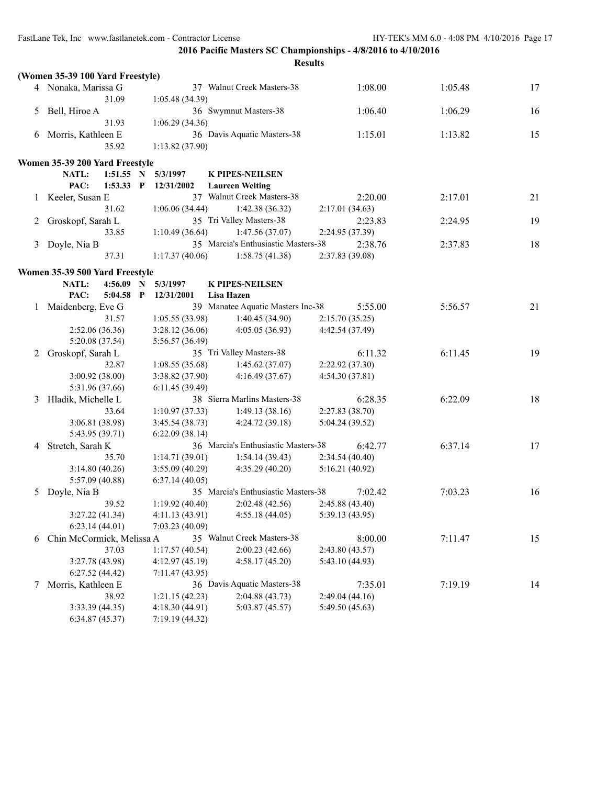|   |                                                        |                                  |                                     | <b>Results</b>  |         |    |
|---|--------------------------------------------------------|----------------------------------|-------------------------------------|-----------------|---------|----|
|   | (Women 35-39 100 Yard Freestyle)                       |                                  |                                     |                 |         |    |
|   | 4 Nonaka, Marissa G                                    |                                  | 37 Walnut Creek Masters-38          | 1:08.00         | 1:05.48 | 17 |
|   | 31.09                                                  | 1:05.48(34.39)                   |                                     |                 |         |    |
| 5 | Bell, Hiroe A                                          |                                  | 36 Swymnut Masters-38               | 1:06.40         | 1:06.29 | 16 |
|   | 31.93                                                  | 1:06.29(34.36)                   |                                     |                 |         |    |
| 6 | Morris, Kathleen E                                     |                                  | 36 Davis Aquatic Masters-38         | 1:15.01         | 1:13.82 | 15 |
|   | 35.92                                                  | 1:13.82(37.90)                   |                                     |                 |         |    |
|   |                                                        |                                  |                                     |                 |         |    |
|   | Women 35-39 200 Yard Freestyle<br>NATL:<br>$1:51.55$ N | 5/3/1997                         | <b>K PIPES-NEILSEN</b>              |                 |         |    |
|   | PAC:<br>$1:53.33$ P                                    | 12/31/2002                       | <b>Laureen Welting</b>              |                 |         |    |
|   | Keeler, Susan E                                        |                                  | 37 Walnut Creek Masters-38          | 2:20.00         | 2:17.01 | 21 |
|   | 31.62                                                  | 1:06.06(34.44)                   | 1:42.38(36.32)                      | 2:17.01(34.63)  |         |    |
|   | Groskopf, Sarah L                                      |                                  | 35 Tri Valley Masters-38            | 2:23.83         | 2:24.95 | 19 |
|   | 33.85                                                  | 1:10.49(36.64)                   | 1:47.56(37.07)                      | 2:24.95 (37.39) |         |    |
| 3 |                                                        |                                  | 35 Marcia's Enthusiastic Masters-38 | 2:38.76         | 2:37.83 | 18 |
|   | Doyle, Nia B<br>37.31                                  | 1:17.37(40.06)                   | 1:58.75(41.38)                      | 2:37.83 (39.08) |         |    |
|   |                                                        |                                  |                                     |                 |         |    |
|   | Women 35-39 500 Yard Freestyle                         |                                  |                                     |                 |         |    |
|   | <b>NATL:</b><br>4:56.09                                | N<br>5/3/1997                    | <b>K PIPES-NEILSEN</b>              |                 |         |    |
|   | PAC:<br>5:04.58                                        | P<br>12/31/2001                  | Lisa Hazen                          |                 |         |    |
|   | Maidenberg, Eve G                                      |                                  | 39 Manatee Aquatic Masters Inc-38   | 5:55.00         | 5:56.57 | 21 |
|   | 31.57                                                  | 1:05.55(33.98)                   | 1:40.45(34.90)                      | 2:15.70(35.25)  |         |    |
|   | 2:52.06(36.36)                                         | 3:28.12(36.06)                   | 4:05.05(36.93)                      | 4:42.54 (37.49) |         |    |
|   | 5:20.08 (37.54)                                        | 5:56.57 (36.49)                  |                                     |                 |         |    |
| 2 | Groskopf, Sarah L                                      |                                  | 35 Tri Valley Masters-38            | 6:11.32         | 6:11.45 | 19 |
|   | 32.87                                                  | 1:08.55(35.68)                   | 1:45.62(37.07)                      | 2:22.92 (37.30) |         |    |
|   | 3:00.92 (38.00)                                        | 3:38.82 (37.90)                  | 4:16.49(37.67)                      | 4:54.30(37.81)  |         |    |
|   | 5:31.96 (37.66)                                        | 6:11.45(39.49)                   |                                     |                 |         |    |
| 3 | Hladik, Michelle L<br>33.64                            |                                  | 38 Sierra Marlins Masters-38        | 6:28.35         | 6:22.09 | 18 |
|   | 3:06.81 (38.98)                                        | 1:10.97(37.33)                   | 1:49.13(38.16)                      | 2:27.83(38.70)  |         |    |
|   | 5:43.95 (39.71)                                        | 3:45.54(38.73)<br>6:22.09(38.14) | 4:24.72 (39.18)                     | 5:04.24 (39.52) |         |    |
| 4 | Stretch, Sarah K                                       |                                  | 36 Marcia's Enthusiastic Masters-38 | 6:42.77         | 6:37.14 | 17 |
|   | 35.70                                                  | 1:14.71(39.01)                   | 1:54.14(39.43)                      | 2:34.54(40.40)  |         |    |
|   | 3:14.80(40.26)                                         | 3:55.09(40.29)                   | 4:35.29(40.20)                      | 5:16.21(40.92)  |         |    |
|   | 5:57.09 (40.88)                                        | 6:37.14(40.05)                   |                                     |                 |         |    |
| 5 | Doyle, Nia B                                           |                                  | 35 Marcia's Enthusiastic Masters-38 | 7:02.42         | 7:03.23 | 16 |
|   | 39.52                                                  | 1:19.92(40.40)                   | $2:02.48(42.56)$ $2:45.88(43.40)$   |                 |         |    |
|   | 3:27.22(41.34)                                         | 4:11.13(43.91)                   | 4:55.18(44.05)                      | 5:39.13 (43.95) |         |    |
|   | 6:23.14(44.01)                                         | 7:03.23(40.09)                   |                                     |                 |         |    |
| 6 | Chin McCormick, Melissa A                              |                                  | 35 Walnut Creek Masters-38          | 8:00.00         | 7:11.47 | 15 |
|   | 37.03                                                  | 1:17.57(40.54)                   | 2:00.23(42.66)                      | 2:43.80 (43.57) |         |    |
|   | 3:27.78 (43.98)                                        | 4:12.97 (45.19)                  | 4:58.17(45.20)                      | 5:43.10 (44.93) |         |    |
|   | 6:27.52(44.42)                                         | 7:11.47(43.95)                   |                                     |                 |         |    |
| 7 | Morris, Kathleen E                                     |                                  | 36 Davis Aquatic Masters-38         | 7:35.01         | 7:19.19 | 14 |
|   | 38.92                                                  | 1:21.15(42.23)                   | 2:04.88(43.73)                      | 2:49.04(44.16)  |         |    |
|   | 3:33.39 (44.35)                                        | 4:18.30 (44.91)                  | 5:03.87(45.57)                      | 5:49.50 (45.63) |         |    |
|   | 6:34.87(45.37)                                         | 7:19.19 (44.32)                  |                                     |                 |         |    |
|   |                                                        |                                  |                                     |                 |         |    |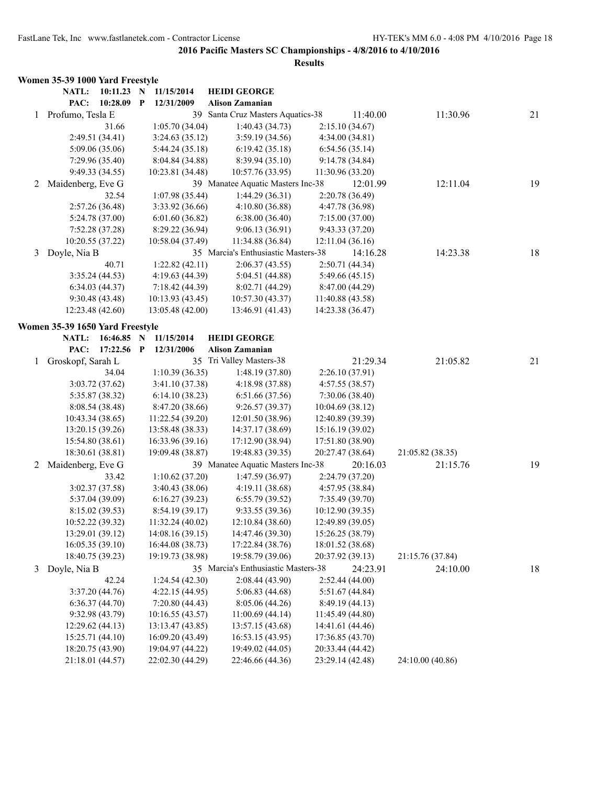|   | Women 35-39 1000 Yard Freestyle |                 |              |                  |                                     |                  |                  |    |
|---|---------------------------------|-----------------|--------------|------------------|-------------------------------------|------------------|------------------|----|
|   | NATL:                           | 10:11.23 N      |              | 11/15/2014       | <b>HEIDI GEORGE</b>                 |                  |                  |    |
|   | PAC:                            | 10:28.09        | $\mathbf{P}$ | 12/31/2009       | <b>Alison Zamanian</b>              |                  |                  |    |
|   | 1 Profumo, Tesla E              |                 |              |                  | 39 Santa Cruz Masters Aquatics-38   | 11:40.00         | 11:30.96         | 21 |
|   |                                 | 31.66           |              | 1:05.70(34.04)   | 1:40.43(34.73)                      | 2:15.10(34.67)   |                  |    |
|   |                                 | 2:49.51 (34.41) |              | 3:24.63(35.12)   | 3:59.19(34.56)                      | 4:34.00(34.81)   |                  |    |
|   |                                 | 5:09.06(35.06)  |              | 5:44.24 (35.18)  | 6:19.42(35.18)                      | 6:54.56(35.14)   |                  |    |
|   |                                 | 7:29.96(35.40)  |              | 8:04.84 (34.88)  | 8:39.94(35.10)                      | 9:14.78(34.84)   |                  |    |
|   |                                 | 9:49.33 (34.55) |              | 10:23.81 (34.48) | 10:57.76 (33.95)                    | 11:30.96 (33.20) |                  |    |
| 2 | Maidenberg, Eve G               |                 |              |                  | 39 Manatee Aquatic Masters Inc-38   | 12:01.99         | 12:11.04         | 19 |
|   |                                 | 32.54           |              | 1:07.98(35.44)   | 1:44.29 (36.31)                     | 2:20.78 (36.49)  |                  |    |
|   |                                 | 2:57.26(36.48)  |              | 3:33.92 (36.66)  | 4:10.80(36.88)                      | 4:47.78 (36.98)  |                  |    |
|   |                                 | 5:24.78 (37.00) |              | 6:01.60(36.82)   | 6:38.00(36.40)                      | 7:15.00(37.00)   |                  |    |
|   |                                 | 7:52.28(37.28)  |              | 8:29.22 (36.94)  | 9:06.13(36.91)                      | 9:43.33(37.20)   |                  |    |
|   | 10:20.55 (37.22)                |                 |              | 10:58.04 (37.49) | 11:34.88 (36.84)                    | 12:11.04(36.16)  |                  |    |
| 3 | Doyle, Nia B                    |                 |              |                  | 35 Marcia's Enthusiastic Masters-38 | 14:16.28         | 14:23.38         | 18 |
|   |                                 | 40.71           |              | 1:22.82(42.11)   | 2:06.37(43.55)                      | 2:50.71 (44.34)  |                  |    |
|   |                                 | 3:35.24(44.53)  |              | 4:19.63 (44.39)  | 5:04.51 (44.88)                     | 5:49.66 (45.15)  |                  |    |
|   |                                 | 6:34.03(44.37)  |              | 7:18.42 (44.39)  | 8:02.71(44.29)                      | 8:47.00 (44.29)  |                  |    |
|   |                                 | 9:30.48(43.48)  |              | 10:13.93 (43.45) | 10:57.30 (43.37)                    | 11:40.88 (43.58) |                  |    |
|   | 12:23.48 (42.60)                |                 |              | 13:05.48 (42.00) | 13:46.91 (41.43)                    | 14:23.38 (36.47) |                  |    |
|   | Women 35-39 1650 Yard Freestyle |                 |              |                  |                                     |                  |                  |    |
|   | NATL:                           | 16:46.85 N      |              | 11/15/2014       | <b>HEIDI GEORGE</b>                 |                  |                  |    |
|   | PAC:                            | 17:22.56 P      |              | 12/31/2006       | <b>Alison Zamanian</b>              |                  |                  |    |
| 1 | Groskopf, Sarah L               |                 |              |                  | 35 Tri Valley Masters-38            | 21:29.34         | 21:05.82         | 21 |
|   |                                 | 34.04           |              | 1:10.39(36.35)   | 1:48.19(37.80)                      | 2:26.10(37.91)   |                  |    |
|   |                                 | 3:03.72(37.62)  |              | 3:41.10(37.38)   | 4:18.98(37.88)                      | 4:57.55(38.57)   |                  |    |
|   |                                 | 5:35.87 (38.32) |              | 6:14.10(38.23)   | 6:51.66(37.56)                      | 7:30.06(38.40)   |                  |    |
|   |                                 | 8:08.54(38.48)  |              | 8:47.20 (38.66)  | 9:26.57(39.37)                      | 10:04.69 (38.12) |                  |    |
|   | 10:43.34 (38.65)                |                 |              | 11:22.54 (39.20) | 12:01.50 (38.96)                    | 12:40.89 (39.39) |                  |    |
|   | 13:20.15(39.26)                 |                 |              | 13:58.48 (38.33) | 14:37.17 (38.69)                    | 15:16.19 (39.02) |                  |    |
|   | 15:54.80(38.61)                 |                 |              | 16:33.96 (39.16) | 17:12.90 (38.94)                    | 17:51.80 (38.90) |                  |    |
|   | 18:30.61 (38.81)                |                 |              | 19:09.48 (38.87) | 19:48.83 (39.35)                    | 20:27.47 (38.64) | 21:05.82 (38.35) |    |
| 2 | Maidenberg, Eve G               |                 |              |                  | 39 Manatee Aquatic Masters Inc-38   | 20:16.03         | 21:15.76         | 19 |
|   |                                 | 33.42           |              | 1:10.62(37.20)   | 1:47.59(36.97)                      | 2:24.79 (37.20)  |                  |    |
|   |                                 | 3:02.37(37.58)  |              | 3:40.43 (38.06)  | 4:19.11(38.68)                      | 4:57.95 (38.84)  |                  |    |
|   |                                 | 5:37.04 (39.09) |              | 6:16.27(39.23)   | 6:55.79(39.52)                      | 7:35.49(39.70)   |                  |    |
|   |                                 | 8:15.02 (39.53) |              | 8:54.19(39.17)   | 9:33.55(39.36)                      | 10:12.90(39.35)  |                  |    |
|   | 10:52.22 (39.32)                |                 |              | 11:32.24 (40.02) | 12:10.84 (38.60)                    | 12:49.89 (39.05) |                  |    |
|   | 13:29.01 (39.12)                |                 |              | 14:08.16 (39.15) | 14:47.46 (39.30)                    | 15:26.25 (38.79) |                  |    |
|   | 16:05.35(39.10)                 |                 |              | 16:44.08 (38.73) | 17:22.84 (38.76)                    | 18:01.52 (38.68) |                  |    |
|   | 18:40.75 (39.23)                |                 |              | 19:19.73 (38.98) | 19:58.79 (39.06)                    | 20:37.92 (39.13) | 21:15.76 (37.84) |    |
| 3 | Doyle, Nia B                    |                 |              |                  | 35 Marcia's Enthusiastic Masters-38 | 24:23.91         | 24:10.00         | 18 |
|   |                                 | 42.24           |              | 1:24.54(42.30)   | 2:08.44(43.90)                      | 2:52.44(44.00)   |                  |    |
|   |                                 | 3:37.20(44.76)  |              | 4:22.15(44.95)   | 5:06.83(44.68)                      | 5:51.67(44.84)   |                  |    |
|   |                                 | 6:36.37(44.70)  |              | 7:20.80(44.43)   | 8:05.06 (44.26)                     | 8:49.19 (44.13)  |                  |    |
|   |                                 | 9:32.98 (43.79) |              | 10:16.55 (43.57) | 11:00.69(44.14)                     | 11:45.49 (44.80) |                  |    |
|   | 12:29.62 (44.13)                |                 |              | 13:13.47 (43.85) | 13:57.15 (43.68)                    | 14:41.61 (44.46) |                  |    |
|   | 15:25.71 (44.10)                |                 |              | 16:09.20 (43.49) | 16:53.15(43.95)                     | 17:36.85 (43.70) |                  |    |
|   | 18:20.75 (43.90)                |                 |              | 19:04.97 (44.22) | 19:49.02 (44.05)                    | 20:33.44 (44.42) |                  |    |
|   | 21:18.01 (44.57)                |                 |              | 22:02.30 (44.29) | 22:46.66 (44.36)                    | 23:29.14 (42.48) | 24:10.00 (40.86) |    |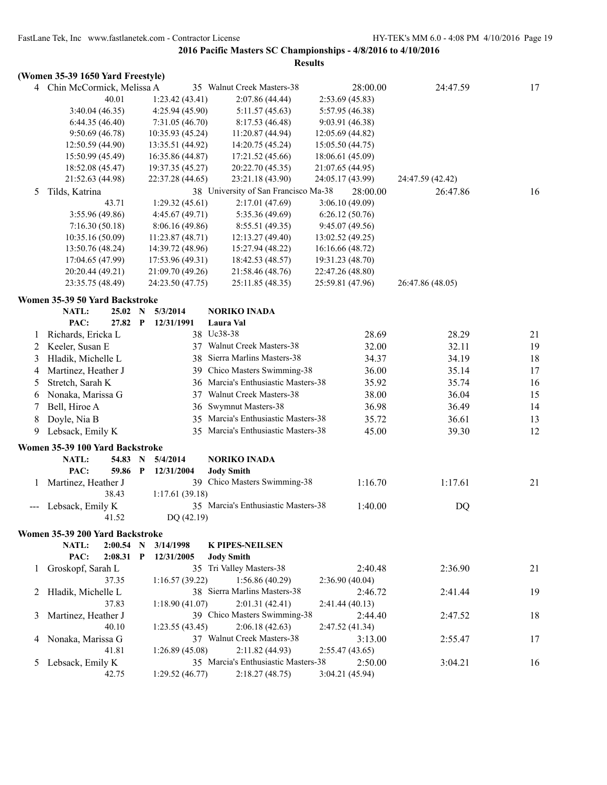|   | (Women 35-39 1650 Yard Freestyle) |                       |                  |                                      |                  |                  |    |
|---|-----------------------------------|-----------------------|------------------|--------------------------------------|------------------|------------------|----|
|   | 4 Chin McCormick, Melissa A       |                       |                  | 35 Walnut Creek Masters-38           | 28:00.00         | 24:47.59         | 17 |
|   | 40.01                             |                       | 1:23.42(43.41)   | 2:07.86 (44.44)                      | 2:53.69(45.83)   |                  |    |
|   | 3:40.04 (46.35)                   |                       | 4:25.94(45.90)   | 5:11.57 (45.63)                      | 5:57.95 (46.38)  |                  |    |
|   | 6:44.35(46.40)                    |                       | 7:31.05(46.70)   | 8:17.53(46.48)                       | 9:03.91(46.38)   |                  |    |
|   | 9:50.69(46.78)                    |                       | 10:35.93 (45.24) | 11:20.87 (44.94)                     | 12:05.69(44.82)  |                  |    |
|   | 12:50.59 (44.90)                  |                       | 13:35.51 (44.92) | 14:20.75 (45.24)                     | 15:05.50 (44.75) |                  |    |
|   | 15:50.99 (45.49)                  |                       | 16:35.86 (44.87) | 17:21.52 (45.66)                     | 18:06.61 (45.09) |                  |    |
|   | 18:52.08 (45.47)                  |                       | 19:37.35 (45.27) | 20:22.70 (45.35)                     | 21:07.65 (44.95) |                  |    |
|   | 21:52.63 (44.98)                  |                       | 22:37.28 (44.65) | 23:21.18 (43.90)                     | 24:05.17 (43.99) | 24:47.59 (42.42) |    |
| 5 | Tilds, Katrina                    |                       |                  | 38 University of San Francisco Ma-38 | 28:00.00         | 26:47.86         | 16 |
|   | 43.71                             |                       | 1:29.32(45.61)   | 2:17.01(47.69)                       | 3:06.10(49.09)   |                  |    |
|   | 3:55.96 (49.86)                   |                       | 4:45.67(49.71)   | 5:35.36 (49.69)                      | 6:26.12(50.76)   |                  |    |
|   | 7:16.30(50.18)                    |                       | 8:06.16(49.86)   | 8:55.51(49.35)                       | 9:45.07(49.56)   |                  |    |
|   | 10:35.16 (50.09)                  |                       | 11:23.87(48.71)  | 12:13.27 (49.40)                     | 13:02.52 (49.25) |                  |    |
|   | 13:50.76 (48.24)                  |                       | 14:39.72 (48.96) | 15:27.94 (48.22)                     | 16:16.66 (48.72) |                  |    |
|   | 17:04.65 (47.99)                  |                       | 17:53.96 (49.31) | 18:42.53 (48.57)                     | 19:31.23 (48.70) |                  |    |
|   | 20:20.44 (49.21)                  |                       | 21:09.70 (49.26) | 21:58.46 (48.76)                     | 22:47.26 (48.80) |                  |    |
|   | 23:35.75 (48.49)                  |                       | 24:23.50 (47.75) | 25:11.85 (48.35)                     | 25:59.81 (47.96) | 26:47.86 (48.05) |    |
|   | Women 35-39 50 Yard Backstroke    |                       |                  |                                      |                  |                  |    |
|   | NATL:<br>25.02                    | N                     | 5/3/2014         | <b>NORIKO INADA</b>                  |                  |                  |    |
|   | PAC:                              | 27.82<br>$\mathbf{P}$ | 12/31/1991       | Laura Val                            |                  |                  |    |
| 1 | Richards, Ericka L                |                       |                  | 38 Uc38-38                           | 28.69            | 28.29            | 21 |
| 2 | Keeler, Susan E                   |                       |                  | 37 Walnut Creek Masters-38           | 32.00            | 32.11            | 19 |
| 3 | Hladik, Michelle L                |                       | 38               | Sierra Marlins Masters-38            | 34.37            | 34.19            | 18 |
| 4 | Martinez, Heather J               |                       |                  | 39 Chico Masters Swimming-38         | 36.00            | 35.14            | 17 |
|   |                                   |                       |                  | 36 Marcia's Enthusiastic Masters-38  |                  |                  |    |
| 5 | Stretch, Sarah K                  |                       |                  |                                      | 35.92            | 35.74            | 16 |
| 6 | Nonaka, Marissa G                 |                       |                  | 37 Walnut Creek Masters-38           | 38.00            | 36.04            | 15 |
| 7 | Bell, Hiroe A                     |                       | 36               | Swymnut Masters-38                   | 36.98            | 36.49            | 14 |
| 8 | Doyle, Nia B                      |                       |                  | 35 Marcia's Enthusiastic Masters-38  | 35.72            | 36.61            | 13 |
| 9 | Lebsack, Emily K                  |                       |                  | 35 Marcia's Enthusiastic Masters-38  | 45.00            | 39.30            | 12 |
|   | Women 35-39 100 Yard Backstroke   |                       |                  |                                      |                  |                  |    |
|   | NATL:                             | 54.83<br>N            | 5/4/2014         | <b>NORIKO INADA</b>                  |                  |                  |    |
|   | PAC:                              | 59.86 P               | 12/31/2004       | <b>Jody Smith</b>                    |                  |                  |    |
| 1 | Martinez, Heather J               |                       |                  | 39 Chico Masters Swimming-38         | 1:16.70          | 1:17.61          | 21 |
|   | 38.43                             |                       | 1:17.61(39.18)   |                                      |                  |                  |    |
|   | Lebsack, Emily K                  |                       |                  | 35 Marcia's Enthusiastic Masters-38  | 1:40.00          | DQ               |    |
|   | 41.52                             |                       | DQ (42.19)       |                                      |                  |                  |    |
|   | Women 35-39 200 Yard Backstroke   |                       |                  |                                      |                  |                  |    |
|   | NATL:                             | $2:00.54$ N           | 3/14/1998        | <b>K PIPES-NEILSEN</b>               |                  |                  |    |
|   | PAC:                              | $2:08.31$ P           | 12/31/2005       | <b>Jody Smith</b>                    |                  |                  |    |
| 1 | Groskopf, Sarah L                 |                       |                  | 35 Tri Valley Masters-38             | 2:40.48          | 2:36.90          | 21 |
|   | 37.35                             |                       | 1:16.57(39.22)   | 1:56.86(40.29)                       | 2:36.90(40.04)   |                  |    |
|   | 2 Hladik, Michelle L              |                       |                  | 38 Sierra Marlins Masters-38         | 2:46.72          | 2:41.44          | 19 |
|   | 37.83                             |                       | 1:18.90(41.07)   | 2:01.31(42.41)                       | 2:41.44(40.13)   |                  |    |
| 3 | Martinez, Heather J               |                       |                  | 39 Chico Masters Swimming-38         | 2:44.40          | 2:47.52          | 18 |
|   | 40.10                             |                       | 1:23.55(43.45)   | 2:06.18(42.63)                       | 2:47.52(41.34)   |                  |    |
|   | Nonaka, Marissa G                 |                       |                  | 37 Walnut Creek Masters-38           | 3:13.00          | 2:55.47          | 17 |
| 4 | 41.81                             |                       | 1:26.89(45.08)   | 2:11.82 (44.93)                      | 2:55.47(43.65)   |                  |    |
|   | Lebsack, Emily K                  |                       |                  | 35 Marcia's Enthusiastic Masters-38  | 2:50.00          | 3:04.21          | 16 |
| 5 |                                   |                       | 1:29.52(46.77)   |                                      |                  |                  |    |
|   | 42.75                             |                       |                  | 2:18.27(48.75)                       | 3:04.21(45.94)   |                  |    |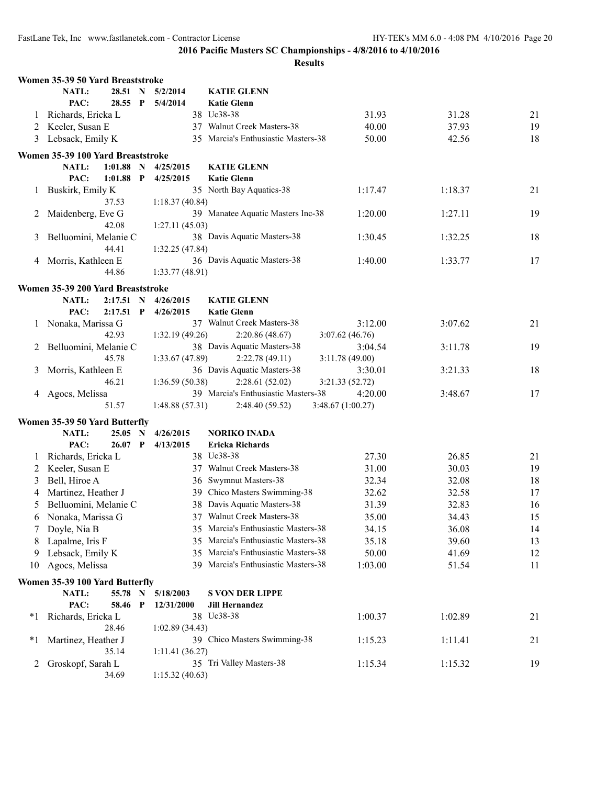|         | Women 35-39 50 Yard Breaststroke                        |              |                |                                     |                   |         |    |
|---------|---------------------------------------------------------|--------------|----------------|-------------------------------------|-------------------|---------|----|
|         | NATL:<br>28.51 N                                        |              | 5/2/2014       | <b>KATIE GLENN</b>                  |                   |         |    |
|         | PAC:<br>28.55 P                                         |              | 5/4/2014       | <b>Katie Glenn</b>                  |                   |         |    |
| 1       | Richards, Ericka L                                      |              |                | 38 Uc38-38                          | 31.93             | 31.28   | 21 |
|         | 2 Keeler, Susan E                                       |              |                | 37 Walnut Creek Masters-38          | 40.00             | 37.93   | 19 |
| 3       | Lebsack, Emily K                                        |              |                | 35 Marcia's Enthusiastic Masters-38 | 50.00             | 42.56   | 18 |
|         | Women 35-39 100 Yard Breaststroke                       |              |                |                                     |                   |         |    |
|         | 1:01.88<br>NATL:                                        | $\mathbf N$  | 4/25/2015      | <b>KATIE GLENN</b>                  |                   |         |    |
|         | PAC:<br>1:01.88                                         | P            | 4/25/2015      | <b>Katie Glenn</b>                  |                   |         |    |
| 1       | Buskirk, Emily K                                        |              |                | 35 North Bay Aquatics-38            | 1:17.47           | 1:18.37 | 21 |
|         | 37.53                                                   |              | 1:18.37(40.84) |                                     |                   |         |    |
| 2       | Maidenberg, Eve G                                       |              |                | 39 Manatee Aquatic Masters Inc-38   | 1:20.00           | 1:27.11 | 19 |
|         | 42.08                                                   |              | 1:27.11(45.03) |                                     |                   |         |    |
| 3       | Belluomini, Melanie C                                   |              |                | 38 Davis Aquatic Masters-38         | 1:30.45           | 1:32.25 | 18 |
|         | 44.41                                                   |              | 1:32.25(47.84) |                                     |                   |         |    |
| 4       | Morris, Kathleen E                                      |              |                | 36 Davis Aquatic Masters-38         | 1:40.00           | 1:33.77 | 17 |
|         | 44.86                                                   |              | 1:33.77(48.91) |                                     |                   |         |    |
|         | Women 35-39 200 Yard Breaststroke                       |              |                |                                     |                   |         |    |
|         | NATL:<br>2:17.51                                        | $\mathbf N$  | 4/26/2015      | <b>KATIE GLENN</b>                  |                   |         |    |
|         | PAC:<br>$2:17.51$ P                                     |              | 4/26/2015      | <b>Katie Glenn</b>                  |                   |         |    |
|         | Nonaka, Marissa G                                       |              |                | 37 Walnut Creek Masters-38          | 3:12.00           | 3:07.62 | 21 |
|         | 42.93                                                   |              | 1:32.19(49.26) | 2:20.86(48.67)                      | 3:07.62(46.76)    |         |    |
| 2       | Belluomini, Melanie C                                   |              |                | 38 Davis Aquatic Masters-38         | 3:04.54           | 3:11.78 | 19 |
|         | 45.78                                                   |              | 1:33.67(47.89) | 2:22.78(49.11)                      | 3:11.78(49.00)    |         |    |
| 3       | Morris, Kathleen E                                      |              |                | 36 Davis Aquatic Masters-38         | 3:30.01           | 3:21.33 | 18 |
|         | 46.21                                                   |              | 1:36.59(50.38) | 2:28.61(52.02)                      | 3:21.33(52.72)    |         |    |
|         | Agocs, Melissa                                          |              |                | 39 Marcia's Enthusiastic Masters-38 | 4:20.00           | 3:48.67 | 17 |
|         | 51.57                                                   |              | 1:48.88(57.31) | 2:48.40 (59.52)                     | 3:48.67 (1:00.27) |         |    |
|         | Women 35-39 50 Yard Butterfly                           |              |                |                                     |                   |         |    |
|         | NATL:<br>25.05                                          | N            | 4/26/2015      | <b>NORIKO INADA</b>                 |                   |         |    |
|         | PAC:<br>26.07                                           | $\mathbf{P}$ | 4/13/2015      | <b>Ericka Richards</b>              |                   |         |    |
| $\perp$ | Richards, Ericka L                                      |              |                | 38 Uc38-38                          | 27.30             | 26.85   | 21 |
| 2       | Keeler, Susan E                                         |              |                | 37 Walnut Creek Masters-38          | 31.00             | 30.03   | 19 |
| 3       | Bell, Hiroe A                                           |              |                | 36 Swymnut Masters-38               | 32.34             | 32.08   | 18 |
| 4       | Martinez, Heather J                                     |              |                | 39 Chico Masters Swimming-38        | 32.62             | 32.58   | 17 |
| 5       | Belluomini, Melanie C                                   |              |                | 38 Davis Aquatic Masters-38         | 31.39             | 32.83   | 16 |
| 6       | Nonaka, Marissa G                                       |              |                | 37 Walnut Creek Masters-38          | 35.00             | 34.43   | 15 |
|         | Doyle, Nia B                                            |              |                | 35 Marcia's Enthusiastic Masters-38 | 34.15             | 36.08   | 14 |
| 8       | Lapalme, Iris F                                         |              | 35             | Marcia's Enthusiastic Masters-38    | 35.18             | 39.60   | 13 |
| 9       | Lebsack, Emily K                                        |              | 35             | Marcia's Enthusiastic Masters-38    | 50.00             | 41.69   | 12 |
| 10      | Agocs, Melissa                                          |              |                | 39 Marcia's Enthusiastic Masters-38 | 1:03.00           | 51.54   | 11 |
|         |                                                         |              |                |                                     |                   |         |    |
|         | Women 35-39 100 Yard Butterfly<br><b>NATL:</b><br>55.78 | $\mathbf N$  | 5/18/2003      | <b>S VON DER LIPPE</b>              |                   |         |    |
|         | PAC:<br>58.46                                           | $\mathbf{P}$ | 12/31/2000     | <b>Jill Hernandez</b>               |                   |         |    |
| $*1$    |                                                         |              |                | 38 Uc38-38                          | 1:00.37           | 1:02.89 | 21 |
|         | Richards, Ericka L<br>28.46                             |              | 1:02.89(34.43) |                                     |                   |         |    |
| $*1$    | Martinez, Heather J                                     |              |                | 39 Chico Masters Swimming-38        | 1:15.23           | 1:11.41 | 21 |
|         | 35.14                                                   |              | 1:11.41(36.27) |                                     |                   |         |    |
| 2       | Groskopf, Sarah L                                       |              |                | 35 Tri Valley Masters-38            | 1:15.34           | 1:15.32 | 19 |
|         | 34.69                                                   |              | 1:15.32(40.63) |                                     |                   |         |    |
|         |                                                         |              |                |                                     |                   |         |    |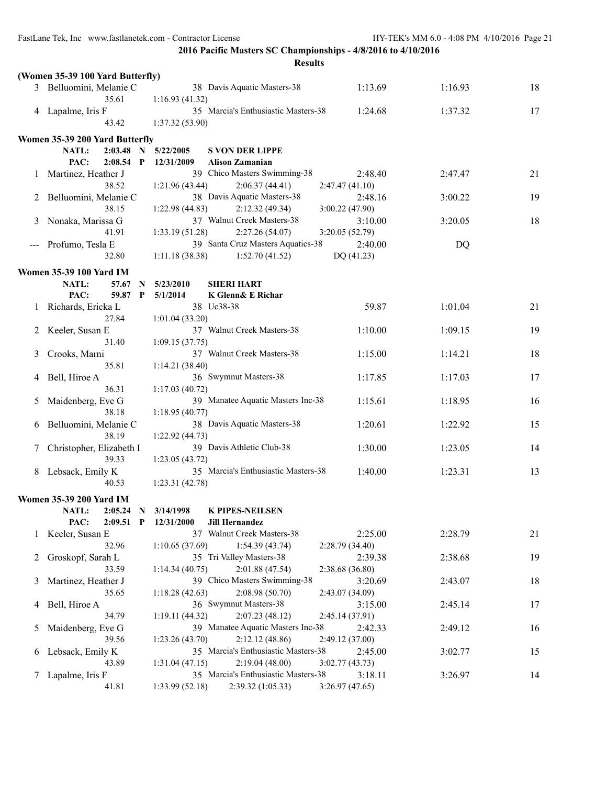| II<br>۰.<br>۰.<br>× |
|---------------------|
|---------------------|

|                   |                                   | results                                                                 |                           |         |    |
|-------------------|-----------------------------------|-------------------------------------------------------------------------|---------------------------|---------|----|
|                   | (Women 35-39 100 Yard Butterfly)  |                                                                         |                           |         |    |
|                   | 3 Belluomini, Melanie C           | 38 Davis Aquatic Masters-38                                             | 1:13.69                   | 1:16.93 | 18 |
|                   | 35.61                             | 1:16.93(41.32)                                                          |                           |         |    |
|                   | 4 Lapalme, Iris F                 | 35 Marcia's Enthusiastic Masters-38                                     | 1:24.68                   | 1:37.32 | 17 |
|                   | 43.42                             | 1:37.32(53.90)                                                          |                           |         |    |
|                   | Women 35-39 200 Yard Butterfly    |                                                                         |                           |         |    |
|                   | <b>NATL:</b><br>$2:03.48$ N       | 5/22/2005<br><b>S VON DER LIPPE</b>                                     |                           |         |    |
|                   | PAC:<br>$2:08.54$ P               | 12/31/2009<br><b>Alison Zamanian</b>                                    |                           |         |    |
| 1                 | Martinez, Heather J               | 39 Chico Masters Swimming-38                                            | 2:48.40                   | 2:47.47 | 21 |
|                   | 38.52                             | 2:06.37(44.41)<br>1:21.96(43.44)                                        | 2:47.47(41.10)            |         |    |
|                   | 2 Belluomini, Melanie C           | 38 Davis Aquatic Masters-38                                             | 2:48.16                   | 3:00.22 | 19 |
|                   | 38.15                             | 1:22.98(44.83)<br>2:12.32(49.34)                                        | 3:00.22 (47.90)           |         |    |
| 3                 | Nonaka, Marissa G                 | 37 Walnut Creek Masters-38                                              | 3:10.00                   | 3:20.05 | 18 |
|                   | 41.91                             | 1:33.19(51.28)<br>2:27.26(54.07)                                        | 3:20.05(52.79)            |         |    |
| $\qquad \qquad -$ | Profumo, Tesla E                  | 39 Santa Cruz Masters Aquatics-38                                       | 2:40.00                   | DQ      |    |
|                   | 32.80                             | 1:52.70(41.52)<br>1:11.18(38.38)                                        | DQ (41.23)                |         |    |
|                   |                                   |                                                                         |                           |         |    |
|                   | <b>Women 35-39 100 Yard IM</b>    |                                                                         |                           |         |    |
|                   | <b>NATL:</b><br>57.67 N           | 5/23/2010<br><b>SHERI HART</b>                                          |                           |         |    |
|                   | PAC:<br>59.87 P                   | K Glenn& E Richar<br>5/1/2014                                           |                           |         |    |
| 1                 | Richards, Ericka L                | 38 Uc38-38                                                              | 59.87                     | 1:01.04 | 21 |
|                   | 27.84                             | 1:01.04(33.20)                                                          |                           |         |    |
| 2                 | Keeler, Susan E                   | 37 Walnut Creek Masters-38                                              | 1:10.00                   | 1:09.15 | 19 |
|                   | 31.40                             | 1:09.15(37.75)                                                          |                           |         |    |
| 3                 | Crooks, Marni                     | 37 Walnut Creek Masters-38                                              | 1:15.00                   | 1:14.21 | 18 |
|                   | 35.81                             | 1:14.21(38.40)                                                          |                           |         |    |
| 4                 | Bell, Hiroe A                     | 36 Swymnut Masters-38                                                   | 1:17.85                   | 1:17.03 | 17 |
|                   | 36.31                             | 1:17.03(40.72)                                                          |                           |         |    |
| 5                 | Maidenberg, Eve G                 | 39 Manatee Aquatic Masters Inc-38                                       | 1:15.61                   | 1:18.95 | 16 |
|                   | 38.18                             | 1:18.95(40.77)                                                          |                           |         |    |
| 6                 | Belluomini, Melanie C             | 38 Davis Aquatic Masters-38                                             | 1:20.61                   | 1:22.92 | 15 |
|                   | 38.19                             | 1:22.92(44.73)                                                          |                           |         |    |
| 7                 | Christopher, Elizabeth I<br>39.33 | 39 Davis Athletic Club-38                                               | 1:30.00                   | 1:23.05 | 14 |
|                   |                                   | 1:23.05(43.72)<br>35 Marcia's Enthusiastic Masters-38                   |                           |         |    |
| 8                 | Lebsack, Emily K<br>40.53         | 1:23.31(42.78)                                                          | 1:40.00                   | 1:23.31 | 13 |
|                   |                                   |                                                                         |                           |         |    |
|                   | <b>Women 35-39 200 Yard IM</b>    |                                                                         |                           |         |    |
|                   | <b>NATL:</b><br>$2:05.24$ N       | 3/14/1998<br><b>K PIPES-NEILSEN</b>                                     |                           |         |    |
|                   | PAC:<br>$2:09.51$ P               | 12/31/2000<br><b>Jill Hernandez</b>                                     |                           |         |    |
| $\mathbf{I}$      | Keeler, Susan E                   | 37 Walnut Creek Masters-38                                              | 2:25.00                   | 2:28.79 | 21 |
|                   | 32.96                             | 1:10.65(37.69)<br>1:54.39(43.74)                                        | 2:28.79(34.40)            |         |    |
| 2                 | Groskopf, Sarah L                 | 35 Tri Valley Masters-38                                                | 2:39.38                   | 2:38.68 | 19 |
|                   | 33.59                             | 1:14.34(40.75)<br>2:01.88(47.54)                                        | 2:38.68 (36.80)           |         |    |
| 3                 | Martinez, Heather J               | 39 Chico Masters Swimming-38                                            | 3:20.69                   | 2:43.07 | 18 |
|                   | 35.65                             | 2:08.98(50.70)<br>1:18.28(42.63)                                        | 2:43.07 (34.09)           |         |    |
| 4                 | Bell, Hiroe A                     | 36 Swymnut Masters-38                                                   | 3:15.00                   | 2:45.14 | 17 |
|                   | 34.79                             | 2:07.23(48.12)<br>1:19.11(44.32)                                        | 2:45.14 (37.91)           |         |    |
| $\mathcal{L}$     | Maidenberg, Eve G                 | 39 Manatee Aquatic Masters Inc-38                                       | 2:42.33                   | 2:49.12 | 16 |
|                   | 39.56                             | 1:23.26(43.70)<br>2:12.12(48.86)<br>35 Marcia's Enthusiastic Masters-38 | 2:49.12 (37.00)           |         |    |
| 6                 | Lebsack, Emily K<br>43.89         | 2:19.04(48.00)<br>1:31.04(47.15)                                        | 2:45.00<br>3:02.77(43.73) | 3:02.77 | 15 |
|                   | Lapalme, Iris F                   | 35 Marcia's Enthusiastic Masters-38                                     | 3:18.11                   | 3:26.97 | 14 |
|                   | 41.81                             | 1:33.99(52.18)<br>2:39.32(1:05.33)                                      | 3:26.97(47.65)            |         |    |
|                   |                                   |                                                                         |                           |         |    |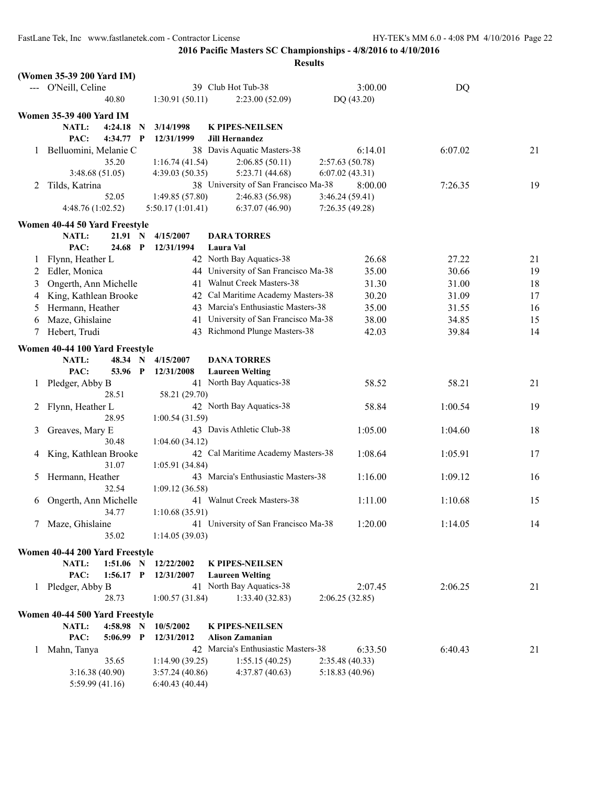|              | (Women 35-39 200 Yard IM)      |                |              |                  |                                      |                 |            |         |    |
|--------------|--------------------------------|----------------|--------------|------------------|--------------------------------------|-----------------|------------|---------|----|
|              | O'Neill, Celine                |                |              |                  | 39 Club Hot Tub-38                   |                 | 3:00.00    | DQ      |    |
|              |                                | 40.80          |              | 1:30.91(50.11)   | 2:23.00(52.09)                       |                 | DQ (43.20) |         |    |
|              | <b>Women 35-39 400 Yard IM</b> |                |              |                  |                                      |                 |            |         |    |
|              | NATL:                          | 4:24.18        | N            | 3/14/1998        | <b>K PIPES-NEILSEN</b>               |                 |            |         |    |
|              | PAC:                           | 4:34.77        | $\mathbf P$  | 12/31/1999       | <b>Jill Hernandez</b>                |                 |            |         |    |
|              |                                |                |              |                  | 38 Davis Aquatic Masters-38          |                 | 6:14.01    |         |    |
| 1            | Belluomini, Melanie C          |                |              |                  |                                      |                 |            | 6:07.02 | 21 |
|              |                                | 35.20          |              | 1:16.74(41.54)   | 2:06.85(50.11)                       | 2:57.63(50.78)  |            |         |    |
|              |                                | 3:48.68(51.05) |              | 4:39.03(50.35)   | 5:23.71 (44.68)                      | 6:07.02(43.31)  |            |         |    |
| 2            | Tilds, Katrina                 |                |              |                  | 38 University of San Francisco Ma-38 |                 | 8:00.00    | 7:26.35 | 19 |
|              |                                | 52.05          |              | 1:49.85 (57.80)  | 2:46.83 (56.98)                      | 3:46.24(59.41)  |            |         |    |
|              | 4:48.76 (1:02.52)              |                |              | 5:50.17(1:01.41) | 6:37.07(46.90)                       | 7:26.35(49.28)  |            |         |    |
|              | Women 40-44 50 Yard Freestyle  |                |              |                  |                                      |                 |            |         |    |
|              | NATL:                          | 21.91 N        |              | 4/15/2007        | <b>DARA TORRES</b>                   |                 |            |         |    |
|              | PAC:                           | 24.68          | $\mathbf{P}$ | 12/31/1994       | Laura Val                            |                 |            |         |    |
| $\perp$      | Flynn, Heather L               |                |              |                  | 42 North Bay Aquatics-38             |                 | 26.68      | 27.22   | 21 |
| 2            | Edler, Monica                  |                |              |                  | 44 University of San Francisco Ma-38 |                 | 35.00      | 30.66   | 19 |
| 3            | Ongerth, Ann Michelle          |                |              |                  | 41 Walnut Creek Masters-38           |                 | 31.30      | 31.00   | 18 |
| 4            | King, Kathlean Brooke          |                |              |                  | 42 Cal Maritime Academy Masters-38   |                 | 30.20      | 31.09   | 17 |
| 5            | Hermann, Heather               |                |              |                  | 43 Marcia's Enthusiastic Masters-38  |                 | 35.00      | 31.55   | 16 |
|              |                                |                |              |                  | 41 University of San Francisco Ma-38 |                 | 38.00      | 34.85   | 15 |
| 6            | Maze, Ghislaine                |                |              |                  |                                      |                 |            |         |    |
| 7            | Hebert, Trudi                  |                |              |                  | 43 Richmond Plunge Masters-38        |                 | 42.03      | 39.84   | 14 |
|              | Women 40-44 100 Yard Freestyle |                |              |                  |                                      |                 |            |         |    |
|              | <b>NATL:</b>                   | 48.34 N        |              | 4/15/2007        | <b>DANA TORRES</b>                   |                 |            |         |    |
|              | PAC:                           | 53.96 P        |              | 12/31/2008       | <b>Laureen Welting</b>               |                 |            |         |    |
| $\mathbf{1}$ | Pledger, Abby B                |                |              |                  | 41 North Bay Aquatics-38             |                 | 58.52      | 58.21   | 21 |
|              |                                | 28.51          |              | 58.21 (29.70)    |                                      |                 |            |         |    |
| 2            | Flynn, Heather L               |                |              |                  | 42 North Bay Aquatics-38             |                 | 58.84      | 1:00.54 | 19 |
|              |                                | 28.95          |              | 1:00.54(31.59)   |                                      |                 |            |         |    |
| 3            | Greaves, Mary E                |                |              |                  | 43 Davis Athletic Club-38            |                 | 1:05.00    | 1:04.60 | 18 |
|              |                                | 30.48          |              | 1:04.60(34.12)   |                                      |                 |            |         |    |
| 4            | King, Kathlean Brooke          |                |              |                  | 42 Cal Maritime Academy Masters-38   |                 | 1:08.64    | 1:05.91 | 17 |
|              |                                | 31.07          |              | 1:05.91(34.84)   |                                      |                 |            |         |    |
| 5            | Hermann, Heather               |                |              |                  | 43 Marcia's Enthusiastic Masters-38  |                 | 1:16.00    | 1:09.12 | 16 |
|              |                                | 32.54          |              | 1:09.12(36.58)   |                                      |                 |            |         |    |
| 6            | Ongerth, Ann Michelle          |                |              |                  | 41 Walnut Creek Masters-38           |                 | 1:11.00    | 1:10.68 | 15 |
|              |                                | 34.77          |              | 1:10.68(35.91)   |                                      |                 |            |         |    |
| 7            | Maze, Ghislaine                |                |              |                  | 41 University of San Francisco Ma-38 |                 | 1:20.00    | 1:14.05 | 14 |
|              |                                | 35.02          |              | 1:14.05(39.03)   |                                      |                 |            |         |    |
|              |                                |                |              |                  |                                      |                 |            |         |    |
|              | Women 40-44 200 Yard Freestyle |                |              |                  |                                      |                 |            |         |    |
|              | NATL:                          | $1:51.06$ N    |              | 12/22/2002       | <b>K PIPES-NEILSEN</b>               |                 |            |         |    |
|              | PAC:                           | $1:56.17$ P    |              | 12/31/2007       | <b>Laureen Welting</b>               |                 |            |         |    |
| $\mathbf{I}$ | Pledger, Abby B                |                |              |                  | 41 North Bay Aquatics-38             |                 | 2:07.45    | 2:06.25 | 21 |
|              |                                | 28.73          |              | 1:00.57(31.84)   | 1:33.40(32.83)                       | 2:06.25(32.85)  |            |         |    |
|              | Women 40-44 500 Yard Freestyle |                |              |                  |                                      |                 |            |         |    |
|              | NATL:                          | 4:58.98 N      |              | 10/5/2002        | <b>K PIPES-NEILSEN</b>               |                 |            |         |    |
|              | PAC:                           | 5:06.99 P      |              | 12/31/2012       | <b>Alison Zamanian</b>               |                 |            |         |    |
| 1            | Mahn, Tanya                    |                |              |                  | 42 Marcia's Enthusiastic Masters-38  |                 | 6:33.50    | 6:40.43 | 21 |
|              |                                | 35.65          |              | 1:14.90(39.25)   | 1:55.15(40.25)                       | 2:35.48 (40.33) |            |         |    |
|              |                                | 3:16.38(40.90) |              | 3:57.24(40.86)   | 4:37.87(40.63)                       | 5:18.83 (40.96) |            |         |    |
|              |                                | 5:59.99(41.16) |              | 6:40.43(40.44)   |                                      |                 |            |         |    |
|              |                                |                |              |                  |                                      |                 |            |         |    |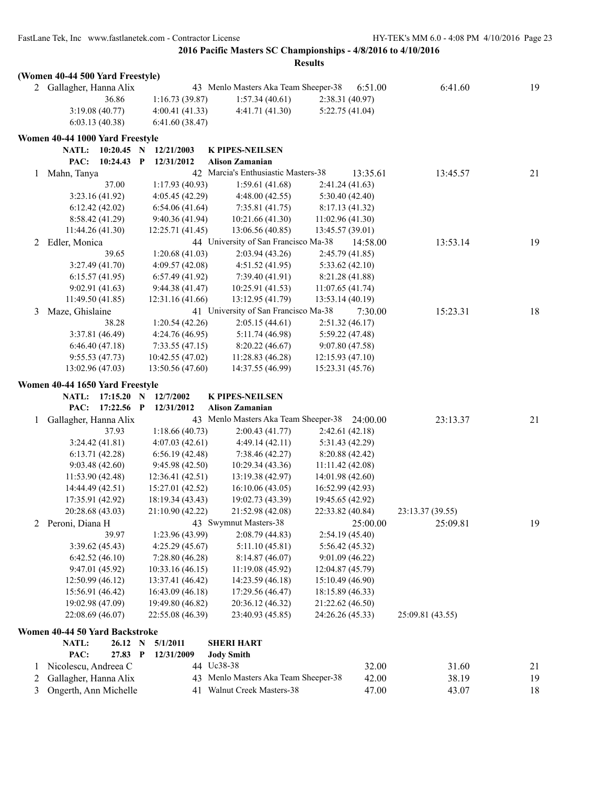|   |                                     |                                    | <b>Results</b>                                |                                    |                  |    |
|---|-------------------------------------|------------------------------------|-----------------------------------------------|------------------------------------|------------------|----|
|   | (Women 40-44 500 Yard Freestyle)    |                                    |                                               |                                    |                  |    |
|   | 2 Gallagher, Hanna Alix             |                                    | 43 Menlo Masters Aka Team Sheeper-38          | 6:51.00                            | 6:41.60          | 19 |
|   | 36.86                               | 1:16.73(39.87)                     | 1:57.34(40.61)                                | 2:38.31 (40.97)                    |                  |    |
|   | 3:19.08(40.77)                      | 4:00.41(41.33)                     | 4:41.71 (41.30)                               | 5:22.75 (41.04)                    |                  |    |
|   | 6:03.13(40.38)                      | 6:41.60(38.47)                     |                                               |                                    |                  |    |
|   | Women 40-44 1000 Yard Freestyle     |                                    |                                               |                                    |                  |    |
|   | NATL:<br>$10:20.45$ N               | 12/21/2003                         | <b>K PIPES-NEILSEN</b>                        |                                    |                  |    |
|   | 10:24.43 P<br>PAC:                  | 12/31/2012                         | <b>Alison Zamanian</b>                        |                                    |                  |    |
| 1 | Mahn, Tanya                         |                                    | 42 Marcia's Enthusiastic Masters-38           | 13:35.61                           | 13:45.57         | 21 |
|   | 37.00                               | 1:17.93(40.93)                     | 1:59.61(41.68)                                | 2:41.24 (41.63)                    |                  |    |
|   | 3:23.16 (41.92)                     | 4:05.45(42.29)                     | 4:48.00(42.55)                                | 5:30.40(42.40)                     |                  |    |
|   | 6:12.42(42.02)                      | 6:54.06(41.64)                     | 7:35.81(41.75)                                | 8:17.13(41.32)                     |                  |    |
|   | 8:58.42(41.29)                      | 9:40.36(41.94)                     | 10:21.66 (41.30)                              | 11:02.96(41.30)                    |                  |    |
|   | 11:44.26 (41.30)                    | 12:25.71 (41.45)                   | 13:06.56 (40.85)                              | 13:45.57 (39.01)                   |                  |    |
|   | 2 Edler, Monica                     |                                    | 44 University of San Francisco Ma-38          | 14:58.00                           | 13:53.14         | 19 |
|   | 39.65                               | 1:20.68(41.03)                     | 2:03.94(43.26)                                | 2:45.79(41.85)                     |                  |    |
|   | 3:27.49 (41.70)                     | 4:09.57(42.08)                     | 4:51.52(41.95)                                | 5:33.62(42.10)                     |                  |    |
|   | 6:15.57(41.95)                      | 6:57.49(41.92)                     | 7:39.40(41.91)                                | 8:21.28 (41.88)                    |                  |    |
|   | 9:02.91(41.63)                      | 9:44.38(41.47)                     | 10:25.91(41.53)                               | 11:07.65(41.74)                    |                  |    |
|   | 11:49.50 (41.85)                    | 12:31.16 (41.66)                   | 13:12.95 (41.79)                              | 13:53.14 (40.19)                   |                  |    |
| 3 | Maze, Ghislaine                     |                                    | 41 University of San Francisco Ma-38          | 7:30.00                            | 15:23.31         | 18 |
|   | 38.28                               | 1:20.54(42.26)                     | 2:05.15(44.61)                                | 2:51.32(46.17)                     |                  |    |
|   | 3:37.81 (46.49)                     | 4:24.76 (46.95)                    | 5:11.74 (46.98)                               | 5:59.22 (47.48)                    |                  |    |
|   | 6:46.40(47.18)                      | 7:33.55(47.15)                     | 8:20.22(46.67)                                | 9:07.80(47.58)                     |                  |    |
|   | 9:55.53(47.73)                      | 10:42.55 (47.02)                   | 11:28.83 (46.28)                              | 12:15.93(47.10)                    |                  |    |
|   | 13:02.96 (47.03)                    | 13:50.56 (47.60)                   | 14:37.55 (46.99)                              | 15:23.31 (45.76)                   |                  |    |
|   | Women 40-44 1650 Yard Freestyle     |                                    |                                               |                                    |                  |    |
|   | <b>NATL:</b><br>$17:15.20$ N        | 12/7/2002                          | <b>K PIPES-NEILSEN</b>                        |                                    |                  |    |
|   | PAC:<br>17:22.56 P                  | 12/31/2012                         | <b>Alison Zamanian</b>                        |                                    |                  |    |
| 1 | Gallagher, Hanna Alix               |                                    | 43 Menlo Masters Aka Team Sheeper-38 24:00.00 |                                    | 23:13.37         | 21 |
|   | 37.93                               | 1:18.66(40.73)                     | 2:00.43(41.77)                                | 2:42.61(42.18)                     |                  |    |
|   | 3:24.42(41.81)                      | 4:07.03(42.61)                     | 4:49.14(42.11)                                | 5:31.43 (42.29)                    |                  |    |
|   | 6:13.71(42.28)                      | 6:56.19(42.48)                     | 7:38.46(42.27)                                | 8:20.88(42.42)                     |                  |    |
|   | 9:03.48(42.60)                      | 9:45.98 (42.50)                    | 10:29.34 (43.36)                              | 11:11.42 (42.08)                   |                  |    |
|   | 11:53.90 (42.48)                    | 12:36.41 (42.51)                   | 13:19.38 (42.97)                              | 14:01.98 (42.60)                   |                  |    |
|   | 14:44.49 (42.51)                    | 15:27.01 (42.52)                   | 16:10.06(43.05)                               | 16:52.99 (42.93)                   |                  |    |
|   | 17:35.91 (42.92)                    | 18:19.34 (43.43)                   | 19:02.73 (43.39)                              | 19:45.65 (42.92)                   |                  |    |
|   | 20:28.68 (43.03)                    | 21:10.90 (42.22)                   | 21:52.98 (42.08)                              | 22:33.82 (40.84)                   | 23:13.37 (39.55) |    |
| 2 | Peroni, Diana H                     |                                    | 43 Swymnut Masters-38                         | 25:00.00                           | 25:09.81         | 19 |
|   | 39.97                               | 1:23.96(43.99)                     | 2:08.79(44.83)                                | 2:54.19(45.40)                     |                  |    |
|   | 3:39.62(45.43)                      | 4:25.29(45.67)                     | 5:11.10 (45.81)                               | 5:56.42 (45.32)                    |                  |    |
|   | 6:42.52(46.10)<br>9:47.01(45.92)    | 7:28.80(46.28)<br>10:33.16 (46.15) | 8:14.87(46.07)<br>11:19.08 (45.92)            | 9:01.09(46.22)<br>12:04.87 (45.79) |                  |    |
|   | 12:50.99(46.12)                     | 13:37.41 (46.42)                   | 14:23.59 (46.18)                              | 15:10.49(46.90)                    |                  |    |
|   | 15:56.91 (46.42)                    | 16:43.09 (46.18)                   | 17:29.56 (46.47)                              | 18:15.89 (46.33)                   |                  |    |
|   | 19:02.98 (47.09)                    | 19:49.80 (46.82)                   | 20:36.12 (46.32)                              | 21:22.62 (46.50)                   |                  |    |
|   | 22:08.69 (46.07)                    | 22:55.08 (46.39)                   | 23:40.93 (45.85)                              | 24:26.26 (45.33)                   | 25:09.81 (43.55) |    |
|   |                                     |                                    |                                               |                                    |                  |    |
|   | Women 40-44 50 Yard Backstroke      |                                    |                                               |                                    |                  |    |
|   | NATL:<br>26.12 N<br>PAC:<br>27.83 P | 5/1/2011<br>12/31/2009             | <b>SHERI HART</b><br><b>Jody Smith</b>        |                                    |                  |    |
| 1 | Nicolescu, Andreea C                |                                    | 44 Uc38-38                                    | 32.00                              | 31.60            | 21 |
| 2 | Gallagher, Hanna Alix               |                                    | 43 Menlo Masters Aka Team Sheeper-38          | 42.00                              | 38.19            | 19 |
| 3 | Ongerth, Ann Michelle               |                                    | 41 Walnut Creek Masters-38                    | 47.00                              | 43.07            | 18 |
|   |                                     |                                    |                                               |                                    |                  |    |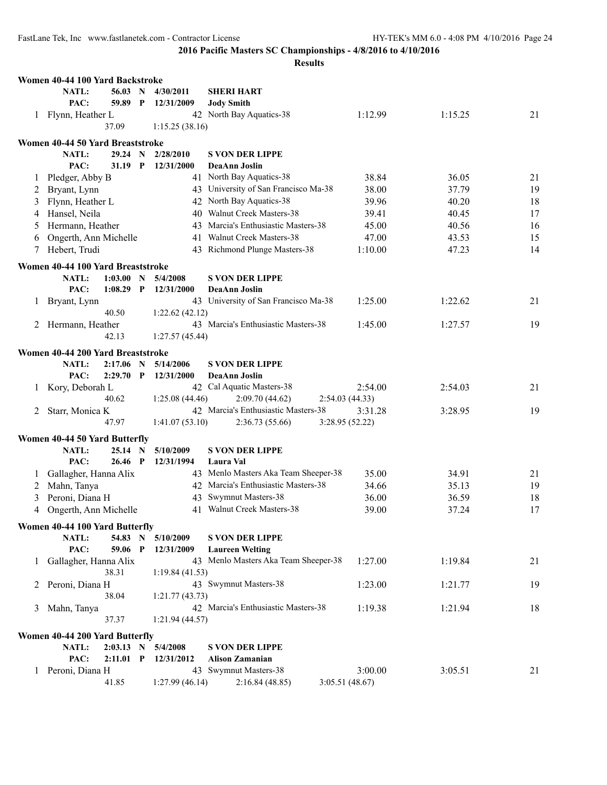|              | Women 40-44 100 Yard Backstroke          |                            |              |                        |                                                                             |                 |                |          |
|--------------|------------------------------------------|----------------------------|--------------|------------------------|-----------------------------------------------------------------------------|-----------------|----------------|----------|
|              | <b>NATL:</b>                             | 56.03 N                    |              | 4/30/2011              | <b>SHERI HART</b>                                                           |                 |                |          |
|              | PAC:                                     | 59.89                      | $\mathbf{P}$ | 12/31/2009             | <b>Jody Smith</b>                                                           |                 |                |          |
|              | 1 Flynn, Heather L                       |                            |              |                        | 42 North Bay Aquatics-38                                                    | 1:12.99         | 1:15.25        | 21       |
|              |                                          | 37.09                      |              | 1:15.25(38.16)         |                                                                             |                 |                |          |
|              | Women 40-44 50 Yard Breaststroke         |                            |              |                        |                                                                             |                 |                |          |
|              | <b>NATL:</b>                             | 29.24                      | $\mathbf N$  | 2/28/2010              | <b>S VON DER LIPPE</b>                                                      |                 |                |          |
|              | PAC:                                     | 31.19 P                    |              | 12/31/2000             | DeaAnn Joslin                                                               |                 |                |          |
| 1            | Pledger, Abby B                          |                            |              |                        | 41 North Bay Aquatics-38                                                    | 38.84           | 36.05          | 21       |
| 2            | Bryant, Lynn                             |                            |              |                        | 43 University of San Francisco Ma-38                                        | 38.00           | 37.79          | 19       |
| 3            | Flynn, Heather L                         |                            |              |                        | 42 North Bay Aquatics-38                                                    | 39.96           | 40.20          | 18       |
| 4            | Hansel, Neila                            |                            |              |                        | 40 Walnut Creek Masters-38                                                  | 39.41           | 40.45          | 17       |
| 5            | Hermann, Heather                         |                            |              |                        | 43 Marcia's Enthusiastic Masters-38                                         | 45.00           | 40.56          | 16       |
| 6            | Ongerth, Ann Michelle                    |                            |              | 41                     | Walnut Creek Masters-38                                                     | 47.00           | 43.53          | 15       |
| 7            | Hebert, Trudi                            |                            |              |                        | 43 Richmond Plunge Masters-38                                               | 1:10.00         | 47.23          | 14       |
|              | Women 40-44 100 Yard Breaststroke        |                            |              |                        |                                                                             |                 |                |          |
|              | <b>NATL:</b>                             | 1:03.00 N                  |              | 5/4/2008               | <b>S VON DER LIPPE</b>                                                      |                 |                |          |
|              | PAC:                                     | 1:08.29                    | $\mathbf{P}$ | 12/31/2000             | <b>DeaAnn Joslin</b>                                                        |                 |                |          |
| $\mathbf{1}$ | Bryant, Lynn                             |                            |              |                        | 43 University of San Francisco Ma-38                                        | 1:25.00         | 1:22.62        | 21       |
|              |                                          | 40.50                      |              | 1:22.62(42.12)         |                                                                             |                 |                |          |
| 2            | Hermann, Heather                         |                            |              |                        | 43 Marcia's Enthusiastic Masters-38                                         | 1:45.00         | 1:27.57        | 19       |
|              |                                          | 42.13                      |              | 1:27.57(45.44)         |                                                                             |                 |                |          |
|              | Women 40-44 200 Yard Breaststroke        |                            |              |                        |                                                                             |                 |                |          |
|              | <b>NATL:</b>                             | 2:17.06                    | $\mathbf N$  | 5/14/2006              | <b>S VON DER LIPPE</b>                                                      |                 |                |          |
|              | PAC:                                     | 2:29.70                    | $\mathbf{P}$ | 12/31/2000             | <b>DeaAnn Joslin</b>                                                        |                 |                |          |
| 1            | Kory, Deborah L                          |                            |              |                        | 42 Cal Aquatic Masters-38                                                   | 2:54.00         | 2:54.03        | 21       |
|              |                                          | 40.62                      |              | 1:25.08(44.46)         | 2:09.70(44.62)                                                              | 2:54.03(44.33)  |                |          |
| 2            | Starr, Monica K                          | 47.97                      |              |                        | 42 Marcia's Enthusiastic Masters-38                                         | 3:31.28         | 3:28.95        | 19       |
|              |                                          |                            |              | 1:41.07(53.10)         | 2:36.73(55.66)                                                              | 3:28.95 (52.22) |                |          |
|              | Women 40-44 50 Yard Butterfly            |                            |              |                        |                                                                             |                 |                |          |
|              | <b>NATL:</b>                             | 25.14 N                    |              | 5/10/2009              | <b>S VON DER LIPPE</b>                                                      |                 |                |          |
|              | PAC:                                     | 26.46 P                    |              | 12/31/1994             | Laura Val                                                                   |                 |                |          |
| $\perp$      | Gallagher, Hanna Alix                    |                            |              |                        | 43 Menlo Masters Aka Team Sheeper-38<br>42 Marcia's Enthusiastic Masters-38 | 35.00           | 34.91          | 21       |
| 2            | Mahn, Tanya                              |                            |              |                        | Swymnut Masters-38                                                          | 34.66           | 35.13          | 19       |
| 3            | Peroni, Diana H<br>Ongerth, Ann Michelle |                            |              | 43                     | 41 Walnut Creek Masters-38                                                  | 36.00<br>39.00  | 36.59<br>37.24 | 18<br>17 |
| 4            |                                          |                            |              |                        |                                                                             |                 |                |          |
|              | Women 40-44 100 Yard Butterfly           |                            |              |                        |                                                                             |                 |                |          |
|              | NATL:                                    | 54.83 N                    |              | 5/10/2009              | <b>S VON DER LIPPE</b>                                                      |                 |                |          |
|              | PAC:                                     | 59.06 P                    |              | 12/31/2009             | <b>Laureen Welting</b>                                                      |                 |                |          |
| 1            | Gallagher, Hanna Alix                    |                            |              |                        | 43 Menlo Masters Aka Team Sheeper-38                                        | 1:27.00         | 1:19.84        | 21       |
| 2            | Peroni, Diana H                          | 38.31                      |              | 1:19.84(41.53)         | 43 Swymnut Masters-38                                                       | 1:23.00         | 1:21.77        | 19       |
|              |                                          | 38.04                      |              | 1:21.77(43.73)         |                                                                             |                 |                |          |
| 3            | Mahn, Tanya                              |                            |              |                        | 42 Marcia's Enthusiastic Masters-38                                         | 1:19.38         | 1:21.94        | 18       |
|              |                                          | 37.37                      |              | 1:21.94(44.57)         |                                                                             |                 |                |          |
|              |                                          |                            |              |                        |                                                                             |                 |                |          |
|              | Women 40-44 200 Yard Butterfly           |                            |              |                        |                                                                             |                 |                |          |
|              | NATL:<br>PAC:                            | $2:03.13$ N<br>$2:11.01$ P |              | 5/4/2008<br>12/31/2012 | <b>S VON DER LIPPE</b><br><b>Alison Zamanian</b>                            |                 |                |          |
|              | 1 Peroni, Diana H                        |                            |              |                        | 43 Swymnut Masters-38                                                       | 3:00.00         | 3:05.51        | 21       |
|              |                                          | 41.85                      |              | 1:27.99(46.14)         | 2:16.84(48.85)                                                              | 3:05.51(48.67)  |                |          |
|              |                                          |                            |              |                        |                                                                             |                 |                |          |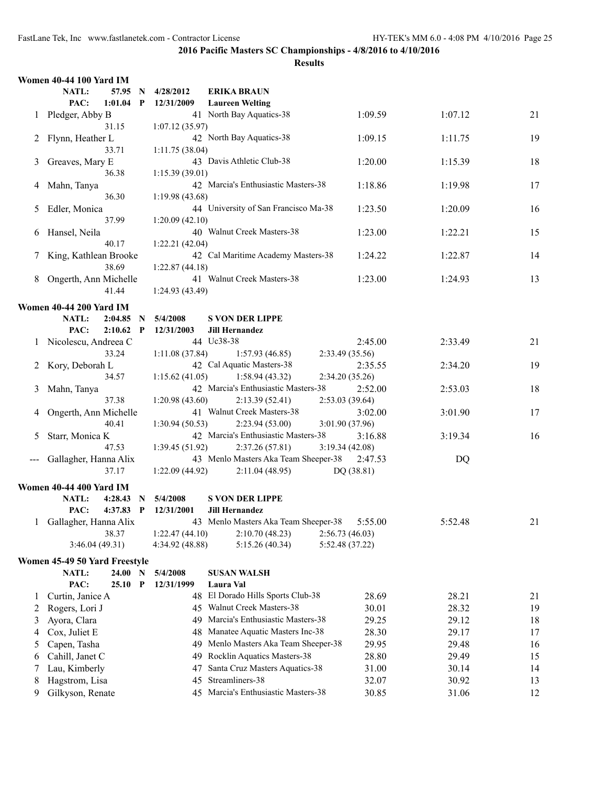|                                                                                                                                                                                                                                                                                                                                                                                                                                                                            | Women 40-44 100 Yard IM        |             |              |                      |                                                        |                       |         |    |
|----------------------------------------------------------------------------------------------------------------------------------------------------------------------------------------------------------------------------------------------------------------------------------------------------------------------------------------------------------------------------------------------------------------------------------------------------------------------------|--------------------------------|-------------|--------------|----------------------|--------------------------------------------------------|-----------------------|---------|----|
|                                                                                                                                                                                                                                                                                                                                                                                                                                                                            | NATL:                          | 57.95 N     |              | 4/28/2012            | <b>ERIKA BRAUN</b>                                     |                       |         |    |
|                                                                                                                                                                                                                                                                                                                                                                                                                                                                            | PAC:                           | 1:01.04     | $\mathbf{P}$ | 12/31/2009           | <b>Laureen Welting</b>                                 |                       |         |    |
|                                                                                                                                                                                                                                                                                                                                                                                                                                                                            | 1 Pledger, Abby B              |             |              |                      | 41 North Bay Aquatics-38                               | 1:09.59               | 1:07.12 | 21 |
|                                                                                                                                                                                                                                                                                                                                                                                                                                                                            |                                | 31.15       |              | 1:07.12(35.97)       |                                                        |                       |         |    |
| 2                                                                                                                                                                                                                                                                                                                                                                                                                                                                          | Flynn, Heather L               |             |              |                      | 42 North Bay Aquatics-38                               | 1:09.15               | 1:11.75 | 19 |
|                                                                                                                                                                                                                                                                                                                                                                                                                                                                            |                                | 33.71       |              | 1:11.75(38.04)       |                                                        |                       |         |    |
| 3                                                                                                                                                                                                                                                                                                                                                                                                                                                                          | Greaves, Mary E                |             |              |                      | 43 Davis Athletic Club-38                              | 1:20.00               | 1:15.39 | 18 |
|                                                                                                                                                                                                                                                                                                                                                                                                                                                                            |                                | 36.38       |              | 1:15.39(39.01)       |                                                        |                       |         |    |
| 4                                                                                                                                                                                                                                                                                                                                                                                                                                                                          | Mahn, Tanya                    |             |              |                      | 42 Marcia's Enthusiastic Masters-38                    | 1:18.86               | 1:19.98 | 17 |
|                                                                                                                                                                                                                                                                                                                                                                                                                                                                            |                                | 36.30       |              | 1:19.98 (43.68)      |                                                        |                       |         |    |
| 5                                                                                                                                                                                                                                                                                                                                                                                                                                                                          | Edler, Monica                  |             |              |                      | 44 University of San Francisco Ma-38                   | 1:23.50               | 1:20.09 | 16 |
|                                                                                                                                                                                                                                                                                                                                                                                                                                                                            |                                | 37.99       |              | 1:20.09(42.10)       |                                                        |                       |         |    |
| 6                                                                                                                                                                                                                                                                                                                                                                                                                                                                          | Hansel, Neila                  |             |              |                      | 40 Walnut Creek Masters-38                             | 1:23.00               | 1:22.21 | 15 |
|                                                                                                                                                                                                                                                                                                                                                                                                                                                                            |                                | 40.17       |              | 1:22.21(42.04)       |                                                        |                       |         |    |
|                                                                                                                                                                                                                                                                                                                                                                                                                                                                            | King, Kathlean Brooke          |             |              |                      | 42 Cal Maritime Academy Masters-38                     | 1:24.22               | 1:22.87 | 14 |
|                                                                                                                                                                                                                                                                                                                                                                                                                                                                            |                                | 38.69       |              | 1:22.87(44.18)       |                                                        |                       |         |    |
| 8                                                                                                                                                                                                                                                                                                                                                                                                                                                                          | Ongerth, Ann Michelle          |             |              |                      | 41 Walnut Creek Masters-38                             | 1:23.00               | 1:24.93 | 13 |
|                                                                                                                                                                                                                                                                                                                                                                                                                                                                            |                                | 41.44       |              | 1:24.93 (43.49)      |                                                        |                       |         |    |
|                                                                                                                                                                                                                                                                                                                                                                                                                                                                            | <b>Women 40-44 200 Yard IM</b> |             |              |                      |                                                        |                       |         |    |
|                                                                                                                                                                                                                                                                                                                                                                                                                                                                            | NATL:                          | 2:04.85     |              | 5/4/2008             | <b>S VON DER LIPPE</b>                                 |                       |         |    |
|                                                                                                                                                                                                                                                                                                                                                                                                                                                                            | PAC:                           | $2:10.62$ P | $\mathbf N$  | 12/31/2003           | <b>Jill Hernandez</b>                                  |                       |         |    |
|                                                                                                                                                                                                                                                                                                                                                                                                                                                                            | 1 Nicolescu, Andreea C         |             |              |                      | 44 Uc38-38                                             | 2:45.00               | 2:33.49 | 21 |
|                                                                                                                                                                                                                                                                                                                                                                                                                                                                            |                                | 33.24       |              | 1:11.08(37.84)       | 1:57.93(46.85)                                         | 2:33.49 (35.56)       |         |    |
|                                                                                                                                                                                                                                                                                                                                                                                                                                                                            |                                |             |              |                      | 42 Cal Aquatic Masters-38                              | 2:35.55               | 2:34.20 | 19 |
|                                                                                                                                                                                                                                                                                                                                                                                                                                                                            | 2 Kory, Deborah L              | 34.57       |              | 1:15.62(41.05)       | 1:58.94(43.32)                                         | 2:34.20 (35.26)       |         |    |
| 3                                                                                                                                                                                                                                                                                                                                                                                                                                                                          | Mahn, Tanya                    |             |              |                      | 42 Marcia's Enthusiastic Masters-38                    | 2:52.00               | 2:53.03 | 18 |
|                                                                                                                                                                                                                                                                                                                                                                                                                                                                            |                                | 37.38       |              | 1:20.98(43.60)       | 2:13.39(52.41)                                         | 2:53.03(39.64)        |         |    |
|                                                                                                                                                                                                                                                                                                                                                                                                                                                                            | Ongerth, Ann Michelle          |             |              |                      | 41 Walnut Creek Masters-38                             | 3:02.00               |         | 17 |
| 4                                                                                                                                                                                                                                                                                                                                                                                                                                                                          |                                | 40.41       |              | 1:30.94(50.53)       | 2:23.94(53.00)                                         | 3:01.90 (37.96)       | 3:01.90 |    |
| 5                                                                                                                                                                                                                                                                                                                                                                                                                                                                          | Starr, Monica K                |             |              |                      | 42 Marcia's Enthusiastic Masters-38                    | 3:16.88               | 3:19.34 | 16 |
|                                                                                                                                                                                                                                                                                                                                                                                                                                                                            |                                | 47.53       |              | 1:39.45(51.92)       |                                                        | 3:19.34(42.08)        |         |    |
|                                                                                                                                                                                                                                                                                                                                                                                                                                                                            |                                |             |              |                      | 2:37.26(57.81)<br>43 Menlo Masters Aka Team Sheeper-38 |                       |         |    |
| $\frac{1}{2} \left( \frac{1}{2} \right) \left( \frac{1}{2} \right) \left( \frac{1}{2} \right) \left( \frac{1}{2} \right) \left( \frac{1}{2} \right) \left( \frac{1}{2} \right) \left( \frac{1}{2} \right) \left( \frac{1}{2} \right) \left( \frac{1}{2} \right) \left( \frac{1}{2} \right) \left( \frac{1}{2} \right) \left( \frac{1}{2} \right) \left( \frac{1}{2} \right) \left( \frac{1}{2} \right) \left( \frac{1}{2} \right) \left( \frac{1}{2} \right) \left( \frac$ | Gallagher, Hanna Alix          | 37.17       |              |                      |                                                        | 2:47.53<br>DO (38.81) | DQ      |    |
|                                                                                                                                                                                                                                                                                                                                                                                                                                                                            |                                |             |              | 1:22.09(44.92)       | 2:11.04(48.95)                                         |                       |         |    |
|                                                                                                                                                                                                                                                                                                                                                                                                                                                                            | Women 40-44 400 Yard IM        |             |              |                      |                                                        |                       |         |    |
|                                                                                                                                                                                                                                                                                                                                                                                                                                                                            | NATL:                          | 4:28.43     | N            | 5/4/2008             | <b>S VON DER LIPPE</b>                                 |                       |         |    |
|                                                                                                                                                                                                                                                                                                                                                                                                                                                                            | PAC:                           |             |              | 4:37.83 P 12/31/2001 | <b>Jill Hernandez</b>                                  |                       |         |    |
| $\mathbf{1}$                                                                                                                                                                                                                                                                                                                                                                                                                                                               | Gallagher, Hanna Alix          |             |              |                      | 43 Menlo Masters Aka Team Sheeper-38 5:55.00           |                       | 5:52.48 | 21 |
|                                                                                                                                                                                                                                                                                                                                                                                                                                                                            |                                | 38.37       |              | 1:22.47(44.10)       | 2:10.70(48.23)                                         | 2:56.73(46.03)        |         |    |
|                                                                                                                                                                                                                                                                                                                                                                                                                                                                            | 3:46.04(49.31)                 |             |              | 4:34.92 (48.88)      | 5:15.26(40.34)                                         | 5:52.48 (37.22)       |         |    |
|                                                                                                                                                                                                                                                                                                                                                                                                                                                                            | Women 45-49 50 Yard Freestyle  |             |              |                      |                                                        |                       |         |    |
|                                                                                                                                                                                                                                                                                                                                                                                                                                                                            | NATL:                          | 24.00 N     |              | 5/4/2008             | <b>SUSAN WALSH</b>                                     |                       |         |    |
|                                                                                                                                                                                                                                                                                                                                                                                                                                                                            | PAC:                           | $25.10$ P   |              | 12/31/1999           | Laura Val                                              |                       |         |    |
| $\mathbf{I}$                                                                                                                                                                                                                                                                                                                                                                                                                                                               | Curtin, Janice A               |             |              |                      | 48 El Dorado Hills Sports Club-38                      | 28.69                 | 28.21   | 21 |
| 2                                                                                                                                                                                                                                                                                                                                                                                                                                                                          | Rogers, Lori J                 |             |              |                      | 45 Walnut Creek Masters-38                             | 30.01                 | 28.32   | 19 |
| 3                                                                                                                                                                                                                                                                                                                                                                                                                                                                          | Ayora, Clara                   |             |              | 49                   | Marcia's Enthusiastic Masters-38                       | 29.25                 | 29.12   | 18 |
| 4                                                                                                                                                                                                                                                                                                                                                                                                                                                                          | Cox, Juliet E                  |             |              | 48                   | Manatee Aquatic Masters Inc-38                         | 28.30                 | 29.17   | 17 |
| 5                                                                                                                                                                                                                                                                                                                                                                                                                                                                          | Capen, Tasha                   |             |              | 49                   | Menlo Masters Aka Team Sheeper-38                      | 29.95                 | 29.48   | 16 |
| 6                                                                                                                                                                                                                                                                                                                                                                                                                                                                          | Cahill, Janet C                |             |              | 49                   | Rocklin Aquatics Masters-38                            | 28.80                 | 29.49   | 15 |
| 7                                                                                                                                                                                                                                                                                                                                                                                                                                                                          | Lau, Kimberly                  |             |              | 47                   | Santa Cruz Masters Aquatics-38                         | 31.00                 | 30.14   | 14 |
| 8                                                                                                                                                                                                                                                                                                                                                                                                                                                                          | Hagstrom, Lisa                 |             |              | 45                   | Streamliners-38                                        | 32.07                 | 30.92   | 13 |
| 9                                                                                                                                                                                                                                                                                                                                                                                                                                                                          | Gilkyson, Renate               |             |              |                      | 45 Marcia's Enthusiastic Masters-38                    | 30.85                 | 31.06   | 12 |
|                                                                                                                                                                                                                                                                                                                                                                                                                                                                            |                                |             |              |                      |                                                        |                       |         |    |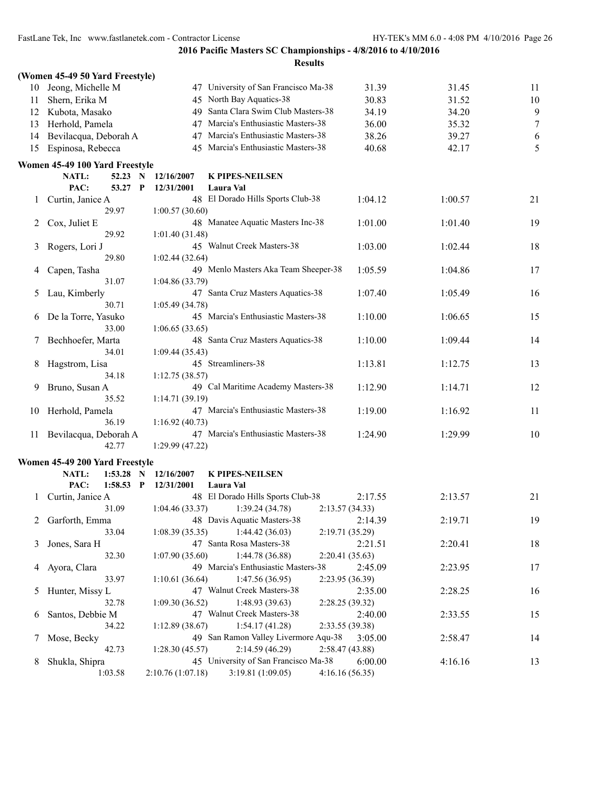|    | (Women 45-49 50 Yard Freestyle)              |                          |                                      |                 |         |                  |
|----|----------------------------------------------|--------------------------|--------------------------------------|-----------------|---------|------------------|
| 10 | Jeong, Michelle M                            |                          | 47 University of San Francisco Ma-38 | 31.39           | 31.45   | 11               |
| 11 | Shern, Erika M                               |                          | 45 North Bay Aquatics-38             | 30.83           | 31.52   | 10               |
| 12 | Kubota, Masako                               | 49                       | Santa Clara Swim Club Masters-38     | 34.19           | 34.20   | 9                |
| 13 | Herhold, Pamela                              | 47                       | Marcia's Enthusiastic Masters-38     | 36.00           | 35.32   | $\boldsymbol{7}$ |
| 14 | Bevilacqua, Deborah A                        | 47                       | Marcia's Enthusiastic Masters-38     | 38.26           | 39.27   | 6                |
| 15 | Espinosa, Rebecca                            | 45                       | Marcia's Enthusiastic Masters-38     | 40.68           | 42.17   | 5                |
|    | Women 45-49 100 Yard Freestyle               |                          |                                      |                 |         |                  |
|    | <b>NATL:</b><br>52.23 N                      | 12/16/2007               | <b>K PIPES-NEILSEN</b>               |                 |         |                  |
|    | PAC:<br>53.27<br>P                           | 12/31/2001               | Laura Val                            |                 |         |                  |
| 1  | Curtin, Janice A                             |                          | 48 El Dorado Hills Sports Club-38    | 1:04.12         | 1:00.57 | 21               |
|    | 29.97                                        | 1:00.57(30.60)           |                                      |                 |         |                  |
| 2  | Cox, Juliet E                                |                          | 48 Manatee Aquatic Masters Inc-38    | 1:01.00         | 1:01.40 | 19               |
|    | 29.92                                        | 1:01.40(31.48)           |                                      |                 |         |                  |
| 3  | Rogers, Lori J                               |                          | 45 Walnut Creek Masters-38           | 1:03.00         | 1:02.44 | 18               |
|    | 29.80                                        | 1:02.44(32.64)           |                                      |                 |         |                  |
| 4  | Capen, Tasha                                 |                          | 49 Menlo Masters Aka Team Sheeper-38 | 1:05.59         | 1:04.86 | 17               |
|    | 31.07                                        | 1:04.86(33.79)           |                                      |                 |         |                  |
| 5  | Lau, Kimberly                                |                          | 47 Santa Cruz Masters Aquatics-38    | 1:07.40         | 1:05.49 | 16               |
|    | 30.71                                        | 1:05.49 (34.78)          |                                      |                 |         |                  |
| 6  | De la Torre, Yasuko                          |                          | 45 Marcia's Enthusiastic Masters-38  | 1:10.00         | 1:06.65 | 15               |
|    | 33.00                                        | 1:06.65(33.65)           |                                      |                 |         |                  |
| 7  | Bechhoefer, Marta                            |                          | 48 Santa Cruz Masters Aquatics-38    | 1:10.00         | 1:09.44 | 14               |
|    | 34.01                                        | 1:09.44(35.43)           |                                      |                 |         |                  |
| 8  | Hagstrom, Lisa                               |                          | 45 Streamliners-38                   | 1:13.81         | 1:12.75 | 13               |
|    | 34.18                                        | 1:12.75(38.57)           |                                      |                 |         |                  |
| 9  | Bruno, Susan A<br>35.52                      | 1:14.71(39.19)           | 49 Cal Maritime Academy Masters-38   | 1:12.90         | 1:14.71 | 12               |
| 10 | Herhold, Pamela                              |                          | 47 Marcia's Enthusiastic Masters-38  | 1:19.00         | 1:16.92 | 11               |
|    | 36.19                                        | 1:16.92(40.73)           |                                      |                 |         |                  |
| 11 | Bevilacqua, Deborah A                        |                          | 47 Marcia's Enthusiastic Masters-38  | 1:24.90         | 1:29.99 | 10               |
|    | 42.77                                        | 1:29.99(47.22)           |                                      |                 |         |                  |
|    |                                              |                          |                                      |                 |         |                  |
|    | Women 45-49 200 Yard Freestyle               |                          |                                      |                 |         |                  |
|    | NATL:<br>1:53.28<br>N<br>PAC:<br>$1:58.53$ P | 12/16/2007<br>12/31/2001 | <b>K PIPES-NEILSEN</b><br>Laura Val  |                 |         |                  |
|    | Curtin, Janice A                             |                          | 48 El Dorado Hills Sports Club-38    | 2:17.55         | 2:13.57 | 21               |
|    | 31.09                                        | 1:04.46(33.37)           | 1:39.24(34.78)                       | 2:13.57(34.33)  |         |                  |
| 2  | Garforth, Emma                               |                          | 48 Davis Aquatic Masters-38          | 2:14.39         | 2:19.71 | 19               |
|    | 33.04                                        | 1:08.39(35.35)           | 1:44.42(36.03)                       | 2:19.71 (35.29) |         |                  |
| 3  | Jones, Sara H                                |                          | 47 Santa Rosa Masters-38             | 2:21.51         | 2:20.41 | 18               |
|    | 32.30                                        | 1:07.90(35.60)           | 1:44.78(36.88)                       | 2:20.41(35.63)  |         |                  |
| 4  | Ayora, Clara                                 |                          | 49 Marcia's Enthusiastic Masters-38  | 2:45.09         | 2:23.95 | 17               |
|    | 33.97                                        | 1:10.61(36.64)           | 1:47.56(36.95)                       | 2:23.95(36.39)  |         |                  |
| 5  | Hunter, Missy L                              |                          | 47 Walnut Creek Masters-38           | 2:35.00         | 2:28.25 | 16               |
|    | 32.78                                        | 1:09.30(36.52)           | 1:48.93(39.63)                       | 2:28.25(39.32)  |         |                  |
| 6  | Santos, Debbie M                             |                          | 47 Walnut Creek Masters-38           | 2:40.00         | 2:33.55 | 15               |
|    | 34.22                                        | 1:12.89(38.67)           | 1:54.17(41.28)                       | 2:33.55(39.38)  |         |                  |
| 7  | Mose, Becky                                  |                          | 49 San Ramon Valley Livermore Aqu-38 | 3:05.00         | 2:58.47 | 14               |
|    | 42.73                                        | 1:28.30(45.57)           | 2:14.59(46.29)                       | 2:58.47(43.88)  |         |                  |
| 8  | Shukla, Shipra                               |                          | 45 University of San Francisco Ma-38 | 6:00.00         | 4:16.16 | 13               |
|    | 1:03.58                                      | 2:10.76(1:07.18)         | 3:19.81(1:09.05)                     | 4:16.16(56.35)  |         |                  |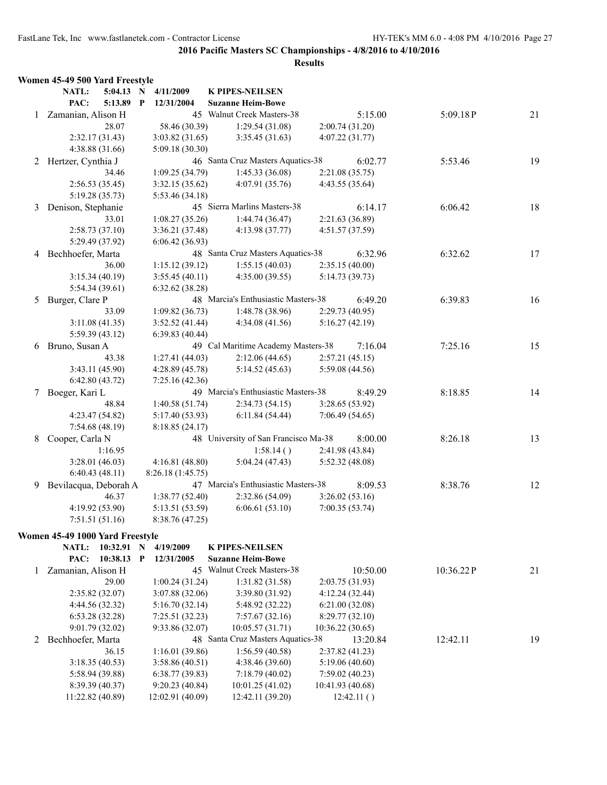|   | Women 45-49 500 Yard Freestyle  |              |                   |                                      |                  |           |    |
|---|---------------------------------|--------------|-------------------|--------------------------------------|------------------|-----------|----|
|   | 5:04.13 N<br><b>NATL:</b>       |              | 4/11/2009         | <b>K PIPES-NEILSEN</b>               |                  |           |    |
|   | PAC:<br>5:13.89                 | $\mathbf{P}$ | 12/31/2004        | <b>Suzanne Heim-Bowe</b>             |                  |           |    |
| 1 | Zamanian, Alison H              |              |                   | 45 Walnut Creek Masters-38           | 5:15.00          | 5:09.18P  | 21 |
|   | 28.07                           |              | 58.46 (30.39)     | 1:29.54(31.08)                       | 2:00.74(31.20)   |           |    |
|   | 2:32.17(31.43)                  |              | 3:03.82(31.65)    | 3:35.45(31.63)                       | 4:07.22(31.77)   |           |    |
|   | 4:38.88 (31.66)                 |              | 5:09.18 (30.30)   |                                      |                  |           |    |
|   | 2 Hertzer, Cynthia J            |              |                   | 46 Santa Cruz Masters Aquatics-38    | 6:02.77          | 5:53.46   | 19 |
|   | 34.46                           |              | 1:09.25(34.79)    | 1:45.33(36.08)                       | 2:21.08(35.75)   |           |    |
|   | 2:56.53(35.45)                  |              | 3:32.15(35.62)    | 4:07.91 (35.76)                      | 4:43.55 (35.64)  |           |    |
|   | 5:19.28 (35.73)                 |              | 5:53.46 (34.18)   |                                      |                  |           |    |
| 3 | Denison, Stephanie              |              |                   | 45 Sierra Marlins Masters-38         | 6:14.17          | 6:06.42   | 18 |
|   | 33.01                           |              | 1:08.27(35.26)    | 1:44.74(36.47)                       | 2:21.63 (36.89)  |           |    |
|   | 2:58.73(37.10)                  |              | 3:36.21(37.48)    | 4:13.98(37.77)                       | 4:51.57 (37.59)  |           |    |
|   | 5:29.49 (37.92)                 |              | 6:06.42(36.93)    |                                      |                  |           |    |
|   | 4 Bechhoefer, Marta             |              |                   | 48 Santa Cruz Masters Aquatics-38    | 6:32.96          | 6:32.62   | 17 |
|   | 36.00                           |              | 1:15.12(39.12)    | 1:55.15(40.03)                       | 2:35.15(40.00)   |           |    |
|   | 3:15.34(40.19)                  |              | 3:55.45(40.11)    | 4:35.00(39.55)                       | 5:14.73 (39.73)  |           |    |
|   | 5:54.34(39.61)                  |              | 6:32.62(38.28)    |                                      |                  |           |    |
| 5 | Burger, Clare P                 |              |                   | 48 Marcia's Enthusiastic Masters-38  | 6:49.20          | 6:39.83   | 16 |
|   | 33.09                           |              | 1:09.82(36.73)    | 1:48.78(38.96)                       | 2:29.73(40.95)   |           |    |
|   | 3:11.08(41.35)                  |              | 3:52.52(41.44)    | 4:34.08(41.56)                       | 5:16.27(42.19)   |           |    |
|   | 5:59.39 (43.12)                 |              | 6:39.83(40.44)    |                                      |                  |           |    |
| 6 | Bruno, Susan A                  |              |                   | 49 Cal Maritime Academy Masters-38   | 7:16.04          | 7:25.16   | 15 |
|   | 43.38                           |              | 1:27.41(44.03)    | 2:12.06(44.65)                       | 2:57.21(45.15)   |           |    |
|   | 3:43.11 (45.90)                 |              | 4:28.89(45.78)    | 5:14.52(45.63)                       | 5:59.08 (44.56)  |           |    |
|   | 6:42.80(43.72)                  |              | 7:25.16(42.36)    |                                      |                  |           |    |
|   | 7 Boeger, Kari L                |              |                   | 49 Marcia's Enthusiastic Masters-38  | 8:49.29          | 8:18.85   | 14 |
|   | 48.84                           |              | 1:40.58(51.74)    | 2:34.73(54.15)                       | 3:28.65(53.92)   |           |    |
|   | 4:23.47 (54.82)                 |              | 5:17.40 (53.93)   | 6:11.84(54.44)                       | 7:06.49(54.65)   |           |    |
|   | 7:54.68 (48.19)                 |              | 8:18.85(24.17)    |                                      |                  |           |    |
|   | Cooper, Carla N                 |              |                   | 48 University of San Francisco Ma-38 | 8:00.00          |           |    |
| 8 |                                 |              |                   |                                      |                  | 8:26.18   | 13 |
|   | 1:16.95                         |              |                   | 1:58.14()                            | 2:41.98 (43.84)  |           |    |
|   | 3:28.01(46.03)                  |              | 4:16.81(48.80)    | 5:04.24(47.43)                       | 5:52.32 (48.08)  |           |    |
|   | 6:40.43(48.11)                  |              | 8:26.18 (1:45.75) |                                      |                  |           |    |
| 9 | Bevilacqua, Deborah A           |              |                   | 47 Marcia's Enthusiastic Masters-38  | 8:09.53          | 8:38.76   | 12 |
|   | 46.37                           |              | 1:38.77 (52.40)   | 2:32.86 (54.09)                      | 3:26.02(53.16)   |           |    |
|   | 4:19.92 (53.90)                 |              | 5:13.51 (53.59)   | 6:06.61(53.10)                       | 7:00.35(53.74)   |           |    |
|   | 7:51.51 (51.16)                 |              | 8:38.76 (47.25)   |                                      |                  |           |    |
|   | Women 45-49 1000 Yard Freestyle |              |                   |                                      |                  |           |    |
|   | 10:32.91<br>NATL:               | N            | 4/19/2009         | <b>K PIPES-NEILSEN</b>               |                  |           |    |
|   | 10:38.13<br>PAC:                | P            | 12/31/2005        | <b>Suzanne Heim-Bowe</b>             |                  |           |    |
| 1 | Zamanian, Alison H              |              |                   | 45 Walnut Creek Masters-38           | 10:50.00         | 10:36.22P | 21 |
|   | 29.00                           |              | 1:00.24(31.24)    | 1:31.82(31.58)                       | 2:03.75(31.93)   |           |    |
|   | 2:35.82(32.07)                  |              | 3:07.88 (32.06)   | 3:39.80 (31.92)                      | 4:12.24 (32.44)  |           |    |
|   | 4:44.56 (32.32)                 |              | 5:16.70(32.14)    | 5:48.92 (32.22)                      | 6:21.00(32.08)   |           |    |
|   | 6:53.28(32.28)                  |              | 7:25.51(32.23)    | 7:57.67(32.16)                       | 8:29.77 (32.10)  |           |    |
|   | 9:01.79 (32.02)                 |              | 9:33.86 (32.07)   | 10:05.57(31.71)                      | 10:36.22 (30.65) |           |    |
| 2 | Bechhoefer, Marta               |              |                   | 48 Santa Cruz Masters Aquatics-38    | 13:20.84         | 12:42.11  | 19 |
|   | 36.15                           |              | 1:16.01(39.86)    | 1:56.59(40.58)                       | 2:37.82 (41.23)  |           |    |
|   | 3:18.35(40.53)                  |              | 3:58.86(40.51)    | 4:38.46 (39.60)                      | 5:19.06(40.60)   |           |    |
|   | 5:58.94 (39.88)                 |              | 6:38.77(39.83)    | 7:18.79 (40.02)                      | 7:59.02(40.23)   |           |    |
|   | 8:39.39 (40.37)                 |              | 9:20.23(40.84)    | 10:01.25 (41.02)                     | 10:41.93 (40.68) |           |    |
|   | 11:22.82 (40.89)                |              | 12:02.91 (40.09)  | 12:42.11 (39.20)                     | 12:42.11()       |           |    |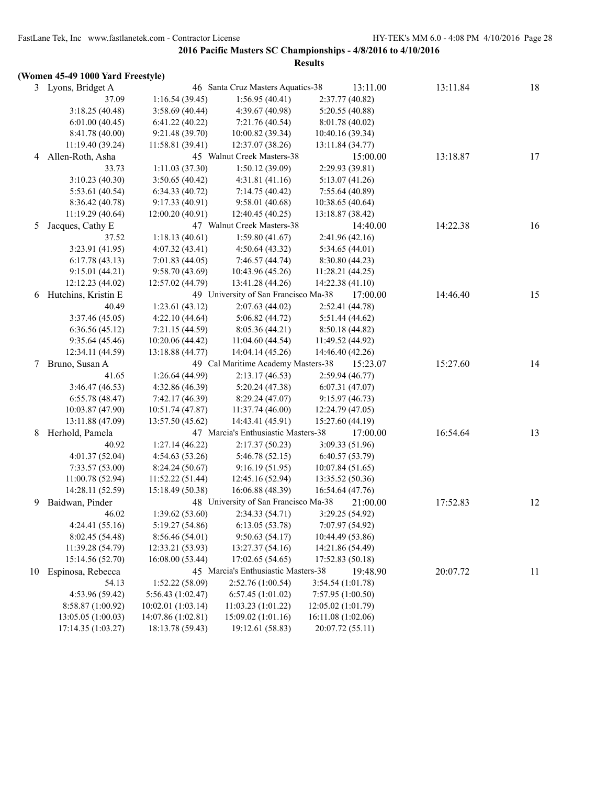# **(Women 45-49 1000 Yard Freestyle)**

|    | 3 Lyons, Bridget A  |                    | 46 Santa Cruz Masters Aquatics-38    | 13:11.00           | 13:11.84 | 18 |
|----|---------------------|--------------------|--------------------------------------|--------------------|----------|----|
|    | 37.09               | 1:16.54(39.45)     | 1:56.95(40.41)                       | 2:37.77(40.82)     |          |    |
|    | 3:18.25(40.48)      | 3:58.69(40.44)     | 4:39.67 (40.98)                      | 5:20.55(40.88)     |          |    |
|    | 6:01.00(40.45)      | 6:41.22(40.22)     | 7:21.76 (40.54)                      | 8:01.78 (40.02)    |          |    |
|    | 8:41.78 (40.00)     | 9:21.48 (39.70)    | 10:00.82 (39.34)                     | 10:40.16 (39.34)   |          |    |
|    | 11:19.40 (39.24)    | 11:58.81 (39.41)   | 12:37.07 (38.26)                     | 13:11.84 (34.77)   |          |    |
| 4  | Allen-Roth, Asha    |                    | 45 Walnut Creek Masters-38           | 15:00.00           | 13:18.87 | 17 |
|    | 33.73               | 1:11.03(37.30)     | 1:50.12(39.09)                       | 2:29.93 (39.81)    |          |    |
|    | 3:10.23 (40.30)     | 3:50.65(40.42)     | 4:31.81(41.16)                       | 5:13.07(41.26)     |          |    |
|    | 5:53.61 (40.54)     | 6:34.33(40.72)     | 7:14.75(40.42)                       | 7:55.64(40.89)     |          |    |
|    | 8:36.42 (40.78)     | 9:17.33(40.91)     | 9:58.01(40.68)                       | 10:38.65 (40.64)   |          |    |
|    | 11:19.29 (40.64)    | 12:00.20(40.91)    | 12:40.45 (40.25)                     | 13:18.87 (38.42)   |          |    |
| 5  | Jacques, Cathy E    |                    | 47 Walnut Creek Masters-38           | 14:40.00           | 14:22.38 | 16 |
|    | 37.52               | 1:18.13(40.61)     | 1:59.80(41.67)                       | 2:41.96(42.16)     |          |    |
|    | 3:23.91 (41.95)     | 4:07.32(43.41)     | 4:50.64(43.32)                       | 5:34.65(44.01)     |          |    |
|    | 6:17.78(43.13)      | 7:01.83(44.05)     | 7:46.57 (44.74)                      | 8:30.80(44.23)     |          |    |
|    | 9:15.01(44.21)      | 9:58.70(43.69)     | 10:43.96 (45.26)                     | 11:28.21 (44.25)   |          |    |
|    | 12:12.23 (44.02)    | 12:57.02 (44.79)   | 13:41.28 (44.26)                     | 14:22.38 (41.10)   |          |    |
| 6  | Hutchins, Kristin E |                    | 49 University of San Francisco Ma-38 | 17:00.00           | 14:46.40 | 15 |
|    | 40.49               | 1:23.61(43.12)     | 2:07.63(44.02)                       | 2:52.41 (44.78)    |          |    |
|    | 3:37.46 (45.05)     | 4:22.10(44.64)     | 5:06.82(44.72)                       | 5:51.44 (44.62)    |          |    |
|    | 6:36.56(45.12)      | 7:21.15(44.59)     | 8:05.36(44.21)                       | 8:50.18(44.82)     |          |    |
|    | 9:35.64(45.46)      | 10:20.06 (44.42)   | 11:04.60(44.54)                      | 11:49.52 (44.92)   |          |    |
|    | 12:34.11 (44.59)    | 13:18.88 (44.77)   | 14:04.14 (45.26)                     | 14:46.40 (42.26)   |          |    |
| 7  | Bruno, Susan A      |                    | 49 Cal Maritime Academy Masters-38   | 15:23.07           | 15:27.60 | 14 |
|    | 41.65               | 1:26.64(44.99)     | 2:13.17(46.53)                       | 2:59.94(46.77)     |          |    |
|    | 3:46.47 (46.53)     | 4:32.86 (46.39)    | 5:20.24(47.38)                       | 6:07.31(47.07)     |          |    |
|    | 6:55.78(48.47)      | 7:42.17 (46.39)    | 8:29.24(47.07)                       | 9:15.97(46.73)     |          |    |
|    | 10:03.87 (47.90)    | 10:51.74 (47.87)   | 11:37.74(46.00)                      | 12:24.79 (47.05)   |          |    |
|    | 13:11.88 (47.09)    | 13:57.50 (45.62)   | 14:43.41 (45.91)                     | 15:27.60 (44.19)   |          |    |
| 8  | Herhold, Pamela     |                    | 47 Marcia's Enthusiastic Masters-38  | 17:00.00           | 16:54.64 | 13 |
|    | 40.92               | 1:27.14(46.22)     | 2:17.37(50.23)                       | 3:09.33 (51.96)    |          |    |
|    | 4:01.37(52.04)      | 4:54.63(53.26)     | 5:46.78(52.15)                       | 6:40.57(53.79)     |          |    |
|    | 7:33.57(53.00)      | 8:24.24(50.67)     | 9:16.19(51.95)                       | 10:07.84(51.65)    |          |    |
|    | 11:00.78 (52.94)    | 11:52.22(51.44)    | 12:45.16 (52.94)                     | 13:35.52 (50.36)   |          |    |
|    | 14:28.11 (52.59)    | 15:18.49 (50.38)   | 16:06.88 (48.39)                     | 16:54.64 (47.76)   |          |    |
| 9  | Baidwan, Pinder     |                    | 48 University of San Francisco Ma-38 | 21:00.00           | 17:52.83 | 12 |
|    | 46.02               | 1:39.62(53.60)     | 2:34.33 (54.71)                      | 3:29.25 (54.92)    |          |    |
|    | 4:24.41 (55.16)     | 5:19.27 (54.86)    | 6:13.05(53.78)                       | 7:07.97 (54.92)    |          |    |
|    | 8:02.45 (54.48)     | 8:56.46 (54.01)    | 9:50.63(54.17)                       | 10:44.49 (53.86)   |          |    |
|    | 11:39.28 (54.79)    | 12:33.21 (53.93)   | 13:27.37 (54.16)                     | 14:21.86 (54.49)   |          |    |
|    | 15:14.56 (52.70)    | 16:08.00(53.44)    | 17:02.65(54.65)                      | 17:52.83 (50.18)   |          |    |
| 10 | Espinosa, Rebecca   |                    | 45 Marcia's Enthusiastic Masters-38  | 19:48.90           | 20:07.72 | 11 |
|    | 54.13               | 1:52.22(58.09)     | 2:52.76 (1:00.54)                    | 3:54.54 (1:01.78)  |          |    |
|    | 4:53.96 (59.42)     | 5:56.43 (1:02.47)  | 6:57.45(1:01.02)                     | 7:57.95 (1:00.50)  |          |    |
|    | 8:58.87 (1:00.92)   | 10:02.01 (1:03.14) | 11:03.23(1:01.22)                    | 12:05.02 (1:01.79) |          |    |
|    | 13:05.05(1:00.03)   | 14:07.86 (1:02.81) | 15:09.02 (1:01.16)                   | 16:11.08 (1:02.06) |          |    |
|    | 17:14.35 (1:03.27)  | 18:13.78 (59.43)   | 19:12.61 (58.83)                     | 20:07.72 (55.11)   |          |    |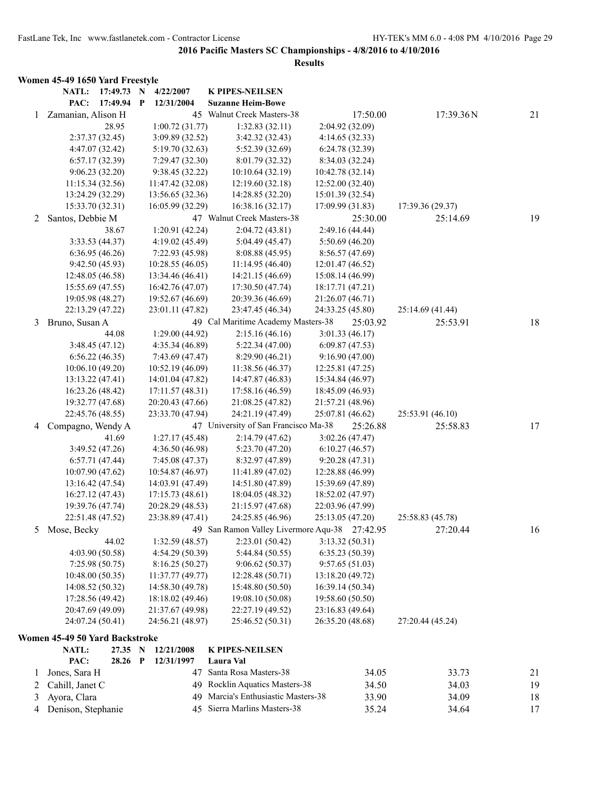|    | Women 45-49 1650 Yard Freestyle |                 |                                     |                                               |                                      |          |                  |    |
|----|---------------------------------|-----------------|-------------------------------------|-----------------------------------------------|--------------------------------------|----------|------------------|----|
|    | <b>NATL:</b>                    | 17:49.73 N      | 4/22/2007                           | <b>K PIPES-NEILSEN</b>                        |                                      |          |                  |    |
|    | PAC:                            | 17:49.94 P      | 12/31/2004                          | <b>Suzanne Heim-Bowe</b>                      |                                      |          |                  |    |
| 1. | Zamanian, Alison H              |                 |                                     | 45 Walnut Creek Masters-38                    |                                      | 17:50.00 | 17:39.36N        | 21 |
|    |                                 | 28.95           | 1:00.72(31.77)                      | 1:32.83(32.11)                                | 2:04.92 (32.09)                      |          |                  |    |
|    |                                 | 2:37.37(32.45)  | 3:09.89 (32.52)                     | 3:42.32 (32.43)                               | 4:14.65(32.33)                       |          |                  |    |
|    |                                 | 4:47.07 (32.42) | 5:19.70 (32.63)                     | 5:52.39 (32.69)                               | 6:24.78 (32.39)                      |          |                  |    |
|    |                                 | 6:57.17(32.39)  | 7:29.47 (32.30)                     | 8:01.79 (32.32)                               | 8:34.03 (32.24)                      |          |                  |    |
|    |                                 | 9:06.23(32.20)  | 9:38.45 (32.22)                     | 10:10.64 (32.19)                              | 10:42.78 (32.14)                     |          |                  |    |
|    | 11:15.34 (32.56)                |                 | 11:47.42 (32.08)                    | 12:19.60 (32.18)                              | 12:52.00 (32.40)                     |          |                  |    |
|    | 13:24.29 (32.29)                |                 | 13:56.65 (32.36)                    | 14:28.85 (32.20)                              | 15:01.39 (32.54)                     |          |                  |    |
|    | 15:33.70 (32.31)                |                 | 16:05.99 (32.29)                    | 16:38.16 (32.17)                              | 17:09.99 (31.83)                     |          | 17:39.36 (29.37) |    |
| 2  | Santos, Debbie M                |                 |                                     | 47 Walnut Creek Masters-38                    |                                      | 25:30.00 | 25:14.69         | 19 |
|    |                                 | 38.67           | 1:20.91(42.24)                      | 2:04.72(43.81)                                | 2:49.16 (44.44)                      |          |                  |    |
|    |                                 | 3:33.53(44.37)  | 4:19.02 (45.49)                     | 5:04.49 (45.47)                               | 5:50.69(46.20)                       |          |                  |    |
|    |                                 | 6:36.95(46.26)  | 7:22.93 (45.98)                     | 8:08.88 (45.95)                               | 8:56.57 (47.69)                      |          |                  |    |
|    | 12:48.05 (46.58)                | 9:42.50(45.93)  | 10:28.55(46.05)<br>13:34.46 (46.41) | 11:14.95(46.40)                               | 12:01.47 (46.52)                     |          |                  |    |
|    | 15:55.69 (47.55)                |                 | 16:42.76 (47.07)                    | 14:21.15 (46.69)<br>17:30.50 (47.74)          | 15:08.14 (46.99)<br>18:17.71 (47.21) |          |                  |    |
|    | 19:05.98 (48.27)                |                 | 19:52.67 (46.69)                    | 20:39.36 (46.69)                              | 21:26.07 (46.71)                     |          |                  |    |
|    | 22:13.29 (47.22)                |                 | 23:01.11 (47.82)                    | 23:47.45 (46.34)                              | 24:33.25 (45.80)                     |          | 25:14.69 (41.44) |    |
| 3  | Bruno, Susan A                  |                 |                                     | 49 Cal Maritime Academy Masters-38            |                                      | 25:03.92 | 25:53.91         | 18 |
|    |                                 | 44.08           | 1:29.00(44.92)                      | 2:15.16(46.16)                                | 3:01.33(46.17)                       |          |                  |    |
|    |                                 | 3:48.45(47.12)  | 4:35.34 (46.89)                     | 5:22.34(47.00)                                | 6:09.87(47.53)                       |          |                  |    |
|    |                                 | 6:56.22(46.35)  | 7:43.69 (47.47)                     | 8:29.90 (46.21)                               | 9:16.90(47.00)                       |          |                  |    |
|    | 10:06.10(49.20)                 |                 | 10:52.19 (46.09)                    | 11:38.56 (46.37)                              | 12:25.81 (47.25)                     |          |                  |    |
|    | 13:13.22 (47.41)                |                 | 14:01.04 (47.82)                    | 14:47.87 (46.83)                              | 15:34.84 (46.97)                     |          |                  |    |
|    | 16:23.26 (48.42)                |                 | 17:11.57 (48.31)                    | 17:58.16 (46.59)                              | 18:45.09 (46.93)                     |          |                  |    |
|    | 19:32.77 (47.68)                |                 | 20:20.43 (47.66)                    | 21:08.25 (47.82)                              | 21:57.21 (48.96)                     |          |                  |    |
|    | 22:45.76 (48.55)                |                 | 23:33.70 (47.94)                    | 24:21.19 (47.49)                              | 25:07.81 (46.62)                     |          | 25:53.91 (46.10) |    |
| 4  | Compagno, Wendy A               |                 |                                     | 47 University of San Francisco Ma-38          |                                      | 25:26.88 | 25:58.83         | 17 |
|    |                                 | 41.69           | 1:27.17(45.48)                      | 2:14.79(47.62)                                | 3:02.26(47.47)                       |          |                  |    |
|    |                                 | 3:49.52 (47.26) | 4:36.50 (46.98)                     | 5:23.70 (47.20)                               | 6:10.27(46.57)                       |          |                  |    |
|    |                                 | 6:57.71(47.44)  | 7:45.08(47.37)                      | 8:32.97 (47.89)                               | 9:20.28(47.31)                       |          |                  |    |
|    | 10:07.90 (47.62)                |                 | 10:54.87 (46.97)                    | 11:41.89 (47.02)                              | 12:28.88 (46.99)                     |          |                  |    |
|    | 13:16.42 (47.54)                |                 | 14:03.91 (47.49)                    | 14:51.80 (47.89)                              | 15:39.69 (47.89)                     |          |                  |    |
|    | 16:27.12 (47.43)                |                 | 17:15.73 (48.61)                    | 18:04.05 (48.32)                              | 18:52.02 (47.97)                     |          |                  |    |
|    | 19:39.76 (47.74)                |                 | 20:28.29 (48.53)                    | 21:15.97 (47.68)                              | 22:03.96 (47.99)                     |          |                  |    |
|    | 22:51.48 (47.52)                |                 | 23:38.89 (47.41)                    | 24:25.85 (46.96)                              | 25:13.05 (47.20)                     |          | 25:58.83 (45.78) |    |
| 5  | Mose, Becky                     |                 |                                     | 49 San Ramon Valley Livermore Aqu-38 27:42.95 |                                      |          | 27:20.44         | 16 |
|    |                                 | 44.02           | 1:32.59(48.57)                      | 2:23.01(50.42)                                | 3:13.32(50.31)                       |          |                  |    |
|    |                                 | 4:03.90 (50.58) | 4:54.29(50.39)                      | 5:44.84 (50.55)                               | 6:35.23(50.39)                       |          |                  |    |
|    |                                 | 7:25.98(50.75)  | 8:16.25(50.27)                      | 9:06.62(50.37)                                | 9:57.65(51.03)                       |          |                  |    |
|    | 10:48.00 (50.35)                |                 | 11:37.77 (49.77)                    | 12:28.48 (50.71)                              | 13:18.20 (49.72)                     |          |                  |    |
|    | 14:08.52 (50.32)                |                 | 14:58.30 (49.78)                    | 15:48.80 (50.50)                              | 16:39.14 (50.34)                     |          |                  |    |
|    | 17:28.56 (49.42)                |                 | 18:18.02 (49.46)                    | 19:08.10 (50.08)                              | 19:58.60 (50.50)                     |          |                  |    |
|    | 20:47.69 (49.09)                |                 | 21:37.67 (49.98)                    | 22:27.19 (49.52)<br>25:46.52 (50.31)          | 23:16.83 (49.64)                     |          |                  |    |
|    | 24:07.24 (50.41)                |                 | 24:56.21 (48.97)                    |                                               | 26:35.20 (48.68)                     |          | 27:20.44 (45.24) |    |
|    | Women 45-49 50 Yard Backstroke  |                 |                                     |                                               |                                      |          |                  |    |
|    | NATL:                           | 27.35 N         | 12/21/2008                          | <b>K PIPES-NEILSEN</b>                        |                                      |          |                  |    |
|    | PAC:                            | 28.26 P         | 12/31/1997                          | Laura Val                                     |                                      |          |                  |    |
| 1  | Jones, Sara H                   |                 |                                     | 47 Santa Rosa Masters-38                      |                                      | 34.05    | 33.73            | 21 |
| 2  | Cahill, Janet C                 |                 |                                     | 49 Rocklin Aquatics Masters-38                |                                      | 34.50    | 34.03            | 19 |
| 3  | Ayora, Clara                    |                 | 49                                  | Marcia's Enthusiastic Masters-38              |                                      | 33.90    | 34.09            | 18 |
| 4  | Denison, Stephanie              |                 | 45                                  | Sierra Marlins Masters-38                     |                                      | 35.24    | 34.64            | 17 |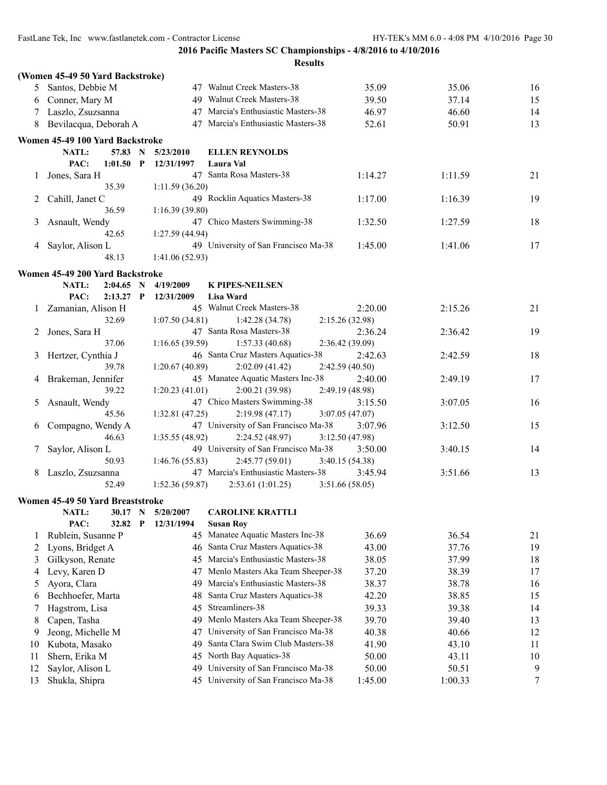|    |                                  |              |                 | <b>Results</b>                       |                 |         |    |
|----|----------------------------------|--------------|-----------------|--------------------------------------|-----------------|---------|----|
|    | (Women 45-49 50 Yard Backstroke) |              |                 |                                      |                 |         |    |
| 5  | Santos, Debbie M                 |              |                 | 47 Walnut Creek Masters-38           | 35.09           | 35.06   | 16 |
| 6  | Conner, Mary M                   |              |                 | 49 Walnut Creek Masters-38           | 39.50           | 37.14   | 15 |
| 7  | Laszlo, Zsuzsanna                |              |                 | 47 Marcia's Enthusiastic Masters-38  | 46.97           | 46.60   | 14 |
| 8  | Bevilacqua, Deborah A            |              |                 | 47 Marcia's Enthusiastic Masters-38  | 52.61           | 50.91   | 13 |
|    | Women 45-49 100 Yard Backstroke  |              |                 |                                      |                 |         |    |
|    | NATL:<br>57.83                   | N            | 5/23/2010       | <b>ELLEN REYNOLDS</b>                |                 |         |    |
|    | PAC:<br>1:01.50                  | $\mathbf P$  | 12/31/1997      | Laura Val                            |                 |         |    |
| 1  | Jones, Sara H                    |              |                 | 47 Santa Rosa Masters-38             | 1:14.27         | 1:11.59 | 21 |
|    | 35.39                            |              | 1:11.59(36.20)  |                                      |                 |         |    |
| 2  | Cahill, Janet C                  |              |                 | 49 Rocklin Aquatics Masters-38       | 1:17.00         | 1:16.39 | 19 |
|    | 36.59                            |              | 1:16.39(39.80)  |                                      |                 |         |    |
| 3  | Asnault, Wendy                   |              |                 | 47 Chico Masters Swimming-38         | 1:32.50         | 1:27.59 | 18 |
|    | 42.65                            |              | 1:27.59 (44.94) |                                      |                 |         |    |
| 4  | Saylor, Alison L                 |              |                 | 49 University of San Francisco Ma-38 | 1:45.00         | 1:41.06 | 17 |
|    | 48.13                            |              | 1:41.06(52.93)  |                                      |                 |         |    |
|    | Women 45-49 200 Yard Backstroke  |              |                 |                                      |                 |         |    |
|    | NATL:                            | $2:04.65$ N  | 4/19/2009       | <b>K PIPES-NEILSEN</b>               |                 |         |    |
|    | PAC:                             | $2:13.27$ P  | 12/31/2009      | Lisa Ward                            |                 |         |    |
|    | 1 Zamanian, Alison H             |              |                 | 45 Walnut Creek Masters-38           | 2:20.00         | 2:15.26 | 21 |
|    | 32.69                            |              | 1:07.50(34.81)  | 1:42.28(34.78)                       | 2:15.26(32.98)  |         |    |
| 2  | Jones, Sara H                    |              |                 | 47 Santa Rosa Masters-38             | 2:36.24         | 2:36.42 | 19 |
|    | 37.06                            |              | 1:16.65(39.59)  | 1:57.33(40.68)                       | 2:36.42 (39.09) |         |    |
| 3  | Hertzer, Cynthia J               |              |                 | 46 Santa Cruz Masters Aquatics-38    | 2:42.63         | 2:42.59 | 18 |
|    | 39.78                            |              | 1:20.67(40.89)  | 2:02.09(41.42)                       | 2:42.59 (40.50) |         |    |
| 4  | Brakeman, Jennifer               |              |                 | 45 Manatee Aquatic Masters Inc-38    | 2:40.00         | 2:49.19 | 17 |
|    | 39.22                            |              | 1:20.23(41.01)  | 2:00.21 (39.98)                      | 2:49.19 (48.98) |         |    |
| 5  | Asnault, Wendy                   |              |                 | 47 Chico Masters Swimming-38         | 3:15.50         | 3:07.05 | 16 |
|    | 45.56                            |              | 1:32.81(47.25)  | 2:19.98(47.17)                       | 3:07.05 (47.07) |         |    |
| 6  | Compagno, Wendy A                |              |                 | 47 University of San Francisco Ma-38 | 3:07.96         | 3:12.50 | 15 |
|    | 46.63                            |              | 1:35.55(48.92)  | 2:24.52(48.97)                       | 3:12.50 (47.98) |         |    |
| 7  | Saylor, Alison L                 |              |                 | 49 University of San Francisco Ma-38 | 3:50.00         | 3:40.15 | 14 |
|    | 50.93                            |              | 1:46.76(55.83)  | 2:45.77(59.01)                       | 3:40.15 (54.38) |         |    |
| 8  | Laszlo, Zsuzsanna                |              |                 | 47 Marcia's Enthusiastic Masters-38  | 3:45.94         | 3:51.66 | 13 |
|    | 52.49                            |              | 1:52.36(59.87)  | 2:53.61(1:01.25)                     | 3:51.66(58.05)  |         |    |
|    | Women 45-49 50 Yard Breaststroke |              |                 |                                      |                 |         |    |
|    | NATL:                            | 30.17 N      | 5/20/2007       | <b>CAROLINE KRATTLI</b>              |                 |         |    |
|    | PAC:<br>32.82                    | $\mathbf{P}$ | 12/31/1994      | <b>Susan Roy</b>                     |                 |         |    |
| 1  | Rublein, Susanne P               |              | 45              | Manatee Aquatic Masters Inc-38       | 36.69           | 36.54   | 21 |
| 2  | Lyons, Bridget A                 |              | 46              | Santa Cruz Masters Aquatics-38       | 43.00           | 37.76   | 19 |
| 3  | Gilkyson, Renate                 |              | 45              | Marcia's Enthusiastic Masters-38     | 38.05           | 37.99   | 18 |
| 4  | Levy, Karen D                    |              | 47              | Menlo Masters Aka Team Sheeper-38    | 37.20           | 38.39   | 17 |
| 5  | Ayora, Clara                     |              | 49              | Marcia's Enthusiastic Masters-38     | 38.37           | 38.78   | 16 |
| 6  | Bechhoefer, Marta                |              | 48              | Santa Cruz Masters Aquatics-38       | 42.20           | 38.85   | 15 |
| 7  | Hagstrom, Lisa                   |              | 45              | Streamliners-38                      | 39.33           | 39.38   | 14 |
| 8  | Capen, Tasha                     |              | 49              | Menlo Masters Aka Team Sheeper-38    | 39.70           | 39.40   | 13 |
| 9  | Jeong, Michelle M                |              | 47              | University of San Francisco Ma-38    | 40.38           | 40.66   | 12 |
| 10 | Kubota, Masako                   |              | 49              | Santa Clara Swim Club Masters-38     | 41.90           | 43.10   | 11 |
| 11 | Shern, Erika M                   |              | 45              | North Bay Aquatics-38                | 50.00           | 43.11   | 10 |
| 12 | Saylor, Alison L                 |              | 49              | University of San Francisco Ma-38    | 50.00           | 50.51   | 9  |
| 13 | Shukla, Shipra                   |              | 45              | University of San Francisco Ma-38    | 1:45.00         | 1:00.33 | 7  |
|    |                                  |              |                 |                                      |                 |         |    |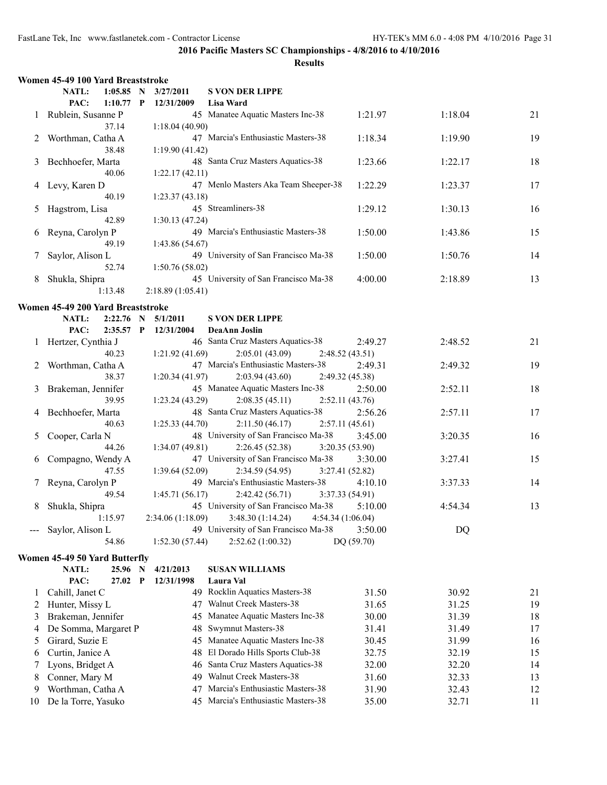|    | Women 45-49 100 Yard Breaststroke |              |                   |                                                        |                            |         |    |
|----|-----------------------------------|--------------|-------------------|--------------------------------------------------------|----------------------------|---------|----|
|    | $1:05.85$ N<br>NATL:              |              | 3/27/2011         | <b>S VON DER LIPPE</b>                                 |                            |         |    |
|    | PAC:<br>1:10.77                   | $\mathbf{P}$ | 12/31/2009        | <b>Lisa Ward</b>                                       |                            |         |    |
| 1  | Rublein, Susanne P                |              |                   | 45 Manatee Aquatic Masters Inc-38                      | 1:21.97                    | 1:18.04 | 21 |
|    | 37.14                             |              | 1:18.04(40.90)    |                                                        |                            |         |    |
| 2  | Worthman, Catha A                 |              |                   | 47 Marcia's Enthusiastic Masters-38                    | 1:18.34                    | 1:19.90 | 19 |
|    | 38.48                             |              | 1:19.90(41.42)    | 48 Santa Cruz Masters Aquatics-38                      | 1:23.66                    |         |    |
| 3  | Bechhoefer, Marta<br>40.06        |              | 1:22.17(42.11)    |                                                        |                            | 1:22.17 | 18 |
| 4  | Levy, Karen D                     |              |                   | 47 Menlo Masters Aka Team Sheeper-38                   | 1:22.29                    | 1:23.37 | 17 |
|    | 40.19                             |              | 1:23.37(43.18)    |                                                        |                            |         |    |
| 5  | Hagstrom, Lisa                    |              |                   | 45 Streamliners-38                                     | 1:29.12                    | 1:30.13 | 16 |
|    | 42.89                             |              | 1:30.13(47.24)    |                                                        |                            |         |    |
| 6  | Reyna, Carolyn P                  |              |                   | 49 Marcia's Enthusiastic Masters-38                    | 1:50.00                    | 1:43.86 | 15 |
|    | 49.19                             |              | 1:43.86(54.67)    |                                                        |                            |         |    |
| 7  | Saylor, Alison L                  |              |                   | 49 University of San Francisco Ma-38                   | 1:50.00                    | 1:50.76 | 14 |
|    | 52.74                             |              | 1:50.76 (58.02)   |                                                        |                            |         |    |
| 8  | Shukla, Shipra                    |              |                   | 45 University of San Francisco Ma-38                   | 4:00.00                    | 2:18.89 | 13 |
|    | 1:13.48                           |              | 2:18.89 (1:05.41) |                                                        |                            |         |    |
|    | Women 45-49 200 Yard Breaststroke |              |                   |                                                        |                            |         |    |
|    | NATL:<br>2:22.76                  | N            | 5/1/2011          | <b>S VON DER LIPPE</b>                                 |                            |         |    |
|    | PAC:<br>2:35.57 P                 |              | 12/31/2004        | DeaAnn Joslin                                          |                            |         |    |
| 1  | Hertzer, Cynthia J                |              |                   | 46 Santa Cruz Masters Aquatics-38                      | 2:49.27                    | 2:48.52 | 21 |
|    | 40.23                             |              | 1:21.92(41.69)    | 2:05.01(43.09)                                         | 2:48.52 (43.51)            |         |    |
| 2  | Worthman, Catha A                 |              |                   | 47 Marcia's Enthusiastic Masters-38                    | 2:49.31                    | 2:49.32 | 19 |
|    | 38.37                             |              | 1:20.34(41.97)    | 2:03.94(43.60)                                         | 2:49.32 (45.38)            |         |    |
| 3  | Brakeman, Jennifer                |              |                   | 45 Manatee Aquatic Masters Inc-38                      | 2:50.00                    | 2:52.11 | 18 |
|    | 39.95                             |              | 1:23.24(43.29)    | 2:08.35(45.11)                                         | 2:52.11(43.76)             |         |    |
| 4  | Bechhoefer, Marta                 |              |                   | 48 Santa Cruz Masters Aquatics-38                      | 2:56.26                    | 2:57.11 | 17 |
|    | 40.63                             |              | 1:25.33(44.70)    | 2:11.50(46.17)                                         | 2:57.11(45.61)             |         |    |
| 5  | Cooper, Carla N                   |              |                   | 48 University of San Francisco Ma-38                   | 3:45.00                    | 3:20.35 | 16 |
|    | 44.26                             |              | 1:34.07(49.81)    | 2:26.45(52.38)<br>47 University of San Francisco Ma-38 | 3:20.35 (53.90)            |         | 15 |
| 6  | Compagno, Wendy A<br>47.55        |              | 1:39.64(52.09)    | 2:34.59(54.95)                                         | 3:30.00<br>3:27.41 (52.82) | 3:27.41 |    |
| 7  | Reyna, Carolyn P                  |              |                   | 49 Marcia's Enthusiastic Masters-38                    | 4:10.10                    | 3:37.33 | 14 |
|    | 49.54                             |              | 1:45.71(56.17)    | 2:42.42(56.71)                                         | 3:37.33 (54.91)            |         |    |
| 8  | Shukla, Shipra                    |              |                   | 45 University of San Francisco Ma-38                   | 5:10.00                    | 4:54.34 | 13 |
|    | 1:15.97                           |              |                   | 2:34.06 (1:18.09) 3:48.30 (1:14.24) 4:54.34 (1:06.04)  |                            |         |    |
|    | Saylor, Alison L                  |              |                   | 49 University of San Francisco Ma-38                   | 3:50.00                    | DQ      |    |
|    | 54.86                             |              | 1:52.30(57.44)    | 2:52.62(1:00.32)                                       | DQ (59.70)                 |         |    |
|    | Women 45-49 50 Yard Butterfly     |              |                   |                                                        |                            |         |    |
|    | <b>NATL:</b><br>25.96 N           |              | 4/21/2013         | <b>SUSAN WILLIAMS</b>                                  |                            |         |    |
|    | PAC:<br>27.02                     | P            | 12/31/1998        | Laura Val                                              |                            |         |    |
| 1  | Cahill, Janet C                   |              |                   | 49 Rocklin Aquatics Masters-38                         | 31.50                      | 30.92   | 21 |
| 2  | Hunter, Missy L                   |              | 47                | Walnut Creek Masters-38                                | 31.65                      | 31.25   | 19 |
| 3  | Brakeman, Jennifer                |              | 45                | Manatee Aquatic Masters Inc-38                         | 30.00                      | 31.39   | 18 |
| 4  | De Somma, Margaret P              |              | 48                | Swymnut Masters-38                                     | 31.41                      | 31.49   | 17 |
| 5  | Girard, Suzie E                   |              | 45                | Manatee Aquatic Masters Inc-38                         | 30.45                      | 31.99   | 16 |
| 6  | Curtin, Janice A                  |              | 48                | El Dorado Hills Sports Club-38                         | 32.75                      | 32.19   | 15 |
| 7  | Lyons, Bridget A                  |              | 46                | Santa Cruz Masters Aquatics-38                         | 32.00                      | 32.20   | 14 |
| 8  | Conner, Mary M                    |              | 49                | Walnut Creek Masters-38                                | 31.60                      | 32.33   | 13 |
| 9  | Worthman, Catha A                 |              | 47                | Marcia's Enthusiastic Masters-38                       | 31.90                      | 32.43   | 12 |
| 10 | De la Torre, Yasuko               |              |                   | 45 Marcia's Enthusiastic Masters-38                    | 35.00                      | 32.71   | 11 |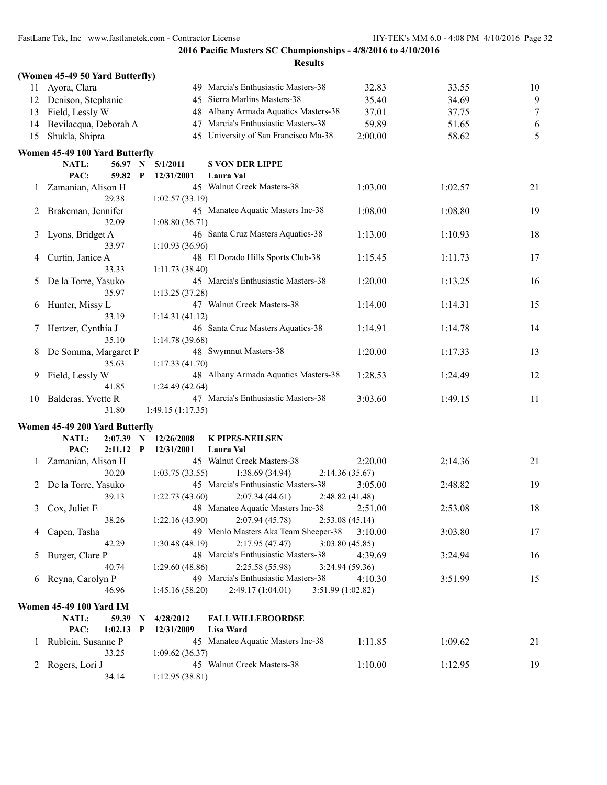| <b>Results</b> |  |
|----------------|--|

|              | (Women 45-49 50 Yard Butterfly)                              |                          |                                       |                           |         |        |
|--------------|--------------------------------------------------------------|--------------------------|---------------------------------------|---------------------------|---------|--------|
| 11           | Ayora, Clara                                                 |                          | 49 Marcia's Enthusiastic Masters-38   | 32.83                     | 33.55   | 10     |
|              | 12 Denison, Stephanie                                        |                          | 45 Sierra Marlins Masters-38          | 35.40                     | 34.69   | 9      |
| 13           | Field, Lessly W                                              |                          | 48 Albany Armada Aquatics Masters-38  | 37.01                     | 37.75   | $\tau$ |
| 14           | Bevilacqua, Deborah A                                        |                          | 47 Marcia's Enthusiastic Masters-38   | 59.89                     | 51.65   | 6      |
| 15           | Shukla, Shipra                                               |                          | 45 University of San Francisco Ma-38  | 2:00.00                   | 58.62   | 5      |
|              |                                                              |                          |                                       |                           |         |        |
|              | Women 45-49 100 Yard Butterfly<br>56.97<br><b>NATL:</b><br>N | 5/1/2011                 | <b>S VON DER LIPPE</b>                |                           |         |        |
|              | PAC:<br>59.82<br>P                                           | 12/31/2001               | Laura Val                             |                           |         |        |
|              | 1 Zamanian, Alison H                                         |                          | 45 Walnut Creek Masters-38            | 1:03.00                   | 1:02.57 | 21     |
|              | 29.38                                                        | 1:02.57(33.19)           |                                       |                           |         |        |
|              | Brakeman, Jennifer                                           |                          | 45 Manatee Aquatic Masters Inc-38     | 1:08.00                   | 1:08.80 | 19     |
| 2            | 32.09                                                        | 1:08.80(36.71)           |                                       |                           |         |        |
| 3            | Lyons, Bridget A                                             |                          | 46 Santa Cruz Masters Aquatics-38     | 1:13.00                   | 1:10.93 | 18     |
|              | 33.97                                                        | 1:10.93(36.96)           |                                       |                           |         |        |
|              | Curtin, Janice A                                             |                          | 48 El Dorado Hills Sports Club-38     | 1:15.45                   | 1:11.73 | 17     |
| 4            | 33.33                                                        | 1:11.73(38.40)           |                                       |                           |         |        |
| 5            | De la Torre, Yasuko                                          |                          | 45 Marcia's Enthusiastic Masters-38   | 1:20.00                   | 1:13.25 | 16     |
|              | 35.97                                                        | 1:13.25(37.28)           |                                       |                           |         |        |
| 6            | Hunter, Missy L                                              |                          | 47 Walnut Creek Masters-38            | 1:14.00                   | 1:14.31 | 15     |
|              | 33.19                                                        | 1:14.31(41.12)           |                                       |                           |         |        |
| 7            | Hertzer, Cynthia J                                           |                          | 46 Santa Cruz Masters Aquatics-38     | 1:14.91                   | 1:14.78 | 14     |
|              | 35.10                                                        | 1:14.78(39.68)           |                                       |                           |         |        |
| 8            | De Somma, Margaret P                                         |                          | 48 Swymnut Masters-38                 | 1:20.00                   | 1:17.33 | 13     |
|              | 35.63                                                        | 1:17.33(41.70)           |                                       |                           |         |        |
| 9            | Field, Lessly W                                              |                          | 48 Albany Armada Aquatics Masters-38  | 1:28.53                   | 1:24.49 | 12     |
|              | 41.85                                                        | 1:24.49(42.64)           |                                       |                           |         |        |
| 10           | Balderas, Yvette R                                           |                          | 47 Marcia's Enthusiastic Masters-38   | 3:03.60                   | 1:49.15 | 11     |
|              | 31.80                                                        | 1:49.15(1:17.35)         |                                       |                           |         |        |
|              |                                                              |                          |                                       |                           |         |        |
|              | Women 45-49 200 Yard Butterfly                               |                          |                                       |                           |         |        |
|              | NATL:<br>2:07.39<br>N<br>PAC:<br>$2:11.12$ P                 | 12/26/2008<br>12/31/2001 | <b>K PIPES-NEILSEN</b><br>Laura Val   |                           |         |        |
|              | 1 Zamanian, Alison H                                         |                          | 45 Walnut Creek Masters-38            | 2:20.00                   | 2:14.36 | 21     |
|              | 30.20                                                        |                          | 1:38.69 (34.94)                       |                           |         |        |
| 2            | De la Torre, Yasuko                                          | 1:03.75(33.55)           | 45 Marcia's Enthusiastic Masters-38   | 2:14.36(35.67)<br>3:05.00 | 2:48.82 | 19     |
|              | 39.13                                                        | 1:22.73(43.60)           | 2:07.34(44.61)                        | 2:48.82 (41.48)           |         |        |
| 3            | Cox, Juliet E                                                |                          | 48 Manatee Aquatic Masters Inc-38     | 2:51.00                   | 2:53.08 | 18     |
|              | 38.26                                                        | 1:22.16(43.90)           | 2:07.94 (45.78)                       | 2:53.08(45.14)            |         |        |
| 4            | Capen, Tasha                                                 |                          | 49 Menlo Masters Aka Team Sheeper-38  | 3:10.00                   | 3:03.80 | 17     |
|              | 42.29                                                        | 1:30.48(48.19)           | 2:17.95(47.47)                        | 3:03.80(45.85)            |         |        |
| 5            | Burger, Clare P                                              |                          | 48 Marcia's Enthusiastic Masters-38   | 4:39.69                   | 3:24.94 | 16     |
|              | 40.74                                                        | 1:29.60(48.86)           | 2:25.58 (55.98)                       | 3:24.94(59.36)            |         |        |
|              | 6 Reyna, Carolyn P                                           |                          | 49 Marcia's Enthusiastic Masters-38   | 4:10.30                   | 3:51.99 | 15     |
|              | 46.96                                                        | 1:45.16(58.20)           | 2:49.17 (1:04.01)<br>3:51.99(1:02.82) |                           |         |        |
|              |                                                              |                          |                                       |                           |         |        |
|              | <b>Women 45-49 100 Yard IM</b>                               |                          |                                       |                           |         |        |
|              | NATL:<br>59.39<br>N                                          | 4/28/2012                | <b>FALL WILLEBOORDSE</b>              |                           |         |        |
|              | PAC:<br>1:02.13<br>$\mathbf{P}$                              | 12/31/2009               | Lisa Ward                             |                           |         |        |
| $\mathbf{I}$ | Rublein, Susanne P                                           |                          | 45 Manatee Aquatic Masters Inc-38     | 1:11.85                   | 1:09.62 | 21     |
|              | 33.25                                                        | 1:09.62(36.37)           | 45 Walnut Creek Masters-38            |                           |         |        |
|              | 2 Rogers, Lori J                                             |                          |                                       | 1:10.00                   | 1:12.95 | 19     |
|              | 34.14                                                        | 1:12.95(38.81)           |                                       |                           |         |        |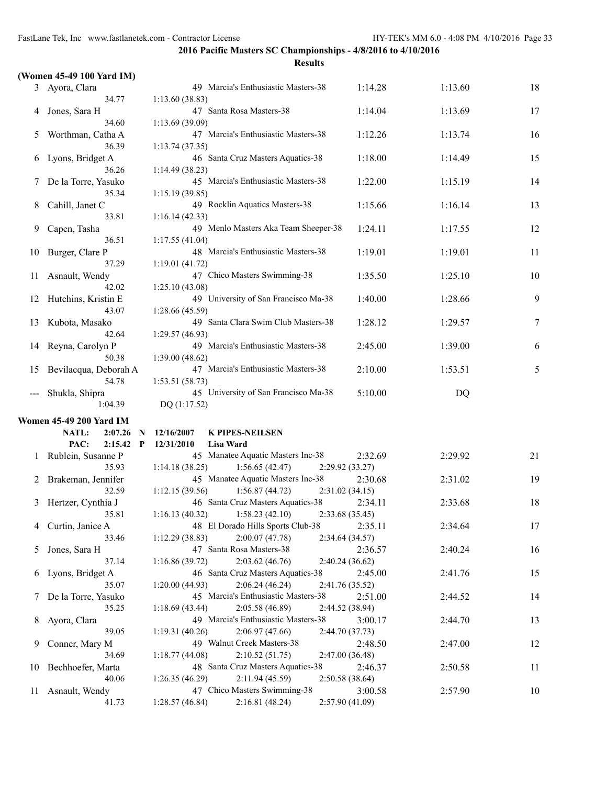|               | (Women 45-49 100 Yard IM)      |                                                                                         |                          |
|---------------|--------------------------------|-----------------------------------------------------------------------------------------|--------------------------|
|               | 3 Ayora, Clara                 | 49 Marcia's Enthusiastic Masters-38                                                     | 1:14.28<br>1:13.60<br>18 |
|               | 34.77                          | 1:13.60(38.83)                                                                          |                          |
| 4             | Jones, Sara H                  | 47 Santa Rosa Masters-38                                                                | 1:14.04<br>1:13.69<br>17 |
|               | 34.60                          | 1:13.69(39.09)                                                                          |                          |
| 5             | Worthman, Catha A              | 47 Marcia's Enthusiastic Masters-38                                                     | 1:12.26<br>16<br>1:13.74 |
|               | 36.39                          | 1:13.74(37.35)                                                                          |                          |
| 6             | Lyons, Bridget A<br>36.26      | 46 Santa Cruz Masters Aquatics-38                                                       | 1:18.00<br>15<br>1:14.49 |
| 7             | De la Torre, Yasuko            | 1:14.49(38.23)<br>45 Marcia's Enthusiastic Masters-38                                   | 1:22.00<br>14<br>1:15.19 |
|               | 35.34                          | 1:15.19(39.85)                                                                          |                          |
| 8             | Cahill, Janet C                | 49 Rocklin Aquatics Masters-38                                                          | 1:15.66<br>1:16.14<br>13 |
|               | 33.81                          | 1:16.14(42.33)                                                                          |                          |
| 9             | Capen, Tasha                   | 49 Menlo Masters Aka Team Sheeper-38                                                    | 1:24.11<br>12<br>1:17.55 |
|               | 36.51                          | 1:17.55(41.04)                                                                          |                          |
| 10            | Burger, Clare P                | 48 Marcia's Enthusiastic Masters-38                                                     | 1:19.01<br>1:19.01<br>11 |
|               | 37.29                          | 1:19.01(41.72)                                                                          |                          |
| 11            | Asnault, Wendy                 | 47 Chico Masters Swimming-38                                                            | 1:35.50<br>1:25.10<br>10 |
|               | 42.02                          | 1:25.10(43.08)                                                                          |                          |
| 12            | Hutchins, Kristin E            | 49 University of San Francisco Ma-38                                                    | 9<br>1:40.00<br>1:28.66  |
|               | 43.07                          | 1:28.66 (45.59)                                                                         |                          |
| 13            | Kubota, Masako                 | 49 Santa Clara Swim Club Masters-38                                                     | 1:28.12<br>7<br>1:29.57  |
|               | 42.64                          | 1:29.57 (46.93)                                                                         |                          |
| 14            | Reyna, Carolyn P               | 49 Marcia's Enthusiastic Masters-38                                                     | 2:45.00<br>1:39.00<br>6  |
|               | 50.38<br>Bevilacqua, Deborah A | 1:39.00(48.62)<br>47 Marcia's Enthusiastic Masters-38                                   | 5<br>2:10.00<br>1:53.51  |
| 15            | 54.78                          | 1:53.51(58.73)                                                                          |                          |
|               | Shukla, Shipra                 | 45 University of San Francisco Ma-38                                                    | 5:10.00<br>DQ            |
|               | 1:04.39                        | DQ (1:17.52)                                                                            |                          |
|               | <b>Women 45-49 200 Yard IM</b> |                                                                                         |                          |
|               | NATL:<br>2:07.26<br>N          | 12/16/2007<br><b>K PIPES-NEILSEN</b>                                                    |                          |
|               | PAC:<br>2:15.42<br>P           | 12/31/2010<br><b>Lisa Ward</b>                                                          |                          |
| $\mathbf{I}$  | Rublein, Susanne P             | 45 Manatee Aquatic Masters Inc-38                                                       | 2:32.69<br>2:29.92<br>21 |
|               | 35.93                          | 1:56.65(42.47)<br>1:14.18(38.25)<br>2:29.92(33.27)                                      |                          |
|               | Brakeman, Jennifer             | 45 Manatee Aquatic Masters Inc-38                                                       | 19<br>2:30.68<br>2:31.02 |
|               | 32.59                          | 1:12.15(39.56)<br>1:56.87(44.72)<br>2:31.02(34.15)                                      |                          |
| 3             | Hertzer, Cynthia J             | 46 Santa Cruz Masters Aquatics-38                                                       | 2:34.11<br>2:33.68<br>18 |
|               | 35.81                          | 1:16.13 (40.32) 1:58.23 (42.10) 2:33.68 (35.45)                                         |                          |
| 4             | Curtin, Janice A               | 48 El Dorado Hills Sports Club-38                                                       | 2:35.11<br>17<br>2:34.64 |
|               | 33.46                          | 1:12.29(38.83)<br>2:00.07(47.78)<br>2:34.64 (34.57)                                     |                          |
| $\mathcal{L}$ | Jones, Sara H                  | 47 Santa Rosa Masters-38                                                                | 2:36.57<br>2:40.24<br>16 |
|               | 37.14                          | 2:03.62(46.76)<br>1:16.86(39.72)<br>2:40.24(36.62)<br>46 Santa Cruz Masters Aquatics-38 |                          |
| 6             | Lyons, Bridget A<br>35.07      | 2:06.24(46.24)<br>2:41.76 (35.52)<br>1:20.00(44.93)                                     | 2:45.00<br>2:41.76<br>15 |
| $\frac{1}{2}$ | De la Torre, Yasuko            | 45 Marcia's Enthusiastic Masters-38                                                     | 2:51.00<br>2:44.52<br>14 |
|               | 35.25                          | 2:05.58(46.89)<br>2:44.52 (38.94)<br>1:18.69(43.44)                                     |                          |
| 8             | Ayora, Clara                   | 49 Marcia's Enthusiastic Masters-38                                                     | 3:00.17<br>2:44.70<br>13 |
|               | 39.05                          | 2:06.97(47.66)<br>2:44.70 (37.73)<br>1:19.31 (40.26)                                    |                          |
| 9             | Conner, Mary M                 | 49 Walnut Creek Masters-38                                                              | 2:48.50<br>2:47.00<br>12 |
|               | 34.69                          | 2:10.52(51.75)<br>2:47.00 (36.48)<br>1:18.77(44.08)                                     |                          |
| 10            | Bechhoefer, Marta              | 48 Santa Cruz Masters Aquatics-38                                                       | 2:46.37<br>2:50.58<br>11 |
|               | 40.06                          | 2:11.94(45.59)<br>1:26.35(46.29)<br>2:50.58 (38.64)                                     |                          |
| 11            | Asnault, Wendy                 | 47 Chico Masters Swimming-38                                                            | 3:00.58<br>2:57.90<br>10 |
|               | 41.73                          | 2:16.81(48.24)<br>2:57.90(41.09)<br>1:28.57(46.84)                                      |                          |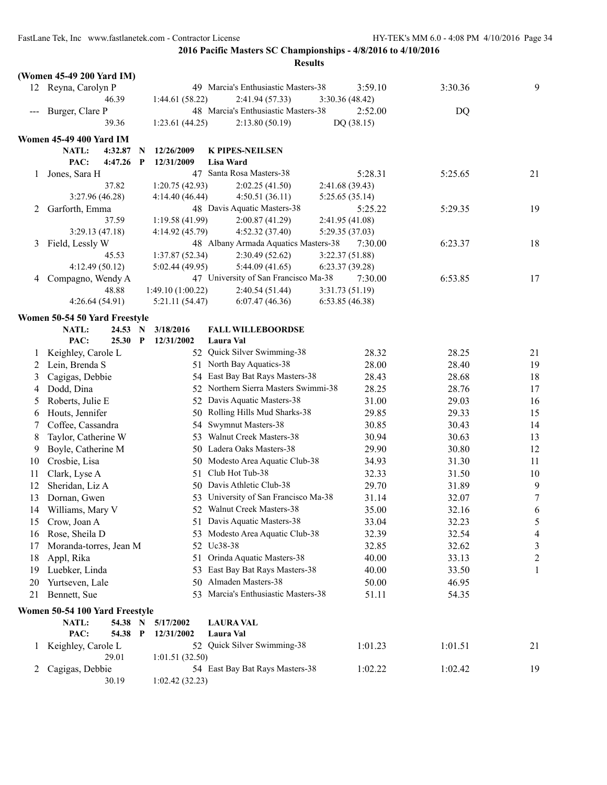|         | (Women 45-49 200 Yard IM)      |             |                   |                                      |                 |         |                |
|---------|--------------------------------|-------------|-------------------|--------------------------------------|-----------------|---------|----------------|
|         | 12 Reyna, Carolyn P            |             |                   | 49 Marcia's Enthusiastic Masters-38  | 3:59.10         | 3:30.36 | 9              |
|         | 46.39                          |             | 1:44.61(58.22)    | 2:41.94 (57.33)                      | 3:30.36(48.42)  |         |                |
|         | Burger, Clare P                |             |                   | 48 Marcia's Enthusiastic Masters-38  | 2:52.00         | DQ      |                |
|         | 39.36                          |             | 1:23.61(44.25)    | 2:13.80(50.19)                       | DQ (38.15)      |         |                |
|         | <b>Women 45-49 400 Yard IM</b> |             |                   |                                      |                 |         |                |
|         | 4:32.87<br><b>NATL:</b>        | N           | 12/26/2009        | <b>K PIPES-NEILSEN</b>               |                 |         |                |
|         | PAC:<br>4:47.26                | $\mathbf P$ | 12/31/2009        | <b>Lisa Ward</b>                     |                 |         |                |
| 1       | Jones, Sara H                  |             |                   | 47 Santa Rosa Masters-38             | 5:28.31         | 5:25.65 | 21             |
|         | 37.82                          |             | 1:20.75(42.93)    | 2:02.25(41.50)                       | 2:41.68 (39.43) |         |                |
|         | 3:27.96 (46.28)                |             | 4:14.40 (46.44)   | 4:50.51(36.11)                       | 5:25.65 (35.14) |         |                |
| 2       | Garforth, Emma                 |             |                   | 48 Davis Aquatic Masters-38          | 5:25.22         | 5:29.35 | 19             |
|         | 37.59                          |             | 1:19.58 (41.99)   | 2:00.87(41.29)                       | 2:41.95 (41.08) |         |                |
|         | 3:29.13(47.18)                 |             | 4:14.92 (45.79)   | 4:52.32(37.40)                       | 5:29.35 (37.03) |         |                |
| 3       | Field, Lessly W                |             |                   | 48 Albany Armada Aquatics Masters-38 | 7:30.00         | 6:23.37 | 18             |
|         | 45.53                          |             | 1:37.87(52.34)    | 2:30.49(52.62)                       | 3:22.37 (51.88) |         |                |
|         | 4:12.49(50.12)                 |             | 5:02.44 (49.95)   | 5:44.09(41.65)                       | 6:23.37(39.28)  |         |                |
| 4       | Compagno, Wendy A              |             |                   | 47 University of San Francisco Ma-38 | 7:30.00         | 6:53.85 | 17             |
|         | 48.88                          |             | 1:49.10 (1:00.22) | 2:40.54(51.44)                       | 3:31.73(51.19)  |         |                |
|         | 4:26.64 (54.91)                |             | 5:21.11 (54.47)   | 6:07.47(46.36)                       | 6:53.85(46.38)  |         |                |
|         | Women 50-54 50 Yard Freestyle  |             |                   |                                      |                 |         |                |
|         | NATL:<br>24.53 N               |             | 3/18/2016         | <b>FALL WILLEBOORDSE</b>             |                 |         |                |
|         | PAC:<br>25.30 P                |             | 12/31/2002        | Laura Val                            |                 |         |                |
| $\perp$ | Keighley, Carole L             |             |                   | 52 Quick Silver Swimming-38          | 28.32           | 28.25   | 21             |
| 2       | Lein, Brenda S                 |             |                   | 51 North Bay Aquatics-38             | 28.00           | 28.40   | 19             |
| 3       | Cagigas, Debbie                |             |                   | 54 East Bay Bat Rays Masters-38      | 28.43           | 28.68   | 18             |
| 4       | Dodd, Dina                     |             |                   | 52 Northern Sierra Masters Swimmi-38 | 28.25           | 28.76   | 17             |
| 5       | Roberts, Julie E               |             |                   | 52 Davis Aquatic Masters-38          | 31.00           | 29.03   | 16             |
| 6       | Houts, Jennifer                |             |                   | 50 Rolling Hills Mud Sharks-38       | 29.85           | 29.33   | 15             |
| 7       | Coffee, Cassandra              |             | 54                | Swymnut Masters-38                   | 30.85           | 30.43   | 14             |
| 8       | Taylor, Catherine W            |             |                   | 53 Walnut Creek Masters-38           | 30.94           | 30.63   | 13             |
| 9       | Boyle, Catherine M             |             |                   | 50 Ladera Oaks Masters-38            | 29.90           | 30.80   | 12             |
| 10      | Crosbie, Lisa                  |             |                   | 50 Modesto Area Aquatic Club-38      | 34.93           | 31.30   | 11             |
| 11      | Clark, Lyse A                  |             | 51                | Club Hot Tub-38                      | 32.33           | 31.50   | 10             |
| 12      | Sheridan, Liz A                |             |                   | 50 Davis Athletic Club-38            | 29.70           | 31.89   | 9              |
| 13      | Dornan, Gwen                   |             |                   | 53 University of San Francisco Ma-38 | 31.14           | 32.07   | $\tau$         |
| 14      | Williams, Mary V               |             |                   | 52 Walnut Creek Masters-38           | 35.00           | 32.16   | 6              |
| 15      | Crow, Joan A                   |             |                   | 51 Davis Aquatic Masters-38          | 33.04           | 32.23   | 5              |
| 16      | Rose, Sheila D                 |             |                   | 53 Modesto Area Aquatic Club-38      | 32.39           | 32.54   | $\overline{4}$ |
| 17      | Moranda-torres, Jean M         |             |                   | 52 Uc38-38                           | 32.85           | 32.62   | 3              |
| 18      | Appl, Rika                     |             | 51                | Orinda Aquatic Masters-38            | 40.00           | 33.13   | $\overline{2}$ |
| 19      | Luebker, Linda                 |             |                   | 53 East Bay Bat Rays Masters-38      | 40.00           | 33.50   | 1              |
| 20      | Yurtseven, Lale                |             |                   | 50 Almaden Masters-38                | 50.00           | 46.95   |                |
| 21      | Bennett, Sue                   |             |                   | 53 Marcia's Enthusiastic Masters-38  | 51.11           | 54.35   |                |
|         | Women 50-54 100 Yard Freestyle |             |                   |                                      |                 |         |                |
|         | 54.38 N<br>NATL:               |             | 5/17/2002         | <b>LAURA VAL</b>                     |                 |         |                |
|         | PAC:<br>54.38 P                |             | 12/31/2002        | Laura Val                            |                 |         |                |
| $\perp$ | Keighley, Carole L             |             |                   | 52 Quick Silver Swimming-38          | 1:01.23         | 1:01.51 | 21             |
|         | 29.01                          |             | 1:01.51(32.50)    |                                      |                 |         |                |
| 2       | Cagigas, Debbie                |             |                   | 54 East Bay Bat Rays Masters-38      | 1:02.22         | 1:02.42 | 19             |
|         | 30.19                          |             | 1:02.42(32.23)    |                                      |                 |         |                |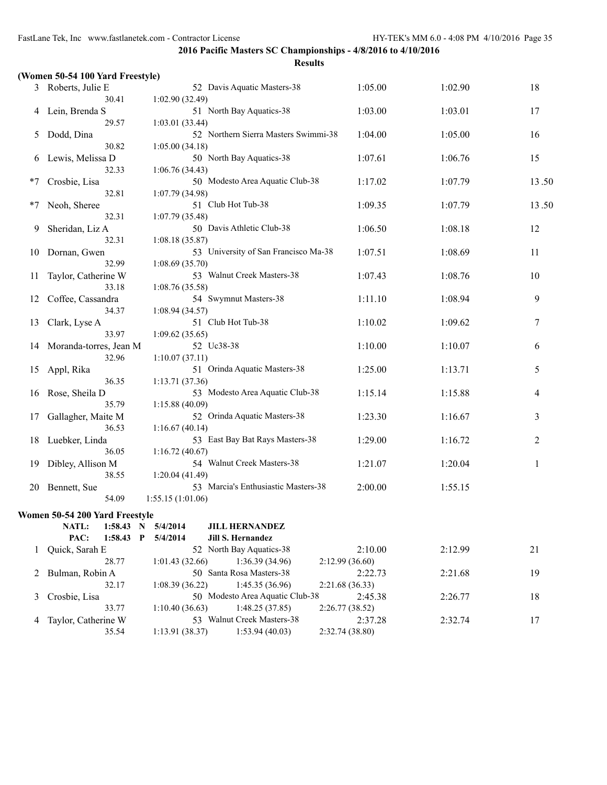|        | (Women 50-54 100 Yard Freestyle)          |                      |                                            |                 |         |       |
|--------|-------------------------------------------|----------------------|--------------------------------------------|-----------------|---------|-------|
|        | 3 Roberts, Julie E                        |                      | 52 Davis Aquatic Masters-38                |                 | 1:02.90 | 18    |
|        | 30.41                                     | 1:02.90(32.49)       |                                            |                 |         |       |
|        | Lein, Brenda S                            |                      | 51 North Bay Aquatics-38                   | 1:03.00         | 1:03.01 | 17    |
|        | 29.57                                     | 1:03.01 (33.44)      |                                            |                 |         |       |
| 5<br>6 | Dodd, Dina                                |                      | 52 Northern Sierra Masters Swimmi-38       | 1:04.00         | 1:05.00 | 16    |
|        | 30.82                                     | 1:05.00(34.18)       |                                            |                 |         |       |
|        | Lewis, Melissa D<br>32.33                 |                      | 50 North Bay Aquatics-38                   | 1:07.61         | 1:06.76 | 15    |
|        | Crosbie, Lisa                             | 1:06.76(34.43)       | 50 Modesto Area Aquatic Club-38            | 1:17.02         | 1:07.79 | 13.50 |
|        | 32.81                                     | 1:07.79(34.98)       |                                            |                 |         |       |
|        | Neoh, Sheree                              |                      | 51 Club Hot Tub-38                         | 1:09.35         | 1:07.79 | 13.50 |
|        | 32.31                                     | 1:07.79 (35.48)      |                                            |                 |         |       |
| 9      | Sheridan, Liz A                           |                      | 50 Davis Athletic Club-38                  | 1:06.50         | 1:08.18 | 12    |
|        | 32.31                                     | 1:08.18(35.87)       |                                            |                 |         |       |
| 10     | Dornan, Gwen                              |                      | 53 University of San Francisco Ma-38       | 1:07.51         | 1:08.69 | 11    |
|        | 32.99                                     | 1:08.69(35.70)       |                                            |                 |         |       |
| 11     | Taylor, Catherine W                       |                      | 53 Walnut Creek Masters-38                 | 1:07.43         | 1:08.76 | 10    |
|        | 33.18                                     | 1:08.76(35.58)       |                                            |                 |         |       |
| 12     | Coffee, Cassandra                         |                      | 54 Swymnut Masters-38                      | 1:11.10         | 1:08.94 | 9     |
|        | 34.37                                     | 1:08.94(34.57)       | 51 Club Hot Tub-38                         | 1:10.02         |         | 7     |
| 13     | Clark, Lyse A<br>33.97                    | 1:09.62(35.65)       |                                            |                 | 1:09.62 |       |
| 14     | Moranda-torres, Jean M                    |                      | 52 Uc38-38                                 | 1:10.00         | 1:10.07 | 6     |
|        | 32.96                                     | 1:10.07(37.11)       |                                            |                 |         |       |
| 15     | Appl, Rika                                |                      | 51 Orinda Aquatic Masters-38               | 1:25.00         | 1:13.71 | 5     |
|        | 36.35                                     | 1:13.71(37.36)       |                                            |                 |         |       |
| 16     | Rose, Sheila D                            |                      | 53 Modesto Area Aquatic Club-38            | 1:15.14         | 1:15.88 | 4     |
|        | 35.79<br>1:15.88(40.09)                   |                      |                                            |                 |         |       |
| 17     | Gallagher, Maite M                        |                      | 52 Orinda Aquatic Masters-38               | 1:23.30         | 1:16.67 | 3     |
|        | 36.53                                     | 1:16.67(40.14)       |                                            |                 |         |       |
| 18     | Luebker, Linda                            |                      | 53 East Bay Bat Rays Masters-38            | 1:29.00         | 1:16.72 | 2     |
|        | 36.05<br>1:16.72(40.67)                   |                      |                                            |                 |         |       |
| 19     | Dibley, Allison M                         |                      | 54 Walnut Creek Masters-38                 | 1:21.07         | 1:20.04 | 1     |
|        | 38.55                                     | 1:20.04 (41.49)      | 53 Marcia's Enthusiastic Masters-38        |                 |         |       |
| 20     | Bennett, Sue<br>54.09                     | 1:55.15(1:01.06)     |                                            | 2:00.00         | 1:55.15 |       |
|        |                                           |                      |                                            |                 |         |       |
|        | Women 50-54 200 Yard Freestyle            |                      |                                            |                 |         |       |
|        | 1:58.43 N<br>NATL:<br>PAC:<br>1:58.43 P   | 5/4/2014<br>5/4/2014 | <b>JILL HERNANDEZ</b><br>Jill S. Hernandez |                 |         |       |
|        | Quick, Sarah E                            |                      | 52 North Bay Aquatics-38                   | 2:10.00         | 2:12.99 | 21    |
| 1      | 28.77                                     | 1:01.43(32.66)       | 1:36.39 (34.96)                            | 2:12.99(36.60)  |         |       |
|        | 2 Bulman, Robin A                         |                      | 50 Santa Rosa Masters-38                   | 2:22.73         | 2:21.68 | 19    |
|        | 32.17                                     | 1:08.39(36.22)       | 1:45.35(36.96)<br>2:21.68 (36.33)          |                 |         |       |
| 3      | Crosbie, Lisa                             |                      | 50 Modesto Area Aquatic Club-38            | 2:45.38         | 2:26.77 | 18    |
|        | 33.77<br>1:10.40(36.63)<br>1:48.25(37.85) |                      |                                            | 2:26.77(38.52)  |         |       |
| 4      | Taylor, Catherine W                       |                      | 53 Walnut Creek Masters-38                 | 2:37.28         | 2:32.74 | 17    |
|        | 35.54                                     | 1:13.91(38.37)       | 1:53.94(40.03)                             | 2:32.74 (38.80) |         |       |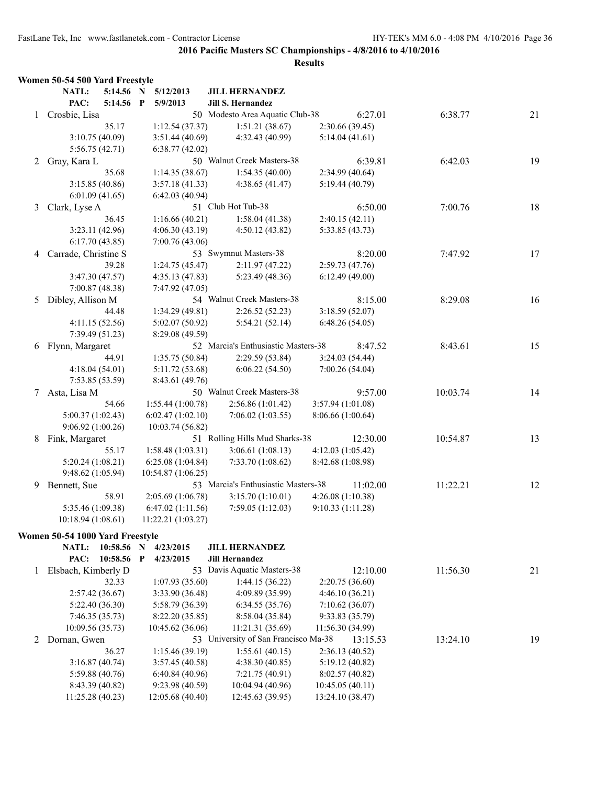|   | Women 50-54 500 Yard Freestyle                 |           |                           |                                      |                   |          |    |
|---|------------------------------------------------|-----------|---------------------------|--------------------------------------|-------------------|----------|----|
|   | NATL:                                          | 5:14.56 N | 5/12/2013                 | <b>JILL HERNANDEZ</b>                |                   |          |    |
|   | PAC:                                           | 5:14.56 P | 5/9/2013                  | Jill S. Hernandez                    |                   |          |    |
| 1 | Crosbie, Lisa                                  |           |                           | 50 Modesto Area Aquatic Club-38      | 6:27.01           | 6:38.77  | 21 |
|   |                                                | 35.17     | 1:12.54(37.37)            | 1:51.21(38.67)                       | 2:30.66(39.45)    |          |    |
|   | 3:10.75(40.09)                                 |           | 3:51.44(40.69)            | 4:32.43 (40.99)                      | 5:14.04(41.61)    |          |    |
|   | 5:56.75(42.71)                                 |           | 6:38.77(42.02)            |                                      |                   |          |    |
| 2 | Gray, Kara L                                   |           |                           | 50 Walnut Creek Masters-38           | 6:39.81           | 6:42.03  | 19 |
|   |                                                | 35.68     | 1:14.35(38.67)            | 1:54.35(40.00)                       | 2:34.99(40.64)    |          |    |
|   | 3:15.85(40.86)                                 |           | 3:57.18(41.33)            | 4:38.65(41.47)                       | 5:19.44 (40.79)   |          |    |
|   | 6:01.09(41.65)                                 |           | 6:42.03(40.94)            |                                      |                   |          |    |
| 3 | 51 Club Hot Tub-38<br>6:50.00<br>Clark, Lyse A |           | 7:00.76                   | 18                                   |                   |          |    |
|   |                                                | 36.45     | 1:16.66(40.21)            | 1:58.04(41.38)                       | 2:40.15(42.11)    |          |    |
|   | 3:23.11(42.96)                                 |           | 4:06.30(43.19)            | 4:50.12(43.82)                       | 5:33.85 (43.73)   |          |    |
|   | 6:17.70(43.85)                                 |           | 7:00.76(43.06)            |                                      |                   |          |    |
| 4 | Carrade, Christine S                           |           |                           | 53 Swymnut Masters-38                | 8:20.00           | 7:47.92  | 17 |
|   |                                                | 39.28     | 1:24.75(45.47)            | 2:11.97(47.22)                       | 2:59.73(47.76)    |          |    |
|   | 3:47.30(47.57)                                 |           | 4:35.13(47.83)            | 5:23.49 (48.36)                      | 6:12.49(49.00)    |          |    |
|   | 7:00.87 (48.38)                                |           | 7:47.92 (47.05)           |                                      |                   |          |    |
| 5 | Dibley, Allison M                              |           |                           | 54 Walnut Creek Masters-38           | 8:15.00           | 8:29.08  | 16 |
|   |                                                | 44.48     | 1:34.29(49.81)            | 2:26.52(52.23)                       | 3:18.59(52.07)    |          |    |
|   | 4:11.15(52.56)                                 |           | 5:02.07(50.92)            | 5:54.21(52.14)                       | 6:48.26(54.05)    |          |    |
|   | 7:39.49 (51.23)                                |           | 8:29.08 (49.59)           |                                      |                   |          |    |
| 6 | Flynn, Margaret                                |           |                           | 52 Marcia's Enthusiastic Masters-38  | 8:47.52           | 8:43.61  | 15 |
|   |                                                | 44.91     | 1:35.75(50.84)            | 2:29.59 (53.84)                      | 3:24.03(54.44)    |          |    |
|   | 4:18.04(54.01)                                 |           | 5:11.72 (53.68)           | 6:06.22(54.50)                       | 7:00.26(54.04)    |          |    |
|   | 7:53.85 (53.59)                                |           | 8:43.61 (49.76)           |                                      |                   |          |    |
| 7 | Asta, Lisa M                                   |           |                           | 50 Walnut Creek Masters-38           | 9:57.00           | 10:03.74 | 14 |
|   |                                                | 54.66     | 1:55.44 (1:00.78)         | 2:56.86 (1:01.42)                    | 3:57.94 (1:01.08) |          |    |
|   | 5:00.37(1:02.43)                               |           | 6:02.47(1:02.10)          | 7:06.02(1:03.55)                     | 8:06.66 (1:00.64) |          |    |
|   | 9:06.92(1:00.26)                               |           | 10:03.74 (56.82)          |                                      |                   |          |    |
| 8 | Fink, Margaret                                 |           |                           | 51 Rolling Hills Mud Sharks-38       | 12:30.00          | 10:54.87 | 13 |
|   |                                                | 55.17     | 1:58.48(1:03.31)          | 3:06.61(1:08.13)                     | 4:12.03 (1:05.42) |          |    |
|   | 5:20.24(1:08.21)                               |           | 6:25.08(1:04.84)          | 7:33.70 (1:08.62)                    | 8:42.68 (1:08.98) |          |    |
|   | 9:48.62 (1:05.94)                              |           | 10:54.87(1:06.25)         |                                      |                   |          |    |
| 9 | Bennett, Sue                                   |           |                           | 53 Marcia's Enthusiastic Masters-38  | 11:02.00          | 11:22.21 | 12 |
|   |                                                | 58.91     | 2:05.69 (1:06.78)         | 3:15.70(1:10.01)                     | 4:26.08(1:10.38)  |          |    |
|   | 5:35.46 (1:09.38)                              |           | 6:47.02(1:11.56)          | 7:59.05(1:12.03)                     | 9:10.33(1:11.28)  |          |    |
|   | 10:18.94 (1:08.61)                             |           | 11:22.21(1:03.27)         |                                      |                   |          |    |
|   | Women 50-54 1000 Yard Freestyle                |           |                           |                                      |                   |          |    |
|   | NATL:                                          | 10:58.56  | 4/23/2015<br>$\mathbf N$  | <b>JILL HERNANDEZ</b>                |                   |          |    |
|   | PAC:                                           | 10:58.56  | $\mathbf{P}$<br>4/23/2015 | <b>Jill Hernandez</b>                |                   |          |    |
| 1 | Elsbach, Kimberly D                            |           |                           | 53 Davis Aquatic Masters-38          | 12:10.00          | 11:56.30 | 21 |
|   |                                                | 32.33     | 1:07.93(35.60)            | 1:44.15(36.22)                       | 2:20.75(36.60)    |          |    |
|   | 2:57.42(36.67)                                 |           | 3:33.90 (36.48)           | 4:09.89 (35.99)                      | 4:46.10(36.21)    |          |    |
|   | 5:22.40 (36.30)                                |           | 5:58.79 (36.39)           | 6:34.55(35.76)                       | 7:10.62(36.07)    |          |    |
|   | 7:46.35(35.73)                                 |           | 8:22.20 (35.85)           | 8:58.04 (35.84)                      | 9:33.83 (35.79)   |          |    |
|   | 10:09.56 (35.73)                               |           | 10:45.62(36.06)           | 11:21.31 (35.69)                     | 11:56.30 (34.99)  |          |    |
| 2 | Dornan, Gwen                                   |           |                           | 53 University of San Francisco Ma-38 | 13:15.53          | 13:24.10 | 19 |
|   |                                                | 36.27     | 1:15.46 (39.19)           | 1:55.61(40.15)                       | 2:36.13 (40.52)   |          |    |
|   | 3:16.87(40.74)                                 |           | 3:57.45(40.58)            | 4:38.30 (40.85)                      | 5:19.12 (40.82)   |          |    |
|   | 5:59.88 (40.76)                                |           | 6:40.84(40.96)            | 7:21.75 (40.91)                      | 8:02.57 (40.82)   |          |    |
|   | 8:43.39 (40.82)                                |           | 9:23.98 (40.59)           | 10:04.94 (40.96)                     | 10:45.05 (40.11)  |          |    |
|   | 11:25.28 (40.23)                               |           | 12:05.68 (40.40)          | 12:45.63 (39.95)                     | 13:24.10 (38.47)  |          |    |
|   |                                                |           |                           |                                      |                   |          |    |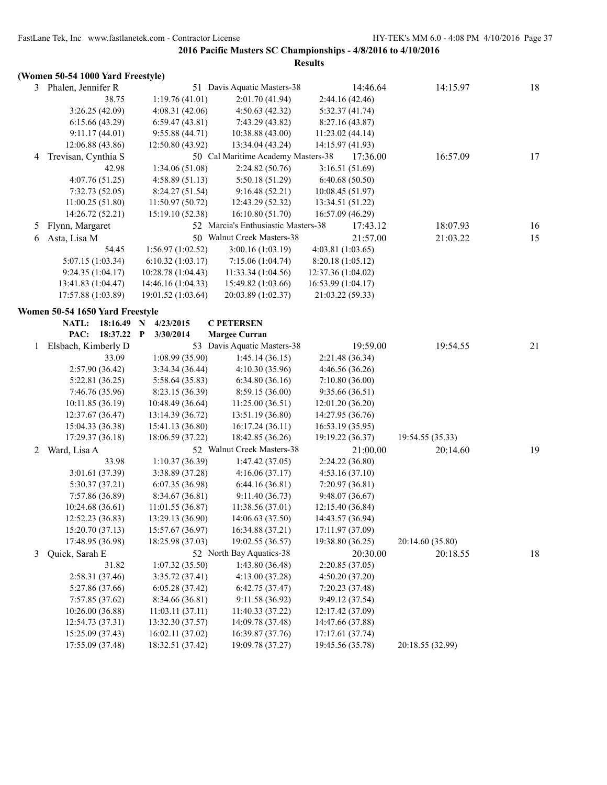|   | (Women 50-54 1000 Yard Freestyle) |                           |                                     |                    |                  |    |
|---|-----------------------------------|---------------------------|-------------------------------------|--------------------|------------------|----|
|   | 3 Phalen, Jennifer R              |                           | 51 Davis Aquatic Masters-38         | 14:46.64           | 14:15.97         | 18 |
|   | 38.75                             | 1:19.76(41.01)            | 2:01.70 (41.94)                     | 2:44.16 (42.46)    |                  |    |
|   | 3:26.25(42.09)                    | 4:08.31(42.06)            | 4:50.63 (42.32)                     | 5:32.37(41.74)     |                  |    |
|   | 6:15.66(43.29)                    | 6:59.47(43.81)            | 7:43.29 (43.82)                     | 8:27.16 (43.87)    |                  |    |
|   | 9:11.17(44.01)                    | 9:55.88(44.71)            | 10:38.88 (43.00)                    | 11:23.02(44.14)    |                  |    |
|   | 12:06.88 (43.86)                  | 12:50.80 (43.92)          | 13:34.04 (43.24)                    | 14:15.97 (41.93)   |                  |    |
| 4 | Trevisan, Cynthia S               |                           | 50 Cal Maritime Academy Masters-38  | 17:36.00           | 16:57.09         | 17 |
|   | 42.98                             | 1:34.06(51.08)            | 2:24.82(50.76)                      | 3:16.51(51.69)     |                  |    |
|   | 4:07.76(51.25)                    | 4:58.89(51.13)            | 5:50.18 (51.29)                     | 6:40.68(50.50)     |                  |    |
|   | 7:32.73(52.05)                    | 8:24.27(51.54)            | 9:16.48(52.21)                      | 10:08.45 (51.97)   |                  |    |
|   | 11:00.25(51.80)                   | 11:50.97(50.72)           | 12:43.29 (52.32)                    | 13:34.51 (51.22)   |                  |    |
|   | 14:26.72 (52.21)                  | 15:19.10 (52.38)          | 16:10.80 (51.70)                    | 16:57.09 (46.29)   |                  |    |
| 5 | Flynn, Margaret                   |                           | 52 Marcia's Enthusiastic Masters-38 | 17:43.12           | 18:07.93         | 16 |
| 6 | Asta, Lisa M                      |                           | 50 Walnut Creek Masters-38          | 21:57.00           | 21:03.22         | 15 |
|   | 54.45                             | 1:56.97(1:02.52)          | 3:00.16 (1:03.19)                   | 4:03.81(1:03.65)   |                  |    |
|   | 5:07.15 (1:03.34)                 | 6:10.32(1:03.17)          | 7:15.06(1:04.74)                    | 8:20.18 (1:05.12)  |                  |    |
|   | 9:24.35(1:04.17)                  | 10:28.78 (1:04.43)        | 11:33.34 (1:04.56)                  | 12:37.36 (1:04.02) |                  |    |
|   | 13:41.83 (1:04.47)                | 14:46.16 (1:04.33)        | 15:49.82 (1:03.66)                  | 16:53.99 (1:04.17) |                  |    |
|   | 17:57.88 (1:03.89)                | 19:01.52 (1:03.64)        | 20:03.89 (1:02.37)                  | 21:03.22 (59.33)   |                  |    |
|   |                                   |                           |                                     |                    |                  |    |
|   | Women 50-54 1650 Yard Freestyle   |                           |                                     |                    |                  |    |
|   | NATL:<br>18:16.49                 | 4/23/2015<br>$\mathbf N$  | <b>C PETERSEN</b>                   |                    |                  |    |
|   | PAC:<br>18:37.22                  | $\mathbf{P}$<br>3/30/2014 | <b>Margee Curran</b>                |                    |                  |    |
| 1 | Elsbach, Kimberly D               |                           | 53 Davis Aquatic Masters-38         | 19:59.00           | 19:54.55         | 21 |
|   | 33.09                             | 1:08.99(35.90)            | 1:45.14(36.15)                      | 2:21.48 (36.34)    |                  |    |
|   | 2:57.90(36.42)                    | 3:34.34(36.44)            | 4:10.30(35.96)                      | 4:46.56 (36.26)    |                  |    |
|   | 5:22.81(36.25)                    | 5:58.64 (35.83)           | 6:34.80(36.16)                      | 7:10.80(36.00)     |                  |    |
|   | 7:46.76 (35.96)                   | 8:23.15 (36.39)           | 8:59.15 (36.00)                     | 9:35.66 (36.51)    |                  |    |
|   | 10:11.85(36.19)                   | 10:48.49 (36.64)          | 11:25.00(36.51)                     | 12:01.20 (36.20)   |                  |    |
|   | 12:37.67 (36.47)                  | 13:14.39 (36.72)          | 13:51.19 (36.80)                    | 14:27.95 (36.76)   |                  |    |
|   | 15:04.33 (36.38)                  | 15:41.13 (36.80)          | 16:17.24 (36.11)                    | 16:53.19 (35.95)   |                  |    |
|   | 17:29.37 (36.18)                  | 18:06.59 (37.22)          | 18:42.85 (36.26)                    | 19:19.22 (36.37)   | 19:54.55 (35.33) |    |
| 2 | Ward, Lisa A                      |                           | 52 Walnut Creek Masters-38          | 21:00.00           | 20:14.60         | 19 |
|   | 33.98                             | 1:10.37(36.39)            | 1:47.42(37.05)                      | 2:24.22 (36.80)    |                  |    |
|   | 3:01.61 (37.39)                   | 3:38.89 (37.28)           | 4:16.06(37.17)                      | 4:53.16(37.10)     |                  |    |
|   | 5:30.37 (37.21)                   | 6:07.35(36.98)            | 6:44.16(36.81)                      | 7:20.97 (36.81)    |                  |    |
|   | 7:57.86 (36.89)                   | 8:34.67 (36.81)           | 9:11.40(36.73)                      | 9:48.07(36.67)     |                  |    |
|   | 10:24.68(36.61)                   | 11:01.55(36.87)           | 11:38.56 (37.01)                    | 12:15.40 (36.84)   |                  |    |
|   | 12:52.23 (36.83)                  | 13:29.13 (36.90)          | 14:06.63 (37.50)                    | 14:43.57 (36.94)   |                  |    |
|   | 15:20.70 (37.13)                  | 15:57.67 (36.97)          | 16:34.88 (37.21)                    | 17:11.97 (37.09)   |                  |    |
|   | 17:48.95 (36.98)                  | 18:25.98 (37.03)          | 19:02.55 (36.57)                    | 19:38.80 (36.25)   | 20:14.60 (35.80) |    |
| 3 | Quick, Sarah E                    |                           | 52 North Bay Aquatics-38            | 20:30.00           | 20:18.55         | 18 |
|   | 31.82                             | 1:07.32(35.50)            | 1:43.80(36.48)                      | 2:20.85(37.05)     |                  |    |
|   | 2:58.31 (37.46)                   | 3:35.72(37.41)            | 4:13.00(37.28)                      | 4:50.20(37.20)     |                  |    |
|   | 5:27.86 (37.66)                   | 6:05.28(37.42)            | 6:42.75(37.47)                      | 7:20.23 (37.48)    |                  |    |
|   | 7:57.85(37.62)                    | 8:34.66 (36.81)           | 9:11.58 (36.92)                     | 9:49.12 (37.54)    |                  |    |
|   | 10:26.00 (36.88)                  | 11:03.11(37.11)           | 11:40.33 (37.22)                    | 12:17.42 (37.09)   |                  |    |
|   | 12:54.73 (37.31)                  | 13:32.30 (37.57)          | 14:09.78 (37.48)                    | 14:47.66 (37.88)   |                  |    |
|   | 15:25.09 (37.43)                  | 16:02.11 (37.02)          | 16:39.87 (37.76)                    | 17:17.61 (37.74)   |                  |    |
|   | 17:55.09 (37.48)                  | 18:32.51 (37.42)          | 19:09.78 (37.27)                    | 19:45.56 (35.78)   | 20:18.55 (32.99) |    |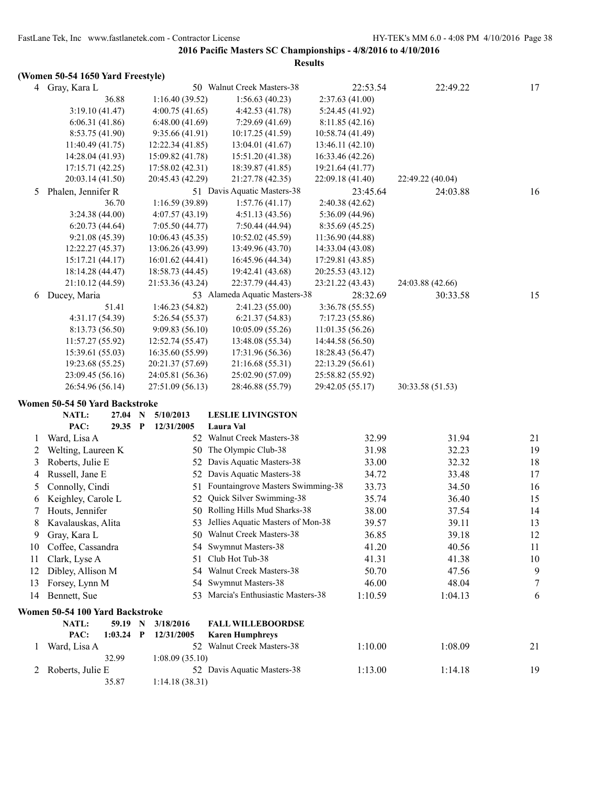**2016 Pacific Masters SC Championships - 4/8/2016 to 4/10/2016 Results**

# **(Women 50-54 1650 Yard Freestyle)**

|    | $\frac{1}{2}$                   |              |                  |                                       |                  |          |                  |        |
|----|---------------------------------|--------------|------------------|---------------------------------------|------------------|----------|------------------|--------|
|    | 4 Gray, Kara L                  |              |                  | 50 Walnut Creek Masters-38            |                  | 22:53.54 | 22:49.22         | 17     |
|    | 36.88                           |              | 1:16.40(39.52)   | 1:56.63(40.23)                        | 2:37.63(41.00)   |          |                  |        |
|    | 3:19.10(41.47)                  |              | 4:00.75(41.65)   | 4:42.53(41.78)                        | 5:24.45 (41.92)  |          |                  |        |
|    | 6:06.31(41.86)                  |              | 6:48.00(41.69)   | 7:29.69(41.69)                        | 8:11.85(42.16)   |          |                  |        |
|    | 8:53.75 (41.90)                 |              | 9:35.66(41.91)   | 10:17.25 (41.59)                      | 10:58.74 (41.49) |          |                  |        |
|    | 11:40.49(41.75)                 |              | 12:22.34 (41.85) | 13:04.01 (41.67)                      | 13:46.11 (42.10) |          |                  |        |
|    | 14:28.04 (41.93)                |              | 15:09.82 (41.78) | 15:51.20 (41.38)                      | 16:33.46 (42.26) |          |                  |        |
|    | 17:15.71(42.25)                 |              | 17:58.02 (42.31) | 18:39.87 (41.85)                      | 19:21.64 (41.77) |          |                  |        |
|    | 20:03.14 (41.50)                |              | 20:45.43 (42.29) | 21:27.78 (42.35)                      | 22:09.18 (41.40) |          | 22:49.22 (40.04) |        |
| 5  | Phalen, Jennifer R              |              |                  | 51 Davis Aquatic Masters-38           |                  | 23:45.64 | 24:03.88         | 16     |
|    | 36.70                           |              | 1:16.59(39.89)   | 1:57.76(41.17)                        | 2:40.38 (42.62)  |          |                  |        |
|    | 3:24.38(44.00)                  |              | 4:07.57(43.19)   | 4:51.13(43.56)                        | 5:36.09 (44.96)  |          |                  |        |
|    | 6:20.73(44.64)                  |              | 7:05.50(44.77)   | 7:50.44 (44.94)                       | 8:35.69 (45.25)  |          |                  |        |
|    | 9:21.08(45.39)                  |              | 10:06.43(45.35)  | 10:52.02 (45.59)                      | 11:36.90 (44.88) |          |                  |        |
|    | 12:22.27 (45.37)                |              | 13:06.26 (43.99) | 13:49.96 (43.70)                      | 14:33.04 (43.08) |          |                  |        |
|    | 15:17.21 (44.17)                |              | 16:01.62(44.41)  | 16:45.96 (44.34)                      | 17:29.81 (43.85) |          |                  |        |
|    | 18:14.28 (44.47)                |              | 18:58.73 (44.45) | 19:42.41 (43.68)                      | 20:25.53 (43.12) |          |                  |        |
|    | 21:10.12 (44.59)                |              | 21:53.36 (43.24) | 22:37.79 (44.43)                      | 23:21.22 (43.43) |          | 24:03.88 (42.66) |        |
| 6  | Ducey, Maria                    |              |                  | 53 Alameda Aquatic Masters-38         |                  | 28:32.69 | 30:33.58         | 15     |
|    | 51.41                           |              | 1:46.23(54.82)   | 2:41.23 (55.00)                       | 3:36.78 (55.55)  |          |                  |        |
|    | 4:31.17(54.39)                  |              | 5:26.54(55.37)   | 6:21.37(54.83)                        | 7:17.23(55.86)   |          |                  |        |
|    | 8:13.73 (56.50)                 |              | 9:09.83(56.10)   | 10:05.09(55.26)                       | 11:01.35(56.26)  |          |                  |        |
|    | 11:57.27(55.92)                 |              | 12:52.74 (55.47) | 13:48.08 (55.34)                      | 14:44.58 (56.50) |          |                  |        |
|    | 15:39.61 (55.03)                |              | 16:35.60 (55.99) | 17:31.96 (56.36)                      | 18:28.43 (56.47) |          |                  |        |
|    | 19:23.68 (55.25)                |              | 20:21.37 (57.69) | 21:16.68 (55.31)                      | 22:13.29 (56.61) |          |                  |        |
|    | 23:09.45 (56.16)                |              | 24:05.81 (56.36) | 25:02.90 (57.09)                      | 25:58.82 (55.92) |          |                  |        |
|    | 26:54.96 (56.14)                |              | 27:51.09 (56.13) | 28:46.88 (55.79)                      | 29:42.05 (55.17) |          | 30:33.58 (51.53) |        |
|    |                                 |              |                  |                                       |                  |          |                  |        |
|    | Women 50-54 50 Yard Backstroke  |              |                  |                                       |                  |          |                  |        |
|    | NATL:<br>27.04 N                |              | 5/10/2013        | <b>LESLIE LIVINGSTON</b><br>Laura Val |                  |          |                  |        |
|    | PAC:<br>29.35 P                 |              | 12/31/2005       | 52 Walnut Creek Masters-38            |                  |          |                  |        |
| 1  | Ward, Lisa A                    |              |                  |                                       |                  | 32.99    | 31.94            | 21     |
| 2  | Welting, Laureen K              |              |                  | 50 The Olympic Club-38                |                  | 31.98    | 32.23            | 19     |
| 3  | Roberts, Julie E                |              |                  | 52 Davis Aquatic Masters-38           |                  | 33.00    | 32.32            | 18     |
| 4  | Russell, Jane E                 |              |                  | 52 Davis Aquatic Masters-38           |                  | 34.72    | 33.48            | 17     |
| 5  | Connolly, Cindi                 |              | 51               | Fountaingrove Masters Swimming-38     |                  | 33.73    | 34.50            | 16     |
| 6  | Keighley, Carole L              |              | 52               | Quick Silver Swimming-38              |                  | 35.74    | 36.40            | 15     |
| 7  | Houts, Jennifer                 |              |                  | 50 Rolling Hills Mud Sharks-38        |                  | 38.00    | 37.54            | 14     |
|    | 8 Kavalauskas, Alita            |              |                  | 53 Jellies Aquatic Masters of Mon-38  |                  | 39.57    | 39.11            | 13     |
| 9  | Gray, Kara L                    |              |                  | 50 Walnut Creek Masters-38            |                  | 36.85    | 39.18            | 12     |
| 10 | Coffee, Cassandra               |              |                  | 54 Swymnut Masters-38                 |                  | 41.20    | 40.56            | 11     |
| 11 | Clark, Lyse A                   |              |                  | 51 Club Hot Tub-38                    |                  | 41.31    | 41.38            | 10     |
| 12 | Dibley, Allison M               |              |                  | 54 Walnut Creek Masters-38            |                  | 50.70    | 47.56            | 9      |
| 13 | Forsey, Lynn M                  |              |                  | 54 Swymnut Masters-38                 |                  | 46.00    | 48.04            | $\tau$ |
| 14 | Bennett, Sue                    |              |                  | 53 Marcia's Enthusiastic Masters-38   |                  | 1:10.59  | 1:04.13          | 6      |
|    |                                 |              |                  |                                       |                  |          |                  |        |
|    | Women 50-54 100 Yard Backstroke |              |                  |                                       |                  |          |                  |        |
|    | NATL:<br>59.19 N                |              | 3/18/2016        | <b>FALL WILLEBOORDSE</b>              |                  |          |                  |        |
|    | PAC:<br>1:03.24                 | $\mathbf{P}$ | 12/31/2005       | <b>Karen Humphreys</b>                |                  |          |                  |        |
| 1  | Ward, Lisa A                    |              |                  | 52 Walnut Creek Masters-38            |                  | 1:10.00  | 1:08.09          | 21     |
|    | 32.99                           |              | 1:08.09(35.10)   |                                       |                  |          |                  |        |
| 2  | Roberts, Julie E                |              |                  | 52 Davis Aquatic Masters-38           |                  | 1:13.00  | 1:14.18          | 19     |
|    | 35.87                           |              | 1:14.18(38.31)   |                                       |                  |          |                  |        |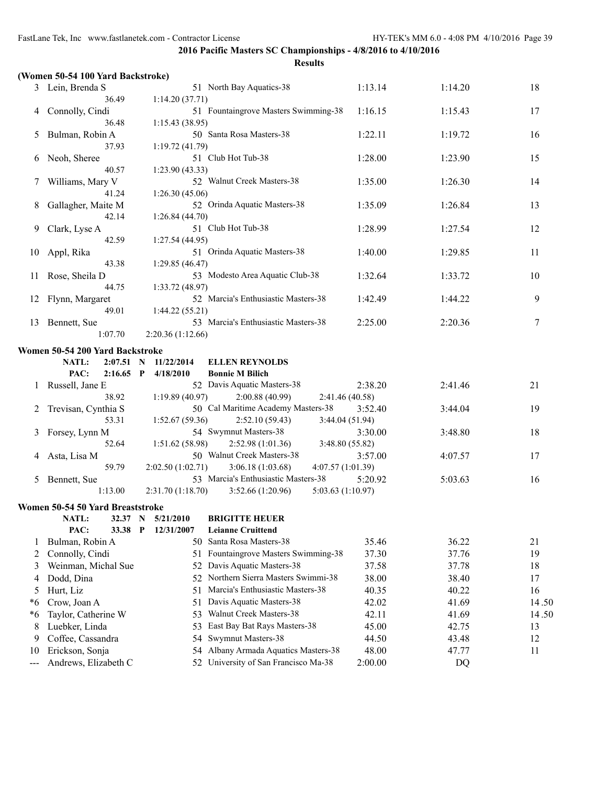|       | (Women 50-54 100 Yard Backstroke) |                           |                                                                   |         |         |       |
|-------|-----------------------------------|---------------------------|-------------------------------------------------------------------|---------|---------|-------|
|       | 3 Lein, Brenda S                  |                           | 51 North Bay Aquatics-38                                          | 1:13.14 | 1:14.20 | 18    |
|       | 36.49                             | 1:14.20(37.71)            |                                                                   |         |         |       |
| 4     | Connolly, Cindi                   |                           | 51 Fountaingrove Masters Swimming-38                              | 1:16.15 | 1:15.43 | 17    |
|       | 36.48                             | 1:15.43(38.95)            |                                                                   |         |         |       |
| 5     | Bulman, Robin A                   |                           | 50 Santa Rosa Masters-38                                          | 1:22.11 | 1:19.72 | 16    |
|       | 37.93                             | 1:19.72 (41.79)           |                                                                   |         |         |       |
| 6     | Neoh, Sheree                      |                           | 51 Club Hot Tub-38                                                | 1:28.00 | 1:23.90 | 15    |
|       | 40.57                             | 1:23.90(43.33)            |                                                                   |         |         |       |
| 7     | Williams, Mary V                  |                           | 52 Walnut Creek Masters-38                                        | 1:35.00 | 1:26.30 | 14    |
|       | 41.24                             | 1:26.30(45.06)            |                                                                   |         |         |       |
| 8     | Gallagher, Maite M                |                           | 52 Orinda Aquatic Masters-38                                      | 1:35.09 | 1:26.84 | 13    |
|       | 42.14                             | 1:26.84(44.70)            |                                                                   |         |         |       |
| 9     | Clark, Lyse A                     |                           | 51 Club Hot Tub-38                                                | 1:28.99 | 1:27.54 | 12    |
|       | 42.59                             | 1:27.54(44.95)            |                                                                   |         |         |       |
| 10    | Appl, Rika                        |                           | 51 Orinda Aquatic Masters-38                                      | 1:40.00 | 1:29.85 | 11    |
|       | 43.38                             | 1:29.85(46.47)            |                                                                   |         |         |       |
| 11    | Rose, Sheila D                    |                           | 53 Modesto Area Aquatic Club-38                                   | 1:32.64 | 1:33.72 | 10    |
|       | 44.75                             | 1:33.72 (48.97)           |                                                                   |         |         |       |
| 12    | Flynn, Margaret                   |                           | 52 Marcia's Enthusiastic Masters-38                               | 1:42.49 | 1:44.22 | 9     |
|       | 49.01                             | 1:44.22(55.21)            |                                                                   |         |         |       |
| 13    | Bennett, Sue<br>1:07.70           |                           | 53 Marcia's Enthusiastic Masters-38                               | 2:25.00 | 2:20.36 | 7     |
|       |                                   | 2:20.36 (1:12.66)         |                                                                   |         |         |       |
|       | Women 50-54 200 Yard Backstroke   |                           |                                                                   |         |         |       |
|       | NATL:<br>2:07.51 N                | 11/22/2014                | <b>ELLEN REYNOLDS</b>                                             |         |         |       |
|       | PAC:<br>$2:16.65$ P               | 4/18/2010                 | <b>Bonnie M Bilich</b>                                            |         |         |       |
| 1     | Russell, Jane E                   |                           | 52 Davis Aquatic Masters-38                                       | 2:38.20 | 2:41.46 | 21    |
|       | 38.92                             | 1:19.89(40.97)            | 2:00.88(40.99)<br>2:41.46 (40.58)                                 |         |         |       |
| 2     | Trevisan, Cynthia S               |                           | 50 Cal Maritime Academy Masters-38                                | 3:52.40 | 3:44.04 | 19    |
|       | 53.31                             | 1:52.67(59.36)            | 2:52.10(59.43)<br>3:44.04 (51.94)<br>54 Swymnut Masters-38        |         |         |       |
| 3     | Forsey, Lynn M<br>52.64           | 1:51.62 (58.98)           |                                                                   | 3:30.00 | 3:48.80 | 18    |
| 4     |                                   |                           | 2:52.98(1:01.36)<br>3:48.80 (55.82)<br>50 Walnut Creek Masters-38 | 3:57.00 | 4:07.57 | 17    |
|       | Asta, Lisa M<br>59.79             | 2:02.50 (1:02.71)         | 3:06.18(1:03.68)<br>4:07.57 (1:01.39)                             |         |         |       |
| 5     | Bennett, Sue                      |                           | 53 Marcia's Enthusiastic Masters-38                               | 5:20.92 | 5:03.63 | 16    |
|       | 1:13.00                           | 2:31.70 (1:18.70)         | 3:52.66(1:20.96)<br>5:03.63 (1:10.97)                             |         |         |       |
|       |                                   |                           |                                                                   |         |         |       |
|       | Women 50-54 50 Yard Breaststroke  |                           |                                                                   |         |         |       |
|       | NATL:<br>32.37                    | $\mathbf N$<br>5/21/2010  | <b>BRIGITTE HEUER</b>                                             |         |         |       |
|       | PAC:<br>33.38                     | $\mathbf P$<br>12/31/2007 | <b>Leianne Cruittend</b><br>Santa Rosa Masters-38                 |         |         |       |
| 1     | Bulman, Robin A                   | 50.                       |                                                                   | 35.46   | 36.22   | 21    |
| 2     | Connolly, Cindi                   | 51                        | Fountaingrove Masters Swimming-38<br>Davis Aquatic Masters-38     | 37.30   | 37.76   | 19    |
| 3     | Weinman, Michal Sue               | 52                        | Northern Sierra Masters Swimmi-38                                 | 37.58   | 37.78   | 18    |
| 4     | Dodd, Dina                        | 52.                       | Marcia's Enthusiastic Masters-38                                  | 38.00   | 38.40   | 17    |
| 5     | Hurt, Liz                         | 51                        |                                                                   | 40.35   | 40.22   | 16    |
| *6    | Crow, Joan A                      | 51                        | Davis Aquatic Masters-38<br>Walnut Creek Masters-38               | 42.02   | 41.69   | 14.50 |
| *6    | Taylor, Catherine W               | 53                        |                                                                   | 42.11   | 41.69   | 14.50 |
| 8     | Luebker, Linda                    | 53                        | East Bay Bat Rays Masters-38<br>Swymnut Masters-38                | 45.00   | 42.75   | 13    |
| 9     | Coffee, Cassandra                 | 54                        |                                                                   | 44.50   | 43.48   | 12    |
| 10    | Erickson, Sonja                   | 54                        | Albany Armada Aquatics Masters-38                                 | 48.00   | 47.77   | 11    |
| $---$ | Andrews, Elizabeth C              |                           | 52 University of San Francisco Ma-38                              | 2:00.00 | DQ      |       |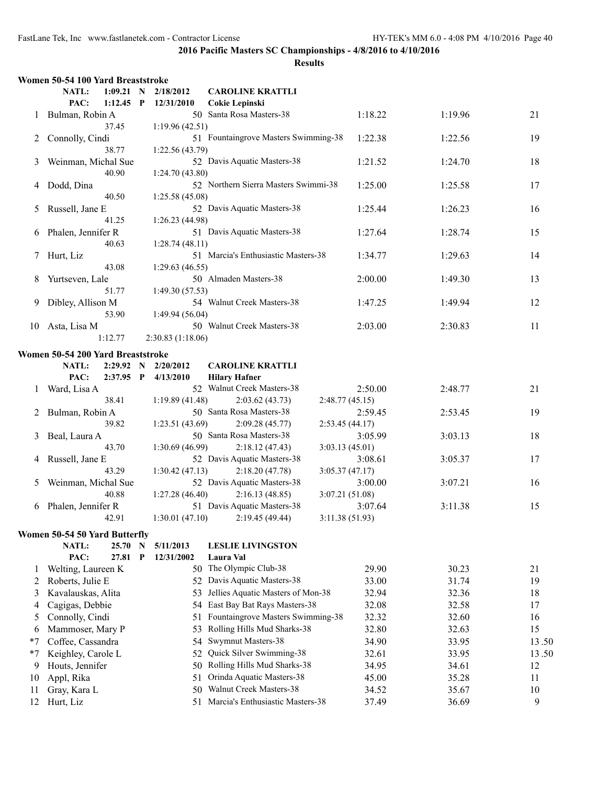|      | Women 50-54 100 Yard Breaststroke                 |                   |                                      |                 |         |       |
|------|---------------------------------------------------|-------------------|--------------------------------------|-----------------|---------|-------|
|      | NATL:<br>$1:09.21$ N                              | 2/18/2012         | <b>CAROLINE KRATTLI</b>              |                 |         |       |
|      | PAC:<br>$1:12.45$ P                               | 12/31/2010        | Cokie Lepinski                       |                 |         |       |
| 1    | Bulman, Robin A                                   |                   | 50 Santa Rosa Masters-38             | 1:18.22         | 1:19.96 | 21    |
|      | 37.45                                             | 1:19.96(42.51)    |                                      |                 |         |       |
| 2    | Connolly, Cindi                                   |                   | 51 Fountaingrove Masters Swimming-38 | 1:22.38         | 1:22.56 | 19    |
|      | 38.77                                             | 1:22.56 (43.79)   |                                      |                 |         |       |
| 3    | Weinman, Michal Sue                               |                   | 52 Davis Aquatic Masters-38          | 1:21.52         | 1:24.70 | 18    |
|      | 40.90                                             | 1:24.70 (43.80)   |                                      |                 |         |       |
| 4    | Dodd, Dina                                        |                   | 52 Northern Sierra Masters Swimmi-38 | 1:25.00         | 1:25.58 | 17    |
|      | 40.50                                             | 1:25.58 (45.08)   |                                      |                 |         |       |
| 5    | Russell, Jane E                                   |                   | 52 Davis Aquatic Masters-38          | 1:25.44         | 1:26.23 | 16    |
|      | 41.25                                             | 1:26.23 (44.98)   |                                      |                 |         |       |
| 6    | Phalen, Jennifer R                                |                   | 51 Davis Aquatic Masters-38          | 1:27.64         | 1:28.74 | 15    |
|      | 40.63                                             | 1:28.74(48.11)    |                                      |                 |         |       |
| 7    | Hurt, Liz                                         |                   | 51 Marcia's Enthusiastic Masters-38  | 1:34.77         | 1:29.63 | 14    |
|      | 43.08                                             | 1:29.63(46.55)    |                                      |                 |         |       |
| 8    | Yurtseven, Lale                                   |                   | 50 Almaden Masters-38                | 2:00.00         | 1:49.30 | 13    |
|      | 51.77                                             | 1:49.30 (57.53)   |                                      |                 |         |       |
| 9    | Dibley, Allison M                                 |                   | 54 Walnut Creek Masters-38           | 1:47.25         | 1:49.94 | 12    |
|      | 53.90                                             | 1:49.94 (56.04)   |                                      |                 |         |       |
| 10   | Asta, Lisa M                                      |                   | 50 Walnut Creek Masters-38           | 2:03.00         | 2:30.83 | 11    |
|      | 1:12.77                                           | 2:30.83 (1:18.06) |                                      |                 |         |       |
|      | Women 50-54 200 Yard Breaststroke                 |                   |                                      |                 |         |       |
|      | NATL:<br>2:29.92 N                                | 2/20/2012         | <b>CAROLINE KRATTLI</b>              |                 |         |       |
|      | PAC:<br>$2:37.95$ P                               | 4/13/2010         | <b>Hilary Hafner</b>                 |                 |         |       |
| 1    | Ward, Lisa A                                      |                   | 52 Walnut Creek Masters-38           | 2:50.00         | 2:48.77 | 21    |
|      | 38.41                                             | 1:19.89(41.48)    | 2:03.62(43.73)                       | 2:48.77(45.15)  |         |       |
| 2    | Bulman, Robin A                                   |                   | 50 Santa Rosa Masters-38             | 2:59.45         | 2:53.45 | 19    |
|      | 39.82                                             | 1:23.51 (43.69)   | 2:09.28(45.77)                       | 2:53.45(44.17)  |         |       |
| 3    | Beal, Laura A                                     |                   | 50 Santa Rosa Masters-38             | 3:05.99         | 3:03.13 | 18    |
|      | 43.70                                             | 1:30.69(46.99)    | 2:18.12(47.43)                       | 3:03.13(45.01)  |         |       |
| 4    | Russell, Jane E                                   |                   | 52 Davis Aquatic Masters-38          | 3:08.61         | 3:05.37 | 17    |
|      | 43.29                                             | 1:30.42(47.13)    | 2:18.20(47.78)                       | 3:05.37(47.17)  |         |       |
| 5    | Weinman, Michal Sue                               |                   | 52 Davis Aquatic Masters-38          | 3:00.00         | 3:07.21 | 16    |
|      | 40.88                                             | 1:27.28(46.40)    | 2:16.13(48.85)                       | 3:07.21 (51.08) |         |       |
| 6    | Phalen, Jennifer R                                |                   | 51 Davis Aquatic Masters-38          | 3:07.64         | 3:11.38 | 15    |
|      | 42.91                                             |                   | $1:30.01(47.10)$ $2:19.45(49.44)$    | 3:11.38 (51.93) |         |       |
|      |                                                   |                   |                                      |                 |         |       |
|      | Women 50-54 50 Yard Butterfly<br>NATL:<br>25.70 N | 5/11/2013         | <b>LESLIE LIVINGSTON</b>             |                 |         |       |
|      | PAC:<br>27.81 P                                   | 12/31/2002        | Laura Val                            |                 |         |       |
| 1    | Welting, Laureen K                                | 50.               | The Olympic Club-38                  | 29.90           | 30.23   | 21    |
| 2    | Roberts, Julie E                                  | 52                | Davis Aquatic Masters-38             | 33.00           | 31.74   | 19    |
| 3    | Kavalauskas, Alita                                | 53.               | Jellies Aquatic Masters of Mon-38    | 32.94           | 32.36   | 18    |
|      | Cagigas, Debbie                                   | 54                | East Bay Bat Rays Masters-38         | 32.08           | 32.58   | 17    |
| 4    |                                                   | 51                | Fountaingrove Masters Swimming-38    | 32.32           | 32.60   |       |
| 5    | Connolly, Cindi                                   |                   | Rolling Hills Mud Sharks-38          |                 |         | 16    |
| 6    | Mammoser, Mary P                                  | 53                |                                      | 32.80           | 32.63   | 15    |
| $*7$ | Coffee, Cassandra                                 | 54                | Swymnut Masters-38                   | 34.90           | 33.95   | 13.50 |
| $*7$ | Keighley, Carole L                                | 52                | Quick Silver Swimming-38             | 32.61           | 33.95   | 13.50 |
| 9    | Houts, Jennifer                                   | 50                | Rolling Hills Mud Sharks-38          | 34.95           | 34.61   | 12    |
| 10   | Appl, Rika                                        | 51                | Orinda Aquatic Masters-38            | 45.00           | 35.28   | 11    |
| 11   | Gray, Kara L                                      | 50                | Walnut Creek Masters-38              | 34.52           | 35.67   | 10    |
| 12   | Hurt, Liz                                         | 51                | Marcia's Enthusiastic Masters-38     | 37.49           | 36.69   | 9     |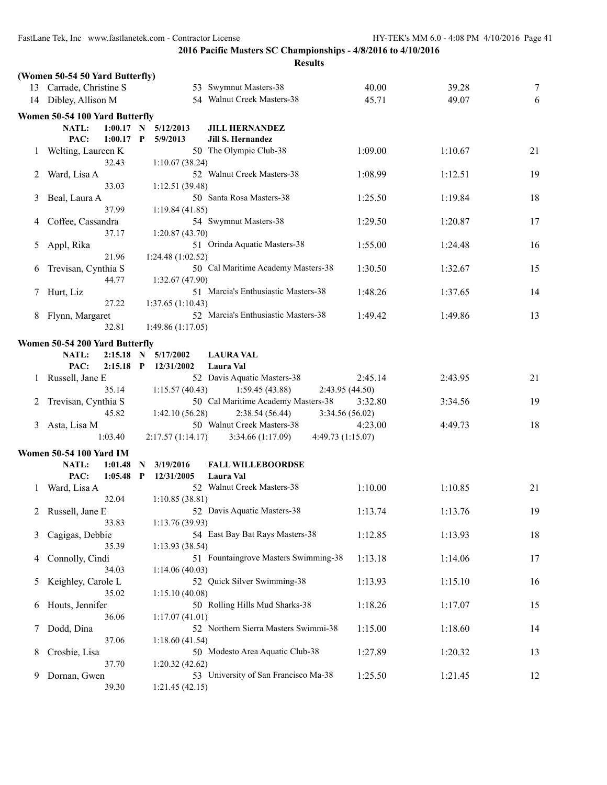|              |                                 |             |              |                   | <b>Results</b>                             |                 |         |    |
|--------------|---------------------------------|-------------|--------------|-------------------|--------------------------------------------|-----------------|---------|----|
|              | (Women 50-54 50 Yard Butterfly) |             |              |                   |                                            |                 |         |    |
|              | 13 Carrade, Christine S         |             |              |                   | 53 Swymnut Masters-38                      | 40.00           | 39.28   | 7  |
|              | 14 Dibley, Allison M            |             |              |                   | 54 Walnut Creek Masters-38                 | 45.71           | 49.07   | 6  |
|              | Women 50-54 100 Yard Butterfly  |             |              |                   |                                            |                 |         |    |
|              | <b>NATL:</b>                    | $1:00.17$ N |              | 5/12/2013         |                                            |                 |         |    |
|              | PAC:                            | $1:00.17$ P |              | 5/9/2013          | <b>JILL HERNANDEZ</b><br>Jill S. Hernandez |                 |         |    |
|              |                                 |             |              |                   | 50 The Olympic Club-38                     |                 |         | 21 |
|              | Welting, Laureen K              | 32.43       |              |                   |                                            | 1:09.00         | 1:10.67 |    |
|              |                                 |             |              | 1:10.67(38.24)    | 52 Walnut Creek Masters-38                 |                 |         |    |
| 2            | Ward, Lisa A                    | 33.03       |              |                   |                                            | 1:08.99         | 1:12.51 | 19 |
|              |                                 |             |              | 1:12.51(39.48)    | 50 Santa Rosa Masters-38                   |                 |         | 18 |
| 3            | Beal, Laura A                   | 37.99       |              |                   |                                            | 1:25.50         | 1:19.84 |    |
|              |                                 |             |              | 1:19.84(41.85)    |                                            |                 |         |    |
|              | Coffee, Cassandra               | 37.17       |              |                   | 54 Swymnut Masters-38                      | 1:29.50         | 1:20.87 | 17 |
|              |                                 |             |              | 1:20.87(43.70)    |                                            |                 |         |    |
| 5            | Appl, Rika                      | 21.96       |              |                   | 51 Orinda Aquatic Masters-38               | 1:55.00         | 1:24.48 | 16 |
|              |                                 |             |              | 1:24.48 (1:02.52) |                                            |                 |         |    |
| 6            | Trevisan, Cynthia S             |             |              |                   | 50 Cal Maritime Academy Masters-38         | 1:30.50         | 1:32.67 | 15 |
|              |                                 | 44.77       |              | 1:32.67 (47.90)   |                                            |                 |         |    |
|              | Hurt, Liz                       |             |              |                   | 51 Marcia's Enthusiastic Masters-38        | 1:48.26         | 1:37.65 | 14 |
|              |                                 | 27.22       |              | 1:37.65(1:10.43)  |                                            |                 |         |    |
| 8            | Flynn, Margaret                 |             |              |                   | 52 Marcia's Enthusiastic Masters-38        | 1:49.42         | 1:49.86 | 13 |
|              |                                 | 32.81       |              | 1:49.86(1:17.05)  |                                            |                 |         |    |
|              | Women 50-54 200 Yard Butterfly  |             |              |                   |                                            |                 |         |    |
|              | <b>NATL:</b>                    | $2:15.18$ N |              | 5/17/2002         | <b>LAURA VAL</b>                           |                 |         |    |
|              | PAC:                            | $2:15.18$ P |              | 12/31/2002        | Laura Val                                  |                 |         |    |
| $\perp$      | Russell, Jane E                 |             |              |                   | 52 Davis Aquatic Masters-38                | 2:45.14         | 2:43.95 | 21 |
|              |                                 | 35.14       |              | 1:15.57(40.43)    | 1:59.45(43.88)                             | 2:43.95 (44.50) |         |    |
| 2            | Trevisan, Cynthia S             |             |              |                   | 50 Cal Maritime Academy Masters-38         | 3:32.80         | 3:34.56 | 19 |
|              |                                 | 45.82       |              | 1:42.10 (56.28)   | 2:38.54(56.44)                             | 3:34.56 (56.02) |         |    |
| 3            | Asta, Lisa M                    |             |              |                   | 50 Walnut Creek Masters-38                 | 4:23.00         | 4:49.73 | 18 |
|              |                                 | 1:03.40     |              | 2:17.57(1:14.17)  | 3:34.66(1:17.09)<br>4:49.73 (1:15.07)      |                 |         |    |
|              | <b>Women 50-54 100 Yard IM</b>  |             |              |                   |                                            |                 |         |    |
|              | NATL:                           | 1:01.48     | N            | 3/19/2016         | <b>FALL WILLEBOORDSE</b>                   |                 |         |    |
|              | PAC:                            | 1:05.48     | $\mathbf{P}$ | 12/31/2005        | Laura Val                                  |                 |         |    |
| $\mathbf{I}$ | Ward, Lisa A                    |             |              |                   | 52 Walnut Creek Masters-38                 | 1:10.00         | 1:10.85 | 21 |
|              |                                 | 32.04       |              | 1:10.85(38.81)    |                                            |                 |         |    |
| 2            | Russell, Jane E                 |             |              |                   | 52 Davis Aquatic Masters-38                | 1:13.74         | 1:13.76 | 19 |
|              |                                 | 33.83       |              | 1:13.76(39.93)    |                                            |                 |         |    |
| 3            | Cagigas, Debbie                 |             |              |                   | 54 East Bay Bat Rays Masters-38            | 1:12.85         | 1:13.93 | 18 |
|              |                                 | 35.39       |              | 1:13.93(38.54)    |                                            |                 |         |    |
| 4            | Connolly, Cindi                 |             |              |                   | 51 Fountaingrove Masters Swimming-38       | 1:13.18         | 1:14.06 | 17 |
|              |                                 | 34.03       |              | 1:14.06(40.03)    |                                            |                 |         |    |
| 5            | Keighley, Carole L              |             |              |                   | 52 Quick Silver Swimming-38                | 1:13.93         | 1:15.10 | 16 |
|              |                                 | 35.02       |              | 1:15.10(40.08)    |                                            |                 |         |    |
| 6            | Houts, Jennifer                 |             |              |                   | 50 Rolling Hills Mud Sharks-38             | 1:18.26         | 1:17.07 | 15 |
|              |                                 | 36.06       |              | 1:17.07(41.01)    |                                            |                 |         |    |
| 7            | Dodd, Dina                      |             |              |                   | 52 Northern Sierra Masters Swimmi-38       | 1:15.00         | 1:18.60 | 14 |
|              |                                 | 37.06       |              | 1:18.60(41.54)    |                                            |                 |         |    |
| 8            | Crosbie, Lisa                   |             |              |                   | 50 Modesto Area Aquatic Club-38            | 1:27.89         | 1:20.32 | 13 |
|              |                                 | 37.70       |              | 1:20.32(42.62)    |                                            |                 |         |    |
| 9            | Dornan, Gwen                    |             |              |                   | 53 University of San Francisco Ma-38       | 1:25.50         | 1:21.45 | 12 |
|              |                                 | 39.30       |              | 1:21.45(42.15)    |                                            |                 |         |    |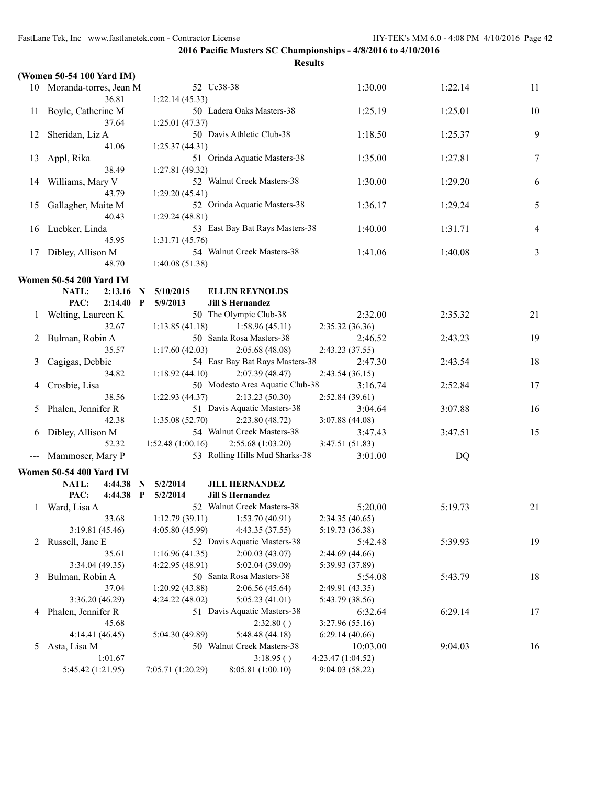|                     | (Women 50-54 100 Yard IM)      |                          |                                         |                                      |         |    |
|---------------------|--------------------------------|--------------------------|-----------------------------------------|--------------------------------------|---------|----|
|                     | 10 Moranda-torres, Jean M      | 52 Uc38-38               |                                         | 1:30.00                              | 1:22.14 | 11 |
|                     | 36.81                          | 1:22.14(45.33)           |                                         |                                      |         |    |
| 11                  | Boyle, Catherine M             |                          | 50 Ladera Oaks Masters-38               | 1:25.19                              | 1:25.01 | 10 |
|                     | 37.64                          | 1:25.01(47.37)           |                                         |                                      |         |    |
| 12                  | Sheridan, Liz A                |                          | 50 Davis Athletic Club-38               | 1:18.50                              | 1:25.37 | 9  |
|                     | 41.06                          | 1:25.37(44.31)           |                                         |                                      |         |    |
| 13                  | Appl, Rika                     |                          | 51 Orinda Aquatic Masters-38            | 1:35.00                              | 1:27.81 | 7  |
|                     | 38.49                          | 1:27.81(49.32)           |                                         |                                      |         |    |
| 14                  | Williams, Mary V               |                          | 52 Walnut Creek Masters-38              | 1:30.00                              | 1:29.20 | 6  |
|                     | 43.79                          | 1:29.20(45.41)           |                                         |                                      |         |    |
| 15                  | Gallagher, Maite M             |                          | 52 Orinda Aquatic Masters-38            | 1:36.17                              | 1:29.24 | 5  |
|                     | 40.43                          | 1:29.24(48.81)           |                                         |                                      |         |    |
| 16                  | Luebker, Linda                 |                          | 53 East Bay Bat Rays Masters-38         | 1:40.00                              | 1:31.71 | 4  |
|                     | 45.95                          | 1:31.71(45.76)           |                                         |                                      |         |    |
| 17                  | Dibley, Allison M              |                          | 54 Walnut Creek Masters-38              | 1:41.06                              | 1:40.08 | 3  |
|                     | 48.70                          | 1:40.08(51.38)           |                                         |                                      |         |    |
|                     | <b>Women 50-54 200 Yard IM</b> |                          |                                         |                                      |         |    |
|                     | NATL:<br>2:13.16               | 5/10/2015<br>N           | <b>ELLEN REYNOLDS</b>                   |                                      |         |    |
|                     | PAC:<br>2:14.40                | $\mathbf{P}$<br>5/9/2013 | <b>Jill S Hernandez</b>                 |                                      |         |    |
| 1                   | Welting, Laureen K             |                          | 50 The Olympic Club-38                  | 2:32.00                              | 2:35.32 | 21 |
|                     | 32.67                          | 1:13.85(41.18)           | 1:58.96(45.11)                          | 2:35.32(36.36)                       |         |    |
| 2                   | Bulman, Robin A                |                          | 50 Santa Rosa Masters-38                | 2:46.52                              | 2:43.23 | 19 |
|                     | 35.57                          | 1:17.60(42.03)           | 2:05.68(48.08)                          | 2:43.23 (37.55)                      |         |    |
| 3                   | Cagigas, Debbie                |                          | 54 East Bay Bat Rays Masters-38         | 2:47.30                              | 2:43.54 | 18 |
|                     | 34.82                          | 1:18.92(44.10)           | 2:07.39(48.47)                          | 2:43.54(36.15)                       |         |    |
| 4                   | Crosbie, Lisa                  |                          | 50 Modesto Area Aquatic Club-38         | 3:16.74                              | 2:52.84 | 17 |
|                     | 38.56                          | 1:22.93(44.37)           | 2:13.23(50.30)                          | 2:52.84(39.61)                       |         |    |
| 5                   | Phalen, Jennifer R             |                          | 51 Davis Aquatic Masters-38             | 3:04.64                              | 3:07.88 | 16 |
|                     | 42.38                          | 1:35.08(52.70)           | 2:23.80(48.72)                          | 3:07.88(44.08)                       |         |    |
| 6                   | Dibley, Allison M              |                          | 54 Walnut Creek Masters-38              | 3:47.43                              | 3:47.51 | 15 |
|                     | 52.32                          | 1:52.48(1:00.16)         | 2:55.68(1:03.20)                        | 3:47.51(51.83)                       |         |    |
| $\qquad \qquad - -$ | Mammoser, Mary P               |                          | 53 Rolling Hills Mud Sharks-38          | 3:01.00                              | DQ      |    |
|                     | <b>Women 50-54 400 Yard IM</b> |                          |                                         |                                      |         |    |
|                     | NATL:<br>4:44.38               | 5/2/2014<br>N            | <b>JILL HERNANDEZ</b>                   |                                      |         |    |
|                     | PAC:<br>4:44.38 P              | 5/2/2014                 | <b>Jill S Hernandez</b>                 |                                      |         |    |
| 1                   | Ward, Lisa A                   |                          | 52 Walnut Creek Masters-38              | 5:20.00                              | 5:19.73 | 21 |
|                     | 33.68                          | 1:12.79(39.11)           | 1:53.70(40.91)                          | 2:34.35 (40.65)                      |         |    |
|                     | 3:19.81(45.46)                 | 4:05.80 (45.99)          | 4:43.35 (37.55)                         | 5:19.73 (36.38)                      |         |    |
|                     | 2 Russell, Jane E              |                          | 52 Davis Aquatic Masters-38             | 5:42.48                              | 5:39.93 | 19 |
|                     | 35.61                          | 1:16.96(41.35)           | 2:00.03(43.07)                          | 2:44.69(44.66)                       |         |    |
|                     | 3:34.04(49.35)                 | 4:22.95 (48.91)          | 5:02.04 (39.09)                         | 5:39.93 (37.89)                      |         |    |
| 3                   | Bulman, Robin A                |                          | 50 Santa Rosa Masters-38                | 5:54.08                              | 5:43.79 | 18 |
|                     | 37.04                          | 1:20.92(43.88)           | 2:06.56(45.64)                          | 2:49.91 (43.35)                      |         |    |
|                     | 3:36.20(46.29)                 | 4:24.22(48.02)           | 5:05.23(41.01)                          | 5:43.79 (38.56)                      |         |    |
| 4                   | Phalen, Jennifer R             |                          | 51 Davis Aquatic Masters-38             | 6:32.64                              | 6:29.14 | 17 |
|                     | 45.68                          |                          | 2:32.80()                               | 3:27.96 (55.16)                      |         |    |
|                     | 4:14.41(46.45)                 | 5:04.30 (49.89)          | 5:48.48 (44.18)                         | 6:29.14(40.66)                       |         |    |
| 5                   | Asta, Lisa M                   |                          | 50 Walnut Creek Masters-38<br>3:18.95() | 10:03.00                             | 9:04.03 | 16 |
|                     | 1:01.67<br>5:45.42 (1:21.95)   | 7:05.71 (1:20.29)        | 8:05.81 (1:00.10)                       | 4:23.47 (1:04.52)<br>9:04.03 (58.22) |         |    |
|                     |                                |                          |                                         |                                      |         |    |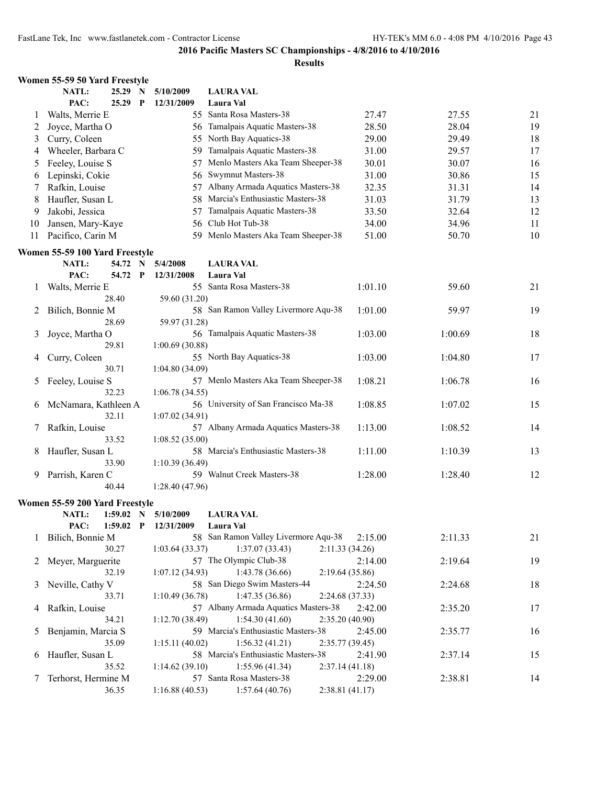|         | Women 55-59 50 Yard Freestyle  |             |              |                 |                                      |                 |         |    |
|---------|--------------------------------|-------------|--------------|-----------------|--------------------------------------|-----------------|---------|----|
|         | NATL:                          | 25.29 N     |              | 5/10/2009       | <b>LAURA VAL</b>                     |                 |         |    |
|         | PAC:                           | 25.29       | $\mathbf{P}$ | 12/31/2009      | Laura Val                            |                 |         |    |
| $\perp$ | Walts, Merrie E                |             |              |                 | 55 Santa Rosa Masters-38             | 27.47           | 27.55   | 21 |
| 2       | Joyce, Martha O                |             |              |                 | 56 Tamalpais Aquatic Masters-38      | 28.50           | 28.04   | 19 |
| 3       | Curry, Coleen                  |             |              |                 | 55 North Bay Aquatics-38             | 29.00           | 29.49   | 18 |
| 4       | Wheeler, Barbara C             |             |              |                 | 59 Tamalpais Aquatic Masters-38      | 31.00           | 29.57   | 17 |
| 5       | Feeley, Louise S               |             |              |                 | 57 Menlo Masters Aka Team Sheeper-38 | 30.01           | 30.07   | 16 |
| 6       | Lepinski, Cokie                |             |              |                 | 56 Swymnut Masters-38                | 31.00           | 30.86   | 15 |
| 7       | Rafkin, Louise                 |             |              |                 | 57 Albany Armada Aquatics Masters-38 | 32.35           | 31.31   | 14 |
| 8       | Haufler, Susan L               |             |              |                 | 58 Marcia's Enthusiastic Masters-38  | 31.03           | 31.79   | 13 |
| 9       | Jakobi, Jessica                |             |              |                 | 57 Tamalpais Aquatic Masters-38      | 33.50           | 32.64   | 12 |
| 10      | Jansen, Mary-Kaye              |             |              |                 | 56 Club Hot Tub-38                   | 34.00           | 34.96   | 11 |
| 11      | Pacifico, Carin M              |             |              |                 | 59 Menlo Masters Aka Team Sheeper-38 | 51.00           | 50.70   | 10 |
|         | Women 55-59 100 Yard Freestyle |             |              |                 |                                      |                 |         |    |
|         | NATL:                          | 54.72 N     |              | 5/4/2008        | <b>LAURA VAL</b>                     |                 |         |    |
|         | PAC:                           | 54.72       | $\mathbf{P}$ | 12/31/2008      | <b>Laura Val</b>                     |                 |         |    |
| 1       | Walts, Merrie E                |             |              |                 | 55 Santa Rosa Masters-38             | 1:01.10         | 59.60   | 21 |
|         |                                | 28.40       |              | 59.60 (31.20)   |                                      |                 |         |    |
| 2       | Bilich, Bonnie M               |             |              |                 | 58 San Ramon Valley Livermore Aqu-38 | 1:01.00         | 59.97   | 19 |
|         |                                | 28.69       |              | 59.97 (31.28)   |                                      |                 |         |    |
| 3       | Joyce, Martha O                |             |              |                 | 56 Tamalpais Aquatic Masters-38      | 1:03.00         | 1:00.69 | 18 |
|         |                                | 29.81       |              | 1:00.69(30.88)  |                                      |                 |         |    |
| 4       | Curry, Coleen                  |             |              |                 | 55 North Bay Aquatics-38             | 1:03.00         | 1:04.80 | 17 |
|         |                                | 30.71       |              | 1:04.80(34.09)  |                                      |                 |         |    |
| 5.      | Feeley, Louise S               |             |              |                 | 57 Menlo Masters Aka Team Sheeper-38 | 1:08.21         | 1:06.78 | 16 |
|         |                                | 32.23       |              | 1:06.78(34.55)  |                                      |                 |         |    |
| 6       | McNamara, Kathleen A           |             |              |                 | 56 University of San Francisco Ma-38 | 1:08.85         | 1:07.02 | 15 |
|         |                                | 32.11       |              | 1:07.02(34.91)  |                                      |                 |         |    |
| 7       | Rafkin, Louise                 |             |              |                 | 57 Albany Armada Aquatics Masters-38 | 1:13.00         | 1:08.52 | 14 |
|         |                                | 33.52       |              | 1:08.52(35.00)  |                                      |                 |         |    |
| 8       | Haufler, Susan L               |             |              |                 | 58 Marcia's Enthusiastic Masters-38  | 1:11.00         | 1:10.39 | 13 |
|         |                                | 33.90       |              | 1:10.39(36.49)  |                                      |                 |         |    |
| 9.      | Parrish, Karen C               |             |              |                 | 59 Walnut Creek Masters-38           | 1:28.00         | 1:28.40 | 12 |
|         |                                | 40.44       |              | 1:28.40(47.96)  |                                      |                 |         |    |
|         | Women 55-59 200 Yard Freestyle |             |              |                 |                                      |                 |         |    |
|         | NATL: 1:59.02 N 5/10/2009      |             |              |                 | <b>LAURA VAL</b>                     |                 |         |    |
|         | PAC:                           | $1:59.02$ P |              | 12/31/2009      | Laura Val                            |                 |         |    |
| $\perp$ | Bilich, Bonnie M               |             |              |                 | 58 San Ramon Valley Livermore Aqu-38 | 2:15.00         | 2:11.33 | 21 |
|         |                                | 30.27       |              | 1:03.64(33.37)  | 1:37.07(33.43)                       | 2:11.33(34.26)  |         |    |
| 2       | Meyer, Marguerite              |             |              |                 | 57 The Olympic Club-38               | 2:14.00         | 2:19.64 | 19 |
|         |                                | 32.19       |              | 1:07.12(34.93)  | 1:43.78(36.66)                       | 2:19.64(35.86)  |         |    |
| 3       | Neville, Cathy V               |             |              |                 | 58 San Diego Swim Masters-44         | 2:24.50         | 2:24.68 | 18 |
|         |                                | 33.71       |              | 1:10.49 (36.78) | 1:47.35 (36.86)                      | 2:24.68 (37.33) |         |    |
| 4       | Rafkin, Louise                 |             |              |                 | 57 Albany Armada Aquatics Masters-38 | 2:42.00         | 2:35.20 | 17 |
|         |                                | 34.21       |              | 1:12.70(38.49)  | 1:54.30(41.60)                       | 2:35.20(40.90)  |         |    |
| 5       | Benjamin, Marcia S             |             |              |                 | 59 Marcia's Enthusiastic Masters-38  | 2:45.00         | 2:35.77 | 16 |
|         |                                | 35.09       |              | 1:15.11(40.02)  | 1:56.32(41.21)                       | 2:35.77 (39.45) |         |    |
| 6       | Haufler, Susan L               |             |              |                 | 58 Marcia's Enthusiastic Masters-38  | 2:41.90         | 2:37.14 | 15 |
|         |                                | 35.52       |              | 1:14.62(39.10)  | 1:55.96(41.34)                       | 2:37.14(41.18)  |         |    |
| 7       | Terhorst, Hermine M            |             |              |                 | 57 Santa Rosa Masters-38             | 2:29.00         | 2:38.81 | 14 |
|         |                                | 36.35       |              | 1:16.88(40.53)  | 1:57.64(40.76)                       | 2:38.81 (41.17) |         |    |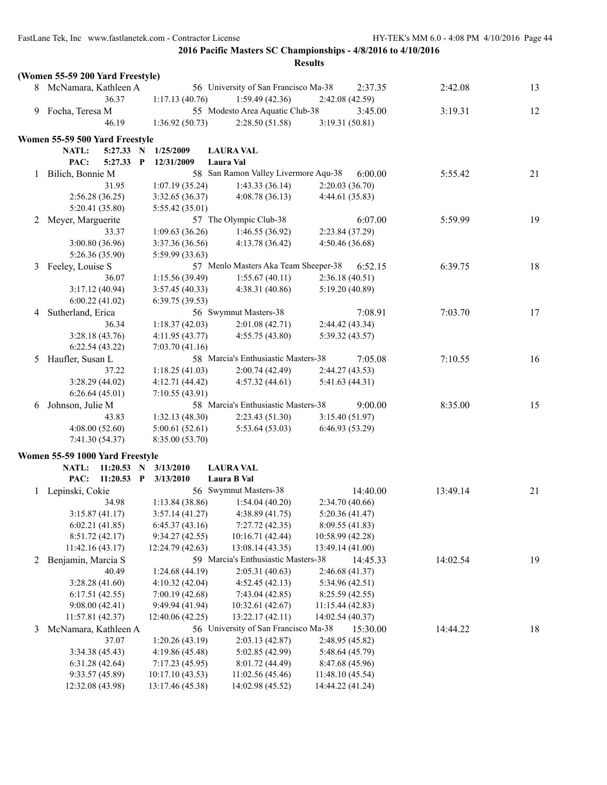|   | (Women 55-59 200 Yard Freestyle) |                                    |                                                   |                                   |          |    |
|---|----------------------------------|------------------------------------|---------------------------------------------------|-----------------------------------|----------|----|
|   | 8 McNamara, Kathleen A           |                                    | 56 University of San Francisco Ma-38              | 2:37.35                           | 2:42.08  | 13 |
|   | 36.37                            | 1:17.13(40.76)                     | 1:59.49(42.36)                                    | 2:42.08 (42.59)                   |          |    |
| 9 | Focha, Teresa M                  |                                    | 55 Modesto Area Aquatic Club-38                   | 3:45.00                           | 3:19.31  | 12 |
|   | 46.19                            | 1:36.92(50.73)                     | 2:28.50(51.58)                                    | 3:19.31(50.81)                    |          |    |
|   | Women 55-59 500 Yard Freestyle   |                                    |                                                   |                                   |          |    |
|   | NATL:<br>5:27.33 N               | 1/25/2009                          | <b>LAURA VAL</b>                                  |                                   |          |    |
|   | PAC:<br>5:27.33                  | P                                  |                                                   |                                   |          |    |
|   |                                  | 12/31/2009                         | Laura Val<br>58 San Ramon Valley Livermore Aqu-38 | 6:00.00                           |          |    |
| 1 | Bilich, Bonnie M                 |                                    |                                                   |                                   | 5:55.42  | 21 |
|   | 31.95                            | 1:07.19(35.24)                     | 1:43.33(36.14)                                    | 2:20.03(36.70)                    |          |    |
|   | 2:56.28(36.25)<br>5:20.41(35.80) | 3:32.65 (36.37)                    | 4:08.78(36.13)                                    | 4:44.61(35.83)                    |          |    |
|   |                                  | 5:55.42 (35.01)                    | 57 The Olympic Club-38                            | 6:07.00                           | 5:59.99  | 19 |
|   | 2 Meyer, Marguerite<br>33.37     | 1:09.63(36.26)                     | 1:46.55(36.92)                                    | 2:23.84 (37.29)                   |          |    |
|   | 3:00.80(36.96)                   |                                    | 4:13.78 (36.42)                                   | 4:50.46(36.68)                    |          |    |
|   | 5:26.36 (35.90)                  | 3:37.36 (36.56)<br>5:59.99 (33.63) |                                                   |                                   |          |    |
| 3 | Feeley, Louise S                 |                                    | 57 Menlo Masters Aka Team Sheeper-38              | 6:52.15                           | 6:39.75  | 18 |
|   | 36.07                            | 1:15.56(39.49)                     | 1:55.67(40.11)                                    | 2:36.18(40.51)                    |          |    |
|   | 3:17.12(40.94)                   | 3:57.45 (40.33)                    | 4:38.31(40.86)                                    | 5:19.20 (40.89)                   |          |    |
|   | 6:00.22(41.02)                   | 6:39.75(39.53)                     |                                                   |                                   |          |    |
| 4 | Sutherland, Erica                |                                    | 56 Swymnut Masters-38                             | 7:08.91                           | 7:03.70  | 17 |
|   | 36.34                            | 1:18.37(42.03)                     | 2:01.08(42.71)                                    | 2:44.42(43.34)                    |          |    |
|   | 3:28.18(43.76)                   | 4:11.95(43.77)                     | 4:55.75(43.80)                                    | 5:39.32(43.57)                    |          |    |
|   | 6:22.54(43.22)                   | 7:03.70(41.16)                     |                                                   |                                   |          |    |
| 5 | Haufler, Susan L                 |                                    | 58 Marcia's Enthusiastic Masters-38               | 7:05.08                           | 7:10.55  | 16 |
|   | 37.22                            | 1:18.25(41.03)                     | 2:00.74(42.49)                                    | 2:44.27(43.53)                    |          |    |
|   | 3:28.29(44.02)                   | 4:12.71 (44.42)                    | 4:57.32(44.61)                                    | 5:41.63(44.31)                    |          |    |
|   | 6:26.64(45.01)                   | 7:10.55(43.91)                     |                                                   |                                   |          |    |
| 6 | Johnson, Julie M                 |                                    | 58 Marcia's Enthusiastic Masters-38               | 9:00.00                           | 8:35.00  | 15 |
|   | 43.83                            | 1:32.13(48.30)                     | 2:23.43(51.30)                                    | 3:15.40(51.97)                    |          |    |
|   | 4:08.00(52.60)                   | 5:00.61(52.61)                     | 5:53.64(53.03)                                    | 6:46.93(53.29)                    |          |    |
|   | 7:41.30(54.37)                   | 8:35.00 (53.70)                    |                                                   |                                   |          |    |
|   |                                  |                                    |                                                   |                                   |          |    |
|   | Women 55-59 1000 Yard Freestyle  |                                    | <b>LAURA VAL</b>                                  |                                   |          |    |
|   | NATL:<br>$11:20.53$ N            | 3/13/2010                          |                                                   |                                   |          |    |
|   | PAC:<br>$11:20.53$ P             | 3/13/2010                          | Laura B Val<br>56 Swymnut Masters-38              | 14:40.00                          |          |    |
|   | 1 Lepinski, Cokie<br>34.98       |                                    |                                                   |                                   | 13:49.14 | 21 |
|   |                                  | 1:13.84(38.86)                     | 1:54.04(40.20)<br>4:38.89(41.75)                  | 2:34.70(40.66)                    |          |    |
|   | 3:15.87(41.17)<br>6:02.21(41.85) | 3:57.14(41.27)<br>6:45.37(43.16)   | 7:27.72(42.35)                                    | 5:20.36(41.47)<br>8:09.55 (41.83) |          |    |
|   | 8:51.72(42.17)                   | 9:34.27 (42.55)                    | 10:16.71 (42.44)                                  | 10:58.99 (42.28)                  |          |    |
|   | 11:42.16 (43.17)                 | 12:24.79 (42.63)                   | 13:08.14 (43.35)                                  | 13:49.14 (41.00)                  |          |    |
|   | 2 Benjamin, Marcia S             |                                    | 59 Marcia's Enthusiastic Masters-38               | 14:45.33                          | 14:02.54 | 19 |
|   | 40.49                            | 1:24.68(44.19)                     | 2:05.31(40.63)                                    | 2:46.68(41.37)                    |          |    |
|   | 3:28.28(41.60)                   | 4:10.32(42.04)                     | 4:52.45(42.13)                                    | 5:34.96 (42.51)                   |          |    |
|   | 6:17.51(42.55)                   | 7:00.19(42.68)                     | 7:43.04(42.85)                                    | 8:25.59(42.55)                    |          |    |
|   | 9:08.00(42.41)                   | 9:49.94 (41.94)                    | 10:32.61 (42.67)                                  | 11:15.44 (42.83)                  |          |    |
|   | 11:57.81 (42.37)                 | 12:40.06 (42.25)                   | 13:22.17 (42.11)                                  | 14:02.54 (40.37)                  |          |    |
| 3 | McNamara, Kathleen A             |                                    | 56 University of San Francisco Ma-38              | 15:30.00                          | 14:44.22 | 18 |
|   | 37.07                            | 1:20.26(43.19)                     | 2:03.13(42.87)                                    | 2:48.95 (45.82)                   |          |    |
|   | 3:34.38 (45.43)                  | 4:19.86 (45.48)                    | 5:02.85 (42.99)                                   | 5:48.64 (45.79)                   |          |    |
|   | 6:31.28(42.64)                   | 7:17.23 (45.95)                    | 8:01.72 (44.49)                                   | 8:47.68 (45.96)                   |          |    |
|   | 9:33.57(45.89)                   | 10:17.10 (43.53)                   | 11:02.56 (45.46)                                  | 11:48.10(45.54)                   |          |    |
|   | 12:32.08 (43.98)                 | 13:17.46 (45.38)                   | 14:02.98 (45.52)                                  | 14:44.22 (41.24)                  |          |    |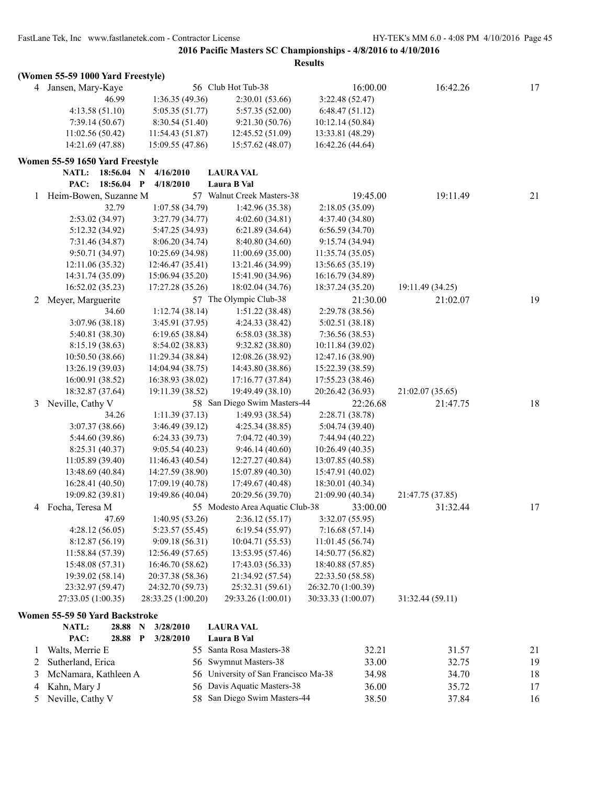|   | (Women 55-59 1000 Yard Freestyle) |                           |                                   |                    |                  |    |
|---|-----------------------------------|---------------------------|-----------------------------------|--------------------|------------------|----|
|   | 4 Jansen, Mary-Kaye               |                           | 56 Club Hot Tub-38                | 16:00.00           | 16:42.26         | 17 |
|   | 46.99                             | 1:36.35(49.36)            | 2:30.01(53.66)                    | 3:22.48(52.47)     |                  |    |
|   | 4:13.58(51.10)                    | 5:05.35(51.77)            | 5:57.35 (52.00)                   | 6:48.47(51.12)     |                  |    |
|   | 7:39.14(50.67)                    | 8:30.54 (51.40)           | 9:21.30 (50.76)                   | 10:12.14(50.84)    |                  |    |
|   | 11:02.56(50.42)                   | 11:54.43(51.87)           | 12:45.52 (51.09)                  | 13:33.81 (48.29)   |                  |    |
|   | 14:21.69 (47.88)                  | 15:09.55 (47.86)          | 15:57.62 (48.07)                  | 16:42.26 (44.64)   |                  |    |
|   | Women 55-59 1650 Yard Freestyle   |                           |                                   |                    |                  |    |
|   | NATL:<br>18:56.04                 | 4/16/2010<br>$\mathbf N$  | <b>LAURA VAL</b>                  |                    |                  |    |
|   | PAC:<br>18:56.04                  | $\mathbf{P}$<br>4/18/2010 | Laura B Val                       |                    |                  |    |
| 1 | Heim-Bowen, Suzanne M             |                           | 57 Walnut Creek Masters-38        | 19:45.00           | 19:11.49         | 21 |
|   | 32.79                             | 1:07.58 (34.79)           | 1:42.96 (35.38)                   | 2:18.05(35.09)     |                  |    |
|   | 2:53.02 (34.97)                   | 3:27.79 (34.77)           | 4:02.60(34.81)                    | 4:37.40 (34.80)    |                  |    |
|   | 5:12.32 (34.92)                   | 5:47.25 (34.93)           | 6:21.89(34.64)                    | 6:56.59(34.70)     |                  |    |
|   | 7:31.46 (34.87)                   | 8:06.20(34.74)            | 8:40.80(34.60)                    | 9:15.74 (34.94)    |                  |    |
|   | 9:50.71(34.97)                    | 10:25.69 (34.98)          | 11:00.69 (35.00)                  | 11:35.74 (35.05)   |                  |    |
|   | 12:11.06 (35.32)                  | 12:46.47 (35.41)          | 13:21.46 (34.99)                  | 13:56.65 (35.19)   |                  |    |
|   | 14:31.74 (35.09)                  | 15:06.94 (35.20)          | 15:41.90 (34.96)                  | 16:16.79 (34.89)   |                  |    |
|   | 16:52.02 (35.23)                  | 17:27.28 (35.26)          | 18:02.04 (34.76)                  | 18:37.24 (35.20)   | 19:11.49 (34.25) |    |
| 2 | Meyer, Marguerite                 |                           | 57 The Olympic Club-38            | 21:30.00           | 21:02.07         | 19 |
|   | 34.60                             | 1:12.74(38.14)            | 1:51.22(38.48)                    | 2:29.78 (38.56)    |                  |    |
|   | 3:07.96 (38.18)                   | 3:45.91 (37.95)           | 4:24.33 (38.42)                   | 5:02.51 (38.18)    |                  |    |
|   | 5:40.81 (38.30)                   | 6:19.65(38.84)            | 6:58.03(38.38)                    | 7:36.56 (38.53)    |                  |    |
|   | 8:15.19(38.63)                    | 8:54.02 (38.83)           | 9:32.82 (38.80)                   | 10:11.84 (39.02)   |                  |    |
|   | 10:50.50(38.66)                   | 11:29.34 (38.84)          | 12:08.26 (38.92)                  | 12:47.16 (38.90)   |                  |    |
|   | 13:26.19 (39.03)                  | 14:04.94 (38.75)          | 14:43.80 (38.86)                  | 15:22.39 (38.59)   |                  |    |
|   | 16:00.91 (38.52)                  | 16:38.93 (38.02)          | 17:16.77 (37.84)                  | 17:55.23 (38.46)   |                  |    |
|   | 18:32.87 (37.64)                  | 19:11.39 (38.52)          | 19:49.49 (38.10)                  | 20:26.42 (36.93)   | 21:02.07 (35.65) |    |
|   | 3 Neville, Cathy V                |                           | 58 San Diego Swim Masters-44      | 22:26.68           | 21:47.75         | 18 |
|   | 34.26                             | 1:11.39(37.13)            | 1:49.93 (38.54)                   | 2:28.71 (38.78)    |                  |    |
|   | 3:07.37 (38.66)                   | 3:46.49 (39.12)           | 4:25.34(38.85)                    | 5:04.74 (39.40)    |                  |    |
|   | 5:44.60 (39.86)                   | 6:24.33(39.73)            | 7:04.72 (40.39)                   | 7:44.94 (40.22)    |                  |    |
|   | 8:25.31 (40.37)                   | 9:05.54(40.23)            | 9:46.14(40.60)                    | 10:26.49(40.35)    |                  |    |
|   | 11:05.89 (39.40)                  | 11:46.43 (40.54)          | 12:27.27 (40.84)                  | 13:07.85 (40.58)   |                  |    |
|   | 13:48.69 (40.84)                  | 14:27.59 (38.90)          | 15:07.89 (40.30)                  | 15:47.91 (40.02)   |                  |    |
|   | 16:28.41 (40.50)                  | 17:09.19 (40.78)          | 17:49.67 (40.48)                  | 18:30.01 (40.34)   |                  |    |
|   | 19:09.82 (39.81)                  | 19:49.86 (40.04)          | 20:29.56 (39.70)                  | 21:09.90 (40.34)   | 21:47.75 (37.85) |    |
|   | 4 Focha, Teresa M                 |                           | 55 Modesto Area Aquatic Club-38   | 33:00.00           | 31:32.44         | 17 |
|   | 47.69                             | 1:40.95 (53.26)           | 2:36.12(55.17)                    | 3:32.07 (55.95)    |                  |    |
|   | 4:28.12(56.05)                    | 5:23.57(55.45)            | 6:19.54(55.97)                    | 7:16.68(57.14)     |                  |    |
|   | 8:12.87 (56.19)                   | 9:09.18 (56.31)           | 10:04.71 (55.53)                  | 11:01.45 (56.74)   |                  |    |
|   | 11:58.84 (57.39)                  | 12:56.49(57.65)           | 13:53.95 (57.46)                  | 14:50.77 (56.82)   |                  |    |
|   | 15:48.08 (57.31)                  | 16:46.70 (58.62)          | 17:43.03 (56.33)                  | 18:40.88 (57.85)   |                  |    |
|   | 19:39.02 (58.14)                  | 20:37.38 (58.36)          | 21:34.92 (57.54)                  | 22:33.50 (58.58)   |                  |    |
|   | 23:32.97 (59.47)                  | 24:32.70 (59.73)          | 25:32.31 (59.61)                  | 26:32.70 (1:00.39) |                  |    |
|   | 27:33.05 (1:00.35)                | 28:33.25 (1:00.20)        | 29:33.26 (1:00.01)                | 30:33.33 (1:00.07) | 31:32.44 (59.11) |    |
|   | Women 55-59 50 Yard Backstroke    |                           |                                   |                    |                  |    |
|   | NATL:<br>28.88                    | 3/28/2010<br>$\mathbf N$  | <b>LAURA VAL</b>                  |                    |                  |    |
|   | PAC:<br>28.88 P                   | 3/28/2010                 | Laura B Val                       |                    |                  |    |
| 1 | Walts, Merrie E                   |                           | 55 Santa Rosa Masters-38          | 32.21              | 31.57            | 21 |
| 2 | Sutherland, Erica                 | 56                        | Swymnut Masters-38                | 33.00              | 32.75            | 19 |
| 3 | McNamara, Kathleen A              | 56                        | University of San Francisco Ma-38 | 34.98              | 34.70            | 18 |
| 4 | Kahn, Mary J                      | 56                        | Davis Aquatic Masters-38          | 36.00              | 35.72            | 17 |
| 5 | Neville, Cathy V                  | 58                        | San Diego Swim Masters-44         | 38.50              | 37.84            | 16 |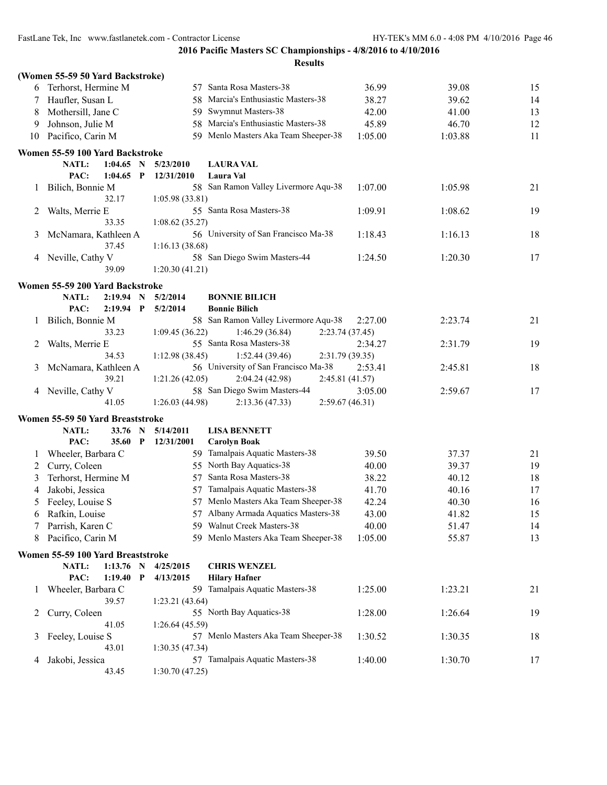|         | (Women 55-59 50 Yard Backstroke)       |                 |                                      |                 |         |    |
|---------|----------------------------------------|-----------------|--------------------------------------|-----------------|---------|----|
| 6       | Terhorst, Hermine M                    |                 | 57 Santa Rosa Masters-38             | 36.99           | 39.08   | 15 |
| 7       | Haufler, Susan L                       |                 | 58 Marcia's Enthusiastic Masters-38  | 38.27           | 39.62   | 14 |
| 8       | Mothersill, Jane C                     |                 | 59 Swymnut Masters-38                | 42.00           | 41.00   | 13 |
| 9       | Johnson, Julie M                       |                 | 58 Marcia's Enthusiastic Masters-38  | 45.89           | 46.70   | 12 |
| 10      | Pacifico, Carin M                      |                 | 59 Menlo Masters Aka Team Sheeper-38 | 1:05.00         | 1:03.88 | 11 |
|         | Women 55-59 100 Yard Backstroke        |                 |                                      |                 |         |    |
|         | NATL:<br>$1:04.65$ N                   | 5/23/2010       | <b>LAURA VAL</b>                     |                 |         |    |
|         | PAC:<br>1:04.65<br>$\mathbf{P}$        | 12/31/2010      | Laura Val                            |                 |         |    |
| $\perp$ | Bilich, Bonnie M                       |                 | 58 San Ramon Valley Livermore Aqu-38 | 1:07.00         | 1:05.98 | 21 |
|         | 32.17                                  | 1:05.98(33.81)  |                                      |                 |         |    |
| 2       | Walts, Merrie E                        |                 | 55 Santa Rosa Masters-38             | 1:09.91         | 1:08.62 | 19 |
|         | 33.35                                  | 1:08.62(35.27)  |                                      |                 |         |    |
| 3       | McNamara, Kathleen A                   |                 | 56 University of San Francisco Ma-38 | 1:18.43         | 1:16.13 | 18 |
|         | 37.45                                  | 1:16.13(38.68)  |                                      |                 |         |    |
| 4       | Neville, Cathy V                       |                 | 58 San Diego Swim Masters-44         | 1:24.50         | 1:20.30 | 17 |
|         | 39.09                                  | 1:20.30(41.21)  |                                      |                 |         |    |
|         | Women 55-59 200 Yard Backstroke        |                 |                                      |                 |         |    |
|         | 2:19.94<br><b>NATL:</b><br>$\mathbf N$ | 5/2/2014        | <b>BONNIE BILICH</b>                 |                 |         |    |
|         | PAC:<br>$2:19.94$ P                    | 5/2/2014        | <b>Bonnie Bilich</b>                 |                 |         |    |
| 1       | Bilich, Bonnie M                       |                 | 58 San Ramon Valley Livermore Aqu-38 | 2:27.00         | 2:23.74 | 21 |
|         | 33.23                                  | 1:09.45(36.22)  | 1:46.29(36.84)                       | 2:23.74(37.45)  |         |    |
| 2       | Walts, Merrie E                        |                 | 55 Santa Rosa Masters-38             | 2:34.27         | 2:31.79 | 19 |
|         | 34.53                                  | 1:12.98 (38.45) | 1:52.44(39.46)                       | 2:31.79 (39.35) |         |    |
| 3       | McNamara, Kathleen A                   |                 | 56 University of San Francisco Ma-38 | 2:53.41         | 2:45.81 | 18 |
|         | 39.21                                  | 1:21.26(42.05)  | 2:04.24 (42.98)                      | 2:45.81 (41.57) |         |    |
|         | 4 Neville, Cathy V                     |                 | 58 San Diego Swim Masters-44         | 3:05.00         | 2:59.67 | 17 |
|         | 41.05                                  | 1:26.03(44.98)  | 2:13.36(47.33)                       | 2:59.67(46.31)  |         |    |
|         | Women 55-59 50 Yard Breaststroke       |                 |                                      |                 |         |    |
|         | NATL:<br>33.76 N                       | 5/14/2011       | <b>LISA BENNETT</b>                  |                 |         |    |
|         | PAC:<br>35.60<br>$\mathbf{P}$          | 12/31/2001      | <b>Carolyn Boak</b>                  |                 |         |    |
| 1       | Wheeler, Barbara C                     |                 | 59 Tamalpais Aquatic Masters-38      | 39.50           | 37.37   | 21 |
| 2       | Curry, Coleen                          |                 | 55 North Bay Aquatics-38             | 40.00           | 39.37   | 19 |
| 3       | Terhorst, Hermine M                    | 57              | Santa Rosa Masters-38                | 38.22           | 40.12   | 18 |
| 4       | Jakobi, Jessica                        |                 | 57 Tamalpais Aquatic Masters-38      | 41.70           | 40.16   | 17 |
| 5       | Feeley, Louise S                       |                 | 57 Menlo Masters Aka Team Sheeper-38 | 42.24           | 40.30   | 16 |
|         | 6 Rafkin, Louise                       |                 | 57 Albany Armada Aquatics Masters-38 | 43.00           | 41.82   | 15 |
|         | Parrish, Karen C                       |                 | 59 Walnut Creek Masters-38           | 40.00           | 51.47   | 14 |
| 8       | Pacifico, Carin M                      |                 | 59 Menlo Masters Aka Team Sheeper-38 | 1:05.00         | 55.87   | 13 |
|         | Women 55-59 100 Yard Breaststroke      |                 |                                      |                 |         |    |
|         | $1:13.76$ N<br>NATL:                   | 4/25/2015       | <b>CHRIS WENZEL</b>                  |                 |         |    |
|         | PAC:<br>$1:19.40$ P                    | 4/13/2015       | <b>Hilary Hafner</b>                 |                 |         |    |
| 1       | Wheeler, Barbara C                     |                 | 59 Tamalpais Aquatic Masters-38      | 1:25.00         | 1:23.21 | 21 |
|         | 39.57                                  | 1:23.21(43.64)  |                                      |                 |         |    |
| 2       | Curry, Coleen                          |                 | 55 North Bay Aquatics-38             | 1:28.00         | 1:26.64 | 19 |
|         | 41.05                                  | 1:26.64(45.59)  |                                      |                 |         |    |
| 3       | Feeley, Louise S                       |                 | 57 Menlo Masters Aka Team Sheeper-38 | 1:30.52         | 1:30.35 | 18 |
|         | 43.01                                  | 1:30.35(47.34)  |                                      |                 |         |    |
| 4       | Jakobi, Jessica                        |                 | 57 Tamalpais Aquatic Masters-38      | 1:40.00         | 1:30.70 | 17 |
|         | 43.45                                  | 1:30.70(47.25)  |                                      |                 |         |    |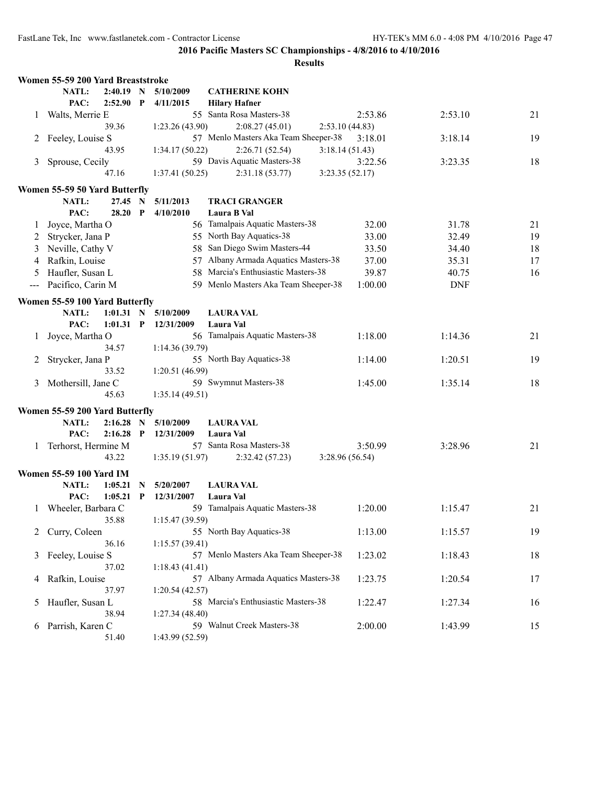|              | Women 55-59 200 Yard Breaststroke |             |              |                 |                                      |                |            |    |
|--------------|-----------------------------------|-------------|--------------|-----------------|--------------------------------------|----------------|------------|----|
|              | NATL:                             | $2:40.19$ N |              | 5/10/2009       | <b>CATHERINE KOHN</b>                |                |            |    |
|              | PAC:                              | $2:52.90$ P |              | 4/11/2015       | <b>Hilary Hafner</b>                 |                |            |    |
| $\perp$      | Walts, Merrie E                   |             |              |                 | 55 Santa Rosa Masters-38             | 2:53.86        | 2:53.10    | 21 |
|              |                                   | 39.36       |              | 1:23.26(43.90)  | 2:08.27(45.01)                       | 2:53.10(44.83) |            |    |
|              | Feeley, Louise S                  |             |              |                 | 57 Menlo Masters Aka Team Sheeper-38 | 3:18.01        | 3:18.14    | 19 |
|              |                                   | 43.95       |              | 1:34.17(50.22)  | 2:26.71 (52.54)                      | 3:18.14(51.43) |            |    |
| 3            | Sprouse, Cecily                   |             |              |                 | 59 Davis Aquatic Masters-38          | 3:22.56        | 3:23.35    | 18 |
|              |                                   | 47.16       |              | 1:37.41(50.25)  | 2:31.18(53.77)                       | 3:23.35(52.17) |            |    |
|              | Women 55-59 50 Yard Butterfly     |             |              |                 |                                      |                |            |    |
|              | NATL:                             | 27.45       | $\mathbf N$  | 5/11/2013       | <b>TRACI GRANGER</b>                 |                |            |    |
|              | PAC:                              | 28.20       | $\mathbf{P}$ | 4/10/2010       | Laura B Val                          |                |            |    |
| 1            | Joyce, Martha O                   |             |              |                 | 56 Tamalpais Aquatic Masters-38      | 32.00          | 31.78      | 21 |
| 2            | Strycker, Jana P                  |             |              |                 | 55 North Bay Aquatics-38             | 33.00          | 32.49      | 19 |
| 3            | Neville, Cathy V                  |             |              |                 | 58 San Diego Swim Masters-44         | 33.50          | 34.40      | 18 |
| 4            | Rafkin, Louise                    |             |              |                 | 57 Albany Armada Aquatics Masters-38 | 37.00          | 35.31      | 17 |
|              |                                   |             |              |                 | 58 Marcia's Enthusiastic Masters-38  |                |            |    |
| 5            | Haufler, Susan L                  |             |              |                 |                                      | 39.87          | 40.75      | 16 |
|              | Pacifico, Carin M                 |             |              |                 | 59 Menlo Masters Aka Team Sheeper-38 | 1:00.00        | <b>DNF</b> |    |
|              | Women 55-59 100 Yard Butterfly    |             |              |                 |                                      |                |            |    |
|              | NATL:                             | $1:01.31$ N |              | 5/10/2009       | <b>LAURA VAL</b>                     |                |            |    |
|              | PAC:                              | 1:01.31     | $\mathbf P$  | 12/31/2009      | Laura Val                            |                |            |    |
| 1            | Joyce, Martha O                   |             |              |                 | 56 Tamalpais Aquatic Masters-38      | 1:18.00        | 1:14.36    | 21 |
|              |                                   | 34.57       |              | 1:14.36(39.79)  |                                      |                |            |    |
| 2            | Strycker, Jana P                  |             |              |                 | 55 North Bay Aquatics-38             | 1:14.00        | 1:20.51    | 19 |
|              |                                   | 33.52       |              | 1:20.51 (46.99) |                                      |                |            |    |
| 3            | Mothersill, Jane C                |             |              |                 | 59 Swymnut Masters-38                | 1:45.00        | 1:35.14    | 18 |
|              |                                   | 45.63       |              | 1:35.14(49.51)  |                                      |                |            |    |
|              | Women 55-59 200 Yard Butterfly    |             |              |                 |                                      |                |            |    |
|              | NATL:                             | 2:16.28     | $\mathbf N$  | 5/10/2009       | <b>LAURA VAL</b>                     |                |            |    |
|              | PAC:                              | 2:16.28     | $\mathbf P$  | 12/31/2009      | Laura Val                            |                |            |    |
| 1            | Terhorst, Hermine M               |             |              |                 | 57 Santa Rosa Masters-38             | 3:50.99        | 3:28.96    | 21 |
|              |                                   | 43.22       |              | 1:35.19(51.97)  | 2:32.42(57.23)                       | 3:28.96(56.54) |            |    |
|              | <b>Women 55-59 100 Yard IM</b>    |             |              |                 |                                      |                |            |    |
|              | NATL:                             | 1:05.21     | N            | 5/20/2007       | <b>LAURA VAL</b>                     |                |            |    |
|              | PAC:                              | 1:05.21     | P            | 12/31/2007      | Laura Val                            |                |            |    |
| $\mathbf{1}$ | Wheeler, Barbara C                |             |              |                 | 59 Tamalpais Aquatic Masters-38      | 1:20.00        | 1:15.47    | 21 |
|              |                                   | 35.88       |              | 1:15.47 (39.59) |                                      |                |            |    |
|              | Curry, Coleen                     |             |              |                 | 55 North Bay Aquatics-38             | 1:13.00        | 1:15.57    | 19 |
| 2            |                                   | 36.16       |              | 1:15.57(39.41)  |                                      |                |            |    |
|              | Feeley, Louise S                  |             |              |                 | 57 Menlo Masters Aka Team Sheeper-38 | 1:23.02        | 1:18.43    | 18 |
| 3            |                                   | 37.02       |              | 1:18.43(41.41)  |                                      |                |            |    |
|              | Rafkin, Louise                    |             |              |                 | 57 Albany Armada Aquatics Masters-38 |                |            |    |
| 4            |                                   |             |              |                 |                                      | 1:23.75        | 1:20.54    | 17 |
|              |                                   | 37.97       |              | 1:20.54(42.57)  | 58 Marcia's Enthusiastic Masters-38  |                |            |    |
| 5            | Haufler, Susan L                  |             |              |                 |                                      | 1:22.47        | 1:27.34    | 16 |
|              |                                   | 38.94       |              | 1:27.34(48.40)  | 59 Walnut Creek Masters-38           |                |            |    |
| 6            | Parrish, Karen C                  |             |              |                 |                                      | 2:00.00        | 1:43.99    | 15 |
|              |                                   | 51.40       |              | 1:43.99 (52.59) |                                      |                |            |    |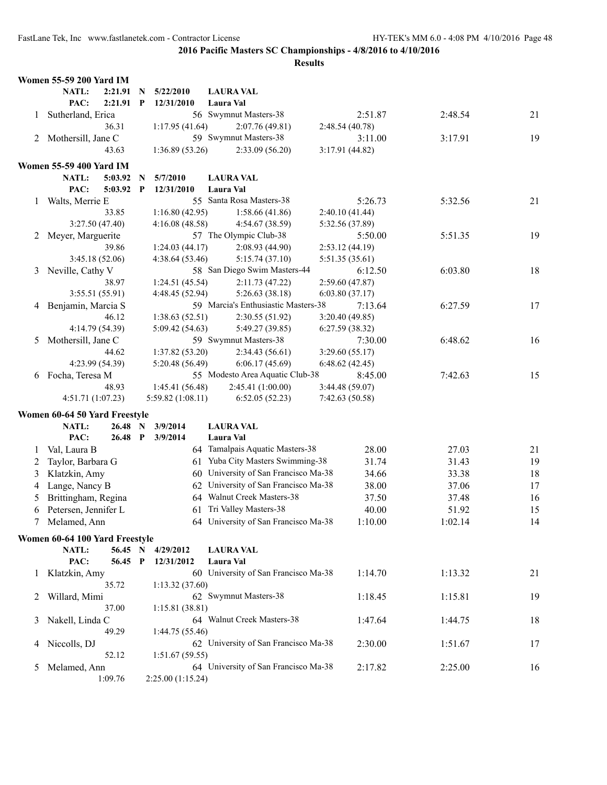|              | <b>Women 55-59 200 Yard IM</b>         |         |              |                  |                                      |                 |         |    |
|--------------|----------------------------------------|---------|--------------|------------------|--------------------------------------|-----------------|---------|----|
|              | NATL:                                  | 2:21.91 | N            | 5/22/2010        | <b>LAURA VAL</b>                     |                 |         |    |
|              | PAC:                                   | 2:21.91 | $\mathbf{P}$ | 12/31/2010       | Laura Val                            |                 |         |    |
| 1            | Sutherland, Erica                      |         |              |                  | 56 Swymnut Masters-38                | 2:51.87         | 2:48.54 | 21 |
|              |                                        | 36.31   |              | 1:17.95(41.64)   | 2:07.76(49.81)                       | 2:48.54(40.78)  |         |    |
| 2            | Mothersill, Jane C                     |         |              |                  | 59 Swymnut Masters-38                | 3:11.00         | 3:17.91 | 19 |
|              |                                        | 43.63   |              | 1:36.89(53.26)   | 2:33.09(56.20)                       | 3:17.91 (44.82) |         |    |
|              | <b>Women 55-59 400 Yard IM</b>         |         |              |                  |                                      |                 |         |    |
|              | NATL:                                  | 5:03.92 | N            | 5/7/2010         | <b>LAURA VAL</b>                     |                 |         |    |
|              | PAC:                                   | 5:03.92 | $\mathbf{P}$ | 12/31/2010       | Laura Val                            |                 |         |    |
| 1            | Walts, Merrie E                        |         |              |                  | 55 Santa Rosa Masters-38             | 5:26.73         | 5:32.56 | 21 |
|              |                                        | 33.85   |              | 1:16.80(42.95)   | 1:58.66(41.86)                       | 2:40.10 (41.44) |         |    |
|              | 3:27.50 (47.40)                        |         |              | 4:16.08(48.58)   | 4:54.67 (38.59)                      | 5:32.56 (37.89) |         |    |
| 2            | Meyer, Marguerite                      |         |              |                  | 57 The Olympic Club-38               | 5:50.00         | 5:51.35 | 19 |
|              |                                        | 39.86   |              | 1:24.03(44.17)   | 2:08.93(44.90)                       | 2:53.12(44.19)  |         |    |
|              | 3:45.18 (52.06)                        |         |              | 4:38.64(53.46)   | 5:15.74(37.10)                       | 5:51.35 (35.61) |         |    |
| $\mathbf{3}$ | Neville, Cathy V                       |         |              |                  | 58 San Diego Swim Masters-44         | 6:12.50         | 6:03.80 | 18 |
|              |                                        | 38.97   |              | 1:24.51(45.54)   | 2:11.73(47.22)                       | 2:59.60(47.87)  |         |    |
|              | 3:55.51(55.91)                         |         |              | 4:48.45 (52.94)  | 5:26.63(38.18)                       | 6:03.80(37.17)  |         |    |
|              | 4 Benjamin, Marcia S                   |         |              |                  | 59 Marcia's Enthusiastic Masters-38  | 7:13.64         | 6:27.59 | 17 |
|              |                                        | 46.12   |              | 1:38.63(52.51)   | 2:30.55(51.92)                       | 3:20.40(49.85)  |         |    |
|              | 4:14.79 (54.39)                        |         |              | 5:09.42 (54.63)  | 5:49.27 (39.85)                      | 6:27.59(38.32)  |         |    |
| 5            | Mothersill, Jane C                     |         |              |                  | 59 Swymnut Masters-38                | 7:30.00         | 6:48.62 | 16 |
|              |                                        | 44.62   |              | 1:37.82 (53.20)  | 2:34.43(56.61)                       | 3:29.60(55.17)  |         |    |
|              | 4:23.99 (54.39)                        |         |              | 5:20.48 (56.49)  | 6:06.17(45.69)                       | 6:48.62(42.45)  |         |    |
| 6            | Focha, Teresa M                        |         |              |                  | 55 Modesto Area Aquatic Club-38      | 8:45.00         | 7:42.63 | 15 |
|              |                                        | 48.93   |              | 1:45.41 (56.48)  | 2:45.41 (1:00.00)                    | 3:44.48 (59.07) |         |    |
|              | 4:51.71(1:07.23)                       |         |              | 5:59.82(1:08.11) | 6:52.05(52.23)                       | 7:42.63(50.58)  |         |    |
|              |                                        |         |              |                  |                                      |                 |         |    |
|              | Women 60-64 50 Yard Freestyle<br>NATL: | 26.48   | N            | 3/9/2014         | <b>LAURA VAL</b>                     |                 |         |    |
|              | PAC:                                   | 26.48   | $\mathbf{P}$ | 3/9/2014         | Laura Val                            |                 |         |    |
| 1            | Val, Laura B                           |         |              |                  | 64 Tamalpais Aquatic Masters-38      | 28.00           | 27.03   | 21 |
| 2            | Taylor, Barbara G                      |         |              |                  | 61 Yuba City Masters Swimming-38     | 31.74           | 31.43   | 19 |
| 3            | Klatzkin, Amy                          |         |              |                  | 60 University of San Francisco Ma-38 | 34.66           | 33.38   | 18 |
|              | Lange, Nancy B                         |         |              | 62               | University of San Francisco Ma-38    | 38.00           | 37.06   | 17 |
| 4<br>5       | Brittingham, Regina                    |         |              |                  | 64 Walnut Creek Masters-38           | 37.50           | 37.48   | 16 |
|              | Petersen, Jennifer L                   |         |              |                  | 61 Tri Valley Masters-38             | 40.00           |         | 15 |
| 6            | Melamed, Ann                           |         |              |                  | 64 University of San Francisco Ma-38 | 1:10.00         | 51.92   | 14 |
| 7            |                                        |         |              |                  |                                      |                 | 1:02.14 |    |
|              | Women 60-64 100 Yard Freestyle         |         |              |                  |                                      |                 |         |    |
|              | NATL:                                  | 56.45 N |              | 4/29/2012        | <b>LAURA VAL</b>                     |                 |         |    |
|              | PAC:                                   | 56.45 P |              | 12/31/2012       | Laura Val                            |                 |         |    |
| $\mathbf{I}$ | Klatzkin, Amy                          |         |              |                  | 60 University of San Francisco Ma-38 | 1:14.70         | 1:13.32 | 21 |
|              |                                        | 35.72   |              | 1:13.32(37.60)   |                                      |                 |         |    |
| 2            | Willard, Mimi                          |         |              |                  | 62 Swymnut Masters-38                | 1:18.45         | 1:15.81 | 19 |
|              |                                        | 37.00   |              | 1:15.81(38.81)   |                                      |                 |         |    |
| 3            | Nakell, Linda C                        |         |              |                  | 64 Walnut Creek Masters-38           | 1:47.64         | 1:44.75 | 18 |
|              |                                        | 49.29   |              | 1:44.75 (55.46)  |                                      |                 |         |    |
| 4            | Niccolls, DJ                           |         |              |                  | 62 University of San Francisco Ma-38 | 2:30.00         | 1:51.67 | 17 |
|              |                                        | 52.12   |              | 1:51.67(59.55)   |                                      |                 |         |    |
| 5            | Melamed, Ann                           |         |              |                  | 64 University of San Francisco Ma-38 | 2:17.82         | 2:25.00 | 16 |
|              |                                        | 1:09.76 |              | 2:25.00(1:15.24) |                                      |                 |         |    |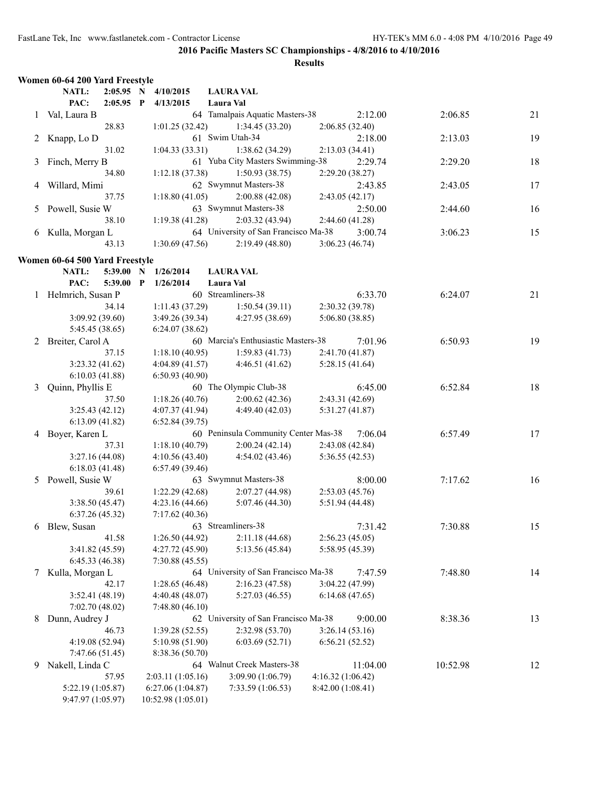|    | Women 60-64 200 Yard Freestyle |             |                     |                                      |                  |          |          |    |
|----|--------------------------------|-------------|---------------------|--------------------------------------|------------------|----------|----------|----|
|    | NATL:                          |             | 2:05.95 N 4/10/2015 | <b>LAURA VAL</b>                     |                  |          |          |    |
|    | PAC:                           | $2:05.95$ P | 4/13/2015           | Laura Val                            |                  |          |          |    |
|    | 1 Val, Laura B                 |             |                     | 64 Tamalpais Aquatic Masters-38      |                  | 2:12.00  | 2:06.85  | 21 |
|    |                                | 28.83       | 1:01.25(32.42)      | 1:34.45(33.20)                       | 2:06.85(32.40)   |          |          |    |
| 2  | Knapp, Lo D                    |             |                     | 61 Swim Utah-34                      |                  | 2:18.00  | 2:13.03  | 19 |
|    |                                | 31.02       | 1:04.33(33.31)      | 1:38.62 (34.29)                      | 2:13.03(34.41)   |          |          |    |
| 3  | Finch, Merry B                 |             |                     | 61 Yuba City Masters Swimming-38     |                  | 2:29.74  | 2:29.20  | 18 |
|    |                                | 34.80       | 1:12.18(37.38)      | 1:50.93(38.75)                       | 2:29.20(38.27)   |          |          |    |
| 4  | Willard, Mimi                  |             |                     | 62 Swymnut Masters-38                |                  | 2:43.85  | 2:43.05  | 17 |
|    |                                | 37.75       | 1:18.80(41.05)      | 2:00.88(42.08)                       | 2:43.05(42.17)   |          |          |    |
|    | Powell, Susie W                |             |                     | 63 Swymnut Masters-38                |                  | 2:50.00  | 2:44.60  | 16 |
| 5  |                                |             | 1:19.38(41.28)      | 2:03.32 (43.94)                      |                  |          |          |    |
|    |                                | 38.10       |                     | 64 University of San Francisco Ma-38 | 2:44.60 (41.28)  |          |          |    |
|    | 6 Kulla, Morgan L              |             |                     |                                      |                  | 3:00.74  | 3:06.23  | 15 |
|    |                                | 43.13       | 1:30.69(47.56)      | 2:19.49(48.80)                       | 3:06.23(46.74)   |          |          |    |
|    | Women 60-64 500 Yard Freestyle |             |                     |                                      |                  |          |          |    |
|    | NATL:                          | 5:39.00 N   | 1/26/2014           | <b>LAURA VAL</b>                     |                  |          |          |    |
|    | PAC:                           | 5:39.00 P   | 1/26/2014           | Laura Val                            |                  |          |          |    |
|    | 1 Helmrich, Susan P            |             |                     | 60 Streamliners-38                   |                  | 6:33.70  | 6:24.07  | 21 |
|    |                                | 34.14       | 1:11.43(37.29)      | 1:50.54(39.11)                       | 2:30.32 (39.78)  |          |          |    |
|    | 3:09.92 (39.60)                |             | 3:49.26(39.34)      | 4:27.95(38.69)                       | 5:06.80 (38.85)  |          |          |    |
|    | 5:45.45 (38.65)                |             | 6:24.07(38.62)      |                                      |                  |          |          |    |
|    | 2 Breiter, Carol A             |             |                     | 60 Marcia's Enthusiastic Masters-38  |                  | 7:01.96  | 6:50.93  | 19 |
|    |                                | 37.15       | 1:18.10(40.95)      | 1:59.83(41.73)                       | 2:41.70 (41.87)  |          |          |    |
|    | 3:23.32(41.62)                 |             | 4:04.89(41.57)      | 4:46.51(41.62)                       | 5:28.15(41.64)   |          |          |    |
|    | 6:10.03(41.88)                 |             | 6:50.93(40.90)      |                                      |                  |          |          |    |
| 3  | Quinn, Phyllis E               |             |                     | 60 The Olympic Club-38               |                  | 6:45.00  | 6:52.84  | 18 |
|    |                                | 37.50       | 1:18.26(40.76)      | 2:00.62(42.36)                       | 2:43.31 (42.69)  |          |          |    |
|    | 3:25.43(42.12)                 |             | 4:07.37(41.94)      | 4:49.40 (42.03)                      | 5:31.27(41.87)   |          |          |    |
|    | 6:13.09(41.82)                 |             | 6:52.84(39.75)      |                                      |                  |          |          |    |
|    | 4 Boyer, Karen L               |             |                     | 60 Peninsula Community Center Mas-38 |                  | 7:06.04  | 6:57.49  | 17 |
|    |                                |             |                     |                                      |                  |          |          |    |
|    |                                | 37.31       | 1:18.10(40.79)      | 2:00.24(42.14)                       | 2:43.08 (42.84)  |          |          |    |
|    | 3:27.16(44.08)                 |             | 4:10.56(43.40)      | 4:54.02 (43.46)                      | 5:36.55(42.53)   |          |          |    |
|    | 6:18.03(41.48)                 |             | 6:57.49(39.46)      |                                      |                  |          |          |    |
|    | 5 Powell, Susie W              |             |                     | 63 Swymnut Masters-38                |                  | 8:00.00  | 7:17.62  | 16 |
|    |                                | 39.61       | 1:22.29(42.68)      | 2:07.27 (44.98)                      | 2:53.03(45.76)   |          |          |    |
|    | 3:38.50(45.47)                 |             | 4:23.16(44.66)      | 5:07.46(44.30)                       | 5:51.94 (44.48)  |          |          |    |
|    | 6:37.26(45.32)                 |             | 7:17.62(40.36)      |                                      |                  |          |          |    |
|    | 6 Blew, Susan                  |             |                     | 63 Streamliners-38                   |                  | 7:31.42  | 7:30.88  | 15 |
|    |                                | 41.58       | 1:26.50(44.92)      | 2:11.18(44.68)                       | 2:56.23(45.05)   |          |          |    |
|    | 3:41.82 (45.59)                |             | 4:27.72(45.90)      | 5:13.56 (45.84)                      | 5:58.95 (45.39)  |          |          |    |
|    | 6:45.33(46.38)                 |             | 7:30.88(45.55)      |                                      |                  |          |          |    |
| 7  | Kulla, Morgan L                |             |                     | 64 University of San Francisco Ma-38 |                  | 7:47.59  | 7:48.80  | 14 |
|    |                                | 42.17       | 1:28.65 (46.48)     | 2:16.23(47.58)                       | 3:04.22 (47.99)  |          |          |    |
|    | 3:52.41 (48.19)                |             | 4:40.48 (48.07)     | 5:27.03 (46.55)                      | 6:14.68(47.65)   |          |          |    |
|    | 7:02.70 (48.02)                |             | 7:48.80(46.10)      |                                      |                  |          |          |    |
| 8  | Dunn, Audrey J                 |             |                     | 62 University of San Francisco Ma-38 |                  | 9:00.00  | 8:38.36  | 13 |
|    |                                | 46.73       | 1:39.28(52.55)      | 2:32.98 (53.70)                      | 3:26.14(53.16)   |          |          |    |
|    | 4:19.08 (52.94)                |             | 5:10.98 (51.90)     | 6:03.69(52.71)                       | 6:56.21(52.52)   |          |          |    |
|    | 7:47.66 (51.45)                |             | 8:38.36 (50.70)     |                                      |                  |          |          |    |
| 9. | Nakell, Linda C                |             |                     | 64 Walnut Creek Masters-38           |                  | 11:04.00 | 10:52.98 | 12 |
|    |                                | 57.95       | 2:03.11 (1:05.16)   | 3:09.90 (1:06.79)                    | 4:16.32(1:06.42) |          |          |    |
|    | 5:22.19 (1:05.87)              |             | 6:27.06(1:04.87)    | 7:33.59 (1:06.53)                    | 8:42.00(1:08.41) |          |          |    |
|    | 9:47.97 (1:05.97)              |             | 10:52.98 (1:05.01)  |                                      |                  |          |          |    |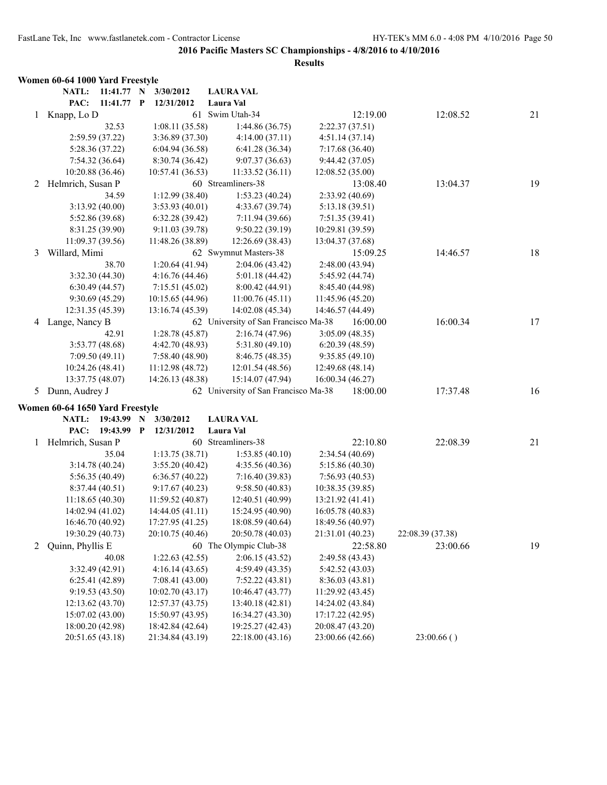|   | Women 60-64 1000 Yard Freestyle      |            |             |                                  |                                      |                  |                 |                  |    |
|---|--------------------------------------|------------|-------------|----------------------------------|--------------------------------------|------------------|-----------------|------------------|----|
|   | NATL:                                | 11:41.77 N |             | 3/30/2012                        | <b>LAURA VAL</b>                     |                  |                 |                  |    |
|   | PAC:                                 | 11:41.77 P |             | 12/31/2012                       | Laura Val                            |                  |                 |                  |    |
| 1 | Knapp, Lo D                          |            |             | 61                               | Swim Utah-34                         |                  | 12:19.00        | 12:08.52         | 21 |
|   |                                      | 32.53      |             | 1:08.11(35.58)                   | 1:44.86(36.75)                       |                  | 2:22.37(37.51)  |                  |    |
|   | 2:59.59 (37.22)                      |            |             | 3:36.89 (37.30)                  | 4:14.00(37.11)                       |                  | 4:51.14(37.14)  |                  |    |
|   | 5:28.36 (37.22)                      |            |             | 6:04.94(36.58)                   | 6:41.28(36.34)                       |                  | 7:17.68 (36.40) |                  |    |
|   | 7:54.32(36.64)                       |            |             | 8:30.74 (36.42)                  | 9:07.37(36.63)                       |                  | 9:44.42 (37.05) |                  |    |
|   | 10:20.88 (36.46)                     |            |             | 10:57.41(36.53)                  | 11:33.52 (36.11)                     | 12:08.52(35.00)  |                 |                  |    |
| 2 | Helmrich, Susan P                    |            |             |                                  | 60 Streamliners-38                   |                  | 13:08.40        | 13:04.37         | 19 |
|   |                                      | 34.59      |             | 1:12.99(38.40)                   | 1:53.23(40.24)                       |                  | 2:33.92 (40.69) |                  |    |
|   | 3:13.92(40.00)                       |            |             | 3:53.93(40.01)                   | 4:33.67(39.74)                       |                  | 5:13.18 (39.51) |                  |    |
|   | 5:52.86 (39.68)                      |            |             | 6:32.28(39.42)                   | 7:11.94 (39.66)                      |                  | 7:51.35(39.41)  |                  |    |
|   | 8:31.25 (39.90)                      |            |             | 9:11.03(39.78)                   | 9:50.22 (39.19)                      | 10:29.81 (39.59) |                 |                  |    |
|   | 11:09.37 (39.56)                     |            |             | 11:48.26 (38.89)                 | 12:26.69 (38.43)                     | 13:04.37 (37.68) |                 |                  |    |
| 3 | Willard, Mimi                        |            |             |                                  | 62 Swymnut Masters-38                |                  | 15:09.25        | 14:46.57         | 18 |
|   |                                      | 38.70      |             | 1:20.64(41.94)                   | 2:04.06(43.42)                       |                  | 2:48.00 (43.94) |                  |    |
|   | 3:32.30 (44.30)                      |            |             | 4:16.76(44.46)                   | 5:01.18(44.42)                       |                  | 5:45.92 (44.74) |                  |    |
|   | 6:30.49(44.57)                       |            |             | 7:15.51(45.02)                   | 8:00.42 (44.91)                      |                  | 8:45.40 (44.98) |                  |    |
|   | 9:30.69(45.29)                       |            |             | 10:15.65(44.96)                  | 11:00.76(45.11)                      | 11:45.96 (45.20) |                 |                  |    |
|   | 12:31.35 (45.39)                     |            |             | 13:16.74 (45.39)                 | 14:02.08 (45.34)                     | 14:46.57 (44.49) |                 |                  |    |
|   | 4 Lange, Nancy B                     |            |             |                                  | 62 University of San Francisco Ma-38 |                  | 16:00.00        | 16:00.34         | 17 |
|   |                                      | 42.91      |             | 1:28.78(45.87)                   | 2:16.74(47.96)                       |                  | 3:05.09(48.35)  |                  |    |
|   | 3:53.77 (48.68)                      |            |             | 4:42.70 (48.93)                  | 5:31.80 (49.10)                      |                  | 6:20.39(48.59)  |                  |    |
|   | 7:09.50(49.11)                       |            |             | 7:58.40(48.90)                   | 8:46.75 (48.35)                      |                  | 9:35.85(49.10)  |                  |    |
|   | 10:24.26 (48.41)<br>13:37.75 (48.07) |            |             | 11:12.98 (48.72)                 | 12:01.54(48.56)<br>15:14.07 (47.94)  | 12:49.68 (48.14) |                 |                  |    |
|   | 5 Dunn, Audrey J                     |            |             | 14:26.13 (48.38)                 | 62 University of San Francisco Ma-38 | 16:00.34(46.27)  | 18:00.00        | 17:37.48         | 16 |
|   |                                      |            |             |                                  |                                      |                  |                 |                  |    |
|   | Women 60-64 1650 Yard Freestyle      |            |             |                                  |                                      |                  |                 |                  |    |
|   | NATL:                                | 19:43.99   | $\mathbf N$ | 3/30/2012                        | <b>LAURA VAL</b>                     |                  |                 |                  |    |
|   | PAC:                                 | 19:43.99 P |             | 12/31/2012                       | Laura Val                            |                  |                 |                  |    |
| 1 | Helmrich, Susan P                    |            |             |                                  | 60 Streamliners-38                   |                  | 22:10.80        | 22:08.39         | 21 |
|   |                                      | 35.04      |             | 1:13.75(38.71)                   | 1:53.85(40.10)                       |                  | 2:34.54 (40.69) |                  |    |
|   | 3:14.78(40.24)<br>5:56.35 (40.49)    |            |             | 3:55.20(40.42)                   | 4:35.56(40.36)<br>7:16.40(39.83)     |                  | 5:15.86(40.30)  |                  |    |
|   | 8:37.44(40.51)                       |            |             | 6:36.57(40.22)<br>9:17.67(40.23) | 9:58.50(40.83)                       | 10:38.35 (39.85) | 7:56.93(40.53)  |                  |    |
|   | 11:18.65(40.30)                      |            |             | 11:59.52(40.87)                  | 12:40.51 (40.99)                     | 13:21.92 (41.41) |                 |                  |    |
|   | 14:02.94 (41.02)                     |            |             | 14:44.05 (41.11)                 | 15:24.95 (40.90)                     | 16:05.78 (40.83) |                 |                  |    |
|   | 16:46.70 (40.92)                     |            |             | 17:27.95 (41.25)                 | 18:08.59 (40.64)                     | 18:49.56 (40.97) |                 |                  |    |
|   | 19:30.29 (40.73)                     |            |             | 20:10.75 (40.46)                 | 20:50.78 (40.03)                     | 21:31.01 (40.23) |                 | 22:08.39 (37.38) |    |
| 2 | Quinn, Phyllis E                     |            |             |                                  | 60 The Olympic Club-38               |                  | 22:58.80        | 23:00.66         | 19 |
|   |                                      | 40.08      |             | 1:22.63(42.55)                   | 2:06.15(43.52)                       |                  | 2:49.58 (43.43) |                  |    |
|   | 3:32.49(42.91)                       |            |             | 4:16.14(43.65)                   | 4:59.49 (43.35)                      |                  | 5:42.52 (43.03) |                  |    |
|   | 6:25.41(42.89)                       |            |             | 7:08.41 (43.00)                  | 7:52.22(43.81)                       |                  | 8:36.03 (43.81) |                  |    |
|   | 9:19.53(43.50)                       |            |             | 10:02.70 (43.17)                 | 10:46.47 (43.77)                     | 11:29.92 (43.45) |                 |                  |    |
|   | 12:13.62 (43.70)                     |            |             | 12:57.37 (43.75)                 | 13:40.18 (42.81)                     | 14:24.02 (43.84) |                 |                  |    |
|   | 15:07.02 (43.00)                     |            |             | 15:50.97 (43.95)                 | 16:34.27 (43.30)                     | 17:17.22 (42.95) |                 |                  |    |
|   | 18:00.20 (42.98)                     |            |             | 18:42.84 (42.64)                 | 19:25.27 (42.43)                     | 20:08.47 (43.20) |                 |                  |    |
|   | 20:51.65 (43.18)                     |            |             | 21:34.84 (43.19)                 | 22:18.00 (43.16)                     | 23:00.66 (42.66) |                 | 23:00.66()       |    |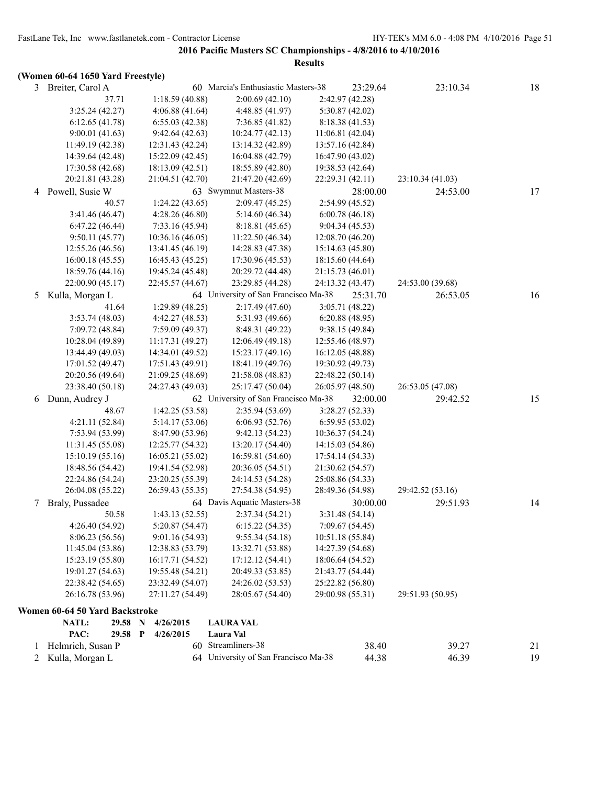# **(Women 60-64 1650 Yard Freestyle)**

| 3 | Breiter, Carol A               |                  | 60 Marcia's Enthusiastic Masters-38  | 23:29.64         | 23:10.34         | 18 |
|---|--------------------------------|------------------|--------------------------------------|------------------|------------------|----|
|   | 37.71                          | 1:18.59(40.88)   | 2:00.69(42.10)                       | 2:42.97 (42.28)  |                  |    |
|   | 3:25.24(42.27)                 | 4:06.88(41.64)   | 4:48.85(41.97)                       | 5:30.87(42.02)   |                  |    |
|   | 6:12.65(41.78)                 | 6:55.03(42.38)   | 7:36.85(41.82)                       | 8:18.38 (41.53)  |                  |    |
|   | 9:00.01(41.63)                 | 9:42.64(42.63)   | 10:24.77(42.13)                      | 11:06.81(42.04)  |                  |    |
|   | 11:49.19 (42.38)               | 12:31.43 (42.24) | 13:14.32 (42.89)                     | 13:57.16 (42.84) |                  |    |
|   | 14:39.64 (42.48)               | 15:22.09 (42.45) | 16:04.88 (42.79)                     | 16:47.90 (43.02) |                  |    |
|   | 17:30.58 (42.68)               | 18:13.09 (42.51) | 18:55.89 (42.80)                     | 19:38.53 (42.64) |                  |    |
|   | 20:21.81 (43.28)               | 21:04.51 (42.70) | 21:47.20 (42.69)                     | 22:29.31 (42.11) | 23:10.34 (41.03) |    |
|   | 4 Powell, Susie W              |                  | 63 Swymnut Masters-38                | 28:00.00         | 24:53.00         | 17 |
|   | 40.57                          | 1:24.22(43.65)   | 2:09.47(45.25)                       | 2:54.99 (45.52)  |                  |    |
|   | 3:41.46 (46.47)                | 4:28.26(46.80)   | 5:14.60(46.34)                       | 6:00.78(46.18)   |                  |    |
|   | 6:47.22(46.44)                 | 7:33.16 (45.94)  | 8:18.81(45.65)                       | 9:04.34(45.53)   |                  |    |
|   | 9:50.11(45.77)                 | 10:36.16(46.05)  | 11:22.50(46.34)                      | 12:08.70 (46.20) |                  |    |
|   | 12:55.26 (46.56)               | 13:41.45 (46.19) | 14:28.83 (47.38)                     | 15:14.63 (45.80) |                  |    |
|   | 16:00.18(45.55)                | 16:45.43 (45.25) | 17:30.96 (45.53)                     | 18:15.60 (44.64) |                  |    |
|   | 18:59.76 (44.16)               | 19:45.24 (45.48) | 20:29.72 (44.48)                     | 21:15.73 (46.01) |                  |    |
|   | 22:00.90 (45.17)               | 22:45.57 (44.67) | 23:29.85 (44.28)                     | 24:13.32 (43.47) | 24:53.00 (39.68) |    |
| 5 | Kulla, Morgan L                |                  | 64 University of San Francisco Ma-38 | 25:31.70         | 26:53.05         | 16 |
|   | 41.64                          | 1:29.89(48.25)   | 2:17.49(47.60)                       | 3:05.71(48.22)   |                  |    |
|   | 3:53.74(48.03)                 | 4:42.27 (48.53)  | 5:31.93 (49.66)                      | 6:20.88(48.95)   |                  |    |
|   | 7:09.72 (48.84)                | 7:59.09(49.37)   | 8:48.31 (49.22)                      | 9:38.15(49.84)   |                  |    |
|   | 10:28.04 (49.89)               | 11:17.31 (49.27) | 12:06.49(49.18)                      | 12:55.46 (48.97) |                  |    |
|   | 13:44.49 (49.03)               | 14:34.01 (49.52) | 15:23.17 (49.16)                     | 16:12.05 (48.88) |                  |    |
|   | 17:01.52 (49.47)               | 17:51.43 (49.91) | 18:41.19 (49.76)                     | 19:30.92 (49.73) |                  |    |
|   | 20:20.56 (49.64)               | 21:09.25 (48.69) | 21:58.08 (48.83)                     | 22:48.22 (50.14) |                  |    |
|   | 23:38.40 (50.18)               | 24:27.43 (49.03) | 25:17.47 (50.04)                     | 26:05.97 (48.50) | 26:53.05 (47.08) |    |
| 6 | Dunn, Audrey J                 |                  | 62 University of San Francisco Ma-38 | 32:00.00         | 29:42.52         | 15 |
|   | 48.67                          | 1:42.25(53.58)   | 2:35.94(53.69)                       | 3:28.27(52.33)   |                  |    |
|   | 4:21.11(52.84)                 | 5:14.17 (53.06)  | 6:06.93(52.76)                       | 6:59.95(53.02)   |                  |    |
|   | 7:53.94 (53.99)                | 8:47.90 (53.96)  | 9:42.13(54.23)                       | 10:36.37 (54.24) |                  |    |
|   | 11:31.45 (55.08)               | 12:25.77 (54.32) | 13:20.17 (54.40)                     | 14:15.03 (54.86) |                  |    |
|   | 15:10.19 (55.16)               | 16:05.21 (55.02) | 16:59.81 (54.60)                     | 17:54.14 (54.33) |                  |    |
|   | 18:48.56 (54.42)               | 19:41.54 (52.98) | 20:36.05 (54.51)                     | 21:30.62 (54.57) |                  |    |
|   | 22:24.86 (54.24)               | 23:20.25 (55.39) | 24:14.53 (54.28)                     | 25:08.86 (54.33) |                  |    |
|   | 26:04.08 (55.22)               | 26:59.43 (55.35) | 27:54.38 (54.95)                     | 28:49.36 (54.98) | 29:42.52 (53.16) |    |
| 7 | Braly, Pussadee                |                  | 64 Davis Aquatic Masters-38          | 30:00.00         | 29:51.93         | 14 |
|   | 50.58                          | 1:43.13(52.55)   | 2:37.34(54.21)                       | 3:31.48 (54.14)  |                  |    |
|   | 4:26.40 (54.92)                | 5:20.87 (54.47)  | 6:15.22(54.35)                       | 7:09.67 (54.45)  |                  |    |
|   | 8:06.23 (56.56)                | 9:01.16 (54.93)  | 9:55.34(54.18)                       | 10:51.18 (55.84) |                  |    |
|   | 11:45.04 (53.86)               | 12:38.83 (53.79) | 13:32.71 (53.88)                     | 14:27.39 (54.68) |                  |    |
|   | 15:23.19 (55.80)               | 16:17.71 (54.52) | 17:12.12(54.41)                      | 18:06.64 (54.52) |                  |    |
|   | 19:01.27 (54.63)               | 19:55.48 (54.21) | 20:49.33 (53.85)                     | 21:43.77 (54.44) |                  |    |
|   | 22:38.42 (54.65)               | 23:32.49 (54.07) | 24:26.02 (53.53)                     | 25:22.82 (56.80) |                  |    |
|   | 26:16.78 (53.96)               | 27:11.27 (54.49) | 28:05.67 (54.40)                     | 29:00.98 (55.31) | 29:51.93 (50.95) |    |
|   | Women 60-64 50 Yard Backstroke |                  |                                      |                  |                  |    |
|   | <b>NATL:</b><br>29.58 N        | 4/26/2015        | <b>LAURA VAL</b>                     |                  |                  |    |
|   | PAC:<br>29.58 P                | 4/26/2015        | Laura Val                            |                  |                  |    |
| 1 | Helmrich, Susan P              |                  | 60 Streamliners-38                   | 38.40            | 39.27            | 21 |
|   | 2 Kulla, Morgan L              |                  | 64 University of San Francisco Ma-38 | 44.38            | 46.39            | 19 |
|   |                                |                  |                                      |                  |                  |    |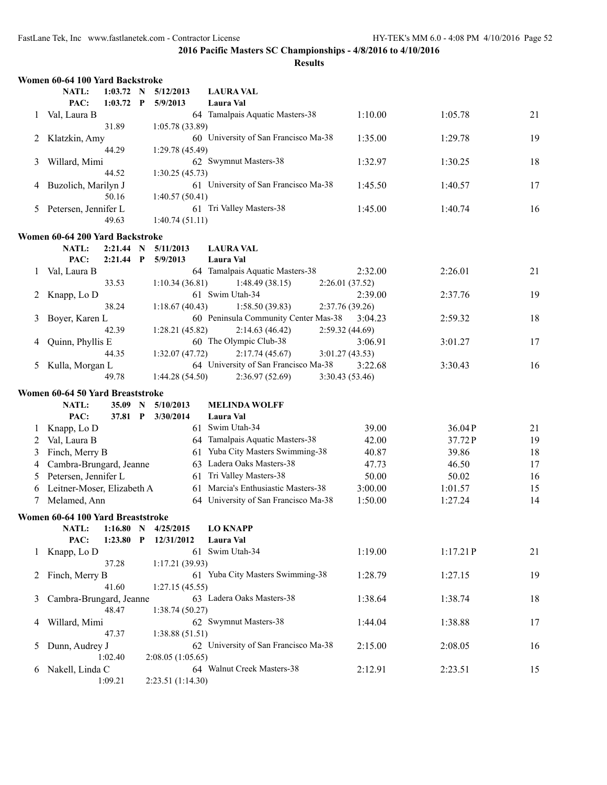|   | Women 60-64 100 Yard Backstroke   |                            |   |                       |                                      |                 |          |    |
|---|-----------------------------------|----------------------------|---|-----------------------|--------------------------------------|-----------------|----------|----|
|   | NATL:<br>PAC:                     | $1:03.72$ N<br>$1:03.72$ P |   | 5/12/2013<br>5/9/2013 | <b>LAURA VAL</b><br>Laura Val        |                 |          |    |
| 1 | Val, Laura B                      |                            |   |                       | 64 Tamalpais Aquatic Masters-38      | 1:10.00         | 1:05.78  | 21 |
|   |                                   | 31.89                      |   | 1:05.78(33.89)        |                                      |                 |          |    |
| 2 | Klatzkin, Amy                     |                            |   |                       | 60 University of San Francisco Ma-38 | 1:35.00         | 1:29.78  | 19 |
|   |                                   | 44.29                      |   | 1:29.78 (45.49)       |                                      |                 |          |    |
| 3 | Willard, Mimi                     |                            |   |                       | 62 Swymnut Masters-38                | 1:32.97         | 1:30.25  | 18 |
|   |                                   | 44.52                      |   | 1:30.25(45.73)        |                                      |                 |          |    |
| 4 | Buzolich, Marilyn J               |                            |   |                       | 61 University of San Francisco Ma-38 | 1:45.50         | 1:40.57  | 17 |
|   |                                   | 50.16                      |   | 1:40.57(50.41)        |                                      |                 |          |    |
| 5 | Petersen, Jennifer L              |                            |   |                       | 61 Tri Valley Masters-38             | 1:45.00         | 1:40.74  | 16 |
|   |                                   | 49.63                      |   | 1:40.74(51.11)        |                                      |                 |          |    |
|   |                                   |                            |   |                       |                                      |                 |          |    |
|   | Women 60-64 200 Yard Backstroke   |                            |   |                       |                                      |                 |          |    |
|   | <b>NATL:</b>                      | 2:21.44 N                  |   | 5/11/2013             | <b>LAURA VAL</b>                     |                 |          |    |
|   | PAC:                              | $2:21.44$ P                |   | 5/9/2013              | Laura Val                            |                 |          |    |
| 1 | Val, Laura B                      |                            |   |                       | 64 Tamalpais Aquatic Masters-38      | 2:32.00         | 2:26.01  | 21 |
|   |                                   | 33.53                      |   | 1:10.34(36.81)        | 1:48.49(38.15)                       | 2:26.01(37.52)  |          |    |
| 2 | Knapp, Lo D                       |                            |   |                       | 61 Swim Utah-34                      | 2:39.00         | 2:37.76  | 19 |
|   |                                   | 38.24                      |   | 1:18.67(40.43)        | 1:58.50(39.83)                       | 2:37.76 (39.26) |          |    |
| 3 | Boyer, Karen L                    |                            |   |                       | 60 Peninsula Community Center Mas-38 | 3:04.23         | 2:59.32  | 18 |
|   |                                   | 42.39                      |   | 1:28.21(45.82)        | 2:14.63(46.42)                       | 2:59.32(44.69)  |          |    |
| 4 | Quinn, Phyllis E                  |                            |   |                       | 60 The Olympic Club-38               | 3:06.91         | 3:01.27  | 17 |
|   |                                   | 44.35                      |   | 1:32.07(47.72)        | 2:17.74(45.67)                       | 3:01.27(43.53)  |          |    |
| 5 | Kulla, Morgan L                   |                            |   |                       | 64 University of San Francisco Ma-38 | 3:22.68         | 3:30.43  | 16 |
|   |                                   | 49.78                      |   | 1:44.28(54.50)        | 2:36.97(52.69)                       | 3:30.43 (53.46) |          |    |
|   | Women 60-64 50 Yard Breaststroke  |                            |   |                       |                                      |                 |          |    |
|   | NATL:                             | 35.09                      | N | 5/10/2013             | <b>MELINDA WOLFF</b>                 |                 |          |    |
|   | PAC:                              | 37.81 P                    |   | 3/30/2014             | Laura Val                            |                 |          |    |
| 1 | Knapp, Lo D                       |                            |   |                       | 61 Swim Utah-34                      | 39.00           | 36.04P   | 21 |
| 2 | Val, Laura B                      |                            |   |                       | 64 Tamalpais Aquatic Masters-38      | 42.00           | 37.72P   | 19 |
| 3 | Finch, Merry B                    |                            |   | 61                    | Yuba City Masters Swimming-38        | 40.87           | 39.86    | 18 |
| 4 | Cambra-Brungard, Jeanne           |                            |   | 63                    | Ladera Oaks Masters-38               | 47.73           | 46.50    | 17 |
| 5 | Petersen, Jennifer L              |                            |   | 61                    | Tri Valley Masters-38                | 50.00           | 50.02    | 16 |
| 6 | Leitner-Moser, Elizabeth A        |                            |   | 61                    | Marcia's Enthusiastic Masters-38     | 3:00.00         | 1:01.57  | 15 |
| 7 | Melamed, Ann                      |                            |   |                       | 64 University of San Francisco Ma-38 | 1:50.00         | 1:27.24  | 14 |
|   |                                   |                            |   |                       |                                      |                 |          |    |
|   | Women 60-64 100 Yard Breaststroke |                            |   |                       |                                      |                 |          |    |
|   | NATL:                             | 1:16.80 N                  |   | 4/25/2015             | <b>LO KNAPP</b>                      |                 |          |    |
|   | PAC:                              | 1:23.80                    | P | 12/31/2012            | Laura Val                            |                 |          |    |
| 1 | Knapp, Lo D                       |                            |   |                       | 61 Swim Utah-34                      | 1:19.00         | 1:17.21P | 21 |
|   |                                   | 37.28                      |   | 1:17.21(39.93)        |                                      |                 |          |    |
| 2 | Finch, Merry B                    |                            |   |                       | 61 Yuba City Masters Swimming-38     | 1:28.79         | 1:27.15  | 19 |
|   |                                   | 41.60                      |   | 1:27.15(45.55)        |                                      |                 |          |    |
| 3 | Cambra-Brungard, Jeanne           |                            |   |                       | 63 Ladera Oaks Masters-38            | 1:38.64         | 1:38.74  | 18 |
|   |                                   | 48.47                      |   | 1:38.74(50.27)        |                                      |                 |          |    |
| 4 | Willard, Mimi                     |                            |   |                       | 62 Swymnut Masters-38                | 1:44.04         | 1:38.88  | 17 |
|   |                                   | 47.37                      |   | 1:38.88(51.51)        |                                      |                 |          |    |
| 5 | Dunn, Audrey J                    |                            |   |                       | 62 University of San Francisco Ma-38 | 2:15.00         | 2:08.05  | 16 |
|   |                                   | 1:02.40                    |   | 2:08.05(1:05.65)      |                                      |                 |          |    |
| 6 | Nakell, Linda C                   |                            |   |                       | 64 Walnut Creek Masters-38           | 2:12.91         | 2:23.51  | 15 |
|   |                                   | 1:09.21                    |   | 2:23.51 (1:14.30)     |                                      |                 |          |    |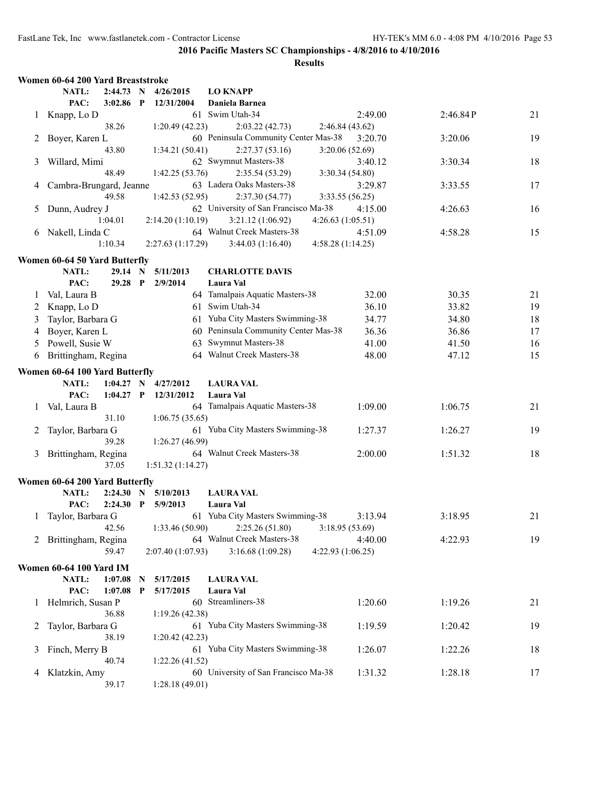|              | Women 60-64 200 Yard Breaststroke |             |              |                   |                                             |                   |          |    |
|--------------|-----------------------------------|-------------|--------------|-------------------|---------------------------------------------|-------------------|----------|----|
|              | NATL:                             | 2:44.73     | N            | 4/26/2015         | <b>LO KNAPP</b>                             |                   |          |    |
|              | PAC:                              | 3:02.86     | $\mathbf{P}$ | 12/31/2004        | <b>Daniela Barnea</b>                       |                   |          |    |
| 1            | Knapp, Lo D                       |             |              |                   | 61 Swim Utah-34                             | 2:49.00           | 2:46.84P | 21 |
|              |                                   | 38.26       |              | 1:20.49(42.23)    | 2:03.22(42.73)                              | 2:46.84(43.62)    |          |    |
| 2            | Boyer, Karen L                    |             |              |                   | 60 Peninsula Community Center Mas-38        | 3:20.70           | 3:20.06  | 19 |
|              |                                   | 43.80       |              | 1:34.21(50.41)    | 2:27.37(53.16)                              | 3:20.06(52.69)    |          |    |
| 3            | Willard, Mimi                     |             |              |                   | 62 Swymnut Masters-38                       | 3:40.12           | 3:30.34  | 18 |
|              |                                   | 48.49       |              | 1:42.25(53.76)    |                                             |                   |          |    |
|              |                                   |             |              |                   | 2:35.54(53.29)<br>63 Ladera Oaks Masters-38 | 3:30.34(54.80)    |          |    |
| 4            | Cambra-Brungard, Jeanne           |             |              |                   |                                             | 3:29.87           | 3:33.55  | 17 |
|              |                                   | 49.58       |              | 1:42.53(52.95)    | 2:37.30(54.77)                              | 3:33.55(56.25)    |          |    |
| 5            | Dunn, Audrey J                    |             |              |                   | 62 University of San Francisco Ma-38        | 4:15.00           | 4:26.63  | 16 |
|              |                                   | 1:04.01     |              | 2:14.20(1:10.19)  | 3:21.12(1:06.92)                            | 4:26.63(1:05.51)  |          |    |
| 6            | Nakell, Linda C                   |             |              |                   | 64 Walnut Creek Masters-38                  | 4:51.09           | 4:58.28  | 15 |
|              |                                   | 1:10.34     |              | 2:27.63(1:17.29)  | 3:44.03(1:16.40)                            | 4:58.28(1:14.25)  |          |    |
|              | Women 60-64 50 Yard Butterfly     |             |              |                   |                                             |                   |          |    |
|              | NATL:                             | 29.14       | N            | 5/11/2013         | <b>CHARLOTTE DAVIS</b>                      |                   |          |    |
|              | PAC:                              | 29.28 P     |              | 2/9/2014          | Laura Val                                   |                   |          |    |
| 1            | Val, Laura B                      |             |              |                   | 64 Tamalpais Aquatic Masters-38             | 32.00             | 30.35    | 21 |
|              |                                   |             |              |                   |                                             |                   |          |    |
| 2            | Knapp, Lo D                       |             |              |                   | 61 Swim Utah-34                             | 36.10             | 33.82    | 19 |
| 3            | Taylor, Barbara G                 |             |              |                   | 61 Yuba City Masters Swimming-38            | 34.77             | 34.80    | 18 |
| 4            | Boyer, Karen L                    |             |              |                   | 60 Peninsula Community Center Mas-38        | 36.36             | 36.86    | 17 |
| 5            | Powell, Susie W                   |             |              |                   | 63 Swymnut Masters-38                       | 41.00             | 41.50    | 16 |
| 6            | Brittingham, Regina               |             |              |                   | 64 Walnut Creek Masters-38                  | 48.00             | 47.12    | 15 |
|              | Women 60-64 100 Yard Butterfly    |             |              |                   |                                             |                   |          |    |
|              | NATL:                             | $1:04.27$ N |              | 4/27/2012         | <b>LAURA VAL</b>                            |                   |          |    |
|              | PAC:                              | 1:04.27     | P            | 12/31/2012        | Laura Val                                   |                   |          |    |
|              |                                   |             |              |                   |                                             |                   |          |    |
| 1            | Val, Laura B                      |             |              |                   | 64 Tamalpais Aquatic Masters-38             | 1:09.00           | 1:06.75  | 21 |
|              |                                   | 31.10       |              | 1:06.75(35.65)    |                                             |                   |          |    |
| 2            | Taylor, Barbara G                 |             |              |                   | 61 Yuba City Masters Swimming-38            | 1:27.37           | 1:26.27  | 19 |
|              |                                   | 39.28       |              | 1:26.27(46.99)    |                                             |                   |          |    |
| 3            | Brittingham, Regina               |             |              |                   | 64 Walnut Creek Masters-38                  | 2:00.00           | 1:51.32  | 18 |
|              |                                   | 37.05       |              | 1:51.32(1:14.27)  |                                             |                   |          |    |
|              | Women 60-64 200 Yard Butterfly    |             |              |                   |                                             |                   |          |    |
|              | NATL:                             | 2:24.30     | N            | 5/10/2013         | <b>LAURA VAL</b>                            |                   |          |    |
|              | PAC:                              | 2:24.30     | P            | 5/9/2013          | Laura Val                                   |                   |          |    |
| 1            | Taylor, Barbara G                 |             |              |                   | 61 Yuba City Masters Swimming-38            | 3:13.94           | 3:18.95  | 21 |
|              |                                   | 42.56       |              | 1:33.46(50.90)    | 2:25.26(51.80)                              | 3:18.95(53.69)    |          |    |
|              | 2 Brittingham, Regina             |             |              |                   | 64 Walnut Creek Masters-38                  | 4:40.00           |          | 19 |
|              |                                   | 59.47       |              |                   |                                             |                   | 4:22.93  |    |
|              |                                   |             |              | 2:07.40 (1:07.93) | 3:16.68(1:09.28)                            | 4:22.93 (1:06.25) |          |    |
|              | <b>Women 60-64 100 Yard IM</b>    |             |              |                   |                                             |                   |          |    |
|              | NATL:                             | 1:07.08     | N            | 5/17/2015         | <b>LAURA VAL</b>                            |                   |          |    |
|              | PAC:                              | 1:07.08     | P            | 5/17/2015         | Laura Val                                   |                   |          |    |
| $\mathbf{I}$ | Helmrich, Susan P                 |             |              |                   | 60 Streamliners-38                          | 1:20.60           | 1:19.26  | 21 |
|              |                                   | 36.88       |              | 1:19.26 (42.38)   |                                             |                   |          |    |
| 2            | Taylor, Barbara G                 |             |              |                   | 61 Yuba City Masters Swimming-38            | 1:19.59           | 1:20.42  | 19 |
|              |                                   | 38.19       |              | 1:20.42(42.23)    |                                             |                   |          |    |
| 3            | Finch, Merry B                    |             |              |                   | 61 Yuba City Masters Swimming-38            | 1:26.07           | 1:22.26  | 18 |
|              |                                   | 40.74       |              | 1:22.26(41.52)    |                                             |                   |          |    |
| 4            | Klatzkin, Amy                     |             |              |                   | 60 University of San Francisco Ma-38        | 1:31.32           | 1:28.18  | 17 |
|              |                                   | 39.17       |              | 1:28.18(49.01)    |                                             |                   |          |    |
|              |                                   |             |              |                   |                                             |                   |          |    |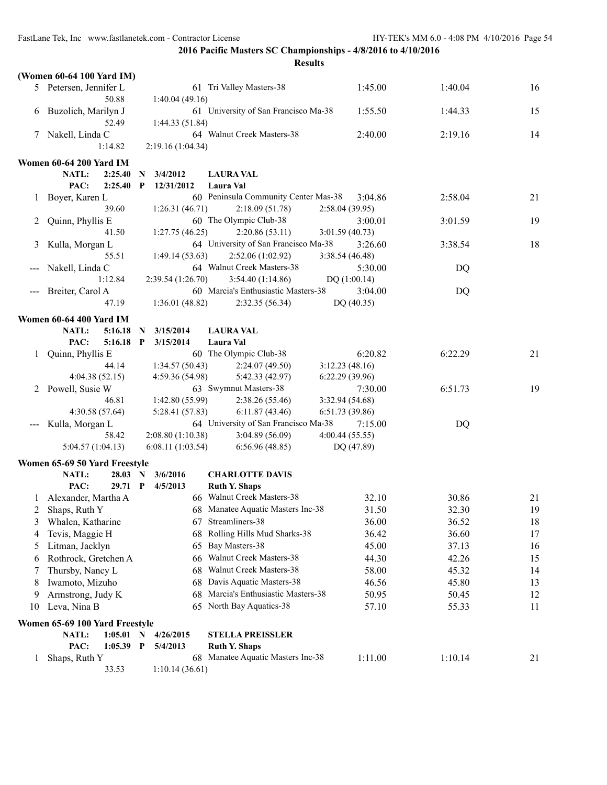FastLane Tek, Inc www.fastlanetek.com - Contractor License HY-TEK's MM 6.0 - 4:08 PM 4/10/2016 Page 54

**2016 Pacific Masters SC Championships - 4/8/2016 to 4/10/2016**

|    | (Women 60-64 100 Yard IM)           |                                             |                                          |                           |         |    |
|----|-------------------------------------|---------------------------------------------|------------------------------------------|---------------------------|---------|----|
|    | 5 Petersen, Jennifer L              |                                             | 61 Tri Valley Masters-38                 | 1:45.00                   | 1:40.04 | 16 |
|    | 50.88                               | 1:40.04(49.16)                              |                                          |                           |         |    |
|    | 6 Buzolich, Marilyn J               |                                             | 61 University of San Francisco Ma-38     | 1:55.50                   | 1:44.33 | 15 |
|    | 52.49                               | 1:44.33 (51.84)                             | 64 Walnut Creek Masters-38               | 2:40.00                   |         | 14 |
| 7  | Nakell, Linda C<br>1:14.82          | 2:19.16 (1:04.34)                           |                                          |                           | 2:19.16 |    |
|    |                                     |                                             |                                          |                           |         |    |
|    | <b>Women 60-64 200 Yard IM</b>      |                                             |                                          |                           |         |    |
|    | NATL:<br>2:25.40<br>PAC:<br>2:25.40 | 3/4/2012<br>N<br>$\mathbf{P}$<br>12/31/2012 | <b>LAURA VAL</b><br>Laura Val            |                           |         |    |
|    | Boyer, Karen L                      |                                             | 60 Peninsula Community Center Mas-38     | 3:04.86                   | 2:58.04 | 21 |
|    | 39.60                               | 1:26.31(46.71)                              | 2:18.09(51.78)                           | 2:58.04 (39.95)           |         |    |
|    | Quinn, Phyllis E                    |                                             | 60 The Olympic Club-38                   | 3:00.01                   | 3:01.59 | 19 |
|    | 41.50                               | 1:27.75(46.25)                              | 2:20.86(53.11)                           | 3:01.59(40.73)            |         |    |
|    | Kulla, Morgan L                     |                                             | 64 University of San Francisco Ma-38     | 3:26.60                   | 3:38.54 | 18 |
|    | 55.51                               | 1:49.14(53.63)                              | 2:52.06(1:02.92)                         | 3:38.54(46.48)            |         |    |
|    | Nakell, Linda C                     |                                             | 64 Walnut Creek Masters-38               | 5:30.00                   | DQ      |    |
|    | 1:12.84                             | 2:39.54 (1:26.70)                           | 3:54.40(1:14.86)                         | DQ(1:00.14)               |         |    |
|    | Breiter, Carol A                    |                                             | 60 Marcia's Enthusiastic Masters-38      | 3:04.00                   | DQ      |    |
|    | 47.19                               | 1:36.01(48.82)                              | 2:32.35(56.34)                           | DQ (40.35)                |         |    |
|    | Women 60-64 400 Yard IM             |                                             |                                          |                           |         |    |
|    | NATL:<br>5:16.18                    | 3/15/2014<br>-N                             | <b>LAURA VAL</b>                         |                           |         |    |
|    | PAC:<br>5:16.18 P                   | 3/15/2014                                   | Laura Val                                |                           |         |    |
|    | Quinn, Phyllis E                    |                                             | 60 The Olympic Club-38                   | 6:20.82                   | 6:22.29 | 21 |
|    | 44.14                               | 1:34.57(50.43)                              | 2:24.07(49.50)                           | 3:12.23(48.16)            |         |    |
| 2  | 4:04.38(52.15)<br>Powell, Susie W   | 4:59.36(54.98)                              | 5:42.33 (42.97)<br>63 Swymnut Masters-38 | 6:22.29(39.96)<br>7:30.00 | 6:51.73 | 19 |
|    | 46.81                               | 1:42.80(55.99)                              | 2:38.26(55.46)                           | 3:32.94 (54.68)           |         |    |
|    | 4:30.58 (57.64)                     | 5:28.41 (57.83)                             | 6:11.87(43.46)                           | 6:51.73 (39.86)           |         |    |
|    | Kulla, Morgan L                     |                                             | 64 University of San Francisco Ma-38     | 7:15.00                   | DQ      |    |
|    | 58.42                               | 2:08.80 (1:10.38)                           | 3:04.89(56.09)                           | 4:00.44(55.55)            |         |    |
|    | 5:04.57(1:04.13)                    | 6:08.11(1:03.54)                            | 6:56.96(48.85)                           | DQ (47.89)                |         |    |
|    | Women 65-69 50 Yard Freestyle       |                                             |                                          |                           |         |    |
|    | NATL:<br>28.03 N                    | 3/6/2016                                    | <b>CHARLOTTE DAVIS</b>                   |                           |         |    |
|    | PAC:<br>29.71 P                     | 4/5/2013                                    | <b>Ruth Y. Shaps</b>                     |                           |         |    |
|    | 1 Alexander, Martha A               |                                             | 66 Walnut Creek Masters-38               | 32.10                     | 30.86   | 21 |
| 2  | Shaps, Ruth Y                       |                                             | 68 Manatee Aquatic Masters Inc-38        | 31.50                     | 32.30   | 19 |
| 3  | Whalen, Katharine                   |                                             | 67 Streamliners-38                       | 36.00                     | 36.52   | 18 |
| 4  | Tevis, Maggie H                     | 68                                          | Rolling Hills Mud Sharks-38              | 36.42                     | 36.60   | 17 |
| 5  | Litman, Jacklyn                     | 65                                          | Bay Masters-38                           | 45.00                     | 37.13   | 16 |
| 6  | Rothrock, Gretchen A                |                                             | 66 Walnut Creek Masters-38               | 44.30                     | 42.26   | 15 |
|    | Thursby, Nancy L                    | 68                                          | <b>Walnut Creek Masters-38</b>           | 58.00                     | 45.32   | 14 |
| 8  | Iwamoto, Mizuho                     |                                             | 68 Davis Aquatic Masters-38              | 46.56                     | 45.80   | 13 |
| 9  | Armstrong, Judy K                   |                                             | 68 Marcia's Enthusiastic Masters-38      | 50.95                     | 50.45   | 12 |
| 10 | Leva, Nina B                        |                                             | 65 North Bay Aquatics-38                 | 57.10                     | 55.33   | 11 |
|    | Women 65-69 100 Yard Freestyle      |                                             |                                          |                           |         |    |
|    | NATL:<br>$1:05.01$ N                | 4/26/2015                                   | <b>STELLA PREISSLER</b>                  |                           |         |    |
|    | PAC:<br>$1:05.39$ P                 | 5/4/2013                                    | <b>Ruth Y. Shaps</b>                     |                           |         |    |
| 1  | Shaps, Ruth Y                       |                                             | 68 Manatee Aquatic Masters Inc-38        | 1:11.00                   | 1:10.14 | 21 |
|    | 33.53                               | 1:10.14(36.61)                              |                                          |                           |         |    |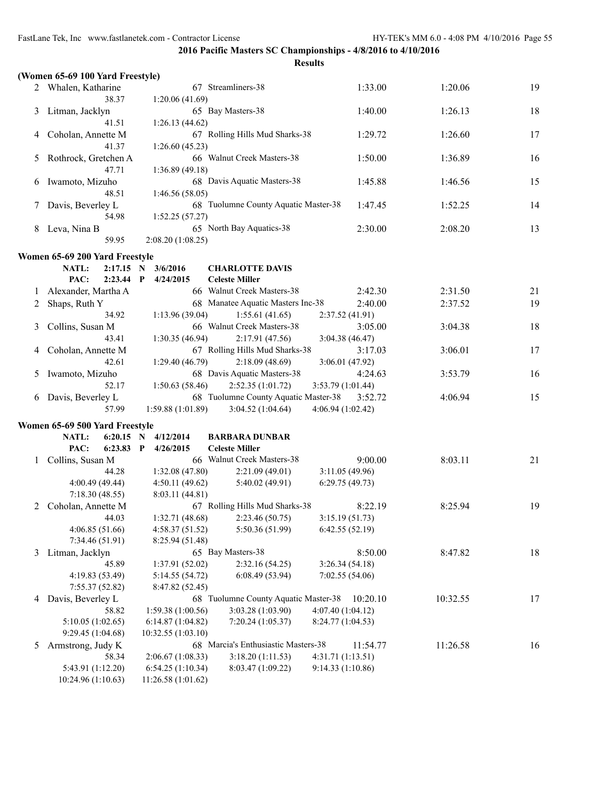|   | (Women 65-69 100 Yard Freestyle)        |                                        |                                                          |                                  |          |    |
|---|-----------------------------------------|----------------------------------------|----------------------------------------------------------|----------------------------------|----------|----|
|   | 2 Whalen, Katharine                     |                                        | 67 Streamliners-38                                       | 1:33.00                          | 1:20.06  | 19 |
|   | 38.37                                   | 1:20.06(41.69)                         |                                                          |                                  |          |    |
| 3 | Litman, Jacklyn                         |                                        | 65 Bay Masters-38                                        | 1:40.00                          | 1:26.13  | 18 |
|   | 41.51                                   | 1:26.13(44.62)                         |                                                          |                                  |          |    |
| 4 | Coholan, Annette M                      |                                        | 67 Rolling Hills Mud Sharks-38                           | 1:29.72                          | 1:26.60  | 17 |
|   | 41.37                                   | 1:26.60(45.23)                         |                                                          |                                  |          |    |
| 5 | Rothrock, Gretchen A                    |                                        | 66 Walnut Creek Masters-38                               | 1:50.00                          | 1:36.89  | 16 |
|   | 47.71                                   | 1:36.89 (49.18)                        |                                                          |                                  |          |    |
| 6 | Iwamoto, Mizuho                         |                                        | 68 Davis Aquatic Masters-38                              | 1:45.88                          | 1:46.56  | 15 |
|   | 48.51                                   | 1:46.56(58.05)                         |                                                          |                                  |          |    |
|   | Davis, Beverley L                       |                                        | 68 Tuolumne County Aquatic Master-38                     | 1:47.45                          | 1:52.25  | 14 |
|   | 54.98                                   | 1:52.25(57.27)                         |                                                          |                                  |          |    |
| 8 | Leva, Nina B                            |                                        | 65 North Bay Aquatics-38                                 | 2:30.00                          | 2:08.20  | 13 |
|   | 59.95                                   | 2:08.20(1:08.25)                       |                                                          |                                  |          |    |
|   | Women 65-69 200 Yard Freestyle          |                                        |                                                          |                                  |          |    |
|   | 2:17.15 N<br>NATL:                      | 3/6/2016                               | <b>CHARLOTTE DAVIS</b>                                   |                                  |          |    |
|   | PAC:<br>$2:23.44$ P                     | 4/24/2015                              | <b>Celeste Miller</b>                                    |                                  |          |    |
| 1 | Alexander, Martha A                     |                                        | 66 Walnut Creek Masters-38                               | 2:42.30                          | 2:31.50  | 21 |
| 2 | Shaps, Ruth Y                           |                                        | 68 Manatee Aquatic Masters Inc-38                        | 2:40.00                          | 2:37.52  | 19 |
|   | 34.92                                   | 1:13.96(39.04)                         | 1:55.61(41.65)                                           | 2:37.52(41.91)                   |          |    |
| 3 | Collins, Susan M                        |                                        | 66 Walnut Creek Masters-38                               | 3:05.00                          | 3:04.38  | 18 |
|   | 43.41                                   | 1:30.35(46.94)                         | 2:17.91 (47.56)                                          | 3:04.38(46.47)                   |          |    |
| 4 | Coholan, Annette M                      |                                        | 67 Rolling Hills Mud Sharks-38                           | 3:17.03                          | 3:06.01  | 17 |
|   | 42.61                                   | 1:29.40(46.79)                         | 2:18.09(48.69)                                           | 3:06.01 (47.92)                  |          |    |
| 5 | Iwamoto, Mizuho                         |                                        | 68 Davis Aquatic Masters-38                              | 4:24.63                          | 3:53.79  | 16 |
|   | 52.17<br>Davis, Beverley L              | 1:50.63(58.46)                         | 2:52.35(1:01.72)<br>68 Tuolumne County Aquatic Master-38 | 3:53.79(1:01.44)<br>3:52.72      | 4:06.94  | 15 |
| 6 | 57.99                                   | 1:59.88 (1:01.89)                      | 3:04.52(1:04.64)                                         | 4:06.94 (1:02.42)                |          |    |
|   |                                         |                                        |                                                          |                                  |          |    |
|   | Women 65-69 500 Yard Freestyle          |                                        |                                                          |                                  |          |    |
|   | NATL:<br>$6:20.15$ N                    | 4/12/2014                              | <b>BARBARA DUNBAR</b>                                    |                                  |          |    |
|   | PAC:<br>$6:23.83$ P                     | 4/26/2015                              | <b>Celeste Miller</b>                                    |                                  |          |    |
| 1 | Collins, Susan M<br>44.28               |                                        | 66 Walnut Creek Masters-38                               | 9:00.00                          | 8:03.11  | 21 |
|   | 4:00.49(49.44)                          | 1:32.08(47.80)<br>4:50.11(49.62)       | 2:21.09(49.01)<br>5:40.02(49.91)                         | 3:11.05(49.96)<br>6:29.75(49.73) |          |    |
|   | 7:18.30(48.55)                          | 8:03.11(44.81)                         |                                                          |                                  |          |    |
|   | 2 Coholan, Annette M                    |                                        | 67 Rolling Hills Mud Sharks-38                           | 8:22.19                          | 8:25.94  | 19 |
|   | 44.03                                   | 1:32.71(48.68)                         | 2:23.46(50.75)                                           | 3:15.19(51.73)                   |          |    |
|   | 4:06.85(51.66)                          | 4:58.37(51.52)                         | 5:50.36 (51.99)                                          | 6:42.55(52.19)                   |          |    |
|   | 7:34.46 (51.91)                         | 8:25.94 (51.48)                        |                                                          |                                  |          |    |
| 3 | Litman, Jacklyn                         |                                        | 65 Bay Masters-38                                        | 8:50.00                          | 8:47.82  | 18 |
|   | 45.89                                   | 1:37.91(52.02)                         | 2:32.16(54.25)                                           | 3:26.34(54.18)                   |          |    |
|   | 4:19.83 (53.49)                         | 5:14.55 (54.72)                        | 6:08.49 (53.94)                                          | 7:02.55(54.06)                   |          |    |
|   | 7:55.37(52.82)                          | 8:47.82 (52.45)                        |                                                          |                                  |          |    |
| 4 | Davis, Beverley L                       |                                        | 68 Tuolumne County Aquatic Master-38                     | 10:20.10                         | 10:32.55 | 17 |
|   | 58.82                                   | 1:59.38(1:00.56)                       | 3:03.28 (1:03.90)                                        | 4:07.40 (1:04.12)                |          |    |
|   | 5:10.05(1:02.65)                        | 6:14.87(1:04.82)                       | 7:20.24 (1:05.37)                                        | 8:24.77 (1:04.53)                |          |    |
|   | 9:29.45 (1:04.68)                       | 10:32.55 (1:03.10)                     |                                                          |                                  |          |    |
| 5 | Armstrong, Judy K                       |                                        | 68 Marcia's Enthusiastic Masters-38                      | 11:54.77                         | 11:26.58 | 16 |
|   | 58.34                                   | 2:06.67(1:08.33)                       | 3:18.20(1:11.53)                                         | 4:31.71 (1:13.51)                |          |    |
|   | 5:43.91 (1:12.20)<br>10:24.96 (1:10.63) | 6:54.25(1:10.34)<br>11:26.58 (1:01.62) | 8:03.47 (1:09.22)                                        | 9:14.33 (1:10.86)                |          |    |
|   |                                         |                                        |                                                          |                                  |          |    |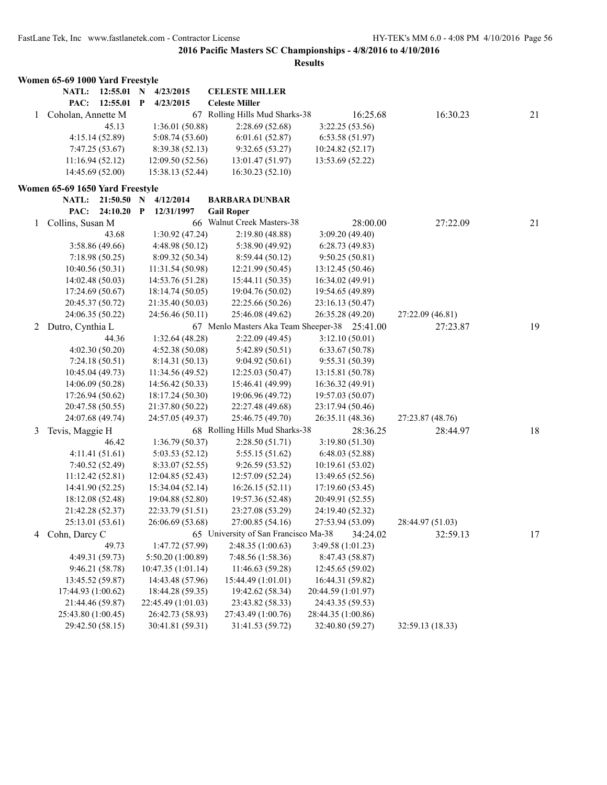|              | Women 65-69 1000 Yard Freestyle |                            |                                               |                    |                  |    |
|--------------|---------------------------------|----------------------------|-----------------------------------------------|--------------------|------------------|----|
|              | NATL:<br>$12:55.01$ N           | 4/23/2015                  | <b>CELESTE MILLER</b>                         |                    |                  |    |
|              | PAC:<br>$12:55.01$ P            | 4/23/2015                  | <b>Celeste Miller</b>                         |                    |                  |    |
| $\mathbf{1}$ | Coholan, Annette M              |                            | 67 Rolling Hills Mud Sharks-38                | 16:25.68           | 16:30.23         | 21 |
|              | 45.13                           | 1:36.01 (50.88)            | 2:28.69(52.68)                                | 3:22.25(53.56)     |                  |    |
|              | 4:15.14(52.89)                  | 5:08.74 (53.60)            | 6:01.61(52.87)                                | 6:53.58(51.97)     |                  |    |
|              | 7:47.25(53.67)                  | 8:39.38 (52.13)            | 9:32.65(53.27)                                | 10:24.82 (52.17)   |                  |    |
|              | 11:16.94(52.12)                 | 12:09.50(52.56)            | 13:01.47 (51.97)                              | 13:53.69 (52.22)   |                  |    |
|              | 14:45.69 (52.00)                | 15:38.13 (52.44)           | 16:30.23 (52.10)                              |                    |                  |    |
|              | Women 65-69 1650 Yard Freestyle |                            |                                               |                    |                  |    |
|              | <b>NATL:</b><br>21:50.50 N      | 4/12/2014                  | <b>BARBARA DUNBAR</b>                         |                    |                  |    |
|              | PAC:<br>24:10.20                | $\mathbf{P}$<br>12/31/1997 | <b>Gail Roper</b>                             |                    |                  |    |
| $\mathbf{1}$ | Collins, Susan M                |                            | 66 Walnut Creek Masters-38                    | 28:00.00           | 27:22.09         | 21 |
|              | 43.68                           | 1:30.92(47.24)             | 2:19.80 (48.88)                               | 3:09.20(49.40)     |                  |    |
|              | 3:58.86(49.66)                  | 4:48.98(50.12)             | 5:38.90 (49.92)                               | 6:28.73(49.83)     |                  |    |
|              | 7:18.98(50.25)                  | 8:09.32 (50.34)            | 8:59.44(50.12)                                | 9:50.25(50.81)     |                  |    |
|              | 10:40.56(50.31)                 | 11:31.54 (50.98)           | 12:21.99 (50.45)                              | 13:12.45 (50.46)   |                  |    |
|              | 14:02.48 (50.03)                | 14:53.76 (51.28)           | 15:44.11 (50.35)                              | 16:34.02 (49.91)   |                  |    |
|              | 17:24.69 (50.67)                | 18:14.74 (50.05)           | 19:04.76 (50.02)                              | 19:54.65 (49.89)   |                  |    |
|              | 20:45.37 (50.72)                | 21:35.40 (50.03)           | 22:25.66 (50.26)                              | 23:16.13 (50.47)   |                  |    |
|              | 24:06.35 (50.22)                | 24:56.46 (50.11)           | 25:46.08 (49.62)                              | 26:35.28 (49.20)   | 27:22.09 (46.81) |    |
| 2            | Dutro, Cynthia L                |                            | 67 Menlo Masters Aka Team Sheeper-38 25:41.00 |                    | 27:23.87         | 19 |
|              | 44.36                           | 1:32.64(48.28)             | 2:22.09(49.45)                                | 3:12.10(50.01)     |                  |    |
|              | 4:02.30(50.20)                  | 4:52.38(50.08)             | 5:42.89(50.51)                                | 6:33.67(50.78)     |                  |    |
|              | 7:24.18(50.51)                  | 8:14.31(50.13)             | 9:04.92(50.61)                                | 9:55.31 (50.39)    |                  |    |
|              | 10:45.04 (49.73)                | 11:34.56 (49.52)           | 12:25.03(50.47)                               | 13:15.81 (50.78)   |                  |    |
|              | 14:06.09(50.28)                 | 14:56.42 (50.33)           | 15:46.41 (49.99)                              | 16:36.32 (49.91)   |                  |    |
|              | 17:26.94 (50.62)                | 18:17.24 (50.30)           | 19:06.96 (49.72)                              | 19:57.03 (50.07)   |                  |    |
|              | 20:47.58 (50.55)                | 21:37.80 (50.22)           | 22:27.48 (49.68)                              | 23:17.94 (50.46)   |                  |    |
|              | 24:07.68 (49.74)                | 24:57.05 (49.37)           | 25:46.75 (49.70)                              | 26:35.11 (48.36)   | 27:23.87 (48.76) |    |
| 3            | Tevis, Maggie H                 |                            | 68 Rolling Hills Mud Sharks-38                | 28:36.25           | 28:44.97         | 18 |
|              | 46.42                           | 1:36.79(50.37)             | 2:28.50(51.71)                                | 3:19.80(51.30)     |                  |    |
|              | 4:11.41(51.61)                  | 5:03.53(52.12)             | 5:55.15(51.62)                                | 6:48.03(52.88)     |                  |    |
|              | 7:40.52 (52.49)                 | 8:33.07(52.55)             | 9:26.59 (53.52)                               | 10:19.61 (53.02)   |                  |    |
|              | 11:12.42(52.81)                 | 12:04.85 (52.43)           | 12:57.09 (52.24)                              | 13:49.65 (52.56)   |                  |    |
|              | 14:41.90 (52.25)                | 15:34.04 (52.14)           | 16:26.15(52.11)                               | 17:19.60 (53.45)   |                  |    |
|              | 18:12.08 (52.48)                | 19:04.88 (52.80)           | 19:57.36 (52.48)                              | 20:49.91 (52.55)   |                  |    |
|              | 21:42.28 (52.37)                | 22:33.79 (51.51)           | 23:27.08 (53.29)                              | 24:19.40 (52.32)   |                  |    |
|              | 25:13.01 (53.61)                | 26:06.69 (53.68)           | 27:00.85 (54.16)                              | 27:53.94 (53.09)   | 28:44.97 (51.03) |    |
|              | 4 Cohn, Darcy C                 |                            | 65 University of San Francisco Ma-38          | 34:24.02           | 32:59.13         | 17 |
|              | 49.73                           | 1:47.72 (57.99)            | 2:48.35(1:00.63)                              | 3:49.58 (1:01.23)  |                  |    |
|              | 4:49.31 (59.73)                 | 5:50.20 (1:00.89)          | 7:48.56 (1:58.36)                             | 8:47.43 (58.87)    |                  |    |
|              | 9:46.21(58.78)                  | 10:47.35(1:01.14)          | 11:46.63 (59.28)                              | 12:45.65 (59.02)   |                  |    |
|              | 13:45.52 (59.87)                | 14:43.48 (57.96)           | 15:44.49 (1:01.01)                            | 16:44.31 (59.82)   |                  |    |
|              | 17:44.93 (1:00.62)              | 18:44.28 (59.35)           | 19:42.62 (58.34)                              | 20:44.59 (1:01.97) |                  |    |
|              | 21:44.46 (59.87)                | 22:45.49 (1:01.03)         | 23:43.82 (58.33)                              | 24:43.35 (59.53)   |                  |    |
|              | 25:43.80 (1:00.45)              | 26:42.73 (58.93)           | 27:43.49 (1:00.76)                            | 28:44.35 (1:00.86) |                  |    |
|              | 29:42.50 (58.15)                | 30:41.81 (59.31)           | 31:41.53 (59.72)                              | 32:40.80 (59.27)   | 32:59.13 (18.33) |    |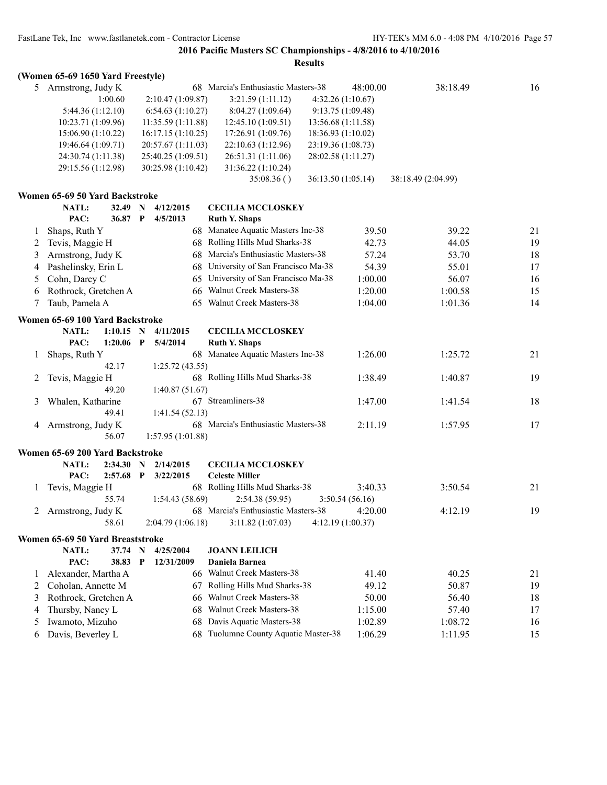|              | (Women 65-69 1650 Yard Freestyle)                  |              |                    |                                      |                    |                    |    |
|--------------|----------------------------------------------------|--------------|--------------------|--------------------------------------|--------------------|--------------------|----|
|              | 5 Armstrong, Judy K                                |              |                    | 68 Marcia's Enthusiastic Masters-38  | 48:00.00           | 38:18.49           | 16 |
|              | 1:00.60                                            |              | 2:10.47 (1:09.87)  | 3:21.59(1:11.12)                     | 4:32.26(1:10.67)   |                    |    |
|              | 5:44.36 (1:12.10)                                  |              | 6:54.63(1:10.27)   | 8:04.27(1:09.64)                     | 9:13.75(1:09.48)   |                    |    |
|              | 10:23.71 (1:09.96)                                 |              | 11:35.59(1:11.88)  | 12:45.10 (1:09.51)                   | 13:56.68 (1:11.58) |                    |    |
|              | 15:06.90(1:10.22)                                  |              | 16:17.15(1:10.25)  | 17:26.91 (1:09.76)                   | 18:36.93 (1:10.02) |                    |    |
|              | 19:46.64 (1:09.71)                                 |              | 20:57.67 (1:11.03) | 22:10.63 (1:12.96)                   | 23:19.36 (1:08.73) |                    |    |
|              | 24:30.74 (1:11.38)                                 |              | 25:40.25 (1:09.51) | 26:51.31 (1:11.06)                   | 28:02.58 (1:11.27) |                    |    |
|              | 29:15.56 (1:12.98)                                 |              | 30:25.98 (1:10.42) | 31:36.22 (1:10.24)                   |                    |                    |    |
|              |                                                    |              |                    | 35:08.36()                           | 36:13.50 (1:05.14) | 38:18.49 (2:04.99) |    |
|              |                                                    |              |                    |                                      |                    |                    |    |
|              | Women 65-69 50 Yard Backstroke<br>NATL:<br>32.49 N |              | 4/12/2015          | <b>CECILIA MCCLOSKEY</b>             |                    |                    |    |
|              | PAC:<br>36.87 P                                    |              | 4/5/2013           | <b>Ruth Y. Shaps</b>                 |                    |                    |    |
|              | Shaps, Ruth Y                                      |              |                    | 68 Manatee Aquatic Masters Inc-38    | 39.50              | 39.22              | 21 |
| 1            |                                                    |              |                    |                                      |                    |                    |    |
| 2            | Tevis, Maggie H                                    |              |                    | 68 Rolling Hills Mud Sharks-38       | 42.73              | 44.05              | 19 |
| 3            | Armstrong, Judy K                                  |              |                    | 68 Marcia's Enthusiastic Masters-38  | 57.24              | 53.70              | 18 |
| 4            | Pashelinsky, Erin L                                |              |                    | 68 University of San Francisco Ma-38 | 54.39              | 55.01              | 17 |
| 5            | Cohn, Darcy C                                      |              | 65                 | University of San Francisco Ma-38    | 1:00.00            | 56.07              | 16 |
| 6            | Rothrock, Gretchen A                               |              |                    | 66 Walnut Creek Masters-38           | 1:20.00            | 1:00.58            | 15 |
| 7            | Taub, Pamela A                                     |              |                    | 65 Walnut Creek Masters-38           | 1:04.00            | 1:01.36            | 14 |
|              | Women 65-69 100 Yard Backstroke                    |              |                    |                                      |                    |                    |    |
|              | NATL:<br>$1:10.15$ N                               |              | 4/11/2015          | <b>CECILIA MCCLOSKEY</b>             |                    |                    |    |
|              | PAC:<br>1:20.06                                    | $\mathbf{P}$ | 5/4/2014           | <b>Ruth Y. Shaps</b>                 |                    |                    |    |
| 1            | Shaps, Ruth Y                                      |              |                    | 68 Manatee Aquatic Masters Inc-38    | 1:26.00            | 1:25.72            | 21 |
|              | 42.17                                              |              | 1:25.72(43.55)     |                                      |                    |                    |    |
| 2            | Tevis, Maggie H                                    |              |                    | 68 Rolling Hills Mud Sharks-38       | 1:38.49            | 1:40.87            | 19 |
|              | 49.20                                              |              | 1:40.87(51.67)     |                                      |                    |                    |    |
| 3            | Whalen, Katharine                                  |              |                    | 67 Streamliners-38                   | 1:47.00            | 1:41.54            | 18 |
|              | 49.41                                              |              | 1:41.54(52.13)     |                                      |                    |                    |    |
| 4            | Armstrong, Judy K                                  |              |                    | 68 Marcia's Enthusiastic Masters-38  | 2:11.19            | 1:57.95            | 17 |
|              | 56.07                                              |              | 1:57.95(1:01.88)   |                                      |                    |                    |    |
|              |                                                    |              |                    |                                      |                    |                    |    |
|              | Women 65-69 200 Yard Backstroke                    |              |                    |                                      |                    |                    |    |
|              | NATL:<br>2:34.30 N                                 |              | 2/14/2015          | <b>CECILIA MCCLOSKEY</b>             |                    |                    |    |
|              | PAC:<br>$2:57.68$ P                                |              | 3/22/2015          | <b>Celeste Miller</b>                |                    |                    |    |
| $\mathbf{1}$ | Tevis, Maggie H                                    |              |                    | 68 Rolling Hills Mud Sharks-38       | 3:40.33            | 3:50.54            | 21 |
|              | 55.74                                              |              | 1:54.43(58.69)     | 2:54.38 (59.95)                      | 3:50.54(56.16)     |                    |    |
|              | 2 Armstrong, Judy K                                |              |                    | 68 Marcia's Enthusiastic Masters-38  | 4:20.00            | 4:12.19            | 19 |
|              | 58.61                                              |              | 2:04.79(1:06.18)   | 3:11.82(1:07.03)                     | 4:12.19(1:00.37)   |                    |    |
|              | Women 65-69 50 Yard Breaststroke                   |              |                    |                                      |                    |                    |    |
|              | NATL:<br>37.74 N                                   |              | 4/25/2004          | <b>JOANN LEILICH</b>                 |                    |                    |    |
|              | PAC:<br>38.83                                      | $\mathbf{P}$ | 12/31/2009         | Daniela Barnea                       |                    |                    |    |
| 1            | Alexander, Martha A                                |              |                    | 66 Walnut Creek Masters-38           | 41.40              | 40.25              | 21 |
| 2            | Coholan, Annette M                                 |              |                    | 67 Rolling Hills Mud Sharks-38       | 49.12              | 50.87              | 19 |
| 3            | Rothrock, Gretchen A                               |              | 66                 | Walnut Creek Masters-38              | 50.00              | 56.40              | 18 |
| 4            | Thursby, Nancy L                                   |              | 68                 | Walnut Creek Masters-38              | 1:15.00            | 57.40              | 17 |
| 5            | Iwamoto, Mizuho                                    |              | 68                 | Davis Aquatic Masters-38             | 1:02.89            | 1:08.72            | 16 |
|              | Davis, Beverley L                                  |              | 68                 | Tuolumne County Aquatic Master-38    | 1:06.29            | 1:11.95            | 15 |
| 6            |                                                    |              |                    |                                      |                    |                    |    |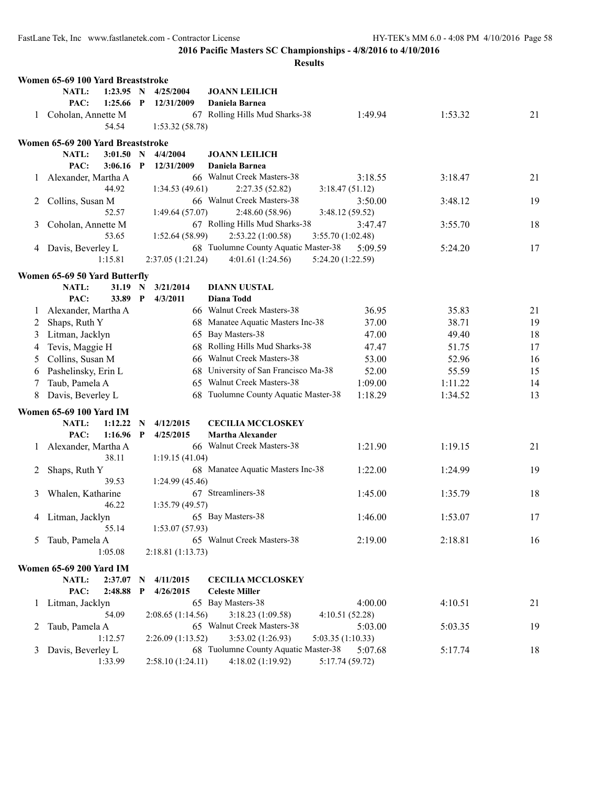|         | Women 65-69 100 Yard Breaststroke |             |                   |                                                           |                            |         |    |
|---------|-----------------------------------|-------------|-------------------|-----------------------------------------------------------|----------------------------|---------|----|
|         | NATL:<br>1:23.95 N                |             | 4/25/2004         | <b>JOANN LEILICH</b>                                      |                            |         |    |
|         | PAC:<br>$1:25.66$ P               |             | 12/31/2009        | Daniela Barnea                                            |                            |         |    |
| 1       | Coholan, Annette M                |             |                   | 67 Rolling Hills Mud Sharks-38                            | 1:49.94                    | 1:53.32 | 21 |
|         | 54.54                             |             | 1:53.32(58.78)    |                                                           |                            |         |    |
|         | Women 65-69 200 Yard Breaststroke |             |                   |                                                           |                            |         |    |
|         | NATL:<br>3:01.50                  | N           | 4/4/2004          | <b>JOANN LEILICH</b>                                      |                            |         |    |
|         | PAC:<br>3:06.16                   | $\mathbf P$ | 12/31/2009        | Daniela Barnea                                            |                            |         |    |
| 1       | Alexander, Martha A               |             |                   | 66 Walnut Creek Masters-38                                | 3:18.55                    | 3:18.47 | 21 |
|         | 44.92                             |             | 1:34.53(49.61)    | 2:27.35(52.82)                                            | 3:18.47(51.12)             |         |    |
| 2       | Collins, Susan M                  |             |                   | 66 Walnut Creek Masters-38                                | 3:50.00                    | 3:48.12 | 19 |
|         | 52.57                             |             | 1:49.64(57.07)    | 2:48.60(58.96)                                            | 3:48.12 (59.52)            |         |    |
| 3       | Coholan, Annette M                |             |                   | 67 Rolling Hills Mud Sharks-38                            | 3:47.47                    | 3:55.70 | 18 |
|         | 53.65                             |             | 1:52.64(58.99)    | 2:53.22(1:00.58)                                          | 3:55.70 (1:02.48)          |         |    |
|         | 4 Davis, Beverley L               |             |                   | 68 Tuolumne County Aquatic Master-38                      | 5:09.59                    | 5:24.20 | 17 |
|         | 1:15.81                           |             | 2:37.05 (1:21.24) | 4:01.61(1:24.56)                                          | 5:24.20 (1:22.59)          |         |    |
|         | Women 65-69 50 Yard Butterfly     |             |                   |                                                           |                            |         |    |
|         | NATL:<br>31.19 N                  |             | 3/21/2014         | <b>DIANN UUSTAL</b>                                       |                            |         |    |
|         | PAC:<br>33.89 P                   |             | 4/3/2011          | <b>Diana Todd</b>                                         |                            |         |    |
| $\perp$ | Alexander, Martha A               |             |                   | 66 Walnut Creek Masters-38                                | 36.95                      | 35.83   | 21 |
| 2       | Shaps, Ruth Y                     |             |                   | 68 Manatee Aquatic Masters Inc-38                         | 37.00                      | 38.71   | 19 |
| 3       | Litman, Jacklyn                   |             |                   | 65 Bay Masters-38                                         | 47.00                      | 49.40   | 18 |
| 4       | Tevis, Maggie H                   |             | 68                | Rolling Hills Mud Sharks-38                               | 47.47                      | 51.75   | 17 |
| 5       | Collins, Susan M                  |             | 66                | Walnut Creek Masters-38                                   | 53.00                      | 52.96   | 16 |
| 6       | Pashelinsky, Erin L               |             | 68                | University of San Francisco Ma-38                         | 52.00                      | 55.59   | 15 |
| 7       | Taub, Pamela A                    |             | 65                | Walnut Creek Masters-38                                   | 1:09.00                    | 1:11.22 | 14 |
| 8       | Davis, Beverley L                 |             | 68                | Tuolumne County Aquatic Master-38                         | 1:18.29                    | 1:34.52 | 13 |
|         |                                   |             |                   |                                                           |                            |         |    |
|         | <b>Women 65-69 100 Yard IM</b>    |             |                   |                                                           |                            |         |    |
|         | NATL:<br>1:12.22                  | $\mathbf N$ | 4/12/2015         | <b>CECILIA MCCLOSKEY</b>                                  |                            |         |    |
|         | PAC:<br>1:16.96                   | $\mathbf P$ | 4/25/2015         | <b>Martha Alexander</b>                                   |                            |         |    |
|         | 1 Alexander, Martha A             |             |                   | 66 Walnut Creek Masters-38                                | 1:21.90                    | 1:19.15 | 21 |
|         | 38.11                             |             | 1:19.15(41.04)    |                                                           |                            |         |    |
| 2       | Shaps, Ruth Y                     |             |                   | 68 Manatee Aquatic Masters Inc-38                         | 1:22.00                    | 1:24.99 | 19 |
|         | 39.53                             |             | 1:24.99(45.46)    | 67 Streamliners-38                                        |                            |         |    |
| 3       | Whalen, Katharine                 |             |                   |                                                           | 1:45.00                    | 1:35.79 | 18 |
|         | 46.22                             |             | 1:35.79(49.57)    | 65 Bay Masters-38                                         |                            |         |    |
| 4       | Litman, Jacklyn<br>55.14          |             | 1:53.07(57.93)    |                                                           | 1:46.00                    | 1:53.07 | 17 |
|         |                                   |             |                   | 65 Walnut Creek Masters-38                                |                            |         |    |
| 5       | Taub, Pamela A<br>1:05.08         |             | 2:18.81(1:13.73)  |                                                           | 2:19.00                    | 2:18.81 | 16 |
|         |                                   |             |                   |                                                           |                            |         |    |
|         | <b>Women 65-69 200 Yard IM</b>    |             |                   |                                                           |                            |         |    |
|         | NATL:<br>2:37.07                  | N           | 4/11/2015         | <b>CECILIA MCCLOSKEY</b>                                  |                            |         |    |
|         | PAC:<br>2:48.88                   | P           | 4/26/2015         | <b>Celeste Miller</b>                                     |                            |         |    |
| $\perp$ | Litman, Jacklyn                   |             |                   | 65 Bay Masters-38                                         | 4:00.00                    | 4:10.51 | 21 |
|         | 54.09                             |             | 2:08.65(1:14.56)  | 3:18.23 (1:09.58)                                         | 4:10.51(52.28)             |         |    |
| 2       | Taub, Pamela A                    |             |                   | 65 Walnut Creek Masters-38                                | 5:03.00                    | 5:03.35 | 19 |
|         | 1:12.57                           |             | 2:26.09(1:13.52)  | 3:53.02 (1:26.93)<br>68 Tuolumne County Aquatic Master-38 | 5:03.35 (1:10.33)          |         |    |
| 3       | Davis, Beverley L<br>1:33.99      |             | 2:58.10 (1:24.11) | 4:18.02 (1:19.92)                                         | 5:07.68<br>5:17.74 (59.72) | 5:17.74 | 18 |
|         |                                   |             |                   |                                                           |                            |         |    |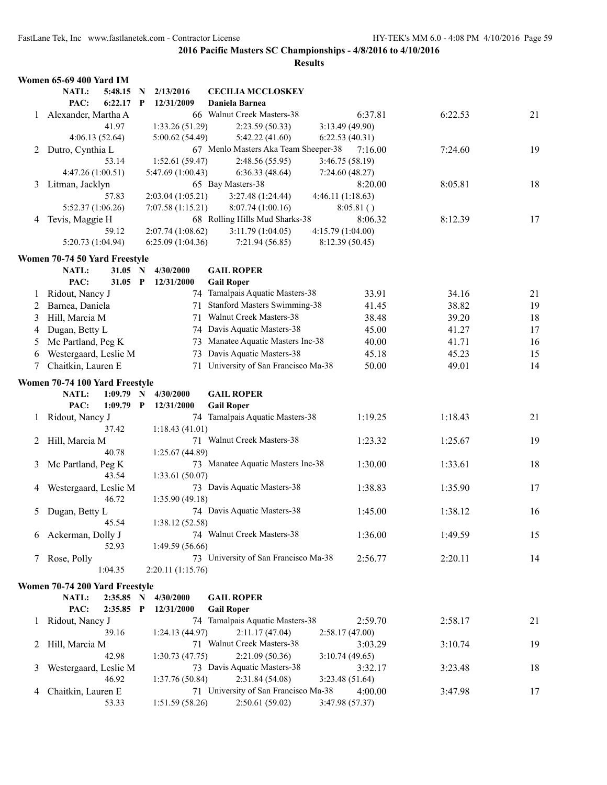|         | <b>Women 65-69 400 Yard IM</b>  |                   |                                      |                   |         |    |
|---------|---------------------------------|-------------------|--------------------------------------|-------------------|---------|----|
|         | NATL:<br>5:48.15<br>$\mathbf N$ | 2/13/2016         | <b>CECILIA MCCLOSKEY</b>             |                   |         |    |
|         | PAC:<br>6:22.17<br>$\mathbf{P}$ | 12/31/2009        | Daniela Barnea                       |                   |         |    |
|         | 1 Alexander, Martha A           |                   | 66 Walnut Creek Masters-38           | 6:37.81           | 6:22.53 | 21 |
|         | 41.97                           | 1:33.26 (51.29)   | 2:23.59(50.33)                       | 3:13.49 (49.90)   |         |    |
|         | 4:06.13(52.64)                  | 5:00.62 (54.49)   | 5:42.22(41.60)                       | 6:22.53(40.31)    |         |    |
| 2       | Dutro, Cynthia L                |                   | 67 Menlo Masters Aka Team Sheeper-38 | 7:16.00           | 7:24.60 | 19 |
|         | 53.14                           | 1:52.61(59.47)    | 2:48.56 (55.95)                      | 3:46.75 (58.19)   |         |    |
|         | 4:47.26 (1:00.51)               | 5:47.69 (1:00.43) | 6:36.33(48.64)                       | 7:24.60(48.27)    |         |    |
| 3       | Litman, Jacklyn                 |                   | 65 Bay Masters-38                    | 8:20.00           | 8:05.81 | 18 |
|         | 57.83                           | 2:03.04 (1:05.21) | 3:27.48 (1:24.44)                    | 4:46.11 (1:18.63) |         |    |
|         | 5:52.37 (1:06.26)               | 7:07.58(1:15.21)  | 8:07.74(1:00.16)                     | 8:05.81()         |         |    |
| 4       | Tevis, Maggie H                 |                   | 68 Rolling Hills Mud Sharks-38       | 8:06.32           | 8:12.39 | 17 |
|         | 59.12                           | 2:07.74(1:08.62)  | 3:11.79(1:04.05)                     | 4:15.79 (1:04.00) |         |    |
|         | 5:20.73 (1:04.94)               | 6:25.09(1:04.36)  | 7:21.94(56.85)                       | 8:12.39 (50.45)   |         |    |
|         | Women 70-74 50 Yard Freestyle   |                   |                                      |                   |         |    |
|         | 31.05 N<br>NATL:                | 4/30/2000         | <b>GAIL ROPER</b>                    |                   |         |    |
|         | PAC:<br>$31.05$ P               | 12/31/2000        | <b>Gail Roper</b>                    |                   |         |    |
| $\perp$ | Ridout, Nancy J                 |                   | 74 Tamalpais Aquatic Masters-38      | 33.91             | 34.16   | 21 |
| 2       | Barnea, Daniela                 |                   | 71 Stanford Masters Swimming-38      | 41.45             | 38.82   | 19 |
| 3       | Hill, Marcia M                  |                   | 71 Walnut Creek Masters-38           | 38.48             | 39.20   | 18 |
| 4       | Dugan, Betty L                  |                   | 74 Davis Aquatic Masters-38          | 45.00             | 41.27   | 17 |
| 5       | Mc Partland, Peg K              |                   | 73 Manatee Aquatic Masters Inc-38    | 40.00             | 41.71   | 16 |
| 6       | Westergaard, Leslie M           |                   | 73 Davis Aquatic Masters-38          | 45.18             | 45.23   | 15 |
| 7       | Chaitkin, Lauren E              |                   | 71 University of San Francisco Ma-38 | 50.00             | 49.01   | 14 |
|         | Women 70-74 100 Yard Freestyle  |                   |                                      |                   |         |    |
|         | <b>NATL:</b><br>$1:09.79$ N     | 4/30/2000         | <b>GAIL ROPER</b>                    |                   |         |    |
|         | PAC:<br>$1:09.79$ P             | 12/31/2000        | <b>Gail Roper</b>                    |                   |         |    |
| 1       | Ridout, Nancy J                 |                   | 74 Tamalpais Aquatic Masters-38      | 1:19.25           | 1:18.43 | 21 |
|         | 37.42                           | 1:18.43(41.01)    |                                      |                   |         |    |
| 2       | Hill, Marcia M                  |                   | 71 Walnut Creek Masters-38           | 1:23.32           | 1:25.67 | 19 |
|         | 40.78                           | 1:25.67 (44.89)   |                                      |                   |         |    |
| 3       | Mc Partland, Peg K              |                   | 73 Manatee Aquatic Masters Inc-38    | 1:30.00           | 1:33.61 | 18 |
|         | 43.54                           | 1:33.61(50.07)    |                                      |                   |         |    |
| 4       | Westergaard, Leslie M           |                   | 73 Davis Aquatic Masters-38          | 1:38.83           | 1:35.90 | 17 |
|         | 46.72                           | 1:35.90(49.18)    |                                      |                   |         |    |
| 5       | Dugan, Betty L                  |                   | 74 Davis Aquatic Masters-38          | 1:45.00           | 1:38.12 | 16 |
|         | 45.54                           | 1:38.12 (52.58)   |                                      |                   |         |    |
|         | 6 Ackerman, Dolly J             |                   | 74 Walnut Creek Masters-38           | 1:36.00           | 1:49.59 | 15 |
|         | 52.93                           | 1:49.59 (56.66)   |                                      |                   |         |    |
|         | 7 Rose, Polly                   |                   | 73 University of San Francisco Ma-38 | 2:56.77           | 2:20.11 | 14 |
|         | 1:04.35                         | 2:20.11 (1:15.76) |                                      |                   |         |    |
|         | Women 70-74 200 Yard Freestyle  |                   |                                      |                   |         |    |
|         | NATL:<br>2:35.85 N              | 4/30/2000         | <b>GAIL ROPER</b>                    |                   |         |    |
|         | PAC:<br>2:35.85 P               | 12/31/2000        | <b>Gail Roper</b>                    |                   |         |    |
| $\perp$ | Ridout, Nancy J                 |                   | 74 Tamalpais Aquatic Masters-38      | 2:59.70           | 2:58.17 | 21 |
|         |                                 |                   | 2:11.17(47.04)                       | 2:58.17(47.00)    |         |    |
|         | 39.16                           | 1:24.13(44.97)    |                                      |                   |         |    |
| 2       | Hill, Marcia M                  |                   | 71 Walnut Creek Masters-38           | 3:03.29           | 3:10.74 | 19 |
|         | 42.98                           | 1:30.73(47.75)    | 2:21.09(50.36)                       | 3:10.74(49.65)    |         |    |
| 3       | Westergaard, Leslie M           |                   | 73 Davis Aquatic Masters-38          | 3:32.17           | 3:23.48 | 18 |
|         | 46.92                           | 1:37.76 (50.84)   | 2:31.84 (54.08)                      | 3:23.48 (51.64)   |         |    |
| 4       | Chaitkin, Lauren E              |                   | 71 University of San Francisco Ma-38 | 4:00.00           | 3:47.98 | 17 |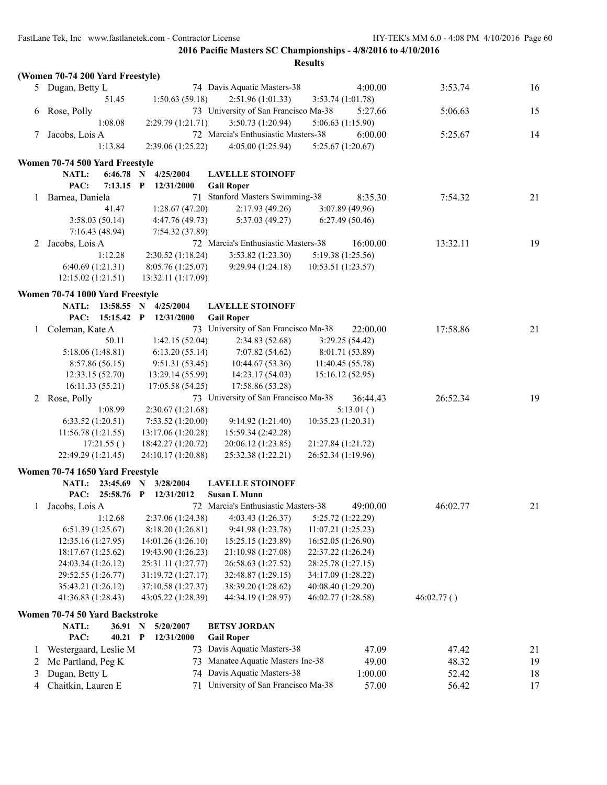|   | (Women 70-74 200 Yard Freestyle)                |             |             |                    |                                      |                    |           |            |    |
|---|-------------------------------------------------|-------------|-------------|--------------------|--------------------------------------|--------------------|-----------|------------|----|
|   | 5 Dugan, Betty L                                |             |             |                    | 74 Davis Aquatic Masters-38          |                    | 4:00.00   | 3:53.74    | 16 |
|   |                                                 | 51.45       |             | 1:50.63 (59.18)    | 2:51.96(1:01.33)                     | 3:53.74(1:01.78)   |           |            |    |
| 6 | Rose, Polly                                     |             |             |                    | 73 University of San Francisco Ma-38 |                    | 5:27.66   | 5:06.63    | 15 |
|   |                                                 | 1:08.08     |             | 2:29.79 (1:21.71)  | 3:50.73(1:20.94)                     | 5:06.63 (1:15.90)  |           |            |    |
| 7 | Jacobs, Lois A                                  |             |             |                    | 72 Marcia's Enthusiastic Masters-38  |                    | 6:00.00   | 5:25.67    | 14 |
|   |                                                 | 1:13.84     |             | 2:39.06 (1:25.22)  | 4:05.00(1:25.94)                     | 5:25.67(1:20.67)   |           |            |    |
|   |                                                 |             |             |                    |                                      |                    |           |            |    |
|   | Women 70-74 500 Yard Freestyle<br>NATL:         | $6:46.78$ N |             | 4/25/2004          | <b>LAVELLE STOINOFF</b>              |                    |           |            |    |
|   | PAC:                                            | $7:13.15$ P |             | 12/31/2000         | <b>Gail Roper</b>                    |                    |           |            |    |
| 1 | Barnea, Daniela                                 |             |             |                    | 71 Stanford Masters Swimming-38      |                    | 8:35.30   | 7:54.32    | 21 |
|   |                                                 | 41.47       |             | 1:28.67(47.20)     | 2:17.93(49.26)                       | 3:07.89(49.96)     |           |            |    |
|   | 3:58.03(50.14)                                  |             |             | 4:47.76 (49.73)    | 5:37.03(49.27)                       | 6:27.49(50.46)     |           |            |    |
|   | 7:16.43(48.94)                                  |             |             | 7:54.32 (37.89)    |                                      |                    |           |            |    |
| 2 | Jacobs, Lois A                                  |             |             |                    | 72 Marcia's Enthusiastic Masters-38  |                    | 16:00.00  | 13:32.11   | 19 |
|   |                                                 | 1:12.28     |             | 2:30.52(1:18.24)   | 3:53.82(1:23.30)                     | 5:19.38 (1:25.56)  |           |            |    |
|   | 6:40.69(1:21.31)                                |             |             | 8:05.76(1:25.07)   | 9:29.94(1:24.18)                     | 10:53.51 (1:23.57) |           |            |    |
|   | 12:15.02 (1:21.51)                              |             |             | 13:32.11 (1:17.09) |                                      |                    |           |            |    |
|   |                                                 |             |             |                    |                                      |                    |           |            |    |
|   | Women 70-74 1000 Yard Freestyle<br><b>NATL:</b> | 13:58.55    | $\mathbf N$ | 4/25/2004          | <b>LAVELLE STOINOFF</b>              |                    |           |            |    |
|   | PAC:                                            | 15:15.42 P  |             | 12/31/2000         | <b>Gail Roper</b>                    |                    |           |            |    |
| 1 | Coleman, Kate A                                 |             |             |                    | 73 University of San Francisco Ma-38 |                    | 22:00.00  | 17:58.86   | 21 |
|   |                                                 | 50.11       |             | 1:42.15(52.04)     | 2:34.83(52.68)                       | 3:29.25(54.42)     |           |            |    |
|   | 5:18.06(1:48.81)                                |             |             | 6:13.20(55.14)     | 7:07.82(54.62)                       | 8:01.71 (53.89)    |           |            |    |
|   | 8:57.86(56.15)                                  |             |             | 9:51.31(53.45)     | 10:44.67(53.36)                      | 11:40.45(55.78)    |           |            |    |
|   | 12:33.15 (52.70)                                |             |             | 13:29.14 (55.99)   | 14:23.17 (54.03)                     | 15:16.12 (52.95)   |           |            |    |
|   | 16:11.33 (55.21)                                |             |             | 17:05.58 (54.25)   | 17:58.86 (53.28)                     |                    |           |            |    |
| 2 | Rose, Polly                                     |             |             |                    | 73 University of San Francisco Ma-38 |                    | 36:44.43  | 26:52.34   | 19 |
|   |                                                 | 1:08.99     |             | 2:30.67(1:21.68)   |                                      |                    | 5:13.01() |            |    |
|   | 6:33.52(1:20.51)                                |             |             | 7:53.52(1:20.00)   | 9:14.92(1:21.40)                     | 10:35.23 (1:20.31) |           |            |    |
|   | 11:56.78(1:21.55)                               |             |             | 13:17.06 (1:20.28) | 15:59.34 (2:42.28)                   |                    |           |            |    |
|   |                                                 | 17:21.55()  |             | 18:42.27 (1:20.72) | 20:06.12 (1:23.85)                   | 21:27.84 (1:21.72) |           |            |    |
|   | 22:49.29 (1:21.45)                              |             |             | 24:10.17 (1:20.88) | 25:32.38 (1:22.21)                   | 26:52.34 (1:19.96) |           |            |    |
|   | Women 70-74 1650 Yard Freestyle                 |             |             |                    |                                      |                    |           |            |    |
|   | <b>NATL:</b>                                    | 23:45.69 N  |             | 3/28/2004          | <b>LAVELLE STOINOFF</b>              |                    |           |            |    |
|   | PAC:                                            | 25:58.76 P  |             | 12/31/2012         | <b>Susan L Munn</b>                  |                    |           |            |    |
| 1 | Jacobs, Lois A                                  |             |             |                    | 72 Marcia's Enthusiastic Masters-38  |                    | 49:00.00  | 46:02.77   | 21 |
|   |                                                 | 1:12.68     |             | 2:37.06 (1:24.38)  | 4:03.43 (1:26.37)                    | 5:25.72 (1:22.29)  |           |            |    |
|   | 6:51.39(1:25.67)                                |             |             | 8:18.20 (1:26.81)  | 9:41.98 (1:23.78)                    | 11:07.21 (1:25.23) |           |            |    |
|   | 12:35.16 (1:27.95)                              |             |             | 14:01.26(1:26.10)  | 15:25.15 (1:23.89)                   | 16:52.05 (1:26.90) |           |            |    |
|   | 18:17.67 (1:25.62)                              |             |             | 19:43.90 (1:26.23) | 21:10.98 (1:27.08)                   | 22:37.22 (1:26.24) |           |            |    |
|   | 24:03.34 (1:26.12)                              |             |             | 25:31.11 (1:27.77) | 26:58.63 (1:27.52)                   | 28:25.78 (1:27.15) |           |            |    |
|   | 29:52.55 (1:26.77)                              |             |             | 31:19.72 (1:27.17) | 32:48.87 (1:29.15)                   | 34:17.09 (1:28.22) |           |            |    |
|   | 35:43.21 (1:26.12)                              |             |             | 37:10.58 (1:27.37) | 38:39.20 (1:28.62)                   | 40:08.40 (1:29.20) |           |            |    |
|   | 41:36.83 (1:28.43)                              |             |             | 43:05.22 (1:28.39) | 44:34.19 (1:28.97)                   | 46:02.77 (1:28.58) |           | 46:02.77() |    |
|   | Women 70-74 50 Yard Backstroke                  |             |             |                    |                                      |                    |           |            |    |
|   | <b>NATL:</b>                                    | 36.91 N     |             | 5/20/2007          | <b>BETSY JORDAN</b>                  |                    |           |            |    |
|   | PAC:                                            | $40.21$ P   |             | 12/31/2000         | <b>Gail Roper</b>                    |                    |           |            |    |
| 1 | Westergaard, Leslie M                           |             |             |                    | 73 Davis Aquatic Masters-38          |                    | 47.09     | 47.42      | 21 |
| 2 | Mc Partland, Peg K                              |             |             | 73                 | Manatee Aquatic Masters Inc-38       |                    | 49.00     | 48.32      | 19 |
| 3 | Dugan, Betty L                                  |             |             | 74                 | Davis Aquatic Masters-38             |                    | 1:00.00   | 52.42      | 18 |
| 4 | Chaitkin, Lauren E                              |             |             | 71                 | University of San Francisco Ma-38    |                    | 57.00     | 56.42      | 17 |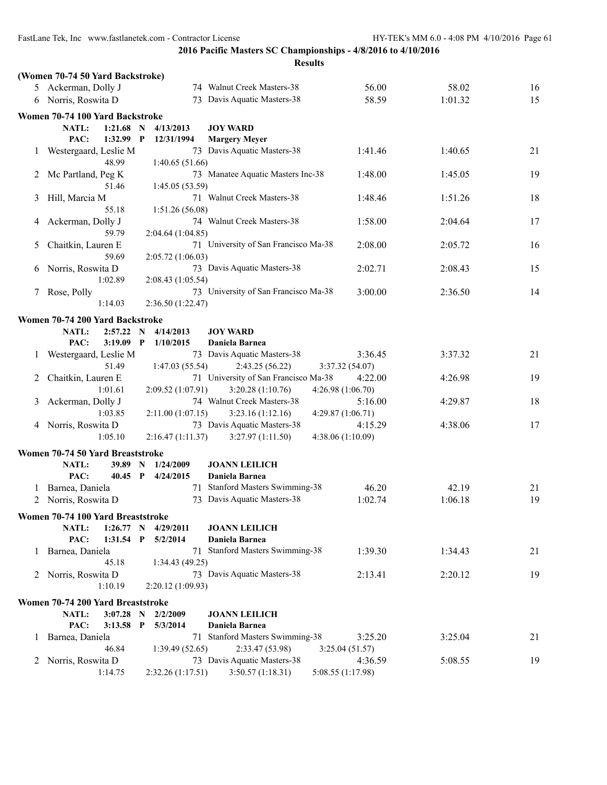|         |                                   |                   | <b>Results</b>                                 |                              |         |    |
|---------|-----------------------------------|-------------------|------------------------------------------------|------------------------------|---------|----|
|         | (Women 70-74 50 Yard Backstroke)  |                   |                                                |                              |         |    |
|         | 5 Ackerman, Dolly J               |                   | 74 Walnut Creek Masters-38                     | 56.00                        | 58.02   | 16 |
|         | 6 Norris, Roswita D               |                   | 73 Davis Aquatic Masters-38                    | 58.59                        | 1:01.32 | 15 |
|         | Women 70-74 100 Yard Backstroke   |                   |                                                |                              |         |    |
|         | 1:21.68<br><b>NATL:</b><br>N      | 4/13/2013         | <b>JOY WARD</b>                                |                              |         |    |
|         | PAC:<br>1:32.99<br>$\mathbf P$    | 12/31/1994        | <b>Margery Meyer</b>                           |                              |         |    |
| $\perp$ | Westergaard, Leslie M<br>48.99    | 1:40.65(51.66)    | 73 Davis Aquatic Masters-38                    | 1:41.46                      | 1:40.65 | 21 |
|         | 2 Mc Partland, Peg K<br>51.46     | 1:45.05(53.59)    | 73 Manatee Aquatic Masters Inc-38              | 1:48.00                      | 1:45.05 | 19 |
| 3       | Hill, Marcia M                    |                   | 71 Walnut Creek Masters-38                     | 1:48.46                      | 1:51.26 | 18 |
| 4       | 55.18<br>Ackerman, Dolly J        | 1:51.26(56.08)    | 74 Walnut Creek Masters-38                     | 1:58.00                      | 2:04.64 | 17 |
|         | 59.79                             | 2:04.64 (1:04.85) |                                                |                              |         |    |
| 5       | Chaitkin, Lauren E<br>59.69       | 2:05.72(1:06.03)  | 71 University of San Francisco Ma-38           | 2:08.00                      | 2:05.72 | 16 |
| 6       | Norris, Roswita D                 |                   | 73 Davis Aquatic Masters-38                    | 2:02.71                      | 2:08.43 | 15 |
| 7       | 1:02.89<br>Rose, Polly            | 2:08.43(1:05.54)  | 73 University of San Francisco Ma-38           | 3:00.00                      | 2:36.50 | 14 |
|         | 1:14.03                           | 2:36.50 (1:22.47) |                                                |                              |         |    |
|         | Women 70-74 200 Yard Backstroke   |                   |                                                |                              |         |    |
|         | NATL:<br>2:57.22<br>N             | 4/14/2013         | <b>JOY WARD</b>                                |                              |         |    |
|         | PAC:<br>$3:19.09$ P               | 1/10/2015         | Daniela Barnea                                 |                              |         |    |
| 1       | Westergaard, Leslie M<br>51.49    | 1:47.03(55.54)    | 73 Davis Aquatic Masters-38<br>2:43.25 (56.22) | 3:36.45<br>3:37.32(54.07)    | 3:37.32 | 21 |
| 2       | Chaitkin, Lauren E                |                   | 71 University of San Francisco Ma-38           | 4:22.00                      | 4:26.98 | 19 |
| 3       | 1:01.61<br>Ackerman, Dolly J      | 2:09.52(1:07.91)  | 3:20.28(1:10.76)<br>74 Walnut Creek Masters-38 | 4:26.98 (1:06.70)<br>5:16.00 | 4:29.87 | 18 |
|         | 1:03.85                           | 2:11.00(1:07.15)  | 3:23.16(1:12.16)                               | 4:29.87(1:06.71)             |         |    |
|         | 4 Norris, Roswita D               |                   | 73 Davis Aquatic Masters-38                    | 4:15.29                      | 4:38.06 | 17 |
|         | 1:05.10                           | 2:16.47(1:11.37)  | 3:27.97(1:11.50)                               | 4:38.06 (1:10.09)            |         |    |
|         | Women 70-74 50 Yard Breaststroke  |                   |                                                |                              |         |    |
|         | <b>NATL:</b><br>39.89 N           | 1/24/2009         | <b>JOANN LEILICH</b>                           |                              |         |    |
|         | PAC:<br>40.45 P                   | 4/24/2015         | Daniela Barnea                                 |                              |         |    |
| 1       | Barnea, Daniela                   |                   | 71 Stanford Masters Swimming-38                | 46.20                        | 42.19   | 21 |
|         | 2 Norris, Roswita D               |                   | 73 Davis Aquatic Masters-38                    | 1:02.74                      | 1:06.18 | 19 |
|         | Women 70-74 100 Yard Breaststroke |                   |                                                |                              |         |    |
|         | 1:26.77 N<br>NATL:                | 4/29/2011         | <b>JOANN LEILICH</b>                           |                              |         |    |
|         | PAC:<br>$1:31.54$ P               | 5/2/2014          | Daniela Barnea                                 |                              |         |    |
|         | 1 Barnea, Daniela<br>45.18        | 1:34.43 (49.25)   | 71 Stanford Masters Swimming-38                | 1:39.30                      | 1:34.43 | 21 |
|         | 2 Norris, Roswita D               |                   | 73 Davis Aquatic Masters-38                    | 2:13.41                      | 2:20.12 | 19 |
|         | 1:10.19                           | 2:20.12(1:09.93)  |                                                |                              |         |    |
|         | Women 70-74 200 Yard Breaststroke |                   |                                                |                              |         |    |
|         | NATL:<br>3:07.28 N 2/2/2009       |                   | <b>JOANN LEILICH</b>                           |                              |         |    |
|         | PAC:<br>$3:13.58$ P               | 5/3/2014          | Daniela Barnea                                 |                              |         |    |
|         | 1 Barnea, Daniela                 |                   | 71 Stanford Masters Swimming-38                | 3:25.20                      | 3:25.04 | 21 |
|         | 46.84                             | 1:39.49(52.65)    | 2:33.47 (53.98)                                | 3:25.04(51.57)               |         |    |
|         | 2 Norris, Roswita D               |                   | 73 Davis Aquatic Masters-38                    | 4:36.59                      | 5:08.55 | 19 |
|         | 1:14.75                           | 2:32.26 (1:17.51) | 3:50.57(1:18.31)                               | 5:08.55 (1:17.98)            |         |    |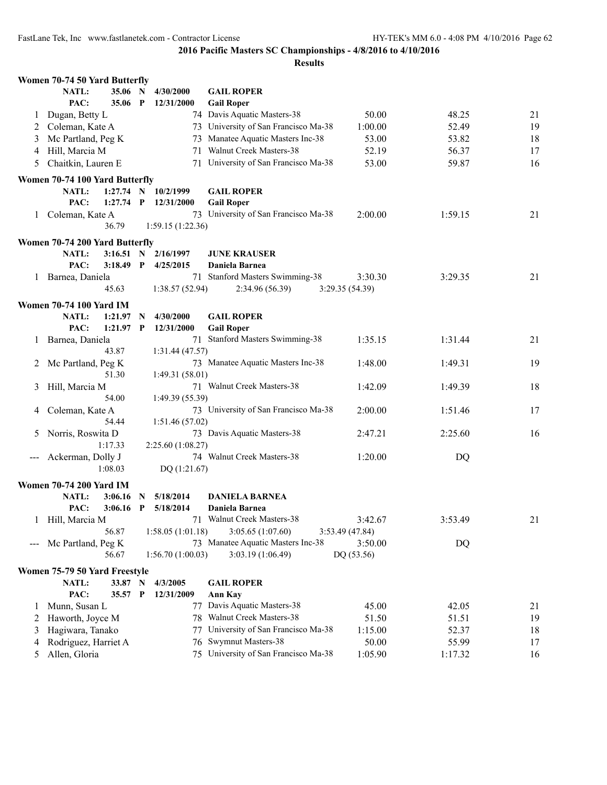| NATL:<br>35.06 N<br>4/30/2000<br><b>GAIL ROPER</b><br>PAC:<br>35.06 P<br>12/31/2000<br><b>Gail Roper</b><br>74 Davis Aquatic Masters-38<br>Dugan, Betty L<br>50.00<br>48.25<br>$\perp$<br>73 University of San Francisco Ma-38<br>Coleman, Kate A<br>1:00.00<br>52.49<br>2<br>73 Manatee Aquatic Masters Inc-38<br>Mc Partland, Peg K<br>53.00<br>53.82<br>3<br>71 Walnut Creek Masters-38<br>Hill, Marcia M<br>52.19<br>56.37<br>4<br>71 University of San Francisco Ma-38<br>Chaitkin, Lauren E<br>59.87<br>53.00<br>5<br>Women 70-74 100 Yard Butterfly<br><b>NATL:</b><br>$1:27.74$ N<br><b>GAIL ROPER</b><br>10/2/1999<br>PAC:<br>$1:27.74$ P<br>12/31/2000<br><b>Gail Roper</b><br>73 University of San Francisco Ma-38<br>2:00.00<br>1:59.15<br>Coleman, Kate A<br>$\mathbf{I}$<br>36.79<br>1:59.15(1:22.36)<br>Women 70-74 200 Yard Butterfly<br><b>NATL:</b><br>2/16/1997<br><b>JUNE KRAUSER</b><br>$3:16.51$ N<br>PAC:<br>$3:18.49$ P<br>4/25/2015<br>Daniela Barnea<br>71 Stanford Masters Swimming-38<br>Barnea, Daniela<br>3:30.30<br>3:29.35<br>21<br>1.<br>1:38.57(52.94)<br>2:34.96 (56.39)<br>3:29.35(54.39)<br>45.63<br><b>Women 70-74 100 Yard IM</b> | Women 70-74 50 Yard Butterfly |  |  |    |
|--------------------------------------------------------------------------------------------------------------------------------------------------------------------------------------------------------------------------------------------------------------------------------------------------------------------------------------------------------------------------------------------------------------------------------------------------------------------------------------------------------------------------------------------------------------------------------------------------------------------------------------------------------------------------------------------------------------------------------------------------------------------------------------------------------------------------------------------------------------------------------------------------------------------------------------------------------------------------------------------------------------------------------------------------------------------------------------------------------------------------------------------------------------------------|-------------------------------|--|--|----|
|                                                                                                                                                                                                                                                                                                                                                                                                                                                                                                                                                                                                                                                                                                                                                                                                                                                                                                                                                                                                                                                                                                                                                                          |                               |  |  |    |
|                                                                                                                                                                                                                                                                                                                                                                                                                                                                                                                                                                                                                                                                                                                                                                                                                                                                                                                                                                                                                                                                                                                                                                          |                               |  |  |    |
|                                                                                                                                                                                                                                                                                                                                                                                                                                                                                                                                                                                                                                                                                                                                                                                                                                                                                                                                                                                                                                                                                                                                                                          |                               |  |  | 21 |
|                                                                                                                                                                                                                                                                                                                                                                                                                                                                                                                                                                                                                                                                                                                                                                                                                                                                                                                                                                                                                                                                                                                                                                          |                               |  |  | 19 |
|                                                                                                                                                                                                                                                                                                                                                                                                                                                                                                                                                                                                                                                                                                                                                                                                                                                                                                                                                                                                                                                                                                                                                                          |                               |  |  | 18 |
|                                                                                                                                                                                                                                                                                                                                                                                                                                                                                                                                                                                                                                                                                                                                                                                                                                                                                                                                                                                                                                                                                                                                                                          |                               |  |  | 17 |
|                                                                                                                                                                                                                                                                                                                                                                                                                                                                                                                                                                                                                                                                                                                                                                                                                                                                                                                                                                                                                                                                                                                                                                          |                               |  |  | 16 |
|                                                                                                                                                                                                                                                                                                                                                                                                                                                                                                                                                                                                                                                                                                                                                                                                                                                                                                                                                                                                                                                                                                                                                                          |                               |  |  |    |
|                                                                                                                                                                                                                                                                                                                                                                                                                                                                                                                                                                                                                                                                                                                                                                                                                                                                                                                                                                                                                                                                                                                                                                          |                               |  |  |    |
|                                                                                                                                                                                                                                                                                                                                                                                                                                                                                                                                                                                                                                                                                                                                                                                                                                                                                                                                                                                                                                                                                                                                                                          |                               |  |  |    |
|                                                                                                                                                                                                                                                                                                                                                                                                                                                                                                                                                                                                                                                                                                                                                                                                                                                                                                                                                                                                                                                                                                                                                                          |                               |  |  | 21 |
|                                                                                                                                                                                                                                                                                                                                                                                                                                                                                                                                                                                                                                                                                                                                                                                                                                                                                                                                                                                                                                                                                                                                                                          |                               |  |  |    |
|                                                                                                                                                                                                                                                                                                                                                                                                                                                                                                                                                                                                                                                                                                                                                                                                                                                                                                                                                                                                                                                                                                                                                                          |                               |  |  |    |
|                                                                                                                                                                                                                                                                                                                                                                                                                                                                                                                                                                                                                                                                                                                                                                                                                                                                                                                                                                                                                                                                                                                                                                          |                               |  |  |    |
|                                                                                                                                                                                                                                                                                                                                                                                                                                                                                                                                                                                                                                                                                                                                                                                                                                                                                                                                                                                                                                                                                                                                                                          |                               |  |  |    |
|                                                                                                                                                                                                                                                                                                                                                                                                                                                                                                                                                                                                                                                                                                                                                                                                                                                                                                                                                                                                                                                                                                                                                                          |                               |  |  |    |
|                                                                                                                                                                                                                                                                                                                                                                                                                                                                                                                                                                                                                                                                                                                                                                                                                                                                                                                                                                                                                                                                                                                                                                          |                               |  |  |    |
|                                                                                                                                                                                                                                                                                                                                                                                                                                                                                                                                                                                                                                                                                                                                                                                                                                                                                                                                                                                                                                                                                                                                                                          |                               |  |  |    |
|                                                                                                                                                                                                                                                                                                                                                                                                                                                                                                                                                                                                                                                                                                                                                                                                                                                                                                                                                                                                                                                                                                                                                                          |                               |  |  |    |
| <b>NATL:</b><br>1:21.97<br>4/30/2000<br><b>GAIL ROPER</b><br>$\mathbf N$                                                                                                                                                                                                                                                                                                                                                                                                                                                                                                                                                                                                                                                                                                                                                                                                                                                                                                                                                                                                                                                                                                 |                               |  |  |    |
| PAC:<br>$1:21.97$ P<br><b>Gail Roper</b><br>12/31/2000                                                                                                                                                                                                                                                                                                                                                                                                                                                                                                                                                                                                                                                                                                                                                                                                                                                                                                                                                                                                                                                                                                                   |                               |  |  |    |
| 71 Stanford Masters Swimming-38<br>Barnea, Daniela<br>1:35.15<br>1:31.44<br>1                                                                                                                                                                                                                                                                                                                                                                                                                                                                                                                                                                                                                                                                                                                                                                                                                                                                                                                                                                                                                                                                                            |                               |  |  | 21 |
| 43.87<br>1:31.44 (47.57)                                                                                                                                                                                                                                                                                                                                                                                                                                                                                                                                                                                                                                                                                                                                                                                                                                                                                                                                                                                                                                                                                                                                                 |                               |  |  |    |
| 73 Manatee Aquatic Masters Inc-38<br>1:48.00<br>1:49.31<br>Mc Partland, Peg K<br>2                                                                                                                                                                                                                                                                                                                                                                                                                                                                                                                                                                                                                                                                                                                                                                                                                                                                                                                                                                                                                                                                                       |                               |  |  | 19 |
| 1:49.31(58.01)<br>51.30                                                                                                                                                                                                                                                                                                                                                                                                                                                                                                                                                                                                                                                                                                                                                                                                                                                                                                                                                                                                                                                                                                                                                  |                               |  |  |    |
| 71 Walnut Creek Masters-38<br>Hill, Marcia M<br>1:42.09<br>1:49.39<br>3                                                                                                                                                                                                                                                                                                                                                                                                                                                                                                                                                                                                                                                                                                                                                                                                                                                                                                                                                                                                                                                                                                  |                               |  |  | 18 |
| 54.00<br>1:49.39 (55.39)                                                                                                                                                                                                                                                                                                                                                                                                                                                                                                                                                                                                                                                                                                                                                                                                                                                                                                                                                                                                                                                                                                                                                 |                               |  |  |    |
| Coleman, Kate A<br>73 University of San Francisco Ma-38<br>2:00.00<br>1:51.46<br>4                                                                                                                                                                                                                                                                                                                                                                                                                                                                                                                                                                                                                                                                                                                                                                                                                                                                                                                                                                                                                                                                                       |                               |  |  | 17 |
| 54.44<br>1:51.46(57.02)                                                                                                                                                                                                                                                                                                                                                                                                                                                                                                                                                                                                                                                                                                                                                                                                                                                                                                                                                                                                                                                                                                                                                  |                               |  |  |    |
| 73 Davis Aquatic Masters-38<br>Norris, Roswita D<br>2:25.60<br>2:47.21<br>5                                                                                                                                                                                                                                                                                                                                                                                                                                                                                                                                                                                                                                                                                                                                                                                                                                                                                                                                                                                                                                                                                              |                               |  |  | 16 |
| 1:17.33<br>2:25.60 (1:08.27)                                                                                                                                                                                                                                                                                                                                                                                                                                                                                                                                                                                                                                                                                                                                                                                                                                                                                                                                                                                                                                                                                                                                             |                               |  |  |    |
| 74 Walnut Creek Masters-38<br>1:20.00<br>Ackerman, Dolly J<br>DQ                                                                                                                                                                                                                                                                                                                                                                                                                                                                                                                                                                                                                                                                                                                                                                                                                                                                                                                                                                                                                                                                                                         |                               |  |  |    |
| 1:08.03<br>DQ (1:21.67)                                                                                                                                                                                                                                                                                                                                                                                                                                                                                                                                                                                                                                                                                                                                                                                                                                                                                                                                                                                                                                                                                                                                                  |                               |  |  |    |
| <b>Women 70-74 200 Yard IM</b>                                                                                                                                                                                                                                                                                                                                                                                                                                                                                                                                                                                                                                                                                                                                                                                                                                                                                                                                                                                                                                                                                                                                           |                               |  |  |    |
| <b>NATL:</b><br>5/18/2014<br><b>DANIELA BARNEA</b><br>3:06.16<br>N                                                                                                                                                                                                                                                                                                                                                                                                                                                                                                                                                                                                                                                                                                                                                                                                                                                                                                                                                                                                                                                                                                       |                               |  |  |    |
| PAC:<br>$3:06.16$ P<br>5/18/2014<br>Daniela Barnea                                                                                                                                                                                                                                                                                                                                                                                                                                                                                                                                                                                                                                                                                                                                                                                                                                                                                                                                                                                                                                                                                                                       |                               |  |  |    |
| Hill, Marcia M<br>71 Walnut Creek Masters-38<br>3:42.67<br>3:53.49<br>$\perp$                                                                                                                                                                                                                                                                                                                                                                                                                                                                                                                                                                                                                                                                                                                                                                                                                                                                                                                                                                                                                                                                                            |                               |  |  | 21 |
| 56.87<br>3:05.65(1:07.60)<br>1:58.05(1:01.18)<br>3:53.49(47.84)                                                                                                                                                                                                                                                                                                                                                                                                                                                                                                                                                                                                                                                                                                                                                                                                                                                                                                                                                                                                                                                                                                          |                               |  |  |    |
| 73 Manatee Aquatic Masters Inc-38<br>Mc Partland, Peg K<br>DQ<br>3:50.00<br>$\qquad \qquad -$                                                                                                                                                                                                                                                                                                                                                                                                                                                                                                                                                                                                                                                                                                                                                                                                                                                                                                                                                                                                                                                                            |                               |  |  |    |
| 1:56.70(1:00.03)<br>56.67<br>3:03.19(1:06.49)<br>DQ (53.56)                                                                                                                                                                                                                                                                                                                                                                                                                                                                                                                                                                                                                                                                                                                                                                                                                                                                                                                                                                                                                                                                                                              |                               |  |  |    |
| Women 75-79 50 Yard Freestyle                                                                                                                                                                                                                                                                                                                                                                                                                                                                                                                                                                                                                                                                                                                                                                                                                                                                                                                                                                                                                                                                                                                                            |                               |  |  |    |
| NATL:<br>4/3/2005<br><b>GAIL ROPER</b><br>33.87 N                                                                                                                                                                                                                                                                                                                                                                                                                                                                                                                                                                                                                                                                                                                                                                                                                                                                                                                                                                                                                                                                                                                        |                               |  |  |    |
| PAC:<br>Ann Kay<br>35.57 P<br>12/31/2009                                                                                                                                                                                                                                                                                                                                                                                                                                                                                                                                                                                                                                                                                                                                                                                                                                                                                                                                                                                                                                                                                                                                 |                               |  |  |    |
| 77 Davis Aquatic Masters-38<br>Munn, Susan L<br>45.00<br>42.05<br>1                                                                                                                                                                                                                                                                                                                                                                                                                                                                                                                                                                                                                                                                                                                                                                                                                                                                                                                                                                                                                                                                                                      |                               |  |  | 21 |
| 78 Walnut Creek Masters-38<br>Haworth, Joyce M<br>51.50<br>51.51<br>2                                                                                                                                                                                                                                                                                                                                                                                                                                                                                                                                                                                                                                                                                                                                                                                                                                                                                                                                                                                                                                                                                                    |                               |  |  | 19 |
| University of San Francisco Ma-38<br>Hagiwara, Tanako<br>1:15.00<br>52.37<br>3<br>77                                                                                                                                                                                                                                                                                                                                                                                                                                                                                                                                                                                                                                                                                                                                                                                                                                                                                                                                                                                                                                                                                     |                               |  |  | 18 |
| <b>Swymnut Masters-38</b><br>Rodriguez, Harriet A<br>50.00<br>55.99<br>76<br>4                                                                                                                                                                                                                                                                                                                                                                                                                                                                                                                                                                                                                                                                                                                                                                                                                                                                                                                                                                                                                                                                                           |                               |  |  | 17 |
| 75 University of San Francisco Ma-38<br>Allen, Gloria<br>5<br>1:05.90<br>1:17.32<br>16                                                                                                                                                                                                                                                                                                                                                                                                                                                                                                                                                                                                                                                                                                                                                                                                                                                                                                                                                                                                                                                                                   |                               |  |  |    |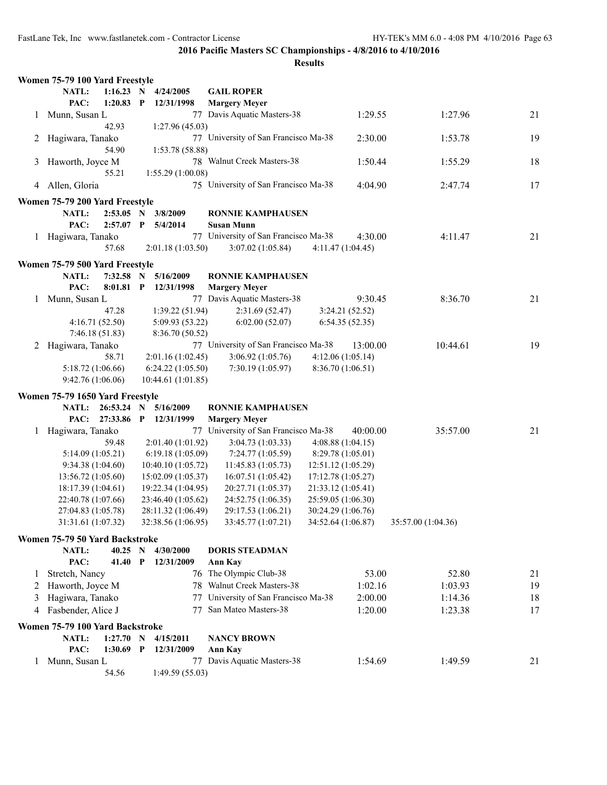|   | Women 75-79 100 Yard Freestyle  |                |              |                    |                                      |                                          |                    |    |
|---|---------------------------------|----------------|--------------|--------------------|--------------------------------------|------------------------------------------|--------------------|----|
|   | NATL:                           | $1:16.23$ N    |              | 4/24/2005          | <b>GAIL ROPER</b>                    |                                          |                    |    |
|   | PAC:                            | $1:20.83$ P    |              | 12/31/1998         | <b>Margery Meyer</b>                 |                                          |                    |    |
|   | 1 Munn, Susan L                 |                |              |                    | 77 Davis Aquatic Masters-38          | 1:29.55                                  | 1:27.96            | 21 |
|   |                                 | 42.93          |              | 1:27.96 (45.03)    |                                      |                                          |                    |    |
|   | 2 Hagiwara, Tanako              |                |              |                    | 77 University of San Francisco Ma-38 | 2:30.00                                  | 1:53.78            | 19 |
|   |                                 | 54.90          |              | 1:53.78 (58.88)    |                                      |                                          |                    |    |
| 3 | Haworth, Joyce M                |                |              |                    | 78 Walnut Creek Masters-38           | 1:50.44                                  | 1:55.29            | 18 |
|   |                                 | 55.21          |              | 1:55.29(1:00.08)   |                                      |                                          |                    |    |
| 4 | Allen, Gloria                   |                |              |                    | 75 University of San Francisco Ma-38 | 4:04.90                                  | 2:47.74            | 17 |
|   | Women 75-79 200 Yard Freestyle  |                |              |                    |                                      |                                          |                    |    |
|   | NATL:                           | 2:53.05        |              | N 3/8/2009         | <b>RONNIE KAMPHAUSEN</b>             |                                          |                    |    |
|   | PAC:                            | 2:57.07        | $\mathbf{P}$ | 5/4/2014           | <b>Susan Munn</b>                    |                                          |                    |    |
|   | 1 Hagiwara, Tanako              |                |              |                    | 77 University of San Francisco Ma-38 | 4:30.00                                  | 4:11.47            | 21 |
|   |                                 | 57.68          |              | 2:01.18(1:03.50)   | 3:07.02(1:05.84)                     | 4:11.47(1:04.45)                         |                    |    |
|   | Women 75-79 500 Yard Freestyle  |                |              |                    |                                      |                                          |                    |    |
|   | NATL:                           | $7:32.58$ N    |              | 5/16/2009          | <b>RONNIE KAMPHAUSEN</b>             |                                          |                    |    |
|   | PAC:                            | 8:01.81 P      |              | 12/31/1998         | <b>Margery Meyer</b>                 |                                          |                    |    |
|   | Munn, Susan L                   |                |              |                    | 77 Davis Aquatic Masters-38          | 9:30.45                                  | 8:36.70            | 21 |
|   |                                 | 47.28          |              | 1:39.22(51.94)     | 2:31.69(52.47)                       | 3:24.21(52.52)                           |                    |    |
|   |                                 | 4:16.71(52.50) |              | 5:09.93 (53.22)    | 6:02.00(52.07)                       | 6:54.35(52.35)                           |                    |    |
|   |                                 | 7:46.18(51.83) |              | 8:36.70 (50.52)    |                                      |                                          |                    |    |
| 2 | Hagiwara, Tanako                |                |              |                    | 77 University of San Francisco Ma-38 | 13:00.00                                 | 10:44.61           | 19 |
|   |                                 | 58.71          |              | 2:01.16 (1:02.45)  | 3:06.92(1:05.76)                     | 4:12.06(1:05.14)                         |                    |    |
|   | 5:18.72 (1:06.66)               |                |              | 6:24.22(1:05.50)   | 7:30.19(1:05.97)                     | 8:36.70 (1:06.51)                        |                    |    |
|   | 9:42.76 (1:06.06)               |                |              | 10:44.61 (1:01.85) |                                      |                                          |                    |    |
|   | Women 75-79 1650 Yard Freestyle |                |              |                    |                                      |                                          |                    |    |
|   | <b>NATL:</b>                    | 26:53.24       | N            | 5/16/2009          | <b>RONNIE KAMPHAUSEN</b>             |                                          |                    |    |
|   | PAC:                            | 27:33.86 P     |              | 12/31/1999         | <b>Margery Meyer</b>                 |                                          |                    |    |
| 1 | Hagiwara, Tanako                |                |              |                    | 77 University of San Francisco Ma-38 | 40:00.00                                 | 35:57.00           | 21 |
|   |                                 | 59.48          |              | 2:01.40(1:01.92)   | 3:04.73(1:03.33)                     | 4:08.88(1:04.15)                         |                    |    |
|   | 5:14.09(1:05.21)                |                |              | 6:19.18(1:05.09)   | 7:24.77(1:05.59)                     | 8:29.78 (1:05.01)                        |                    |    |
|   | 9:34.38(1:04.60)                |                |              | 10:40.10 (1:05.72) | 11:45.83(1:05.73)                    | 12:51.12(1:05.29)                        |                    |    |
|   | 13:56.72(1:05.60)               |                |              | 15:02.09 (1:05.37) | 16:07.51 (1:05.42)                   | 17:12.78 (1:05.27)                       |                    |    |
|   | 18:17.39(1:04.61)               |                |              | 19:22.34 (1:04.95) | 20:27.71 (1:05.37)                   | 21:33.12 (1:05.41)                       |                    |    |
|   | 22:40.78 (1:07.66)              |                |              | 23:46.40 (1:05.62) | 24:52.75 (1:06.35)                   | 25:59.05 (1:06.30)                       |                    |    |
|   | 27:04.83 (1:05.78)              |                |              | 28:11.32 (1:06.49) | 29:17.53 (1:06.21)                   | 30:24.29 (1:06.76)<br>34:52.64 (1:06.87) |                    |    |
|   | 31:31.61 (1:07.32)              |                |              | 32:38.56 (1:06.95) | 33:45.77 (1:07.21)                   |                                          | 35:57.00 (1:04.36) |    |
|   | Women 75-79 50 Yard Backstroke  |                |              |                    |                                      |                                          |                    |    |
|   | NATL:                           | $40.25$ N      |              | 4/30/2000          | <b>DORIS STEADMAN</b>                |                                          |                    |    |
|   | PAC:                            | 41.40          | $\mathbf{P}$ | 12/31/2009         | <b>Ann Kay</b>                       |                                          |                    |    |
| 1 | Stretch, Nancy                  |                |              |                    | 76 The Olympic Club-38               | 53.00                                    | 52.80              | 21 |
| 2 | Haworth, Joyce M                |                |              |                    | 78 Walnut Creek Masters-38           | 1:02.16                                  | 1:03.93            | 19 |
| 3 | Hagiwara, Tanako                |                |              | 77                 | University of San Francisco Ma-38    | 2:00.00                                  | 1:14.36            | 18 |
| 4 | Fasbender, Alice J              |                |              | 77                 | San Mateo Masters-38                 | 1:20.00                                  | 1:23.38            | 17 |
|   | Women 75-79 100 Yard Backstroke |                |              |                    |                                      |                                          |                    |    |
|   | NATL:                           | 1:27.70 N      |              | 4/15/2011          | <b>NANCY BROWN</b>                   |                                          |                    |    |
|   | PAC:                            | $1:30.69$ P    |              | 12/31/2009         | Ann Kay                              |                                          |                    |    |
|   | 1 Munn, Susan L                 |                |              |                    | 77 Davis Aquatic Masters-38          | 1:54.69                                  | 1:49.59            | 21 |
|   |                                 | 54.56          |              | 1:49.59 (55.03)    |                                      |                                          |                    |    |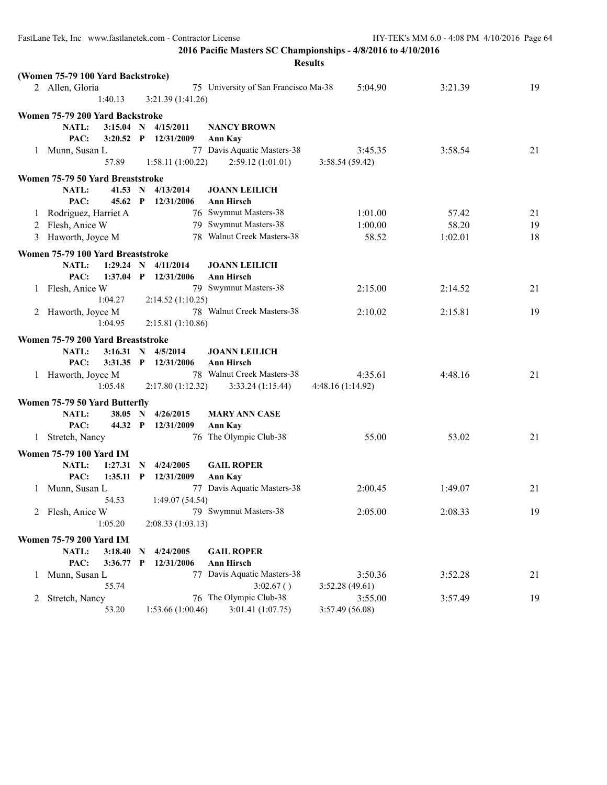|              | <b>Results</b>                                              |              |                         |                                           |                           |         |    |  |  |  |
|--------------|-------------------------------------------------------------|--------------|-------------------------|-------------------------------------------|---------------------------|---------|----|--|--|--|
|              | (Women 75-79 100 Yard Backstroke)                           |              |                         |                                           |                           |         |    |  |  |  |
|              | 2 Allen, Gloria                                             |              |                         | 75 University of San Francisco Ma-38      | 5:04.90                   | 3:21.39 | 19 |  |  |  |
|              | 1:40.13                                                     |              | 3:21.39(1:41.26)        |                                           |                           |         |    |  |  |  |
|              | Women 75-79 200 Yard Backstroke                             |              |                         |                                           |                           |         |    |  |  |  |
|              | NATL:<br>$3:15.04$ N                                        |              | 4/15/2011               | <b>NANCY BROWN</b>                        |                           |         |    |  |  |  |
|              | PAC:<br>$3:20.52$ P                                         |              | 12/31/2009              | <b>Ann Kay</b>                            |                           |         |    |  |  |  |
| $\mathbf{1}$ | Munn, Susan L                                               |              |                         | 77 Davis Aquatic Masters-38               | 3:45.35                   | 3:58.54 | 21 |  |  |  |
|              | 57.89                                                       |              | 1:58.11(1:00.22)        | 2:59.12(1:01.01)                          | 3:58.54(59.42)            |         |    |  |  |  |
|              |                                                             |              |                         |                                           |                           |         |    |  |  |  |
|              | Women 75-79 50 Yard Breaststroke                            |              |                         |                                           |                           |         |    |  |  |  |
|              | NATL:<br>41.53 N<br>PAC:<br>$45.62$ P                       |              | 4/13/2014<br>12/31/2006 | <b>JOANN LEILICH</b><br><b>Ann Hirsch</b> |                           |         |    |  |  |  |
|              |                                                             |              |                         | 76 Swymnut Masters-38                     | 1:01.00                   | 57.42   | 21 |  |  |  |
|              | 1 Rodriguez, Harriet A                                      |              |                         | 79 Swymnut Masters-38                     | 1:00.00                   | 58.20   | 19 |  |  |  |
| 2            | Flesh, Anice W                                              |              |                         | 78 Walnut Creek Masters-38                |                           |         |    |  |  |  |
| 3            | Haworth, Joyce M                                            |              |                         |                                           | 58.52                     | 1:02.01 | 18 |  |  |  |
|              | Women 75-79 100 Yard Breaststroke                           |              |                         |                                           |                           |         |    |  |  |  |
|              | 1:29.24 N<br><b>NATL:</b>                                   |              | 4/11/2014               | <b>JOANN LEILICH</b>                      |                           |         |    |  |  |  |
|              | PAC:<br>$1:37.04$ P                                         |              | 12/31/2006              | <b>Ann Hirsch</b>                         |                           |         |    |  |  |  |
|              | 1 Flesh, Anice W                                            |              |                         | 79 Swymnut Masters-38                     | 2:15.00                   | 2:14.52 | 21 |  |  |  |
|              | 1:04.27                                                     |              | 2:14.52(1:10.25)        |                                           |                           |         |    |  |  |  |
|              | 2 Haworth, Joyce M                                          |              |                         | 78 Walnut Creek Masters-38                | 2:10.02                   | 2:15.81 | 19 |  |  |  |
|              | 1:04.95                                                     |              | 2:15.81 (1:10.86)       |                                           |                           |         |    |  |  |  |
|              | Women 75-79 200 Yard Breaststroke                           |              |                         |                                           |                           |         |    |  |  |  |
|              | <b>NATL:</b><br>3:16.31 N                                   |              | 4/5/2014                | <b>JOANN LEILICH</b>                      |                           |         |    |  |  |  |
|              | PAC:<br>$3:31.35$ P                                         |              | 12/31/2006              | <b>Ann Hirsch</b>                         |                           |         |    |  |  |  |
|              | 1 Haworth, Joyce M                                          |              |                         | 78 Walnut Creek Masters-38                | 4:35.61                   | 4:48.16 | 21 |  |  |  |
|              | 1:05.48                                                     |              | 2:17.80(1:12.32)        | 3:33.24(1:15.44)                          | 4:48.16(1:14.92)          |         |    |  |  |  |
|              | Women 75-79 50 Yard Butterfly                               |              |                         |                                           |                           |         |    |  |  |  |
|              | <b>NATL:</b><br>$38.05 \quad N$                             |              | 4/26/2015               | <b>MARY ANN CASE</b>                      |                           |         |    |  |  |  |
|              | PAC:<br>44.32 P                                             |              | 12/31/2009              | Ann Kay                                   |                           |         |    |  |  |  |
| 1            | Stretch, Nancy                                              |              |                         | 76 The Olympic Club-38                    | 55.00                     | 53.02   | 21 |  |  |  |
|              |                                                             |              |                         |                                           |                           |         |    |  |  |  |
|              | <b>Women 75-79 100 Yard IM</b><br><b>NATL:</b><br>1:27.31 N |              | 4/24/2005               | <b>GAIL ROPER</b>                         |                           |         |    |  |  |  |
|              | PAC:<br>$1:35.11$ P                                         |              | 12/31/2009              | Ann Kay                                   |                           |         |    |  |  |  |
| $\mathbf{1}$ | Munn, Susan L                                               |              |                         | 77 Davis Aquatic Masters-38               | 2:00.45                   | 1:49.07 | 21 |  |  |  |
|              | 54.53                                                       |              | 1:49.07(54.54)          |                                           |                           |         |    |  |  |  |
|              | 2 Flesh, Anice W                                            |              |                         | 79 Swymnut Masters-38                     | 2:05.00                   | 2:08.33 | 19 |  |  |  |
|              | 1:05.20                                                     |              | 2:08.33(1:03.13)        |                                           |                           |         |    |  |  |  |
|              |                                                             |              |                         |                                           |                           |         |    |  |  |  |
|              | <b>Women 75-79 200 Yard IM</b>                              |              |                         |                                           |                           |         |    |  |  |  |
|              | <b>NATL:</b><br>3:18.40                                     | N            | 4/24/2005               | <b>GAIL ROPER</b>                         |                           |         |    |  |  |  |
|              | PAC:<br>3:36.77                                             | $\mathbf{P}$ | 12/31/2006              | Ann Hirsch<br>77 Davis Aquatic Masters-38 |                           |         |    |  |  |  |
| $\perp$      | Munn, Susan L                                               |              |                         |                                           | 3:50.36                   | 3:52.28 | 21 |  |  |  |
|              | 55.74<br>Stretch, Nancy                                     |              |                         | 3:02.67()<br>76 The Olympic Club-38       | 3:52.28(49.61)<br>3:55.00 | 3:57.49 | 19 |  |  |  |
| $\mathbb{Z}$ | 53.20                                                       |              | 1:53.66(1:00.46)        | 3:01.41 (1:07.75)                         | 3:57.49 (56.08)           |         |    |  |  |  |
|              |                                                             |              |                         |                                           |                           |         |    |  |  |  |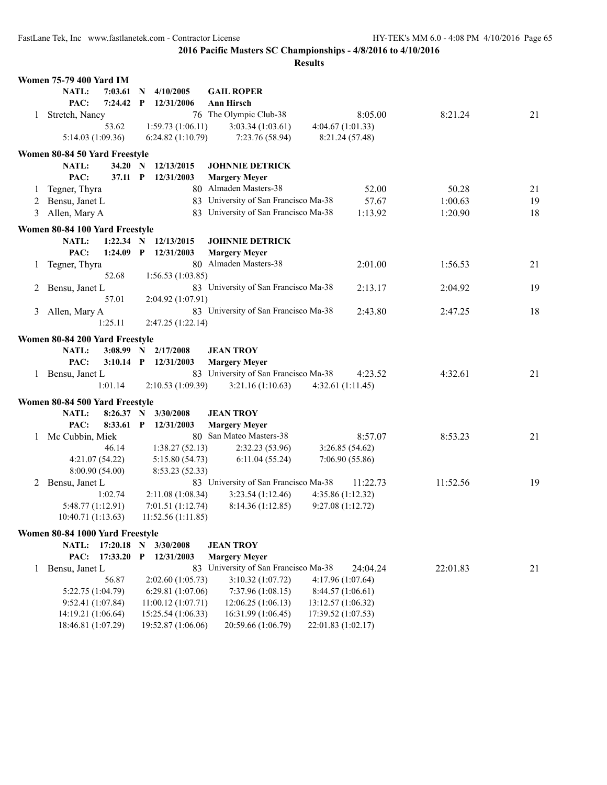|   | <b>Women 75-79 400 Yard IM</b>  |                    |              |                    |                                                              |                    |          |    |
|---|---------------------------------|--------------------|--------------|--------------------|--------------------------------------------------------------|--------------------|----------|----|
|   | NATL:                           | 7:03.61            | $\mathbf N$  | 4/10/2005          | <b>GAIL ROPER</b>                                            |                    |          |    |
|   | PAC:                            | 7:24.42            | $\mathbf{P}$ | 12/31/2006         | <b>Ann Hirsch</b>                                            |                    |          |    |
|   | 1 Stretch, Nancy                |                    |              |                    | 76 The Olympic Club-38                                       | 8:05.00            | 8:21.24  | 21 |
|   |                                 | 53.62              |              | 1:59.73(1:06.11)   | 3:03.34(1:03.61)                                             | 4:04.67(1:01.33)   |          |    |
|   | 5:14.03 (1:09.36)               |                    |              | 6:24.82(1:10.79)   | 7:23.76 (58.94)                                              | 8:21.24 (57.48)    |          |    |
|   |                                 |                    |              |                    |                                                              |                    |          |    |
|   | Women 80-84 50 Yard Freestyle   |                    |              |                    |                                                              |                    |          |    |
|   | NATL:<br>PAC:                   | 34.20 N<br>37.11 P |              | 12/13/2015         | <b>JOHNNIE DETRICK</b>                                       |                    |          |    |
|   |                                 |                    |              | 12/31/2003         | <b>Margery Meyer</b>                                         |                    |          |    |
| 1 | Tegner, Thyra                   |                    |              |                    | 80 Almaden Masters-38                                        | 52.00              | 50.28    | 21 |
| 2 | Bensu, Janet L                  |                    |              |                    | 83 University of San Francisco Ma-38                         | 57.67              | 1:00.63  | 19 |
| 3 | Allen, Mary A                   |                    |              |                    | 83 University of San Francisco Ma-38                         | 1:13.92            | 1:20.90  | 18 |
|   | Women 80-84 100 Yard Freestyle  |                    |              |                    |                                                              |                    |          |    |
|   | NATL:                           | 1:22.34 N          |              | 12/13/2015         | <b>JOHNNIE DETRICK</b>                                       |                    |          |    |
|   | PAC:                            | 1:24.09            | $\mathbf{P}$ | 12/31/2003         | <b>Margery Meyer</b>                                         |                    |          |    |
| 1 | Tegner, Thyra                   |                    |              |                    | 80 Almaden Masters-38                                        | 2:01.00            | 1:56.53  | 21 |
|   |                                 | 52.68              |              | 1:56.53(1:03.85)   |                                                              |                    |          |    |
| 2 | Bensu, Janet L                  |                    |              |                    | 83 University of San Francisco Ma-38                         | 2:13.17            | 2:04.92  | 19 |
|   |                                 | 57.01              |              | 2:04.92 (1:07.91)  |                                                              |                    |          |    |
| 3 | Allen, Mary A                   |                    |              |                    | 83 University of San Francisco Ma-38                         | 2:43.80            | 2:47.25  | 18 |
|   |                                 | 1:25.11            |              | 2:47.25 (1:22.14)  |                                                              |                    |          |    |
|   |                                 |                    |              |                    |                                                              |                    |          |    |
|   | Women 80-84 200 Yard Freestyle  |                    |              |                    |                                                              |                    |          |    |
|   | <b>NATL:</b>                    | $3:08.99$ N        |              | 2/17/2008          | <b>JEAN TROY</b>                                             |                    |          |    |
|   | PAC:                            | $3:10.14$ P        |              | 12/31/2003         | <b>Margery Meyer</b>                                         |                    |          |    |
|   | 1 Bensu, Janet L                |                    |              |                    | 83 University of San Francisco Ma-38                         | 4:23.52            | 4:32.61  | 21 |
|   |                                 | 1:01.14            |              | 2:10.53(1:09.39)   | 3:21.16(1:10.63)                                             | 4:32.61(1:11.45)   |          |    |
|   | Women 80-84 500 Yard Freestyle  |                    |              |                    |                                                              |                    |          |    |
|   | <b>NATL:</b>                    | 8:26.37 N          |              | 3/30/2008          | <b>JEAN TROY</b>                                             |                    |          |    |
|   | PAC:                            | 8:33.61            | $\mathbf{P}$ | 12/31/2003         | <b>Margery Meyer</b>                                         |                    |          |    |
|   | 1 Mc Cubbin, Miek               |                    |              |                    | 80 San Mateo Masters-38                                      | 8:57.07            | 8:53.23  | 21 |
|   |                                 | 46.14              |              | 1:38.27(52.13)     | 2:32.23(53.96)                                               | 3:26.85(54.62)     |          |    |
|   | 4:21.07(54.22)                  |                    |              | 5:15.80(54.73)     | 6:11.04(55.24)                                               | 7:06.90(55.86)     |          |    |
|   | 8:00.90 (54.00)                 |                    |              | 8:53.23 (52.33)    |                                                              |                    |          |    |
| 2 | Bensu, Janet L                  |                    |              |                    | 83 University of San Francisco Ma-38                         | 11:22.73           | 11:52.56 | 19 |
|   |                                 | 1:02.74            |              | 2:11.08 (1:08.34)  | 3:23.54(1:12.46)                                             | 4:35.86 (1:12.32)  |          |    |
|   | 5:48.77 (1:12.91)               |                    |              | 7:01.51 (1:12.74)  | 8:14.36 (1:12.85)                                            | 9:27.08(1:12.72)   |          |    |
|   | 10:40.71 (1:13.63)              |                    |              | 11:52.56 (1:11.85) |                                                              |                    |          |    |
|   |                                 |                    |              |                    |                                                              |                    |          |    |
|   | Women 80-84 1000 Yard Freestyle |                    |              |                    |                                                              |                    |          |    |
|   | NATL:                           | 17:20.18 N         |              | 3/30/2008          | <b>JEAN TROY</b>                                             |                    |          |    |
|   | PAC:                            | 17:33.20           | $\mathbf{P}$ | 12/31/2003         | <b>Margery Meyer</b><br>83 University of San Francisco Ma-38 |                    |          |    |
| 1 | Bensu, Janet L                  |                    |              |                    |                                                              | 24:04.24           | 22:01.83 | 21 |
|   |                                 | 56.87              |              | 2:02.60(1:05.73)   | 3:10.32(1:07.72)                                             | 4:17.96(1:07.64)   |          |    |
|   | 5:22.75 (1:04.79)               |                    |              | 6:29.81(1:07.06)   | 7:37.96(1:08.15)                                             | 8:44.57(1:06.61)   |          |    |
|   | 9:52.41(1:07.84)                |                    |              | 11:00.12(1:07.71)  | 12:06.25(1:06.13)                                            | 13:12.57 (1:06.32) |          |    |
|   | 14:19.21 (1:06.64)              |                    |              | 15:25.54 (1:06.33) | 16:31.99 (1:06.45)                                           | 17:39.52 (1:07.53) |          |    |
|   | 18:46.81 (1:07.29)              |                    |              | 19:52.87 (1:06.06) | 20:59.66 (1:06.79)                                           | 22:01.83 (1:02.17) |          |    |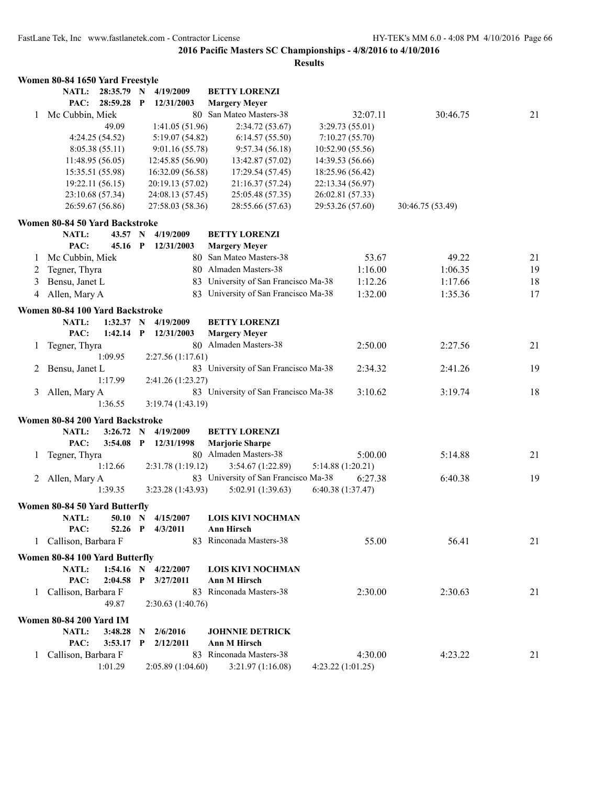|   | Women 80-84 1650 Yard Freestyle |                  |              |                     |                                      |                   |          |                  |    |
|---|---------------------------------|------------------|--------------|---------------------|--------------------------------------|-------------------|----------|------------------|----|
|   | <b>NATL:</b>                    | 28:35.79 N       |              | 4/19/2009           | <b>BETTY LORENZI</b>                 |                   |          |                  |    |
|   | PAC:                            | 28:59.28         | $\mathbf{P}$ | 12/31/2003          | <b>Margery Meyer</b>                 |                   |          |                  |    |
| 1 | Mc Cubbin, Miek                 |                  |              | 80                  | San Mateo Masters-38                 |                   | 32:07.11 | 30:46.75         | 21 |
|   |                                 | 49.09            |              | 1:41.05(51.96)      | 2:34.72(53.67)                       | 3:29.73(55.01)    |          |                  |    |
|   |                                 | 4:24.25 (54.52)  |              | 5:19.07(54.82)      | 6:14.57(55.50)                       | 7:10.27(55.70)    |          |                  |    |
|   |                                 | 8:05.38(55.11)   |              | 9:01.16(55.78)      | 9:57.34(56.18)                       | 10:52.90(55.56)   |          |                  |    |
|   |                                 | 11:48.95(56.05)  |              | 12:45.85 (56.90)    | 13:42.87 (57.02)                     | 14:39.53 (56.66)  |          |                  |    |
|   |                                 | 15:35.51 (55.98) |              | 16:32.09 (56.58)    | 17:29.54 (57.45)                     | 18:25.96 (56.42)  |          |                  |    |
|   |                                 | 19:22.11 (56.15) |              | 20:19.13 (57.02)    | 21:16.37 (57.24)                     | 22:13.34 (56.97)  |          |                  |    |
|   |                                 | 23:10.68 (57.34) |              | 24:08.13 (57.45)    | 25:05.48 (57.35)                     | 26:02.81 (57.33)  |          |                  |    |
|   |                                 | 26:59.67 (56.86) |              | 27:58.03 (58.36)    | 28:55.66 (57.63)                     | 29:53.26 (57.60)  |          | 30:46.75 (53.49) |    |
|   | Women 80-84 50 Yard Backstroke  |                  |              |                     |                                      |                   |          |                  |    |
|   | NATL:                           | 43.57            | $\mathbf N$  | 4/19/2009           | <b>BETTY LORENZI</b>                 |                   |          |                  |    |
|   | PAC:                            | 45.16            | $\mathbf{P}$ | 12/31/2003          | <b>Margery Meyer</b>                 |                   |          |                  |    |
| 1 | Mc Cubbin, Miek                 |                  |              |                     | 80 San Mateo Masters-38              |                   | 53.67    | 49.22            | 21 |
| 2 | Tegner, Thyra                   |                  |              |                     | 80 Almaden Masters-38                |                   | 1:16.00  | 1:06.35          | 19 |
| 3 | Bensu, Janet L                  |                  |              |                     | 83 University of San Francisco Ma-38 |                   | 1:12.26  | 1:17.66          | 18 |
| 4 | Allen, Mary A                   |                  |              |                     | 83 University of San Francisco Ma-38 |                   | 1:32.00  | 1:35.36          | 17 |
|   | Women 80-84 100 Yard Backstroke |                  |              |                     |                                      |                   |          |                  |    |
|   | NATL:                           | 1:32.37 N        |              | 4/19/2009           | <b>BETTY LORENZI</b>                 |                   |          |                  |    |
|   | PAC:                            | 1:42.14          | $\mathbf{P}$ | 12/31/2003          | <b>Margery Meyer</b>                 |                   |          |                  |    |
|   | Tegner, Thyra                   |                  |              |                     | 80 Almaden Masters-38                |                   | 2:50.00  | 2:27.56          | 21 |
| 1 |                                 | 1:09.95          |              | 2:27.56(1:17.61)    |                                      |                   |          |                  |    |
|   |                                 |                  |              |                     | 83 University of San Francisco Ma-38 |                   | 2:34.32  | 2:41.26          | 19 |
| 2 | Bensu, Janet L                  | 1:17.99          |              |                     |                                      |                   |          |                  |    |
|   |                                 |                  |              | 2:41.26 (1:23.27)   | 83 University of San Francisco Ma-38 |                   | 3:10.62  | 3:19.74          | 18 |
| 3 | Allen, Mary A                   | 1:36.55          |              | 3:19.74(1:43.19)    |                                      |                   |          |                  |    |
|   |                                 |                  |              |                     |                                      |                   |          |                  |    |
|   | Women 80-84 200 Yard Backstroke |                  |              |                     |                                      |                   |          |                  |    |
|   | NATL:                           | 3:26.72          | $\mathbf N$  | 4/19/2009           | <b>BETTY LORENZI</b>                 |                   |          |                  |    |
|   | PAC:                            | 3:54.08          | $\mathbf{P}$ | 12/31/1998          | <b>Marjorie Sharpe</b>               |                   |          |                  |    |
| 1 | Tegner, Thyra                   |                  |              |                     | 80 Almaden Masters-38                |                   | 5:00.00  | 5:14.88          | 21 |
|   |                                 | 1:12.66          |              | 2:31.78 (1:19.12)   | 3:54.67 (1:22.89)                    | 5:14.88 (1:20.21) |          |                  |    |
| 2 | Allen, Mary A                   |                  |              |                     | 83 University of San Francisco Ma-38 |                   | 6:27.38  | 6:40.38          | 19 |
|   |                                 | 1:39.35          |              | 3:23.28(1:43.93)    | 5:02.91 (1:39.63)                    | 6:40.38 (1:37.47) |          |                  |    |
|   | Women 80-84 50 Yard Butterfly   |                  |              |                     |                                      |                   |          |                  |    |
|   | NATL:                           |                  |              | 50.10 N 4/15/2007   | LOIS KIVI NOCHMAN                    |                   |          |                  |    |
|   | PAC:                            |                  |              | 52.26 P 4/3/2011    | <b>Ann Hirsch</b>                    |                   |          |                  |    |
|   | 1 Callison, Barbara F           |                  |              |                     | 83 Rinconada Masters-38              |                   | 55.00    | 56.41            | 21 |
|   |                                 |                  |              |                     |                                      |                   |          |                  |    |
|   | Women 80-84 100 Yard Butterfly  |                  |              | 1:54.16 N 4/22/2007 | <b>LOIS KIVI NOCHMAN</b>             |                   |          |                  |    |
|   | <b>NATL:</b><br>PAC:            | $2:04.58$ P      |              | 3/27/2011           | Ann M Hirsch                         |                   |          |                  |    |
|   | 1 Callison, Barbara F           |                  |              |                     | 83 Rinconada Masters-38              |                   | 2:30.00  | 2:30.63          | 21 |
|   |                                 | 49.87            |              |                     |                                      |                   |          |                  |    |
|   |                                 |                  |              | 2:30.63(1:40.76)    |                                      |                   |          |                  |    |
|   | Women 80-84 200 Yard IM         |                  |              |                     |                                      |                   |          |                  |    |
|   | NATL:                           | 3:48.28          | $\mathbf N$  | 2/6/2016            | <b>JOHNNIE DETRICK</b>               |                   |          |                  |    |
|   | PAC:                            | $3:53.17$ P      |              | 2/12/2011           | Ann M Hirsch                         |                   |          |                  |    |
|   | 1 Callison, Barbara F           |                  |              |                     | 83 Rinconada Masters-38              |                   | 4:30.00  | 4:23.22          | 21 |
|   |                                 | 1:01.29          |              | 2:05.89(1:04.60)    | 3:21.97(1:16.08)                     | 4:23.22(1:01.25)  |          |                  |    |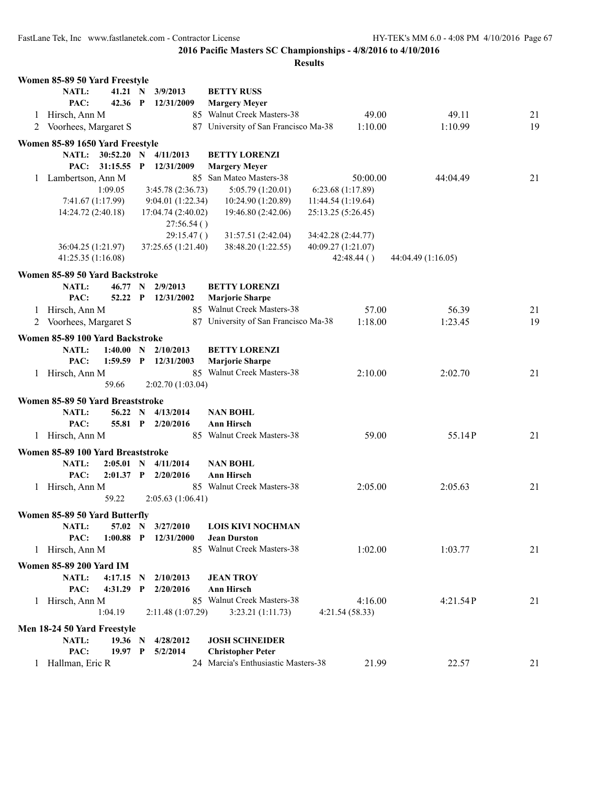|   | Women 85-89 50 Yard Freestyle     |             |                   |                    |                                      |                    |                    |    |
|---|-----------------------------------|-------------|-------------------|--------------------|--------------------------------------|--------------------|--------------------|----|
|   | NATL:                             | 41.21 N     |                   | 3/9/2013           | <b>BETTY RUSS</b>                    |                    |                    |    |
|   | PAC:                              | 42.36 P     |                   | 12/31/2009         | <b>Margery Meyer</b>                 |                    |                    |    |
| 1 | Hirsch, Ann M                     |             |                   |                    | 85 Walnut Creek Masters-38           | 49.00              | 49.11              | 21 |
| 2 | Voorhees, Margaret S              |             |                   |                    | 87 University of San Francisco Ma-38 | 1:10.00            | 1:10.99            | 19 |
|   |                                   |             |                   |                    |                                      |                    |                    |    |
|   | Women 85-89 1650 Yard Freestyle   |             |                   |                    |                                      |                    |                    |    |
|   | NATL:                             | 30:52.20    | $\mathbf N$       | 4/11/2013          | <b>BETTY LORENZI</b>                 |                    |                    |    |
|   | PAC:                              | 31:15.55    | $\mathbf{P}$      | 12/31/2009         | <b>Margery Meyer</b>                 |                    |                    |    |
| 1 | Lambertson, Ann M                 |             |                   |                    | 85 San Mateo Masters-38              | 50:00.00           | 44:04.49           | 21 |
|   |                                   | 1:09.05     |                   | 3:45.78(2:36.73)   | 5:05.79 (1:20.01)                    | 6:23.68(1:17.89)   |                    |    |
|   | 7:41.67 (1:17.99)                 |             |                   | 9:04.01 (1:22.34)  | 10:24.90 (1:20.89)                   | 11:44.54(1:19.64)  |                    |    |
|   | 14:24.72 (2:40.18)                |             |                   | 17:04.74 (2:40.02) | 19:46.80 (2:42.06)                   | 25:13.25 (5:26.45) |                    |    |
|   |                                   |             |                   | 27:56.54()         |                                      |                    |                    |    |
|   |                                   |             |                   | 29:15.47()         | 31:57.51 (2:42.04)                   | 34:42.28 (2:44.77) |                    |    |
|   | 36:04.25 (1:21.97)                |             |                   | 37:25.65 (1:21.40) | 38:48.20 (1:22.55)                   | 40:09.27 (1:21.07) |                    |    |
|   | 41:25.35 (1:16.08)                |             |                   |                    |                                      | 42:48.44()         | 44:04.49 (1:16.05) |    |
|   | Women 85-89 50 Yard Backstroke    |             |                   |                    |                                      |                    |                    |    |
|   | NATL:                             | 46.77       | N                 | 2/9/2013           | <b>BETTY LORENZI</b>                 |                    |                    |    |
|   | PAC:                              | 52.22 P     |                   | 12/31/2002         | <b>Marjorie Sharpe</b>               |                    |                    |    |
| 1 | Hirsch, Ann M                     |             |                   |                    | 85 Walnut Creek Masters-38           | 57.00              | 56.39              | 21 |
| 2 | Voorhees, Margaret S              |             |                   |                    | 87 University of San Francisco Ma-38 | 1:18.00            | 1:23.45            | 19 |
|   |                                   |             |                   |                    |                                      |                    |                    |    |
|   | Women 85-89 100 Yard Backstroke   |             |                   |                    |                                      |                    |                    |    |
|   | NATL:                             | 1:40.00     | $\mathbf N$       | 2/10/2013          | <b>BETTY LORENZI</b>                 |                    |                    |    |
|   | PAC:                              | 1:59.59     |                   | P 12/31/2003       | <b>Marjorie Sharpe</b>               |                    |                    |    |
| 1 | Hirsch, Ann M                     |             |                   |                    | 85 Walnut Creek Masters-38           | 2:10.00            | 2:02.70            | 21 |
|   |                                   | 59.66       |                   | 2:02.70(1:03.04)   |                                      |                    |                    |    |
|   | Women 85-89 50 Yard Breaststroke  |             |                   |                    |                                      |                    |                    |    |
|   | NATL:                             | 56.22 N     |                   | 4/13/2014          | <b>NAN BOHL</b>                      |                    |                    |    |
|   | PAC:                              | 55.81 P     |                   | 2/20/2016          | <b>Ann Hirsch</b>                    |                    |                    |    |
|   | 1 Hirsch, Ann M                   |             |                   |                    | 85 Walnut Creek Masters-38           | 59.00              | 55.14P             | 21 |
|   |                                   |             |                   |                    |                                      |                    |                    |    |
|   | Women 85-89 100 Yard Breaststroke |             |                   |                    |                                      |                    |                    |    |
|   | NATL:                             | 2:05.01     | $\mathbf N$       | 4/11/2014          | <b>NAN BOHL</b>                      |                    |                    |    |
|   | PAC:                              | $2:01.37$ P |                   | 2/20/2016          | <b>Ann Hirsch</b>                    |                    |                    |    |
| 1 | Hirsch, Ann M                     |             |                   |                    | 85 Walnut Creek Masters-38           | 2:05.00            | 2:05.63            | 21 |
|   |                                   | 59.22       |                   | 2:05.63(1:06.41)   |                                      |                    |                    |    |
|   | Women 85-89 50 Yard Butterfly     |             |                   |                    |                                      |                    |                    |    |
|   | NATL:                             |             |                   | 57.02 N 3/27/2010  | <b>LOIS KIVI NOCHMAN</b>             |                    |                    |    |
|   | PAC:                              | $1:00.88$ P |                   | 12/31/2000         | <b>Jean Durston</b>                  |                    |                    |    |
|   | 1 Hirsch, Ann M                   |             |                   |                    | 85 Walnut Creek Masters-38           | 1:02.00            | 1:03.77            | 21 |
|   | <b>Women 85-89 200 Yard IM</b>    |             |                   |                    |                                      |                    |                    |    |
|   | NATL:                             | 4:17.15     |                   | 2/10/2013          | <b>JEAN TROY</b>                     |                    |                    |    |
|   | PAC:                              | 4:31.29     | N<br>$\mathbf{P}$ | 2/20/2016          | <b>Ann Hirsch</b>                    |                    |                    |    |
|   |                                   |             |                   |                    | 85 Walnut Creek Masters-38           |                    |                    |    |
|   | 1 Hirsch, Ann M                   |             |                   |                    |                                      | 4:16.00            | 4:21.54P           | 21 |
|   |                                   | 1:04.19     |                   | 2:11.48(1:07.29)   | 3:23.21(1:11.73)                     | 4:21.54(58.33)     |                    |    |
|   | Men 18-24 50 Yard Freestyle       |             |                   |                    |                                      |                    |                    |    |
|   | NATL:                             | 19.36 N     |                   | 4/28/2012          | <b>JOSH SCHNEIDER</b>                |                    |                    |    |
|   | PAC:                              | 19.97 P     |                   | 5/2/2014           | <b>Christopher Peter</b>             |                    |                    |    |
|   | 1 Hallman, Eric R                 |             |                   |                    | 24 Marcia's Enthusiastic Masters-38  | 21.99              | 22.57              | 21 |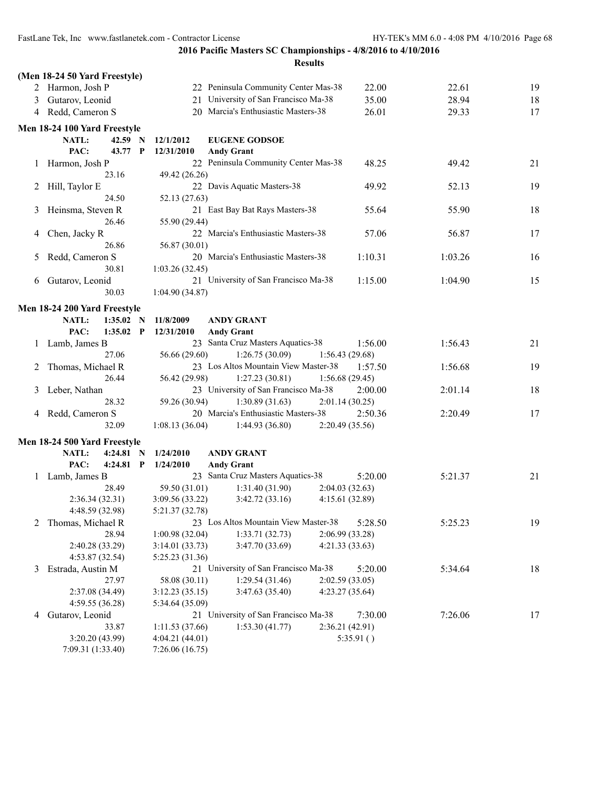FastLane Tek, Inc www.fastlanetek.com - Contractor License HY-TEK's MM 6.0 - 4:08 PM 4/10/2016 Page 68

**2016 Pacific Masters SC Championships - 4/8/2016 to 4/10/2016**

|               | (Men 18-24 50 Yard Freestyle)        |             |                                  |                                      |                 |         |    |
|---------------|--------------------------------------|-------------|----------------------------------|--------------------------------------|-----------------|---------|----|
|               | 2 Harmon, Josh P                     |             |                                  | 22 Peninsula Community Center Mas-38 | 22.00           | 22.61   | 19 |
| 3             | Gutarov, Leonid                      |             |                                  | 21 University of San Francisco Ma-38 | 35.00           | 28.94   | 18 |
|               | 4 Redd, Cameron S                    |             |                                  | 20 Marcia's Enthusiastic Masters-38  | 26.01           | 29.33   | 17 |
|               | Men 18-24 100 Yard Freestyle         |             |                                  |                                      |                 |         |    |
|               | NATL:                                | 42.59 N     | 12/1/2012                        | <b>EUGENE GODSOE</b>                 |                 |         |    |
|               | PAC:                                 | 43.77 P     | 12/31/2010                       | <b>Andy Grant</b>                    |                 |         |    |
| $\perp$       | Harmon, Josh P                       |             |                                  | 22 Peninsula Community Center Mas-38 | 48.25           | 49.42   | 21 |
|               |                                      | 23.16       | 49.42 (26.26)                    |                                      |                 |         |    |
| 2             | Hill, Taylor E                       |             |                                  | 22 Davis Aquatic Masters-38          | 49.92           | 52.13   | 19 |
|               |                                      | 24.50       | 52.13 (27.63)                    |                                      |                 |         |    |
| 3             | Heinsma, Steven R                    |             |                                  | 21 East Bay Bat Rays Masters-38      | 55.64           | 55.90   | 18 |
|               |                                      | 26.46       | 55.90 (29.44)                    |                                      |                 |         |    |
| 4             | Chen, Jacky R                        |             |                                  | 22 Marcia's Enthusiastic Masters-38  | 57.06           | 56.87   | 17 |
|               |                                      | 26.86       | 56.87 (30.01)                    |                                      |                 |         |    |
| $\mathcal{L}$ | Redd, Cameron S                      |             |                                  | 20 Marcia's Enthusiastic Masters-38  | 1:10.31         | 1:03.26 | 16 |
|               |                                      | 30.81       | 1:03.26(32.45)                   |                                      |                 |         |    |
| 6             | Gutarov, Leonid                      |             |                                  | 21 University of San Francisco Ma-38 | 1:15.00         | 1:04.90 | 15 |
|               |                                      | 30.03       | 1:04.90(34.87)                   |                                      |                 |         |    |
|               | Men 18-24 200 Yard Freestyle         |             |                                  |                                      |                 |         |    |
|               | <b>NATL:</b>                         | 1:35.02 N   | 11/8/2009                        | <b>ANDY GRANT</b>                    |                 |         |    |
|               | PAC:                                 | $1:35.02$ P | 12/31/2010                       | <b>Andy Grant</b>                    |                 |         |    |
|               | 1 Lamb, James B                      |             |                                  | 23 Santa Cruz Masters Aquatics-38    | 1:56.00         | 1:56.43 | 21 |
|               |                                      | 27.06       | 56.66 (29.60)                    | 1:26.75(30.09)                       | 1:56.43(29.68)  |         |    |
| 2             | Thomas, Michael R                    |             |                                  | 23 Los Altos Mountain View Master-38 | 1:57.50         | 1:56.68 | 19 |
|               |                                      | 26.44       | 56.42 (29.98)                    | 1:27.23(30.81)                       | 1:56.68(29.45)  |         |    |
| 3             | Leber, Nathan                        |             |                                  | 23 University of San Francisco Ma-38 | 2:00.00         | 2:01.14 | 18 |
|               |                                      | 28.32       | 59.26 (30.94)                    | 1:30.89(31.63)                       | 2:01.14(30.25)  |         |    |
| 4             | Redd, Cameron S                      |             |                                  | 20 Marcia's Enthusiastic Masters-38  | 2:50.36         | 2:20.49 | 17 |
|               |                                      | 32.09       | 1:08.13(36.04)                   | 1:44.93(36.80)                       | 2:20.49 (35.56) |         |    |
|               | Men 18-24 500 Yard Freestyle         |             |                                  |                                      |                 |         |    |
|               | NATL:                                | $4:24.81$ N | 1/24/2010                        | <b>ANDY GRANT</b>                    |                 |         |    |
|               | PAC:                                 | $4:24.81$ P | 1/24/2010                        | <b>Andy Grant</b>                    |                 |         |    |
| $\mathbf{I}$  | Lamb, James B                        |             |                                  | 23 Santa Cruz Masters Aquatics-38    | 5:20.00         | 5:21.37 | 21 |
|               |                                      | 28.49       | 59.50 (31.01)                    | 1:31.40(31.90)                       | 2:04.03(32.63)  |         |    |
|               | 2:36.34(32.31)                       |             | 3:09.56 (33.22)                  | 3:42.72(33.16)                       | 4:15.61(32.89)  |         |    |
|               | 4:48.59 (32.98)                      |             | 5:21.37 (32.78)                  |                                      |                 |         |    |
| 2             | Thomas, Michael R                    |             |                                  | 23 Los Altos Mountain View Master-38 | 5:28.50         | 5:25.23 | 19 |
|               |                                      | 28.94       | 1:00.98(32.04)                   | 1:33.71(32.73)                       | 2:06.99 (33.28) |         |    |
|               | 2:40.28 (33.29)                      |             | 3:14.01(33.73)                   | 3:47.70 (33.69)                      | 4:21.33(33.63)  |         |    |
|               | 4:53.87(32.54)                       |             | 5:25.23 (31.36)                  |                                      |                 |         |    |
| 3             | Estrada, Austin M                    |             |                                  | 21 University of San Francisco Ma-38 | 5:20.00         | 5:34.64 | 18 |
|               |                                      | 27.97       | 58.08 (30.11)                    | 1:29.54(31.46)                       | 2:02.59(33.05)  |         |    |
|               | 2:37.08 (34.49)                      |             | 3:12.23(35.15)                   | 3:47.63 (35.40)                      | 4:23.27 (35.64) |         |    |
|               | 4:59.55(36.28)                       |             | 5:34.64 (35.09)                  |                                      |                 |         |    |
| 4             | Gutarov, Leonid                      |             |                                  | 21 University of San Francisco Ma-38 | 7:30.00         | 7:26.06 | 17 |
|               |                                      | 33.87       | 1:11.53 (37.66)                  | 1:53.30(41.77)                       | 2:36.21 (42.91) |         |    |
|               | 3:20.20 (43.99)<br>7:09.31 (1:33.40) |             | 4:04.21(44.01)<br>7:26.06(16.75) |                                      | 5:35.91()       |         |    |
|               |                                      |             |                                  |                                      |                 |         |    |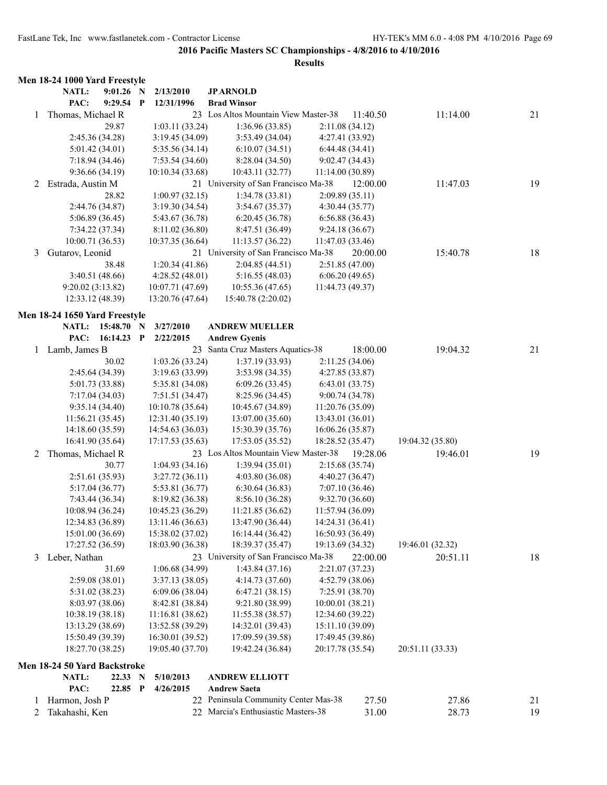|   | Men 18-24 1000 Yard Freestyle |                 |             |                  |                                      |                  |          |                  |    |
|---|-------------------------------|-----------------|-------------|------------------|--------------------------------------|------------------|----------|------------------|----|
|   | NATL:                         | $9:01.26$ N     |             | 2/13/2010        | <b>JPARNOLD</b>                      |                  |          |                  |    |
|   | PAC:                          | $9:29.54$ P     |             | 12/31/1996       | <b>Brad Winsor</b>                   |                  |          |                  |    |
| 1 | Thomas, Michael R             |                 |             |                  | 23 Los Altos Mountain View Master-38 |                  | 11:40.50 | 11:14.00         | 21 |
|   |                               | 29.87           |             | 1:03.11(33.24)   | 1:36.96(33.85)                       | 2:11.08(34.12)   |          |                  |    |
|   |                               | 2:45.36 (34.28) |             | 3:19.45 (34.09)  | 3:53.49 (34.04)                      | 4:27.41 (33.92)  |          |                  |    |
|   |                               | 5:01.42(34.01)  |             | 5:35.56 (34.14)  | 6:10.07(34.51)                       | 6:44.48(34.41)   |          |                  |    |
|   |                               | 7:18.94(34.46)  |             | 7:53.54(34.60)   | 8:28.04 (34.50)                      | 9:02.47(34.43)   |          |                  |    |
|   |                               | 9:36.66(34.19)  |             | 10:10.34(33.68)  | 10:43.11 (32.77)                     | 11:14.00 (30.89) |          |                  |    |
| 2 | Estrada, Austin M             |                 |             |                  | 21 University of San Francisco Ma-38 |                  | 12:00.00 | 11:47.03         | 19 |
|   |                               | 28.82           |             | 1:00.97(32.15)   | 1:34.78(33.81)                       | 2:09.89(35.11)   |          |                  |    |
|   | 2:44.76 (34.87)               |                 |             | 3:19.30 (34.54)  | 3:54.67(35.37)                       | 4:30.44 (35.77)  |          |                  |    |
|   |                               | 5:06.89(36.45)  |             | 5:43.67 (36.78)  | 6:20.45(36.78)                       | 6:56.88(36.43)   |          |                  |    |
|   |                               | 7:34.22 (37.34) |             | 8:11.02 (36.80)  | 8:47.51 (36.49)                      | 9:24.18(36.67)   |          |                  |    |
|   | 10:00.71 (36.53)              |                 |             | 10:37.35 (36.64) | 11:13.57 (36.22)                     | 11:47.03 (33.46) |          |                  |    |
| 3 | Gutarov, Leonid               |                 |             |                  | 21 University of San Francisco Ma-38 |                  | 20:00.00 | 15:40.78         | 18 |
|   |                               | 38.48           |             | 1:20.34(41.86)   | 2:04.85(44.51)                       | 2:51.85(47.00)   |          |                  |    |
|   |                               | 3:40.51(48.66)  |             | 4:28.52(48.01)   | 5:16.55(48.03)                       | 6:06.20(49.65)   |          |                  |    |
|   | 9:20.02(3:13.82)              |                 |             | 10:07.71 (47.69) | 10:55.36 (47.65)                     | 11:44.73 (49.37) |          |                  |    |
|   | 12:33.12 (48.39)              |                 |             | 13:20.76 (47.64) | 15:40.78 (2:20.02)                   |                  |          |                  |    |
|   | Men 18-24 1650 Yard Freestyle |                 |             |                  |                                      |                  |          |                  |    |
|   | NATL:                         | 15:48.70        | N           | 3/27/2010        | <b>ANDREW MUELLER</b>                |                  |          |                  |    |
|   | PAC:                          | 16:14.23        | $\mathbf P$ | 2/22/2015        | <b>Andrew Gyenis</b>                 |                  |          |                  |    |
| 1 | Lamb, James B                 |                 |             | 23               | Santa Cruz Masters Aquatics-38       |                  | 18:00.00 | 19:04.32         | 21 |
|   |                               | 30.02           |             | 1:03.26(33.24)   | 1:37.19(33.93)                       | 2:11.25(34.06)   |          |                  |    |
|   | 2:45.64 (34.39)               |                 |             | 3:19.63 (33.99)  | 3:53.98 (34.35)                      | 4:27.85 (33.87)  |          |                  |    |
|   |                               | 5:01.73 (33.88) |             | 5:35.81 (34.08)  | 6:09.26(33.45)                       | 6:43.01(33.75)   |          |                  |    |
|   |                               | 7:17.04(34.03)  |             | 7:51.51 (34.47)  | 8:25.96 (34.45)                      | 9:00.74(34.78)   |          |                  |    |
|   |                               | 9:35.14(34.40)  |             | 10:10.78(35.64)  | 10:45.67 (34.89)                     | 11:20.76 (35.09) |          |                  |    |
|   | 11:56.21 (35.45)              |                 |             | 12:31.40 (35.19) | 13:07.00 (35.60)                     | 13:43.01 (36.01) |          |                  |    |
|   | 14:18.60 (35.59)              |                 |             | 14:54.63 (36.03) | 15:30.39 (35.76)                     | 16:06.26 (35.87) |          |                  |    |
|   | 16:41.90 (35.64)              |                 |             | 17:17.53 (35.63) | 17:53.05 (35.52)                     | 18:28.52 (35.47) |          | 19:04.32 (35.80) |    |
| 2 | Thomas, Michael R             |                 |             |                  | 23 Los Altos Mountain View Master-38 |                  | 19:28.06 | 19:46.01         | 19 |
|   |                               | 30.77           |             | 1:04.93(34.16)   | 1:39.94(35.01)                       | 2:15.68(35.74)   |          |                  |    |
|   |                               | 2:51.61(35.93)  |             | 3:27.72(36.11)   | 4:03.80(36.08)                       | 4:40.27 (36.47)  |          |                  |    |
|   |                               | 5:17.04(36.77)  |             | 5:53.81 (36.77)  | 6:30.64(36.83)                       | 7:07.10(36.46)   |          |                  |    |
|   |                               | 7:43.44 (36.34) |             | 8:19.82 (36.38)  | 8:56.10 (36.28)                      | 9:32.70 (36.60)  |          |                  |    |
|   | 10:08.94 (36.24)              |                 |             | 10:45.23 (36.29) | 11:21.85 (36.62)                     | 11:57.94 (36.09) |          |                  |    |
|   | 12:34.83 (36.89)              |                 |             | 13:11.46 (36.63) | 13:47.90 (36.44)                     | 14:24.31 (36.41) |          |                  |    |
|   | 15:01.00 (36.69)              |                 |             | 15:38.02 (37.02) | 16:14.44 (36.42)                     | 16:50.93 (36.49) |          |                  |    |
|   | 17:27.52 (36.59)              |                 |             | 18:03.90 (36.38) | 18:39.37 (35.47)                     | 19:13.69 (34.32) |          | 19:46.01 (32.32) |    |
| 3 | Leber, Nathan                 |                 |             |                  | 23 University of San Francisco Ma-38 |                  | 22:00.00 | 20:51.11         | 18 |
|   |                               | 31.69           |             | 1:06.68(34.99)   | 1:43.84(37.16)                       | 2:21.07(37.23)   |          |                  |    |
|   |                               | 2:59.08(38.01)  |             | 3:37.13 (38.05)  | 4:14.73(37.60)                       | 4:52.79 (38.06)  |          |                  |    |
|   |                               | 5:31.02 (38.23) |             | 6:09.06(38.04)   | 6:47.21(38.15)                       | 7:25.91 (38.70)  |          |                  |    |
|   |                               | 8:03.97 (38.06) |             | 8:42.81 (38.84)  | 9:21.80 (38.99)                      | 10:00.01 (38.21) |          |                  |    |
|   | 10:38.19 (38.18)              |                 |             | 11:16.81(38.62)  | 11:55.38(38.57)                      | 12:34.60 (39.22) |          |                  |    |
|   | 13:13.29 (38.69)              |                 |             | 13:52.58 (39.29) | 14:32.01 (39.43)                     | 15:11.10 (39.09) |          |                  |    |
|   | 15:50.49 (39.39)              |                 |             | 16:30.01 (39.52) | 17:09.59 (39.58)                     | 17:49.45 (39.86) |          |                  |    |
|   | 18:27.70 (38.25)              |                 |             | 19:05.40 (37.70) | 19:42.24 (36.84)                     | 20:17.78 (35.54) |          | 20:51.11 (33.33) |    |
|   |                               |                 |             |                  |                                      |                  |          |                  |    |
|   | Men 18-24 50 Yard Backstroke  |                 |             |                  |                                      |                  |          |                  |    |
|   | NATL:                         | 22.33           | $\mathbf N$ | 5/10/2013        | <b>ANDREW ELLIOTT</b>                |                  |          |                  |    |
|   | PAC:                          | 22.85 P         |             | 4/26/2015        | <b>Andrew Saeta</b>                  |                  |          |                  |    |
| 1 | Harmon, Josh P                |                 |             |                  | 22 Peninsula Community Center Mas-38 |                  | 27.50    | 27.86            | 21 |
| 2 | Takahashi, Ken                |                 |             |                  | 22 Marcia's Enthusiastic Masters-38  |                  | 31.00    | 28.73            | 19 |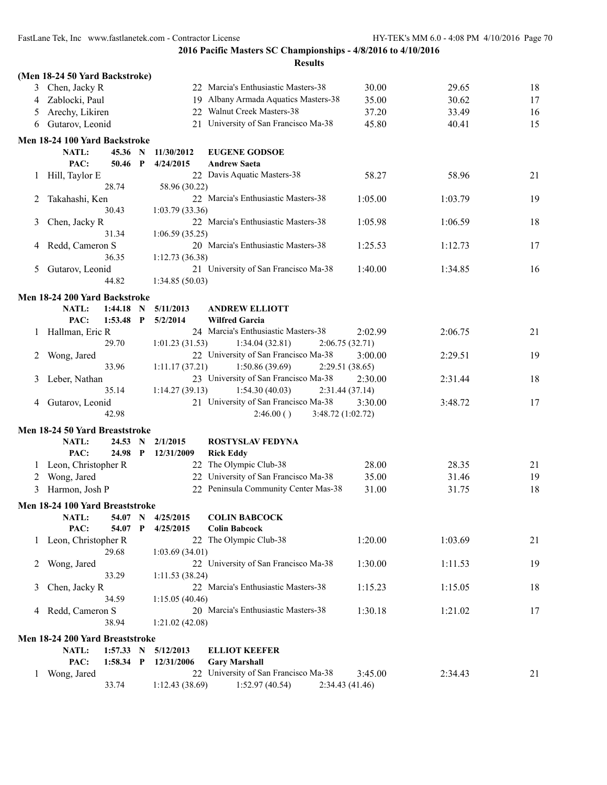|              | (Men 18-24 50 Yard Backstroke)         |           |              |                |                                                    |                 |         |    |
|--------------|----------------------------------------|-----------|--------------|----------------|----------------------------------------------------|-----------------|---------|----|
| 3            | Chen, Jacky R                          |           |              |                | 22 Marcia's Enthusiastic Masters-38                | 30.00           | 29.65   | 18 |
| 4            | Zablocki, Paul                         |           |              |                | 19 Albany Armada Aquatics Masters-38               | 35.00           | 30.62   | 17 |
| 5            | Arechy, Likiren                        |           |              |                | 22 Walnut Creek Masters-38                         | 37.20           | 33.49   | 16 |
| 6            | Gutarov, Leonid                        |           |              |                | 21 University of San Francisco Ma-38               | 45.80           | 40.41   | 15 |
|              |                                        |           |              |                |                                                    |                 |         |    |
|              | Men 18-24 100 Yard Backstroke<br>NATL: | 45.36 N   |              |                |                                                    |                 |         |    |
|              | PAC:                                   |           | $\mathbf{P}$ | 11/30/2012     | <b>EUGENE GODSOE</b>                               |                 |         |    |
|              |                                        | 50.46     |              | 4/24/2015      | <b>Andrew Saeta</b><br>22 Davis Aquatic Masters-38 | 58.27           | 58.96   | 21 |
| 1            | Hill, Taylor E                         | 28.74     |              |                |                                                    |                 |         |    |
| 2            | Takahashi, Ken                         |           |              | 58.96 (30.22)  | 22 Marcia's Enthusiastic Masters-38                | 1:05.00         | 1:03.79 | 19 |
|              |                                        | 30.43     |              | 1:03.79(33.36) |                                                    |                 |         |    |
| 3            | Chen, Jacky R                          |           |              |                | 22 Marcia's Enthusiastic Masters-38                | 1:05.98         | 1:06.59 | 18 |
|              |                                        | 31.34     |              | 1:06.59(35.25) |                                                    |                 |         |    |
| 4            | Redd, Cameron S                        |           |              |                | 20 Marcia's Enthusiastic Masters-38                | 1:25.53         | 1:12.73 | 17 |
|              |                                        | 36.35     |              | 1:12.73(36.38) |                                                    |                 |         |    |
| 5            | Gutarov, Leonid                        |           |              |                | 21 University of San Francisco Ma-38               | 1:40.00         | 1:34.85 | 16 |
|              |                                        | 44.82     |              | 1:34.85(50.03) |                                                    |                 |         |    |
|              |                                        |           |              |                |                                                    |                 |         |    |
|              | Men 18-24 200 Yard Backstroke          |           |              |                |                                                    |                 |         |    |
|              | <b>NATL:</b>                           | 1:44.18   | N            | 5/11/2013      | <b>ANDREW ELLIOTT</b>                              |                 |         |    |
|              | PAC:                                   | 1:53.48   | P            | 5/2/2014       | <b>Wilfred Garcia</b>                              |                 |         |    |
| 1            | Hallman, Eric R                        |           |              |                | 24 Marcia's Enthusiastic Masters-38                | 2:02.99         | 2:06.75 | 21 |
|              |                                        | 29.70     |              | 1:01.23(31.53) | 1:34.04(32.81)                                     | 2:06.75(32.71)  |         |    |
| 2            | Wong, Jared                            |           |              |                | 22 University of San Francisco Ma-38               | 3:00.00         | 2:29.51 | 19 |
|              |                                        | 33.96     |              | 1:11.17(37.21) | 1:50.86(39.69)                                     | 2:29.51 (38.65) |         |    |
| 3            | Leber, Nathan                          |           |              |                | 23 University of San Francisco Ma-38               | 2:30.00         | 2:31.44 | 18 |
|              |                                        | 35.14     |              | 1:14.27(39.13) | 1:54.30(40.03)                                     | 2:31.44(37.14)  |         |    |
| 4            | Gutarov, Leonid                        |           |              |                | 21 University of San Francisco Ma-38               | 3:30.00         | 3:48.72 | 17 |
|              |                                        | 42.98     |              |                | 2:46.00()<br>3:48.72 (1:02.72)                     |                 |         |    |
|              | Men 18-24 50 Yard Breaststroke         |           |              |                |                                                    |                 |         |    |
|              | <b>NATL:</b>                           | 24.53 N   |              | 2/1/2015       | <b>ROSTYSLAV FEDYNA</b>                            |                 |         |    |
|              | PAC:                                   | 24.98 P   |              | 12/31/2009     | <b>Rick Eddy</b>                                   |                 |         |    |
|              | 1 Leon, Christopher R                  |           |              |                | 22 The Olympic Club-38                             | 28.00           | 28.35   | 21 |
| 2            | Wong, Jared                            |           |              |                | 22 University of San Francisco Ma-38               | 35.00           | 31.46   | 19 |
| 3            | Harmon, Josh P                         |           |              |                | 22 Peninsula Community Center Mas-38               | 31.00           | 31.75   | 18 |
|              | Men 18-24 100 Yard Breaststroke        |           |              |                |                                                    |                 |         |    |
|              | <b>NATL:</b>                           | 54.07 N   |              | 4/25/2015      | <b>COLIN BABCOCK</b>                               |                 |         |    |
|              | PAC:                                   | 54.07     | $\mathbf P$  | 4/25/2015      | <b>Colin Babcock</b>                               |                 |         |    |
| $\mathbf{1}$ | Leon, Christopher R                    |           |              |                | 22 The Olympic Club-38                             | 1:20.00         | 1:03.69 | 21 |
|              |                                        | 29.68     |              | 1:03.69(34.01) |                                                    |                 |         |    |
| 2            | Wong, Jared                            |           |              |                | 22 University of San Francisco Ma-38               | 1:30.00         | 1:11.53 | 19 |
|              |                                        | 33.29     |              | 1:11.53(38.24) |                                                    |                 |         |    |
| 3            | Chen, Jacky R                          |           |              |                | 22 Marcia's Enthusiastic Masters-38                | 1:15.23         | 1:15.05 | 18 |
|              |                                        | 34.59     |              | 1:15.05(40.46) |                                                    |                 |         |    |
|              | 4 Redd, Cameron S                      |           |              |                | 20 Marcia's Enthusiastic Masters-38                | 1:30.18         | 1:21.02 | 17 |
|              |                                        | 38.94     |              | 1:21.02(42.08) |                                                    |                 |         |    |
|              | Men 18-24 200 Yard Breaststroke        |           |              |                |                                                    |                 |         |    |
|              | NATL:                                  | 1:57.33 N |              | 5/12/2013      | <b>ELLIOT KEEFER</b>                               |                 |         |    |
|              | PAC:                                   | 1:58.34 P |              | 12/31/2006     | <b>Gary Marshall</b>                               |                 |         |    |
| 1            | Wong, Jared                            |           |              |                | 22 University of San Francisco Ma-38               | 3:45.00         | 2:34.43 | 21 |
|              |                                        | 33.74     |              | 1:12.43(38.69) | 1:52.97(40.54)                                     | 2:34.43 (41.46) |         |    |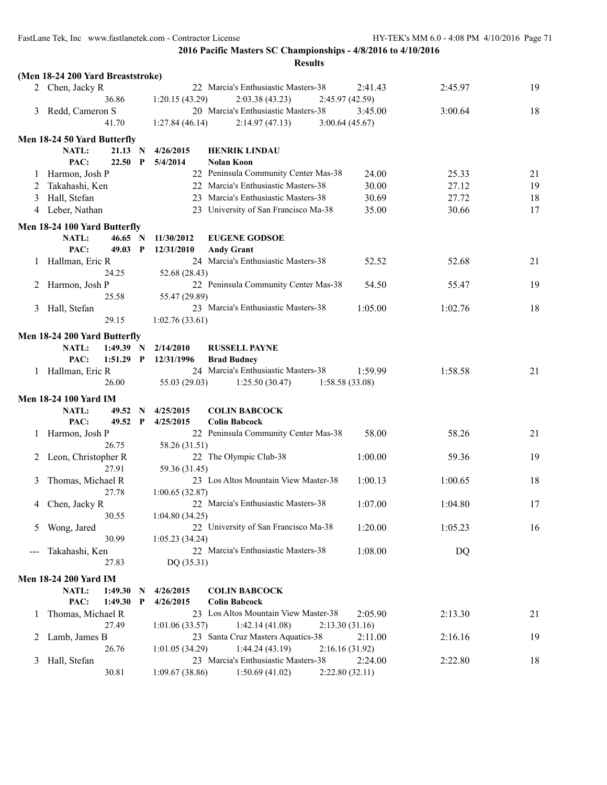|   |                                   |                         |                | <b>Results</b>                       |                 |         |    |
|---|-----------------------------------|-------------------------|----------------|--------------------------------------|-----------------|---------|----|
|   | (Men 18-24 200 Yard Breaststroke) |                         |                |                                      |                 |         |    |
|   | 2 Chen, Jacky R                   |                         |                | 22 Marcia's Enthusiastic Masters-38  | 2:41.43         | 2:45.97 | 19 |
|   | 36.86                             |                         | 1:20.15(43.29) | 2:03.38(43.23)                       | 2:45.97(42.59)  |         |    |
| 3 | Redd, Cameron S                   |                         |                | 20 Marcia's Enthusiastic Masters-38  | 3:45.00         | 3:00.64 | 18 |
|   | 41.70                             |                         | 1:27.84(46.14) | 2:14.97(47.13)                       | 3:00.64(45.67)  |         |    |
|   | Men 18-24 50 Yard Butterfly       |                         |                |                                      |                 |         |    |
|   | NATL:                             | 21.13<br>N              | 4/26/2015      | <b>HENRIK LINDAU</b>                 |                 |         |    |
|   | PAC:                              | 22.50<br>$\mathbf{P}$   | 5/4/2014       | Nolan Koon                           |                 |         |    |
|   | Harmon, Josh P                    |                         |                | 22 Peninsula Community Center Mas-38 | 24.00           | 25.33   | 21 |
| 2 | Takahashi, Ken                    |                         |                | 22 Marcia's Enthusiastic Masters-38  | 30.00           | 27.12   | 19 |
| 3 | Hall, Stefan                      |                         |                | 23 Marcia's Enthusiastic Masters-38  | 30.69           | 27.72   | 18 |
|   | 4 Leber, Nathan                   |                         |                | 23 University of San Francisco Ma-38 | 35.00           | 30.66   | 17 |
|   |                                   |                         |                |                                      |                 |         |    |
|   | Men 18-24 100 Yard Butterfly      |                         |                |                                      |                 |         |    |
|   | NATL:                             | 46.65 N                 | 11/30/2012     | <b>EUGENE GODSOE</b>                 |                 |         |    |
|   | PAC:                              | 49.03<br>$\mathbf{P}$   | 12/31/2010     | <b>Andy Grant</b>                    |                 |         |    |
|   | 1 Hallman, Eric R                 |                         |                | 24 Marcia's Enthusiastic Masters-38  | 52.52           | 52.68   | 21 |
|   | 24.25                             |                         | 52.68 (28.43)  |                                      |                 |         |    |
|   | 2 Harmon, Josh P                  |                         |                | 22 Peninsula Community Center Mas-38 | 54.50           | 55.47   | 19 |
|   | 25.58                             |                         | 55.47 (29.89)  | 23 Marcia's Enthusiastic Masters-38  |                 |         |    |
| 3 | Hall, Stefan                      |                         |                |                                      | 1:05.00         | 1:02.76 | 18 |
|   | 29.15                             |                         | 1:02.76(33.61) |                                      |                 |         |    |
|   | Men 18-24 200 Yard Butterfly      |                         |                |                                      |                 |         |    |
|   | NATL:                             | 1:49.39<br>N            | 2/14/2010      | <b>RUSSELL PAYNE</b>                 |                 |         |    |
|   | PAC:                              | $1:51.29$ P             | 12/31/1996     | <b>Brad Budney</b>                   |                 |         |    |
|   | 1 Hallman, Eric R                 |                         |                | 24 Marcia's Enthusiastic Masters-38  | 1:59.99         | 1:58.58 | 21 |
|   | 26.00                             |                         | 55.03 (29.03)  | 1:25.50(30.47)                       | 1:58.58(33.08)  |         |    |
|   | <b>Men 18-24 100 Yard IM</b>      |                         |                |                                      |                 |         |    |
|   | NATL:                             | 49.52 N                 | 4/25/2015      | <b>COLIN BABCOCK</b>                 |                 |         |    |
|   | PAC:                              | 49.52<br>$\mathbf{P}$   | 4/25/2015      | <b>Colin Babcock</b>                 |                 |         |    |
|   | Harmon, Josh P                    |                         |                | 22 Peninsula Community Center Mas-38 | 58.00           | 58.26   | 21 |
|   | 26.75                             |                         | 58.26 (31.51)  |                                      |                 |         |    |
|   | 2 Leon, Christopher R             |                         |                | 22 The Olympic Club-38               | 1:00.00         | 59.36   | 19 |
|   | 27.91                             |                         | 59.36 (31.45)  |                                      |                 |         |    |
| 3 | Thomas, Michael R                 |                         |                | 23 Los Altos Mountain View Master-38 | 1:00.13         | 1:00.65 | 18 |
|   | 27.78                             |                         | 1:00.65(32.87) |                                      |                 |         |    |
| 4 | Chen, Jacky R                     |                         |                | 22 Marcia's Enthusiastic Masters-38  | 1:07.00         | 1:04.80 | 17 |
|   | 30.55                             |                         | 1:04.80(34.25) |                                      |                 |         |    |
| 5 | Wong, Jared                       |                         |                | 22 University of San Francisco Ma-38 | 1:20.00         | 1:05.23 | 16 |
|   | 30.99                             |                         | 1:05.23(34.24) | 22 Marcia's Enthusiastic Masters-38  |                 |         |    |
|   | Takahashi, Ken                    |                         |                |                                      | 1:08.00         | DQ      |    |
|   | 27.83                             |                         | DQ (35.31)     |                                      |                 |         |    |
|   | <b>Men 18-24 200 Yard IM</b>      |                         |                |                                      |                 |         |    |
|   | NATL:                             | 1:49.30<br>N            | 4/26/2015      | <b>COLIN BABCOCK</b>                 |                 |         |    |
|   | PAC:                              | 1:49.30<br>$\mathbf{P}$ | 4/26/2015      | <b>Colin Babcock</b>                 |                 |         |    |
| 1 | Thomas, Michael R                 |                         |                | 23 Los Altos Mountain View Master-38 | 2:05.90         | 2:13.30 | 21 |
|   | 27.49                             |                         | 1:01.06(33.57) | 1:42.14(41.08)                       | 2:13.30(31.16)  |         |    |
| 2 | Lamb, James B                     |                         | 23             | Santa Cruz Masters Aquatics-38       | 2:11.00         | 2:16.16 | 19 |
|   | 26.76                             |                         | 1:01.05(34.29) | 1:44.24(43.19)                       | 2:16.16 (31.92) |         |    |
| 3 | Hall, Stefan                      |                         |                | 23 Marcia's Enthusiastic Masters-38  | 2:24.00         | 2:22.80 | 18 |
|   | 30.81                             |                         | 1:09.67(38.86) | 1:50.69(41.02)                       | 2:22.80(32.11)  |         |    |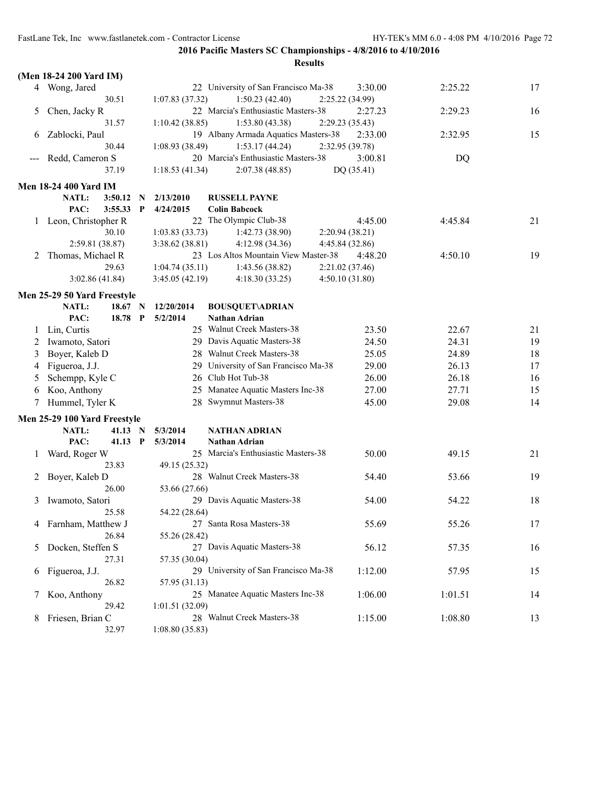|          | (Men 18-24 200 Yard IM)      |         |               |                                     |                                      |                 |         |    |
|----------|------------------------------|---------|---------------|-------------------------------------|--------------------------------------|-----------------|---------|----|
|          | 4 Wong, Jared                |         |               |                                     | 22 University of San Francisco Ma-38 | 3:30.00         | 2:25.22 | 17 |
|          | 30.51                        |         |               | 1:07.83(37.32)                      | 1:50.23(42.40)                       | 2:25.22 (34.99) |         |    |
| 5        | Chen, Jacky R                |         |               |                                     | 22 Marcia's Enthusiastic Masters-38  | 2:27.23         | 2:29.23 | 16 |
|          | 31.57                        |         |               | 1:10.42(38.85)                      | 1:53.80 (43.38)                      | 2:29.23(35.43)  |         |    |
| b        | Zablocki, Paul               |         |               |                                     | 19 Albany Armada Aquatics Masters-38 | 2:33.00         | 2:32.95 | 15 |
|          | 30.44                        |         |               | 1:08.93(38.49)                      | 1:53.17(44.24)                       | 2:32.95(39.78)  |         |    |
|          | Redd, Cameron S              |         |               |                                     | 20 Marcia's Enthusiastic Masters-38  | 3:00.81         | DQ      |    |
|          | 37.19                        |         |               | 1:18.53(41.34)                      | 2:07.38(48.85)                       | DQ (35.41)      |         |    |
|          | <b>Men 18-24 400 Yard IM</b> |         |               |                                     |                                      |                 |         |    |
|          | NATL:<br>3:50.12             |         | N             | 2/13/2010                           | <b>RUSSELL PAYNE</b>                 |                 |         |    |
|          | PAC:<br>3:55.33              |         | $\mathbf P$   | 4/24/2015                           | <b>Colin Babcock</b>                 |                 |         |    |
|          | 1 Leon, Christopher R        |         |               |                                     | 22 The Olympic Club-38               | 4:45.00         | 4:45.84 | 21 |
|          | 30.10                        |         |               | 1:03.83(33.73)                      | 1:42.73(38.90)                       | 2:20.94 (38.21) |         |    |
|          | 2:59.81 (38.87)              |         |               | 3:38.62 (38.81)                     | 4:12.98(34.36)                       | 4:45.84 (32.86) |         |    |
| 2        | Thomas, Michael R            |         |               |                                     | 23 Los Altos Mountain View Master-38 | 4:48.20         | 4:50.10 | 19 |
|          | 29.63                        |         |               | 1:04.74(35.11)                      | 1:43.56(38.82)                       | 2:21.02 (37.46) |         |    |
|          | 3:02.86(41.84)               |         |               | 3:45.05(42.19)                      | 4:18.30(33.25)                       | 4:50.10(31.80)  |         |    |
|          | Men 25-29 50 Yard Freestyle  |         |               |                                     |                                      |                 |         |    |
|          | NATL:                        | 18.67 N |               | 12/20/2014                          | <b>BOUSQUET\ADRIAN</b>               |                 |         |    |
|          | PAC:                         | 18.78   | $\mathbf P$   | 5/2/2014                            | <b>Nathan Adrian</b>                 |                 |         |    |
|          | Lin, Curtis                  |         |               |                                     | 25 Walnut Creek Masters-38           | 23.50           | 22.67   | 21 |
| 2        | Iwamoto, Satori              |         |               |                                     | 29 Davis Aquatic Masters-38          | 24.50           | 24.31   | 19 |
| 3        | Boyer, Kaleb D               |         |               |                                     | 28 Walnut Creek Masters-38           | 25.05           | 24.89   | 18 |
| 4        | Figueroa, J.J.               |         |               | 29                                  | University of San Francisco Ma-38    | 29.00           | 26.13   | 17 |
| 5        | Schempp, Kyle C              |         |               |                                     | 26 Club Hot Tub-38                   | 26.00           | 26.18   | 16 |
| 6        | Koo, Anthony                 |         |               | 25                                  | Manatee Aquatic Masters Inc-38       | 27.00           | 27.71   | 15 |
|          | Hummel, Tyler K              |         |               |                                     | 28 Swymnut Masters-38                | 45.00           | 29.08   | 14 |
|          |                              |         |               |                                     |                                      |                 |         |    |
|          | Men 25-29 100 Yard Freestyle |         |               |                                     |                                      |                 |         |    |
|          | NATL:                        | 41.13   | $\mathbf N$   | 5/3/2014                            | NATHAN ADRIAN                        |                 |         |    |
|          | PAC:                         | 41.13 P |               | 5/3/2014                            | <b>Nathan Adrian</b>                 |                 |         |    |
| $\perp$  | Ward, Roger W                |         |               | 25 Marcia's Enthusiastic Masters-38 | 50.00                                | 49.15           | 21      |    |
|          | 23.83                        |         | 49.15 (25.32) |                                     |                                      |                 |         |    |
| 2        | Boyer, Kaleb D<br>26.00      |         |               | 28 Walnut Creek Masters-38          | 54.40                                | 53.66           | 19      |    |
|          |                              |         |               | 53.66 (27.66)                       |                                      |                 |         |    |
| 3        | Iwamoto, Satori<br>25.58     |         |               |                                     | 29 Davis Aquatic Masters-38          | 54.00           | 54.22   | 18 |
|          |                              |         |               | 54.22 (28.64)                       |                                      |                 |         |    |
| 4        | Farnham, Matthew J<br>26.84  |         |               |                                     | 27 Santa Rosa Masters-38             | 55.69           | 55.26   | 17 |
|          |                              |         |               | 55.26 (28.42)                       | 27 Davis Aquatic Masters-38          |                 |         |    |
| 5        | Docken, Steffen S<br>27.31   |         |               |                                     |                                      | 56.12           | 57.35   | 16 |
|          |                              |         |               | 57.35 (30.04)                       | 29 University of San Francisco Ma-38 |                 |         |    |
| $\sigma$ | Figueroa, J.J.<br>26.82      |         |               | 57.95 (31.13)                       |                                      | 1:12.00         | 57.95   | 15 |
|          |                              |         |               |                                     | 25 Manatee Aquatic Masters Inc-38    | 1:06.00         | 1:01.51 |    |
| Τ        | Koo, Anthony<br>29.42        |         |               | 1:01.51(32.09)                      |                                      |                 |         | 14 |
|          |                              |         |               |                                     | 28 Walnut Creek Masters-38           | 1:15.00         | 1:08.80 |    |
| 8        | Friesen, Brian C<br>32.97    |         |               | 1:08.80(35.83)                      |                                      |                 |         | 13 |
|          |                              |         |               |                                     |                                      |                 |         |    |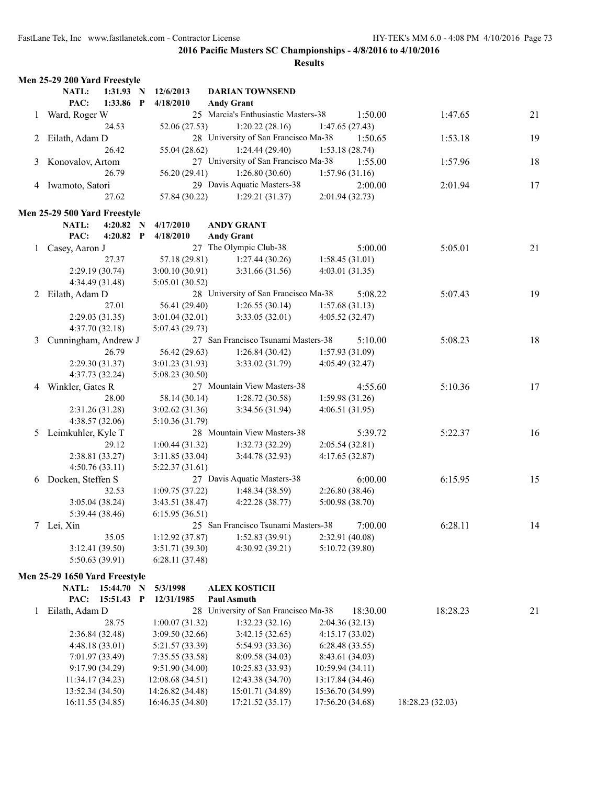|   | Men 25-29 200 Yard Freestyle  |                  |                                      |                  |                  |    |
|---|-------------------------------|------------------|--------------------------------------|------------------|------------------|----|
|   | NATL:<br>1:31.93 N            | 12/6/2013        | <b>DARIAN TOWNSEND</b>               |                  |                  |    |
|   | PAC:<br>1:33.86 P             | 4/18/2010        | <b>Andy Grant</b>                    |                  |                  |    |
| 1 | Ward, Roger W                 |                  | 25 Marcia's Enthusiastic Masters-38  | 1:50.00          | 1:47.65          | 21 |
|   | 24.53                         | 52.06 (27.53)    | 1:20.22(28.16)                       | 1:47.65(27.43)   |                  |    |
|   | 2 Eilath, Adam D              |                  | 28 University of San Francisco Ma-38 | 1:50.65          | 1:53.18          | 19 |
|   | 26.42                         | 55.04 (28.62)    | 1:24.44(29.40)                       | 1:53.18(28.74)   |                  |    |
| 3 | Konovalov, Artom              |                  | 27 University of San Francisco Ma-38 | 1:55.00          | 1:57.96          | 18 |
|   | 26.79                         | 56.20 (29.41)    | 1:26.80(30.60)                       | 1:57.96(31.16)   |                  |    |
|   | 4 Iwamoto, Satori             |                  | 29 Davis Aquatic Masters-38          | 2:00.00          | 2:01.94          | 17 |
|   | 27.62                         | 57.84 (30.22)    | 1:29.21(31.37)                       | 2:01.94(32.73)   |                  |    |
|   |                               |                  |                                      |                  |                  |    |
|   | Men 25-29 500 Yard Freestyle  |                  |                                      |                  |                  |    |
|   | NATL:<br>$4:20.82$ N          | 4/17/2010        | <b>ANDY GRANT</b>                    |                  |                  |    |
|   | PAC:<br>4:20.82 $P$           | 4/18/2010        | <b>Andy Grant</b>                    |                  |                  |    |
| 1 | Casey, Aaron J                |                  | 27 The Olympic Club-38               | 5:00.00          | 5:05.01          | 21 |
|   | 27.37                         | 57.18 (29.81)    | 1:27.44(30.26)                       | 1:58.45(31.01)   |                  |    |
|   | 2:29.19(30.74)                | 3:00.10(30.91)   | 3:31.66 (31.56)                      | 4:03.01(31.35)   |                  |    |
|   | 4:34.49 (31.48)               | 5:05.01 (30.52)  |                                      |                  |                  |    |
|   | 2 Eilath, Adam D              |                  | 28 University of San Francisco Ma-38 | 5:08.22          | 5:07.43          | 19 |
|   | 27.01                         | 56.41 (29.40)    | 1:26.55(30.14)                       | 1:57.68(31.13)   |                  |    |
|   | 2:29.03(31.35)                | 3:01.04(32.01)   | 3:33.05(32.01)                       | 4:05.52(32.47)   |                  |    |
|   | 4:37.70(32.18)                | 5:07.43 (29.73)  |                                      |                  |                  |    |
| 3 | Cunningham, Andrew J          |                  | 27 San Francisco Tsunami Masters-38  | 5:10.00          | 5:08.23          | 18 |
|   | 26.79                         | 56.42 (29.63)    | 1:26.84(30.42)                       | 1:57.93(31.09)   |                  |    |
|   | 2:29.30(31.37)                | 3:01.23 (31.93)  | 3:33.02 (31.79)                      | 4:05.49(32.47)   |                  |    |
|   | 4:37.73 (32.24)               | 5:08.23(30.50)   |                                      |                  |                  |    |
| 4 | Winkler, Gates R              |                  | 27 Mountain View Masters-38          | 4:55.60          | 5:10.36          | 17 |
|   | 28.00                         | 58.14 (30.14)    | 1:28.72(30.58)                       | 1:59.98(31.26)   |                  |    |
|   | 2:31.26 (31.28)               | 3:02.62(31.36)   | 3:34.56 (31.94)                      | 4:06.51(31.95)   |                  |    |
|   | 4:38.57(32.06)                | 5:10.36 (31.79)  |                                      |                  |                  |    |
|   | 5 Leimkuhler, Kyle T          |                  | 28 Mountain View Masters-38          | 5:39.72          | 5:22.37          | 16 |
|   | 29.12                         | 1:00.44(31.32)   | 1:32.73(32.29)                       | 2:05.54(32.81)   |                  |    |
|   | 2:38.81 (33.27)               | 3:11.85(33.04)   | 3:44.78 (32.93)                      | 4:17.65(32.87)   |                  |    |
|   | 4:50.76(33.11)                | 5:22.37(31.61)   |                                      |                  |                  |    |
| 6 | Docken, Steffen S             |                  | 27 Davis Aquatic Masters-38          | 6:00.00          | 6:15.95          | 15 |
|   | 32.53                         | 1:09.75(37.22)   | 1:48.34(38.59)                       | 2:26.80(38.46)   |                  |    |
|   | 3:05.04(38.24)                | 3:43.51 (38.47)  | 4:22.28 (38.77)                      | 5:00.98 (38.70)  |                  |    |
|   | 5:39.44 (38.46)               | 6:15.95(36.51)   |                                      |                  |                  |    |
|   | 7 Lei, Xin                    |                  | 25 San Francisco Tsunami Masters-38  | 7:00.00          | 6:28.11          | 14 |
|   | 35.05                         | 1:12.92(37.87)   | 1:52.83(39.91)                       | 2:32.91 (40.08)  |                  |    |
|   | 3:12.41 (39.50)               | 3:51.71 (39.30)  | 4:30.92 (39.21)                      | 5:10.72 (39.80)  |                  |    |
|   | 5:50.63 (39.91)               | 6:28.11(37.48)   |                                      |                  |                  |    |
|   | Men 25-29 1650 Yard Freestyle |                  |                                      |                  |                  |    |
|   | <b>NATL:</b><br>15:44.70 N    | 5/3/1998         | <b>ALEX KOSTICH</b>                  |                  |                  |    |
|   | PAC:<br>15:51.43 P            | 12/31/1985       | <b>Paul Asmuth</b>                   |                  |                  |    |
| 1 | Eilath, Adam D                |                  | 28 University of San Francisco Ma-38 | 18:30.00         | 18:28.23         | 21 |
|   | 28.75                         | 1:00.07(31.32)   | 1:32.23(32.16)                       | 2:04.36(32.13)   |                  |    |
|   | 2:36.84 (32.48)               | 3:09.50 (32.66)  | 3:42.15(32.65)                       | 4:15.17(33.02)   |                  |    |
|   | 4:48.18 (33.01)               | 5:21.57 (33.39)  | 5:54.93 (33.36)                      | 6:28.48(33.55)   |                  |    |
|   | 7:01.97 (33.49)               | 7:35.55 (33.58)  | 8:09.58 (34.03)                      | 8:43.61 (34.03)  |                  |    |
|   | 9:17.90(34.29)                | 9:51.90(34.00)   | 10:25.83 (33.93)                     | 10:59.94(34.11)  |                  |    |
|   | 11:34.17 (34.23)              | 12:08.68 (34.51) | 12:43.38 (34.70)                     | 13:17.84 (34.46) |                  |    |
|   | 13:52.34 (34.50)              | 14:26.82 (34.48) | 15:01.71 (34.89)                     | 15:36.70 (34.99) |                  |    |
|   | 16:11.55 (34.85)              | 16:46.35 (34.80) | 17:21.52 (35.17)                     | 17:56.20 (34.68) | 18:28.23 (32.03) |    |
|   |                               |                  |                                      |                  |                  |    |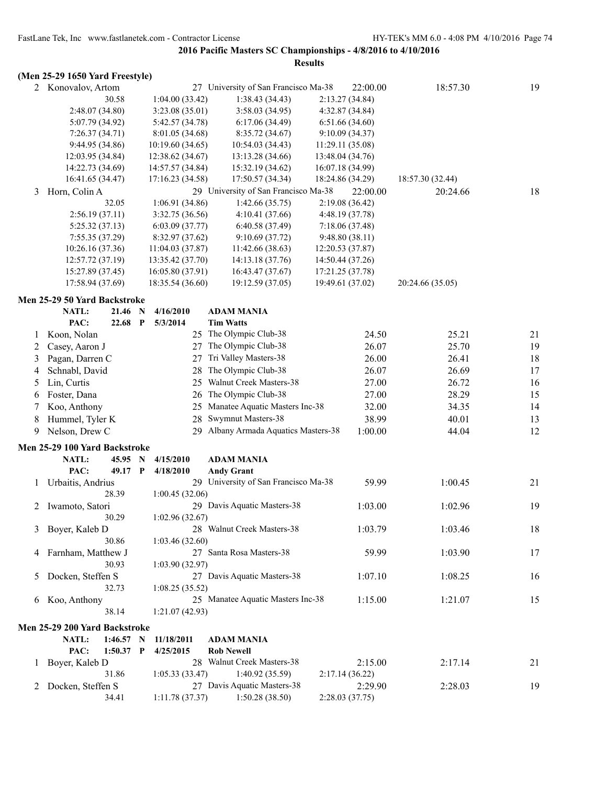#### **(Men 25-29 1650 Yard Freestyle)**

2 Konovalov, Artom 27 University of San Francisco Ma-38 22:00.00 18:57.30 19 30.58 1:04.00 (33.42) 1:38.43 (34.43) 2:13.27 (34.84) 2:48.07 (34.80) 3:23.08 (35.01) 3:58.03 (34.95) 4:32.87 (34.84) 5:07.79 (34.92) 5:42.57 (34.78) 6:17.06 (34.49) 6:51.66 (34.60) 7:26.37 (34.71) 8:01.05 (34.68) 8:35.72 (34.67) 9:10.09 (34.37) 9:44.95 (34.86) 10:19.60 (34.65) 10:54.03 (34.43) 11:29.11 (35.08) 12:03.95 (34.84) 12:38.62 (34.67) 13:13.28 (34.66) 13:48.04 (34.76) 14:22.73 (34.69) 14:57.57 (34.84) 15:32.19 (34.62) 16:07.18 (34.99) 16:41.65 (34.47) 17:16.23 (34.58) 17:50.57 (34.34) 18:24.86 (34.29) 18:57.30 (32.44) 3 Horn, Colin A 29 University of San Francisco Ma-38 22:00.00 20:24.66 18 32.05 1:06.91 (34.86) 1:42.66 (35.75) 2:19.08 (36.42) 2:56.19 (37.11) 3:32.75 (36.56) 4:10.41 (37.66) 4:48.19 (37.78) 5:25.32 (37.13) 6:03.09 (37.77) 6:40.58 (37.49) 7:18.06 (37.48) 7:55.35 (37.29) 8:32.97 (37.62) 9:10.69 (37.72) 9:48.80 (38.11) 10:26.16 (37.36) 11:04.03 (37.87) 11:42.66 (38.63) 12:20.53 (37.87) 12:57.72 (37.19) 13:35.42 (37.70) 14:13.18 (37.76) 14:50.44 (37.26) 15:27.89 (37.45) 16:05.80 (37.91) 16:43.47 (37.67) 17:21.25 (37.78) 17:58.94 (37.69) 18:35.54 (36.60) 19:12.59 (37.05) 19:49.61 (37.02) 20:24.66 (35.05) **Men 25-29 50 Yard Backstroke NATL: 21.46 N 4/16/2010 ADAM MANIA PAC: 22.68 P 5/3/2014 Tim Watts** 1 Koon, Nolan 25 The Olympic Club-38 24.50 25.21 21 2 Casey, Aaron J 27 The Olympic Club-38 26.07 25.70 19 3 Pagan, Darren C 27 Tri Valley Masters-38 26.00 26.41 18 4 Schnabl, David 28 The Olympic Club-38 26.07 26.69 17 5 Lin, Curtis 25 Walnut Creek Masters-38 27.00 26.72 16 6 Foster, Dana 26 The Olympic Club-38 27.00 28.29 15 7 Koo, Anthony 25 Manatee Aquatic Masters Inc-38 32.00 34.35 14 8 Hummel, Tyler K 28 Swymnut Masters-38 38.99 40.01 13 9 Nelson, Drew C 29 Albany Armada Aquatics Masters-38 1:00.00 44.04 12 **Men 25-29 100 Yard Backstroke NATL: 45.95 N 4/15/2010 ADAM MANIA PAC: 49.17 P 4/18/2010 Andy Grant** 1 Urbaitis, Andrius 29 University of San Francisco Ma-38 59.99 1:00.45 21 28.39 1:00.45 (32.06) 2 Iwamoto, Satori 29 Davis Aquatic Masters-38 1:03.00 1:02.96 19 30.29 1:02.96 (32.67) 3 Boyer, Kaleb D 28 Walnut Creek Masters-38 1:03.79 1:03.46 18 30.86 1:03.46 (32.60) 4 Farnham, Matthew J 27 Santa Rosa Masters-38 59.99 1:03.90 17 30.93 1:03.90 (32.97) 5 Docken, Steffen S 27 Davis Aquatic Masters-38 1:07.10 1:08.25 16 32.73 1:08.25 (35.52) 6 Koo, Anthony 25 Manatee Aquatic Masters Inc-38 1:15.00 1:21.07 15 38.14 1:21.07 (42.93) **Men 25-29 200 Yard Backstroke NATL: 1:46.57 N 11/18/2011 ADAM MANIA PAC: 1:50.37 P 4/25/2015 Rob Newell** 1 Boyer, Kaleb D 28 Walnut Creek Masters-38 2:15.00 2:17.14 21 31.86 1:05.33 (33.47) 1:40.92 (35.59) 2:17.14 (36.22) 2 Docken, Steffen S 27 Davis Aquatic Masters-38 2:29.90 2:28.03 19 34.41 1:11.78 (37.37) 1:50.28 (38.50) 2:28.03 (37.75)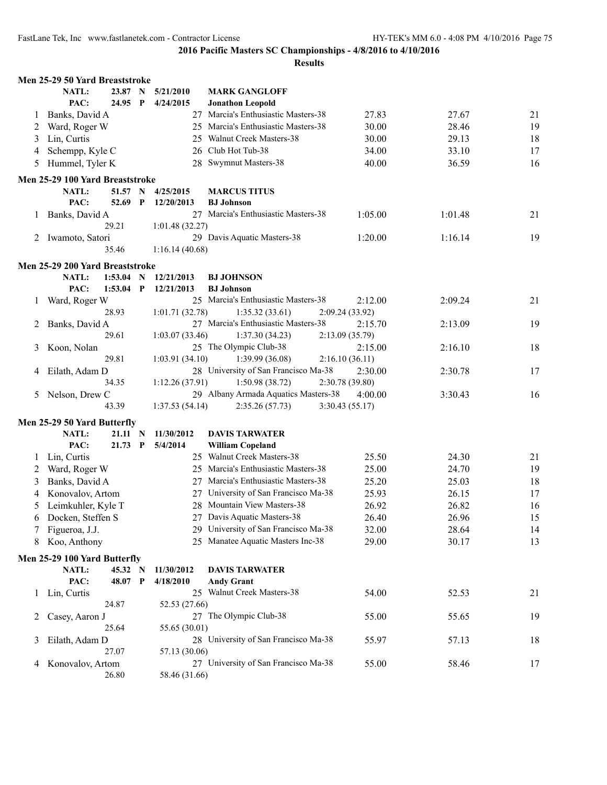|              | Men 25-29 50 Yard Breaststroke  |              |                 |                                      |                 |         |    |
|--------------|---------------------------------|--------------|-----------------|--------------------------------------|-----------------|---------|----|
|              | NATL:<br>23.87 N                |              | 5/21/2010       | <b>MARK GANGLOFF</b>                 |                 |         |    |
|              | 24.95 P<br>PAC:                 |              | 4/24/2015       | <b>Jonathon Leopold</b>              |                 |         |    |
| $\perp$      | Banks, David A                  |              |                 | 27 Marcia's Enthusiastic Masters-38  | 27.83           | 27.67   | 21 |
| 2            | Ward, Roger W                   |              |                 | 25 Marcia's Enthusiastic Masters-38  | 30.00           | 28.46   | 19 |
| 3            | Lin, Curtis                     |              |                 | 25 Walnut Creek Masters-38           | 30.00           | 29.13   | 18 |
| 4            | Schempp, Kyle C                 |              |                 | 26 Club Hot Tub-38                   | 34.00           | 33.10   | 17 |
| 5            | Hummel, Tyler K                 |              |                 | 28 Swymnut Masters-38                | 40.00           | 36.59   | 16 |
|              | Men 25-29 100 Yard Breaststroke |              |                 |                                      |                 |         |    |
|              | <b>NATL:</b><br>51.57 N         |              | 4/25/2015       | <b>MARCUS TITUS</b>                  |                 |         |    |
|              | PAC:<br>52.69                   | $\mathbf{P}$ | 12/20/2013      | <b>BJ</b> Johnson                    |                 |         |    |
|              | 1 Banks, David A                |              |                 | 27 Marcia's Enthusiastic Masters-38  | 1:05.00         | 1:01.48 | 21 |
|              | 29.21                           |              | 1:01.48(32.27)  |                                      |                 |         |    |
|              | 2 Iwamoto, Satori               |              |                 | 29 Davis Aquatic Masters-38          | 1:20.00         | 1:16.14 | 19 |
|              | 35.46                           |              | 1:16.14(40.68)  |                                      |                 |         |    |
|              | Men 25-29 200 Yard Breaststroke |              |                 |                                      |                 |         |    |
|              | NATL:<br>$1:53.04$ N            |              | 12/21/2013      | <b>BJ JOHNSON</b>                    |                 |         |    |
|              | PAC:<br>1:53.04                 | $\mathbf{P}$ | 12/21/2013      | <b>BJ</b> Johnson                    |                 |         |    |
| 1            | Ward, Roger W                   |              |                 | 25 Marcia's Enthusiastic Masters-38  | 2:12.00         | 2:09.24 | 21 |
|              | 28.93                           |              | 1:01.71 (32.78) | 1:35.32(33.61)                       | 2:09.24 (33.92) |         |    |
| 2            | Banks, David A                  |              |                 | 27 Marcia's Enthusiastic Masters-38  | 2:15.70         | 2:13.09 | 19 |
|              | 29.61                           |              | 1:03.07(33.46)  | 1:37.30(34.23)                       | 2:13.09(35.79)  |         |    |
| 3            | Koon, Nolan                     |              |                 | 25 The Olympic Club-38               | 2:15.00         | 2:16.10 | 18 |
|              | 29.81                           |              | 1:03.91(34.10)  | 1:39.99(36.08)                       | 2:16.10(36.11)  |         |    |
| 4            | Eilath, Adam D                  |              |                 | 28 University of San Francisco Ma-38 | 2:30.00         | 2:30.78 | 17 |
|              | 34.35                           |              | 1:12.26 (37.91) | 1:50.98(38.72)                       | 2:30.78 (39.80) |         |    |
| 5            | Nelson, Drew C                  |              |                 | 29 Albany Armada Aquatics Masters-38 | 4:00.00         | 3:30.43 | 16 |
|              | 43.39                           |              | 1:37.53(54.14)  | 2:35.26(57.73)                       | 3:30.43(55.17)  |         |    |
|              | Men 25-29 50 Yard Butterfly     |              |                 |                                      |                 |         |    |
|              | <b>NATL:</b><br>21.11 N         |              | 11/30/2012      | <b>DAVIS TARWATER</b>                |                 |         |    |
|              | PAC:<br>21.73 P                 |              | 5/4/2014        | <b>William Copeland</b>              |                 |         |    |
| $\mathbf{I}$ | Lin, Curtis                     |              |                 | 25 Walnut Creek Masters-38           | 25.50           | 24.30   | 21 |
| 2            | Ward, Roger W                   |              |                 | 25 Marcia's Enthusiastic Masters-38  | 25.00           | 24.70   | 19 |
| 3            | Banks, David A                  |              |                 | 27 Marcia's Enthusiastic Masters-38  | 25.20           | 25.03   | 18 |
| 4            | Konovalov, Artom                |              |                 | 27 University of San Francisco Ma-38 | 25.93           | 26.15   | 17 |
| 5            | Leimkuhler, Kyle T              |              |                 | 28 Mountain View Masters-38          | 26.92           | 26.82   | 16 |
|              | 6 Docken, Steffen S             |              |                 | 27 Davis Aquatic Masters-38          | 26.40           | 26.96   | 15 |
|              | Figueroa, J.J.                  |              |                 | 29 University of San Francisco Ma-38 | 32.00           | 28.64   | 14 |
| 8            | Koo, Anthony                    |              |                 | 25 Manatee Aquatic Masters Inc-38    | 29.00           | 30.17   | 13 |
|              | Men 25-29 100 Yard Butterfly    |              |                 |                                      |                 |         |    |
|              | NATL:<br>45.32 N                |              | 11/30/2012      | <b>DAVIS TARWATER</b>                |                 |         |    |
|              | PAC:<br>48.07 P                 |              | 4/18/2010       | <b>Andy Grant</b>                    |                 |         |    |
| $\mathbf{1}$ | Lin, Curtis                     |              |                 | 25 Walnut Creek Masters-38           | 54.00           | 52.53   | 21 |
|              | 24.87                           |              | 52.53 (27.66)   |                                      |                 |         |    |
| 2            | Casey, Aaron J                  |              |                 | 27 The Olympic Club-38               | 55.00           | 55.65   | 19 |
|              | 25.64                           |              | 55.65 (30.01)   |                                      |                 |         |    |
| 3            | Eilath, Adam D                  |              |                 | 28 University of San Francisco Ma-38 | 55.97           | 57.13   | 18 |
|              | 27.07                           |              | 57.13 (30.06)   |                                      |                 |         |    |
| 4            | Konovalov, Artom                |              |                 | 27 University of San Francisco Ma-38 | 55.00           | 58.46   | 17 |
|              | 26.80                           |              | 58.46 (31.66)   |                                      |                 |         |    |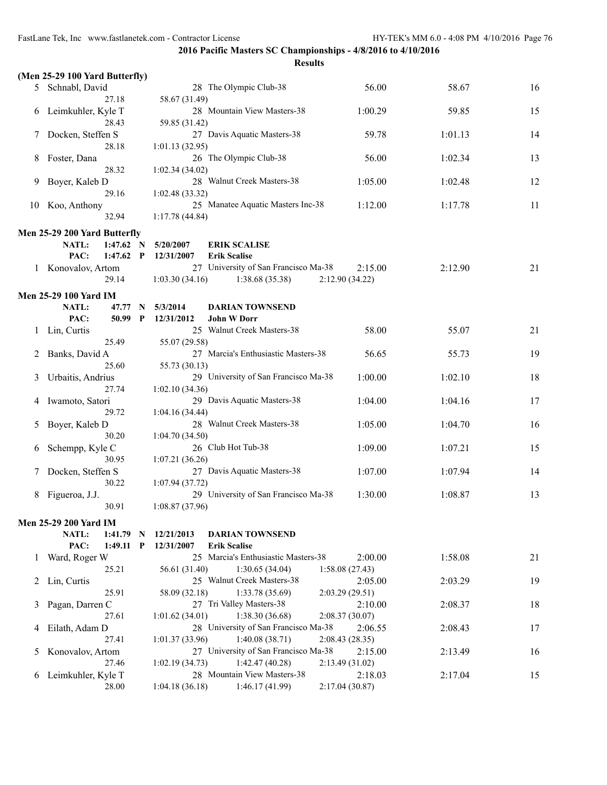|              | (Men 25-29 100 Yard Butterfly) |              |                |                                             |                           |         |    |
|--------------|--------------------------------|--------------|----------------|---------------------------------------------|---------------------------|---------|----|
|              | 5 Schnabl, David               |              |                | 28 The Olympic Club-38                      | 56.00                     | 58.67   | 16 |
| 6            | 27.18<br>Leimkuhler, Kyle T    |              | 58.67 (31.49)  | 28 Mountain View Masters-38                 | 1:00.29                   | 59.85   | 15 |
|              | 28.43                          |              | 59.85 (31.42)  |                                             |                           |         |    |
| 7            | Docken, Steffen S              |              |                | 27 Davis Aquatic Masters-38                 | 59.78                     | 1:01.13 | 14 |
|              | 28.18                          |              | 1:01.13(32.95) |                                             |                           |         |    |
| 8            | Foster, Dana<br>28.32          |              | 1:02.34(34.02) | 26 The Olympic Club-38                      | 56.00                     | 1:02.34 | 13 |
| 9            | Boyer, Kaleb D                 |              |                | 28 Walnut Creek Masters-38                  | 1:05.00                   | 1:02.48 | 12 |
|              | 29.16                          |              | 1:02.48(33.32) |                                             |                           |         |    |
| 10           | Koo, Anthony                   |              |                | 25 Manatee Aquatic Masters Inc-38           | 1:12.00                   | 1:17.78 | 11 |
|              | 32.94                          |              | 1:17.78(44.84) |                                             |                           |         |    |
|              | Men 25-29 200 Yard Butterfly   |              |                |                                             |                           |         |    |
|              | <b>NATL:</b><br>$1:47.62$ N    |              | 5/20/2007      | <b>ERIK SCALISE</b>                         |                           |         |    |
|              | PAC:<br>$1:47.62$ P            |              | 12/31/2007     | <b>Erik Scalise</b>                         |                           |         |    |
| $\mathbf{1}$ | Konovalov, Artom               |              |                | 27 University of San Francisco Ma-38        | 2:15.00                   | 2:12.90 | 21 |
|              | 29.14                          |              | 1:03.30(34.16) | 1:38.68(35.38)                              | 2:12.90 (34.22)           |         |    |
|              | <b>Men 25-29 100 Yard IM</b>   |              |                |                                             |                           |         |    |
|              | NATL:<br>47.77                 | N            | 5/3/2014       | <b>DARIAN TOWNSEND</b>                      |                           |         |    |
|              | PAC:<br>50.99                  | $\mathbf{P}$ | 12/31/2012     | <b>John W Dorr</b>                          |                           |         |    |
|              | Lin, Curtis                    |              |                | 25 Walnut Creek Masters-38                  | 58.00                     | 55.07   | 21 |
|              | 25.49                          |              | 55.07 (29.58)  |                                             |                           |         |    |
| 2            | Banks, David A                 |              |                | 27 Marcia's Enthusiastic Masters-38         | 56.65                     | 55.73   | 19 |
|              | 25.60                          |              | 55.73 (30.13)  |                                             |                           |         |    |
| 3            | Urbaitis, Andrius<br>27.74     |              |                | 29 University of San Francisco Ma-38        | 1:00.00                   | 1:02.10 | 18 |
|              |                                |              | 1:02.10(34.36) | 29 Davis Aquatic Masters-38                 | 1:04.00                   | 1:04.16 | 17 |
| 4            | Iwamoto, Satori<br>29.72       |              | 1:04.16(34.44) |                                             |                           |         |    |
| 5            | Boyer, Kaleb D                 |              |                | 28 Walnut Creek Masters-38                  | 1:05.00                   | 1:04.70 | 16 |
|              | 30.20                          |              | 1:04.70(34.50) |                                             |                           |         |    |
| 6            | Schempp, Kyle C                |              |                | 26 Club Hot Tub-38                          | 1:09.00                   | 1:07.21 | 15 |
|              | 30.95                          |              | 1:07.21(36.26) |                                             |                           |         |    |
|              | Docken, Steffen S              |              |                | 27 Davis Aquatic Masters-38                 | 1:07.00                   | 1:07.94 | 14 |
|              | 30.22                          |              | 1:07.94(37.72) |                                             |                           |         |    |
| 8            | Figueroa, J.J.                 |              |                | 29 University of San Francisco Ma-38        | 1:30.00                   | 1:08.87 | 13 |
|              | 30.91                          |              | 1:08.87(37.96) |                                             |                           |         |    |
|              | Men 25-29 200 Yard IM          |              |                |                                             |                           |         |    |
|              | NATL:<br>$1:41.79$ N           |              | 12/21/2013     | <b>DARIAN TOWNSEND</b>                      |                           |         |    |
|              | PAC:<br>$1:49.11$ P            |              | 12/31/2007     | <b>Erik Scalise</b>                         |                           |         |    |
| 1            | Ward, Roger W                  |              |                | 25 Marcia's Enthusiastic Masters-38         | 2:00.00                   | 1:58.08 | 21 |
|              | 25.21                          |              | 56.61 (31.40)  | 1:30.65(34.04)                              | 1:58.08(27.43)            |         |    |
| 2            | Lin, Curtis<br>25.91           |              |                | 25 Walnut Creek Masters-38                  | 2:05.00                   | 2:03.29 | 19 |
| 3            | Pagan, Darren C                |              | 58.09 (32.18)  | 1:33.78 (35.69)<br>27 Tri Valley Masters-38 | 2:03.29(29.51)<br>2:10.00 | 2:08.37 | 18 |
|              | 27.61                          |              | 1:01.62(34.01) | 1:38.30(36.68)                              | 2:08.37(30.07)            |         |    |
| 4            | Eilath, Adam D                 |              |                | 28 University of San Francisco Ma-38        | 2:06.55                   | 2:08.43 | 17 |
|              | 27.41                          |              | 1:01.37(33.96) | 1:40.08(38.71)                              | 2:08.43(28.35)            |         |    |
| 5            | Konovalov, Artom               |              |                | 27 University of San Francisco Ma-38        | 2:15.00                   | 2:13.49 | 16 |
|              | 27.46                          |              | 1:02.19(34.73) | 1:42.47(40.28)                              | 2:13.49 (31.02)           |         |    |
| 6            | Leimkuhler, Kyle T             |              |                | 28 Mountain View Masters-38                 | 2:18.03                   | 2:17.04 | 15 |
|              | 28.00                          |              | 1:04.18(36.18) | 1:46.17(41.99)                              | 2:17.04(30.87)            |         |    |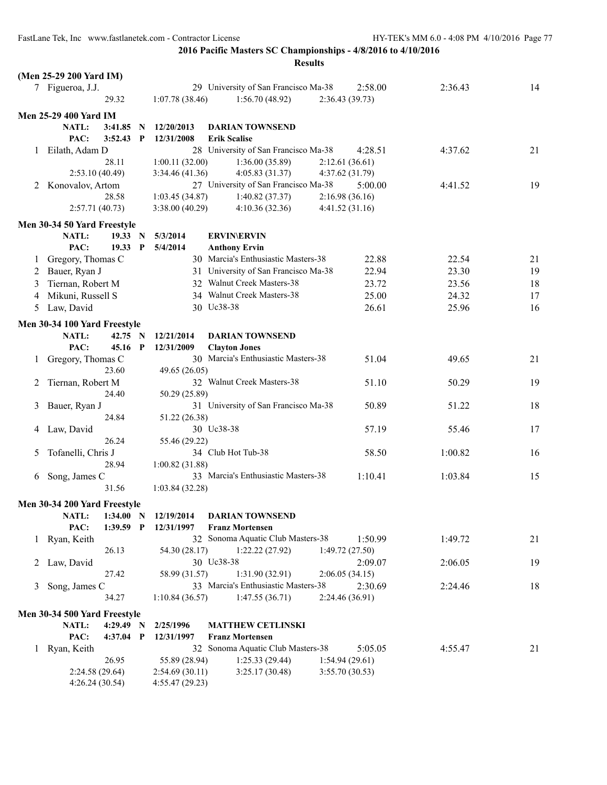|         |                              |           |              |                 | <b>Results</b>                       |                 |         |         |    |
|---------|------------------------------|-----------|--------------|-----------------|--------------------------------------|-----------------|---------|---------|----|
|         | (Men 25-29 200 Yard IM)      |           |              |                 |                                      |                 |         |         |    |
|         | 7 Figueroa, J.J.             |           |              |                 | 29 University of San Francisco Ma-38 |                 | 2:58.00 | 2:36.43 | 14 |
|         |                              | 29.32     |              | 1:07.78(38.46)  | 1:56.70(48.92)                       | 2:36.43(39.73)  |         |         |    |
|         | <b>Men 25-29 400 Yard IM</b> |           |              |                 |                                      |                 |         |         |    |
|         | NATL:                        | 3:41.85   | $\mathbf N$  | 12/20/2013      | <b>DARIAN TOWNSEND</b>               |                 |         |         |    |
|         | PAC:                         | 3:52.43   | $\mathbf{P}$ | 12/31/2008      | <b>Erik Scalise</b>                  |                 |         |         |    |
| 1       | Eilath, Adam D               |           |              |                 | 28 University of San Francisco Ma-38 |                 | 4:28.51 | 4:37.62 | 21 |
|         |                              | 28.11     |              | 1:00.11(32.00)  | 1:36.00(35.89)                       | 2:12.61(36.61)  |         |         |    |
|         | 2:53.10(40.49)               |           |              | 3:34.46 (41.36) | 4:05.83(31.37)                       | 4:37.62 (31.79) |         |         |    |
|         | 2 Konovalov, Artom           |           |              |                 | 27 University of San Francisco Ma-38 |                 | 5:00.00 | 4:41.52 | 19 |
|         |                              | 28.58     |              | 1:03.45 (34.87) | 1:40.82(37.37)                       | 2:16.98(36.16)  |         |         |    |
|         | 2:57.71(40.73)               |           |              | 3:38.00(40.29)  | 4:10.36(32.36)                       | 4:41.52 (31.16) |         |         |    |
|         |                              |           |              |                 |                                      |                 |         |         |    |
|         | Men 30-34 50 Yard Freestyle  |           |              |                 |                                      |                 |         |         |    |
|         | <b>NATL:</b>                 | 19.33 N   |              | 5/3/2014        | <b>ERVIN\ERVIN</b>                   |                 |         |         |    |
|         | PAC:                         | 19.33 P   |              | 5/4/2014        | <b>Anthony Ervin</b>                 |                 |         |         |    |
| $\perp$ | Gregory, Thomas C            |           |              |                 | 30 Marcia's Enthusiastic Masters-38  |                 | 22.88   | 22.54   | 21 |
|         | 2 Bauer, Ryan J              |           |              |                 | 31 University of San Francisco Ma-38 |                 | 22.94   | 23.30   | 19 |
| 3       | Tiernan, Robert M            |           |              |                 | 32 Walnut Creek Masters-38           |                 | 23.72   | 23.56   | 18 |
| 4       | Mikuni, Russell S            |           |              |                 | 34 Walnut Creek Masters-38           |                 | 25.00   | 24.32   | 17 |
| 5       | Law, David                   |           |              |                 | 30 Uc38-38                           |                 | 26.61   | 25.96   | 16 |
|         | Men 30-34 100 Yard Freestyle |           |              |                 |                                      |                 |         |         |    |
|         | <b>NATL:</b>                 | 42.75 N   |              | 12/21/2014      | <b>DARIAN TOWNSEND</b>               |                 |         |         |    |
|         | PAC:                         | 45.16 P   |              | 12/31/2009      | <b>Clayton Jones</b>                 |                 |         |         |    |
| 1       | Gregory, Thomas C            |           |              |                 | 30 Marcia's Enthusiastic Masters-38  |                 | 51.04   | 49.65   | 21 |
|         |                              | 23.60     |              | 49.65 (26.05)   |                                      |                 |         |         |    |
| 2       | Tiernan, Robert M            |           |              |                 | 32 Walnut Creek Masters-38           |                 | 51.10   | 50.29   | 19 |
|         |                              | 24.40     |              | 50.29 (25.89)   |                                      |                 |         |         |    |
| 3       | Bauer, Ryan J                |           |              |                 | 31 University of San Francisco Ma-38 |                 | 50.89   | 51.22   | 18 |
|         |                              | 24.84     |              | 51.22 (26.38)   |                                      |                 |         |         |    |
| 4       | Law, David                   |           |              |                 | 30 Uc38-38                           |                 | 57.19   | 55.46   | 17 |
|         |                              | 26.24     |              | 55.46 (29.22)   |                                      |                 |         |         |    |
| 5       | Tofanelli, Chris J           |           |              |                 | 34 Club Hot Tub-38                   |                 | 58.50   | 1:00.82 | 16 |
|         |                              | 28.94     |              | 1:00.82(31.88)  |                                      |                 |         |         |    |
| 6       | Song, James C                |           |              |                 | 33 Marcia's Enthusiastic Masters-38  |                 | 1:10.41 | 1:03.84 | 15 |
|         |                              | 31.56     |              | 1:03.84(32.28)  |                                      |                 |         |         |    |
|         | Men 30-34 200 Yard Freestyle |           |              |                 |                                      |                 |         |         |    |
|         | NATL:                        | 1:34.00 N |              | 12/19/2014      | <b>DARIAN TOWNSEND</b>               |                 |         |         |    |
|         | PAC:                         | 1:39.59 P |              | 12/31/1997      | <b>Franz Mortensen</b>               |                 |         |         |    |
|         | 1 Ryan, Keith                |           |              |                 | 32 Sonoma Aquatic Club Masters-38    |                 | 1:50.99 | 1:49.72 | 21 |
|         |                              | 26.13     |              | 54.30 (28.17)   | 1:22.22(27.92)                       | 1:49.72 (27.50) |         |         |    |
|         | 2 Law, David                 |           |              |                 | 30 Uc38-38                           |                 | 2:09.07 | 2:06.05 | 19 |
|         |                              | 27.42     |              | 58.99 (31.57)   | 1:31.90(32.91)                       | 2:06.05(34.15)  |         |         |    |
| 3       | Song, James C                |           |              |                 | 33 Marcia's Enthusiastic Masters-38  |                 | 2:30.69 | 2:24.46 | 18 |
|         |                              | 34.27     |              | 1:10.84(36.57)  | 1:47.55(36.71)                       | 2:24.46 (36.91) |         |         |    |
|         | Men 30-34 500 Yard Freestyle |           |              |                 |                                      |                 |         |         |    |
|         | NATL:                        | 4:29.49 N |              | 2/25/1996       | <b>MATTHEW CETLINSKI</b>             |                 |         |         |    |
|         | PAC:                         | 4:37.04 P |              | 12/31/1997      | <b>Franz Mortensen</b>               |                 |         |         |    |
| 1       | Ryan, Keith                  |           |              |                 | 32 Sonoma Aquatic Club Masters-38    |                 | 5:05.05 | 4:55.47 | 21 |
|         |                              | 26.95     |              | 55.89 (28.94)   | 1:25.33(29.44)                       | 1:54.94(29.61)  |         |         |    |
|         | 2:24.58 (29.64)              |           |              | 2:54.69(30.11)  | 3:25.17(30.48)                       | 3:55.70 (30.53) |         |         |    |
|         | 4:26.24(30.54)               |           |              | 4:55.47(29.23)  |                                      |                 |         |         |    |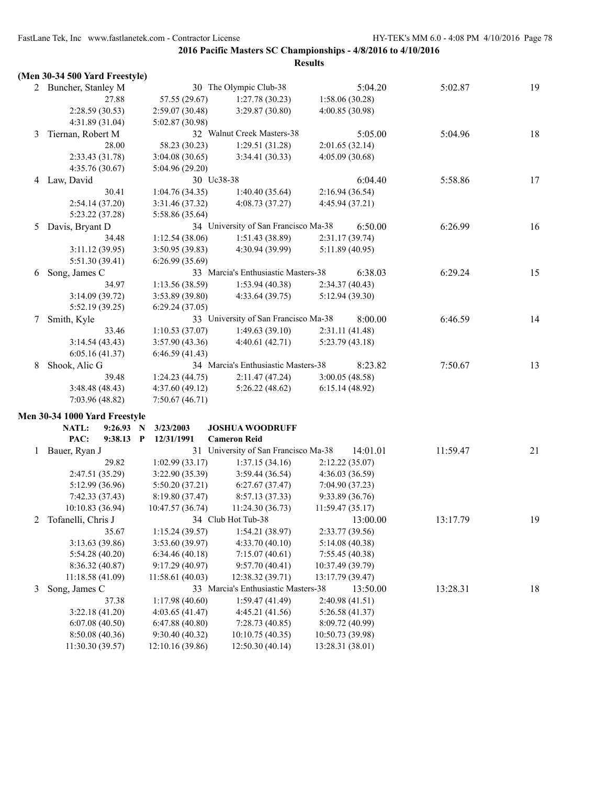|   | (Men 30-34 500 Yard Freestyle) |                  |                                      |                  |          |    |
|---|--------------------------------|------------------|--------------------------------------|------------------|----------|----|
|   | 2 Buncher, Stanley M           |                  | 30 The Olympic Club-38               | 5:04.20          | 5:02.87  | 19 |
|   | 27.88                          | 57.55 (29.67)    | 1:27.78(30.23)                       | 1:58.06(30.28)   |          |    |
|   | 2:28.59(30.53)                 | 2:59.07 (30.48)  | 3:29.87 (30.80)                      | 4:00.85 (30.98)  |          |    |
|   | 4:31.89 (31.04)                | 5:02.87 (30.98)  |                                      |                  |          |    |
| 3 | Tiernan, Robert M              |                  | 32 Walnut Creek Masters-38           | 5:05.00          | 5:04.96  | 18 |
|   | 28.00                          | 58.23 (30.23)    | 1:29.51(31.28)                       | 2:01.65(32.14)   |          |    |
|   | 2:33.43 (31.78)                | 3:04.08(30.65)   | 3:34.41(30.33)                       | 4:05.09(30.68)   |          |    |
|   | 4:35.76 (30.67)                | 5:04.96 (29.20)  |                                      |                  |          |    |
|   | 4 Law, David                   | 30 Uc38-38       |                                      | 6:04.40          | 5:58.86  | 17 |
|   | 30.41                          | 1:04.76(34.35)   | 1:40.40(35.64)                       | 2:16.94(36.54)   |          |    |
|   | 2:54.14(37.20)                 | 3:31.46 (37.32)  | 4:08.73(37.27)                       | 4:45.94 (37.21)  |          |    |
|   | 5:23.22 (37.28)                | 5:58.86 (35.64)  |                                      |                  |          |    |
| 5 | Davis, Bryant D                |                  | 34 University of San Francisco Ma-38 | 6:50.00          | 6:26.99  | 16 |
|   | 34.48                          | 1:12.54(38.06)   | 1:51.43(38.89)                       | 2:31.17(39.74)   |          |    |
|   | 3:11.12(39.95)                 | 3:50.95 (39.83)  | 4:30.94 (39.99)                      | 5:11.89(40.95)   |          |    |
|   | 5:51.30 (39.41)                | 6:26.99(35.69)   |                                      |                  |          |    |
| 6 | Song, James C                  |                  | 33 Marcia's Enthusiastic Masters-38  | 6:38.03          | 6:29.24  | 15 |
|   | 34.97                          | 1:13.56(38.59)   | 1:53.94(40.38)                       | 2:34.37(40.43)   |          |    |
|   | 3:14.09(39.72)                 | 3:53.89(39.80)   | 4:33.64(39.75)                       | 5:12.94 (39.30)  |          |    |
|   | 5:52.19 (39.25)                | 6:29.24(37.05)   |                                      |                  |          |    |
| 7 | Smith, Kyle                    |                  | 33 University of San Francisco Ma-38 | 8:00.00          | 6:46.59  | 14 |
|   | 33.46                          | 1:10.53(37.07)   | 1:49.63(39.10)                       | 2:31.11(41.48)   |          |    |
|   | 3:14.54(43.43)                 | 3:57.90(43.36)   | 4:40.61(42.71)                       | 5:23.79(43.18)   |          |    |
|   | 6:05.16(41.37)                 | 6:46.59(41.43)   |                                      |                  |          |    |
| 8 | Shook, Alic G                  |                  | 34 Marcia's Enthusiastic Masters-38  | 8:23.82          | 7:50.67  | 13 |
|   | 39.48                          | 1:24.23(44.75)   | 2:11.47(47.24)                       | 3:00.05(48.58)   |          |    |
|   | 3:48.48 (48.43)                | 4:37.60(49.12)   | 5:26.22(48.62)                       | 6:15.14(48.92)   |          |    |
|   | 7:03.96 (48.82)                | 7:50.67(46.71)   |                                      |                  |          |    |
|   | Men 30-34 1000 Yard Freestyle  |                  |                                      |                  |          |    |
|   | NATL:<br>9:26.93               | 3/23/2003<br>N   | <b>JOSHUA WOODRUFF</b>               |                  |          |    |
|   | PAC:<br>9:38.13 P              | 12/31/1991       | <b>Cameron Reid</b>                  |                  |          |    |
| 1 | Bauer, Ryan J                  |                  | 31 University of San Francisco Ma-38 | 14:01.01         | 11:59.47 | 21 |
|   | 29.82                          | 1:02.99(33.17)   | 1:37.15(34.16)                       | 2:12.22(35.07)   |          |    |
|   | 2:47.51 (35.29)                | 3:22.90(35.39)   | 3:59.44(36.54)                       | 4:36.03 (36.59)  |          |    |
|   | 5:12.99 (36.96)                | 5:50.20(37.21)   | 6:27.67(37.47)                       | 7:04.90(37.23)   |          |    |
|   | 7:42.33 (37.43)                | 8:19.80 (37.47)  | 8:57.13 (37.33)                      | 9:33.89 (36.76)  |          |    |
|   | 10:10.83 (36.94)               | 10:47.57 (36.74) | 11:24.30(36.73)                      | 11:59.47(35.17)  |          |    |
| 2 | Tofanelli, Chris J             |                  | 34 Club Hot Tub-38                   | 13:00.00         | 13:17.79 | 19 |
|   | 35.67                          | 1:15.24(39.57)   | 1:54.21(38.97)                       | 2:33.77 (39.56)  |          |    |
|   | 3:13.63 (39.86)                | 3:53.60 (39.97)  | 4:33.70 (40.10)                      | 5:14.08 (40.38)  |          |    |
|   | 5:54.28 (40.20)                | 6:34.46(40.18)   | 7:15.07(40.61)                       | 7:55.45 (40.38)  |          |    |
|   | 8:36.32 (40.87)                | 9:17.29(40.97)   | 9:57.70(40.41)                       | 10:37.49 (39.79) |          |    |
|   | 11:18.58(41.09)                | 11:58.61 (40.03) | 12:38.32 (39.71)                     | 13:17.79 (39.47) |          |    |
| 3 | Song, James C                  |                  | 33 Marcia's Enthusiastic Masters-38  | 13:50.00         | 13:28.31 | 18 |
|   | 37.38                          | 1:17.98(40.60)   | 1:59.47(41.49)                       | 2:40.98 (41.51)  |          |    |
|   | 3:22.18(41.20)                 | 4:03.65(41.47)   | 4:45.21(41.56)                       | 5:26.58(41.37)   |          |    |
|   | 6:07.08(40.50)                 | 6:47.88(40.80)   | 7:28.73 (40.85)                      | 8:09.72 (40.99)  |          |    |
|   | 8:50.08 (40.36)                | 9:30.40(40.32)   | 10:10.75(40.35)                      | 10:50.73 (39.98) |          |    |
|   | 11:30.30 (39.57)               | 12:10.16 (39.86) | 12:50.30 (40.14)                     | 13:28.31 (38.01) |          |    |
|   |                                |                  |                                      |                  |          |    |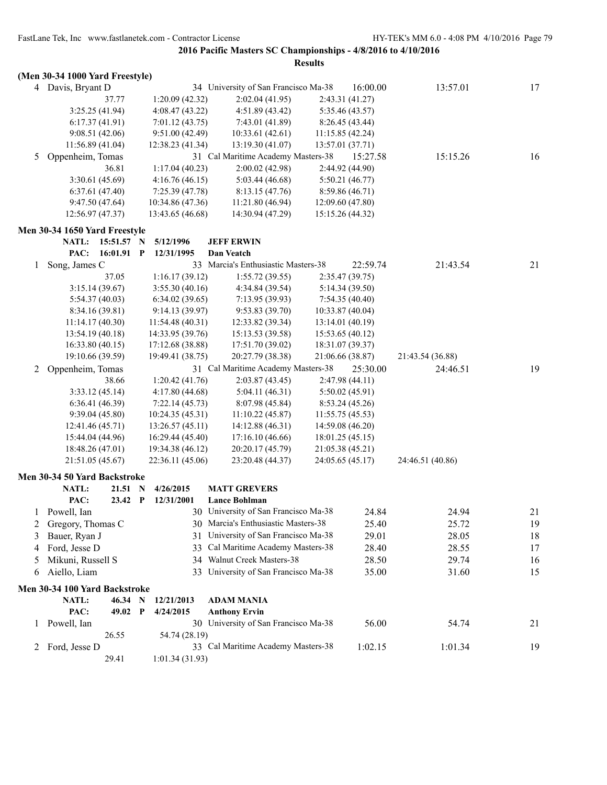|   |                                     |                            |             |                                    |                                      | <b>Results</b> |                                     |                  |    |
|---|-------------------------------------|----------------------------|-------------|------------------------------------|--------------------------------------|----------------|-------------------------------------|------------------|----|
|   | (Men 30-34 1000 Yard Freestyle)     |                            |             |                                    |                                      |                |                                     |                  |    |
|   | 4 Davis, Bryant D                   |                            |             |                                    | 34 University of San Francisco Ma-38 |                | 16:00.00                            | 13:57.01         | 17 |
|   |                                     | 37.77                      |             | 1:20.09(42.32)                     | 2:02.04(41.95)                       |                | 2:43.31 (41.27)                     |                  |    |
|   | 3:25.25(41.94)                      |                            |             | 4:08.47(43.22)                     | 4:51.89 (43.42)                      |                | 5:35.46 (43.57)                     |                  |    |
|   | 6:17.37(41.91)                      |                            |             | 7:01.12(43.75)                     | 7:43.01 (41.89)                      |                | 8:26.45 (43.44)                     |                  |    |
|   | 9:08.51(42.06)                      |                            |             | 9:51.00(42.49)                     | 10:33.61(42.61)                      |                | 11:15.85 (42.24)                    |                  |    |
|   | 11:56.89 (41.04)                    |                            |             | 12:38.23 (41.34)                   | 13:19.30(41.07)                      |                | 13:57.01 (37.71)                    |                  |    |
| 5 | Oppenheim, Tomas                    |                            |             |                                    | 31 Cal Maritime Academy Masters-38   |                | 15:27.58                            | 15:15.26         | 16 |
|   |                                     | 36.81                      |             | 1:17.04(40.23)                     | 2:00.02(42.98)                       |                | 2:44.92 (44.90)                     |                  |    |
|   | 3:30.61(45.69)                      |                            |             | 4:16.76(46.15)                     | 5:03.44(46.68)                       |                | 5:50.21(46.77)                      |                  |    |
|   | 6:37.61(47.40)                      |                            |             | 7:25.39 (47.78)                    | 8:13.15(47.76)                       |                | 8:59.86(46.71)                      |                  |    |
|   | 9:47.50(47.64)                      |                            |             | 10:34.86 (47.36)                   | 11:21.80(46.94)                      |                | 12:09.60(47.80)                     |                  |    |
|   | 12:56.97 (47.37)                    |                            |             | 13:43.65 (46.68)                   | 14:30.94 (47.29)                     |                | 15:15.26 (44.32)                    |                  |    |
|   |                                     |                            |             |                                    |                                      |                |                                     |                  |    |
|   | Men 30-34 1650 Yard Freestyle       |                            |             |                                    |                                      |                |                                     |                  |    |
|   | <b>NATL:</b><br>PAC:                | 15:51.57 N<br>$16:01.91$ P |             | 5/12/1996<br>12/31/1995            | <b>JEFF ERWIN</b><br>Dan Veatch      |                |                                     |                  |    |
|   |                                     |                            |             |                                    | 33 Marcia's Enthusiastic Masters-38  |                | 22:59.74                            |                  |    |
| 1 | Song, James C                       |                            |             |                                    |                                      |                |                                     | 21:43.54         | 21 |
|   |                                     | 37.05                      |             | 1:16.17(39.12)                     | 1:55.72(39.55)                       |                | 2:35.47(39.75)                      |                  |    |
|   | 3:15.14(39.67)                      |                            |             | 3:55.30(40.16)                     | 4:34.84 (39.54)                      |                | 5:14.34(39.50)                      |                  |    |
|   | 5:54.37(40.03)                      |                            |             | 6:34.02(39.65)                     | 7:13.95(39.93)                       |                | 7:54.35(40.40)                      |                  |    |
|   | 8:34.16 (39.81)                     |                            |             | 9:14.13 (39.97)<br>11:54.48(40.31) | 9:53.83 (39.70)<br>12:33.82 (39.34)  |                | 10:33.87(40.04)                     |                  |    |
|   | 11:14.17(40.30)<br>13:54.19 (40.18) |                            |             | 14:33.95 (39.76)                   | 15:13.53 (39.58)                     |                | 13:14.01(40.19)                     |                  |    |
|   | 16:33.80(40.15)                     |                            |             | 17:12.68 (38.88)                   | 17:51.70 (39.02)                     |                | 15:53.65(40.12)<br>18:31.07 (39.37) |                  |    |
|   | 19:10.66 (39.59)                    |                            |             | 19:49.41 (38.75)                   | 20:27.79 (38.38)                     |                | 21:06.66 (38.87)                    | 21:43.54 (36.88) |    |
| 2 |                                     |                            |             |                                    | 31 Cal Maritime Academy Masters-38   |                | 25:30.00                            | 24:46.51         | 19 |
|   | Oppenheim, Tomas                    | 38.66                      |             | 1:20.42(41.76)                     | 2:03.87(43.45)                       |                | 2:47.98(44.11)                      |                  |    |
|   | 3:33.12(45.14)                      |                            |             | 4:17.80 (44.68)                    | 5:04.11(46.31)                       |                | 5:50.02(45.91)                      |                  |    |
|   | 6:36.41(46.39)                      |                            |             | 7:22.14(45.73)                     | 8:07.98 (45.84)                      |                | 8:53.24(45.26)                      |                  |    |
|   | 9:39.04(45.80)                      |                            |             | 10:24.35(45.31)                    | 11:10.22(45.87)                      |                | 11:55.75 (45.53)                    |                  |    |
|   | 12:41.46 (45.71)                    |                            |             | 13:26.57(45.11)                    | 14:12.88 (46.31)                     |                | 14:59.08 (46.20)                    |                  |    |
|   | 15:44.04 (44.96)                    |                            |             | 16:29.44 (45.40)                   | 17:16.10(46.66)                      |                | 18:01.25 (45.15)                    |                  |    |
|   | 18:48.26 (47.01)                    |                            |             | 19:34.38 (46.12)                   | 20:20.17 (45.79)                     |                | 21:05.38 (45.21)                    |                  |    |
|   | 21:51.05 (45.67)                    |                            |             | 22:36.11 (45.06)                   | 23:20.48 (44.37)                     |                | 24:05.65 (45.17)                    | 24:46.51 (40.86) |    |
|   |                                     |                            |             |                                    |                                      |                |                                     |                  |    |
|   | Men 30-34 50 Yard Backstroke        |                            |             |                                    |                                      |                |                                     |                  |    |
|   | NATL:                               | 21.51 N                    |             | 4/26/2015                          | <b>MATT GREVERS</b>                  |                |                                     |                  |    |
|   | PAC:                                | 23.42 P                    |             | 12/31/2001                         | Lance Bohlman                        |                |                                     |                  |    |
| 1 | Powell, Ian                         |                            |             |                                    | 30 University of San Francisco Ma-38 |                | 24.84                               | 24.94            | 21 |
| 2 | Gregory, Thomas C                   |                            |             |                                    | 30 Marcia's Enthusiastic Masters-38  |                | 25.40                               | 25.72            | 19 |
| 3 | Bauer, Ryan J                       |                            |             | 31                                 | University of San Francisco Ma-38    |                | 29.01                               | 28.05            | 18 |
| 4 | Ford, Jesse D                       |                            |             | 33                                 | Cal Maritime Academy Masters-38      |                | 28.40                               | 28.55            | 17 |
| 5 | Mikuni, Russell S                   |                            |             |                                    | 34 Walnut Creek Masters-38           |                | 28.50                               | 29.74            | 16 |
| 6 | Aiello, Liam                        |                            |             |                                    | 33 University of San Francisco Ma-38 |                | 35.00                               | 31.60            | 15 |
|   | Men 30-34 100 Yard Backstroke       |                            |             |                                    |                                      |                |                                     |                  |    |
|   | NATL:                               | 46.34                      | $\mathbf N$ | 12/21/2013                         | <b>ADAM MANIA</b>                    |                |                                     |                  |    |
|   | PAC:                                | 49.02 P                    |             | 4/24/2015                          | <b>Anthony Ervin</b>                 |                |                                     |                  |    |
| 1 | Powell, Ian                         |                            |             |                                    | 30 University of San Francisco Ma-38 |                | 56.00                               | 54.74            | 21 |
|   |                                     | 26.55                      |             | 54.74 (28.19)                      |                                      |                |                                     |                  |    |
| 2 | Ford, Jesse D                       |                            |             |                                    | 33 Cal Maritime Academy Masters-38   |                | 1:02.15                             | 1:01.34          | 19 |
|   |                                     | 29.41                      |             | 1:01.34 (31.93)                    |                                      |                |                                     |                  |    |
|   |                                     |                            |             |                                    |                                      |                |                                     |                  |    |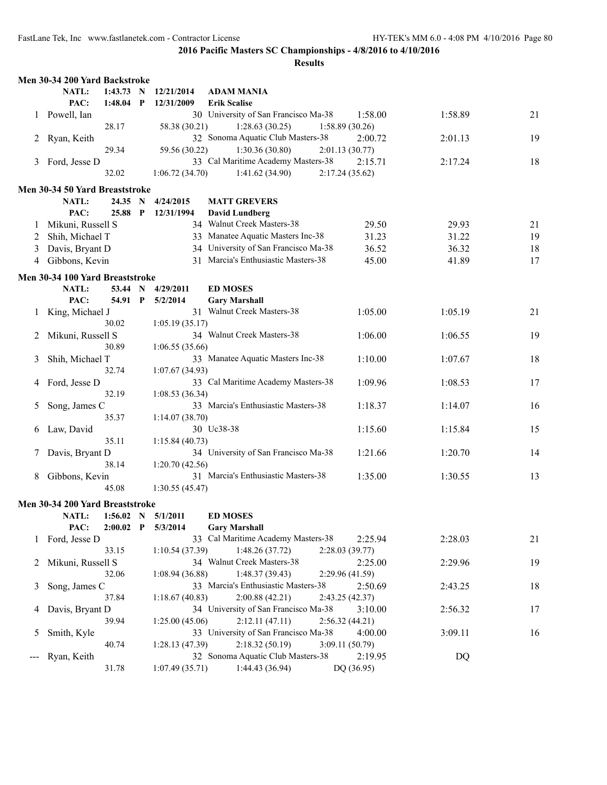|              | Men 30-34 200 Yard Backstroke   |                          |              |                          |                                                                          |         |         |    |
|--------------|---------------------------------|--------------------------|--------------|--------------------------|--------------------------------------------------------------------------|---------|---------|----|
|              | NATL:<br>PAC:                   | 1:43.73 N<br>$1:48.04$ P |              | 12/21/2014<br>12/31/2009 | <b>ADAM MANIA</b><br><b>Erik Scalise</b>                                 |         |         |    |
|              | 1 Powell, Ian                   | 28.17                    |              | 58.38 (30.21)            | 30 University of San Francisco Ma-38<br>1:28.63(30.25)<br>1:58.89(30.26) | 1:58.00 | 1:58.89 | 21 |
| 2            | Ryan, Keith                     | 29.34                    |              | 59.56 (30.22)            | 32 Sonoma Aquatic Club Masters-38<br>1:30.36(30.80)<br>2:01.13(30.77)    | 2:00.72 | 2:01.13 | 19 |
| 3            | Ford, Jesse D                   | 32.02                    |              | 1:06.72(34.70)           | 33 Cal Maritime Academy Masters-38<br>1:41.62 (34.90)<br>2:17.24(35.62)  | 2:15.71 | 2:17.24 | 18 |
|              | Men 30-34 50 Yard Breaststroke  |                          |              |                          |                                                                          |         |         |    |
|              | <b>NATL:</b>                    | 24.35                    | N            | 4/24/2015                | <b>MATT GREVERS</b>                                                      |         |         |    |
|              | PAC:                            | 25.88                    | $\mathbf{P}$ | 12/31/1994               | <b>David Lundberg</b>                                                    |         |         |    |
| 1            | Mikuni, Russell S               |                          |              |                          | 34 Walnut Creek Masters-38                                               | 29.50   | 29.93   | 21 |
|              |                                 |                          |              |                          |                                                                          |         |         |    |
| 2            | Shih, Michael T                 |                          |              |                          | 33 Manatee Aquatic Masters Inc-38                                        | 31.23   | 31.22   | 19 |
| 3            | Davis, Bryant D                 |                          |              |                          | 34 University of San Francisco Ma-38                                     | 36.52   | 36.32   | 18 |
| 4            | Gibbons, Kevin                  |                          |              |                          | 31 Marcia's Enthusiastic Masters-38                                      | 45.00   | 41.89   | 17 |
|              | Men 30-34 100 Yard Breaststroke |                          |              |                          |                                                                          |         |         |    |
|              | NATL:                           | 53.44 N                  |              | 4/29/2011                | <b>ED MOSES</b>                                                          |         |         |    |
|              | PAC:                            | 54.91                    | $\mathbf{P}$ | 5/2/2014                 | <b>Gary Marshall</b>                                                     |         |         |    |
| $\mathbf{I}$ | King, Michael J                 |                          |              |                          | 31 Walnut Creek Masters-38                                               | 1:05.00 | 1:05.19 | 21 |
|              |                                 | 30.02                    |              | 1:05.19(35.17)           |                                                                          |         |         |    |
| 2            | Mikuni, Russell S               |                          |              |                          | 34 Walnut Creek Masters-38                                               | 1:06.00 | 1:06.55 | 19 |
|              |                                 | 30.89                    |              | 1:06.55(35.66)           |                                                                          |         |         |    |
|              |                                 |                          |              |                          | 33 Manatee Aquatic Masters Inc-38                                        | 1:10.00 | 1:07.67 | 18 |
| 3            | Shih, Michael T                 |                          |              |                          |                                                                          |         |         |    |
|              |                                 | 32.74                    |              | 1:07.67(34.93)           |                                                                          |         |         |    |
| 4            | Ford, Jesse D                   |                          |              |                          | 33 Cal Maritime Academy Masters-38                                       | 1:09.96 | 1:08.53 | 17 |
|              |                                 | 32.19                    |              | 1:08.53(36.34)           |                                                                          |         |         |    |
| 5            | Song, James C                   |                          |              |                          | 33 Marcia's Enthusiastic Masters-38                                      | 1:18.37 | 1:14.07 | 16 |
|              |                                 | 35.37                    |              | 1:14.07(38.70)           |                                                                          |         |         |    |
| 6            | Law, David                      |                          |              |                          | 30 Uc38-38                                                               | 1:15.60 | 1:15.84 | 15 |
|              |                                 | 35.11                    |              | 1:15.84(40.73)           |                                                                          |         |         |    |
|              | Davis, Bryant D                 |                          |              |                          | 34 University of San Francisco Ma-38                                     | 1:21.66 | 1:20.70 | 14 |
|              |                                 | 38.14                    |              | 1:20.70(42.56)           |                                                                          |         |         |    |
| 8            | Gibbons, Kevin                  |                          |              |                          | 31 Marcia's Enthusiastic Masters-38                                      | 1:35.00 | 1:30.55 | 13 |
|              |                                 | 45.08                    |              | 1:30.55(45.47)           |                                                                          |         |         |    |
|              |                                 |                          |              |                          |                                                                          |         |         |    |
|              | Men 30-34 200 Yard Breaststroke |                          |              |                          |                                                                          |         |         |    |
|              | NATL:                           |                          |              | $1:56.02$ N $5/1/2011$   | <b>ED MOSES</b>                                                          |         |         |    |
|              | PAC:                            | $2:00.02$ P              |              | 5/3/2014                 | <b>Gary Marshall</b>                                                     |         |         |    |
|              | 1 Ford, Jesse D                 |                          |              |                          | 33 Cal Maritime Academy Masters-38                                       | 2:25.94 | 2:28.03 | 21 |
|              |                                 | 33.15                    |              | 1:10.54 (37.39)          | 1:48.26(37.72)<br>2:28.03 (39.77)                                        |         |         |    |
| 2            | Mikuni, Russell S               |                          |              |                          | 34 Walnut Creek Masters-38                                               | 2:25.00 | 2:29.96 | 19 |
|              |                                 | 32.06                    |              | 1:08.94(36.88)           | 1:48.37(39.43)<br>2:29.96 (41.59)                                        |         |         |    |
|              |                                 |                          |              |                          | 33 Marcia's Enthusiastic Masters-38                                      |         |         |    |
| 3            | Song, James C                   |                          |              |                          |                                                                          | 2:50.69 | 2:43.25 | 18 |
|              |                                 | 37.84                    |              | 1:18.67(40.83)           | 2:00.88(42.21)<br>2:43.25 (42.37)                                        |         |         |    |
| 4            | Davis, Bryant D                 |                          |              |                          | 34 University of San Francisco Ma-38                                     | 3:10.00 | 2:56.32 | 17 |
|              |                                 | 39.94                    |              | 1:25.00(45.06)           | 2:12.11(47.11)<br>2:56.32(44.21)                                         |         |         |    |
| 5            | Smith, Kyle                     |                          |              |                          | 33 University of San Francisco Ma-38                                     | 4:00.00 | 3:09.11 | 16 |
|              |                                 | 40.74                    |              | 1:28.13(47.39)           | 2:18.32(50.19)<br>3:09.11 (50.79)                                        |         |         |    |
|              | Ryan, Keith                     |                          |              |                          | 32 Sonoma Aquatic Club Masters-38                                        | 2:19.95 | DQ      |    |
|              |                                 | 31.78                    |              | 1:07.49(35.71)           | 1:44.43 (36.94)<br>DQ (36.95)                                            |         |         |    |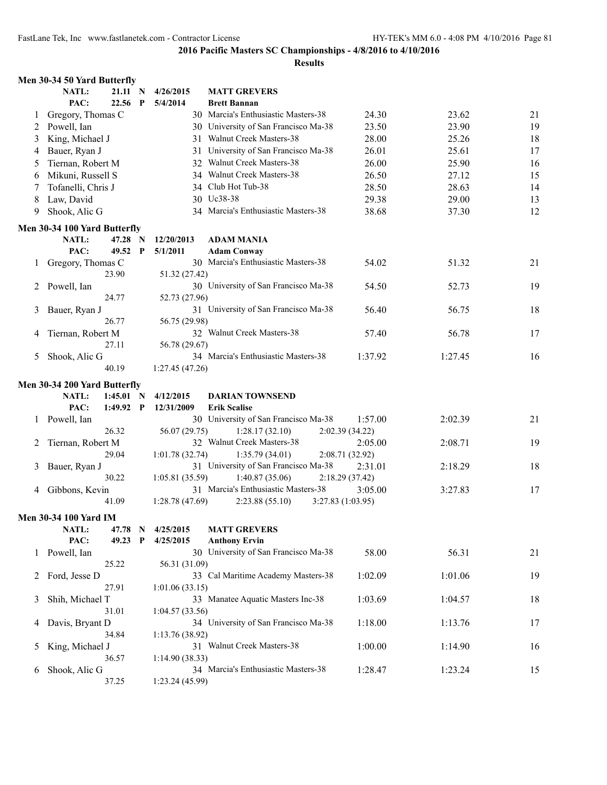|         | Men 30-34 50 Yard Butterfly  |             |             |                 |                                             |         |         |    |
|---------|------------------------------|-------------|-------------|-----------------|---------------------------------------------|---------|---------|----|
|         | <b>NATL:</b>                 | 21.11 N     |             | 4/26/2015       | <b>MATT GREVERS</b>                         |         |         |    |
|         | PAC:                         | $22.56$ P   |             | 5/4/2014        | <b>Brett Bannan</b>                         |         |         |    |
| $\perp$ | Gregory, Thomas C            |             |             |                 | 30 Marcia's Enthusiastic Masters-38         | 24.30   | 23.62   | 21 |
| 2       | Powell, Ian                  |             |             |                 | 30 University of San Francisco Ma-38        | 23.50   | 23.90   | 19 |
| 3       | King, Michael J              |             |             |                 | 31 Walnut Creek Masters-38                  | 28.00   | 25.26   | 18 |
| 4       | Bauer, Ryan J                |             |             | 31              | University of San Francisco Ma-38           | 26.01   | 25.61   | 17 |
| 5       | Tiernan, Robert M            |             |             |                 | 32 Walnut Creek Masters-38                  | 26.00   | 25.90   | 16 |
| 6       | Mikuni, Russell S            |             |             |                 | 34 Walnut Creek Masters-38                  | 26.50   | 27.12   | 15 |
| 7       | Tofanelli, Chris J           |             |             |                 | 34 Club Hot Tub-38                          | 28.50   | 28.63   | 14 |
| 8       | Law, David                   |             |             |                 | 30 Uc38-38                                  | 29.38   | 29.00   | 13 |
| 9       | Shook, Alic G                |             |             |                 | 34 Marcia's Enthusiastic Masters-38         | 38.68   | 37.30   | 12 |
|         |                              |             |             |                 |                                             |         |         |    |
|         | Men 30-34 100 Yard Butterfly |             |             |                 |                                             |         |         |    |
|         | NATL:                        | 47.28 N     |             | 12/20/2013      | ADAM MANIA                                  |         |         |    |
|         | PAC:                         | 49.52 P     |             | 5/1/2011        | <b>Adam Conway</b>                          |         |         |    |
| $\perp$ | Gregory, Thomas C            |             |             |                 | 30 Marcia's Enthusiastic Masters-38         | 54.02   | 51.32   | 21 |
|         |                              | 23.90       |             | 51.32 (27.42)   |                                             |         |         |    |
| 2       | Powell, Ian                  |             |             |                 | 30 University of San Francisco Ma-38        | 54.50   | 52.73   | 19 |
|         |                              | 24.77       |             | 52.73 (27.96)   |                                             |         |         |    |
| 3       | Bauer, Ryan J                |             |             |                 | 31 University of San Francisco Ma-38        | 56.40   | 56.75   | 18 |
|         |                              | 26.77       |             | 56.75 (29.98)   |                                             |         |         |    |
| 4       | Tiernan, Robert M            |             |             |                 | 32 Walnut Creek Masters-38                  | 57.40   | 56.78   | 17 |
|         |                              | 27.11       |             | 56.78 (29.67)   |                                             |         |         |    |
| 5       | Shook, Alic G                |             |             |                 | 34 Marcia's Enthusiastic Masters-38         | 1:37.92 | 1:27.45 | 16 |
|         |                              | 40.19       |             | 1:27.45 (47.26) |                                             |         |         |    |
|         | Men 30-34 200 Yard Butterfly |             |             |                 |                                             |         |         |    |
|         | NATL:                        | $1:45.01$ N |             | 4/12/2015       | <b>DARIAN TOWNSEND</b>                      |         |         |    |
|         | PAC:                         | $1:49.92$ P |             | 12/31/2009      | <b>Erik Scalise</b>                         |         |         |    |
| 1       | Powell, Ian                  |             |             |                 | 30 University of San Francisco Ma-38        | 1:57.00 | 2:02.39 | 21 |
|         |                              | 26.32       |             | 56.07 (29.75)   | 1:28.17(32.10)<br>2:02.39 (34.22)           |         |         |    |
| 2       | Tiernan, Robert M            |             |             |                 | 32 Walnut Creek Masters-38                  | 2:05.00 | 2:08.71 | 19 |
|         |                              | 29.04       |             | 1:01.78(32.74)  | 1:35.79(34.01)<br>2:08.71 (32.92)           |         |         |    |
| 3       | Bauer, Ryan J                |             |             |                 | 31 University of San Francisco Ma-38        | 2:31.01 | 2:18.29 | 18 |
|         |                              | 30.22       |             | 1:05.81(35.59)  | 1:40.87(35.06)<br>2:18.29(37.42)            |         |         |    |
| 4       | Gibbons, Kevin               |             |             |                 | 31 Marcia's Enthusiastic Masters-38         | 3:05.00 | 3:27.83 | 17 |
|         |                              | 41.09       |             | 1:28.78(47.69)  | 2:23.88(55.10)<br>3:27.83 (1:03.95)         |         |         |    |
|         |                              |             |             |                 |                                             |         |         |    |
|         | <b>Men 30-34 100 Yard IM</b> |             |             |                 |                                             |         |         |    |
|         | <b>NATL:</b><br>PAC:         | 47.78 N     | $\mathbf P$ | 4/25/2015       | <b>MATT GREVERS</b><br><b>Anthony Ervin</b> |         |         |    |
|         | Powell, Ian                  | 49.23       |             | 4/25/2015       | 30 University of San Francisco Ma-38        | 58.00   | 56.31   | 21 |
| 1       |                              |             |             |                 |                                             |         |         |    |
|         |                              | 25.22       |             | 56.31 (31.09)   | 33 Cal Maritime Academy Masters-38          |         |         |    |
| 2       | Ford, Jesse D                |             |             |                 |                                             | 1:02.09 | 1:01.06 | 19 |
|         |                              | 27.91       |             | 1:01.06(33.15)  | 33 Manatee Aquatic Masters Inc-38           |         |         |    |
| 3       | Shih, Michael T              |             |             |                 |                                             | 1:03.69 | 1:04.57 | 18 |
|         |                              | 31.01       |             | 1:04.57(33.56)  |                                             |         |         |    |
| 4       | Davis, Bryant D              |             |             |                 | 34 University of San Francisco Ma-38        | 1:18.00 | 1:13.76 | 17 |
|         |                              | 34.84       |             | 1:13.76(38.92)  |                                             |         |         |    |
| 5       | King, Michael J              |             |             |                 | 31 Walnut Creek Masters-38                  | 1:00.00 | 1:14.90 | 16 |
|         |                              | 36.57       |             | 1:14.90(38.33)  |                                             |         |         |    |
| 6       | Shook, Alic G                |             |             |                 | 34 Marcia's Enthusiastic Masters-38         | 1:28.47 | 1:23.24 | 15 |
|         |                              | 37.25       |             | 1:23.24(45.99)  |                                             |         |         |    |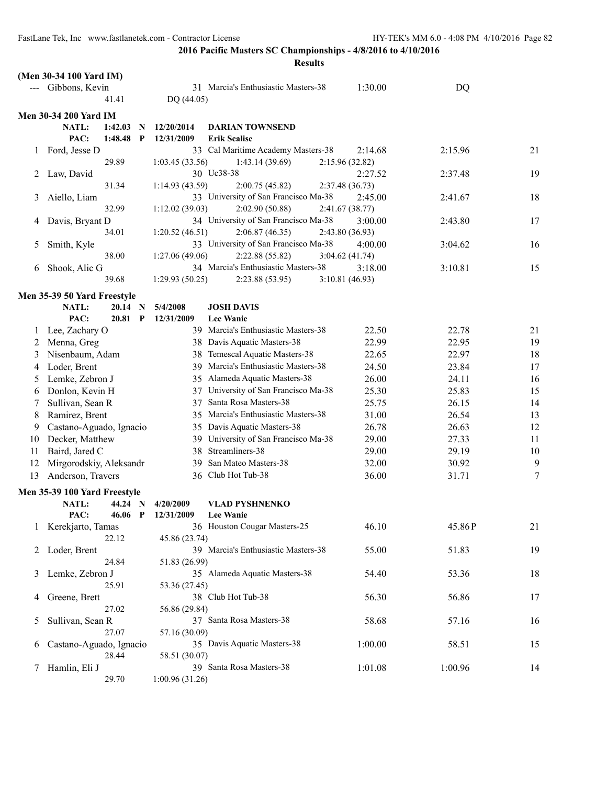|               | (Men 30-34 100 Yard IM)        |                              |                                      |                 |         |    |
|---------------|--------------------------------|------------------------------|--------------------------------------|-----------------|---------|----|
|               | --- Gibbons, Kevin             |                              | 31 Marcia's Enthusiastic Masters-38  | 1:30.00         | DQ      |    |
|               | 41.41                          | DQ (44.05)                   |                                      |                 |         |    |
|               | <b>Men 30-34 200 Yard IM</b>   |                              |                                      |                 |         |    |
|               | 1:42.03<br>NATL:<br>N          | 12/20/2014                   | <b>DARIAN TOWNSEND</b>               |                 |         |    |
|               | PAC:<br>1:48.48<br>$\mathbf P$ | 12/31/2009                   | <b>Erik Scalise</b>                  |                 |         |    |
| $\perp$       | Ford, Jesse D                  |                              | 33 Cal Maritime Academy Masters-38   | 2:14.68         | 2:15.96 | 21 |
|               | 29.89                          | 1:03.45(33.56)               | 1:43.14(39.69)                       | 2:15.96 (32.82) |         |    |
| 2             | Law, David                     |                              | 30 Uc38-38                           | 2:27.52         | 2:37.48 | 19 |
|               | 31.34                          | 1:14.93 (43.59)              | 2:00.75(45.82)                       | 2:37.48(36.73)  |         |    |
| 3             | Aiello, Liam                   |                              | 33 University of San Francisco Ma-38 | 2:45.00         | 2:41.67 | 18 |
|               | 32.99                          | 1:12.02(39.03)               | 2:02.90(50.88)                       | 2:41.67(38.77)  |         |    |
| 4             | Davis, Bryant D                |                              | 34 University of San Francisco Ma-38 | 3:00.00         | 2:43.80 | 17 |
|               | 34.01                          | 1:20.52(46.51)               | 2:06.87(46.35)                       | 2:43.80(36.93)  |         |    |
| 5             | Smith, Kyle                    |                              | 33 University of San Francisco Ma-38 | 4:00.00         | 3:04.62 | 16 |
|               | 38.00                          | 1:27.06(49.06)               | 2:22.88(55.82)                       | 3:04.62(41.74)  |         |    |
| 6             | Shook, Alic G                  |                              | 34 Marcia's Enthusiastic Masters-38  | 3:18.00         | 3:10.81 | 15 |
|               | 39.68                          | 1:29.93(50.25)               | 2:23.88(53.95)                       | 3:10.81(46.93)  |         |    |
|               | Men 35-39 50 Yard Freestyle    |                              |                                      |                 |         |    |
|               | NATL:<br>20.14<br>$\mathbf N$  | 5/4/2008                     | <b>JOSH DAVIS</b>                    |                 |         |    |
|               | PAC:<br>$20.81$ P              | 12/31/2009                   | <b>Lee Wanie</b>                     |                 |         |    |
| 1             | Lee, Zachary O                 |                              | 39 Marcia's Enthusiastic Masters-38  | 22.50           | 22.78   | 21 |
| 2             | Menna, Greg                    |                              | 38 Davis Aquatic Masters-38          | 22.99           | 22.95   | 19 |
| 3             | Nisenbaum, Adam                |                              | 38 Temescal Aquatic Masters-38       | 22.65           | 22.97   | 18 |
| 4             | Loder, Brent                   |                              | 39 Marcia's Enthusiastic Masters-38  | 24.50           | 23.84   | 17 |
| 5             | Lemke, Zebron J                |                              | 35 Alameda Aquatic Masters-38        | 26.00           | 24.11   | 16 |
| 6             | Donlon, Kevin H                |                              | 37 University of San Francisco Ma-38 | 25.30           | 25.83   | 15 |
| 7             | Sullivan, Sean R               |                              | 37 Santa Rosa Masters-38             | 25.75           | 26.15   | 14 |
| 8             | Ramirez, Brent                 | 35                           | Marcia's Enthusiastic Masters-38     | 31.00           | 26.54   | 13 |
| 9             | Castano-Aguado, Ignacio        |                              | 35 Davis Aquatic Masters-38          | 26.78           | 26.63   | 12 |
| 10            | Decker, Matthew                |                              | 39 University of San Francisco Ma-38 | 29.00           | 27.33   | 11 |
| 11            | Baird, Jared C                 |                              | 38 Streamliners-38                   | 29.00           | 29.19   | 10 |
| 12            | Mirgorodskiy, Aleksandr        | 39                           | San Mateo Masters-38                 | 32.00           | 30.92   | 9  |
| 13            | Anderson, Travers              |                              | 36 Club Hot Tub-38                   | 36.00           | 31.71   | 7  |
|               | Men 35-39 100 Yard Freestyle   |                              |                                      |                 |         |    |
|               | NATL:<br>44.24 N               | 4/20/2009                    | <b>VLAD PYSHNENKO</b>                |                 |         |    |
|               | PAC:                           | 46.06 P 12/31/2009 Lee Wanie |                                      |                 |         |    |
|               | Kerekjarto, Tamas              |                              | 36 Houston Cougar Masters-25         | 46.10           | 45.86P  | 21 |
|               | 22.12                          | 45.86 (23.74)                |                                      |                 |         |    |
| 2             | Loder, Brent                   |                              | 39 Marcia's Enthusiastic Masters-38  | 55.00           | 51.83   | 19 |
|               | 24.84                          | 51.83 (26.99)                |                                      |                 |         |    |
| 3             | Lemke, Zebron J                |                              | 35 Alameda Aquatic Masters-38        | 54.40           | 53.36   | 18 |
|               | 25.91                          | 53.36 (27.45)                |                                      |                 |         |    |
| 4             | Greene, Brett                  |                              | 38 Club Hot Tub-38                   | 56.30           | 56.86   | 17 |
|               | 27.02                          | 56.86 (29.84)                |                                      |                 |         |    |
| $\mathcal{L}$ | Sullivan, Sean R               |                              | 37 Santa Rosa Masters-38             | 58.68           | 57.16   | 16 |
|               | 27.07                          | 57.16 (30.09)                |                                      |                 |         |    |
| $\sigma$      | Castano-Aguado, Ignacio        |                              | 35 Davis Aquatic Masters-38          | 1:00.00         | 58.51   | 15 |
|               | 28.44                          | 58.51 (30.07)                |                                      |                 |         |    |
| T             | Hamlin, Eli J                  |                              | 39 Santa Rosa Masters-38             | 1:01.08         | 1:00.96 | 14 |
|               | 29.70                          | 1:00.96(31.26)               |                                      |                 |         |    |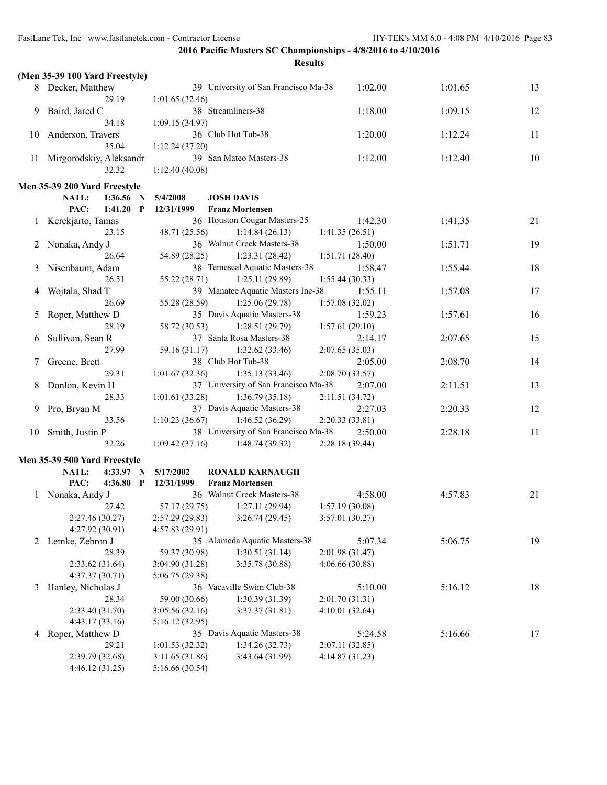| `SU lt\<br>۰ |
|--------------|
|--------------|

|    | (Men 35-39 100 Yard Freestyle)                       |                 |                                                        |                            |         |    |
|----|------------------------------------------------------|-----------------|--------------------------------------------------------|----------------------------|---------|----|
|    | 8 Decker, Matthew                                    |                 | 39 University of San Francisco Ma-38                   | 1:02.00                    | 1:01.65 | 13 |
|    | 29.19                                                | 1:01.65(32.46)  |                                                        |                            |         |    |
| 9  | Baird, Jared C                                       |                 | 38 Streamliners-38                                     | 1:18.00                    | 1:09.15 | 12 |
|    | 34.18                                                | 1:09.15(34.97)  |                                                        |                            |         |    |
| 10 | Anderson, Travers                                    |                 | 36 Club Hot Tub-38                                     | 1:20.00                    | 1:12.24 | 11 |
|    | 35.04                                                | 1:12.24(37.20)  |                                                        |                            |         |    |
| 11 | Mirgorodskiy, Aleksandr                              |                 | 39 San Mateo Masters-38                                | 1:12.00                    | 1:12.40 | 10 |
|    | 32.32                                                | 1:12.40(40.08)  |                                                        |                            |         |    |
|    |                                                      |                 |                                                        |                            |         |    |
|    | Men 35-39 200 Yard Freestyle<br>NATL:<br>$1:36.56$ N | 5/4/2008        | <b>JOSH DAVIS</b>                                      |                            |         |    |
|    | PAC:<br>1:41.20<br>$\mathbf{P}$                      | 12/31/1999      | <b>Franz Mortensen</b>                                 |                            |         |    |
|    | Kerekjarto, Tamas                                    |                 | 36 Houston Cougar Masters-25                           | 1:42.30                    | 1:41.35 | 21 |
|    | 23.15                                                | 48.71 (25.56)   | 1:14.84(26.13)                                         | 1:41.35(26.51)             |         |    |
| 2  | Nonaka, Andy J                                       |                 | 36 Walnut Creek Masters-38                             | 1:50.00                    | 1:51.71 | 19 |
|    | 26.64                                                | 54.89 (28.25)   | 1:23.31(28.42)                                         | 1:51.71(28.40)             |         |    |
| 3  | Nisenbaum, Adam                                      |                 | 38 Temescal Aquatic Masters-38                         | 1:58.47                    | 1:55.44 | 18 |
|    | 26.51                                                | 55.22 (28.71)   | 1:25.11(29.89)                                         |                            |         |    |
|    |                                                      |                 | 39 Manatee Aquatic Masters Inc-38                      | 1:55.44(30.33)             |         |    |
| 4  | Wojtala, Shad T<br>26.69                             | 55.28 (28.59)   | 1:25.06(29.78)                                         | 1:55.11                    | 1:57.08 | 17 |
|    |                                                      |                 | 35 Davis Aquatic Masters-38                            | 1:57.08(32.02)             | 1:57.61 |    |
| 5  | Roper, Matthew D<br>28.19                            |                 |                                                        | 1:59.23                    |         | 16 |
|    |                                                      | 58.72 (30.53)   | 1:28.51(29.79)<br>37 Santa Rosa Masters-38             | 1:57.61(29.10)             |         |    |
| 6  | Sullivan, Sean R<br>27.99                            |                 | 1:32.62(33.46)                                         | 2:14.17                    | 2:07.65 | 15 |
|    |                                                      | 59.16 (31.17)   | 38 Club Hot Tub-38                                     | 2:07.65(35.03)             |         |    |
|    | Greene, Brett                                        |                 |                                                        | 2:05.00                    | 2:08.70 | 14 |
|    | 29.31                                                | 1:01.67(32.36)  | 1:35.13(33.46)<br>37 University of San Francisco Ma-38 | 2:08.70(33.57)             |         |    |
| 8  | Donlon, Kevin H<br>28.33                             |                 |                                                        | 2:07.00                    | 2:11.51 | 13 |
|    |                                                      | 1:01.61(33.28)  | 1:36.79(35.18)<br>37 Davis Aquatic Masters-38          | 2:11.51(34.72)             |         |    |
| 9  | Pro, Bryan M<br>33.56                                |                 |                                                        | 2:27.03                    | 2:20.33 | 12 |
|    |                                                      | 1:10.23(36.67)  | 1:46.52(36.29)<br>38 University of San Francisco Ma-38 | 2:20.33(33.81)             | 2:28.18 |    |
| 10 | Smith, Justin P<br>32.26                             | 1:09.42(37.16)  | 1:48.74(39.32)                                         | 2:50.00<br>2:28.18 (39.44) |         | 11 |
|    |                                                      |                 |                                                        |                            |         |    |
|    | Men 35-39 500 Yard Freestyle                         |                 |                                                        |                            |         |    |
|    | NATL:<br>4:33.97 N                                   | 5/17/2002       | <b>RONALD KARNAUGH</b>                                 |                            |         |    |
|    | PAC:<br>4:36.80 P                                    | 12/31/1999      | <b>Franz Mortensen</b>                                 |                            |         |    |
|    | Nonaka, Andy J                                       |                 | 36 Walnut Creek Masters-38                             | 4:58.00                    | 4:57.83 | 21 |
|    | 27.42                                                | 57.17 (29.75)   | 1:27.11(29.94)                                         | 1:57.19(30.08)             |         |    |
|    | 2:27.46 (30.27)                                      | 2:57.29 (29.83) | 3:26.74(29.45)                                         | 3:57.01 (30.27)            |         |    |
|    | 4:27.92 (30.91)                                      | 4:57.83 (29.91) |                                                        |                            |         |    |
|    | 2 Lemke, Zebron J                                    |                 | 35 Alameda Aquatic Masters-38                          | 5:07.34                    | 5:06.75 | 19 |
|    | 28.39                                                | 59.37 (30.98)   | 1:30.51(31.14)                                         | 2:01.98(31.47)             |         |    |
|    | 2:33.62(31.64)                                       | 3:04.90 (31.28) | 3:35.78 (30.88)                                        | 4:06.66(30.88)             |         |    |
|    | 4:37.37 (30.71)                                      | 5:06.75 (29.38) |                                                        |                            |         |    |
| 3  | Hanley, Nicholas J                                   |                 | 36 Vacaville Swim Club-38                              | 5:10.00                    | 5:16.12 | 18 |
|    | 28.34                                                | 59.00 (30.66)   | 1:30.39(31.39)                                         | 2:01.70(31.31)             |         |    |
|    | 2:33.40 (31.70)                                      | 3:05.56(32.16)  | 3:37.37(31.81)                                         | 4:10.01(32.64)             |         |    |
|    | 4:43.17(33.16)                                       | 5:16.12 (32.95) |                                                        |                            |         |    |
| 4  | Roper, Matthew D                                     |                 | 35 Davis Aquatic Masters-38                            | 5:24.58                    | 5:16.66 | 17 |
|    | 29.21                                                | 1:01.53(32.32)  | 1:34.26(32.73)                                         | 2:07.11(32.85)             |         |    |
|    | 2:39.79 (32.68)                                      | 3:11.65 (31.86) | 3:43.64 (31.99)                                        | 4:14.87(31.23)             |         |    |
|    | 4:46.12(31.25)                                       | 5:16.66 (30.54) |                                                        |                            |         |    |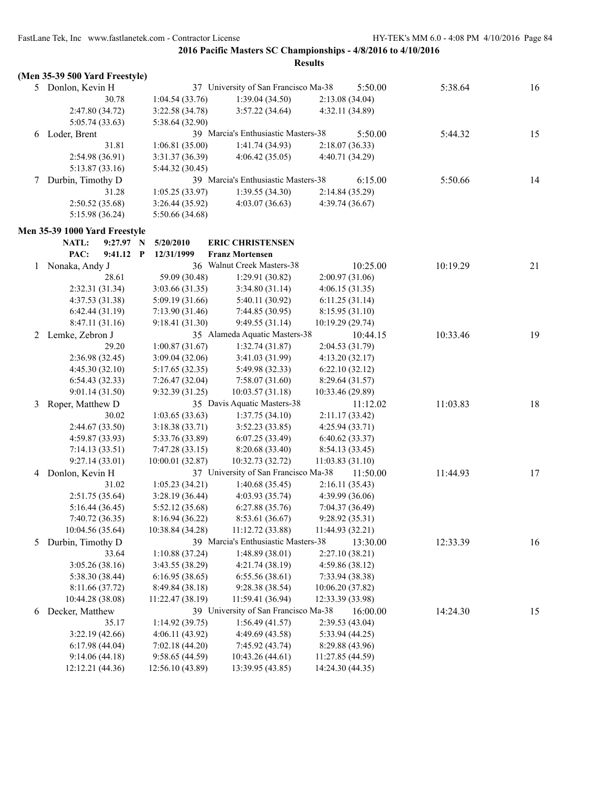|   | (Men 35-39 500 Yard Freestyle) |                                     |                                      |                            |          |    |
|---|--------------------------------|-------------------------------------|--------------------------------------|----------------------------|----------|----|
|   | 5 Donlon, Kevin H              |                                     | 37 University of San Francisco Ma-38 | 5:50.00                    | 5:38.64  | 16 |
|   | 30.78                          | 1:04.54(33.76)                      | 1:39.04(34.50)                       | 2:13.08(34.04)             |          |    |
|   | 2:47.80 (34.72)                | 3:22.58 (34.78)                     | 3:57.22(34.64)                       | 4:32.11 (34.89)            |          |    |
|   | 5:05.74(33.63)                 | 5:38.64 (32.90)                     |                                      |                            |          |    |
| 6 | Loder, Brent                   |                                     | 39 Marcia's Enthusiastic Masters-38  | 5:50.00                    | 5:44.32  | 15 |
|   | 31.81                          | 1:06.81(35.00)                      | 1:41.74(34.93)                       | 2:18.07(36.33)             |          |    |
|   | 2:54.98 (36.91)                | 3:31.37 (36.39)                     | 4:06.42(35.05)                       | 4:40.71 (34.29)            |          |    |
|   | 5:13.87 (33.16)                | 5:44.32 (30.45)                     |                                      |                            |          |    |
| 7 | Durbin, Timothy D              |                                     | 39 Marcia's Enthusiastic Masters-38  | 6:15.00                    | 5:50.66  | 14 |
|   | 31.28                          | 1:05.25(33.97)                      | 1:39.55(34.30)                       | 2:14.84 (35.29)            |          |    |
|   | 2:50.52(35.68)                 | 3:26.44 (35.92)                     | 4:03.07(36.63)                       | 4:39.74(36.67)             |          |    |
|   | 5:15.98 (36.24)                | 5:50.66 (34.68)                     |                                      |                            |          |    |
|   | Men 35-39 1000 Yard Freestyle  |                                     |                                      |                            |          |    |
|   | NATL:<br>9:27.97<br>N          | 5/20/2010                           | <b>ERIC CHRISTENSEN</b>              |                            |          |    |
|   | PAC:<br>$9:41.12$ P            | 12/31/1999                          | <b>Franz Mortensen</b>               |                            |          |    |
| 1 | Nonaka, Andy J                 |                                     | 36 Walnut Creek Masters-38           | 10:25.00                   | 10:19.29 | 21 |
|   | 28.61                          | 59.09 (30.48)                       | 1:29.91(30.82)                       | 2:00.97 (31.06)            |          |    |
|   | 2:32.31 (31.34)                | 3:03.66 (31.35)                     | 3:34.80(31.14)                       | 4:06.15(31.35)             |          |    |
|   | 4:37.53(31.38)                 | 5:09.19 (31.66)                     | 5:40.11 (30.92)                      | 6:11.25(31.14)             |          |    |
|   | 6:42.44(31.19)                 | 7:13.90(31.46)                      | 7:44.85(30.95)                       | 8:15.95(31.10)             |          |    |
|   | 8:47.11(31.16)                 | 9:18.41 (31.30)                     | 9:49.55(31.14)                       | 10:19.29(29.74)            |          |    |
| 2 | Lemke, Zebron J                |                                     | 35 Alameda Aquatic Masters-38        | 10:44.15                   | 10:33.46 | 19 |
|   | 29.20                          | 1:00.87(31.67)                      | 1:32.74(31.87)                       | 2:04.53 (31.79)            |          |    |
|   | 2:36.98(32.45)                 | 3:09.04(32.06)                      | 3:41.03 (31.99)                      | 4:13.20(32.17)             |          |    |
|   | 4:45.30(32.10)                 | 5:17.65 (32.35)                     | 5:49.98 (32.33)                      | 6:22.10(32.12)             |          |    |
|   | 6:54.43(32.33)                 | 7:26.47 (32.04)                     | 7:58.07(31.60)                       | 8:29.64(31.57)             |          |    |
|   | 9:01.14(31.50)                 | 9:32.39 (31.25)                     | 10:03.57(31.18)                      | 10:33.46 (29.89)           |          |    |
| 3 | Roper, Matthew D               |                                     | 35 Davis Aquatic Masters-38          | 11:12.02                   | 11:03.83 | 18 |
|   | 30.02                          | 1:03.65(33.63)                      | 1:37.75(34.10)                       | 2:11.17(33.42)             |          |    |
|   | 2:44.67 (33.50)                | 3:18.38(33.71)                      | 3:52.23(33.85)                       | 4:25.94(33.71)             |          |    |
|   | 4:59.87 (33.93)                | 5:33.76 (33.89)                     | 6:07.25 (33.49)                      | 6:40.62 (33.37)            |          |    |
|   | 7:14.13(33.51)                 | 7:47.28 (33.15)                     | 8:20.68 (33.40)                      | 8:54.13 (33.45)            |          |    |
|   | 9:27.14(33.01)                 | 10:00.01(32.87)                     | 10:32.73 (32.72)                     | 11:03.83(31.10)            |          |    |
| 4 | Donlon, Kevin H                |                                     | 37 University of San Francisco Ma-38 | 11:50.00                   | 11:44.93 | 17 |
|   | 31.02                          | 1:05.23(34.21)                      | 1:40.68(35.45)                       | 2:16.11(35.43)             |          |    |
|   | 2:51.75(35.64)                 | 3:28.19(36.44)                      | 4:03.93(35.74)                       | 4:39.99(36.06)             |          |    |
|   | 5:16.44(36.45)                 | 5:52.12 (35.68)                     | 6:27.88(35.76)                       | 7:04.37 (36.49)            |          |    |
|   | 7:40.72 (36.35)                | 8:16.94 (36.22)                     | 8:53.61 (36.67)                      | 9:28.92 (35.31)            |          |    |
|   | 10:04.56 (35.64)               | 10:38.84 (34.28)                    | 11:12.72 (33.88)                     | 11:44.93 (32.21)           |          |    |
| 5 | Durbin, Timothy D              |                                     | 39 Marcia's Enthusiastic Masters-38  | 13:30.00                   | 12:33.39 | 16 |
|   | 33.64                          | 1:10.88(37.24)                      | 1:48.89(38.01)                       | 2:27.10(38.21)             |          |    |
|   | 3:05.26(38.16)                 | 3:43.55 (38.29)                     | 4:21.74(38.19)                       | 4:59.86 (38.12)            |          |    |
|   | 5:38.30 (38.44)                | 6:16.95(38.65)                      | 6:55.56(38.61)                       | 7:33.94 (38.38)            |          |    |
|   | 8:11.66 (37.72)                | 8:49.84 (38.18)<br>11:22.47 (38.19) | 9:28.38 (38.54)<br>11:59.41 (36.94)  | 10:06.20 (37.82)           |          |    |
|   | 10:44.28 (38.08)               |                                     | 39 University of San Francisco Ma-38 | 12:33.39 (33.98)           |          |    |
| 6 | Decker, Matthew<br>35.17       | 1:14.92 (39.75)                     | 1:56.49(41.57)                       | 16:00.00<br>2:39.53(43.04) | 14:24.30 | 15 |
|   | 3:22.19(42.66)                 | 4:06.11(43.92)                      | 4:49.69 (43.58)                      | 5:33.94(44.25)             |          |    |
|   | 6:17.98(44.04)                 | 7:02.18(44.20)                      | 7:45.92 (43.74)                      | 8:29.88 (43.96)            |          |    |
|   | 9:14.06(44.18)                 | 9:58.65 (44.59)                     | 10:43.26 (44.61)                     | 11:27.85 (44.59)           |          |    |
|   | 12:12.21 (44.36)               | 12:56.10 (43.89)                    | 13:39.95 (43.85)                     | 14:24.30 (44.35)           |          |    |
|   |                                |                                     |                                      |                            |          |    |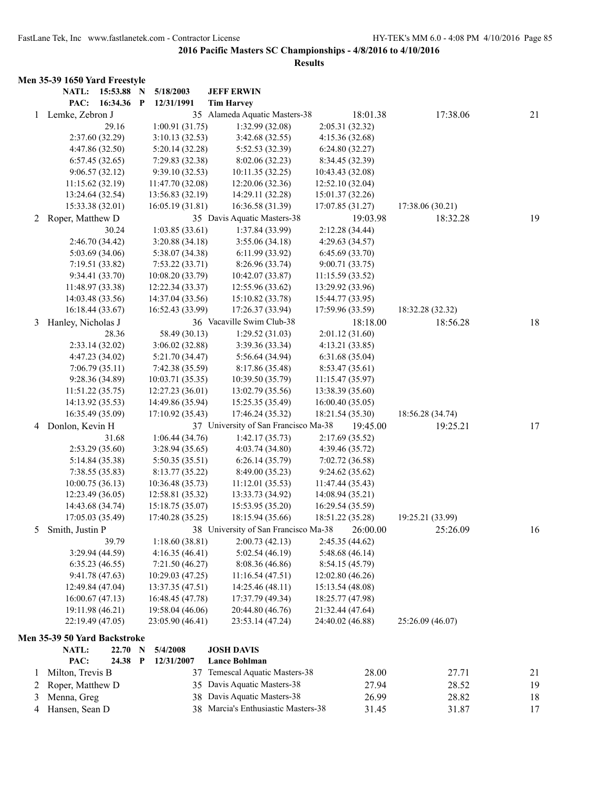|                | Men 35-39 1650 Yard Freestyle     |                                  |                                      |                                    |                  |    |
|----------------|-----------------------------------|----------------------------------|--------------------------------------|------------------------------------|------------------|----|
|                | NATL: 15:53.88 N                  | 5/18/2003                        | <b>JEFF ERWIN</b>                    |                                    |                  |    |
|                | PAC:<br>16:34.36 P                | 12/31/1991                       | <b>Tim Harvey</b>                    |                                    |                  |    |
|                | 1 Lemke, Zebron J                 |                                  | 35 Alameda Aquatic Masters-38        | 18:01.38                           | 17:38.06         | 21 |
|                | 29.16                             | 1:00.91(31.75)                   | 1:32.99 (32.08)                      | 2:05.31(32.32)                     |                  |    |
|                | 2:37.60 (32.29)                   | 3:10.13(32.53)                   | 3:42.68(32.55)                       | 4:15.36(32.68)                     |                  |    |
|                | 4:47.86 (32.50)                   | 5:20.14(32.28)                   | 5:52.53 (32.39)                      | 6:24.80(32.27)                     |                  |    |
|                | 6:57.45(32.65)                    | 7:29.83 (32.38)                  | 8:02.06(32.23)                       | 8:34.45 (32.39)                    |                  |    |
|                | 9:06.57(32.12)                    | 9:39.10(32.53)                   | 10:11.35 (32.25)                     | 10:43.43 (32.08)                   |                  |    |
|                | 11:15.62 (32.19)                  | 11:47.70 (32.08)                 | 12:20.06 (32.36)                     | 12:52.10 (32.04)                   |                  |    |
|                | 13:24.64 (32.54)                  | 13:56.83 (32.19)                 | 14:29.11 (32.28)                     | 15:01.37 (32.26)                   |                  |    |
|                | 15:33.38 (32.01)                  | 16:05.19(31.81)                  | 16:36.58 (31.39)                     | 17:07.85 (31.27)                   | 17:38.06 (30.21) |    |
| $\overline{2}$ | Roper, Matthew D                  |                                  | 35 Davis Aquatic Masters-38          | 19:03.98                           | 18:32.28         | 19 |
|                | 30.24                             | 1:03.85(33.61)                   | 1:37.84 (33.99)                      | 2:12.28 (34.44)                    |                  |    |
|                | 2:46.70 (34.42)                   | 3:20.88(34.18)                   | 3:55.06 (34.18)                      | 4:29.63 (34.57)                    |                  |    |
|                | 5:03.69 (34.06)                   | 5:38.07 (34.38)                  | 6:11.99(33.92)                       | 6:45.69(33.70)                     |                  |    |
|                | 7:19.51 (33.82)                   | 7:53.22(33.71)                   | 8:26.96 (33.74)                      | 9:00.71(33.75)                     |                  |    |
|                | 9:34.41 (33.70)                   | 10:08.20 (33.79)                 | 10:42.07 (33.87)                     | 11:15.59 (33.52)                   |                  |    |
|                | 11:48.97 (33.38)                  | 12:22.34 (33.37)                 | 12:55.96 (33.62)                     | 13:29.92 (33.96)                   |                  |    |
|                | 14:03.48 (33.56)                  | 14:37.04 (33.56)                 | 15:10.82 (33.78)                     | 15:44.77 (33.95)                   |                  |    |
|                | 16:18.44 (33.67)                  | 16:52.43 (33.99)                 | 17:26.37 (33.94)                     | 17:59.96 (33.59)                   | 18:32.28 (32.32) |    |
| 3              | Hanley, Nicholas J                |                                  | 36 Vacaville Swim Club-38            | 18:18.00                           | 18:56.28         | 18 |
|                | 28.36                             | 58.49 (30.13)                    | 1:29.52(31.03)                       | 2:01.12(31.60)                     |                  |    |
|                | 2:33.14(32.02)                    | 3:06.02(32.88)                   | 3:39.36(33.34)                       | 4:13.21(33.85)                     |                  |    |
|                | 4:47.23 (34.02)                   | 5:21.70 (34.47)                  | 5:56.64(34.94)                       | 6:31.68(35.04)                     |                  |    |
|                | 7:06.79(35.11)                    | 7:42.38(35.59)                   | 8:17.86 (35.48)                      | 8:53.47(35.61)                     |                  |    |
|                | 9:28.36 (34.89)                   | 10:03.71(35.35)                  | 10:39.50 (35.79)                     | 11:15.47 (35.97)                   |                  |    |
|                | 11:51.22(35.75)                   | 12:27.23 (36.01)                 | 13:02.79 (35.56)                     | 13:38.39 (35.60)                   |                  |    |
|                | 14:13.92 (35.53)                  | 14:49.86 (35.94)                 | 15:25.35 (35.49)                     | 16:00.40(35.05)                    |                  |    |
|                | 16:35.49 (35.09)                  | 17:10.92 (35.43)                 | 17:46.24 (35.32)                     | 18:21.54 (35.30)                   | 18:56.28 (34.74) |    |
|                | 4 Donlon, Kevin H                 |                                  | 37 University of San Francisco Ma-38 | 19:45.00                           | 19:25.21         | 17 |
|                | 31.68                             | 1:06.44(34.76)                   | 1:42.17(35.73)                       | 2:17.69(35.52)                     |                  |    |
|                | 2:53.29(35.60)                    | 3:28.94(35.65)                   | 4:03.74(34.80)                       | 4:39.46 (35.72)                    |                  |    |
|                | 5:14.84 (35.38)<br>7:38.55(35.83) | 5:50.35(35.51)<br>8:13.77(35.22) | 6:26.14(35.79)<br>8:49.00 (35.23)    | 7:02.72 (36.58)                    |                  |    |
|                | 10:00.75(36.13)                   | 10:36.48 (35.73)                 | 11:12.01(35.53)                      | 9:24.62(35.62)<br>11:47.44 (35.43) |                  |    |
|                | 12:23.49 (36.05)                  | 12:58.81 (35.32)                 | 13:33.73 (34.92)                     | 14:08.94 (35.21)                   |                  |    |
|                | 14:43.68 (34.74)                  | 15:18.75 (35.07)                 | 15:53.95 (35.20)                     | 16:29.54 (35.59)                   |                  |    |
|                | 17:05.03 (35.49)                  | 17:40.28 (35.25)                 | 18:15.94 (35.66)                     | 18:51.22 (35.28)                   | 19:25.21 (33.99) |    |
| 5              | Smith, Justin P                   |                                  | 38 University of San Francisco Ma-38 | 26:00.00                           | 25:26.09         | 16 |
|                | 39.79                             | 1:18.60(38.81)                   | 2:00.73(42.13)                       | 2:45.35 (44.62)                    |                  |    |
|                | 3:29.94 (44.59)                   | 4:16.35(46.41)                   | 5:02.54(46.19)                       | 5:48.68(46.14)                     |                  |    |
|                | 6:35.23(46.55)                    | 7:21.50(46.27)                   | 8:08.36(46.86)                       | 8:54.15(45.79)                     |                  |    |
|                | 9:41.78(47.63)                    | 10:29.03(47.25)                  | 11:16.54(47.51)                      | 12:02.80(46.26)                    |                  |    |
|                | 12:49.84 (47.04)                  | 13:37.35 (47.51)                 | 14:25.46 (48.11)                     | 15:13.54 (48.08)                   |                  |    |
|                | 16:00.67(47.13)                   | 16:48.45 (47.78)                 | 17:37.79 (49.34)                     | 18:25.77 (47.98)                   |                  |    |
|                | 19:11.98 (46.21)                  | 19:58.04 (46.06)                 | 20:44.80 (46.76)                     | 21:32.44 (47.64)                   |                  |    |
|                | 22:19.49 (47.05)                  | 23:05.90 (46.41)                 | 23:53.14 (47.24)                     | 24:40.02 (46.88)                   | 25:26.09 (46.07) |    |
|                | Men 35-39 50 Yard Backstroke      |                                  |                                      |                                    |                  |    |
|                | NATL:<br>22.70                    | 5/4/2008<br>$\mathbf N$          | <b>JOSH DAVIS</b>                    |                                    |                  |    |
|                | PAC:<br>24.38 P                   | 12/31/2007                       | <b>Lance Bohlman</b>                 |                                    |                  |    |
| 1              | Milton, Trevis B                  | 37                               | Temescal Aquatic Masters-38          | 28.00                              | 27.71            | 21 |
| 2              | Roper, Matthew D                  | 35                               | Davis Aquatic Masters-38             | 27.94                              | 28.52            | 19 |
| 3              | Menna, Greg                       | 38                               | Davis Aquatic Masters-38             | 26.99                              | 28.82            | 18 |
| 4              | Hansen, Sean D                    |                                  | 38 Marcia's Enthusiastic Masters-38  | 31.45                              | 31.87            | 17 |
|                |                                   |                                  |                                      |                                    |                  |    |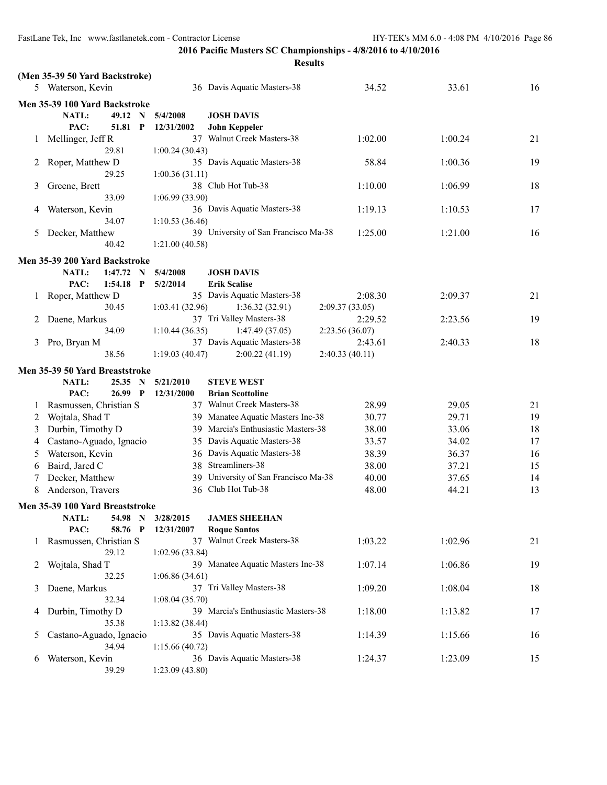|                         |                                 |                  |                      | <b>Results</b>                           |                |         |    |
|-------------------------|---------------------------------|------------------|----------------------|------------------------------------------|----------------|---------|----|
|                         | (Men 35-39 50 Yard Backstroke)  |                  |                      |                                          |                |         |    |
|                         | 5 Waterson, Kevin               |                  |                      | 36 Davis Aquatic Masters-38              | 34.52          | 33.61   | 16 |
|                         | Men 35-39 100 Yard Backstroke   |                  |                      |                                          |                |         |    |
|                         | NATL:                           | 49.12<br>N       | 5/4/2008             | <b>JOSH DAVIS</b>                        |                |         |    |
|                         | PAC:                            | 51.81<br>P       | 12/31/2002           | <b>John Keppeler</b>                     |                |         |    |
| 1                       | Mellinger, Jeff R               |                  |                      | 37 Walnut Creek Masters-38               | 1:02.00        | 1:00.24 | 21 |
|                         | 29.81                           |                  | 1:00.24(30.43)       |                                          |                |         |    |
| 2                       | Roper, Matthew D                |                  |                      | 35 Davis Aquatic Masters-38              | 58.84          | 1:00.36 | 19 |
|                         | 29.25                           |                  | 1:00.36(31.11)       |                                          |                |         |    |
| 3                       | Greene, Brett                   |                  |                      | 38 Club Hot Tub-38                       | 1:10.00        | 1:06.99 | 18 |
|                         | 33.09                           |                  | 1:06.99 (33.90)      |                                          |                |         |    |
| 4                       | Waterson, Kevin<br>34.07        |                  |                      | 36 Davis Aquatic Masters-38              | 1:19.13        | 1:10.53 | 17 |
| 5                       | Decker, Matthew                 |                  | 1:10.53(36.46)       | 39 University of San Francisco Ma-38     | 1:25.00        | 1:21.00 | 16 |
|                         | 40.42                           |                  | 1:21.00(40.58)       |                                          |                |         |    |
|                         |                                 |                  |                      |                                          |                |         |    |
|                         | Men 35-39 200 Yard Backstroke   |                  |                      |                                          |                |         |    |
|                         | <b>NATL:</b><br>1:47.72<br>PAC: | N<br>$1:54.18$ P | 5/4/2008<br>5/2/2014 | <b>JOSH DAVIS</b><br><b>Erik Scalise</b> |                |         |    |
| 1                       | Roper, Matthew D                |                  |                      | 35 Davis Aquatic Masters-38              | 2:08.30        | 2:09.37 | 21 |
|                         | 30.45                           |                  | 1:03.41(32.96)       | 1:36.32(32.91)                           | 2:09.37(33.05) |         |    |
| 2                       | Daene, Markus                   |                  |                      | 37 Tri Valley Masters-38                 | 2:29.52        | 2:23.56 | 19 |
|                         | 34.09                           |                  | 1:10.44(36.35)       | 1:47.49(37.05)                           | 2:23.56(36.07) |         |    |
| 3                       | Pro, Bryan M                    |                  |                      | 37 Davis Aquatic Masters-38              | 2:43.61        | 2:40.33 | 18 |
|                         | 38.56                           |                  | 1:19.03(40.47)       | 2:00.22(41.19)                           | 2:40.33(40.11) |         |    |
|                         | Men 35-39 50 Yard Breaststroke  |                  |                      |                                          |                |         |    |
|                         | NATL:                           | 25.35<br>N       | 5/21/2010            | <b>STEVE WEST</b>                        |                |         |    |
|                         | PAC:                            | 26.99 P          | 12/31/2000           | <b>Brian Scottoline</b>                  |                |         |    |
| 1                       | Rasmussen, Christian S          |                  |                      | 37 Walnut Creek Masters-38               | 28.99          | 29.05   | 21 |
| $\overline{\mathbf{c}}$ | Wojtala, Shad T                 |                  |                      | 39 Manatee Aquatic Masters Inc-38        | 30.77          | 29.71   | 19 |
| 3                       | Durbin, Timothy D               |                  | 39                   | Marcia's Enthusiastic Masters-38         | 38.00          | 33.06   | 18 |
| 4                       | Castano-Aguado, Ignacio         |                  | 35                   | Davis Aquatic Masters-38                 | 33.57          | 34.02   | 17 |
| 5                       | Waterson, Kevin                 |                  | 36                   | Davis Aquatic Masters-38                 | 38.39          | 36.37   | 16 |
| 6                       | Baird, Jared C                  |                  |                      | 38 Streamliners-38                       | 38.00          | 37.21   | 15 |
| 7                       | Decker, Matthew                 |                  |                      | 39 University of San Francisco Ma-38     | 40.00          | 37.65   | 14 |
| 8                       | Anderson, Travers               |                  |                      | 36 Club Hot Tub-38                       | 48.00          | 44.21   | 13 |
|                         | Men 35-39 100 Yard Breaststroke |                  |                      |                                          |                |         |    |
|                         | NATL:                           | 54.98 N          | 3/28/2015            | <b>JAMES SHEEHAN</b>                     |                |         |    |
|                         | PAC:                            | 58.76 P          | 12/31/2007           | <b>Roque Santos</b>                      |                |         |    |
| 1                       | Rasmussen, Christian S          |                  |                      | 37 Walnut Creek Masters-38               | 1:03.22        | 1:02.96 | 21 |
|                         | 29.12                           |                  | 1:02.96(33.84)       |                                          |                |         |    |
| 2                       | Wojtala, Shad T                 |                  |                      | 39 Manatee Aquatic Masters Inc-38        | 1:07.14        | 1:06.86 | 19 |
|                         | 32.25                           |                  | 1:06.86(34.61)       |                                          |                |         |    |
| 3                       | Daene, Markus                   |                  |                      | 37 Tri Valley Masters-38                 | 1:09.20        | 1:08.04 | 18 |
|                         | 32.34                           |                  | 1:08.04(35.70)       | 39 Marcia's Enthusiastic Masters-38      | 1:18.00        |         |    |
| 4                       | Durbin, Timothy D<br>35.38      |                  |                      |                                          |                | 1:13.82 | 17 |
| 5                       | Castano-Aguado, Ignacio         |                  | 1:13.82(38.44)       | 35 Davis Aquatic Masters-38              | 1:14.39        | 1:15.66 | 16 |
|                         | 34.94                           |                  | 1:15.66(40.72)       |                                          |                |         |    |
| 6                       | Waterson, Kevin                 |                  |                      | 36 Davis Aquatic Masters-38              | 1:24.37        | 1:23.09 | 15 |
|                         | 39.29                           |                  | 1:23.09(43.80)       |                                          |                |         |    |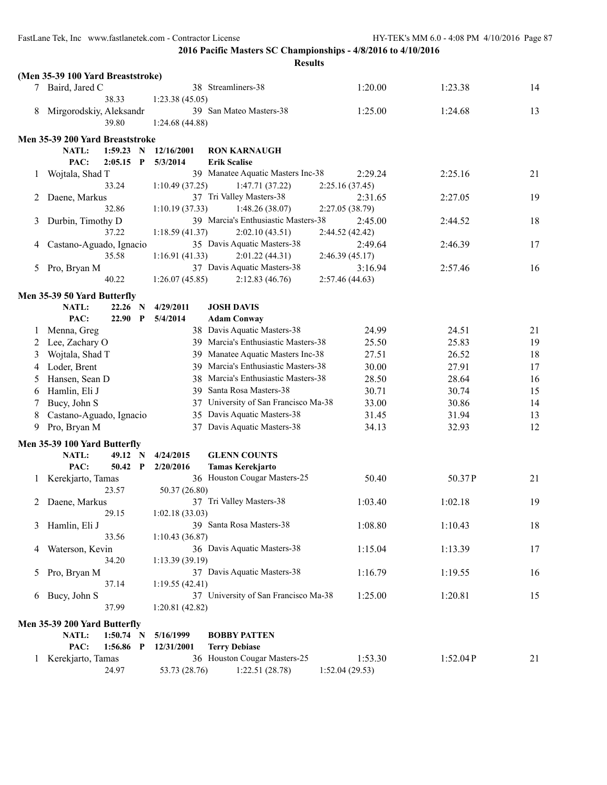|   | (Men 35-39 100 Yard Breaststroke) |                  |             |                       |                                                                    |                 |          |    |
|---|-----------------------------------|------------------|-------------|-----------------------|--------------------------------------------------------------------|-----------------|----------|----|
|   | 7 Baird, Jared C                  |                  |             |                       | 38 Streamliners-38                                                 | 1:20.00         | 1:23.38  | 14 |
|   |                                   | 38.33            |             | 1:23.38(45.05)        |                                                                    |                 |          |    |
| 8 | Mirgorodskiy, Aleksandr           |                  |             |                       | 39 San Mateo Masters-38                                            | 1:25.00         | 1:24.68  | 13 |
|   |                                   | 39.80            |             | 1:24.68(44.88)        |                                                                    |                 |          |    |
|   | Men 35-39 200 Yard Breaststroke   |                  |             |                       |                                                                    |                 |          |    |
|   | NATL:                             | 1:59.23          | N           | 12/16/2001            | <b>RON KARNAUGH</b>                                                |                 |          |    |
|   | PAC:                              | 2:05.15          | $\mathbf P$ | 5/3/2014              | <b>Erik Scalise</b>                                                |                 |          |    |
| 1 | Wojtala, Shad T                   |                  |             |                       | 39 Manatee Aquatic Masters Inc-38                                  | 2:29.24         | 2:25.16  | 21 |
|   |                                   | 33.24            |             | 1:10.49(37.25)        | 1:47.71(37.22)                                                     | 2:25.16(37.45)  |          |    |
| 2 | Daene, Markus                     |                  |             |                       | 37 Tri Valley Masters-38                                           | 2:31.65         | 2:27.05  | 19 |
|   |                                   | 32.86            |             | 1:10.19(37.33)        | 1:48.26(38.07)                                                     | 2:27.05 (38.79) |          |    |
| 3 | Durbin, Timothy D                 |                  |             |                       | 39 Marcia's Enthusiastic Masters-38                                | 2:45.00         | 2:44.52  | 18 |
|   |                                   | 37.22            |             | 1:18.59(41.37)        | 2:02.10(43.51)                                                     | 2:44.52 (42.42) |          |    |
| 4 | Castano-Aguado, Ignacio           |                  |             |                       | 35 Davis Aquatic Masters-38                                        | 2:49.64         | 2:46.39  | 17 |
|   |                                   | 35.58            |             | 1:16.91(41.33)        | 2:01.22(44.31)                                                     | 2:46.39(45.17)  |          |    |
| 5 | Pro, Bryan M                      |                  |             |                       | 37 Davis Aquatic Masters-38                                        | 3:16.94         | 2:57.46  | 16 |
|   |                                   | 40.22            |             | 1:26.07(45.85)        | 2:12.83(46.76)                                                     | 2:57.46(44.63)  |          |    |
|   |                                   |                  |             |                       |                                                                    |                 |          |    |
|   | Men 35-39 50 Yard Butterfly       |                  |             |                       |                                                                    |                 |          |    |
|   | NATL:<br>PAC:                     | 22.26<br>22.90 P | N           | 4/29/2011<br>5/4/2014 | <b>JOSH DAVIS</b>                                                  |                 |          |    |
|   |                                   |                  |             |                       | <b>Adam Conway</b>                                                 |                 |          |    |
| 1 | Menna, Greg                       |                  |             |                       | 38 Davis Aquatic Masters-38<br>39 Marcia's Enthusiastic Masters-38 | 24.99           | 24.51    | 21 |
| 2 | Lee, Zachary O                    |                  |             |                       |                                                                    | 25.50           | 25.83    | 19 |
| 3 | Wojtala, Shad T                   |                  |             | 39                    | Manatee Aquatic Masters Inc-38                                     | 27.51           | 26.52    | 18 |
| 4 | Loder, Brent                      |                  |             | 39                    | Marcia's Enthusiastic Masters-38                                   | 30.00           | 27.91    | 17 |
| 5 | Hansen, Sean D                    |                  |             | 38                    | Marcia's Enthusiastic Masters-38                                   | 28.50           | 28.64    | 16 |
| 6 | Hamlin, Eli J                     |                  |             | 39                    | Santa Rosa Masters-38                                              | 30.71           | 30.74    | 15 |
| 7 | Bucy, John S                      |                  |             | 37                    | University of San Francisco Ma-38                                  | 33.00           | 30.86    | 14 |
| 8 | Castano-Aguado, Ignacio           |                  |             | 35                    | Davis Aquatic Masters-38                                           | 31.45           | 31.94    | 13 |
| 9 | Pro, Bryan M                      |                  |             | 37                    | Davis Aquatic Masters-38                                           | 34.13           | 32.93    | 12 |
|   | Men 35-39 100 Yard Butterfly      |                  |             |                       |                                                                    |                 |          |    |
|   | NATL:                             | 49.12 N          |             | 4/24/2015             | <b>GLENN COUNTS</b>                                                |                 |          |    |
|   | PAC:                              | 50.42 P          |             | 2/20/2016             | <b>Tamas Kerekjarto</b>                                            |                 |          |    |
| 1 | Kerekjarto, Tamas                 |                  |             |                       | 36 Houston Cougar Masters-25                                       | 50.40           | 50.37P   | 21 |
|   |                                   | 23.57            |             | 50.37 (26.80)         |                                                                    |                 |          |    |
| 2 | Daene, Markus                     |                  |             |                       | 37 Tri Valley Masters-38                                           | 1:03.40         | 1:02.18  | 19 |
|   |                                   | 29.15            |             | 1:02.18(33.03)        |                                                                    |                 |          |    |
| 3 | Hamlin, Eli J                     |                  |             |                       | 39 Santa Rosa Masters-38                                           | 1:08.80         | 1:10.43  | 18 |
|   |                                   | 33.56            |             | 1:10.43(36.87)        |                                                                    |                 |          |    |
| 4 | Waterson, Kevin                   |                  |             |                       | 36 Davis Aquatic Masters-38                                        | 1:15.04         | 1:13.39  | 17 |
|   |                                   | 34.20            |             | 1:13.39(39.19)        |                                                                    |                 |          |    |
| 5 | Pro, Bryan M                      |                  |             |                       | 37 Davis Aquatic Masters-38                                        | 1:16.79         | 1:19.55  | 16 |
|   |                                   | 37.14            |             | 1:19.55(42.41)        |                                                                    |                 |          |    |
| 6 | Bucy, John S                      |                  |             |                       | 37 University of San Francisco Ma-38                               | 1:25.00         | 1:20.81  | 15 |
|   |                                   | 37.99            |             | 1:20.81(42.82)        |                                                                    |                 |          |    |
|   | Men 35-39 200 Yard Butterfly      |                  |             |                       |                                                                    |                 |          |    |
|   | NATL:                             | $1:50.74$ N      |             | 5/16/1999             | <b>BOBBY PATTEN</b>                                                |                 |          |    |
|   | PAC:                              | 1:56.86 P        |             | 12/31/2001            | <b>Terry Debiase</b>                                               |                 |          |    |
|   | 1 Kerekjarto, Tamas               |                  |             |                       | 36 Houston Cougar Masters-25                                       | 1:53.30         | 1:52.04P | 21 |
|   |                                   | 24.97            |             | 53.73 (28.76)         | 1:22.51(28.78)                                                     | 1:52.04 (29.53) |          |    |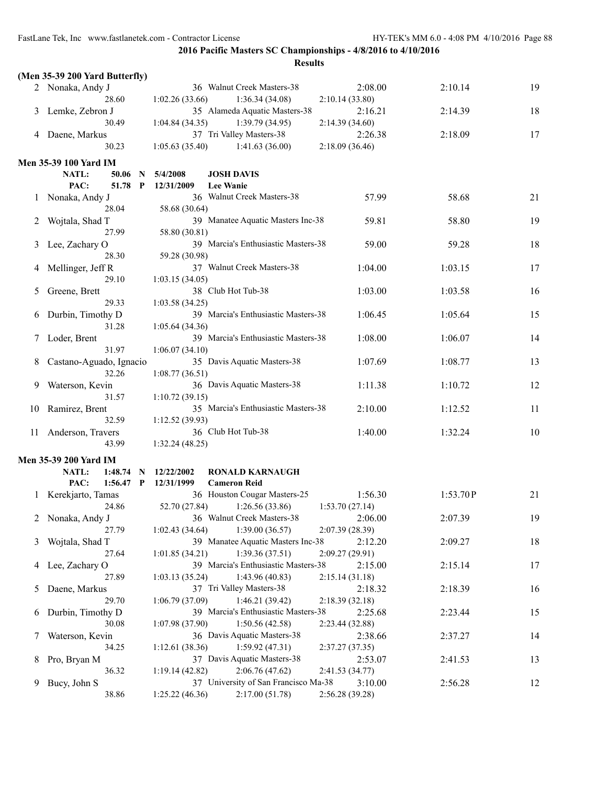FastLane Tek, Inc www.fastlanetek.com - Contractor License HY-TEK's MM 6.0 - 4:08 PM 4/10/2016 Page 88

**2016 Pacific Masters SC Championships - 4/8/2016 to 4/10/2016**

|    | (Men 35-39 200 Yard Butterfly) |                                                            |    |
|----|--------------------------------|------------------------------------------------------------|----|
|    | 2 Nonaka, Andy J               | 36 Walnut Creek Masters-38<br>2:08.00<br>2:10.14           | 19 |
|    | 28.60                          | 1:36.34(34.08)<br>1:02.26(33.66)<br>2:10.14(33.80)         |    |
| 3  | Lemke, Zebron J                | 35 Alameda Aquatic Masters-38<br>2:16.21<br>2:14.39        | 18 |
|    | 30.49                          | 1:04.84(34.35)<br>1:39.79(34.95)<br>2:14.39 (34.60)        |    |
| 4  | Daene, Markus                  | 37 Tri Valley Masters-38<br>2:26.38<br>2:18.09             | 17 |
|    | 30.23                          | 1:41.63(36.00)<br>2:18.09(36.46)<br>1:05.63(35.40)         |    |
|    |                                |                                                            |    |
|    | <b>Men 35-39 100 Yard IM</b>   |                                                            |    |
|    | NATL:<br>50.06<br>- N          | 5/4/2008<br><b>JOSH DAVIS</b>                              |    |
|    | PAC:<br>51.78 P                | <b>Lee Wanie</b><br>12/31/2009                             |    |
|    | Nonaka, Andy J                 | 36 Walnut Creek Masters-38<br>57.99<br>58.68               | 21 |
|    | 28.04                          | 58.68 (30.64)                                              |    |
| 2  | Wojtala, Shad T                | 39 Manatee Aquatic Masters Inc-38<br>59.81<br>58.80        | 19 |
|    | 27.99                          | 58.80 (30.81)                                              |    |
| 3  | Lee, Zachary O                 | 39 Marcia's Enthusiastic Masters-38<br>59.00<br>59.28      | 18 |
|    | 28.30                          | 59.28 (30.98)                                              |    |
| 4  | Mellinger, Jeff R              | 37 Walnut Creek Masters-38<br>1:04.00<br>1:03.15           | 17 |
|    | 29.10                          | 1:03.15(34.05)                                             |    |
| 5  | Greene, Brett                  | 38 Club Hot Tub-38<br>1:03.00<br>1:03.58                   | 16 |
|    | 29.33                          | 1:03.58(34.25)                                             |    |
| 6  | Durbin, Timothy D              | 39 Marcia's Enthusiastic Masters-38<br>1:06.45<br>1:05.64  | 15 |
|    | 31.28                          | 1:05.64(34.36)                                             |    |
|    | Loder, Brent                   | 39 Marcia's Enthusiastic Masters-38<br>1:08.00<br>1:06.07  | 14 |
|    | 31.97                          | 1:06.07(34.10)                                             |    |
| 8  | Castano-Aguado, Ignacio        | 35 Davis Aquatic Masters-38<br>1:07.69<br>1:08.77          | 13 |
|    | 32.26                          | 1:08.77(36.51)                                             |    |
| 9  | Waterson, Kevin                | 36 Davis Aquatic Masters-38<br>1:11.38<br>1:10.72          | 12 |
|    | 31.57                          | 1:10.72(39.15)                                             |    |
| 10 | Ramirez, Brent                 | 35 Marcia's Enthusiastic Masters-38<br>2:10.00<br>1:12.52  | 11 |
|    | 32.59                          | 1:12.52(39.93)                                             |    |
| 11 | Anderson, Travers              | 36 Club Hot Tub-38<br>1:40.00<br>1:32.24                   | 10 |
|    | 43.99                          | 1:32.24(48.25)                                             |    |
|    |                                |                                                            |    |
|    | <b>Men 35-39 200 Yard IM</b>   |                                                            |    |
|    | NATL:<br>1:48.74<br>- N        | 12/22/2002<br><b>RONALD KARNAUGH</b>                       |    |
|    | PAC:<br>$1:56.47$ P            | 12/31/1999<br><b>Cameron Reid</b>                          |    |
|    | Kerekjarto, Tamas              | 36 Houston Cougar Masters-25<br>1:56.30<br>1:53.70P        | 21 |
|    | 24.86                          | 1:26.56(33.86)<br>52.70 (27.84)<br>1:53.70(27.14)          |    |
|    | 2 Nonaka, Andy J               | 36 Walnut Creek Masters-38<br>2:06.00<br>2:07.39           | 19 |
|    | 27.79                          | 1:39.00(36.57)<br>1:02.43(34.64)<br>2:07.39(28.39)         |    |
| 3  | Wojtala, Shad T                | 39 Manatee Aquatic Masters Inc-38<br>2:12.20<br>2:09.27    | 18 |
|    | 27.64                          | 1:39.36(37.51)<br>2:09.27(29.91)<br>1:01.85(34.21)         |    |
| 4  | Lee, Zachary O                 | 39 Marcia's Enthusiastic Masters-38<br>2:15.00<br>2:15.14  | 17 |
|    | 27.89                          | 1:43.96(40.83)<br>2:15.14(31.18)<br>1:03.13(35.24)         |    |
| 5  | Daene, Markus                  | 37 Tri Valley Masters-38<br>2:18.39<br>2:18.32             | 16 |
|    | 29.70                          | 1:06.79(37.09)<br>1:46.21(39.42)<br>2:18.39(32.18)         |    |
| 6  | Durbin, Timothy D              | 39 Marcia's Enthusiastic Masters-38<br>2:25.68<br>2:23.44  | 15 |
|    | 30.08                          | 1:50.56(42.58)<br>1:07.98(37.90)<br>2:23.44 (32.88)        |    |
| 7  | Waterson, Kevin                | 36 Davis Aquatic Masters-38<br>2:38.66<br>2:37.27          | 14 |
|    | 34.25                          | 1:59.92(47.31)<br>1:12.61(38.36)<br>2:37.27(37.35)         |    |
| 8  | Pro, Bryan M                   | 37 Davis Aquatic Masters-38<br>2:53.07<br>2:41.53          | 13 |
|    | 36.32                          | 2:06.76(47.62)<br>1:19.14(42.82)<br>2:41.53(34.77)         |    |
| 9  | Bucy, John S                   | 37 University of San Francisco Ma-38<br>3:10.00<br>2:56.28 | 12 |
|    | 38.86                          | 2:56.28 (39.28)<br>1:25.22(46.36)<br>2:17.00(51.78)        |    |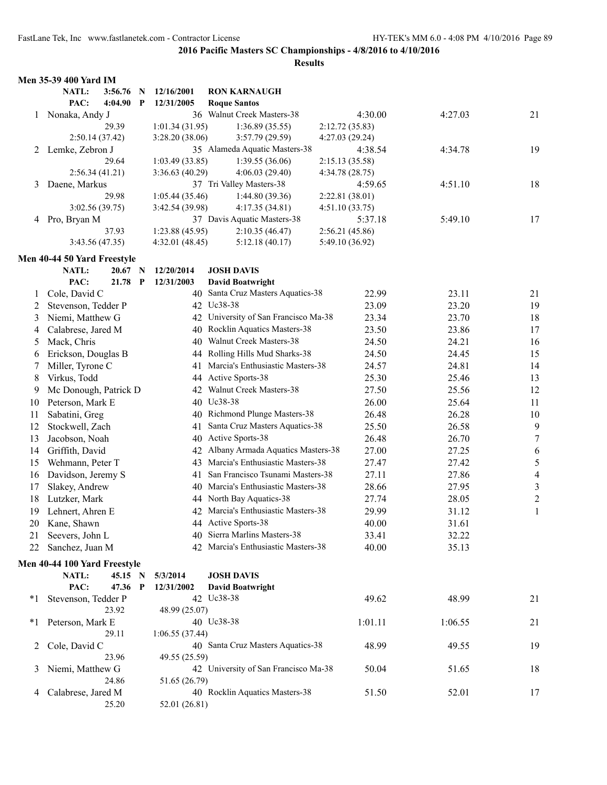| NATL:<br>3:56.76<br>12/16/2001<br><b>RON KARNAUGH</b><br>N<br>PAC:<br>4:04.90<br>$\mathbf{P}$<br>12/31/2005<br><b>Roque Santos</b><br>36 Walnut Creek Masters-38<br>1 Nonaka, Andy J<br>4:30.00<br>4:27.03<br>21<br>29.39<br>1:01.34(31.95)<br>1:36.89(35.55)<br>2:12.72(35.83)<br>2:50.14(37.42)<br>3:28.20 (38.06)<br>3:57.79 (29.59)<br>4:27.03 (29.24)<br>35 Alameda Aquatic Masters-38<br>Lemke, Zebron J<br>4:38.54<br>4:34.78<br>19<br>2<br>29.64<br>1:03.49(33.85)<br>2:15.13(35.58)<br>1:39.55(36.06)<br>2:56.34(41.21)<br>3:36.63(40.29)<br>4:06.03(29.40)<br>4:34.78 (28.75)<br>4:51.10<br>18<br>Daene, Markus<br>37 Tri Valley Masters-38<br>4:59.65<br>3<br>29.98<br>1:05.44(35.46)<br>1:44.80(39.36)<br>2:22.81 (38.01)<br>3:02.56(39.75)<br>3:42.54 (39.98)<br>4:17.35(34.81)<br>4:51.10 (33.75)<br>37 Davis Aquatic Masters-38<br>5:49.10<br>17<br>4 Pro, Bryan M<br>5:37.18<br>37.93<br>1:23.88(45.95)<br>2:10.35(46.47)<br>2:56.21(45.86)<br>3:43.56 (47.35)<br>4:32.01(48.45)<br>5:12.18(40.17)<br>5:49.10 (36.92)<br>Men 40-44 50 Yard Freestyle<br>NATL:<br>12/20/2014<br><b>JOSH DAVIS</b><br>20.67<br>N<br>PAC:<br>21.78<br>$\mathbf P$<br>12/31/2003<br><b>David Boatwright</b><br>Cole, David C<br>40 Santa Cruz Masters Aquatics-38<br>23.11<br>22.99<br>21<br>1<br>42 Uc38-38<br>23.20<br>Stevenson, Tedder P<br>23.09<br>19<br>2<br>42 University of San Francisco Ma-38<br>Niemi, Matthew G<br>23.70<br>18<br>23.34<br>3<br>Rocklin Aquatics Masters-38<br>Calabrese, Jared M<br>23.86<br>17<br>23.50<br>40<br>4<br>Walnut Creek Masters-38<br>Mack, Chris<br>24.50<br>24.21<br>40<br>16<br>5<br>44 Rolling Hills Mud Sharks-38<br>Erickson, Douglas B<br>24.45<br>15<br>24.50<br>6<br>Marcia's Enthusiastic Masters-38<br>Miller, Tyrone C<br>24.57<br>24.81<br>14<br>41<br>44 Active Sports-38<br>25.30<br>25.46<br>8<br>Virkus, Todd<br>13<br>42 Walnut Creek Masters-38<br>27.50<br>25.56<br>12<br>Mc Donough, Patrick D<br>9<br>40 Uc38-38<br>26.00<br>25.64<br>Peterson, Mark E<br>11<br>10<br>40 Richmond Plunge Masters-38<br>26.48<br>26.28<br>Sabatini, Greg<br>10<br>11<br>$\overline{9}$<br>Santa Cruz Masters Aquatics-38<br>12<br>Stockwell, Zach<br>25.50<br>26.58<br>41<br>40 Active Sports-38<br>$\tau$<br>Jacobson, Noah<br>26.70<br>13<br>26.48<br>42 Albany Armada Aquatics Masters-38<br>6<br>Griffith, David<br>27.00<br>27.25<br>14<br>43 Marcia's Enthusiastic Masters-38<br>$\mathfrak s$<br>Wehmann, Peter T<br>27.42<br>15<br>27.47<br>San Francisco Tsunami Masters-38<br>Davidson, Jeremy S<br>27.11<br>$\overline{4}$<br>27.86<br>16<br>41<br>Slakey, Andrew<br>Marcia's Enthusiastic Masters-38<br>28.66<br>3<br>17<br>27.95<br>40<br>$\overline{c}$<br>44 North Bay Aquatics-38<br>Lutzker, Mark<br>18<br>27.74<br>28.05<br>42 Marcia's Enthusiastic Masters-38<br>$\mathbf{1}$<br>19<br>Lehnert, Ahren E<br>29.99<br>31.12<br>44 Active Sports-38<br>Kane, Shawn<br>40.00<br>31.61<br>20<br>40 Sierra Marlins Masters-38<br>Seevers, John L<br>33.41<br>32.22<br>21<br>42 Marcia's Enthusiastic Masters-38<br>Sanchez, Juan M<br>40.00<br>35.13<br>22<br>Men 40-44 100 Yard Freestyle<br>NATL:<br>45.15 N<br>5/3/2014<br><b>JOSH DAVIS</b><br>PAC:<br>47.36 P<br><b>David Boatwright</b><br>12/31/2002<br>42 Uc38-38<br>49.62<br>48.99<br>*1<br>Stevenson, Tedder P<br>21<br>23.92<br>48.99 (25.07)<br>Peterson, Mark E<br>40 Uc38-38<br>1:01.11<br>1:06.55<br>*1<br>21<br>29.11<br>1:06.55(37.44)<br>40 Santa Cruz Masters Aquatics-38<br>48.99<br>Cole, David C<br>49.55<br>19<br>2<br>23.96<br>49.55 (25.59)<br>42 University of San Francisco Ma-38<br>Niemi, Matthew G<br>50.04<br>18<br>3<br>51.65<br>24.86<br>51.65 (26.79)<br>40 Rocklin Aquatics Masters-38<br>Calabrese, Jared M<br>52.01<br>17<br>51.50<br>4<br>52.01 (26.81) | <b>Men 35-39 400 Yard IM</b> |       |  |  |  |  |
|--------------------------------------------------------------------------------------------------------------------------------------------------------------------------------------------------------------------------------------------------------------------------------------------------------------------------------------------------------------------------------------------------------------------------------------------------------------------------------------------------------------------------------------------------------------------------------------------------------------------------------------------------------------------------------------------------------------------------------------------------------------------------------------------------------------------------------------------------------------------------------------------------------------------------------------------------------------------------------------------------------------------------------------------------------------------------------------------------------------------------------------------------------------------------------------------------------------------------------------------------------------------------------------------------------------------------------------------------------------------------------------------------------------------------------------------------------------------------------------------------------------------------------------------------------------------------------------------------------------------------------------------------------------------------------------------------------------------------------------------------------------------------------------------------------------------------------------------------------------------------------------------------------------------------------------------------------------------------------------------------------------------------------------------------------------------------------------------------------------------------------------------------------------------------------------------------------------------------------------------------------------------------------------------------------------------------------------------------------------------------------------------------------------------------------------------------------------------------------------------------------------------------------------------------------------------------------------------------------------------------------------------------------------------------------------------------------------------------------------------------------------------------------------------------------------------------------------------------------------------------------------------------------------------------------------------------------------------------------------------------------------------------------------------------------------------------------------------------------------------------------------------------------------------------------------------------------------------------------------------------------------------------------------------------------------------------------------------------------------------------------------------------------------------------------------------------------------------------------------------------------------------------------------------------------------------------------------------------------------------------------------------------------------------------------------------------------------------------------------------------------------------------------------------------------|------------------------------|-------|--|--|--|--|
|                                                                                                                                                                                                                                                                                                                                                                                                                                                                                                                                                                                                                                                                                                                                                                                                                                                                                                                                                                                                                                                                                                                                                                                                                                                                                                                                                                                                                                                                                                                                                                                                                                                                                                                                                                                                                                                                                                                                                                                                                                                                                                                                                                                                                                                                                                                                                                                                                                                                                                                                                                                                                                                                                                                                                                                                                                                                                                                                                                                                                                                                                                                                                                                                                                                                                                                                                                                                                                                                                                                                                                                                                                                                                                                                                                                                        |                              |       |  |  |  |  |
|                                                                                                                                                                                                                                                                                                                                                                                                                                                                                                                                                                                                                                                                                                                                                                                                                                                                                                                                                                                                                                                                                                                                                                                                                                                                                                                                                                                                                                                                                                                                                                                                                                                                                                                                                                                                                                                                                                                                                                                                                                                                                                                                                                                                                                                                                                                                                                                                                                                                                                                                                                                                                                                                                                                                                                                                                                                                                                                                                                                                                                                                                                                                                                                                                                                                                                                                                                                                                                                                                                                                                                                                                                                                                                                                                                                                        |                              |       |  |  |  |  |
|                                                                                                                                                                                                                                                                                                                                                                                                                                                                                                                                                                                                                                                                                                                                                                                                                                                                                                                                                                                                                                                                                                                                                                                                                                                                                                                                                                                                                                                                                                                                                                                                                                                                                                                                                                                                                                                                                                                                                                                                                                                                                                                                                                                                                                                                                                                                                                                                                                                                                                                                                                                                                                                                                                                                                                                                                                                                                                                                                                                                                                                                                                                                                                                                                                                                                                                                                                                                                                                                                                                                                                                                                                                                                                                                                                                                        |                              |       |  |  |  |  |
|                                                                                                                                                                                                                                                                                                                                                                                                                                                                                                                                                                                                                                                                                                                                                                                                                                                                                                                                                                                                                                                                                                                                                                                                                                                                                                                                                                                                                                                                                                                                                                                                                                                                                                                                                                                                                                                                                                                                                                                                                                                                                                                                                                                                                                                                                                                                                                                                                                                                                                                                                                                                                                                                                                                                                                                                                                                                                                                                                                                                                                                                                                                                                                                                                                                                                                                                                                                                                                                                                                                                                                                                                                                                                                                                                                                                        |                              |       |  |  |  |  |
|                                                                                                                                                                                                                                                                                                                                                                                                                                                                                                                                                                                                                                                                                                                                                                                                                                                                                                                                                                                                                                                                                                                                                                                                                                                                                                                                                                                                                                                                                                                                                                                                                                                                                                                                                                                                                                                                                                                                                                                                                                                                                                                                                                                                                                                                                                                                                                                                                                                                                                                                                                                                                                                                                                                                                                                                                                                                                                                                                                                                                                                                                                                                                                                                                                                                                                                                                                                                                                                                                                                                                                                                                                                                                                                                                                                                        |                              |       |  |  |  |  |
|                                                                                                                                                                                                                                                                                                                                                                                                                                                                                                                                                                                                                                                                                                                                                                                                                                                                                                                                                                                                                                                                                                                                                                                                                                                                                                                                                                                                                                                                                                                                                                                                                                                                                                                                                                                                                                                                                                                                                                                                                                                                                                                                                                                                                                                                                                                                                                                                                                                                                                                                                                                                                                                                                                                                                                                                                                                                                                                                                                                                                                                                                                                                                                                                                                                                                                                                                                                                                                                                                                                                                                                                                                                                                                                                                                                                        |                              |       |  |  |  |  |
|                                                                                                                                                                                                                                                                                                                                                                                                                                                                                                                                                                                                                                                                                                                                                                                                                                                                                                                                                                                                                                                                                                                                                                                                                                                                                                                                                                                                                                                                                                                                                                                                                                                                                                                                                                                                                                                                                                                                                                                                                                                                                                                                                                                                                                                                                                                                                                                                                                                                                                                                                                                                                                                                                                                                                                                                                                                                                                                                                                                                                                                                                                                                                                                                                                                                                                                                                                                                                                                                                                                                                                                                                                                                                                                                                                                                        |                              |       |  |  |  |  |
|                                                                                                                                                                                                                                                                                                                                                                                                                                                                                                                                                                                                                                                                                                                                                                                                                                                                                                                                                                                                                                                                                                                                                                                                                                                                                                                                                                                                                                                                                                                                                                                                                                                                                                                                                                                                                                                                                                                                                                                                                                                                                                                                                                                                                                                                                                                                                                                                                                                                                                                                                                                                                                                                                                                                                                                                                                                                                                                                                                                                                                                                                                                                                                                                                                                                                                                                                                                                                                                                                                                                                                                                                                                                                                                                                                                                        |                              |       |  |  |  |  |
|                                                                                                                                                                                                                                                                                                                                                                                                                                                                                                                                                                                                                                                                                                                                                                                                                                                                                                                                                                                                                                                                                                                                                                                                                                                                                                                                                                                                                                                                                                                                                                                                                                                                                                                                                                                                                                                                                                                                                                                                                                                                                                                                                                                                                                                                                                                                                                                                                                                                                                                                                                                                                                                                                                                                                                                                                                                                                                                                                                                                                                                                                                                                                                                                                                                                                                                                                                                                                                                                                                                                                                                                                                                                                                                                                                                                        |                              |       |  |  |  |  |
|                                                                                                                                                                                                                                                                                                                                                                                                                                                                                                                                                                                                                                                                                                                                                                                                                                                                                                                                                                                                                                                                                                                                                                                                                                                                                                                                                                                                                                                                                                                                                                                                                                                                                                                                                                                                                                                                                                                                                                                                                                                                                                                                                                                                                                                                                                                                                                                                                                                                                                                                                                                                                                                                                                                                                                                                                                                                                                                                                                                                                                                                                                                                                                                                                                                                                                                                                                                                                                                                                                                                                                                                                                                                                                                                                                                                        |                              |       |  |  |  |  |
|                                                                                                                                                                                                                                                                                                                                                                                                                                                                                                                                                                                                                                                                                                                                                                                                                                                                                                                                                                                                                                                                                                                                                                                                                                                                                                                                                                                                                                                                                                                                                                                                                                                                                                                                                                                                                                                                                                                                                                                                                                                                                                                                                                                                                                                                                                                                                                                                                                                                                                                                                                                                                                                                                                                                                                                                                                                                                                                                                                                                                                                                                                                                                                                                                                                                                                                                                                                                                                                                                                                                                                                                                                                                                                                                                                                                        |                              |       |  |  |  |  |
|                                                                                                                                                                                                                                                                                                                                                                                                                                                                                                                                                                                                                                                                                                                                                                                                                                                                                                                                                                                                                                                                                                                                                                                                                                                                                                                                                                                                                                                                                                                                                                                                                                                                                                                                                                                                                                                                                                                                                                                                                                                                                                                                                                                                                                                                                                                                                                                                                                                                                                                                                                                                                                                                                                                                                                                                                                                                                                                                                                                                                                                                                                                                                                                                                                                                                                                                                                                                                                                                                                                                                                                                                                                                                                                                                                                                        |                              |       |  |  |  |  |
|                                                                                                                                                                                                                                                                                                                                                                                                                                                                                                                                                                                                                                                                                                                                                                                                                                                                                                                                                                                                                                                                                                                                                                                                                                                                                                                                                                                                                                                                                                                                                                                                                                                                                                                                                                                                                                                                                                                                                                                                                                                                                                                                                                                                                                                                                                                                                                                                                                                                                                                                                                                                                                                                                                                                                                                                                                                                                                                                                                                                                                                                                                                                                                                                                                                                                                                                                                                                                                                                                                                                                                                                                                                                                                                                                                                                        |                              |       |  |  |  |  |
|                                                                                                                                                                                                                                                                                                                                                                                                                                                                                                                                                                                                                                                                                                                                                                                                                                                                                                                                                                                                                                                                                                                                                                                                                                                                                                                                                                                                                                                                                                                                                                                                                                                                                                                                                                                                                                                                                                                                                                                                                                                                                                                                                                                                                                                                                                                                                                                                                                                                                                                                                                                                                                                                                                                                                                                                                                                                                                                                                                                                                                                                                                                                                                                                                                                                                                                                                                                                                                                                                                                                                                                                                                                                                                                                                                                                        |                              |       |  |  |  |  |
|                                                                                                                                                                                                                                                                                                                                                                                                                                                                                                                                                                                                                                                                                                                                                                                                                                                                                                                                                                                                                                                                                                                                                                                                                                                                                                                                                                                                                                                                                                                                                                                                                                                                                                                                                                                                                                                                                                                                                                                                                                                                                                                                                                                                                                                                                                                                                                                                                                                                                                                                                                                                                                                                                                                                                                                                                                                                                                                                                                                                                                                                                                                                                                                                                                                                                                                                                                                                                                                                                                                                                                                                                                                                                                                                                                                                        |                              |       |  |  |  |  |
|                                                                                                                                                                                                                                                                                                                                                                                                                                                                                                                                                                                                                                                                                                                                                                                                                                                                                                                                                                                                                                                                                                                                                                                                                                                                                                                                                                                                                                                                                                                                                                                                                                                                                                                                                                                                                                                                                                                                                                                                                                                                                                                                                                                                                                                                                                                                                                                                                                                                                                                                                                                                                                                                                                                                                                                                                                                                                                                                                                                                                                                                                                                                                                                                                                                                                                                                                                                                                                                                                                                                                                                                                                                                                                                                                                                                        |                              |       |  |  |  |  |
|                                                                                                                                                                                                                                                                                                                                                                                                                                                                                                                                                                                                                                                                                                                                                                                                                                                                                                                                                                                                                                                                                                                                                                                                                                                                                                                                                                                                                                                                                                                                                                                                                                                                                                                                                                                                                                                                                                                                                                                                                                                                                                                                                                                                                                                                                                                                                                                                                                                                                                                                                                                                                                                                                                                                                                                                                                                                                                                                                                                                                                                                                                                                                                                                                                                                                                                                                                                                                                                                                                                                                                                                                                                                                                                                                                                                        |                              |       |  |  |  |  |
|                                                                                                                                                                                                                                                                                                                                                                                                                                                                                                                                                                                                                                                                                                                                                                                                                                                                                                                                                                                                                                                                                                                                                                                                                                                                                                                                                                                                                                                                                                                                                                                                                                                                                                                                                                                                                                                                                                                                                                                                                                                                                                                                                                                                                                                                                                                                                                                                                                                                                                                                                                                                                                                                                                                                                                                                                                                                                                                                                                                                                                                                                                                                                                                                                                                                                                                                                                                                                                                                                                                                                                                                                                                                                                                                                                                                        |                              |       |  |  |  |  |
|                                                                                                                                                                                                                                                                                                                                                                                                                                                                                                                                                                                                                                                                                                                                                                                                                                                                                                                                                                                                                                                                                                                                                                                                                                                                                                                                                                                                                                                                                                                                                                                                                                                                                                                                                                                                                                                                                                                                                                                                                                                                                                                                                                                                                                                                                                                                                                                                                                                                                                                                                                                                                                                                                                                                                                                                                                                                                                                                                                                                                                                                                                                                                                                                                                                                                                                                                                                                                                                                                                                                                                                                                                                                                                                                                                                                        |                              |       |  |  |  |  |
|                                                                                                                                                                                                                                                                                                                                                                                                                                                                                                                                                                                                                                                                                                                                                                                                                                                                                                                                                                                                                                                                                                                                                                                                                                                                                                                                                                                                                                                                                                                                                                                                                                                                                                                                                                                                                                                                                                                                                                                                                                                                                                                                                                                                                                                                                                                                                                                                                                                                                                                                                                                                                                                                                                                                                                                                                                                                                                                                                                                                                                                                                                                                                                                                                                                                                                                                                                                                                                                                                                                                                                                                                                                                                                                                                                                                        |                              |       |  |  |  |  |
|                                                                                                                                                                                                                                                                                                                                                                                                                                                                                                                                                                                                                                                                                                                                                                                                                                                                                                                                                                                                                                                                                                                                                                                                                                                                                                                                                                                                                                                                                                                                                                                                                                                                                                                                                                                                                                                                                                                                                                                                                                                                                                                                                                                                                                                                                                                                                                                                                                                                                                                                                                                                                                                                                                                                                                                                                                                                                                                                                                                                                                                                                                                                                                                                                                                                                                                                                                                                                                                                                                                                                                                                                                                                                                                                                                                                        |                              |       |  |  |  |  |
|                                                                                                                                                                                                                                                                                                                                                                                                                                                                                                                                                                                                                                                                                                                                                                                                                                                                                                                                                                                                                                                                                                                                                                                                                                                                                                                                                                                                                                                                                                                                                                                                                                                                                                                                                                                                                                                                                                                                                                                                                                                                                                                                                                                                                                                                                                                                                                                                                                                                                                                                                                                                                                                                                                                                                                                                                                                                                                                                                                                                                                                                                                                                                                                                                                                                                                                                                                                                                                                                                                                                                                                                                                                                                                                                                                                                        |                              |       |  |  |  |  |
|                                                                                                                                                                                                                                                                                                                                                                                                                                                                                                                                                                                                                                                                                                                                                                                                                                                                                                                                                                                                                                                                                                                                                                                                                                                                                                                                                                                                                                                                                                                                                                                                                                                                                                                                                                                                                                                                                                                                                                                                                                                                                                                                                                                                                                                                                                                                                                                                                                                                                                                                                                                                                                                                                                                                                                                                                                                                                                                                                                                                                                                                                                                                                                                                                                                                                                                                                                                                                                                                                                                                                                                                                                                                                                                                                                                                        |                              |       |  |  |  |  |
|                                                                                                                                                                                                                                                                                                                                                                                                                                                                                                                                                                                                                                                                                                                                                                                                                                                                                                                                                                                                                                                                                                                                                                                                                                                                                                                                                                                                                                                                                                                                                                                                                                                                                                                                                                                                                                                                                                                                                                                                                                                                                                                                                                                                                                                                                                                                                                                                                                                                                                                                                                                                                                                                                                                                                                                                                                                                                                                                                                                                                                                                                                                                                                                                                                                                                                                                                                                                                                                                                                                                                                                                                                                                                                                                                                                                        |                              |       |  |  |  |  |
|                                                                                                                                                                                                                                                                                                                                                                                                                                                                                                                                                                                                                                                                                                                                                                                                                                                                                                                                                                                                                                                                                                                                                                                                                                                                                                                                                                                                                                                                                                                                                                                                                                                                                                                                                                                                                                                                                                                                                                                                                                                                                                                                                                                                                                                                                                                                                                                                                                                                                                                                                                                                                                                                                                                                                                                                                                                                                                                                                                                                                                                                                                                                                                                                                                                                                                                                                                                                                                                                                                                                                                                                                                                                                                                                                                                                        |                              |       |  |  |  |  |
|                                                                                                                                                                                                                                                                                                                                                                                                                                                                                                                                                                                                                                                                                                                                                                                                                                                                                                                                                                                                                                                                                                                                                                                                                                                                                                                                                                                                                                                                                                                                                                                                                                                                                                                                                                                                                                                                                                                                                                                                                                                                                                                                                                                                                                                                                                                                                                                                                                                                                                                                                                                                                                                                                                                                                                                                                                                                                                                                                                                                                                                                                                                                                                                                                                                                                                                                                                                                                                                                                                                                                                                                                                                                                                                                                                                                        |                              |       |  |  |  |  |
|                                                                                                                                                                                                                                                                                                                                                                                                                                                                                                                                                                                                                                                                                                                                                                                                                                                                                                                                                                                                                                                                                                                                                                                                                                                                                                                                                                                                                                                                                                                                                                                                                                                                                                                                                                                                                                                                                                                                                                                                                                                                                                                                                                                                                                                                                                                                                                                                                                                                                                                                                                                                                                                                                                                                                                                                                                                                                                                                                                                                                                                                                                                                                                                                                                                                                                                                                                                                                                                                                                                                                                                                                                                                                                                                                                                                        |                              |       |  |  |  |  |
|                                                                                                                                                                                                                                                                                                                                                                                                                                                                                                                                                                                                                                                                                                                                                                                                                                                                                                                                                                                                                                                                                                                                                                                                                                                                                                                                                                                                                                                                                                                                                                                                                                                                                                                                                                                                                                                                                                                                                                                                                                                                                                                                                                                                                                                                                                                                                                                                                                                                                                                                                                                                                                                                                                                                                                                                                                                                                                                                                                                                                                                                                                                                                                                                                                                                                                                                                                                                                                                                                                                                                                                                                                                                                                                                                                                                        |                              |       |  |  |  |  |
|                                                                                                                                                                                                                                                                                                                                                                                                                                                                                                                                                                                                                                                                                                                                                                                                                                                                                                                                                                                                                                                                                                                                                                                                                                                                                                                                                                                                                                                                                                                                                                                                                                                                                                                                                                                                                                                                                                                                                                                                                                                                                                                                                                                                                                                                                                                                                                                                                                                                                                                                                                                                                                                                                                                                                                                                                                                                                                                                                                                                                                                                                                                                                                                                                                                                                                                                                                                                                                                                                                                                                                                                                                                                                                                                                                                                        |                              |       |  |  |  |  |
|                                                                                                                                                                                                                                                                                                                                                                                                                                                                                                                                                                                                                                                                                                                                                                                                                                                                                                                                                                                                                                                                                                                                                                                                                                                                                                                                                                                                                                                                                                                                                                                                                                                                                                                                                                                                                                                                                                                                                                                                                                                                                                                                                                                                                                                                                                                                                                                                                                                                                                                                                                                                                                                                                                                                                                                                                                                                                                                                                                                                                                                                                                                                                                                                                                                                                                                                                                                                                                                                                                                                                                                                                                                                                                                                                                                                        |                              |       |  |  |  |  |
|                                                                                                                                                                                                                                                                                                                                                                                                                                                                                                                                                                                                                                                                                                                                                                                                                                                                                                                                                                                                                                                                                                                                                                                                                                                                                                                                                                                                                                                                                                                                                                                                                                                                                                                                                                                                                                                                                                                                                                                                                                                                                                                                                                                                                                                                                                                                                                                                                                                                                                                                                                                                                                                                                                                                                                                                                                                                                                                                                                                                                                                                                                                                                                                                                                                                                                                                                                                                                                                                                                                                                                                                                                                                                                                                                                                                        |                              |       |  |  |  |  |
|                                                                                                                                                                                                                                                                                                                                                                                                                                                                                                                                                                                                                                                                                                                                                                                                                                                                                                                                                                                                                                                                                                                                                                                                                                                                                                                                                                                                                                                                                                                                                                                                                                                                                                                                                                                                                                                                                                                                                                                                                                                                                                                                                                                                                                                                                                                                                                                                                                                                                                                                                                                                                                                                                                                                                                                                                                                                                                                                                                                                                                                                                                                                                                                                                                                                                                                                                                                                                                                                                                                                                                                                                                                                                                                                                                                                        |                              |       |  |  |  |  |
|                                                                                                                                                                                                                                                                                                                                                                                                                                                                                                                                                                                                                                                                                                                                                                                                                                                                                                                                                                                                                                                                                                                                                                                                                                                                                                                                                                                                                                                                                                                                                                                                                                                                                                                                                                                                                                                                                                                                                                                                                                                                                                                                                                                                                                                                                                                                                                                                                                                                                                                                                                                                                                                                                                                                                                                                                                                                                                                                                                                                                                                                                                                                                                                                                                                                                                                                                                                                                                                                                                                                                                                                                                                                                                                                                                                                        |                              |       |  |  |  |  |
|                                                                                                                                                                                                                                                                                                                                                                                                                                                                                                                                                                                                                                                                                                                                                                                                                                                                                                                                                                                                                                                                                                                                                                                                                                                                                                                                                                                                                                                                                                                                                                                                                                                                                                                                                                                                                                                                                                                                                                                                                                                                                                                                                                                                                                                                                                                                                                                                                                                                                                                                                                                                                                                                                                                                                                                                                                                                                                                                                                                                                                                                                                                                                                                                                                                                                                                                                                                                                                                                                                                                                                                                                                                                                                                                                                                                        |                              |       |  |  |  |  |
|                                                                                                                                                                                                                                                                                                                                                                                                                                                                                                                                                                                                                                                                                                                                                                                                                                                                                                                                                                                                                                                                                                                                                                                                                                                                                                                                                                                                                                                                                                                                                                                                                                                                                                                                                                                                                                                                                                                                                                                                                                                                                                                                                                                                                                                                                                                                                                                                                                                                                                                                                                                                                                                                                                                                                                                                                                                                                                                                                                                                                                                                                                                                                                                                                                                                                                                                                                                                                                                                                                                                                                                                                                                                                                                                                                                                        |                              |       |  |  |  |  |
|                                                                                                                                                                                                                                                                                                                                                                                                                                                                                                                                                                                                                                                                                                                                                                                                                                                                                                                                                                                                                                                                                                                                                                                                                                                                                                                                                                                                                                                                                                                                                                                                                                                                                                                                                                                                                                                                                                                                                                                                                                                                                                                                                                                                                                                                                                                                                                                                                                                                                                                                                                                                                                                                                                                                                                                                                                                                                                                                                                                                                                                                                                                                                                                                                                                                                                                                                                                                                                                                                                                                                                                                                                                                                                                                                                                                        |                              |       |  |  |  |  |
|                                                                                                                                                                                                                                                                                                                                                                                                                                                                                                                                                                                                                                                                                                                                                                                                                                                                                                                                                                                                                                                                                                                                                                                                                                                                                                                                                                                                                                                                                                                                                                                                                                                                                                                                                                                                                                                                                                                                                                                                                                                                                                                                                                                                                                                                                                                                                                                                                                                                                                                                                                                                                                                                                                                                                                                                                                                                                                                                                                                                                                                                                                                                                                                                                                                                                                                                                                                                                                                                                                                                                                                                                                                                                                                                                                                                        |                              |       |  |  |  |  |
|                                                                                                                                                                                                                                                                                                                                                                                                                                                                                                                                                                                                                                                                                                                                                                                                                                                                                                                                                                                                                                                                                                                                                                                                                                                                                                                                                                                                                                                                                                                                                                                                                                                                                                                                                                                                                                                                                                                                                                                                                                                                                                                                                                                                                                                                                                                                                                                                                                                                                                                                                                                                                                                                                                                                                                                                                                                                                                                                                                                                                                                                                                                                                                                                                                                                                                                                                                                                                                                                                                                                                                                                                                                                                                                                                                                                        |                              |       |  |  |  |  |
|                                                                                                                                                                                                                                                                                                                                                                                                                                                                                                                                                                                                                                                                                                                                                                                                                                                                                                                                                                                                                                                                                                                                                                                                                                                                                                                                                                                                                                                                                                                                                                                                                                                                                                                                                                                                                                                                                                                                                                                                                                                                                                                                                                                                                                                                                                                                                                                                                                                                                                                                                                                                                                                                                                                                                                                                                                                                                                                                                                                                                                                                                                                                                                                                                                                                                                                                                                                                                                                                                                                                                                                                                                                                                                                                                                                                        |                              |       |  |  |  |  |
|                                                                                                                                                                                                                                                                                                                                                                                                                                                                                                                                                                                                                                                                                                                                                                                                                                                                                                                                                                                                                                                                                                                                                                                                                                                                                                                                                                                                                                                                                                                                                                                                                                                                                                                                                                                                                                                                                                                                                                                                                                                                                                                                                                                                                                                                                                                                                                                                                                                                                                                                                                                                                                                                                                                                                                                                                                                                                                                                                                                                                                                                                                                                                                                                                                                                                                                                                                                                                                                                                                                                                                                                                                                                                                                                                                                                        |                              |       |  |  |  |  |
|                                                                                                                                                                                                                                                                                                                                                                                                                                                                                                                                                                                                                                                                                                                                                                                                                                                                                                                                                                                                                                                                                                                                                                                                                                                                                                                                                                                                                                                                                                                                                                                                                                                                                                                                                                                                                                                                                                                                                                                                                                                                                                                                                                                                                                                                                                                                                                                                                                                                                                                                                                                                                                                                                                                                                                                                                                                                                                                                                                                                                                                                                                                                                                                                                                                                                                                                                                                                                                                                                                                                                                                                                                                                                                                                                                                                        |                              |       |  |  |  |  |
|                                                                                                                                                                                                                                                                                                                                                                                                                                                                                                                                                                                                                                                                                                                                                                                                                                                                                                                                                                                                                                                                                                                                                                                                                                                                                                                                                                                                                                                                                                                                                                                                                                                                                                                                                                                                                                                                                                                                                                                                                                                                                                                                                                                                                                                                                                                                                                                                                                                                                                                                                                                                                                                                                                                                                                                                                                                                                                                                                                                                                                                                                                                                                                                                                                                                                                                                                                                                                                                                                                                                                                                                                                                                                                                                                                                                        |                              |       |  |  |  |  |
|                                                                                                                                                                                                                                                                                                                                                                                                                                                                                                                                                                                                                                                                                                                                                                                                                                                                                                                                                                                                                                                                                                                                                                                                                                                                                                                                                                                                                                                                                                                                                                                                                                                                                                                                                                                                                                                                                                                                                                                                                                                                                                                                                                                                                                                                                                                                                                                                                                                                                                                                                                                                                                                                                                                                                                                                                                                                                                                                                                                                                                                                                                                                                                                                                                                                                                                                                                                                                                                                                                                                                                                                                                                                                                                                                                                                        |                              |       |  |  |  |  |
|                                                                                                                                                                                                                                                                                                                                                                                                                                                                                                                                                                                                                                                                                                                                                                                                                                                                                                                                                                                                                                                                                                                                                                                                                                                                                                                                                                                                                                                                                                                                                                                                                                                                                                                                                                                                                                                                                                                                                                                                                                                                                                                                                                                                                                                                                                                                                                                                                                                                                                                                                                                                                                                                                                                                                                                                                                                                                                                                                                                                                                                                                                                                                                                                                                                                                                                                                                                                                                                                                                                                                                                                                                                                                                                                                                                                        |                              |       |  |  |  |  |
|                                                                                                                                                                                                                                                                                                                                                                                                                                                                                                                                                                                                                                                                                                                                                                                                                                                                                                                                                                                                                                                                                                                                                                                                                                                                                                                                                                                                                                                                                                                                                                                                                                                                                                                                                                                                                                                                                                                                                                                                                                                                                                                                                                                                                                                                                                                                                                                                                                                                                                                                                                                                                                                                                                                                                                                                                                                                                                                                                                                                                                                                                                                                                                                                                                                                                                                                                                                                                                                                                                                                                                                                                                                                                                                                                                                                        |                              |       |  |  |  |  |
|                                                                                                                                                                                                                                                                                                                                                                                                                                                                                                                                                                                                                                                                                                                                                                                                                                                                                                                                                                                                                                                                                                                                                                                                                                                                                                                                                                                                                                                                                                                                                                                                                                                                                                                                                                                                                                                                                                                                                                                                                                                                                                                                                                                                                                                                                                                                                                                                                                                                                                                                                                                                                                                                                                                                                                                                                                                                                                                                                                                                                                                                                                                                                                                                                                                                                                                                                                                                                                                                                                                                                                                                                                                                                                                                                                                                        |                              |       |  |  |  |  |
|                                                                                                                                                                                                                                                                                                                                                                                                                                                                                                                                                                                                                                                                                                                                                                                                                                                                                                                                                                                                                                                                                                                                                                                                                                                                                                                                                                                                                                                                                                                                                                                                                                                                                                                                                                                                                                                                                                                                                                                                                                                                                                                                                                                                                                                                                                                                                                                                                                                                                                                                                                                                                                                                                                                                                                                                                                                                                                                                                                                                                                                                                                                                                                                                                                                                                                                                                                                                                                                                                                                                                                                                                                                                                                                                                                                                        |                              |       |  |  |  |  |
|                                                                                                                                                                                                                                                                                                                                                                                                                                                                                                                                                                                                                                                                                                                                                                                                                                                                                                                                                                                                                                                                                                                                                                                                                                                                                                                                                                                                                                                                                                                                                                                                                                                                                                                                                                                                                                                                                                                                                                                                                                                                                                                                                                                                                                                                                                                                                                                                                                                                                                                                                                                                                                                                                                                                                                                                                                                                                                                                                                                                                                                                                                                                                                                                                                                                                                                                                                                                                                                                                                                                                                                                                                                                                                                                                                                                        |                              |       |  |  |  |  |
|                                                                                                                                                                                                                                                                                                                                                                                                                                                                                                                                                                                                                                                                                                                                                                                                                                                                                                                                                                                                                                                                                                                                                                                                                                                                                                                                                                                                                                                                                                                                                                                                                                                                                                                                                                                                                                                                                                                                                                                                                                                                                                                                                                                                                                                                                                                                                                                                                                                                                                                                                                                                                                                                                                                                                                                                                                                                                                                                                                                                                                                                                                                                                                                                                                                                                                                                                                                                                                                                                                                                                                                                                                                                                                                                                                                                        |                              |       |  |  |  |  |
|                                                                                                                                                                                                                                                                                                                                                                                                                                                                                                                                                                                                                                                                                                                                                                                                                                                                                                                                                                                                                                                                                                                                                                                                                                                                                                                                                                                                                                                                                                                                                                                                                                                                                                                                                                                                                                                                                                                                                                                                                                                                                                                                                                                                                                                                                                                                                                                                                                                                                                                                                                                                                                                                                                                                                                                                                                                                                                                                                                                                                                                                                                                                                                                                                                                                                                                                                                                                                                                                                                                                                                                                                                                                                                                                                                                                        |                              |       |  |  |  |  |
|                                                                                                                                                                                                                                                                                                                                                                                                                                                                                                                                                                                                                                                                                                                                                                                                                                                                                                                                                                                                                                                                                                                                                                                                                                                                                                                                                                                                                                                                                                                                                                                                                                                                                                                                                                                                                                                                                                                                                                                                                                                                                                                                                                                                                                                                                                                                                                                                                                                                                                                                                                                                                                                                                                                                                                                                                                                                                                                                                                                                                                                                                                                                                                                                                                                                                                                                                                                                                                                                                                                                                                                                                                                                                                                                                                                                        |                              |       |  |  |  |  |
|                                                                                                                                                                                                                                                                                                                                                                                                                                                                                                                                                                                                                                                                                                                                                                                                                                                                                                                                                                                                                                                                                                                                                                                                                                                                                                                                                                                                                                                                                                                                                                                                                                                                                                                                                                                                                                                                                                                                                                                                                                                                                                                                                                                                                                                                                                                                                                                                                                                                                                                                                                                                                                                                                                                                                                                                                                                                                                                                                                                                                                                                                                                                                                                                                                                                                                                                                                                                                                                                                                                                                                                                                                                                                                                                                                                                        |                              | 25.20 |  |  |  |  |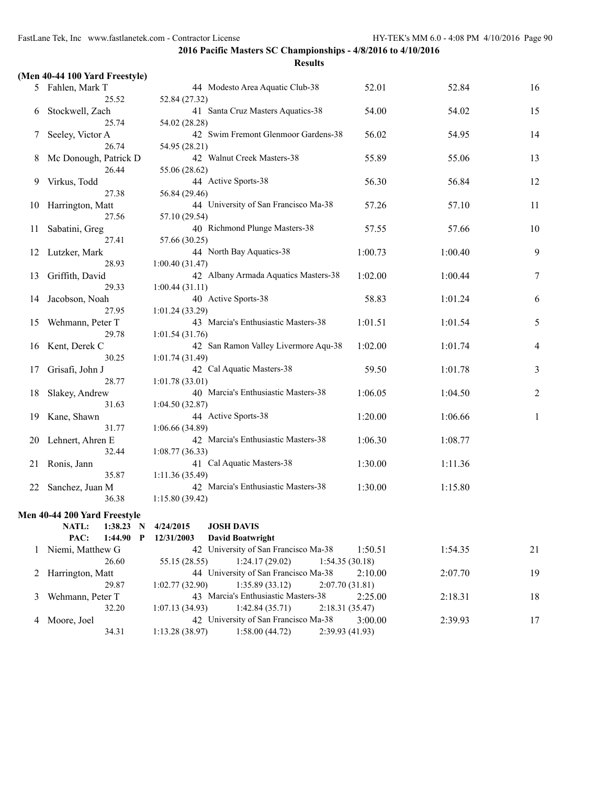|    | (Men 40-44 100 Yard Freestyle)  |                                                                         |                           |         |    |
|----|---------------------------------|-------------------------------------------------------------------------|---------------------------|---------|----|
|    | 5 Fahlen, Mark T                | 44 Modesto Area Aquatic Club-38                                         | 52.01                     | 52.84   | 16 |
|    | 25.52                           | 52.84 (27.32)                                                           |                           |         |    |
| 6  | Stockwell, Zach                 | 41 Santa Cruz Masters Aquatics-38                                       | 54.00                     | 54.02   | 15 |
|    | 25.74                           | 54.02 (28.28)                                                           |                           |         |    |
| 7  | Seeley, Victor A                | 42 Swim Fremont Glenmoor Gardens-38                                     | 56.02                     | 54.95   | 14 |
|    | 26.74                           | 54.95 (28.21)                                                           |                           |         |    |
| 8  | Mc Donough, Patrick D           | 42 Walnut Creek Masters-38                                              | 55.89                     | 55.06   | 13 |
|    | 26.44                           | 55.06 (28.62)                                                           |                           |         |    |
| 9  | Virkus, Todd<br>27.38           | 44 Active Sports-38                                                     | 56.30                     | 56.84   | 12 |
|    | Harrington, Matt                | 56.84 (29.46)<br>44 University of San Francisco Ma-38                   | 57.26                     | 57.10   | 11 |
| 10 | 27.56                           | 57.10 (29.54)                                                           |                           |         |    |
| 11 | Sabatini, Greg                  | 40 Richmond Plunge Masters-38                                           | 57.55                     | 57.66   | 10 |
|    | 27.41                           | 57.66 (30.25)                                                           |                           |         |    |
| 12 | Lutzker, Mark                   | 44 North Bay Aquatics-38                                                | 1:00.73                   | 1:00.40 | 9  |
|    | 28.93                           | 1:00.40(31.47)                                                          |                           |         |    |
| 13 | Griffith, David                 | 42 Albany Armada Aquatics Masters-38                                    | 1:02.00                   | 1:00.44 | 7  |
|    | 29.33                           | 1:00.44(31.11)                                                          |                           |         |    |
| 14 | Jacobson, Noah                  | 40 Active Sports-38                                                     | 58.83                     | 1:01.24 | 6  |
|    | 27.95                           | 1:01.24(33.29)                                                          |                           |         |    |
| 15 | Wehmann, Peter T                | 43 Marcia's Enthusiastic Masters-38                                     | 1:01.51                   | 1:01.54 | 5  |
|    | 29.78                           | 1:01.54(31.76)                                                          |                           |         |    |
| 16 | Kent, Derek C                   | 42 San Ramon Valley Livermore Aqu-38                                    | 1:02.00                   | 1:01.74 | 4  |
|    | 30.25                           | 1:01.74(31.49)<br>42 Cal Aquatic Masters-38                             | 59.50                     | 1:01.78 | 3  |
| 17 | Grisafi, John J<br>28.77        | 1:01.78(33.01)                                                          |                           |         |    |
| 18 | Slakey, Andrew                  | 40 Marcia's Enthusiastic Masters-38                                     | 1:06.05                   | 1:04.50 | 2  |
|    | 31.63                           | 1:04.50(32.87)                                                          |                           |         |    |
| 19 | Kane, Shawn                     | 44 Active Sports-38                                                     | 1:20.00                   | 1:06.66 | 1  |
|    | 31.77                           | 1:06.66(34.89)                                                          |                           |         |    |
| 20 | Lehnert, Ahren E                | 42 Marcia's Enthusiastic Masters-38                                     | 1:06.30                   | 1:08.77 |    |
|    | 32.44                           | 1:08.77(36.33)                                                          |                           |         |    |
| 21 | Ronis, Jann                     | 41 Cal Aquatic Masters-38                                               | 1:30.00                   | 1:11.36 |    |
|    | 35.87                           | 1:11.36(35.49)                                                          |                           |         |    |
| 22 | Sanchez, Juan M                 | 42 Marcia's Enthusiastic Masters-38                                     | 1:30.00                   | 1:15.80 |    |
|    | 36.38                           | 1:15.80(39.42)                                                          |                           |         |    |
|    | Men 40-44 200 Yard Freestyle    |                                                                         |                           |         |    |
|    | NATL:<br>1:38.23 N              | <b>JOSH DAVIS</b><br>4/24/2015                                          |                           |         |    |
|    | PAC:<br>1:44.90<br>$\mathbf{P}$ | 12/31/2003<br><b>David Boatwright</b>                                   |                           |         |    |
| 1  | Niemi, Matthew G                | 42 University of San Francisco Ma-38                                    | 1:50.51                   | 1:54.35 | 21 |
|    | 26.60                           | 55.15 (28.55)<br>1:24.17(29.02)                                         | 1:54.35(30.18)            |         |    |
| 2  | Harrington, Matt                | 44 University of San Francisco Ma-38                                    | 2:10.00                   | 2:07.70 | 19 |
| 3  | 29.87<br>Wehmann, Peter T       | 1:35.89(33.12)<br>1:02.77(32.90)<br>43 Marcia's Enthusiastic Masters-38 | 2:07.70(31.81)<br>2:25.00 | 2:18.31 | 18 |
|    | 32.20                           | 1:42.84(35.71)<br>1:07.13(34.93)                                        | 2:18.31(35.47)            |         |    |
| 4  | Moore, Joel                     | 42 University of San Francisco Ma-38                                    | 3:00.00                   | 2:39.93 | 17 |
|    | 34.31                           | 1:58.00(44.72)<br>1:13.28(38.97)                                        | 2:39.93 (41.93)           |         |    |
|    |                                 |                                                                         |                           |         |    |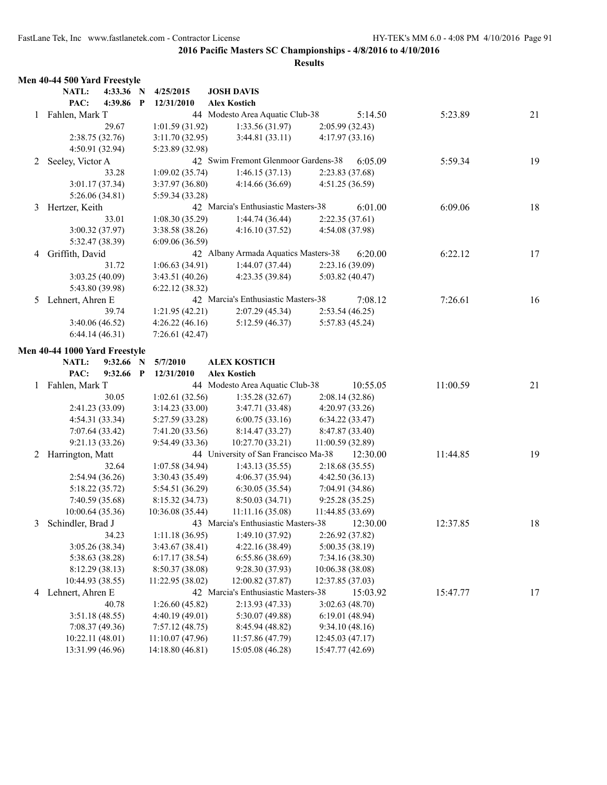|   | Men 40-44 500 Yard Freestyle         |           |                  |                                    |                                                     |                                     |          |          |    |
|---|--------------------------------------|-----------|------------------|------------------------------------|-----------------------------------------------------|-------------------------------------|----------|----------|----|
|   | NATL:                                | 4:33.36 N |                  | 4/25/2015                          | <b>JOSH DAVIS</b>                                   |                                     |          |          |    |
|   | PAC:                                 | 4:39.86   | $\mathbf{P}$     | 12/31/2010                         | <b>Alex Kostich</b>                                 |                                     |          |          |    |
| 1 | Fahlen, Mark T                       |           |                  |                                    | 44 Modesto Area Aquatic Club-38                     |                                     | 5:14.50  | 5:23.89  | 21 |
|   |                                      | 29.67     |                  | 1:01.59(31.92)                     | 1:33.56(31.97)                                      | 2:05.99(32.43)                      |          |          |    |
|   | 2:38.75(32.76)                       |           |                  | 3:11.70(32.95)                     | 3:44.81(33.11)                                      | 4:17.97(33.16)                      |          |          |    |
|   | 4:50.91 (32.94)                      |           |                  | 5:23.89 (32.98)                    |                                                     |                                     |          |          |    |
| 2 | Seeley, Victor A                     |           |                  |                                    | 42 Swim Fremont Glenmoor Gardens-38                 |                                     | 6:05.09  | 5:59.34  | 19 |
|   |                                      | 33.28     |                  | 1:09.02(35.74)                     | 1:46.15(37.13)                                      | 2:23.83(37.68)                      |          |          |    |
|   | 3:01.17(37.34)                       |           |                  | 3:37.97 (36.80)                    | 4:14.66(36.69)                                      | 4:51.25 (36.59)                     |          |          |    |
|   | 5:26.06(34.81)                       |           |                  | 5:59.34 (33.28)                    |                                                     |                                     |          |          |    |
| 3 | Hertzer, Keith                       |           |                  |                                    | 42 Marcia's Enthusiastic Masters-38                 |                                     | 6:01.00  | 6:09.06  | 18 |
|   |                                      | 33.01     |                  | 1:08.30(35.29)                     | 1:44.74(36.44)                                      | 2:22.35(37.61)                      |          |          |    |
|   | 3:00.32 (37.97)                      |           |                  | 3:38.58 (38.26)                    | 4:16.10(37.52)                                      | 4:54.08 (37.98)                     |          |          |    |
|   | 5:32.47 (38.39)                      |           |                  | 6:09.06(36.59)                     |                                                     |                                     |          |          |    |
| 4 | Griffith, David                      |           |                  |                                    | 42 Albany Armada Aquatics Masters-38                |                                     | 6:20.00  | 6:22.12  | 17 |
|   |                                      | 31.72     |                  | 1:06.63(34.91)                     | 1:44.07(37.44)                                      | 2:23.16(39.09)                      |          |          |    |
|   | 3:03.25(40.09)                       |           |                  | 3:43.51 (40.26)                    | 4:23.35 (39.84)                                     | 5:03.82(40.47)                      |          |          |    |
|   | 5:43.80 (39.98)                      |           |                  | 6:22.12(38.32)                     |                                                     |                                     |          |          |    |
| 5 | Lehnert, Ahren E                     |           |                  |                                    | 42 Marcia's Enthusiastic Masters-38                 |                                     | 7:08.12  | 7:26.61  | 16 |
|   |                                      | 39.74     |                  | 1:21.95(42.21)                     | 2:07.29(45.34)                                      | 2:53.54(46.25)                      |          |          |    |
|   | 3:40.06 (46.52)                      |           |                  | 4:26.22(46.16)                     | 5:12.59 (46.37)                                     | 5:57.83 (45.24)                     |          |          |    |
|   | 6:44.14(46.31)                       |           |                  | 7:26.61 (42.47)                    |                                                     |                                     |          |          |    |
|   |                                      |           |                  |                                    |                                                     |                                     |          |          |    |
|   | Men 40-44 1000 Yard Freestyle        | 9:32.66   |                  |                                    |                                                     |                                     |          |          |    |
|   | NATL:<br>PAC:                        | 9:32.66   | N<br>$\mathbf P$ | 5/7/2010<br>12/31/2010             | <b>ALEX KOSTICH</b><br><b>Alex Kostich</b>          |                                     |          |          |    |
|   |                                      |           |                  |                                    | 44 Modesto Area Aquatic Club-38                     |                                     | 10:55.05 | 11:00.59 | 21 |
| 1 | Fahlen, Mark T                       | 30.05     |                  |                                    |                                                     |                                     |          |          |    |
|   |                                      |           |                  | 1:02.61(32.56)                     | 1:35.28(32.67)                                      | 2:08.14 (32.86)                     |          |          |    |
|   | 2:41.23 (33.09)                      |           |                  | 3:14.23(33.00)                     | 3:47.71 (33.48)                                     | 4:20.97 (33.26)                     |          |          |    |
|   | 4:54.31(33.34)                       |           |                  | 5:27.59 (33.28)                    | 6:00.75(33.16)                                      | 6:34.22(33.47)                      |          |          |    |
|   | 7:07.64 (33.42)<br>9:21.13(33.26)    |           |                  | 7:41.20 (33.56)<br>9:54.49 (33.36) | 8:14.47(33.27)<br>10:27.70 (33.21)                  | 8:47.87 (33.40)<br>11:00.59 (32.89) |          |          |    |
|   |                                      |           |                  |                                    | 44 University of San Francisco Ma-38                |                                     |          |          | 19 |
| 2 | Harrington, Matt                     |           |                  |                                    |                                                     |                                     | 12:30.00 | 11:44.85 |    |
|   |                                      | 32.64     |                  | 1:07.58(34.94)                     | 1:43.13(35.55)                                      | 2:18.68(35.55)                      |          |          |    |
|   | 2:54.94(36.26)                       |           |                  | 3:30.43 (35.49)                    | 4:06.37 (35.94)                                     | 4:42.50(36.13)                      |          |          |    |
|   | 5:18.22 (35.72)                      |           |                  | 5:54.51 (36.29)                    | 6:30.05(35.54)                                      | 7:04.91 (34.86)                     |          |          |    |
|   | 7:40.59 (35.68)                      |           |                  | 8:15.32 (34.73)                    | 8:50.03(34.71)                                      | 9:25.28(35.25)                      |          |          |    |
|   | 10:00.64(35.36)<br>Schindler, Brad J |           |                  | 10:36.08 (35.44)                   | 11:11.16(35.08)<br>Marcia's Enthusiastic Masters-38 | 11:44.85 (33.69)                    |          | 12:37.85 |    |
| 3 |                                      |           |                  | 43                                 |                                                     |                                     | 12:30.00 |          | 18 |
|   |                                      | 34.23     |                  | 1:11.18(36.95)                     | 1:49.10 (37.92)                                     | 2:26.92 (37.82)<br>5:00.35 (38.19)  |          |          |    |
|   | 3:05.26 (38.34)                      |           |                  | 3:43.67 (38.41)                    | 4:22.16 (38.49)                                     |                                     |          |          |    |
|   | 5:38.63 (38.28)<br>8:12.29 (38.13)   |           |                  | 6:17.17(38.54)<br>8:50.37 (38.08)  | 6:55.86 (38.69)                                     | 7:34.16 (38.30)                     |          |          |    |
|   |                                      |           |                  |                                    | 9:28.30(37.93)                                      | 10:06.38(38.08)                     |          |          |    |
|   | 10:44.93 (38.55)                     |           |                  | 11:22.95 (38.02)                   | 12:00.82 (37.87)                                    | 12:37.85 (37.03)                    |          |          |    |
| 4 | Lehnert, Ahren E                     |           |                  |                                    | 42 Marcia's Enthusiastic Masters-38                 |                                     | 15:03.92 | 15:47.77 | 17 |
|   |                                      | 40.78     |                  | 1:26.60(45.82)                     | 2:13.93(47.33)                                      | 3:02.63(48.70)                      |          |          |    |
|   | 3:51.18(48.55)                       |           |                  | 4:40.19 (49.01)                    | 5:30.07 (49.88)                                     | 6:19.01 (48.94)                     |          |          |    |
|   | 7:08.37 (49.36)                      |           |                  | 7:57.12(48.75)                     | 8:45.94 (48.82)                                     | 9:34.10(48.16)                      |          |          |    |
|   | 10:22.11 (48.01)                     |           |                  | 11:10.07 (47.96)                   | 11:57.86 (47.79)                                    | 12:45.03 (47.17)                    |          |          |    |
|   | 13:31.99 (46.96)                     |           |                  | 14:18.80 (46.81)                   | 15:05.08 (46.28)                                    | 15:47.77 (42.69)                    |          |          |    |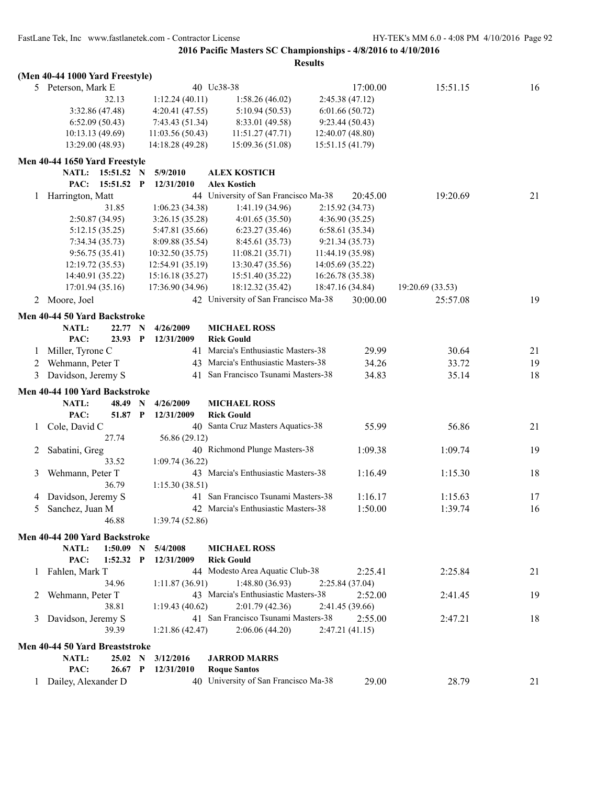|   | (Men 40-44 1000 Yard Freestyle)              |                            |                                                                         |          |                  |    |
|---|----------------------------------------------|----------------------------|-------------------------------------------------------------------------|----------|------------------|----|
|   | 5 Peterson, Mark E                           |                            | 40 Uc38-38                                                              | 17:00.00 | 15:51.15         | 16 |
|   | 32.13                                        | 1:12.24(40.11)             | 2:45.38(47.12)<br>1:58.26(46.02)                                        |          |                  |    |
|   | 3:32.86 (47.48)                              | 4:20.41(47.55)             | 6:01.66(50.72)<br>5:10.94(50.53)                                        |          |                  |    |
|   | 6:52.09(50.43)                               | 7:43.43(51.34)             | 8:33.01 (49.58)<br>9:23.44(50.43)                                       |          |                  |    |
|   | 10:13.13(49.69)                              | 11:03.56(50.43)            | 11:51.27(47.71)<br>12:40.07 (48.80)                                     |          |                  |    |
|   | 13:29.00 (48.93)                             | 14:18.28 (49.28)           | 15:09.36 (51.08)<br>15:51.15 (41.79)                                    |          |                  |    |
|   | Men 40-44 1650 Yard Freestyle                |                            |                                                                         |          |                  |    |
|   | NATL:<br>15:51.52                            | 5/9/2010<br>$\mathbf N$    | <b>ALEX KOSTICH</b>                                                     |          |                  |    |
|   | PAC:<br>15:51.52                             | $\mathbf P$<br>12/31/2010  | <b>Alex Kostich</b>                                                     |          |                  |    |
| 1 | Harrington, Matt                             |                            | 44 University of San Francisco Ma-38                                    | 20:45.00 | 19:20.69         | 21 |
|   | 31.85                                        | 1:06.23(34.38)             | 1:41.19(34.96)<br>2:15.92 (34.73)                                       |          |                  |    |
|   | 2:50.87(34.95)                               | 3:26.15(35.28)             | 4:01.65(35.50)<br>4:36.90(35.25)                                        |          |                  |    |
|   | 5:12.15(35.25)                               | 5:47.81 (35.66)            | 6:58.61(35.34)<br>6:23.27(35.46)                                        |          |                  |    |
|   | 7:34.34(35.73)                               | 8:09.88(35.54)             | 8:45.61 (35.73)<br>9:21.34(35.73)                                       |          |                  |    |
|   | 9:56.75(35.41)                               | 10:32.50(35.75)            | 11:08.21(35.71)<br>11:44.19 (35.98)                                     |          |                  |    |
|   | 12:19.72 (35.53)                             | 12:54.91 (35.19)           | 13:30.47 (35.56)<br>14:05.69 (35.22)                                    |          |                  |    |
|   | 14:40.91 (35.22)                             | 15:16.18 (35.27)           | 15:51.40 (35.22)<br>16:26.78 (35.38)                                    |          |                  |    |
|   | 17:01.94(35.16)                              | 17:36.90 (34.96)           | 18:12.32 (35.42)<br>18:47.16 (34.84)                                    |          | 19:20.69 (33.53) |    |
| 2 | Moore, Joel                                  |                            | 42 University of San Francisco Ma-38                                    | 30:00.00 | 25:57.08         | 19 |
|   | Men 40-44 50 Yard Backstroke                 |                            |                                                                         |          |                  |    |
|   | NATL:<br>22.77                               | 4/26/2009<br>$\mathbf N$   | <b>MICHAEL ROSS</b>                                                     |          |                  |    |
|   | PAC:<br>23.93                                | $\mathbf P$<br>12/31/2009  | <b>Rick Gould</b>                                                       |          |                  |    |
| 1 | Miller, Tyrone C                             |                            | 41 Marcia's Enthusiastic Masters-38                                     | 29.99    | 30.64            | 21 |
| 2 | Wehmann, Peter T                             |                            | 43 Marcia's Enthusiastic Masters-38                                     | 34.26    | 33.72            | 19 |
| 3 | Davidson, Jeremy S                           |                            | 41 San Francisco Tsunami Masters-38                                     | 34.83    | 35.14            | 18 |
|   | Men 40-44 100 Yard Backstroke                |                            |                                                                         |          |                  |    |
|   | NATL:<br>48.49                               | N<br>4/26/2009             | <b>MICHAEL ROSS</b>                                                     |          |                  |    |
|   | PAC:<br>51.87                                | $\mathbf{P}$<br>12/31/2009 | <b>Rick Gould</b>                                                       |          |                  |    |
| 1 | Cole, David C                                |                            |                                                                         |          | 56.86            | 21 |
|   |                                              |                            | 40 Santa Cruz Masters Aquatics-38                                       | 55.99    |                  |    |
|   | 27.74                                        | 56.86 (29.12)              |                                                                         |          |                  |    |
| 2 |                                              |                            | 40 Richmond Plunge Masters-38                                           | 1:09.38  | 1:09.74          | 19 |
|   | Sabatini, Greg<br>33.52                      | 1:09.74(36.22)             |                                                                         |          |                  |    |
| 3 | Wehmann, Peter T                             |                            | 43 Marcia's Enthusiastic Masters-38                                     | 1:16.49  | 1:15.30          | 18 |
|   | 36.79                                        | 1:15.30(38.51)             |                                                                         |          |                  |    |
| 4 | Davidson, Jeremy S                           |                            | 41 San Francisco Tsunami Masters-38                                     | 1:16.17  | 1:15.63          | 17 |
| 5 | Sanchez, Juan M                              |                            | 42 Marcia's Enthusiastic Masters-38                                     | 1:50.00  | 1:39.74          | 16 |
|   | 46.88                                        | 1:39.74 (52.86)            |                                                                         |          |                  |    |
|   |                                              |                            |                                                                         |          |                  |    |
|   | Men 40-44 200 Yard Backstroke<br>$1:50.09$ N |                            |                                                                         |          |                  |    |
|   | NATL:<br>$1:52.32$ P                         | 5/4/2008<br>12/31/2009     | <b>MICHAEL ROSS</b>                                                     |          |                  |    |
| 1 | PAC:                                         |                            | <b>Rick Gould</b>                                                       |          |                  |    |
|   | Fahlen, Mark T<br>34.96                      |                            | 44 Modesto Area Aquatic Club-38                                         | 2:25.41  | 2:25.84          | 21 |
| 2 |                                              | 1:11.87(36.91)             | 1:48.80(36.93)<br>2:25.84(37.04)<br>43 Marcia's Enthusiastic Masters-38 | 2:52.00  |                  |    |
|   | Wehmann, Peter T<br>38.81                    | 1:19.43(40.62)             | 2:01.79(42.36)                                                          |          | 2:41.45          | 19 |
| 3 |                                              |                            | 2:41.45 (39.66)<br>41 San Francisco Tsunami Masters-38                  | 2:55.00  | 2:47.21          | 18 |
|   | Davidson, Jeremy S<br>39.39                  | 1:21.86(42.47)             | 2:06.06(44.20)<br>2:47.21(41.15)                                        |          |                  |    |
|   |                                              |                            |                                                                         |          |                  |    |
|   | Men 40-44 50 Yard Breaststroke               |                            |                                                                         |          |                  |    |
|   | NATL:<br>25.02 N                             | 3/12/2016                  | <b>JARROD MARRS</b>                                                     |          |                  |    |
|   | PAC:<br>26.67 P<br>1 Dailey, Alexander D     | 12/31/2010                 | <b>Roque Santos</b><br>40 University of San Francisco Ma-38             | 29.00    | 28.79            | 21 |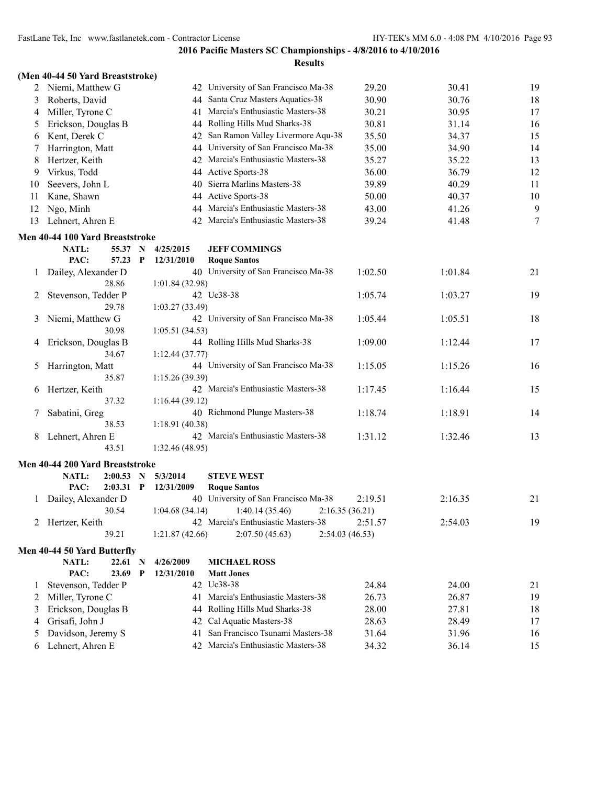|    | (Men 40-44 50 Yard Breaststroke)         |             |             |                 |                                      |                |         |    |
|----|------------------------------------------|-------------|-------------|-----------------|--------------------------------------|----------------|---------|----|
|    | 2 Niemi, Matthew G                       |             |             |                 | 42 University of San Francisco Ma-38 | 29.20          | 30.41   | 19 |
| 3  | Roberts, David                           |             |             |                 | 44 Santa Cruz Masters Aquatics-38    | 30.90          | 30.76   | 18 |
| 4  | Miller, Tyrone C                         |             |             | 41              | Marcia's Enthusiastic Masters-38     | 30.21          | 30.95   | 17 |
| 5  | Erickson, Douglas B                      |             |             |                 | 44 Rolling Hills Mud Sharks-38       | 30.81          | 31.14   | 16 |
| 6  | Kent, Derek C                            |             |             | 42.             | San Ramon Valley Livermore Aqu-38    | 35.50          | 34.37   | 15 |
| 7  | Harrington, Matt                         |             |             | 44              | University of San Francisco Ma-38    | 35.00          | 34.90   | 14 |
| 8  | Hertzer, Keith                           |             |             | 42              | Marcia's Enthusiastic Masters-38     | 35.27          | 35.22   | 13 |
| 9  | Virkus, Todd                             |             |             |                 | 44 Active Sports-38                  | 36.00          | 36.79   | 12 |
| 10 | Seevers, John L                          |             |             | 40              | Sierra Marlins Masters-38            | 39.89          | 40.29   | 11 |
| 11 | Kane, Shawn                              |             |             | 44              | <b>Active Sports-38</b>              | 50.00          | 40.37   | 10 |
| 12 | Ngo, Minh                                |             |             | 44              | Marcia's Enthusiastic Masters-38     | 43.00          | 41.26   | 9  |
| 13 | Lehnert, Ahren E                         |             |             |                 | 42 Marcia's Enthusiastic Masters-38  | 39.24          | 41.48   | 7  |
|    |                                          |             |             |                 |                                      |                |         |    |
|    | Men 40-44 100 Yard Breaststroke<br>NATL: | 55.37       | N           | 4/25/2015       | <b>JEFF COMMINGS</b>                 |                |         |    |
|    | PAC:                                     | 57.23       | P           | 12/31/2010      | <b>Roque Santos</b>                  |                |         |    |
| 1  | Dailey, Alexander D                      |             |             |                 | 40 University of San Francisco Ma-38 | 1:02.50        | 1:01.84 | 21 |
|    |                                          | 28.86       |             | 1:01.84(32.98)  |                                      |                |         |    |
| 2  | Stevenson, Tedder P                      |             |             |                 | 42 Uc38-38                           | 1:05.74        | 1:03.27 | 19 |
|    |                                          | 29.78       |             | 1:03.27(33.49)  |                                      |                |         |    |
| 3  | Niemi, Matthew G                         |             |             |                 | 42 University of San Francisco Ma-38 | 1:05.44        | 1:05.51 | 18 |
|    |                                          | 30.98       |             | 1:05.51(34.53)  |                                      |                |         |    |
| 4  | Erickson, Douglas B                      |             |             |                 | 44 Rolling Hills Mud Sharks-38       | 1:09.00        | 1:12.44 | 17 |
|    |                                          | 34.67       |             | 1:12.44(37.77)  |                                      |                |         |    |
| 5  | Harrington, Matt                         |             |             |                 | 44 University of San Francisco Ma-38 | 1:15.05        | 1:15.26 | 16 |
|    |                                          | 35.87       |             | 1:15.26(39.39)  |                                      |                |         |    |
| 6  | Hertzer, Keith                           |             |             |                 | 42 Marcia's Enthusiastic Masters-38  | 1:17.45        | 1:16.44 | 15 |
|    |                                          | 37.32       |             | 1:16.44(39.12)  |                                      |                |         |    |
| 7  | Sabatini, Greg                           |             |             |                 | 40 Richmond Plunge Masters-38        | 1:18.74        | 1:18.91 | 14 |
|    |                                          | 38.53       |             | 1:18.91 (40.38) |                                      |                |         |    |
| 8  | Lehnert, Ahren E                         |             |             |                 | 42 Marcia's Enthusiastic Masters-38  | 1:31.12        | 1:32.46 | 13 |
|    |                                          | 43.51       |             | 1:32.46(48.95)  |                                      |                |         |    |
|    | Men 40-44 200 Yard Breaststroke          |             |             |                 |                                      |                |         |    |
|    | <b>NATL:</b>                             | $2:00.53$ N |             | 5/3/2014        | <b>STEVE WEST</b>                    |                |         |    |
|    | PAC:                                     | $2:03.31$ P |             | 12/31/2009      | <b>Roque Santos</b>                  |                |         |    |
|    | 1 Dailey, Alexander D                    |             |             |                 | 40 University of San Francisco Ma-38 | 2:19.51        | 2:16.35 | 21 |
|    |                                          | 30.54       |             |                 | $1:04.68(34.14)$ $1:40.14(35.46)$    | 2:16.35(36.21) |         |    |
|    | 2 Hertzer, Keith                         |             |             |                 | 42 Marcia's Enthusiastic Masters-38  | 2:51.57        | 2:54.03 | 19 |
|    |                                          | 39.21       |             | 1:21.87(42.66)  | 2:07.50(45.63)                       | 2:54.03(46.53) |         |    |
|    | Men 40-44 50 Yard Butterfly              |             |             |                 |                                      |                |         |    |
|    | NATL:                                    | $22.61$ N   |             | 4/26/2009       | <b>MICHAEL ROSS</b>                  |                |         |    |
|    | PAC:                                     | 23.69       | $\mathbf P$ | 12/31/2010      | <b>Matt Jones</b>                    |                |         |    |
| 1  | Stevenson, Tedder P                      |             |             |                 | 42 Uc38-38                           | 24.84          | 24.00   | 21 |
| 2  | Miller, Tyrone C                         |             |             | 41              | Marcia's Enthusiastic Masters-38     | 26.73          | 26.87   | 19 |
| 3  | Erickson, Douglas B                      |             |             | 44              | Rolling Hills Mud Sharks-38          | 28.00          | 27.81   | 18 |
| 4  | Grisafi, John J                          |             |             | 42.             | Cal Aquatic Masters-38               | 28.63          | 28.49   | 17 |
| 5  | Davidson, Jeremy S                       |             |             | 41              | San Francisco Tsunami Masters-38     | 31.64          | 31.96   | 16 |
| 6  | Lehnert, Ahren E                         |             |             |                 | 42 Marcia's Enthusiastic Masters-38  | 34.32          | 36.14   | 15 |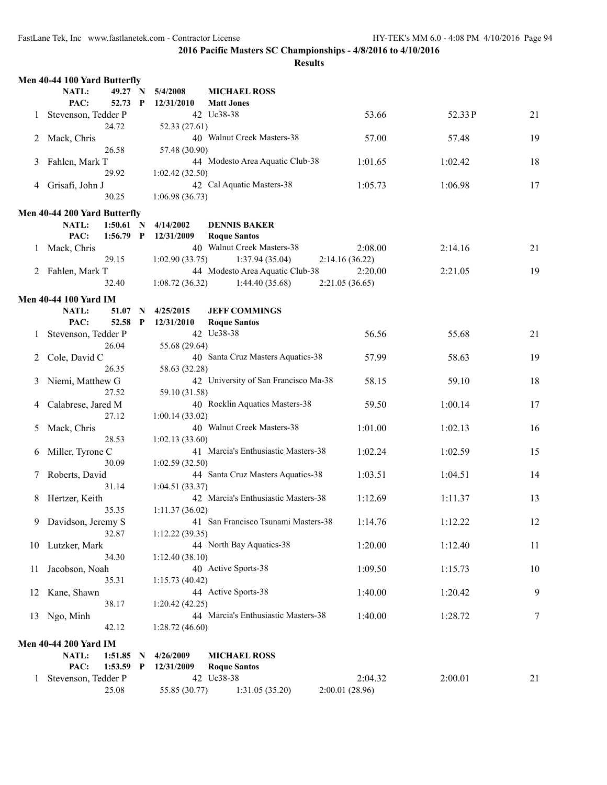|         | Men 40-44 100 Yard Butterfly |                  |              |                         |                                      |                |         |    |  |  |
|---------|------------------------------|------------------|--------------|-------------------------|--------------------------------------|----------------|---------|----|--|--|
|         | NATL:                        | 49.27 N          |              | 5/4/2008                | <b>MICHAEL ROSS</b>                  |                |         |    |  |  |
|         | PAC:                         | 52.73 P          |              | 12/31/2010              | <b>Matt Jones</b>                    |                |         |    |  |  |
| $\perp$ | Stevenson, Tedder P          |                  |              |                         | 42 Uc38-38                           | 53.66          | 52.33 P | 21 |  |  |
|         |                              | 24.72            |              | 52.33 (27.61)           |                                      |                |         |    |  |  |
| 2       | Mack, Chris                  |                  |              |                         | 40 Walnut Creek Masters-38           | 57.00          | 57.48   | 19 |  |  |
|         |                              | 26.58            |              | 57.48 (30.90)           |                                      |                |         |    |  |  |
| 3       | Fahlen, Mark T               |                  |              |                         | 44 Modesto Area Aquatic Club-38      | 1:01.65        | 1:02.42 | 18 |  |  |
|         |                              | 29.92            |              | 1:02.42(32.50)          |                                      |                |         |    |  |  |
| 4       | Grisafi, John J              |                  |              |                         | 42 Cal Aquatic Masters-38            | 1:05.73        | 1:06.98 | 17 |  |  |
|         |                              | 30.25            |              | 1:06.98(36.73)          |                                      |                |         |    |  |  |
|         | Men 40-44 200 Yard Butterfly |                  |              |                         |                                      |                |         |    |  |  |
|         | NATL:                        | $1:50.61$ N      |              | 4/14/2002               | <b>DENNIS BAKER</b>                  |                |         |    |  |  |
|         | PAC:                         | $1:56.79$ P      |              | 12/31/2009              | <b>Roque Santos</b>                  |                |         |    |  |  |
|         | Mack, Chris                  |                  |              |                         | 40 Walnut Creek Masters-38           | 2:08.00        | 2:14.16 | 21 |  |  |
|         |                              | 29.15            |              | 1:02.90(33.75)          | 1:37.94(35.04)                       | 2:14.16(36.22) |         |    |  |  |
| 2       | Fahlen, Mark T               |                  |              |                         | 44 Modesto Area Aquatic Club-38      | 2:20.00        | 2:21.05 | 19 |  |  |
|         |                              | 32.40            |              | 1:08.72(36.32)          | 1:44.40(35.68)                       | 2:21.05(36.65) |         |    |  |  |
|         |                              |                  |              |                         |                                      |                |         |    |  |  |
|         | <b>Men 40-44 100 Yard IM</b> |                  |              |                         |                                      |                |         |    |  |  |
|         | NATL:<br>PAC:                | 51.07 N<br>52.58 | $\mathbf{P}$ | 4/25/2015<br>12/31/2010 | <b>JEFF COMMINGS</b>                 |                |         |    |  |  |
|         |                              |                  |              |                         | <b>Roque Santos</b><br>42 Uc38-38    |                |         |    |  |  |
|         | Stevenson, Tedder P          | 26.04            |              |                         |                                      | 56.56          | 55.68   | 21 |  |  |
|         |                              |                  |              | 55.68 (29.64)           | 40 Santa Cruz Masters Aquatics-38    | 57.99          | 58.63   | 19 |  |  |
|         | Cole, David C                | 26.35            |              | 58.63 (32.28)           |                                      |                |         |    |  |  |
| 3       | Niemi, Matthew G             |                  |              |                         | 42 University of San Francisco Ma-38 | 58.15          | 59.10   | 18 |  |  |
|         |                              | 27.52            |              | 59.10 (31.58)           |                                      |                |         |    |  |  |
|         | Calabrese, Jared M           |                  |              |                         | 40 Rocklin Aquatics Masters-38       | 59.50          | 1:00.14 | 17 |  |  |
|         |                              | 27.12            |              | 1:00.14(33.02)          |                                      |                |         |    |  |  |
| 5       | Mack, Chris                  |                  |              |                         | 40 Walnut Creek Masters-38           | 1:01.00        | 1:02.13 | 16 |  |  |
|         |                              | 28.53            |              | 1:02.13(33.60)          |                                      |                |         |    |  |  |
| 6       | Miller, Tyrone C             |                  |              |                         | 41 Marcia's Enthusiastic Masters-38  | 1:02.24        | 1:02.59 | 15 |  |  |
|         |                              | 30.09            |              | 1:02.59(32.50)          |                                      |                |         |    |  |  |
|         | Roberts, David               |                  |              |                         | 44 Santa Cruz Masters Aquatics-38    | 1:03.51        | 1:04.51 | 14 |  |  |
|         |                              | 31.14            |              | 1:04.51(33.37)          |                                      |                |         |    |  |  |
| 8       | Hertzer, Keith               |                  |              |                         | 42 Marcia's Enthusiastic Masters-38  | 1:12.69        | 1:11.37 | 13 |  |  |
|         |                              | 35.35            |              | 1:11.37(36.02)          |                                      |                |         |    |  |  |
|         | 9 Davidson, Jeremy S         |                  |              |                         | 41 San Francisco Tsunami Masters-38  | 1:14.76        | 1:12.22 | 12 |  |  |
|         |                              | 32.87            |              | 1:12.22(39.35)          |                                      |                |         |    |  |  |
| 10      | Lutzker, Mark                |                  |              |                         | 44 North Bay Aquatics-38             | 1:20.00        | 1:12.40 | 11 |  |  |
|         |                              | 34.30            |              | 1:12.40(38.10)          |                                      |                |         |    |  |  |
| 11      | Jacobson, Noah               |                  |              |                         | 40 Active Sports-38                  | 1:09.50        | 1:15.73 | 10 |  |  |
|         |                              | 35.31            |              | 1:15.73(40.42)          |                                      |                |         |    |  |  |
| 12      | Kane, Shawn                  |                  |              |                         | 44 Active Sports-38                  | 1:40.00        | 1:20.42 | 9  |  |  |
|         |                              | 38.17            |              | 1:20.42(42.25)          |                                      |                |         |    |  |  |
|         | 13 Ngo, Minh                 |                  |              |                         | 44 Marcia's Enthusiastic Masters-38  | 1:40.00        | 1:28.72 | 7  |  |  |
|         |                              | 42.12            |              | 1:28.72(46.60)          |                                      |                |         |    |  |  |
|         | <b>Men 40-44 200 Yard IM</b> |                  |              |                         |                                      |                |         |    |  |  |
|         | NATL:                        | $1:51.85$ N      |              | 4/26/2009               | <b>MICHAEL ROSS</b>                  |                |         |    |  |  |
|         | PAC:                         | 1:53.59 P        |              | 12/31/2009              | <b>Roque Santos</b>                  |                |         |    |  |  |
| 1       | Stevenson, Tedder P          |                  |              |                         | 42 Uc38-38                           | 2:04.32        | 2:00.01 | 21 |  |  |
|         |                              | 25.08            |              | 55.85 (30.77)           | 1:31.05(35.20)                       | 2:00.01(28.96) |         |    |  |  |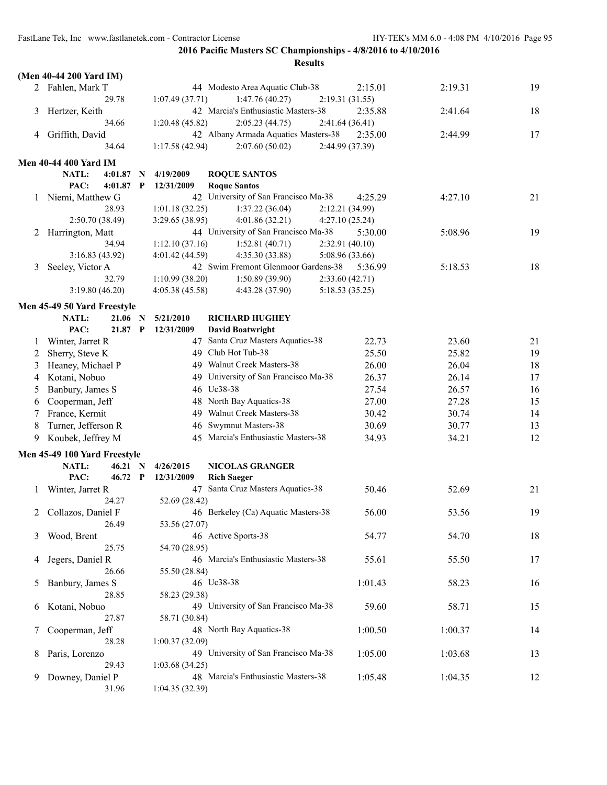| 19<br>2 Fahlen, Mark T<br>44 Modesto Area Aquatic Club-38<br>2:15.01<br>2:19.31<br>29.78<br>1:07.49(37.71)<br>1:47.76(40.27)<br>2:19.31(31.55)<br>42 Marcia's Enthusiastic Masters-38<br>18<br>Hertzer, Keith<br>2:35.88<br>2:41.64<br>3<br>34.66<br>1:20.48(45.82)<br>2:05.23(44.75)<br>2:41.64(36.41)<br>42 Albany Armada Aquatics Masters-38<br>Griffith, David<br>2:44.99<br>17<br>2:35.00<br>4<br>34.64<br>1:17.58(42.94)<br>2:07.60(50.02)<br>2:44.99 (37.39)<br><b>Men 40-44 400 Yard IM</b><br><b>NATL:</b><br>4:01.87<br>4/19/2009<br><b>ROQUE SANTOS</b><br>$\mathbf N$<br>PAC:<br>$4:01.87$ P<br><b>Roque Santos</b><br>12/31/2009<br>42 University of San Francisco Ma-38<br>1 Niemi, Matthew G<br>4:27.10<br>21<br>4:25.29<br>28.93<br>1:01.18(32.25)<br>1:37.22(36.04)<br>2:12.21 (34.99)<br>2:50.70 (38.49)<br>4:01.86(32.21)<br>3:29.65(38.95)<br>4:27.10(25.24)<br>44 University of San Francisco Ma-38<br>Harrington, Matt<br>5:30.00<br>5:08.96<br>19<br>2<br>1:12.10(37.16)<br>1:52.81(40.71)<br>2:32.91(40.10)<br>34.94<br>3:16.83(43.92)<br>4:35.30 (33.88)<br>5:08.96 (33.66)<br>4:01.42 (44.59)<br>42 Swim Fremont Glenmoor Gardens-38<br>18<br>Seeley, Victor A<br>5:36.99<br>5:18.53<br>3<br>1:50.89 (39.90)<br>32.79<br>1:10.99(38.20)<br>2:33.60(42.71)<br>3:19.80(46.20)<br>5:18.53(35.25)<br>4:05.38(45.58)<br>4:43.28 (37.90)<br>Men 45-49 50 Yard Freestyle<br>NATL:<br>21.06 N<br>5/21/2010<br><b>RICHARD HUGHEY</b><br>PAC:<br>21.87 P<br>12/31/2009<br><b>David Boatwright</b><br>47 Santa Cruz Masters Aquatics-38<br>23.60<br>Winter, Jarret R<br>22.73<br>21<br>1<br>49 Club Hot Tub-38<br>25.50<br>25.82<br>19<br>Sherry, Steve K<br>2<br>Heaney, Michael P<br>49 Walnut Creek Masters-38<br>26.00<br>26.04<br>18<br>3<br>49 University of San Francisco Ma-38<br>26.37<br>17<br>Kotani, Nobuo<br>26.14<br>4<br>46 Uc38-38<br>27.54<br>Banbury, James S<br>26.57<br>16<br>5<br>48 North Bay Aquatics-38<br>27.00<br>27.28<br>15<br>Cooperman, Jeff<br>6<br>France, Kermit<br>49 Walnut Creek Masters-38<br>30.42<br>30.74<br>14<br>7<br>46 Swymnut Masters-38<br>Turner, Jefferson R<br>30.69<br>30.77<br>8<br>13<br>Koubek, Jeffrey M<br>45 Marcia's Enthusiastic Masters-38<br>34.21<br>12<br>34.93<br>9<br>Men 45-49 100 Yard Freestyle<br>NATL:<br>4/26/2015<br><b>NICOLAS GRANGER</b><br>$46.21\quad N$<br>PAC:<br>46.72 P<br><b>Rich Saeger</b><br>12/31/2009<br>47 Santa Cruz Masters Aquatics-38<br>Winter, Jarret R<br>50.46<br>52.69<br>21<br>1<br>52.69 (28.42)<br>24.27<br>46 Berkeley (Ca) Aquatic Masters-38<br>2 Collazos, Daniel F<br>19<br>56.00<br>53.56<br>26.49<br>53.56 (27.07)<br>46 Active Sports-38<br>Wood, Brent<br>54.77<br>54.70<br>18<br>25.75<br>54.70 (28.95)<br>46 Marcia's Enthusiastic Masters-38<br>55.61<br>55.50<br>Jegers, Daniel R<br>17<br>4<br>26.66<br>55.50 (28.84)<br>46 Uc38-38<br>Banbury, James S<br>1:01.43<br>58.23<br>16<br>Ć.<br>28.85<br>58.23 (29.38)<br>49 University of San Francisco Ma-38<br>59.60<br>58.71<br>Kotani, Nobuo<br>15<br>6<br>27.87<br>58.71 (30.84)<br>Cooperman, Jeff<br>48 North Bay Aquatics-38<br>1:00.50<br>1:00.37<br>14<br>7<br>28.28<br>1:00.37(32.09)<br>49 University of San Francisco Ma-38<br>1:05.00<br>1:03.68<br>Paris, Lorenzo<br>13<br>8<br>29.43<br>1:03.68(34.25)<br>48 Marcia's Enthusiastic Masters-38<br>Downey, Daniel P<br>1:05.48<br>1:04.35<br>12<br>9.<br>31.96<br>1:04.35(32.39) | (Men 40-44 200 Yard IM) |  |  |  |  |
|----------------------------------------------------------------------------------------------------------------------------------------------------------------------------------------------------------------------------------------------------------------------------------------------------------------------------------------------------------------------------------------------------------------------------------------------------------------------------------------------------------------------------------------------------------------------------------------------------------------------------------------------------------------------------------------------------------------------------------------------------------------------------------------------------------------------------------------------------------------------------------------------------------------------------------------------------------------------------------------------------------------------------------------------------------------------------------------------------------------------------------------------------------------------------------------------------------------------------------------------------------------------------------------------------------------------------------------------------------------------------------------------------------------------------------------------------------------------------------------------------------------------------------------------------------------------------------------------------------------------------------------------------------------------------------------------------------------------------------------------------------------------------------------------------------------------------------------------------------------------------------------------------------------------------------------------------------------------------------------------------------------------------------------------------------------------------------------------------------------------------------------------------------------------------------------------------------------------------------------------------------------------------------------------------------------------------------------------------------------------------------------------------------------------------------------------------------------------------------------------------------------------------------------------------------------------------------------------------------------------------------------------------------------------------------------------------------------------------------------------------------------------------------------------------------------------------------------------------------------------------------------------------------------------------------------------------------------------------------------------------------------------------------------------------------------------------------------------------------------------------------------------------------------------------------------------------------------------------------------------------------------------------------------------------------------------------------------------------------------------------------------------------------------------------|-------------------------|--|--|--|--|
|                                                                                                                                                                                                                                                                                                                                                                                                                                                                                                                                                                                                                                                                                                                                                                                                                                                                                                                                                                                                                                                                                                                                                                                                                                                                                                                                                                                                                                                                                                                                                                                                                                                                                                                                                                                                                                                                                                                                                                                                                                                                                                                                                                                                                                                                                                                                                                                                                                                                                                                                                                                                                                                                                                                                                                                                                                                                                                                                                                                                                                                                                                                                                                                                                                                                                                                                                                                                                            |                         |  |  |  |  |
|                                                                                                                                                                                                                                                                                                                                                                                                                                                                                                                                                                                                                                                                                                                                                                                                                                                                                                                                                                                                                                                                                                                                                                                                                                                                                                                                                                                                                                                                                                                                                                                                                                                                                                                                                                                                                                                                                                                                                                                                                                                                                                                                                                                                                                                                                                                                                                                                                                                                                                                                                                                                                                                                                                                                                                                                                                                                                                                                                                                                                                                                                                                                                                                                                                                                                                                                                                                                                            |                         |  |  |  |  |
|                                                                                                                                                                                                                                                                                                                                                                                                                                                                                                                                                                                                                                                                                                                                                                                                                                                                                                                                                                                                                                                                                                                                                                                                                                                                                                                                                                                                                                                                                                                                                                                                                                                                                                                                                                                                                                                                                                                                                                                                                                                                                                                                                                                                                                                                                                                                                                                                                                                                                                                                                                                                                                                                                                                                                                                                                                                                                                                                                                                                                                                                                                                                                                                                                                                                                                                                                                                                                            |                         |  |  |  |  |
|                                                                                                                                                                                                                                                                                                                                                                                                                                                                                                                                                                                                                                                                                                                                                                                                                                                                                                                                                                                                                                                                                                                                                                                                                                                                                                                                                                                                                                                                                                                                                                                                                                                                                                                                                                                                                                                                                                                                                                                                                                                                                                                                                                                                                                                                                                                                                                                                                                                                                                                                                                                                                                                                                                                                                                                                                                                                                                                                                                                                                                                                                                                                                                                                                                                                                                                                                                                                                            |                         |  |  |  |  |
|                                                                                                                                                                                                                                                                                                                                                                                                                                                                                                                                                                                                                                                                                                                                                                                                                                                                                                                                                                                                                                                                                                                                                                                                                                                                                                                                                                                                                                                                                                                                                                                                                                                                                                                                                                                                                                                                                                                                                                                                                                                                                                                                                                                                                                                                                                                                                                                                                                                                                                                                                                                                                                                                                                                                                                                                                                                                                                                                                                                                                                                                                                                                                                                                                                                                                                                                                                                                                            |                         |  |  |  |  |
|                                                                                                                                                                                                                                                                                                                                                                                                                                                                                                                                                                                                                                                                                                                                                                                                                                                                                                                                                                                                                                                                                                                                                                                                                                                                                                                                                                                                                                                                                                                                                                                                                                                                                                                                                                                                                                                                                                                                                                                                                                                                                                                                                                                                                                                                                                                                                                                                                                                                                                                                                                                                                                                                                                                                                                                                                                                                                                                                                                                                                                                                                                                                                                                                                                                                                                                                                                                                                            |                         |  |  |  |  |
|                                                                                                                                                                                                                                                                                                                                                                                                                                                                                                                                                                                                                                                                                                                                                                                                                                                                                                                                                                                                                                                                                                                                                                                                                                                                                                                                                                                                                                                                                                                                                                                                                                                                                                                                                                                                                                                                                                                                                                                                                                                                                                                                                                                                                                                                                                                                                                                                                                                                                                                                                                                                                                                                                                                                                                                                                                                                                                                                                                                                                                                                                                                                                                                                                                                                                                                                                                                                                            |                         |  |  |  |  |
|                                                                                                                                                                                                                                                                                                                                                                                                                                                                                                                                                                                                                                                                                                                                                                                                                                                                                                                                                                                                                                                                                                                                                                                                                                                                                                                                                                                                                                                                                                                                                                                                                                                                                                                                                                                                                                                                                                                                                                                                                                                                                                                                                                                                                                                                                                                                                                                                                                                                                                                                                                                                                                                                                                                                                                                                                                                                                                                                                                                                                                                                                                                                                                                                                                                                                                                                                                                                                            |                         |  |  |  |  |
|                                                                                                                                                                                                                                                                                                                                                                                                                                                                                                                                                                                                                                                                                                                                                                                                                                                                                                                                                                                                                                                                                                                                                                                                                                                                                                                                                                                                                                                                                                                                                                                                                                                                                                                                                                                                                                                                                                                                                                                                                                                                                                                                                                                                                                                                                                                                                                                                                                                                                                                                                                                                                                                                                                                                                                                                                                                                                                                                                                                                                                                                                                                                                                                                                                                                                                                                                                                                                            |                         |  |  |  |  |
|                                                                                                                                                                                                                                                                                                                                                                                                                                                                                                                                                                                                                                                                                                                                                                                                                                                                                                                                                                                                                                                                                                                                                                                                                                                                                                                                                                                                                                                                                                                                                                                                                                                                                                                                                                                                                                                                                                                                                                                                                                                                                                                                                                                                                                                                                                                                                                                                                                                                                                                                                                                                                                                                                                                                                                                                                                                                                                                                                                                                                                                                                                                                                                                                                                                                                                                                                                                                                            |                         |  |  |  |  |
|                                                                                                                                                                                                                                                                                                                                                                                                                                                                                                                                                                                                                                                                                                                                                                                                                                                                                                                                                                                                                                                                                                                                                                                                                                                                                                                                                                                                                                                                                                                                                                                                                                                                                                                                                                                                                                                                                                                                                                                                                                                                                                                                                                                                                                                                                                                                                                                                                                                                                                                                                                                                                                                                                                                                                                                                                                                                                                                                                                                                                                                                                                                                                                                                                                                                                                                                                                                                                            |                         |  |  |  |  |
|                                                                                                                                                                                                                                                                                                                                                                                                                                                                                                                                                                                                                                                                                                                                                                                                                                                                                                                                                                                                                                                                                                                                                                                                                                                                                                                                                                                                                                                                                                                                                                                                                                                                                                                                                                                                                                                                                                                                                                                                                                                                                                                                                                                                                                                                                                                                                                                                                                                                                                                                                                                                                                                                                                                                                                                                                                                                                                                                                                                                                                                                                                                                                                                                                                                                                                                                                                                                                            |                         |  |  |  |  |
|                                                                                                                                                                                                                                                                                                                                                                                                                                                                                                                                                                                                                                                                                                                                                                                                                                                                                                                                                                                                                                                                                                                                                                                                                                                                                                                                                                                                                                                                                                                                                                                                                                                                                                                                                                                                                                                                                                                                                                                                                                                                                                                                                                                                                                                                                                                                                                                                                                                                                                                                                                                                                                                                                                                                                                                                                                                                                                                                                                                                                                                                                                                                                                                                                                                                                                                                                                                                                            |                         |  |  |  |  |
|                                                                                                                                                                                                                                                                                                                                                                                                                                                                                                                                                                                                                                                                                                                                                                                                                                                                                                                                                                                                                                                                                                                                                                                                                                                                                                                                                                                                                                                                                                                                                                                                                                                                                                                                                                                                                                                                                                                                                                                                                                                                                                                                                                                                                                                                                                                                                                                                                                                                                                                                                                                                                                                                                                                                                                                                                                                                                                                                                                                                                                                                                                                                                                                                                                                                                                                                                                                                                            |                         |  |  |  |  |
|                                                                                                                                                                                                                                                                                                                                                                                                                                                                                                                                                                                                                                                                                                                                                                                                                                                                                                                                                                                                                                                                                                                                                                                                                                                                                                                                                                                                                                                                                                                                                                                                                                                                                                                                                                                                                                                                                                                                                                                                                                                                                                                                                                                                                                                                                                                                                                                                                                                                                                                                                                                                                                                                                                                                                                                                                                                                                                                                                                                                                                                                                                                                                                                                                                                                                                                                                                                                                            |                         |  |  |  |  |
|                                                                                                                                                                                                                                                                                                                                                                                                                                                                                                                                                                                                                                                                                                                                                                                                                                                                                                                                                                                                                                                                                                                                                                                                                                                                                                                                                                                                                                                                                                                                                                                                                                                                                                                                                                                                                                                                                                                                                                                                                                                                                                                                                                                                                                                                                                                                                                                                                                                                                                                                                                                                                                                                                                                                                                                                                                                                                                                                                                                                                                                                                                                                                                                                                                                                                                                                                                                                                            |                         |  |  |  |  |
|                                                                                                                                                                                                                                                                                                                                                                                                                                                                                                                                                                                                                                                                                                                                                                                                                                                                                                                                                                                                                                                                                                                                                                                                                                                                                                                                                                                                                                                                                                                                                                                                                                                                                                                                                                                                                                                                                                                                                                                                                                                                                                                                                                                                                                                                                                                                                                                                                                                                                                                                                                                                                                                                                                                                                                                                                                                                                                                                                                                                                                                                                                                                                                                                                                                                                                                                                                                                                            |                         |  |  |  |  |
|                                                                                                                                                                                                                                                                                                                                                                                                                                                                                                                                                                                                                                                                                                                                                                                                                                                                                                                                                                                                                                                                                                                                                                                                                                                                                                                                                                                                                                                                                                                                                                                                                                                                                                                                                                                                                                                                                                                                                                                                                                                                                                                                                                                                                                                                                                                                                                                                                                                                                                                                                                                                                                                                                                                                                                                                                                                                                                                                                                                                                                                                                                                                                                                                                                                                                                                                                                                                                            |                         |  |  |  |  |
|                                                                                                                                                                                                                                                                                                                                                                                                                                                                                                                                                                                                                                                                                                                                                                                                                                                                                                                                                                                                                                                                                                                                                                                                                                                                                                                                                                                                                                                                                                                                                                                                                                                                                                                                                                                                                                                                                                                                                                                                                                                                                                                                                                                                                                                                                                                                                                                                                                                                                                                                                                                                                                                                                                                                                                                                                                                                                                                                                                                                                                                                                                                                                                                                                                                                                                                                                                                                                            |                         |  |  |  |  |
|                                                                                                                                                                                                                                                                                                                                                                                                                                                                                                                                                                                                                                                                                                                                                                                                                                                                                                                                                                                                                                                                                                                                                                                                                                                                                                                                                                                                                                                                                                                                                                                                                                                                                                                                                                                                                                                                                                                                                                                                                                                                                                                                                                                                                                                                                                                                                                                                                                                                                                                                                                                                                                                                                                                                                                                                                                                                                                                                                                                                                                                                                                                                                                                                                                                                                                                                                                                                                            |                         |  |  |  |  |
|                                                                                                                                                                                                                                                                                                                                                                                                                                                                                                                                                                                                                                                                                                                                                                                                                                                                                                                                                                                                                                                                                                                                                                                                                                                                                                                                                                                                                                                                                                                                                                                                                                                                                                                                                                                                                                                                                                                                                                                                                                                                                                                                                                                                                                                                                                                                                                                                                                                                                                                                                                                                                                                                                                                                                                                                                                                                                                                                                                                                                                                                                                                                                                                                                                                                                                                                                                                                                            |                         |  |  |  |  |
|                                                                                                                                                                                                                                                                                                                                                                                                                                                                                                                                                                                                                                                                                                                                                                                                                                                                                                                                                                                                                                                                                                                                                                                                                                                                                                                                                                                                                                                                                                                                                                                                                                                                                                                                                                                                                                                                                                                                                                                                                                                                                                                                                                                                                                                                                                                                                                                                                                                                                                                                                                                                                                                                                                                                                                                                                                                                                                                                                                                                                                                                                                                                                                                                                                                                                                                                                                                                                            |                         |  |  |  |  |
|                                                                                                                                                                                                                                                                                                                                                                                                                                                                                                                                                                                                                                                                                                                                                                                                                                                                                                                                                                                                                                                                                                                                                                                                                                                                                                                                                                                                                                                                                                                                                                                                                                                                                                                                                                                                                                                                                                                                                                                                                                                                                                                                                                                                                                                                                                                                                                                                                                                                                                                                                                                                                                                                                                                                                                                                                                                                                                                                                                                                                                                                                                                                                                                                                                                                                                                                                                                                                            |                         |  |  |  |  |
|                                                                                                                                                                                                                                                                                                                                                                                                                                                                                                                                                                                                                                                                                                                                                                                                                                                                                                                                                                                                                                                                                                                                                                                                                                                                                                                                                                                                                                                                                                                                                                                                                                                                                                                                                                                                                                                                                                                                                                                                                                                                                                                                                                                                                                                                                                                                                                                                                                                                                                                                                                                                                                                                                                                                                                                                                                                                                                                                                                                                                                                                                                                                                                                                                                                                                                                                                                                                                            |                         |  |  |  |  |
|                                                                                                                                                                                                                                                                                                                                                                                                                                                                                                                                                                                                                                                                                                                                                                                                                                                                                                                                                                                                                                                                                                                                                                                                                                                                                                                                                                                                                                                                                                                                                                                                                                                                                                                                                                                                                                                                                                                                                                                                                                                                                                                                                                                                                                                                                                                                                                                                                                                                                                                                                                                                                                                                                                                                                                                                                                                                                                                                                                                                                                                                                                                                                                                                                                                                                                                                                                                                                            |                         |  |  |  |  |
|                                                                                                                                                                                                                                                                                                                                                                                                                                                                                                                                                                                                                                                                                                                                                                                                                                                                                                                                                                                                                                                                                                                                                                                                                                                                                                                                                                                                                                                                                                                                                                                                                                                                                                                                                                                                                                                                                                                                                                                                                                                                                                                                                                                                                                                                                                                                                                                                                                                                                                                                                                                                                                                                                                                                                                                                                                                                                                                                                                                                                                                                                                                                                                                                                                                                                                                                                                                                                            |                         |  |  |  |  |
|                                                                                                                                                                                                                                                                                                                                                                                                                                                                                                                                                                                                                                                                                                                                                                                                                                                                                                                                                                                                                                                                                                                                                                                                                                                                                                                                                                                                                                                                                                                                                                                                                                                                                                                                                                                                                                                                                                                                                                                                                                                                                                                                                                                                                                                                                                                                                                                                                                                                                                                                                                                                                                                                                                                                                                                                                                                                                                                                                                                                                                                                                                                                                                                                                                                                                                                                                                                                                            |                         |  |  |  |  |
|                                                                                                                                                                                                                                                                                                                                                                                                                                                                                                                                                                                                                                                                                                                                                                                                                                                                                                                                                                                                                                                                                                                                                                                                                                                                                                                                                                                                                                                                                                                                                                                                                                                                                                                                                                                                                                                                                                                                                                                                                                                                                                                                                                                                                                                                                                                                                                                                                                                                                                                                                                                                                                                                                                                                                                                                                                                                                                                                                                                                                                                                                                                                                                                                                                                                                                                                                                                                                            |                         |  |  |  |  |
|                                                                                                                                                                                                                                                                                                                                                                                                                                                                                                                                                                                                                                                                                                                                                                                                                                                                                                                                                                                                                                                                                                                                                                                                                                                                                                                                                                                                                                                                                                                                                                                                                                                                                                                                                                                                                                                                                                                                                                                                                                                                                                                                                                                                                                                                                                                                                                                                                                                                                                                                                                                                                                                                                                                                                                                                                                                                                                                                                                                                                                                                                                                                                                                                                                                                                                                                                                                                                            |                         |  |  |  |  |
|                                                                                                                                                                                                                                                                                                                                                                                                                                                                                                                                                                                                                                                                                                                                                                                                                                                                                                                                                                                                                                                                                                                                                                                                                                                                                                                                                                                                                                                                                                                                                                                                                                                                                                                                                                                                                                                                                                                                                                                                                                                                                                                                                                                                                                                                                                                                                                                                                                                                                                                                                                                                                                                                                                                                                                                                                                                                                                                                                                                                                                                                                                                                                                                                                                                                                                                                                                                                                            |                         |  |  |  |  |
|                                                                                                                                                                                                                                                                                                                                                                                                                                                                                                                                                                                                                                                                                                                                                                                                                                                                                                                                                                                                                                                                                                                                                                                                                                                                                                                                                                                                                                                                                                                                                                                                                                                                                                                                                                                                                                                                                                                                                                                                                                                                                                                                                                                                                                                                                                                                                                                                                                                                                                                                                                                                                                                                                                                                                                                                                                                                                                                                                                                                                                                                                                                                                                                                                                                                                                                                                                                                                            |                         |  |  |  |  |
|                                                                                                                                                                                                                                                                                                                                                                                                                                                                                                                                                                                                                                                                                                                                                                                                                                                                                                                                                                                                                                                                                                                                                                                                                                                                                                                                                                                                                                                                                                                                                                                                                                                                                                                                                                                                                                                                                                                                                                                                                                                                                                                                                                                                                                                                                                                                                                                                                                                                                                                                                                                                                                                                                                                                                                                                                                                                                                                                                                                                                                                                                                                                                                                                                                                                                                                                                                                                                            |                         |  |  |  |  |
|                                                                                                                                                                                                                                                                                                                                                                                                                                                                                                                                                                                                                                                                                                                                                                                                                                                                                                                                                                                                                                                                                                                                                                                                                                                                                                                                                                                                                                                                                                                                                                                                                                                                                                                                                                                                                                                                                                                                                                                                                                                                                                                                                                                                                                                                                                                                                                                                                                                                                                                                                                                                                                                                                                                                                                                                                                                                                                                                                                                                                                                                                                                                                                                                                                                                                                                                                                                                                            |                         |  |  |  |  |
|                                                                                                                                                                                                                                                                                                                                                                                                                                                                                                                                                                                                                                                                                                                                                                                                                                                                                                                                                                                                                                                                                                                                                                                                                                                                                                                                                                                                                                                                                                                                                                                                                                                                                                                                                                                                                                                                                                                                                                                                                                                                                                                                                                                                                                                                                                                                                                                                                                                                                                                                                                                                                                                                                                                                                                                                                                                                                                                                                                                                                                                                                                                                                                                                                                                                                                                                                                                                                            |                         |  |  |  |  |
|                                                                                                                                                                                                                                                                                                                                                                                                                                                                                                                                                                                                                                                                                                                                                                                                                                                                                                                                                                                                                                                                                                                                                                                                                                                                                                                                                                                                                                                                                                                                                                                                                                                                                                                                                                                                                                                                                                                                                                                                                                                                                                                                                                                                                                                                                                                                                                                                                                                                                                                                                                                                                                                                                                                                                                                                                                                                                                                                                                                                                                                                                                                                                                                                                                                                                                                                                                                                                            |                         |  |  |  |  |
|                                                                                                                                                                                                                                                                                                                                                                                                                                                                                                                                                                                                                                                                                                                                                                                                                                                                                                                                                                                                                                                                                                                                                                                                                                                                                                                                                                                                                                                                                                                                                                                                                                                                                                                                                                                                                                                                                                                                                                                                                                                                                                                                                                                                                                                                                                                                                                                                                                                                                                                                                                                                                                                                                                                                                                                                                                                                                                                                                                                                                                                                                                                                                                                                                                                                                                                                                                                                                            |                         |  |  |  |  |
|                                                                                                                                                                                                                                                                                                                                                                                                                                                                                                                                                                                                                                                                                                                                                                                                                                                                                                                                                                                                                                                                                                                                                                                                                                                                                                                                                                                                                                                                                                                                                                                                                                                                                                                                                                                                                                                                                                                                                                                                                                                                                                                                                                                                                                                                                                                                                                                                                                                                                                                                                                                                                                                                                                                                                                                                                                                                                                                                                                                                                                                                                                                                                                                                                                                                                                                                                                                                                            |                         |  |  |  |  |
|                                                                                                                                                                                                                                                                                                                                                                                                                                                                                                                                                                                                                                                                                                                                                                                                                                                                                                                                                                                                                                                                                                                                                                                                                                                                                                                                                                                                                                                                                                                                                                                                                                                                                                                                                                                                                                                                                                                                                                                                                                                                                                                                                                                                                                                                                                                                                                                                                                                                                                                                                                                                                                                                                                                                                                                                                                                                                                                                                                                                                                                                                                                                                                                                                                                                                                                                                                                                                            |                         |  |  |  |  |
|                                                                                                                                                                                                                                                                                                                                                                                                                                                                                                                                                                                                                                                                                                                                                                                                                                                                                                                                                                                                                                                                                                                                                                                                                                                                                                                                                                                                                                                                                                                                                                                                                                                                                                                                                                                                                                                                                                                                                                                                                                                                                                                                                                                                                                                                                                                                                                                                                                                                                                                                                                                                                                                                                                                                                                                                                                                                                                                                                                                                                                                                                                                                                                                                                                                                                                                                                                                                                            |                         |  |  |  |  |
|                                                                                                                                                                                                                                                                                                                                                                                                                                                                                                                                                                                                                                                                                                                                                                                                                                                                                                                                                                                                                                                                                                                                                                                                                                                                                                                                                                                                                                                                                                                                                                                                                                                                                                                                                                                                                                                                                                                                                                                                                                                                                                                                                                                                                                                                                                                                                                                                                                                                                                                                                                                                                                                                                                                                                                                                                                                                                                                                                                                                                                                                                                                                                                                                                                                                                                                                                                                                                            |                         |  |  |  |  |
|                                                                                                                                                                                                                                                                                                                                                                                                                                                                                                                                                                                                                                                                                                                                                                                                                                                                                                                                                                                                                                                                                                                                                                                                                                                                                                                                                                                                                                                                                                                                                                                                                                                                                                                                                                                                                                                                                                                                                                                                                                                                                                                                                                                                                                                                                                                                                                                                                                                                                                                                                                                                                                                                                                                                                                                                                                                                                                                                                                                                                                                                                                                                                                                                                                                                                                                                                                                                                            |                         |  |  |  |  |
|                                                                                                                                                                                                                                                                                                                                                                                                                                                                                                                                                                                                                                                                                                                                                                                                                                                                                                                                                                                                                                                                                                                                                                                                                                                                                                                                                                                                                                                                                                                                                                                                                                                                                                                                                                                                                                                                                                                                                                                                                                                                                                                                                                                                                                                                                                                                                                                                                                                                                                                                                                                                                                                                                                                                                                                                                                                                                                                                                                                                                                                                                                                                                                                                                                                                                                                                                                                                                            |                         |  |  |  |  |
|                                                                                                                                                                                                                                                                                                                                                                                                                                                                                                                                                                                                                                                                                                                                                                                                                                                                                                                                                                                                                                                                                                                                                                                                                                                                                                                                                                                                                                                                                                                                                                                                                                                                                                                                                                                                                                                                                                                                                                                                                                                                                                                                                                                                                                                                                                                                                                                                                                                                                                                                                                                                                                                                                                                                                                                                                                                                                                                                                                                                                                                                                                                                                                                                                                                                                                                                                                                                                            |                         |  |  |  |  |
|                                                                                                                                                                                                                                                                                                                                                                                                                                                                                                                                                                                                                                                                                                                                                                                                                                                                                                                                                                                                                                                                                                                                                                                                                                                                                                                                                                                                                                                                                                                                                                                                                                                                                                                                                                                                                                                                                                                                                                                                                                                                                                                                                                                                                                                                                                                                                                                                                                                                                                                                                                                                                                                                                                                                                                                                                                                                                                                                                                                                                                                                                                                                                                                                                                                                                                                                                                                                                            |                         |  |  |  |  |
|                                                                                                                                                                                                                                                                                                                                                                                                                                                                                                                                                                                                                                                                                                                                                                                                                                                                                                                                                                                                                                                                                                                                                                                                                                                                                                                                                                                                                                                                                                                                                                                                                                                                                                                                                                                                                                                                                                                                                                                                                                                                                                                                                                                                                                                                                                                                                                                                                                                                                                                                                                                                                                                                                                                                                                                                                                                                                                                                                                                                                                                                                                                                                                                                                                                                                                                                                                                                                            |                         |  |  |  |  |
|                                                                                                                                                                                                                                                                                                                                                                                                                                                                                                                                                                                                                                                                                                                                                                                                                                                                                                                                                                                                                                                                                                                                                                                                                                                                                                                                                                                                                                                                                                                                                                                                                                                                                                                                                                                                                                                                                                                                                                                                                                                                                                                                                                                                                                                                                                                                                                                                                                                                                                                                                                                                                                                                                                                                                                                                                                                                                                                                                                                                                                                                                                                                                                                                                                                                                                                                                                                                                            |                         |  |  |  |  |
|                                                                                                                                                                                                                                                                                                                                                                                                                                                                                                                                                                                                                                                                                                                                                                                                                                                                                                                                                                                                                                                                                                                                                                                                                                                                                                                                                                                                                                                                                                                                                                                                                                                                                                                                                                                                                                                                                                                                                                                                                                                                                                                                                                                                                                                                                                                                                                                                                                                                                                                                                                                                                                                                                                                                                                                                                                                                                                                                                                                                                                                                                                                                                                                                                                                                                                                                                                                                                            |                         |  |  |  |  |
|                                                                                                                                                                                                                                                                                                                                                                                                                                                                                                                                                                                                                                                                                                                                                                                                                                                                                                                                                                                                                                                                                                                                                                                                                                                                                                                                                                                                                                                                                                                                                                                                                                                                                                                                                                                                                                                                                                                                                                                                                                                                                                                                                                                                                                                                                                                                                                                                                                                                                                                                                                                                                                                                                                                                                                                                                                                                                                                                                                                                                                                                                                                                                                                                                                                                                                                                                                                                                            |                         |  |  |  |  |
|                                                                                                                                                                                                                                                                                                                                                                                                                                                                                                                                                                                                                                                                                                                                                                                                                                                                                                                                                                                                                                                                                                                                                                                                                                                                                                                                                                                                                                                                                                                                                                                                                                                                                                                                                                                                                                                                                                                                                                                                                                                                                                                                                                                                                                                                                                                                                                                                                                                                                                                                                                                                                                                                                                                                                                                                                                                                                                                                                                                                                                                                                                                                                                                                                                                                                                                                                                                                                            |                         |  |  |  |  |
|                                                                                                                                                                                                                                                                                                                                                                                                                                                                                                                                                                                                                                                                                                                                                                                                                                                                                                                                                                                                                                                                                                                                                                                                                                                                                                                                                                                                                                                                                                                                                                                                                                                                                                                                                                                                                                                                                                                                                                                                                                                                                                                                                                                                                                                                                                                                                                                                                                                                                                                                                                                                                                                                                                                                                                                                                                                                                                                                                                                                                                                                                                                                                                                                                                                                                                                                                                                                                            |                         |  |  |  |  |
|                                                                                                                                                                                                                                                                                                                                                                                                                                                                                                                                                                                                                                                                                                                                                                                                                                                                                                                                                                                                                                                                                                                                                                                                                                                                                                                                                                                                                                                                                                                                                                                                                                                                                                                                                                                                                                                                                                                                                                                                                                                                                                                                                                                                                                                                                                                                                                                                                                                                                                                                                                                                                                                                                                                                                                                                                                                                                                                                                                                                                                                                                                                                                                                                                                                                                                                                                                                                                            |                         |  |  |  |  |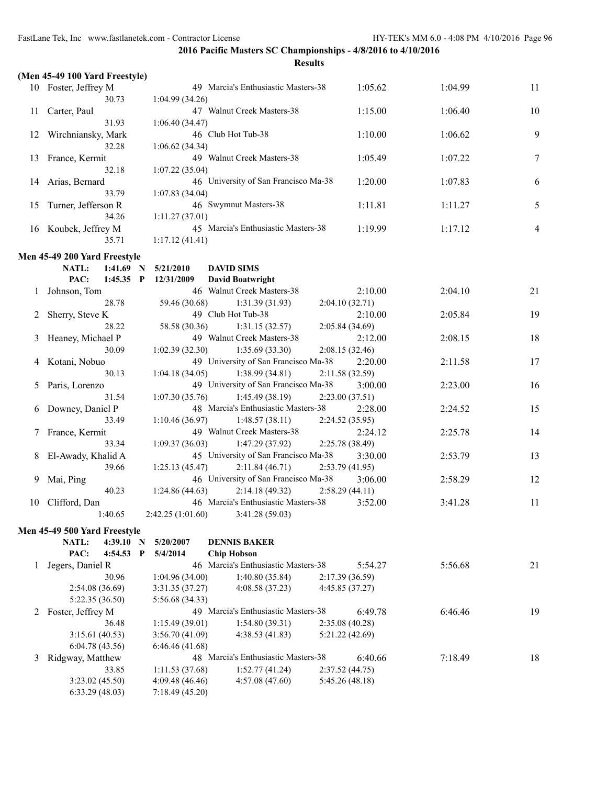|    | (Men 45-49 100 Yard Freestyle) |                   |                                      |                 |         |                |
|----|--------------------------------|-------------------|--------------------------------------|-----------------|---------|----------------|
|    | 10 Foster, Jeffrey M           |                   | 49 Marcia's Enthusiastic Masters-38  | 1:05.62         | 1:04.99 | 11             |
|    | 30.73                          | 1:04.99(34.26)    |                                      |                 |         |                |
| 11 | Carter, Paul                   |                   | 47 Walnut Creek Masters-38           | 1:15.00         | 1:06.40 | 10             |
|    | 31.93                          | 1:06.40(34.47)    |                                      |                 |         |                |
| 12 | Wirchniansky, Mark             |                   | 46 Club Hot Tub-38                   | 1:10.00         | 1:06.62 | 9              |
|    | 32.28                          | 1:06.62(34.34)    |                                      |                 |         |                |
| 13 | France, Kermit                 |                   | 49 Walnut Creek Masters-38           | 1:05.49         | 1:07.22 | 7              |
|    | 32.18                          | 1:07.22(35.04)    |                                      |                 |         |                |
| 14 | Arias, Bernard                 |                   | 46 University of San Francisco Ma-38 | 1:20.00         | 1:07.83 | 6              |
|    | 33.79                          | 1:07.83(34.04)    |                                      |                 |         |                |
| 15 | Turner, Jefferson R            |                   | 46 Swymnut Masters-38                | 1:11.81         | 1:11.27 | 5              |
|    | 34.26                          | 1:11.27(37.01)    |                                      |                 |         |                |
| 16 | Koubek, Jeffrey M              |                   | 45 Marcia's Enthusiastic Masters-38  | 1:19.99         | 1:17.12 | $\overline{4}$ |
|    | 35.71                          | 1:17.12(41.41)    |                                      |                 |         |                |
|    | Men 45-49 200 Yard Freestyle   |                   |                                      |                 |         |                |
|    | NATL:<br>$1:41.69$ N           | 5/21/2010         | <b>DAVID SIMS</b>                    |                 |         |                |
|    | PAC:<br>$1:45.35$ P            | 12/31/2009        | <b>David Boatwright</b>              |                 |         |                |
|    | Johnson, Tom                   |                   | 46 Walnut Creek Masters-38           | 2:10.00         | 2:04.10 | 21             |
|    | 28.78                          | 59.46 (30.68)     | 1:31.39(31.93)                       | 2:04.10 (32.71) |         |                |
| 2  | Sherry, Steve K                |                   | 49 Club Hot Tub-38                   | 2:10.00         | 2:05.84 | 19             |
|    | 28.22                          | 58.58 (30.36)     | 1:31.15(32.57)                       | 2:05.84 (34.69) |         |                |
| 3  | Heaney, Michael P              |                   | 49 Walnut Creek Masters-38           | 2:12.00         | 2:08.15 | 18             |
|    | 30.09                          | 1:02.39(32.30)    | 1:35.69(33.30)                       | 2:08.15 (32.46) |         |                |
| 4  | Kotani, Nobuo                  |                   | 49 University of San Francisco Ma-38 | 2:20.00         | 2:11.58 | 17             |
|    | 30.13                          | 1:04.18(34.05)    | 1:38.99(34.81)                       | 2:11.58 (32.59) |         |                |
| 5  | Paris, Lorenzo                 |                   | 49 University of San Francisco Ma-38 | 3:00.00         | 2:23.00 | 16             |
|    | 31.54                          | 1:07.30(35.76)    | 1:45.49(38.19)                       | 2:23.00(37.51)  |         |                |
| 6  | Downey, Daniel P               |                   | 48 Marcia's Enthusiastic Masters-38  | 2:28.00         | 2:24.52 | 15             |
|    | 33.49                          | 1:10.46 (36.97)   | 1:48.57(38.11)                       | 2:24.52(35.95)  |         |                |
| 7  | France, Kermit                 |                   | 49 Walnut Creek Masters-38           | 2:24.12         | 2:25.78 | 14             |
|    | 33.34                          | 1:09.37(36.03)    | 1:47.29(37.92)                       | 2:25.78 (38.49) |         |                |
| 8  | El-Awady, Khalid A             |                   | 45 University of San Francisco Ma-38 | 3:30.00         | 2:53.79 | 13             |
|    | 39.66                          | 1:25.13(45.47)    | 2:11.84(46.71)                       | 2:53.79(41.95)  |         |                |
| 9  | Mai, Ping                      |                   | 46 University of San Francisco Ma-38 | 3:06.00         | 2:58.29 | 12             |
|    | 40.23                          | 1:24.86(44.63)    | 2:14.18(49.32)                       | 2:58.29(44.11)  |         |                |
| 10 | Clifford, Dan                  |                   | 46 Marcia's Enthusiastic Masters-38  | 3:52.00         | 3:41.28 | 11             |
|    | 1:40.65                        | 2:42.25 (1:01.60) | 3:41.28(59.03)                       |                 |         |                |
|    |                                |                   |                                      |                 |         |                |
|    | Men 45-49 500 Yard Freestyle   |                   |                                      |                 |         |                |
|    | NATL:<br>4:39.10 N             | 5/20/2007         | <b>DENNIS BAKER</b>                  |                 |         |                |
|    | PAC:<br>4:54.53 P              | 5/4/2014          | <b>Chip Hobson</b>                   |                 |         |                |
| 1  | Jegers, Daniel R               |                   | 46 Marcia's Enthusiastic Masters-38  | 5:54.27         | 5:56.68 | 21             |
|    | 30.96                          | 1:04.96(34.00)    | 1:40.80(35.84)                       | 2:17.39(36.59)  |         |                |
|    | 2:54.08(36.69)                 | 3:31.35(37.27)    | 4:08.58(37.23)                       | 4:45.85 (37.27) |         |                |
|    | 5:22.35 (36.50)                | 5:56.68 (34.33)   |                                      |                 |         |                |
| 2  | Foster, Jeffrey M              |                   | 49 Marcia's Enthusiastic Masters-38  | 6:49.78         | 6:46.46 | 19             |
|    | 36.48                          | 1:15.49(39.01)    | 1:54.80(39.31)                       | 2:35.08 (40.28) |         |                |
|    | 3:15.61(40.53)                 | 3:56.70(41.09)    | 4:38.53(41.83)                       | 5:21.22 (42.69) |         |                |
|    | 6:04.78(43.56)                 | 6:46.46(41.68)    |                                      |                 |         |                |
| 3  | Ridgway, Matthew               |                   | 48 Marcia's Enthusiastic Masters-38  | 6:40.66         | 7:18.49 | 18             |
|    | 33.85                          | 1:11.53(37.68)    | 1:52.77(41.24)                       | 2:37.52(44.75)  |         |                |
|    | 3:23.02(45.50)                 | 4:09.48(46.46)    | 4:57.08(47.60)                       | 5:45.26(48.18)  |         |                |
|    | 6:33.29(48.03)                 | 7:18.49(45.20)    |                                      |                 |         |                |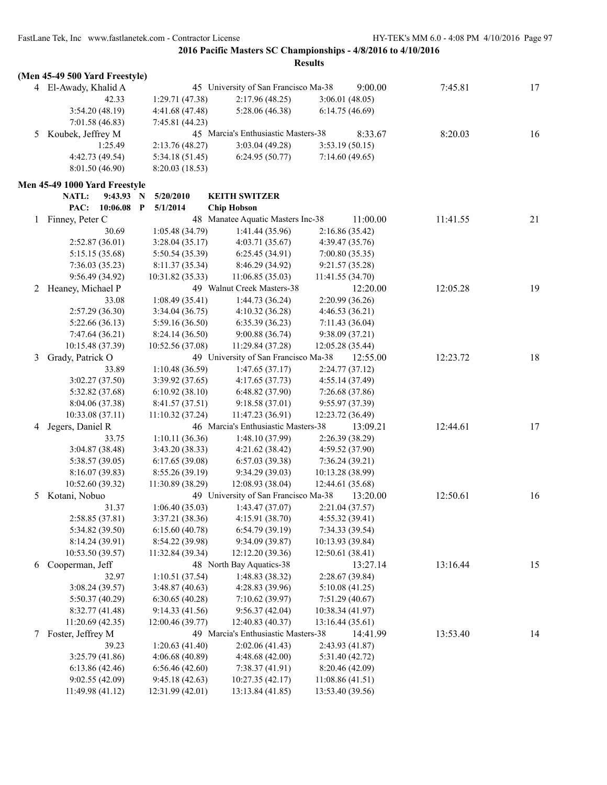|   | (Men 45-49 500 Yard Freestyle) |                  |                                      |                  |          |    |
|---|--------------------------------|------------------|--------------------------------------|------------------|----------|----|
|   | 4 El-Awady, Khalid A           |                  | 45 University of San Francisco Ma-38 | 9:00.00          | 7:45.81  | 17 |
|   | 42.33                          | 1:29.71 (47.38)  | 2:17.96(48.25)                       | 3:06.01(48.05)   |          |    |
|   | 3:54.20(48.19)                 | 4:41.68 (47.48)  | 5:28.06 (46.38)                      | 6:14.75(46.69)   |          |    |
|   | 7:01.58(46.83)                 | 7:45.81 (44.23)  |                                      |                  |          |    |
| 5 | Koubek, Jeffrey M              |                  | 45 Marcia's Enthusiastic Masters-38  | 8:33.67          | 8:20.03  | 16 |
|   | 1:25.49                        | 2:13.76 (48.27)  | 3:03.04(49.28)                       | 3:53.19(50.15)   |          |    |
|   | 4:42.73 (49.54)                | 5:34.18 (51.45)  | 6:24.95(50.77)                       | 7:14.60(49.65)   |          |    |
|   | 8:01.50 (46.90)                | 8:20.03 (18.53)  |                                      |                  |          |    |
|   |                                |                  |                                      |                  |          |    |
|   | Men 45-49 1000 Yard Freestyle  |                  |                                      |                  |          |    |
|   | NATL:<br>9:43.93               | 5/20/2010<br>N   | <b>KEITH SWITZER</b>                 |                  |          |    |
|   | PAC:<br>10:06.08               | 5/1/2014<br>P    | <b>Chip Hobson</b>                   |                  |          |    |
| 1 | Finney, Peter C                |                  | 48 Manatee Aquatic Masters Inc-38    | 11:00.00         | 11:41.55 | 21 |
|   | 30.69                          | 1:05.48 (34.79)  | 1:41.44(35.96)                       | 2:16.86(35.42)   |          |    |
|   | 2:52.87(36.01)                 | 3:28.04(35.17)   | 4:03.71(35.67)                       | 4:39.47(35.76)   |          |    |
|   | 5:15.15 (35.68)                | 5:50.54 (35.39)  | 6:25.45(34.91)                       | 7:00.80(35.35)   |          |    |
|   | 7:36.03(35.23)                 | 8:11.37 (35.34)  | 8:46.29 (34.92)                      | 9:21.57(35.28)   |          |    |
|   | 9:56.49 (34.92)                | 10:31.82 (35.33) | 11:06.85(35.03)                      | 11:41.55 (34.70) |          |    |
| 2 | Heaney, Michael P              |                  | 49 Walnut Creek Masters-38           | 12:20.00         | 12:05.28 | 19 |
|   | 33.08                          | 1:08.49(35.41)   | 1:44.73(36.24)                       | 2:20.99(36.26)   |          |    |
|   | 2:57.29(36.30)                 | 3:34.04(36.75)   | 4:10.32(36.28)                       | 4:46.53 (36.21)  |          |    |
|   | 5:22.66(36.13)                 | 5:59.16 (36.50)  | 6:35.39(36.23)                       | 7:11.43 (36.04)  |          |    |
|   | 7:47.64 (36.21)                | 8:24.14 (36.50)  | 9:00.88(36.74)                       | 9:38.09(37.21)   |          |    |
|   | 10:15.48 (37.39)               | 10:52.56 (37.08) | 11:29.84 (37.28)                     | 12:05.28(35.44)  |          |    |
| 3 | Grady, Patrick O               |                  | 49 University of San Francisco Ma-38 | 12:55.00         | 12:23.72 | 18 |
|   | 33.89                          | 1:10.48(36.59)   | 1:47.65(37.17)                       | 2:24.77(37.12)   |          |    |
|   | 3:02.27(37.50)                 | 3:39.92 (37.65)  | 4:17.65(37.73)                       | 4:55.14(37.49)   |          |    |
|   | 5:32.82 (37.68)                | 6:10.92(38.10)   | 6:48.82(37.90)                       | 7:26.68 (37.86)  |          |    |
|   | 8:04.06 (37.38)                | 8:41.57 (37.51)  | 9:18.58(37.01)                       | 9:55.97(37.39)   |          |    |
|   | 10:33.08 (37.11)               | 11:10.32(37.24)  | 11:47.23 (36.91)                     | 12:23.72 (36.49) |          |    |
| 4 | Jegers, Daniel R               |                  | 46 Marcia's Enthusiastic Masters-38  | 13:09.21         | 12:44.61 | 17 |
|   | 33.75                          | 1:10.11(36.36)   | 1:48.10(37.99)                       | 2:26.39 (38.29)  |          |    |
|   | 3:04.87 (38.48)                | 3:43.20 (38.33)  | 4:21.62 (38.42)                      | 4:59.52(37.90)   |          |    |
|   | 5:38.57 (39.05)                | 6:17.65(39.08)   | 6:57.03(39.38)                       | 7:36.24(39.21)   |          |    |
|   | 8:16.07 (39.83)                | 8:55.26 (39.19)  | 9:34.29 (39.03)                      | 10:13.28 (38.99) |          |    |
|   | 10:52.60 (39.32)               | 11:30.89 (38.29) | 12:08.93 (38.04)                     | 12:44.61 (35.68) |          |    |
| 5 | Kotani, Nobuo                  |                  | 49 University of San Francisco Ma-38 | 13:20.00         | 12:50.61 | 16 |
|   | 31.37                          | 1:06.40(35.03)   | 1:43.47(37.07)                       | 2:21.04(37.57)   |          |    |
|   | 2:58.85(37.81)                 | 3:37.21 (38.36)  | 4:15.91(38.70)                       | 4:55.32(39.41)   |          |    |
|   | 5:34.82 (39.50)                | 6:15.60(40.78)   | 6:54.79(39.19)                       | 7:34.33 (39.54)  |          |    |
|   | 8:14.24 (39.91)                | 8:54.22 (39.98)  | 9:34.09 (39.87)                      | 10:13.93 (39.84) |          |    |
|   | 10:53.50 (39.57)               | 11:32.84 (39.34) | 12:12.20 (39.36)                     | 12:50.61 (38.41) |          |    |
| 6 | Cooperman, Jeff                |                  | 48 North Bay Aquatics-38             | 13:27.14         | 13:16.44 | 15 |
|   | 32.97                          | 1:10.51(37.54)   | 1:48.83(38.32)                       | 2:28.67(39.84)   |          |    |
|   | 3:08.24(39.57)                 | 3:48.87(40.63)   | 4:28.83 (39.96)                      | 5:10.08(41.25)   |          |    |
|   | 5:50.37 (40.29)                | 6:30.65(40.28)   | 7:10.62 (39.97)                      | 7:51.29(40.67)   |          |    |
|   | 8:32.77(41.48)                 | 9:14.33(41.56)   | 9:56.37(42.04)                       | 10:38.34 (41.97) |          |    |
|   | 11:20.69 (42.35)               | 12:00.46 (39.77) | 12:40.83 (40.37)                     | 13:16.44 (35.61) |          |    |
| 7 | Foster, Jeffrey M              |                  | 49 Marcia's Enthusiastic Masters-38  | 14:41.99         | 13:53.40 | 14 |
|   | 39.23                          | 1:20.63(41.40)   | 2:02.06(41.43)                       | 2:43.93 (41.87)  |          |    |
|   | 3:25.79(41.86)                 | 4:06.68 (40.89)  | 4:48.68 (42.00)                      | 5:31.40 (42.72)  |          |    |
|   | 6:13.86(42.46)                 | 6:56.46(42.60)   | 7:38.37(41.91)                       | 8:20.46(42.09)   |          |    |
|   | 9:02.55(42.09)                 | 9:45.18(42.63)   | 10:27.35(42.17)                      | 11:08.86(41.51)  |          |    |
|   | 11:49.98 (41.12)               | 12:31.99 (42.01) | 13:13.84 (41.85)                     | 13:53.40 (39.56) |          |    |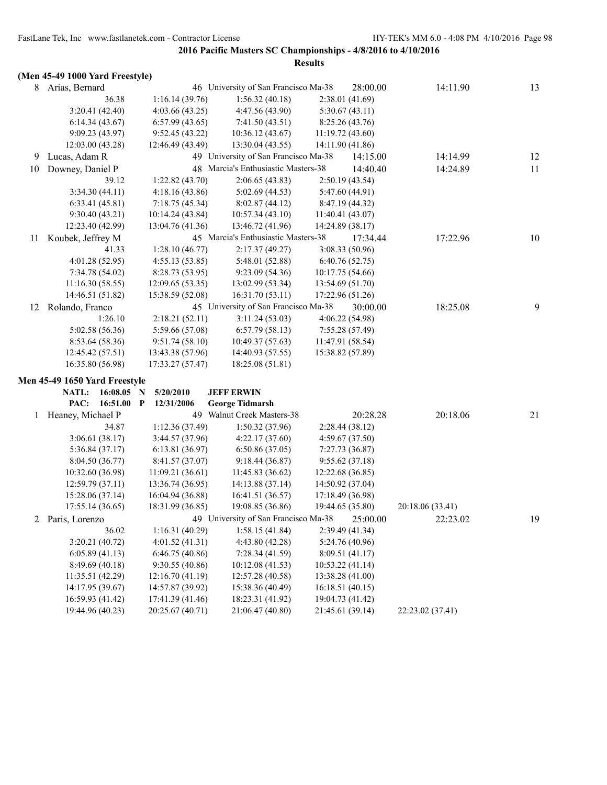|  |  |  |  | (Men 45-49 1000 Yard Freestyle) |
|--|--|--|--|---------------------------------|
|--|--|--|--|---------------------------------|

| ↖  |                               |                  |                                      |                  |                  |    |
|----|-------------------------------|------------------|--------------------------------------|------------------|------------------|----|
| 8  | Arias, Bernard                |                  | 46 University of San Francisco Ma-38 | 28:00.00         | 14:11.90         | 13 |
|    | 36.38                         | 1:16.14(39.76)   | 1:56.32(40.18)                       | 2:38.01(41.69)   |                  |    |
|    | 3:20.41 (42.40)               | 4:03.66(43.25)   | 4:47.56 (43.90)                      | 5:30.67(43.11)   |                  |    |
|    | 6:14.34(43.67)                | 6:57.99(43.65)   | 7:41.50(43.51)                       | 8:25.26 (43.76)  |                  |    |
|    | 9:09.23(43.97)                | 9:52.45(43.22)   | 10:36.12 (43.67)                     | 11:19.72 (43.60) |                  |    |
|    | 12:03.00 (43.28)              | 12:46.49 (43.49) | 13:30.04 (43.55)                     | 14:11.90 (41.86) |                  |    |
| 9  | Lucas, Adam R                 |                  | 49 University of San Francisco Ma-38 | 14:15.00         | 14:14.99         | 12 |
| 10 | Downey, Daniel P              |                  | 48 Marcia's Enthusiastic Masters-38  | 14:40.40         | 14:24.89         | 11 |
|    | 39.12                         | 1:22.82(43.70)   | 2:06.65(43.83)                       | 2:50.19(43.54)   |                  |    |
|    | 3:34.30(44.11)                | 4:18.16(43.86)   | 5:02.69 (44.53)                      | 5:47.60 (44.91)  |                  |    |
|    | 6:33.41(45.81)                | 7:18.75(45.34)   | 8:02.87(44.12)                       | 8:47.19 (44.32)  |                  |    |
|    | 9:30.40(43.21)                | 10:14.24 (43.84) | 10:57.34(43.10)                      | 11:40.41 (43.07) |                  |    |
|    | 12:23.40 (42.99)              | 13:04.76 (41.36) | 13:46.72 (41.96)                     | 14:24.89 (38.17) |                  |    |
| 11 | Koubek, Jeffrey M             |                  | 45 Marcia's Enthusiastic Masters-38  | 17:34.44         | 17:22.96         | 10 |
|    | 41.33                         | 1:28.10(46.77)   | 2:17.37(49.27)                       | 3:08.33 (50.96)  |                  |    |
|    | 4:01.28(52.95)                | 4:55.13(53.85)   | 5:48.01 (52.88)                      | 6:40.76(52.75)   |                  |    |
|    | 7:34.78 (54.02)               | 8:28.73 (53.95)  | 9:23.09 (54.36)                      | 10:17.75 (54.66) |                  |    |
|    | 11:16.30(58.55)               | 12:09.65(53.35)  | 13:02.99 (53.34)                     | 13:54.69 (51.70) |                  |    |
|    | 14:46.51 (51.82)              | 15:38.59 (52.08) | 16:31.70(53.11)                      | 17:22.96 (51.26) |                  |    |
| 12 | Rolando, Franco               |                  | 45 University of San Francisco Ma-38 | 30:00.00         | 18:25.08         | 9  |
|    | 1:26.10                       | 2:18.21(52.11)   | 3:11.24(53.03)                       | 4:06.22 (54.98)  |                  |    |
|    | 5:02.58 (56.36)               | 5:59.66 (57.08)  | 6:57.79(58.13)                       | 7:55.28 (57.49)  |                  |    |
|    | 8:53.64 (58.36)               | 9:51.74(58.10)   | 10:49.37 (57.63)                     | 11:47.91 (58.54) |                  |    |
|    | 12:45.42 (57.51)              | 13:43.38 (57.96) | 14:40.93 (57.55)                     | 15:38.82 (57.89) |                  |    |
|    | 16:35.80 (56.98)              | 17:33.27 (57.47) | 18:25.08 (51.81)                     |                  |                  |    |
|    | Men 45-49 1650 Yard Freestyle |                  |                                      |                  |                  |    |
|    | NATL:<br>16:08.05             | 5/20/2010<br>N   | <b>JEFF ERWIN</b>                    |                  |                  |    |
|    | PAC:<br>16:51.00 P            | 12/31/2006       | <b>George Tidmarsh</b>               |                  |                  |    |
|    | 1 Heaney, Michael P           |                  | 49 Walnut Creek Masters-38           | 20:28.28         | 20:18.06         | 21 |
|    | 34.87                         | 1:12.36(37.49)   | 1:50.32(37.96)                       | 2:28.44(38.12)   |                  |    |
|    | 3:06.61(38.17)                | 3:44.57 (37.96)  | 4:22.17(37.60)                       | 4:59.67(37.50)   |                  |    |
|    | 5:36.84(37.17)                | 6:13.81 (36.97)  | 6:50.86(37.05)                       | 7:27.73 (36.87)  |                  |    |
|    | 8:04.50 (36.77)               | 8:41.57 (37.07)  | 9:18.44(36.87)                       | 9:55.62(37.18)   |                  |    |
|    | 10:32.60 (36.98)              | 11:09.21(36.61)  | 11:45.83 (36.62)                     | 12:22.68 (36.85) |                  |    |
|    | 12:59.79(37.11)               | 13:36.74 (36.95) | 14:13.88 (37.14)                     | 14:50.92 (37.04) |                  |    |
|    | 15:28.06 (37.14)              | 16:04.94 (36.88) | 16:41.51 (36.57)                     | 17:18.49 (36.98) |                  |    |
|    | 17:55.14 (36.65)              | 18:31.99 (36.85) | 19:08.85 (36.86)                     | 19:44.65 (35.80) | 20:18.06 (33.41) |    |
| 2  | Paris, Lorenzo                |                  | 49 University of San Francisco Ma-38 | 25:00.00         | 22:23.02         | 19 |
|    | 36.02                         | 1:16.31(40.29)   | 1:58.15(41.84)                       | 2:39.49 (41.34)  |                  |    |
|    | 3:20.21(40.72)                | 4:01.52(41.31)   | 4:43.80 (42.28)                      | 5:24.76 (40.96)  |                  |    |
|    | 6:05.89(41.13)                | 6:46.75(40.86)   | 7:28.34(41.59)                       | 8:09.51 (41.17)  |                  |    |
|    | 8:49.69 (40.18)               | 9:30.55(40.86)   | 10:12.08 (41.53)                     | 10:53.22 (41.14) |                  |    |
|    | 11:35.51 (42.29)              | 12:16.70 (41.19) | 12:57.28 (40.58)                     | 13:38.28 (41.00) |                  |    |
|    | 14:17.95 (39.67)              | 14:57.87 (39.92) | 15:38.36 (40.49)                     | 16:18.51(40.15)  |                  |    |
|    | 16:59.93 (41.42)              | 17:41.39 (41.46) | 18:23.31 (41.92)                     | 19:04.73 (41.42) |                  |    |
|    | 19:44.96 (40.23)              | 20:25.67 (40.71) | 21:06.47 (40.80)                     | 21:45.61 (39.14) | 22:23.02 (37.41) |    |
|    |                               |                  |                                      |                  |                  |    |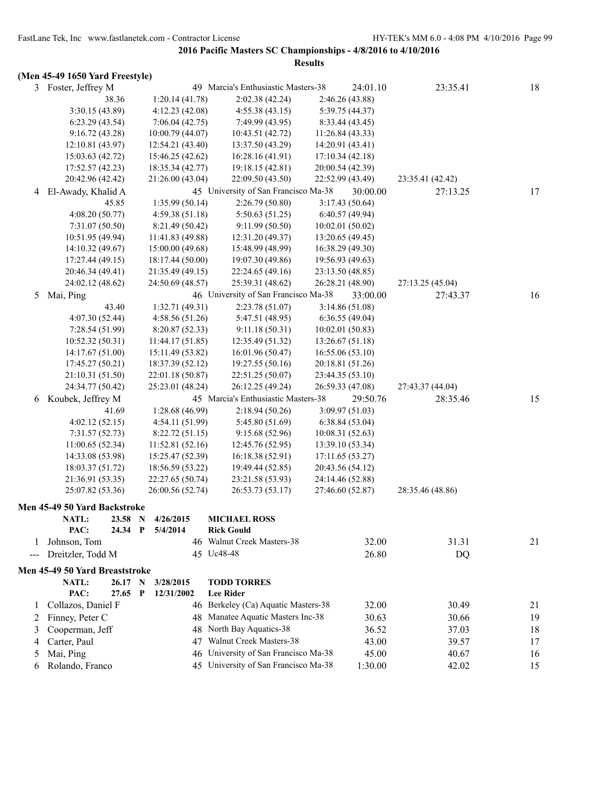|              | (Men 45-49 1650 Yard Freestyle) |   |                  |                                      |                  |          |                  |    |
|--------------|---------------------------------|---|------------------|--------------------------------------|------------------|----------|------------------|----|
|              | 3 Foster, Jeffrey M             |   |                  | 49 Marcia's Enthusiastic Masters-38  |                  | 24:01.10 | 23:35.41         | 18 |
|              | 38.36                           |   | 1:20.14(41.78)   | 2:02.38 (42.24)                      | 2:46.26 (43.88)  |          |                  |    |
|              | 3:30.15 (43.89)                 |   | 4:12.23(42.08)   | 4:55.38(43.15)                       | 5:39.75 (44.37)  |          |                  |    |
|              | 6:23.29(43.54)                  |   | 7:06.04(42.75)   | 7:49.99 (43.95)                      | 8:33.44 (43.45)  |          |                  |    |
|              | 9:16.72(43.28)                  |   | 10:00.79 (44.07) | 10:43.51 (42.72)                     | 11:26.84(43.33)  |          |                  |    |
|              | 12:10.81 (43.97)                |   | 12:54.21 (43.40) | 13:37.50 (43.29)                     | 14:20.91 (43.41) |          |                  |    |
|              | 15:03.63 (42.72)                |   | 15:46.25 (42.62) | 16:28.16 (41.91)                     | 17:10.34 (42.18) |          |                  |    |
|              | 17:52.57 (42.23)                |   | 18:35.34 (42.77) | 19:18.15 (42.81)                     | 20:00.54 (42.39) |          |                  |    |
|              | 20:42.96 (42.42)                |   | 21:26.00 (43.04) | 22:09.50 (43.50)                     | 22:52.99 (43.49) |          | 23:35.41 (42.42) |    |
|              | 4 El-Awady, Khalid A            |   |                  | 45 University of San Francisco Ma-38 |                  | 30:00.00 | 27:13.25         | 17 |
|              | 45.85                           |   | 1:35.99(50.14)   | 2:26.79(50.80)                       | 3:17.43 (50.64)  |          |                  |    |
|              | 4:08.20(50.77)                  |   | 4:59.38(51.18)   | 5:50.63(51.25)                       | 6:40.57(49.94)   |          |                  |    |
|              | 7:31.07(50.50)                  |   | 8:21.49 (50.42)  | 9:11.99(50.50)                       | 10:02.01(50.02)  |          |                  |    |
|              | 10:51.95(49.94)                 |   | 11:41.83 (49.88) | 12:31.20 (49.37)                     | 13:20.65(49.45)  |          |                  |    |
|              | 14:10.32 (49.67)                |   | 15:00.00 (49.68) | 15:48.99 (48.99)                     | 16:38.29 (49.30) |          |                  |    |
|              | 17:27.44 (49.15)                |   | 18:17.44 (50.00) | 19:07.30 (49.86)                     | 19:56.93 (49.63) |          |                  |    |
|              | 20:46.34 (49.41)                |   | 21:35.49 (49.15) | 22:24.65 (49.16)                     | 23:13.50 (48.85) |          |                  |    |
|              | 24:02.12 (48.62)                |   | 24:50.69 (48.57) | 25:39.31 (48.62)                     | 26:28.21 (48.90) |          | 27:13.25 (45.04) |    |
| 5            | Mai, Ping                       |   |                  | 46 University of San Francisco Ma-38 |                  | 33:00.00 | 27:43.37         | 16 |
|              | 43.40                           |   | 1:32.71 (49.31)  | 2:23.78 (51.07)                      | 3:14.86(51.08)   |          |                  |    |
|              | 4:07.30(52.44)                  |   | 4:58.56(51.26)   | 5:47.51 (48.95)                      | 6:36.55(49.04)   |          |                  |    |
|              | 7:28.54(51.99)                  |   | 8:20.87(52.33)   | 9:11.18(50.31)                       | 10:02.01(50.83)  |          |                  |    |
|              | 10:52.32 (50.31)                |   | 11:44.17(51.85)  | 12:35.49 (51.32)                     | 13:26.67 (51.18) |          |                  |    |
|              | 14:17.67 (51.00)                |   | 15:11.49 (53.82) | 16:01.96 (50.47)                     | 16:55.06(53.10)  |          |                  |    |
|              | 17:45.27(50.21)                 |   | 18:37.39 (52.12) | 19:27.55 (50.16)                     | 20:18.81 (51.26) |          |                  |    |
|              | 21:10.31 (51.50)                |   | 22:01.18 (50.87) | 22:51.25 (50.07)                     | 23:44.35 (53.10) |          |                  |    |
|              | 24:34.77 (50.42)                |   | 25:23.01 (48.24) | 26:12.25 (49.24)                     | 26:59.33 (47.08) |          | 27:43.37 (44.04) |    |
| 6            | Koubek, Jeffrey M               |   |                  | 45 Marcia's Enthusiastic Masters-38  |                  | 29:50.76 | 28:35.46         | 15 |
|              | 41.69                           |   | 1:28.68 (46.99)  | 2:18.94(50.26)                       | 3:09.97 (51.03)  |          |                  |    |
|              | 4:02.12(52.15)                  |   | 4:54.11(51.99)   | 5:45.80 (51.69)                      | 6:38.84(53.04)   |          |                  |    |
|              | 7:31.57(52.73)                  |   | 8:22.72(51.15)   | 9:15.68 (52.96)                      | 10:08.31(52.63)  |          |                  |    |
|              | 11:00.65(52.34)                 |   | 11:52.81 (52.16) | 12:45.76 (52.95)                     | 13:39.10 (53.34) |          |                  |    |
|              | 14:33.08 (53.98)                |   | 15:25.47 (52.39) | 16:18.38(52.91)                      | 17:11.65 (53.27) |          |                  |    |
|              | 18:03.37 (51.72)                |   | 18:56.59 (53.22) | 19:49.44 (52.85)                     | 20:43.56 (54.12) |          |                  |    |
|              | 21:36.91 (53.35)                |   | 22:27.65 (50.74) | 23:21.58 (53.93)                     | 24:14.46 (52.88) |          |                  |    |
|              | 25:07.82 (53.36)                |   | 26:00.56 (52.74) | 26:53.73 (53.17)                     | 27:46.60 (52.87) |          | 28:35.46 (48.86) |    |
|              | Men 45-49 50 Yard Backstroke    |   |                  |                                      |                  |          |                  |    |
|              | <b>NATL:</b><br>23.58 N         |   | 4/26/2015        | <b>MICHAEL ROSS</b>                  |                  |          |                  |    |
|              | PAC:<br>24.34                   | P | 5/4/2014         | <b>Rick Gould</b>                    |                  |          |                  |    |
| $\mathbf{I}$ | Johnson, Tom                    |   |                  | 46 Walnut Creek Masters-38           |                  | 32.00    | 31.31            | 21 |
| ---          | Dreitzler, Todd M               |   |                  | 45 Uc48-48                           |                  | 26.80    | DQ               |    |
|              |                                 |   |                  |                                      |                  |          |                  |    |
|              | Men 45-49 50 Yard Breaststroke  |   |                  |                                      |                  |          |                  |    |
|              | <b>NATL:</b><br>26.17 N         |   | 3/28/2015        | <b>TODD TORRES</b>                   |                  |          |                  |    |
|              | PAC:<br>27.65                   | P | 12/31/2002       | <b>Lee Rider</b>                     |                  |          |                  |    |
| 1            | Collazos, Daniel F              |   |                  | 46 Berkeley (Ca) Aquatic Masters-38  |                  | 32.00    | 30.49            | 21 |
| 2            | Finney, Peter C                 |   |                  | 48 Manatee Aquatic Masters Inc-38    |                  | 30.63    | 30.66            | 19 |
| 3            | Cooperman, Jeff                 |   | 48               | North Bay Aquatics-38                |                  | 36.52    | 37.03            | 18 |
| 4            | Carter, Paul                    |   | 47               | Walnut Creek Masters-38              |                  | 43.00    | 39.57            | 17 |
| 5            | Mai, Ping                       |   |                  | 46 University of San Francisco Ma-38 |                  | 45.00    | 40.67            | 16 |

6 Rolando, Franco 45 University of San Francisco Ma-38 1:30.00 42.02 15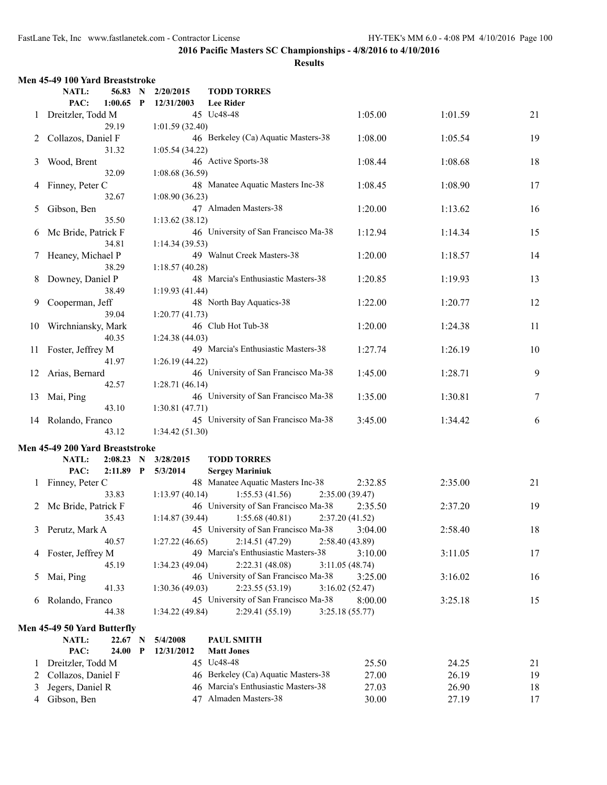|    | Men 45-49 100 Yard Breaststroke |              |                 |                                      |                 |         |    |
|----|---------------------------------|--------------|-----------------|--------------------------------------|-----------------|---------|----|
|    | NATL:<br>56.83 N                |              | 2/20/2015       | <b>TODD TORRES</b>                   |                 |         |    |
|    | PAC:<br>1:00.65                 | $\mathbf{P}$ | 12/31/2003      | <b>Lee Rider</b>                     |                 |         |    |
| 1  | Dreitzler, Todd M               |              |                 | 45 Uc48-48                           | 1:05.00         | 1:01.59 | 21 |
|    | 29.19                           |              | 1:01.59(32.40)  |                                      |                 |         |    |
| 2  | Collazos, Daniel F              |              |                 | 46 Berkeley (Ca) Aquatic Masters-38  | 1:08.00         | 1:05.54 | 19 |
|    | 31.32                           |              | 1:05.54(34.22)  |                                      |                 |         |    |
| 3  | Wood, Brent                     |              |                 | 46 Active Sports-38                  | 1:08.44         | 1:08.68 | 18 |
|    | 32.09                           |              | 1:08.68(36.59)  |                                      |                 |         |    |
| 4  | Finney, Peter C                 |              |                 | 48 Manatee Aquatic Masters Inc-38    | 1:08.45         | 1:08.90 | 17 |
|    | 32.67                           |              | 1:08.90(36.23)  |                                      |                 |         |    |
|    |                                 |              |                 | 47 Almaden Masters-38                |                 |         |    |
| 5  | Gibson, Ben                     |              |                 |                                      | 1:20.00         | 1:13.62 | 16 |
|    | 35.50                           |              | 1:13.62(38.12)  |                                      |                 |         |    |
| 6  | Mc Bride, Patrick F             |              |                 | 46 University of San Francisco Ma-38 | 1:12.94         | 1:14.34 | 15 |
|    | 34.81                           |              | 1:14.34(39.53)  |                                      |                 |         |    |
| 7  | Heaney, Michael P               |              |                 | 49 Walnut Creek Masters-38           | 1:20.00         | 1:18.57 | 14 |
|    | 38.29                           |              | 1:18.57(40.28)  |                                      |                 |         |    |
| 8  | Downey, Daniel P                |              |                 | 48 Marcia's Enthusiastic Masters-38  | 1:20.85         | 1:19.93 | 13 |
|    | 38.49                           |              | 1:19.93(41.44)  |                                      |                 |         |    |
| 9  | Cooperman, Jeff                 |              |                 | 48 North Bay Aquatics-38             | 1:22.00         | 1:20.77 | 12 |
|    | 39.04                           |              | 1:20.77(41.73)  |                                      |                 |         |    |
| 10 | Wirchniansky, Mark              |              |                 | 46 Club Hot Tub-38                   | 1:20.00         | 1:24.38 | 11 |
|    | 40.35                           |              | 1:24.38(44.03)  |                                      |                 |         |    |
| 11 | Foster, Jeffrey M               |              |                 | 49 Marcia's Enthusiastic Masters-38  | 1:27.74         | 1:26.19 | 10 |
|    | 41.97                           |              | 1:26.19(44.22)  |                                      |                 |         |    |
| 12 | Arias, Bernard                  |              |                 | 46 University of San Francisco Ma-38 | 1:45.00         | 1:28.71 | 9  |
|    | 42.57                           |              | 1:28.71(46.14)  |                                      |                 |         |    |
| 13 | Mai, Ping                       |              |                 | 46 University of San Francisco Ma-38 | 1:35.00         | 1:30.81 | 7  |
|    | 43.10                           |              | 1:30.81(47.71)  |                                      |                 |         |    |
|    |                                 |              |                 |                                      |                 |         |    |
| 14 | Rolando, Franco                 |              |                 | 45 University of San Francisco Ma-38 | 3:45.00         | 1:34.42 | 6  |
|    | 43.12                           |              | 1:34.42(51.30)  |                                      |                 |         |    |
|    | Men 45-49 200 Yard Breaststroke |              |                 |                                      |                 |         |    |
|    | NATL:<br>$2:08.23$ N            |              | 3/28/2015       | <b>TODD TORRES</b>                   |                 |         |    |
|    | PAC:<br>$2:11.89$ P             |              | 5/3/2014        | <b>Sergey Mariniuk</b>               |                 |         |    |
| 1  | Finney, Peter C                 |              |                 | 48 Manatee Aquatic Masters Inc-38    | 2:32.85         | 2:35.00 | 21 |
|    | 33.83                           |              | 1:13.97(40.14)  | 1:55.53(41.56)                       | 2:35.00 (39.47) |         |    |
|    | 2 Mc Bride, Patrick F           |              |                 | 46 University of San Francisco Ma-38 | 2:35.50         | 2:37.20 | 19 |
|    | 35.43                           |              | 1:14.87(39.44)  | 1:55.68(40.81)                       | 2:37.20(41.52)  |         |    |
| 3  | Perutz, Mark A                  |              |                 | 45 University of San Francisco Ma-38 | 3:04.00         | 2:58.40 | 18 |
|    | 40.57                           |              | 1:27.22(46.65)  | 2:14.51(47.29)                       | 2:58.40(43.89)  |         |    |
| 4  | Foster, Jeffrey M               |              |                 | 49 Marcia's Enthusiastic Masters-38  | 3:10.00         | 3:11.05 | 17 |
|    | 45.19                           |              | 1:34.23(49.04)  | 2:22.31 (48.08)                      |                 |         |    |
|    |                                 |              |                 |                                      | 3:11.05(48.74)  |         |    |
| 5  | Mai, Ping                       |              |                 | 46 University of San Francisco Ma-38 | 3:25.00         | 3:16.02 | 16 |
|    | 41.33                           |              | 1:30.36 (49.03) | 2:23.55(53.19)                       | 3:16.02(52.47)  |         |    |
| 6  | Rolando, Franco                 |              |                 | 45 University of San Francisco Ma-38 | 8:00.00         | 3:25.18 | 15 |
|    | 44.38                           |              | 1:34.22 (49.84) | 2:29.41(55.19)                       | 3:25.18(55.77)  |         |    |
|    | Men 45-49 50 Yard Butterfly     |              |                 |                                      |                 |         |    |
|    | NATL:<br>22.67                  | N            | 5/4/2008        | PAUL SMITH                           |                 |         |    |
|    | PAC:<br>24.00                   | P            | 12/31/2012      | <b>Matt Jones</b>                    |                 |         |    |
| 1  | Dreitzler, Todd M               |              |                 | 45 Uc48-48                           | 25.50           | 24.25   | 21 |
| 2  | Collazos, Daniel F              |              |                 | 46 Berkeley (Ca) Aquatic Masters-38  | 27.00           | 26.19   | 19 |
| 3  | Jegers, Daniel R                |              |                 | 46 Marcia's Enthusiastic Masters-38  | 27.03           | 26.90   | 18 |
|    | Gibson, Ben                     |              |                 | 47 Almaden Masters-38                |                 |         |    |
| 4  |                                 |              |                 |                                      | 30.00           | 27.19   | 17 |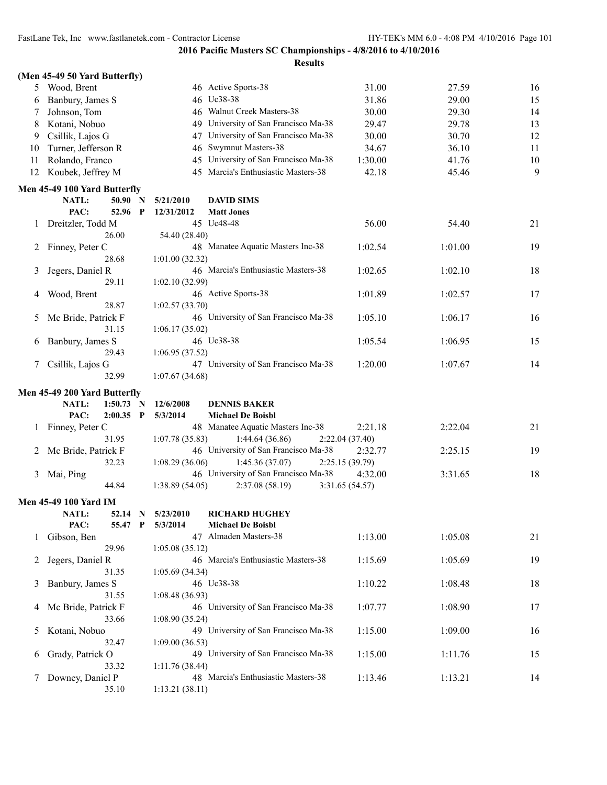|              | (Men 45-49 50 Yard Butterfly)                           |                               |                                                     |                 |         |    |
|--------------|---------------------------------------------------------|-------------------------------|-----------------------------------------------------|-----------------|---------|----|
| 5            | Wood, Brent                                             |                               | 46 Active Sports-38                                 | 31.00           | 27.59   | 16 |
| 6            | Banbury, James S                                        |                               | 46 Uc38-38                                          | 31.86           | 29.00   | 15 |
| 7            | Johnson, Tom                                            |                               | 46 Walnut Creek Masters-38                          | 30.00           | 29.30   | 14 |
| 8            | Kotani, Nobuo                                           |                               | 49 University of San Francisco Ma-38                | 29.47           | 29.78   | 13 |
| 9            | Csillik, Lajos G                                        | 47                            | University of San Francisco Ma-38                   | 30.00           | 30.70   | 12 |
| 10           | Turner, Jefferson R                                     | 46                            | Swymnut Masters-38                                  | 34.67           | 36.10   | 11 |
| 11           | Rolando, Franco                                         | 45                            | University of San Francisco Ma-38                   | 1:30.00         | 41.76   | 10 |
|              | 12 Koubek, Jeffrey M                                    |                               | 45 Marcia's Enthusiastic Masters-38                 | 42.18           | 45.46   | 9  |
|              | Men 45-49 100 Yard Butterfly                            |                               |                                                     |                 |         |    |
|              | NATL:<br>50.90                                          | $\mathbf N$<br>5/21/2010      | <b>DAVID SIMS</b>                                   |                 |         |    |
|              | PAC:<br>52.96                                           | $\mathbf P$<br>12/31/2012     | <b>Matt Jones</b>                                   |                 |         |    |
| $\mathbf{I}$ | Dreitzler, Todd M                                       |                               | 45 Uc48-48                                          | 56.00           | 54.40   | 21 |
|              | 26.00                                                   | 54.40 (28.40)                 |                                                     |                 |         |    |
| 2            | Finney, Peter C                                         |                               | 48 Manatee Aquatic Masters Inc-38                   | 1:02.54         | 1:01.00 | 19 |
|              | 28.68                                                   | 1:01.00(32.32)                |                                                     |                 |         |    |
| 3            | Jegers, Daniel R                                        |                               | 46 Marcia's Enthusiastic Masters-38                 | 1:02.65         | 1:02.10 | 18 |
|              | 29.11                                                   | 1:02.10(32.99)                |                                                     |                 |         |    |
| 4            | Wood, Brent                                             |                               | 46 Active Sports-38                                 | 1:01.89         | 1:02.57 | 17 |
|              | 28.87                                                   | 1:02.57(33.70)                |                                                     |                 |         |    |
| 5            | Mc Bride, Patrick F                                     |                               | 46 University of San Francisco Ma-38                | 1:05.10         | 1:06.17 | 16 |
|              | 31.15                                                   | 1:06.17(35.02)                |                                                     |                 |         |    |
| 6            | Banbury, James S                                        |                               | 46 Uc38-38                                          | 1:05.54         | 1:06.95 | 15 |
|              | 29.43                                                   | 1:06.95(37.52)                |                                                     |                 |         |    |
| 7            | Csillik, Lajos G                                        |                               | 47 University of San Francisco Ma-38                | 1:20.00         | 1:07.67 | 14 |
|              | 32.99                                                   | 1:07.67(34.68)                |                                                     |                 |         |    |
|              |                                                         |                               |                                                     |                 |         |    |
|              |                                                         |                               |                                                     |                 |         |    |
|              | Men 45-49 200 Yard Butterfly<br>1:50.73<br><b>NATL:</b> | 12/6/2008<br>N                | <b>DENNIS BAKER</b>                                 |                 |         |    |
|              | PAC:<br>$2:00.35$ P                                     | 5/3/2014                      | <b>Michael De Boisbl</b>                            |                 |         |    |
| 1            |                                                         |                               |                                                     | 2:21.18         | 2:22.04 | 21 |
|              | Finney, Peter C<br>31.95                                | 1:07.78(35.83)                | 48 Manatee Aquatic Masters Inc-38<br>1:44.64(36.86) | 2:22.04 (37.40) |         |    |
| 2            | Mc Bride, Patrick F                                     |                               | 46 University of San Francisco Ma-38                | 2:32.77         | 2:25.15 | 19 |
|              | 32.23                                                   | 1:08.29(36.06)                | 1:45.36(37.07)                                      | 2:25.15 (39.79) |         |    |
| 3            | Mai, Ping                                               |                               | 46 University of San Francisco Ma-38                | 4:32.00         | 3:31.65 | 18 |
|              | 44.84                                                   | 1:38.89(54.05)                | 2:37.08(58.19)                                      | 3:31.65 (54.57) |         |    |
|              | <b>Men 45-49 100 Yard IM</b>                            |                               |                                                     |                 |         |    |
|              | NATL:                                                   |                               | <b>RICHARD HUGHEY</b>                               |                 |         |    |
|              | PAC:<br>55.47 P                                         | 52.14 N 5/23/2010<br>5/3/2014 | <b>Michael De Boisbl</b>                            |                 |         |    |
| $\mathbf{I}$ | Gibson, Ben                                             |                               | 47 Almaden Masters-38                               | 1:13.00         | 1:05.08 | 21 |
|              | 29.96                                                   | 1:05.08(35.12)                |                                                     |                 |         |    |
| 2            | Jegers, Daniel R                                        |                               | 46 Marcia's Enthusiastic Masters-38                 | 1:15.69         | 1:05.69 | 19 |
|              | 31.35                                                   | 1:05.69(34.34)                |                                                     |                 |         |    |
| 3            | Banbury, James S                                        |                               | 46 Uc38-38                                          | 1:10.22         | 1:08.48 | 18 |
|              | 31.55                                                   | 1:08.48(36.93)                |                                                     |                 |         |    |
| 4            | Mc Bride, Patrick F                                     |                               | 46 University of San Francisco Ma-38                | 1:07.77         | 1:08.90 | 17 |
|              | 33.66                                                   | 1:08.90(35.24)                |                                                     |                 |         |    |
| 5            | Kotani, Nobuo                                           |                               | 49 University of San Francisco Ma-38                | 1:15.00         | 1:09.00 | 16 |
|              | 32.47                                                   | 1:09.00(36.53)                |                                                     |                 |         |    |
| 6            | Grady, Patrick O                                        |                               | 49 University of San Francisco Ma-38                | 1:15.00         | 1:11.76 | 15 |
|              | 33.32                                                   | 1:11.76(38.44)                |                                                     |                 |         |    |
| 7            | Downey, Daniel P<br>35.10                               | 1:13.21(38.11)                | 48 Marcia's Enthusiastic Masters-38                 | 1:13.46         | 1:13.21 | 14 |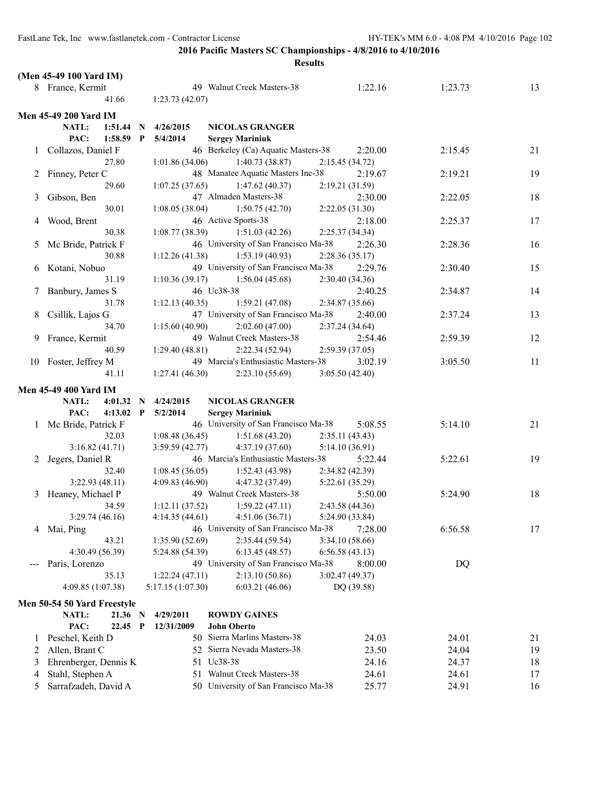|               | (Men 45-49 100 Yard IM)                  |             |                   |                                                                 |                 |                |          |
|---------------|------------------------------------------|-------------|-------------------|-----------------------------------------------------------------|-----------------|----------------|----------|
|               | 8 France, Kermit                         |             |                   | 49 Walnut Creek Masters-38                                      | 1:22.16         | 1:23.73        | 13       |
|               | 41.66                                    |             | 1:23.73(42.07)    |                                                                 |                 |                |          |
|               | <b>Men 45-49 200 Yard IM</b>             |             |                   |                                                                 |                 |                |          |
|               | NATL:<br>1:51.44                         | $\mathbf N$ | 4/26/2015         | <b>NICOLAS GRANGER</b>                                          |                 |                |          |
|               | PAC:<br>$1:58.59$ P                      |             | 5/4/2014          | <b>Sergey Mariniuk</b>                                          |                 |                |          |
|               | 1 Collazos, Daniel F                     |             |                   | 46 Berkeley (Ca) Aquatic Masters-38                             | 2:20.00         | 2:15.45        | 21       |
|               | 27.80                                    |             | 1:01.86(34.06)    | 1:40.73(38.87)                                                  | 2:15.45 (34.72) |                |          |
| 2             | Finney, Peter C                          |             |                   | 48 Manatee Aquatic Masters Inc-38                               | 2:19.67         | 2:19.21        | 19       |
|               | 29.60                                    |             | 1:07.25(37.65)    | 1:47.62(40.37)                                                  | 2:19.21 (31.59) |                |          |
| 3             | Gibson, Ben                              |             |                   | 47 Almaden Masters-38                                           | 2:30.00         | 2:22.05        | 18       |
|               | 30.01                                    |             | 1:08.05(38.04)    | 1:50.75(42.70)                                                  | 2:22.05(31.30)  |                |          |
| 4             | Wood, Brent                              |             |                   | 46 Active Sports-38                                             | 2:18.00         | 2:25.37        | 17       |
|               | 30.38                                    |             | 1:08.77(38.39)    | 1:51.03(42.26)                                                  | 2:25.37(34.34)  |                |          |
| $\mathcal{L}$ | Mc Bride, Patrick F                      |             |                   | 46 University of San Francisco Ma-38                            | 2:26.30         | 2:28.36        | 16       |
|               | 30.88                                    |             | 1:12.26(41.38)    | 1:53.19(40.93)                                                  | 2:28.36(35.17)  |                |          |
|               | 6 Kotani, Nobuo                          |             |                   | 49 University of San Francisco Ma-38                            | 2:29.76         | 2:30.40        | 15       |
|               | 31.19                                    |             | 1:10.36(39.17)    | 1:56.04(45.68)                                                  | 2:30.40(34.36)  |                |          |
|               | Banbury, James S                         |             |                   | 46 Uc38-38                                                      | 2:40.25         | 2:34.87        | 14       |
|               | 31.78                                    |             | 1:12.13(40.35)    | 1:59.21(47.08)                                                  | 2:34.87 (35.66) |                |          |
| 8             | Csillik, Lajos G                         |             |                   | 47 University of San Francisco Ma-38                            | 2:40.00         | 2:37.24        | 13       |
|               | 34.70                                    |             | 1:15.60(40.90)    | 2:02.60(47.00)                                                  | 2:37.24(34.64)  |                |          |
| 9.            | France, Kermit                           |             |                   | 49 Walnut Creek Masters-38                                      | 2:54.46         | 2:59.39        | 12       |
|               | 40.59                                    |             | 1:29.40(48.81)    | 2:22.34(52.94)                                                  | 2:59.39(37.05)  |                |          |
|               | 10 Foster, Jeffrey M                     |             |                   | 49 Marcia's Enthusiastic Masters-38                             | 3:02.19         | 3:05.50        | 11       |
|               | 41.11                                    |             | 1:27.41(46.30)    | 2:23.10(55.69)                                                  | 3:05.50 (42.40) |                |          |
|               |                                          |             |                   |                                                                 |                 |                |          |
|               | <b>Men 45-49 400 Yard IM</b>             |             |                   |                                                                 |                 |                |          |
|               | NATL:<br>4:01.32<br>PAC:                 | - N         | 4/24/2015         | <b>NICOLAS GRANGER</b>                                          |                 |                |          |
|               | $4:13.02$ P                              |             | 5/2/2014          | <b>Sergey Mariniuk</b><br>46 University of San Francisco Ma-38  | 5:08.55         | 5:14.10        | 21       |
|               | 1 Mc Bride, Patrick F<br>32.03           |             | 1:08.48(36.45)    | 1:51.68(43.20)                                                  | 2:35.11(43.43)  |                |          |
|               | 3:16.82(41.71)                           |             | 3:59.59(42.77)    | 4:37.19(37.60)                                                  | 5:14.10 (36.91) |                |          |
|               | Jegers, Daniel R                         |             |                   | 46 Marcia's Enthusiastic Masters-38                             | 5:22.44         | 5:22.61        | 19       |
| 2             | 32.40                                    |             | 1:08.45(36.05)    | 1:52.43(43.98)                                                  | 2:34.82 (42.39) |                |          |
|               | 3:22.93(48.11)                           |             | 4:09.83(46.90)    | 4:47.32 (37.49)                                                 | 5:22.61 (35.29) |                |          |
|               | 3 Heaney, Michael P                      |             |                   |                                                                 |                 |                |          |
|               |                                          |             |                   |                                                                 |                 |                |          |
|               |                                          |             |                   | 49 Walnut Creek Masters-38                                      | 5:50.00         | 5:24.90        | 18       |
|               | 34.59                                    |             | 1:12.11(37.52)    | 1:59.22(47.11)                                                  | 2:43.58 (44.36) |                |          |
|               | 3:29.74(46.16)                           |             | 4:14.35(44.61)    | 4:51.06(36.71)                                                  | 5:24.90 (33.84) |                |          |
| 4             | Mai, Ping                                |             |                   | 46 University of San Francisco Ma-38                            | 7:28.00         | 6:56.58        | 17       |
|               | 43.21                                    |             | 1:35.90(52.69)    | 2:35.44 (59.54)                                                 | 3:34.10 (58.66) |                |          |
|               | 4:30.49 (56.39)                          |             | 5:24.88 (54.39)   | 6:13.45(48.57)                                                  | 6:56.58(43.13)  |                |          |
|               | Paris, Lorenzo                           |             |                   | 49 University of San Francisco Ma-38                            | 8:00.00         | DQ             |          |
|               | 35.13                                    |             | 1:22.24(47.11)    | 2:13.10(50.86)                                                  | 3:02.47 (49.37) |                |          |
|               | 4:09.85 (1:07.38)                        |             | 5:17.15 (1:07.30) | 6:03.21(46.06)                                                  | DQ (39.58)      |                |          |
|               | Men 50-54 50 Yard Freestyle              |             |                   |                                                                 |                 |                |          |
|               | NATL:<br>21.36 N                         |             | 4/29/2011         | <b>ROWDY GAINES</b>                                             |                 |                |          |
|               | PAC:<br>22.45 P                          |             | 12/31/2009        | <b>John Oberto</b>                                              |                 |                |          |
| 1             | Peschel, Keith D                         |             |                   | 50 Sierra Marlins Masters-38                                    | 24.03           | 24.01          | 21       |
| 2             | Allen, Brant C                           |             |                   | 52 Sierra Nevada Masters-38                                     | 23.50           | 24.04          | 19       |
| 3             | Ehrenberger, Dennis K                    |             |                   | 51 Uc38-38                                                      | 24.16           | 24.37          | 18       |
| 4<br>5        | Stahl, Stephen A<br>Sarrafzadeh, David A |             | 51                | Walnut Creek Masters-38<br>50 University of San Francisco Ma-38 | 24.61<br>25.77  | 24.61<br>24.91 | 17<br>16 |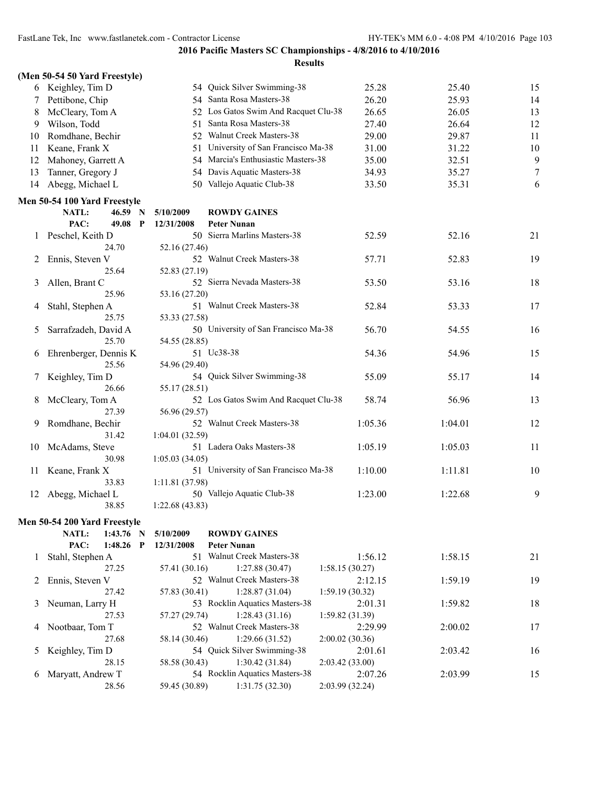|              | (Men 50-54 50 Yard Freestyle) |                 |                                      |                 |         |    |
|--------------|-------------------------------|-----------------|--------------------------------------|-----------------|---------|----|
|              | 6 Keighley, Tim D             |                 | 54 Quick Silver Swimming-38          | 25.28           | 25.40   | 15 |
| 7            | Pettibone, Chip               |                 | 54 Santa Rosa Masters-38             | 26.20           | 25.93   | 14 |
| 8            | McCleary, Tom A               |                 | 52 Los Gatos Swim And Racquet Clu-38 | 26.65           | 26.05   | 13 |
| 9            | Wilson, Todd                  | 51              | Santa Rosa Masters-38                | 27.40           | 26.64   | 12 |
| 10           | Romdhane, Bechir              |                 | 52 Walnut Creek Masters-38           | 29.00           | 29.87   | 11 |
| 11           | Keane, Frank X                | 51              | University of San Francisco Ma-38    | 31.00           | 31.22   | 10 |
| 12           | Mahoney, Garrett A            | 54              | Marcia's Enthusiastic Masters-38     | 35.00           | 32.51   | 9  |
| 13           | Tanner, Gregory J             | 54              | Davis Aquatic Masters-38             | 34.93           | 35.27   | 7  |
| 14           | Abegg, Michael L              |                 | 50 Vallejo Aquatic Club-38           | 33.50           | 35.31   | 6  |
|              | Men 50-54 100 Yard Freestyle  |                 |                                      |                 |         |    |
|              | NATL:<br>46.59 N              | 5/10/2009       | <b>ROWDY GAINES</b>                  |                 |         |    |
|              | PAC:<br>49.08<br>$\mathbf{P}$ | 12/31/2008      | <b>Peter Nunan</b>                   |                 |         |    |
| $\mathbf{I}$ | Peschel, Keith D              |                 | 50 Sierra Marlins Masters-38         | 52.59           | 52.16   | 21 |
|              | 24.70                         | 52.16 (27.46)   |                                      |                 |         |    |
| 2            | Ennis, Steven V               |                 | 52 Walnut Creek Masters-38           | 57.71           | 52.83   | 19 |
|              | 25.64                         | 52.83 (27.19)   |                                      |                 |         |    |
| 3            | Allen, Brant C                |                 | 52 Sierra Nevada Masters-38          | 53.50           | 53.16   | 18 |
|              | 25.96                         | 53.16 (27.20)   |                                      |                 |         |    |
| 4            | Stahl, Stephen A              |                 | 51 Walnut Creek Masters-38           | 52.84           | 53.33   | 17 |
|              | 25.75                         | 53.33 (27.58)   |                                      |                 |         |    |
| 5            | Sarrafzadeh, David A          |                 | 50 University of San Francisco Ma-38 | 56.70           | 54.55   | 16 |
|              | 25.70                         | 54.55 (28.85)   |                                      |                 |         |    |
| 6            | Ehrenberger, Dennis K         |                 | 51 Uc38-38                           | 54.36           | 54.96   | 15 |
|              | 25.56                         | 54.96 (29.40)   |                                      |                 |         |    |
|              | Keighley, Tim D               |                 | 54 Quick Silver Swimming-38          | 55.09           | 55.17   | 14 |
| 8            | 26.66                         | 55.17 (28.51)   | 52 Los Gatos Swim And Racquet Clu-38 | 58.74           | 56.96   | 13 |
|              | McCleary, Tom A<br>27.39      | 56.96 (29.57)   |                                      |                 |         |    |
| 9            | Romdhane, Bechir              |                 | 52 Walnut Creek Masters-38           | 1:05.36         | 1:04.01 | 12 |
|              | 31.42                         | 1:04.01(32.59)  |                                      |                 |         |    |
| 10           | McAdams, Steve                |                 | 51 Ladera Oaks Masters-38            | 1:05.19         | 1:05.03 | 11 |
|              | 30.98                         | 1:05.03(34.05)  |                                      |                 |         |    |
| 11           | Keane, Frank X                |                 | 51 University of San Francisco Ma-38 | 1:10.00         | 1:11.81 | 10 |
|              | 33.83                         | 1:11.81 (37.98) |                                      |                 |         |    |
| 12           | Abegg, Michael L              |                 | 50 Vallejo Aquatic Club-38           | 1:23.00         | 1:22.68 | 9  |
|              | 38.85                         | 1:22.68(43.83)  |                                      |                 |         |    |
|              | Men 50-54 200 Yard Freestyle  |                 |                                      |                 |         |    |
|              | NATL:<br>1:43.76 N            | 5/10/2009       | <b>ROWDY GAINES</b>                  |                 |         |    |
|              | PAC:<br>1:48.26 $P$           | 12/31/2008      | <b>Peter Nunan</b>                   |                 |         |    |
| 1            | Stahl, Stephen A              |                 | 51 Walnut Creek Masters-38           | 1:56.12         | 1:58.15 | 21 |
|              | 27.25                         | 57.41 (30.16)   | 1:27.88(30.47)                       | 1:58.15(30.27)  |         |    |
| 2            | Ennis, Steven V               |                 | 52 Walnut Creek Masters-38           | 2:12.15         | 1:59.19 | 19 |
|              | 27.42                         | 57.83 (30.41)   | 1:28.87(31.04)                       | 1:59.19(30.32)  |         |    |
| 3            | Neuman, Larry H               |                 | 53 Rocklin Aquatics Masters-38       | 2:01.31         | 1:59.82 | 18 |
|              | 27.53                         | 57.27 (29.74)   | 1:28.43(31.16)                       | 1:59.82(31.39)  |         |    |
| 4            | Nootbaar, Tom T               |                 | 52 Walnut Creek Masters-38           | 2:29.99         | 2:00.02 | 17 |
|              | 27.68                         | 58.14 (30.46)   | 1:29.66(31.52)                       | 2:00.02(30.36)  |         |    |
| 5            | Keighley, Tim D               |                 | 54 Quick Silver Swimming-38          | 2:01.61         | 2:03.42 | 16 |
|              | 28.15                         | 58.58 (30.43)   | 1:30.42 (31.84)                      | 2:03.42(33.00)  |         |    |
| 6            | Maryatt, Andrew T             |                 | 54 Rocklin Aquatics Masters-38       | 2:07.26         | 2:03.99 | 15 |
|              | 28.56                         | 59.45 (30.89)   | 1:31.75(32.30)                       | 2:03.99 (32.24) |         |    |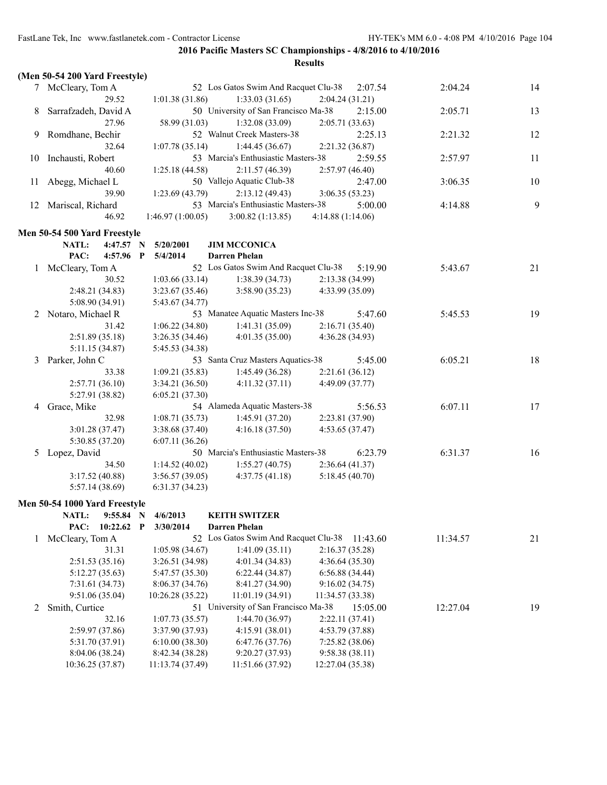|    |                                |                  | <b>Results</b>                       |                  |          |    |
|----|--------------------------------|------------------|--------------------------------------|------------------|----------|----|
|    | (Men 50-54 200 Yard Freestyle) |                  |                                      |                  |          |    |
|    | 7 McCleary, Tom A              |                  | 52 Los Gatos Swim And Racquet Clu-38 | 2:07.54          | 2:04.24  | 14 |
|    | 29.52                          | 1:01.38(31.86)   | 1:33.03(31.65)                       | 2:04.24(31.21)   |          |    |
| 8  | Sarrafzadeh, David A           |                  | 50 University of San Francisco Ma-38 | 2:15.00          | 2:05.71  | 13 |
|    | 27.96                          | 58.99 (31.03)    | 1:32.08(33.09)                       | 2:05.71(33.63)   |          |    |
| 9  | Romdhane, Bechir               |                  | 52 Walnut Creek Masters-38           | 2:25.13          | 2:21.32  | 12 |
|    | 32.64                          | 1:07.78(35.14)   | 1:44.45(36.67)                       | 2:21.32 (36.87)  |          |    |
| 10 | Inchausti, Robert              |                  | 53 Marcia's Enthusiastic Masters-38  | 2:59.55          | 2:57.97  | 11 |
|    | 40.60                          | 1:25.18(44.58)   | 2:11.57(46.39)                       | 2:57.97(46.40)   |          |    |
| 11 | Abegg, Michael L               |                  | 50 Vallejo Aquatic Club-38           | 2:47.00          | 3:06.35  | 10 |
|    | 39.90                          | 1:23.69(43.79)   | 2:13.12(49.43)                       | 3:06.35(53.23)   |          |    |
| 12 | Mariscal, Richard              |                  | 53 Marcia's Enthusiastic Masters-38  | 5:00.00          | 4:14.88  | 9  |
|    | 46.92                          | 1:46.97(1:00.05) | 3:00.82(1:13.85)                     | 4:14.88(1:14.06) |          |    |
|    | Men 50-54 500 Yard Freestyle   |                  |                                      |                  |          |    |
|    | NATL:<br>4:47.57 N             | 5/20/2001        | <b>JIM MCCONICA</b>                  |                  |          |    |
|    | PAC:<br>4:57.96 P              | 5/4/2014         | <b>Darren Phelan</b>                 |                  |          |    |
|    | 1 McCleary, Tom A              |                  | 52 Los Gatos Swim And Racquet Clu-38 | 5:19.90          | 5:43.67  | 21 |
|    | 30.52                          | 1:03.66(33.14)   | 1:38.39(34.73)                       | 2:13.38(34.99)   |          |    |
|    | 2:48.21 (34.83)                | 3:23.67(35.46)   | 3:58.90(35.23)                       | 4:33.99 (35.09)  |          |    |
|    | 5:08.90 (34.91)                | 5:43.67 (34.77)  |                                      |                  |          |    |
| 2  | Notaro, Michael R              |                  | 53 Manatee Aquatic Masters Inc-38    | 5:47.60          | 5:45.53  | 19 |
|    | 31.42                          | 1:06.22(34.80)   | 1:41.31(35.09)                       | 2:16.71 (35.40)  |          |    |
|    | 2:51.89(35.18)                 | 3:26.35(34.46)   | 4:01.35(35.00)                       | 4:36.28 (34.93)  |          |    |
|    | 5:11.15 (34.87)                | 5:45.53 (34.38)  |                                      |                  |          |    |
| 3  | Parker, John C                 |                  | 53 Santa Cruz Masters Aquatics-38    | 5:45.00          | 6:05.21  | 18 |
|    | 33.38                          | 1:09.21(35.83)   | 1:45.49(36.28)                       | 2:21.61(36.12)   |          |    |
|    | 2:57.71(36.10)                 | 3:34.21 (36.50)  | 4:11.32(37.11)                       | 4:49.09 (37.77)  |          |    |
|    | 5:27.91 (38.82)                | 6:05.21(37.30)   |                                      |                  |          |    |
| 4  | Grace, Mike                    |                  | 54 Alameda Aquatic Masters-38        | 5:56.53          | 6:07.11  | 17 |
|    | 32.98                          | 1:08.71(35.73)   | 1:45.91(37.20)                       | 2:23.81 (37.90)  |          |    |
|    | 3:01.28(37.47)                 | 3:38.68(37.40)   | 4:16.18(37.50)                       | 4:53.65(37.47)   |          |    |
|    | 5:30.85 (37.20)                | 6:07.11(36.26)   |                                      |                  |          |    |
| 5  | Lopez, David                   |                  | 50 Marcia's Enthusiastic Masters-38  | 6:23.79          | 6:31.37  | 16 |
|    | 34.50                          | 1:14.52(40.02)   | 1:55.27(40.75)                       | 2:36.64(41.37)   |          |    |
|    | 3:17.52(40.88)                 | 3:56.57(39.05)   | 4:37.75(41.18)                       | 5:18.45(40.70)   |          |    |
|    | 5:57.14 (38.69)                | 6:31.37(34.23)   |                                      |                  |          |    |
|    | Men 50-54 1000 Yard Freestyle  |                  |                                      |                  |          |    |
|    | NATL:<br>9:55.84 N             | 4/6/2013         | <b>KEITH SWITZER</b>                 |                  |          |    |
|    | 10:22.62 P<br>PAC:             | 3/30/2014        | <b>Darren Phelan</b>                 |                  |          |    |
| 1  | McCleary, Tom A                |                  | 52 Los Gatos Swim And Racquet Clu-38 | 11:43.60         | 11:34.57 | 21 |
|    | 31.31                          | 1:05.98(34.67)   | 1:41.09(35.11)                       | 2:16.37(35.28)   |          |    |
|    | 2:51.53(35.16)                 | 3:26.51 (34.98)  | 4:01.34(34.83)                       | 4:36.64(35.30)   |          |    |
|    | 5:12.27(35.63)                 | 5:47.57 (35.30)  | 6:22.44(34.87)                       | 6:56.88(34.44)   |          |    |
|    | 7:31.61 (34.73)                | 8:06.37(34.76)   | 8:41.27 (34.90)                      | 9:16.02(34.75)   |          |    |
|    | 9:51.06 (35.04)                | 10:26.28 (35.22) | 11:01.19 (34.91)                     | 11:34.57 (33.38) |          |    |
| 2  | Smith, Curtice                 |                  | 51 University of San Francisco Ma-38 | 15:05.00         | 12:27.04 | 19 |
|    | 32.16                          | 1:07.73(35.57)   | 1:44.70(36.97)                       | 2:22.11(37.41)   |          |    |
|    | 2:59.97 (37.86)                | 3:37.90 (37.93)  | 4:15.91(38.01)                       | 4:53.79 (37.88)  |          |    |
|    | 5:31.70 (37.91)                | 6:10.00(38.30)   | 6:47.76 (37.76)                      | 7:25.82(38.06)   |          |    |
|    | 8:04.06 (38.24)                | 8:42.34 (38.28)  | 9:20.27 (37.93)                      | 9:58.38(38.11)   |          |    |
|    | 10:36.25 (37.87)               | 11:13.74 (37.49) | 11:51.66 (37.92)                     | 12:27.04 (35.38) |          |    |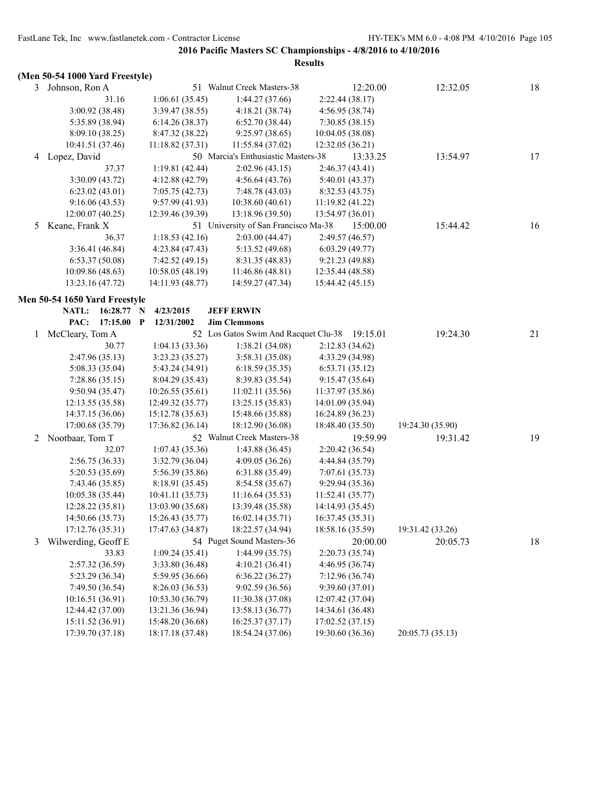|   |                                      |                            |                                                                      | <b>Results</b>   |                  |    |
|---|--------------------------------------|----------------------------|----------------------------------------------------------------------|------------------|------------------|----|
|   | (Men 50-54 1000 Yard Freestyle)      |                            |                                                                      |                  |                  |    |
|   | 3 Johnson, Ron A                     |                            | 51 Walnut Creek Masters-38                                           | 12:20.00         | 12:32.05         | 18 |
|   | 31.16                                | 1:06.61(35.45)             | 1:44.27(37.66)                                                       | 2:22.44(38.17)   |                  |    |
|   | 3:00.92 (38.48)                      | 3:39.47 (38.55)            | 4:18.21(38.74)                                                       | 4:56.95 (38.74)  |                  |    |
|   | 5:35.89 (38.94)                      | 6:14.26(38.37)             | 6:52.70(38.44)                                                       | 7:30.85(38.15)   |                  |    |
|   | 8:09.10(38.25)                       | 8:47.32 (38.22)            | 9:25.97(38.65)                                                       | 10:04.05(38.08)  |                  |    |
|   | 10:41.51 (37.46)                     | 11:18.82(37.31)            | 11:55.84 (37.02)                                                     | 12:32.05 (36.21) |                  |    |
|   | 4 Lopez, David                       |                            | 50 Marcia's Enthusiastic Masters-38                                  | 13:33.25         | 13:54.97         | 17 |
|   | 37.37                                | 1:19.81(42.44)             | 2:02.96(43.15)                                                       | 2:46.37 (43.41)  |                  |    |
|   | 3:30.09(43.72)                       | 4:12.88 (42.79)            | 4:56.64(43.76)                                                       | 5:40.01 (43.37)  |                  |    |
|   | 6:23.02(43.01)                       | 7:05.75(42.73)             | 7:48.78(43.03)                                                       | 8:32.53 (43.75)  |                  |    |
|   | 9:16.06(43.53)                       | 9:57.99(41.93)             | 10:38.60(40.61)                                                      | 11:19.82 (41.22) |                  |    |
|   | 12:00.07 (40.25)                     | 12:39.46 (39.39)           | 13:18.96 (39.50)                                                     | 13:54.97 (36.01) |                  |    |
| 5 | Keane, Frank X                       |                            | 51 University of San Francisco Ma-38                                 | 15:00.00         | 15:44.42         | 16 |
|   | 36.37                                | 1:18.53(42.16)             | 2:03.00(44.47)                                                       | 2:49.57 (46.57)  |                  |    |
|   | 3:36.41 (46.84)                      | 4:23.84(47.43)             | 5:13.52(49.68)                                                       | 6:03.29(49.77)   |                  |    |
|   | 6:53.37(50.08)                       | 7:42.52(49.15)             | 8:31.35(48.83)                                                       | 9:21.23(49.88)   |                  |    |
|   | 10:09.86(48.63)                      | 10:58.05 (48.19)           | 11:46.86(48.81)                                                      | 12:35.44 (48.58) |                  |    |
|   | 13:23.16 (47.72)                     | 14:11.93 (48.77)           | 14:59.27 (47.34)                                                     | 15:44.42 (45.15) |                  |    |
|   |                                      |                            |                                                                      |                  |                  |    |
|   | Men 50-54 1650 Yard Freestyle        |                            |                                                                      |                  |                  |    |
|   | <b>NATL:</b><br>$16:28.77$ N<br>PAC: | 4/23/2015                  | <b>JEFF ERWIN</b>                                                    |                  |                  |    |
|   | 17:15.00                             | $\mathbf{P}$<br>12/31/2002 | <b>Jim Clemmons</b><br>52 Los Gatos Swim And Racquet Clu-38 19:15.01 |                  |                  |    |
| 1 | McCleary, Tom A                      |                            |                                                                      |                  | 19:24.30         | 21 |
|   | 30.77                                | 1:04.13(33.36)             | 1:38.21(34.08)                                                       | 2:12.83 (34.62)  |                  |    |
|   | 2:47.96(35.13)                       | 3:23.23(35.27)             | 3:58.31(35.08)                                                       | 4:33.29 (34.98)  |                  |    |
|   | 5:08.33(35.04)                       | 5:43.24 (34.91)            | 6:18.59(35.35)                                                       | 6:53.71(35.12)   |                  |    |
|   | 7:28.86(35.15)                       | 8:04.29 (35.43)            | 8:39.83 (35.54)                                                      | 9:15.47(35.64)   |                  |    |
|   | 9:50.94 (35.47)                      | 10:26.55(35.61)            | 11:02.11(35.56)                                                      | 11:37.97 (35.86) |                  |    |
|   | 12:13.55(35.58)                      | 12:49.32 (35.77)           | 13:25.15 (35.83)                                                     | 14:01.09 (35.94) |                  |    |
|   | 14:37.15 (36.06)                     | 15:12.78 (35.63)           | 15:48.66 (35.88)                                                     | 16:24.89 (36.23) |                  |    |
|   | 17:00.68 (35.79)                     | 17:36.82 (36.14)           | 18:12.90 (36.08)                                                     | 18:48.40 (35.50) | 19:24.30 (35.90) |    |
|   | 2 Nootbaar, Tom T                    |                            | 52 Walnut Creek Masters-38                                           | 19:59.99         | 19:31.42         | 19 |
|   | 32.07                                | 1:07.43(35.36)             | 1:43.88(36.45)                                                       | 2:20.42(36.54)   |                  |    |
|   | 2:56.75(36.33)                       | 3:32.79(36.04)             | 4:09.05(36.26)                                                       | 4:44.84 (35.79)  |                  |    |
|   | 5:20.53 (35.69)                      | 5:56.39 (35.86)            | 6:31.88(35.49)                                                       | 7:07.61 (35.73)  |                  |    |
|   | 7:43.46 (35.85)                      | 8:18.91 (35.45)            | 8:54.58(35.67)                                                       | 9:29.94 (35.36)  |                  |    |
|   | 10:05.38 (35.44)                     | 10:41.11 (35.73)           | 11:16.64(35.53)                                                      | 11:52.41(35.77)  |                  |    |
|   | 12:28.22 (35.81)                     | 13:03.90 (35.68)           | 13:39.48 (35.58)                                                     | 14:14.93 (35.45) |                  |    |
|   | 14:50.66 (35.73)                     | 15:26.43 (35.77)           | 16:02.14 (35.71)                                                     | 16:37.45 (35.31) |                  |    |
|   | 17:12.76 (35.31)                     | 17:47.63 (34.87)           | 18:22.57 (34.94)                                                     | 18:58.16 (35.59) | 19:31.42 (33.26) |    |
| 3 | Wilwerding, Geoff E                  |                            | 54 Puget Sound Masters-36                                            | 20:00.00         | 20:05.73         | 18 |
|   | 33.83                                | 1:09.24(35.41)             | 1:44.99(35.75)                                                       | 2:20.73(35.74)   |                  |    |
|   | 2:57.32(36.59)                       | 3:33.80 (36.48)            | 4:10.21(36.41)                                                       | 4:46.95(36.74)   |                  |    |
|   | 5:23.29 (36.34)                      | 5:59.95 (36.66)            | 6:36.22(36.27)                                                       | 7:12.96 (36.74)  |                  |    |
|   | 7:49.50 (36.54)                      | 8:26.03(36.53)             | 9:02.59(36.56)                                                       | 9:39.60 (37.01)  |                  |    |
|   | 10:16.51 (36.91)                     | 10:53.30 (36.79)           | 11:30.38 (37.08)                                                     | 12:07.42 (37.04) |                  |    |
|   | 12:44.42 (37.00)                     | 13:21.36 (36.94)           | 13:58.13 (36.77)                                                     | 14:34.61 (36.48) |                  |    |
|   | 15:11.52 (36.91)                     | 15:48.20 (36.68)           | 16:25.37 (37.17)                                                     | 17:02.52 (37.15) |                  |    |
|   | 17:39.70 (37.18)                     | 18:17.18 (37.48)           | 18:54.24 (37.06)                                                     | 19:30.60 (36.36) | 20:05.73 (35.13) |    |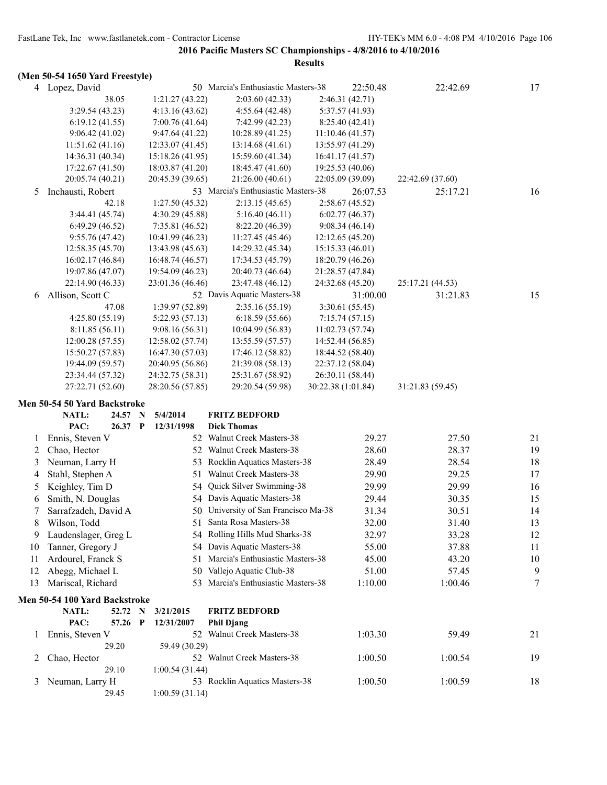# **(Men 50-54 1650 Yard Freestyle)**

|    | ниен эр-э <del>ч</del> тоэр таги гтеемую) |                            |                                      |                    |                  |    |
|----|-------------------------------------------|----------------------------|--------------------------------------|--------------------|------------------|----|
|    | 4 Lopez, David                            |                            | 50 Marcia's Enthusiastic Masters-38  | 22:50.48           | 22:42.69         | 17 |
|    | 38.05                                     | 1:21.27(43.22)             | 2:03.60(42.33)                       | 2:46.31 (42.71)    |                  |    |
|    | 3:29.54(43.23)                            | 4:13.16(43.62)             | 4:55.64(42.48)                       | 5:37.57 (41.93)    |                  |    |
|    | 6:19.12(41.55)                            | 7:00.76(41.64)             | 7:42.99 (42.23)                      | 8:25.40(42.41)     |                  |    |
|    | 9:06.42(41.02)                            | 9:47.64 (41.22)            | 10:28.89 (41.25)                     | 11:10.46(41.57)    |                  |    |
|    | 11:51.62(41.16)                           | 12:33.07(41.45)            | 13:14.68(41.61)                      | 13:55.97 (41.29)   |                  |    |
|    | 14:36.31 (40.34)                          | 15:18.26 (41.95)           | 15:59.60 (41.34)                     | 16:41.17 (41.57)   |                  |    |
|    | 17:22.67(41.50)                           | 18:03.87 (41.20)           | 18:45.47 (41.60)                     | 19:25.53 (40.06)   |                  |    |
|    | 20:05.74 (40.21)                          | 20:45.39 (39.65)           | 21:26.00 (40.61)                     | 22:05.09 (39.09)   | 22:42.69 (37.60) |    |
| 5  | Inchausti, Robert                         |                            | 53 Marcia's Enthusiastic Masters-38  | 26:07.53           | 25:17.21         | 16 |
|    | 42.18                                     | 1:27.50(45.32)             | 2:13.15(45.65)                       | 2:58.67(45.52)     |                  |    |
|    | 3:44.41 (45.74)                           | 4:30.29(45.88)             | 5:16.40(46.11)                       | 6:02.77(46.37)     |                  |    |
|    | 6:49.29(46.52)                            | 7:35.81 (46.52)            | 8:22.20 (46.39)                      | 9:08.34(46.14)     |                  |    |
|    | 9:55.76(47.42)                            | 10:41.99 (46.23)           | 11:27.45 (45.46)                     | 12:12.65(45.20)    |                  |    |
|    | 12:58.35(45.70)                           | 13:43.98 (45.63)           | 14:29.32 (45.34)                     | 15:15.33(46.01)    |                  |    |
|    | 16:02.17 (46.84)                          | 16:48.74 (46.57)           | 17:34.53 (45.79)                     | 18:20.79 (46.26)   |                  |    |
|    | 19:07.86 (47.07)                          | 19:54.09 (46.23)           | 20:40.73 (46.64)                     | 21:28.57 (47.84)   |                  |    |
|    | 22:14.90 (46.33)                          | 23:01.36 (46.46)           | 23:47.48 (46.12)                     | 24:32.68 (45.20)   | 25:17.21 (44.53) |    |
| 6  | Allison, Scott C                          |                            | 52 Davis Aquatic Masters-38          | 31:00.00           | 31:21.83         | 15 |
|    | 47.08                                     | 1:39.97 (52.89)            | 2:35.16(55.19)                       | 3:30.61 (55.45)    |                  |    |
|    | 4:25.80(55.19)                            | 5:22.93 (57.13)            | 6:18.59(55.66)                       | 7:15.74(57.15)     |                  |    |
|    | 8:11.85(56.11)                            | 9:08.16(56.31)             | 10:04.99(56.83)                      | 11:02.73(57.74)    |                  |    |
|    | 12:00.28(57.55)                           | 12:58.02 (57.74)           | 13:55.59 (57.57)                     | 14:52.44 (56.85)   |                  |    |
|    | 15:50.27 (57.83)                          | 16:47.30 (57.03)           | 17:46.12 (58.82)                     | 18:44.52 (58.40)   |                  |    |
|    | 19:44.09 (59.57)                          | 20:40.95 (56.86)           | 21:39.08 (58.13)                     | 22:37.12 (58.04)   |                  |    |
|    | 23:34.44 (57.32)                          | 24:32.75 (58.31)           | 25:31.67 (58.92)                     | 26:30.11 (58.44)   |                  |    |
|    | 27:22.71 (52.60)                          | 28:20.56 (57.85)           | 29:20.54 (59.98)                     | 30:22.38 (1:01.84) | 31:21.83 (59.45) |    |
|    | Men 50-54 50 Yard Backstroke              |                            |                                      |                    |                  |    |
|    | NATL:<br>24.57                            | 5/4/2014<br>$\mathbf N$    | <b>FRITZ BEDFORD</b>                 |                    |                  |    |
|    | PAC:<br>26.37 P                           | 12/31/1998                 | <b>Dick Thomas</b>                   |                    |                  |    |
| 1  | Ennis, Steven V                           |                            | 52 Walnut Creek Masters-38           | 29.27              | 27.50            | 21 |
| 2  | Chao, Hector                              |                            | 52 Walnut Creek Masters-38           | 28.60              | 28.37            | 19 |
| 3  | Neuman, Larry H                           | 53                         | Rocklin Aquatics Masters-38          | 28.49              | 28.54            | 18 |
| 4  | Stahl, Stephen A                          | 51                         | Walnut Creek Masters-38              | 29.90              | 29.25            | 17 |
|    | Keighley, Tim D                           | 54                         | Quick Silver Swimming-38             | 29.99              | 29.99            | 16 |
| 5  |                                           |                            | 54 Davis Aquatic Masters-38          |                    |                  |    |
| 6  | Smith, N. Douglas                         |                            | 50 University of San Francisco Ma-38 | 29.44              | 30.35            | 15 |
| 7  | Sarrafzadeh, David A                      |                            |                                      | 31.34              | 30.51            | 14 |
| 8  | Wilson, Todd                              |                            | 51 Santa Rosa Masters-38             | 32.00              | 31.40            | 13 |
| 9  | Laudenslager, Greg L                      |                            | 54 Rolling Hills Mud Sharks-38       | 32.97              | 33.28            | 12 |
| 10 | Tanner, Gregory J                         |                            | 54 Davis Aquatic Masters-38          | 55.00              | 37.88            | 11 |
| 11 | Ardourel, Franck S                        | 51                         | Marcia's Enthusiastic Masters-38     | 45.00              | 43.20            | 10 |
| 12 | Abegg, Michael L                          | 50                         | Vallejo Aquatic Club-38              | 51.00              | 57.45            | 9  |
| 13 | Mariscal, Richard                         |                            | 53 Marcia's Enthusiastic Masters-38  | 1:10.00            | 1:00.46          | 7  |
|    | Men 50-54 100 Yard Backstroke             |                            |                                      |                    |                  |    |
|    | NATL:<br>52.72 N                          | 3/21/2015                  | <b>FRITZ BEDFORD</b>                 |                    |                  |    |
|    | PAC:<br>57.26                             | $\mathbf{P}$<br>12/31/2007 | <b>Phil Djang</b>                    |                    |                  |    |
| 1  | Ennis, Steven V                           |                            | 52 Walnut Creek Masters-38           | 1:03.30            | 59.49            | 21 |
|    | 29.20                                     | 59.49 (30.29)              |                                      |                    |                  |    |
| 2  | Chao, Hector                              |                            | 52 Walnut Creek Masters-38           | 1:00.50            | 1:00.54          | 19 |
|    | 29.10                                     | 1:00.54(31.44)             |                                      |                    |                  |    |
| 3  | Neuman, Larry H                           |                            | 53 Rocklin Aquatics Masters-38       | 1:00.50            | 1:00.59          | 18 |
|    | 29.45                                     | 1:00.59(31.14)             |                                      |                    |                  |    |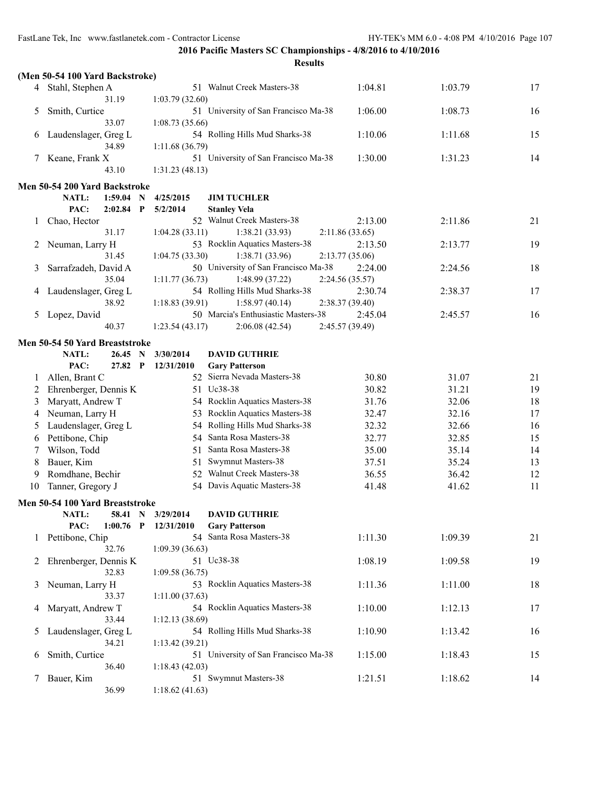|    | (Men 50-54 100 Yard Backstroke) |                 |                                                            |                 |         |    |
|----|---------------------------------|-----------------|------------------------------------------------------------|-----------------|---------|----|
| 4  | Stahl, Stephen A                |                 | 51 Walnut Creek Masters-38                                 | 1:04.81         | 1:03.79 | 17 |
|    | 31.19                           | 1:03.79(32.60)  |                                                            |                 |         |    |
| 5  | Smith, Curtice                  |                 | 51 University of San Francisco Ma-38                       | 1:06.00         | 1:08.73 | 16 |
|    | 33.07                           | 1:08.73(35.66)  |                                                            |                 |         |    |
| 6  | Laudenslager, Greg L            |                 | 54 Rolling Hills Mud Sharks-38                             | 1:10.06         | 1:11.68 | 15 |
|    | 34.89                           | 1:11.68 (36.79) |                                                            |                 |         |    |
| 7  | Keane, Frank X                  |                 | 51 University of San Francisco Ma-38                       | 1:30.00         | 1:31.23 | 14 |
|    | 43.10                           | 1:31.23(48.13)  |                                                            |                 |         |    |
|    | Men 50-54 200 Yard Backstroke   |                 |                                                            |                 |         |    |
|    | NATL:<br>$1:59.04$ N            | 4/25/2015       | <b>JIM TUCHLER</b>                                         |                 |         |    |
|    | PAC:<br>$2:02.84$ P             | 5/2/2014        | <b>Stanley Vela</b>                                        |                 |         |    |
| 1  | Chao, Hector                    |                 | 52 Walnut Creek Masters-38                                 | 2:13.00         | 2:11.86 | 21 |
|    | 31.17                           | 1:04.28(33.11)  | 1:38.21(33.93)                                             | 2:11.86(33.65)  |         |    |
| 2  | Neuman, Larry H                 |                 | 53 Rocklin Aquatics Masters-38                             | 2:13.50         | 2:13.77 | 19 |
|    | 31.45                           | 1:04.75(33.30)  | 1:38.71(33.96)                                             | 2:13.77(35.06)  |         |    |
| 3  | Sarrafzadeh, David A            |                 | 50 University of San Francisco Ma-38                       | 2:24.00         | 2:24.56 | 18 |
|    | 35.04                           | 1:11.77(36.73)  | 1:48.99(37.22)                                             | 2:24.56 (35.57) |         |    |
| 4  | Laudenslager, Greg L            |                 | 54 Rolling Hills Mud Sharks-38                             | 2:30.74         | 2:38.37 | 17 |
|    | 38.92                           | 1:18.83(39.91)  | 1:58.97(40.14)                                             | 2:38.37(39.40)  |         |    |
| 5  | Lopez, David<br>40.37           |                 | 50 Marcia's Enthusiastic Masters-38                        | 2:45.04         | 2:45.57 | 16 |
|    |                                 | 1:23.54(43.17)  | 2:06.08(42.54)                                             | 2:45.57 (39.49) |         |    |
|    | Men 50-54 50 Yard Breaststroke  |                 |                                                            |                 |         |    |
|    | NATL:<br>26.45<br>N             | 3/30/2014       | <b>DAVID GUTHRIE</b>                                       |                 |         |    |
|    | PAC:<br>27.82 P                 | 12/31/2010      | <b>Gary Patterson</b>                                      |                 |         |    |
| 1  | Allen, Brant C                  |                 | 52 Sierra Nevada Masters-38                                | 30.80           | 31.07   | 21 |
| 2  | Ehrenberger, Dennis K           |                 | 51 Uc38-38                                                 | 30.82           | 31.21   | 19 |
| 3  | Maryatt, Andrew T               |                 | 54 Rocklin Aquatics Masters-38                             | 31.76           | 32.06   | 18 |
| 4  | Neuman, Larry H                 | 53.             | Rocklin Aquatics Masters-38                                | 32.47           | 32.16   | 17 |
| 5  | Laudenslager, Greg L            |                 | 54 Rolling Hills Mud Sharks-38<br>54 Santa Rosa Masters-38 | 32.32           | 32.66   | 16 |
| 6  | Pettibone, Chip                 |                 |                                                            | 32.77           | 32.85   | 15 |
| 7  | Wilson, Todd                    | 51              | Santa Rosa Masters-38                                      | 35.00           | 35.14   | 14 |
| 8  | Bauer, Kim                      | 51              | Swymnut Masters-38                                         | 37.51           | 35.24   | 13 |
| 9  | Romdhane, Bechir                | 52.             | Walnut Creek Masters-38<br>54 Davis Aquatic Masters-38     | 36.55           | 36.42   | 12 |
| 10 | Tanner, Gregory J               |                 |                                                            | 41.48           | 41.62   | 11 |
|    | Men 50-54 100 Yard Breaststroke |                 |                                                            |                 |         |    |
|    | NATL: 58.41 N                   | 3/29/2014       | <b>DAVID GUTHRIE</b>                                       |                 |         |    |
|    | PAC:<br>$1:00.76$ P             | 12/31/2010      | <b>Gary Patterson</b>                                      |                 |         |    |
|    | 1 Pettibone, Chip               |                 | 54 Santa Rosa Masters-38                                   | 1:11.30         | 1:09.39 | 21 |
|    | 32.76<br>Ehrenberger, Dennis K  | 1:09.39(36.63)  |                                                            | 1:08.19         |         |    |
| 2  | 32.83                           | 1:09.58(36.75)  | 51 Uc38-38                                                 |                 | 1:09.58 | 19 |
| 3  | Neuman, Larry H                 |                 | 53 Rocklin Aquatics Masters-38                             | 1:11.36         | 1:11.00 | 18 |
|    | 33.37                           | 1:11.00(37.63)  |                                                            |                 |         |    |
| 4  | Maryatt, Andrew T               |                 | 54 Rocklin Aquatics Masters-38                             | 1:10.00         | 1:12.13 | 17 |
|    | 33.44                           | 1:12.13(38.69)  |                                                            |                 |         |    |
| 5  | Laudenslager, Greg L            |                 | 54 Rolling Hills Mud Sharks-38                             | 1:10.90         | 1:13.42 | 16 |
|    | 34.21                           | 1:13.42(39.21)  |                                                            |                 |         |    |
| 6  | Smith, Curtice                  |                 | 51 University of San Francisco Ma-38                       | 1:15.00         | 1:18.43 | 15 |
|    | 36.40                           | 1:18.43(42.03)  |                                                            |                 |         |    |
|    | Bauer, Kim                      |                 | 51 Swymnut Masters-38                                      | 1:21.51         | 1:18.62 | 14 |
|    | 36.99                           | 1:18.62(41.63)  |                                                            |                 |         |    |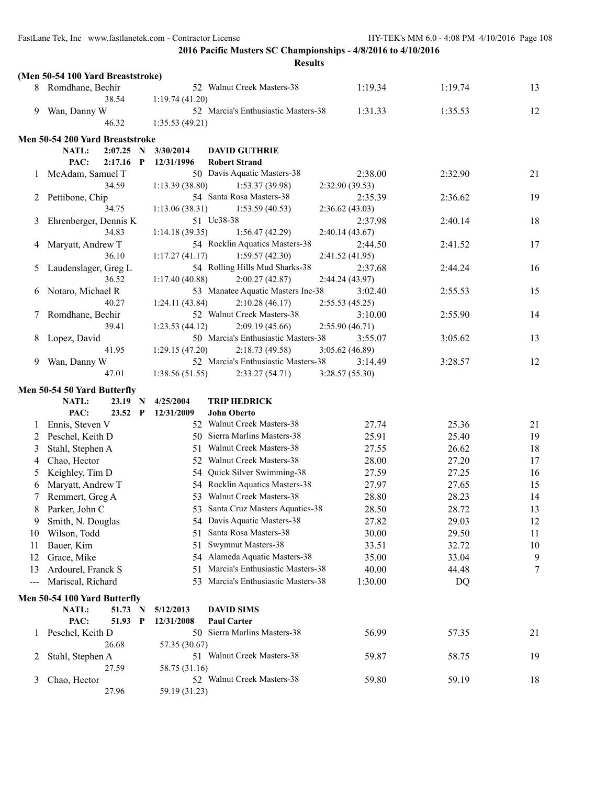|                   | (Men 50-54 100 Yard Breaststroke) |                 |                                     |                 |         |    |
|-------------------|-----------------------------------|-----------------|-------------------------------------|-----------------|---------|----|
|                   | 8 Romdhane, Bechir                |                 | 52 Walnut Creek Masters-38          | 1:19.34         | 1:19.74 | 13 |
|                   | 38.54                             | 1:19.74(41.20)  |                                     |                 |         |    |
| 9                 | Wan, Danny W                      |                 | 52 Marcia's Enthusiastic Masters-38 | 1:31.33         | 1:35.53 | 12 |
|                   | 46.32                             | 1:35.53(49.21)  |                                     |                 |         |    |
|                   | Men 50-54 200 Yard Breaststroke   |                 |                                     |                 |         |    |
|                   | NATL:<br>$2:07.25$ N              | 3/30/2014       | <b>DAVID GUTHRIE</b>                |                 |         |    |
|                   | PAC:<br>$2:17.16$ P               | 12/31/1996      | <b>Robert Strand</b>                |                 |         |    |
| $\mathbf{I}$      | McAdam, Samuel T                  |                 | 50 Davis Aquatic Masters-38         | 2:38.00         | 2:32.90 | 21 |
|                   | 34.59                             | 1:13.39 (38.80) | 1:53.37(39.98)                      | 2:32.90(39.53)  |         |    |
| 2                 | Pettibone, Chip                   |                 | 54 Santa Rosa Masters-38            | 2:35.39         | 2:36.62 | 19 |
|                   | 34.75                             | 1:13.06(38.31)  | 1:53.59(40.53)                      | 2:36.62(43.03)  |         |    |
| 3                 | Ehrenberger, Dennis K             |                 | 51 Uc38-38                          | 2:37.98         | 2:40.14 | 18 |
|                   | 34.83                             | 1:14.18(39.35)  | 1:56.47(42.29)                      | 2:40.14(43.67)  |         |    |
| 4                 | Maryatt, Andrew T                 |                 | 54 Rocklin Aquatics Masters-38      | 2:44.50         | 2:41.52 | 17 |
|                   | 36.10                             | 1:17.27(41.17)  | 1:59.57(42.30)                      | 2:41.52 (41.95) |         |    |
| 5                 | Laudenslager, Greg L              |                 | 54 Rolling Hills Mud Sharks-38      | 2:37.68         | 2:44.24 | 16 |
|                   | 36.52                             | 1:17.40(40.88)  | 2:00.27(42.87)                      | 2:44.24 (43.97) |         |    |
| 6                 | Notaro, Michael R                 |                 | 53 Manatee Aquatic Masters Inc-38   | 3:02.40         | 2:55.53 | 15 |
|                   | 40.27                             | 1:24.11(43.84)  | 2:10.28(46.17)                      | 2:55.53(45.25)  |         |    |
|                   | Romdhane, Bechir                  |                 | 52 Walnut Creek Masters-38          | 3:10.00         | 2:55.90 | 14 |
|                   | 39.41                             | 1:23.53(44.12)  | 2:09.19(45.66)                      | 2:55.90(46.71)  |         |    |
| 8                 | Lopez, David                      |                 | 50 Marcia's Enthusiastic Masters-38 | 3:55.07         | 3:05.62 | 13 |
|                   | 41.95                             | 1:29.15 (47.20) | 2:18.73(49.58)                      | 3:05.62 (46.89) |         |    |
| 9                 | Wan, Danny W                      |                 | 52 Marcia's Enthusiastic Masters-38 | 3:14.49         | 3:28.57 | 12 |
|                   | 47.01                             | 1:38.56(51.55)  | 2:33.27(54.71)                      | 3:28.57(55.30)  |         |    |
|                   | Men 50-54 50 Yard Butterfly       |                 |                                     |                 |         |    |
|                   | <b>NATL:</b><br>$23.19$ N         | 4/25/2004       | <b>TRIP HEDRICK</b>                 |                 |         |    |
|                   | PAC:<br>23.52 P                   | 12/31/2009      | <b>John Oberto</b>                  |                 |         |    |
| 1                 | Ennis, Steven V                   |                 | 52 Walnut Creek Masters-38          | 27.74           | 25.36   | 21 |
| 2                 | Peschel, Keith D                  |                 | 50 Sierra Marlins Masters-38        | 25.91           | 25.40   | 19 |
| 3                 | Stahl, Stephen A                  |                 | 51 Walnut Creek Masters-38          | 27.55           | 26.62   | 18 |
| 4                 | Chao, Hector                      |                 | 52 Walnut Creek Masters-38          | 28.00           | 27.20   | 17 |
| 5                 | Keighley, Tim D                   |                 | 54 Quick Silver Swimming-38         | 27.59           | 27.25   | 16 |
| 6                 | Maryatt, Andrew T                 |                 | 54 Rocklin Aquatics Masters-38      | 27.97           | 27.65   | 15 |
| 7                 | Remmert, Greg A                   | 53.             | <b>Walnut Creek Masters-38</b>      | 28.80           | 28.23   | 14 |
| 8                 | Parker, John C                    |                 | 53 Santa Cruz Masters Aquatics-38   | 28.50           | 28.72   | 13 |
| 9                 | Smith, N. Douglas                 |                 | 54 Davis Aquatic Masters-38         | 27.82           | 29.03   | 12 |
| 10                | Wilson, Todd                      | 51              | Santa Rosa Masters-38               | 30.00           | 29.50   | 11 |
| 11                | Bauer, Kim                        | 51              | Swymnut Masters-38                  | 33.51           | 32.72   | 10 |
| 12                | Grace, Mike                       | 54              | Alameda Aquatic Masters-38          | 35.00           | 33.04   | 9  |
| 13                | Ardourel, Franck S                | 51              | Marcia's Enthusiastic Masters-38    | 40.00           | 44.48   | 7  |
| $\qquad \qquad -$ | Mariscal, Richard                 | 53.             | Marcia's Enthusiastic Masters-38    | 1:30.00         | DQ      |    |
|                   | Men 50-54 100 Yard Butterfly      |                 |                                     |                 |         |    |
|                   | NATL:<br>51.73 N                  | 5/12/2013       | <b>DAVID SIMS</b>                   |                 |         |    |
|                   | PAC:<br>51.93 P                   | 12/31/2008      | <b>Paul Carter</b>                  |                 |         |    |
| 1                 | Peschel, Keith D                  |                 | 50 Sierra Marlins Masters-38        | 56.99           | 57.35   | 21 |
|                   | 26.68                             | 57.35 (30.67)   |                                     |                 |         |    |
| 2                 | Stahl, Stephen A                  |                 | 51 Walnut Creek Masters-38          | 59.87           | 58.75   | 19 |
|                   | 27.59                             | 58.75 (31.16)   |                                     |                 |         |    |
|                   |                                   |                 |                                     |                 |         |    |
| 3                 | Chao, Hector<br>27.96             | 59.19 (31.23)   | 52 Walnut Creek Masters-38          | 59.80           | 59.19   | 18 |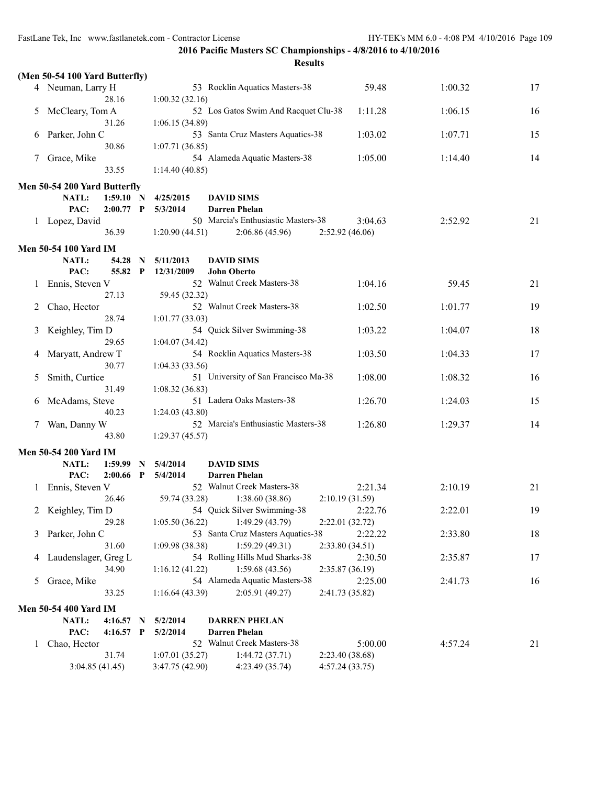FastLane Tek, Inc www.fastlanetek.com - Contractor License HY-TEK's MM 6.0 - 4:08 PM 4/10/2016 Page 109

**2016 Pacific Masters SC Championships - 4/8/2016 to 4/10/2016**

|                | (Men 50-54 100 Yard Butterfly)                      |                         |                                                  |                 |         |    |
|----------------|-----------------------------------------------------|-------------------------|--------------------------------------------------|-----------------|---------|----|
|                | 4 Neuman, Larry H                                   |                         | 53 Rocklin Aquatics Masters-38                   | 59.48           | 1:00.32 | 17 |
|                | 28.16                                               | 1:00.32(32.16)          |                                                  |                 |         |    |
| 5              | McCleary, Tom A                                     |                         | 52 Los Gatos Swim And Racquet Clu-38             | 1:11.28         | 1:06.15 | 16 |
|                | 31.26                                               | 1:06.15 (34.89)         |                                                  |                 |         |    |
| 6              | Parker, John C                                      |                         | 53 Santa Cruz Masters Aquatics-38                | 1:03.02         | 1:07.71 | 15 |
|                | 30.86                                               | 1:07.71(36.85)          |                                                  |                 |         |    |
| 7              | Grace, Mike                                         |                         | 54 Alameda Aquatic Masters-38                    | 1:05.00         | 1:14.40 | 14 |
|                | 33.55                                               | 1:14.40(40.85)          |                                                  |                 |         |    |
|                | Men 50-54 200 Yard Butterfly                        |                         |                                                  |                 |         |    |
|                | <b>NATL:</b><br>1:59.10 N                           | 4/25/2015               | <b>DAVID SIMS</b>                                |                 |         |    |
|                | PAC:<br>$2:00.77$ P                                 | 5/3/2014                | <b>Darren Phelan</b>                             |                 |         |    |
|                | 1 Lopez, David                                      |                         | 50 Marcia's Enthusiastic Masters-38              | 3:04.63         | 2:52.92 | 21 |
|                | 36.39                                               | 1:20.90(44.51)          | 2:06.86(45.96)                                   | 2:52.92(46.06)  |         |    |
|                |                                                     |                         |                                                  |                 |         |    |
|                | <b>Men 50-54 100 Yard IM</b>                        |                         |                                                  |                 |         |    |
|                | NATL:<br>54.28<br>N<br>PAC:<br>55.82<br>$\mathbf P$ | 5/11/2013<br>12/31/2009 | <b>DAVID SIMS</b>                                |                 |         |    |
|                |                                                     |                         | <b>John Oberto</b><br>52 Walnut Creek Masters-38 | 1:04.16         | 59.45   | 21 |
|                | Ennis, Steven V<br>27.13                            | 59.45 (32.32)           |                                                  |                 |         |    |
|                | Chao, Hector                                        |                         | 52 Walnut Creek Masters-38                       | 1:02.50         | 1:01.77 | 19 |
|                | 28.74                                               | 1:01.77(33.03)          |                                                  |                 |         |    |
| 3              | Keighley, Tim D                                     |                         | 54 Quick Silver Swimming-38                      | 1:03.22         | 1:04.07 | 18 |
|                | 29.65                                               | 1:04.07(34.42)          |                                                  |                 |         |    |
| 4              | Maryatt, Andrew T                                   |                         | 54 Rocklin Aquatics Masters-38                   | 1:03.50         | 1:04.33 | 17 |
|                | 30.77                                               | 1:04.33(33.56)          |                                                  |                 |         |    |
| $\mathcal{L}$  | Smith, Curtice                                      |                         | 51 University of San Francisco Ma-38             | 1:08.00         | 1:08.32 | 16 |
|                | 31.49                                               | 1:08.32(36.83)          |                                                  |                 |         |    |
| b              | McAdams, Steve                                      |                         | 51 Ladera Oaks Masters-38                        | 1:26.70         | 1:24.03 | 15 |
|                | 40.23                                               | 1:24.03(43.80)          |                                                  |                 |         |    |
| 7              | Wan, Danny W                                        |                         | 52 Marcia's Enthusiastic Masters-38              | 1:26.80         | 1:29.37 | 14 |
|                | 43.80                                               | 1:29.37(45.57)          |                                                  |                 |         |    |
|                | <b>Men 50-54 200 Yard IM</b>                        |                         |                                                  |                 |         |    |
|                | <b>NATL:</b><br>1:59.99<br>N                        | 5/4/2014                | <b>DAVID SIMS</b>                                |                 |         |    |
|                | PAC:<br>2:00.66<br>$\mathbf P$                      | 5/4/2014                | <b>Darren Phelan</b>                             |                 |         |    |
| $\perp$        | Ennis, Steven V                                     |                         | 52 Walnut Creek Masters-38                       | 2:21.34         | 2:10.19 | 21 |
|                | 26.46                                               | 59.74 (33.28)           | 1:38.60(38.86)                                   | 2:10.19(31.59)  |         |    |
|                | 2 Keighley, Tim D                                   |                         | 54 Quick Silver Swimming-38                      | 2:22.76         | 2:22.01 | 19 |
|                | 29.28                                               | 1:05.50(36.22)          | 1:49.29 (43.79)                                  | 2:22.01(32.72)  |         |    |
|                | 3 Parker, John C                                    |                         | 53 Santa Cruz Masters Aquatics-38                | 2:22.22         | 2:33.80 | 18 |
|                | 31.60                                               | 1:09.98(38.38)          | 1:59.29(49.31)                                   | 2:33.80(34.51)  |         |    |
| 4              | Laudenslager, Greg L                                |                         | 54 Rolling Hills Mud Sharks-38                   | 2:30.50         | 2:35.87 | 17 |
|                | 34.90                                               | 1:16.12(41.22)          | 1:59.68(43.56)                                   | 2:35.87 (36.19) |         |    |
| 5 <sub>1</sub> | Grace, Mike                                         |                         | 54 Alameda Aquatic Masters-38                    | 2:25.00         | 2:41.73 | 16 |
|                | 33.25                                               | 1:16.64(43.39)          | 2:05.91(49.27)                                   | 2:41.73 (35.82) |         |    |
|                | <b>Men 50-54 400 Yard IM</b>                        |                         |                                                  |                 |         |    |
|                | NATL:<br>$4:16.57$ N                                | 5/2/2014                | <b>DARREN PHELAN</b>                             |                 |         |    |
|                | PAC:<br>$4:16.57$ P                                 | 5/2/2014                | <b>Darren Phelan</b>                             |                 |         |    |
| $\mathbf{I}$   | Chao, Hector                                        |                         | 52 Walnut Creek Masters-38                       | 5:00.00         | 4:57.24 | 21 |
|                | 31.74                                               | 1:07.01(35.27)          | 1:44.72(37.71)                                   | 2:23.40 (38.68) |         |    |
|                | 3:04.85(41.45)                                      | 3:47.75 (42.90)         | 4:23.49 (35.74)                                  | 4:57.24(33.75)  |         |    |
|                |                                                     |                         |                                                  |                 |         |    |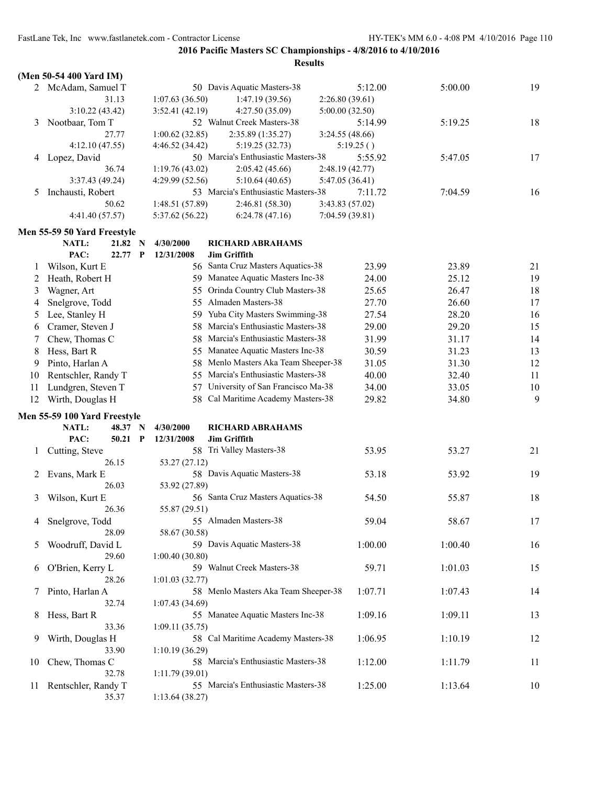|    | (Men 50-54 400 Yard IM)              |                         |                                                |                 |         |    |
|----|--------------------------------------|-------------------------|------------------------------------------------|-----------------|---------|----|
|    | 2 McAdam, Samuel T                   |                         | 50 Davis Aquatic Masters-38                    | 5:12.00         | 5:00.00 | 19 |
|    | 31.13                                | 1:07.63(36.50)          | 1:47.19(39.56)                                 | 2:26.80(39.61)  |         |    |
|    | 3:10.22(43.42)                       | 3:52.41 (42.19)         | 4:27.50 (35.09)                                | 5:00.00(32.50)  |         |    |
| 3  | Nootbaar, Tom T                      |                         | 52 Walnut Creek Masters-38                     | 5:14.99         | 5:19.25 | 18 |
|    | 27.77                                | 1:00.62(32.85)          | 2:35.89 (1:35.27)                              | 3:24.55(48.66)  |         |    |
|    | 4:12.10(47.55)                       | 4:46.52 (34.42)         | 5:19.25(32.73)                                 | 5:19.25()       |         |    |
| 4  | Lopez, David                         |                         | 50 Marcia's Enthusiastic Masters-38            | 5:55.92         | 5:47.05 | 17 |
|    | 36.74                                | 1:19.76(43.02)          | 2:05.42 (45.66)                                | 2:48.19(42.77)  |         |    |
|    | 3:37.43 (49.24)                      | 4:29.99(52.56)          | 5:10.64(40.65)                                 | 5:47.05 (36.41) |         |    |
| 5  | Inchausti, Robert                    |                         | 53 Marcia's Enthusiastic Masters-38            | 7:11.72         | 7:04.59 | 16 |
|    | 50.62                                | 1:48.51 (57.89)         | 2:46.81(58.30)                                 | 3:43.83 (57.02) |         |    |
|    | 4:41.40 (57.57)                      | 5:37.62 (56.22)         | 6:24.78(47.16)                                 | 7:04.59(39.81)  |         |    |
|    |                                      |                         |                                                |                 |         |    |
|    | Men 55-59 50 Yard Freestyle<br>NATL: |                         |                                                |                 |         |    |
|    | 21.82<br>N<br>PAC:<br>P<br>22.77     | 4/30/2000<br>12/31/2008 | <b>RICHARD ABRAHAMS</b><br><b>Jim Griffith</b> |                 |         |    |
|    |                                      |                         | 56 Santa Cruz Masters Aquatics-38              |                 |         |    |
| 1  | Wilson, Kurt E                       |                         |                                                | 23.99           | 23.89   | 21 |
| 2  | Heath, Robert H                      |                         | 59 Manatee Aquatic Masters Inc-38              | 24.00           | 25.12   | 19 |
| 3  | Wagner, Art                          | 55                      | Orinda Country Club Masters-38                 | 25.65           | 26.47   | 18 |
| 4  | Snelgrove, Todd                      | 55                      | Almaden Masters-38                             | 27.70           | 26.60   | 17 |
| 5  | Lee, Stanley H                       | 59                      | Yuba City Masters Swimming-38                  | 27.54           | 28.20   | 16 |
| 6  | Cramer, Steven J                     | 58                      | Marcia's Enthusiastic Masters-38               | 29.00           | 29.20   | 15 |
| 7  | Chew, Thomas C                       | 58                      | Marcia's Enthusiastic Masters-38               | 31.99           | 31.17   | 14 |
| 8  | Hess, Bart R                         | 55                      | Manatee Aquatic Masters Inc-38                 | 30.59           | 31.23   | 13 |
| 9  | Pinto, Harlan A                      | 58                      | Menlo Masters Aka Team Sheeper-38              | 31.05           | 31.30   | 12 |
| 10 | Rentschler, Randy T                  | 55                      | Marcia's Enthusiastic Masters-38               | 40.00           | 32.40   | 11 |
| 11 | Lundgren, Steven T                   | 57                      | University of San Francisco Ma-38              | 34.00           | 33.05   | 10 |
| 12 | Wirth, Douglas H                     |                         | 58 Cal Maritime Academy Masters-38             | 29.82           | 34.80   | 9  |
|    | Men 55-59 100 Yard Freestyle         |                         |                                                |                 |         |    |
|    | NATL:<br>48.37<br>N                  | 4/30/2000               | <b>RICHARD ABRAHAMS</b>                        |                 |         |    |
|    | PAC:<br>50.21<br>P                   | 12/31/2008              | <b>Jim Griffith</b>                            |                 |         |    |
| 1  | Cutting, Steve                       |                         | 58 Tri Valley Masters-38                       | 53.95           | 53.27   | 21 |
|    | 26.15                                | 53.27 (27.12)           |                                                |                 |         |    |
| 2  | Evans, Mark E                        |                         |                                                |                 |         |    |
|    |                                      |                         |                                                |                 |         |    |
|    |                                      |                         | 58 Davis Aquatic Masters-38                    | 53.18           | 53.92   | 19 |
|    | 26.03                                | 53.92 (27.89)           |                                                |                 |         |    |
| 3  | Wilson, Kurt E                       |                         | 56 Santa Cruz Masters Aquatics-38              | 54.50           | 55.87   | 18 |
|    | 26.36                                | 55.87 (29.51)           |                                                |                 |         |    |
| 4  | Snelgrove, Todd                      |                         | 55 Almaden Masters-38                          | 59.04           | 58.67   | 17 |
|    | 28.09                                | 58.67 (30.58)           |                                                |                 |         |    |
| 5  | Woodruff, David L                    |                         | 59 Davis Aquatic Masters-38                    | 1:00.00         | 1:00.40 | 16 |
|    | 29.60                                | 1:00.40(30.80)          |                                                |                 |         |    |
| 6  | O'Brien, Kerry L                     |                         | 59 Walnut Creek Masters-38                     | 59.71           | 1:01.03 | 15 |
|    | 28.26                                | 1:01.03(32.77)          |                                                |                 |         |    |
| 7  | Pinto, Harlan A                      |                         | 58 Menlo Masters Aka Team Sheeper-38           | 1:07.71         | 1:07.43 | 14 |
|    | 32.74                                | 1:07.43(34.69)          |                                                |                 |         |    |
| 8  | Hess, Bart R                         |                         | 55 Manatee Aquatic Masters Inc-38              | 1:09.16         | 1:09.11 | 13 |
|    | 33.36                                | 1:09.11(35.75)          |                                                |                 |         |    |
| 9  | Wirth, Douglas H                     |                         | 58 Cal Maritime Academy Masters-38             | 1:06.95         | 1:10.19 | 12 |
|    | 33.90                                | 1:10.19(36.29)          |                                                |                 |         |    |
| 10 | Chew, Thomas C                       |                         | 58 Marcia's Enthusiastic Masters-38            | 1:12.00         | 1:11.79 | 11 |
|    | 32.78                                | 1:11.79(39.01)          |                                                |                 |         |    |
| 11 | Rentschler, Randy T<br>35.37         | 1:13.64(38.27)          | 55 Marcia's Enthusiastic Masters-38            | 1:25.00         | 1:13.64 | 10 |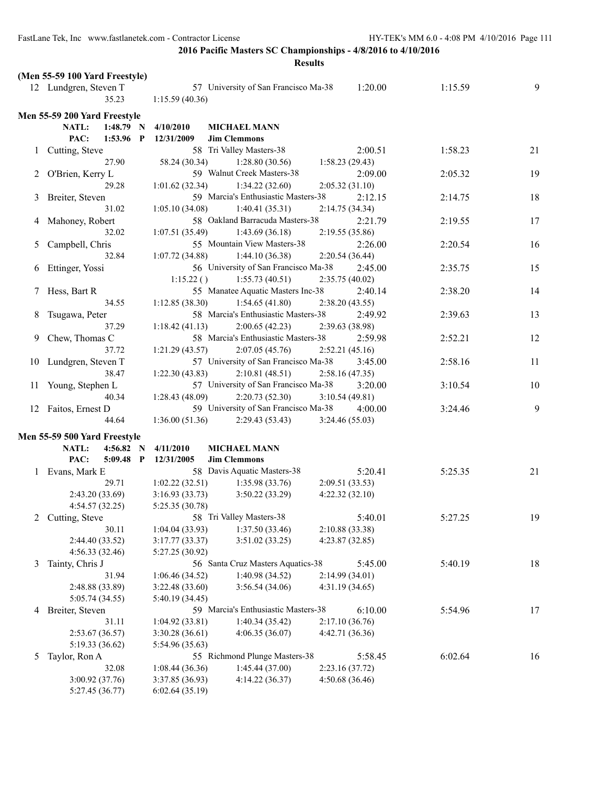|   |                                |                                   | <b>Results</b>                       |                 |         |    |
|---|--------------------------------|-----------------------------------|--------------------------------------|-----------------|---------|----|
|   | (Men 55-59 100 Yard Freestyle) |                                   |                                      |                 |         |    |
|   | 12 Lundgren, Steven T          |                                   | 57 University of San Francisco Ma-38 | 1:20.00         | 1:15.59 | 9  |
|   | 35.23                          | 1:15.59(40.36)                    |                                      |                 |         |    |
|   |                                |                                   |                                      |                 |         |    |
|   | Men 55-59 200 Yard Freestyle   |                                   |                                      |                 |         |    |
|   | $1:48.79$ N<br>NATL:           | 4/10/2010                         | <b>MICHAEL MANN</b>                  |                 |         |    |
|   | $1:53.96$ P<br>PAC:            | 12/31/2009                        | <b>Jim Clemmons</b>                  |                 |         |    |
|   | 1 Cutting, Steve               |                                   | 58 Tri Valley Masters-38             | 2:00.51         | 1:58.23 | 21 |
|   | 27.90                          | 58.24 (30.34)                     | 1:28.80(30.56)                       | 1:58.23(29.43)  |         |    |
|   | 2 O'Brien, Kerry L             |                                   | 59 Walnut Creek Masters-38           | 2:09.00         | 2:05.32 | 19 |
|   | 29.28                          | 1:01.62(32.34)                    | 1:34.22(32.60)                       | 2:05.32(31.10)  |         |    |
|   | 3 Breiter, Steven              |                                   | 59 Marcia's Enthusiastic Masters-38  | 2:12.15         | 2:14.75 | 18 |
|   | 31.02                          | 1:05.10(34.08)                    | 1:40.41(35.31)                       | 2:14.75(34.34)  |         |    |
| 4 | Mahoney, Robert                |                                   | 58 Oakland Barracuda Masters-38      | 2:21.79         | 2:19.55 | 17 |
|   | 32.02                          | 1:07.51(35.49)                    | 1:43.69(36.18)                       | 2:19.55(35.86)  |         |    |
| 5 | Campbell, Chris                |                                   | 55 Mountain View Masters-38          | 2:26.00         | 2:20.54 | 16 |
|   | 32.84                          | 1:07.72(34.88)                    | 1:44.10(36.38)                       | 2:20.54(36.44)  |         |    |
| 6 | Ettinger, Yossi                |                                   | 56 University of San Francisco Ma-38 | 2:45.00         | 2:35.75 | 15 |
|   |                                | 1:15.22()                         | 1:55.73(40.51)                       | 2:35.75(40.02)  |         |    |
|   | Hess, Bart R                   |                                   | 55 Manatee Aquatic Masters Inc-38    | 2:40.14         | 2:38.20 | 14 |
|   | 34.55                          | 1:12.85(38.30)                    | 1:54.65(41.80)                       | 2:38.20(43.55)  |         |    |
| 8 | Tsugawa, Peter                 |                                   | 58 Marcia's Enthusiastic Masters-38  | 2:49.92         | 2:39.63 | 13 |
|   | 37.29                          | 1:18.42(41.13)                    | 2:00.65(42.23)                       | 2:39.63 (38.98) |         |    |
| 9 | Chew, Thomas C                 |                                   | 58 Marcia's Enthusiastic Masters-38  | 2:59.98         | 2:52.21 | 12 |
|   | 37.72                          | 1:21.29(43.57)                    | 2:07.05(45.76)                       | 2:52.21(45.16)  |         |    |
|   | 10 Lundgren, Steven T          |                                   | 57 University of San Francisco Ma-38 | 3:45.00         | 2:58.16 | 11 |
|   | 38.47                          | 1:22.30(43.83)                    | 2:10.81(48.51)                       | 2:58.16(47.35)  |         |    |
|   | 11 Young, Stephen L            |                                   | 57 University of San Francisco Ma-38 | 3:20.00         | 3:10.54 | 10 |
|   | 40.34                          | 1:28.43(48.09)                    | 2:20.73(52.30)                       | 3:10.54(49.81)  |         |    |
|   | 12 Faitos, Ernest D            |                                   | 59 University of San Francisco Ma-38 | 4:00.00         | 3:24.46 | 9  |
|   | 44.64                          | 1:36.00(51.36)                    | 2:29.43(53.43)                       | 3:24.46(55.03)  |         |    |
|   | Men 55-59 500 Yard Freestyle   |                                   |                                      |                 |         |    |
|   | NATL:<br>4:56.82<br>- N        | 4/11/2010                         | <b>MICHAEL MANN</b>                  |                 |         |    |
|   | PAC:<br>$5:09.48$ P            | 12/31/2005                        | <b>Jim Clemmons</b>                  |                 |         |    |
|   | 1 Evans, Mark E                |                                   | 58 Davis Aquatic Masters-38          | 5:20.41         | 5:25.35 | 21 |
|   | 29.71                          | $1:02.22(32.51)$ $1:35.98(33.76)$ |                                      | 2:09.51(33.53)  |         |    |
|   | 2:43.20 (33.69)                | 3:16.93(33.73)                    | 3:50.22(33.29)                       | 4:22.32(32.10)  |         |    |
|   | 4:54.57 (32.25)                | 5:25.35 (30.78)                   |                                      |                 |         |    |
|   | 2 Cutting, Steve               |                                   | 58 Tri Valley Masters-38             | 5:40.01         | 5:27.25 | 19 |
|   | 30.11                          | 1:04.04(33.93)                    | 1:37.50 (33.46)                      | 2:10.88(33.38)  |         |    |
|   | 2:44.40 (33.52)                | 3:17.77(33.37)                    | 3:51.02(33.25)                       | 4:23.87(32.85)  |         |    |
|   | 4:56.33(32.46)                 | 5:27.25 (30.92)                   |                                      |                 |         |    |
| 3 | Tainty, Chris J                |                                   | 56 Santa Cruz Masters Aquatics-38    | 5:45.00         | 5:40.19 | 18 |
|   | 31.94                          | 1:06.46(34.52)                    | 1:40.98(34.52)                       | 2:14.99(34.01)  |         |    |
|   | 2:48.88 (33.89)                | 3:22.48(33.60)                    | 3:56.54(34.06)                       | 4:31.19(34.65)  |         |    |
|   | 5:05.74 (34.55)                | 5:40.19 (34.45)                   |                                      |                 |         |    |
| 4 | Breiter, Steven                |                                   | 59 Marcia's Enthusiastic Masters-38  | 6:10.00         | 5:54.96 | 17 |
|   | 31.11                          | 1:04.92(33.81)                    | 1:40.34(35.42)                       | 2:17.10(36.76)  |         |    |
|   | 2:53.67(36.57)                 | 3:30.28(36.61)                    | 4:06.35(36.07)                       | 4:42.71 (36.36) |         |    |
|   | 5:19.33 (36.62)                | 5:54.96 (35.63)                   |                                      |                 |         |    |
| 5 | Taylor, Ron A                  |                                   | 55 Richmond Plunge Masters-38        | 5:58.45         | 6:02.64 | 16 |
|   | 32.08                          | 1:08.44(36.36)                    | 1:45.44(37.00)                       | 2:23.16(37.72)  |         |    |
|   | 3:00.92 (37.76)                | 3:37.85 (36.93)                   | 4:14.22(36.37)                       | 4:50.68 (36.46) |         |    |
|   | 5:27.45 (36.77)                | 6:02.64(35.19)                    |                                      |                 |         |    |
|   |                                |                                   |                                      |                 |         |    |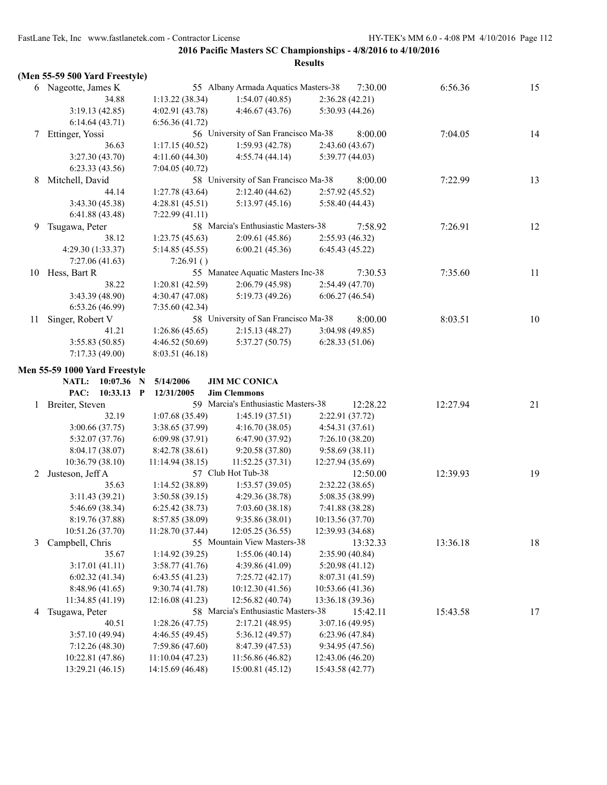|    | (Men 55-59 500 Yard Freestyle)     |                                  |                                                 |                  |          |          |    |
|----|------------------------------------|----------------------------------|-------------------------------------------------|------------------|----------|----------|----|
|    | 6 Nageotte, James K                |                                  | 55 Albany Armada Aquatics Masters-38            |                  | 7:30.00  | 6:56.36  | 15 |
|    | 34.88                              | 1:13.22(38.34)                   | 1:54.07(40.85)                                  | 2:36.28(42.21)   |          |          |    |
|    | 3:19.13(42.85)                     | 4:02.91 (43.78)                  | 4:46.67(43.76)                                  | 5:30.93 (44.26)  |          |          |    |
|    | 6:14.64(43.71)                     | 6:56.36(41.72)                   |                                                 |                  |          |          |    |
| 7  | Ettinger, Yossi                    |                                  | 56 University of San Francisco Ma-38            |                  | 8:00.00  | 7:04.05  | 14 |
|    | 36.63                              | 1:17.15(40.52)                   | 1:59.93(42.78)                                  | 2:43.60(43.67)   |          |          |    |
|    | 3:27.30 (43.70)                    | 4:11.60(44.30)                   | 4:55.74(44.14)                                  | 5:39.77(44.03)   |          |          |    |
|    | 6:23.33(43.56)                     | 7:04.05 (40.72)                  |                                                 |                  |          |          |    |
| 8  | Mitchell, David                    |                                  | 58 University of San Francisco Ma-38            |                  | 8:00.00  | 7:22.99  | 13 |
|    | 44.14                              | 1:27.78(43.64)                   | 2:12.40(44.62)                                  | 2:57.92(45.52)   |          |          |    |
|    | 3:43.30 (45.38)                    | 4:28.81(45.51)                   | 5:13.97(45.16)                                  | 5:58.40(44.43)   |          |          |    |
|    | 6:41.88(43.48)                     | 7:22.99 (41.11)                  |                                                 |                  |          |          |    |
| 9  | Tsugawa, Peter                     |                                  | 58 Marcia's Enthusiastic Masters-38             |                  | 7:58.92  | 7:26.91  | 12 |
|    | 38.12                              | 1:23.75(45.63)                   | 2:09.61(45.86)                                  | 2:55.93(46.32)   |          |          |    |
|    | 4:29.30 (1:33.37)                  | 5:14.85 (45.55)                  | 6:00.21(45.36)                                  | 6:45.43(45.22)   |          |          |    |
|    | 7:27.06(41.63)                     | 7:26.91()                        |                                                 |                  |          |          |    |
| 10 | Hess, Bart R                       |                                  | 55 Manatee Aquatic Masters Inc-38               |                  | 7:30.53  | 7:35.60  | 11 |
|    | 38.22                              | 1:20.81(42.59)                   | 2:06.79(45.98)                                  | 2:54.49 (47.70)  |          |          |    |
|    | 3:43.39(48.90)                     | 4:30.47(47.08)                   | 5:19.73(49.26)                                  | 6:06.27(46.54)   |          |          |    |
|    | 6:53.26(46.99)                     | 7:35.60(42.34)                   |                                                 |                  |          |          |    |
| 11 | Singer, Robert V                   |                                  | 58 University of San Francisco Ma-38            |                  | 8:00.00  | 8:03.51  | 10 |
|    | 41.21                              | 1:26.86(45.65)                   | 2:15.13(48.27)                                  | 3:04.98(49.85)   |          |          |    |
|    | 3:55.83(50.85)                     | 4:46.52 (50.69)                  | 5:37.27(50.75)                                  | 6:28.33(51.06)   |          |          |    |
|    | 7:17.33(49.00)                     | 8:03.51(46.18)                   |                                                 |                  |          |          |    |
|    | Men 55-59 1000 Yard Freestyle      |                                  |                                                 |                  |          |          |    |
|    |                                    |                                  |                                                 |                  |          |          |    |
|    |                                    |                                  |                                                 |                  |          |          |    |
|    | $10:07.36$ N<br><b>NATL:</b>       | 5/14/2006                        | <b>JIM MC CONICA</b>                            |                  |          |          |    |
|    | PAC:<br>$10:33.13$ P               | 12/31/2005                       | <b>Jim Clemmons</b>                             |                  |          |          |    |
|    | 1 Breiter, Steven                  |                                  | 59 Marcia's Enthusiastic Masters-38             |                  | 12:28.22 | 12:27.94 | 21 |
|    | 32.19                              | 1:07.68(35.49)                   | 1:45.19(37.51)                                  | 2:22.91 (37.72)  |          |          |    |
|    | 3:00.66(37.75)                     | 3:38.65(37.99)                   | 4:16.70(38.05)                                  | 4:54.31(37.61)   |          |          |    |
|    | 5:32.07 (37.76)                    | 6:09.98(37.91)                   | 6:47.90 (37.92)                                 | 7:26.10(38.20)   |          |          |    |
|    | 8:04.17(38.07)                     | 8:42.78 (38.61)                  | 9:20.58(37.80)                                  | 9:58.69(38.11)   |          |          |    |
|    | 10:36.79 (38.10)                   | 11:14.94(38.15)                  | 11:52.25(37.31)                                 | 12:27.94 (35.69) |          |          |    |
| 2  | Justeson, Jeff A                   |                                  | 57 Club Hot Tub-38                              |                  | 12:50.00 | 12:39.93 | 19 |
|    | 35.63                              | 1:14.52(38.89)                   | 1:53.57(39.05)                                  | 2:32.22(38.65)   |          |          |    |
|    | 3:11.43(39.21)                     | 3:50.58(39.15)                   | 4:29.36(38.78)                                  | 5:08.35 (38.99)  |          |          |    |
|    | 5:46.69 (38.34)                    | 6:25.42(38.73)                   | 7:03.60(38.18)                                  | 7:41.88 (38.28)  |          |          |    |
|    | 8:19.76 (37.88)                    | 8:57.85 (38.09)                  | 9:35.86 (38.01)                                 | 10:13.56 (37.70) |          |          |    |
| 3  | 10:51.26 (37.70)                   | 11:28.70 (37.44)                 | 12:05.25 (36.55)<br>55 Mountain View Masters-38 | 12:39.93 (34.68) |          |          |    |
|    | Campbell, Chris                    |                                  |                                                 |                  | 13:32.33 | 13:36.18 | 18 |
|    | 35.67                              | 1:14.92(39.25)                   | 1:55.06(40.14)                                  | 2:35.90 (40.84)  |          |          |    |
|    | 3:17.01(41.11)                     | 3:58.77(41.76)                   | 4:39.86 (41.09)                                 | 5:20.98 (41.12)  |          |          |    |
|    | 6:02.32(41.34)                     | 6:43.55(41.23)<br>9:30.74(41.78) | 7:25.72(42.17)                                  | 8:07.31 (41.59)  |          |          |    |
|    | 8:48.96 (41.65)<br>11:34.85(41.19) |                                  | 10:12.30 (41.56)<br>12:56.82 (40.74)            | 10:53.66 (41.36) |          |          |    |
| 4  |                                    | 12:16.08 (41.23)                 | 58 Marcia's Enthusiastic Masters-38             | 13:36.18 (39.36) | 15:42.11 |          |    |
|    | Tsugawa, Peter<br>40.51            | 1:28.26(47.75)                   | 2:17.21(48.95)                                  | 3:07.16(49.95)   |          | 15:43.58 | 17 |
|    | 3:57.10(49.94)                     | 4:46.55 (49.45)                  | 5:36.12 (49.57)                                 | 6:23.96(47.84)   |          |          |    |
|    | 7:12.26(48.30)                     | 7:59.86 (47.60)                  | 8:47.39 (47.53)                                 | 9:34.95 (47.56)  |          |          |    |
|    | 10:22.81 (47.86)                   | 11:10.04(47.23)                  | 11:56.86 (46.82)                                | 12:43.06 (46.20) |          |          |    |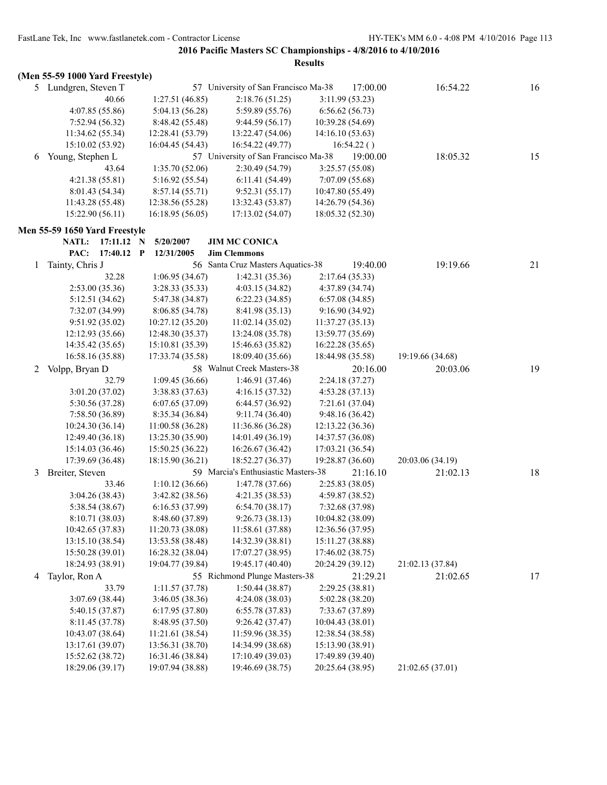|   | (Men 55-59 1000 Yard Freestyle) |                  |                                      |                  |                 |                  |    |
|---|---------------------------------|------------------|--------------------------------------|------------------|-----------------|------------------|----|
|   | 5 Lundgren, Steven T            |                  | 57 University of San Francisco Ma-38 |                  | 17:00.00        | 16:54.22         | 16 |
|   | 40.66                           | 1:27.51(46.85)   | 2:18.76(51.25)                       |                  | 3:11.99(53.23)  |                  |    |
|   | 4:07.85(55.86)                  | 5:04.13 (56.28)  | 5:59.89 (55.76)                      |                  | 6:56.62(56.73)  |                  |    |
|   | 7:52.94 (56.32)                 | 8:48.42 (55.48)  | 9:44.59 (56.17)                      | 10:39.28 (54.69) |                 |                  |    |
|   | 11:34.62 (55.34)                | 12:28.41 (53.79) | 13:22.47 (54.06)                     | 14:16.10 (53.63) |                 |                  |    |
|   | 15:10.02 (53.92)                | 16:04.45 (54.43) | 16:54.22 (49.77)                     |                  | 16:54.22()      |                  |    |
| 6 | Young, Stephen L                |                  | 57 University of San Francisco Ma-38 |                  | 19:00.00        | 18:05.32         | 15 |
|   | 43.64                           | 1:35.70 (52.06)  | 2:30.49 (54.79)                      |                  | 3:25.57 (55.08) |                  |    |
|   | 4:21.38(55.81)                  | 5:16.92 (55.54)  | 6:11.41(54.49)                       |                  | 7:07.09 (55.68) |                  |    |
|   | 8:01.43 (54.34)                 | 8:57.14(55.71)   | 9:52.31 (55.17)                      | 10:47.80 (55.49) |                 |                  |    |
|   | 11:43.28 (55.48)                | 12:38.56 (55.28) | 13:32.43 (53.87)                     | 14:26.79 (54.36) |                 |                  |    |
|   | 15:22.90 (56.11)                | 16:18.95(56.05)  | 17:13.02 (54.07)                     | 18:05.32 (52.30) |                 |                  |    |
|   | Men 55-59 1650 Yard Freestyle   |                  |                                      |                  |                 |                  |    |
|   | <b>NATL:</b><br>$17:11.12$ N    | 5/20/2007        | <b>JIM MC CONICA</b>                 |                  |                 |                  |    |
|   | PAC:<br>17:40.12 P              | 12/31/2005       | <b>Jim Clemmons</b>                  |                  |                 |                  |    |
| 1 | Tainty, Chris J                 |                  | 56 Santa Cruz Masters Aquatics-38    |                  | 19:40.00        | 19:19.66         | 21 |
|   | 32.28                           | 1:06.95(34.67)   | 1:42.31(35.36)                       |                  | 2:17.64(35.33)  |                  |    |
|   | 2:53.00(35.36)                  | 3:28.33 (35.33)  | 4:03.15(34.82)                       |                  | 4:37.89 (34.74) |                  |    |
|   | 5:12.51 (34.62)                 | 5:47.38 (34.87)  | 6:22.23(34.85)                       |                  | 6:57.08(34.85)  |                  |    |
|   | 7:32.07 (34.99)                 | 8:06.85 (34.78)  | 8:41.98 (35.13)                      |                  | 9:16.90(34.92)  |                  |    |
|   | 9:51.92(35.02)                  | 10:27.12 (35.20) | 11:02.14(35.02)                      | 11:37.27(35.13)  |                 |                  |    |
|   | 12:12.93 (35.66)                | 12:48.30 (35.37) | 13:24.08 (35.78)                     | 13:59.77 (35.69) |                 |                  |    |
|   | 14:35.42 (35.65)                | 15:10.81 (35.39) | 15:46.63 (35.82)                     | 16:22.28 (35.65) |                 |                  |    |
|   | 16:58.16 (35.88)                | 17:33.74 (35.58) | 18:09.40 (35.66)                     | 18:44.98 (35.58) |                 | 19:19.66 (34.68) |    |
| 2 | Volpp, Bryan D                  |                  | 58 Walnut Creek Masters-38           |                  | 20:16.00        | 20:03.06         | 19 |
|   | 32.79                           | 1:09.45(36.66)   | 1:46.91(37.46)                       |                  | 2:24.18(37.27)  |                  |    |
|   | 3:01.20(37.02)                  | 3:38.83 (37.63)  | 4:16.15(37.32)                       |                  | 4:53.28 (37.13) |                  |    |
|   | 5:30.56 (37.28)                 | 6:07.65(37.09)   | 6:44.57(36.92)                       |                  | 7:21.61 (37.04) |                  |    |
|   | 7:58.50 (36.89)                 | 8:35.34 (36.84)  | 9:11.74(36.40)                       |                  | 9:48.16 (36.42) |                  |    |
|   | 10:24.30(36.14)                 | 11:00.58(36.28)  | 11:36.86 (36.28)                     | 12:13.22 (36.36) |                 |                  |    |
|   | 12:49.40 (36.18)                | 13:25.30 (35.90) | 14:01.49 (36.19)                     | 14:37.57 (36.08) |                 |                  |    |
|   | 15:14.03 (36.46)                | 15:50.25 (36.22) | 16:26.67 (36.42)                     | 17:03.21 (36.54) |                 |                  |    |
|   | 17:39.69 (36.48)                | 18:15.90 (36.21) | 18:52.27 (36.37)                     | 19:28.87 (36.60) |                 | 20:03.06 (34.19) |    |
| 3 | Breiter, Steven                 |                  | 59 Marcia's Enthusiastic Masters-38  |                  | 21:16.10        | 21:02.13         | 18 |
|   | 33.46                           | 1:10.12(36.66)   | 1:47.78(37.66)                       |                  | 2:25.83(38.05)  |                  |    |
|   | 3:04.26(38.43)                  | 3:42.82 (38.56)  | 4:21.35(38.53)                       |                  | 4:59.87 (38.52) |                  |    |
|   | 5:38.54 (38.67)                 | 6:16.53(37.99)   | 6:54.70(38.17)                       |                  | 7:32.68 (37.98) |                  |    |
|   | 8:10.71 (38.03)                 | 8:48.60 (37.89)  | 9:26.73(38.13)                       | 10:04.82 (38.09) |                 |                  |    |
|   | 10:42.65 (37.83)                | 11:20.73 (38.08) | 11:58.61 (37.88)                     | 12:36.56 (37.95) |                 |                  |    |
|   | 13:15.10 (38.54)                | 13:53.58 (38.48) | 14:32.39 (38.81)                     | 15:11.27 (38.88) |                 |                  |    |
|   | 15:50.28 (39.01)                | 16:28.32 (38.04) | 17:07.27 (38.95)                     | 17:46.02(38.75)  |                 |                  |    |
|   | 18:24.93 (38.91)                | 19:04.77 (39.84) | 19:45.17 (40.40)                     | 20:24.29 (39.12) |                 | 21:02.13 (37.84) |    |
| 4 | Taylor, Ron A                   |                  | 55 Richmond Plunge Masters-38        |                  | 21:29.21        | 21:02.65         | 17 |
|   | 33.79                           | 1:11.57(37.78)   | 1:50.44(38.87)                       |                  | 2:29.25(38.81)  |                  |    |
|   | 3:07.69 (38.44)                 | 3:46.05 (38.36)  | 4:24.08(38.03)                       |                  | 5:02.28 (38.20) |                  |    |
|   | 5:40.15 (37.87)                 | 6:17.95(37.80)   | 6:55.78(37.83)                       |                  | 7:33.67 (37.89) |                  |    |
|   | 8:11.45 (37.78)                 | 8:48.95 (37.50)  | 9:26.42(37.47)                       | 10:04.43 (38.01) |                 |                  |    |
|   | 10:43.07 (38.64)                | 11:21.61 (38.54) | 11:59.96 (38.35)                     | 12:38.54 (38.58) |                 |                  |    |
|   | 13:17.61 (39.07)                | 13:56.31 (38.70) | 14:34.99 (38.68)                     | 15:13.90 (38.91) |                 |                  |    |
|   | 15:52.62 (38.72)                | 16:31.46 (38.84) | 17:10.49 (39.03)                     | 17:49.89 (39.40) |                 |                  |    |
|   | 18:29.06 (39.17)                | 19:07.94 (38.88) | 19:46.69 (38.75)                     | 20:25.64 (38.95) |                 | 21:02.65 (37.01) |    |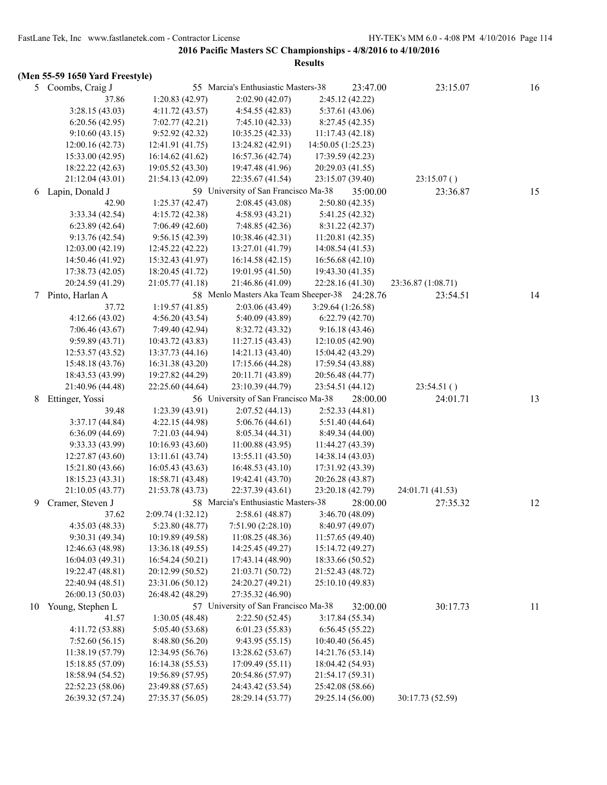|    | (Men 55-59 1650 Yard Freestyle)   |                                      |                                               |                                      |                    |    |
|----|-----------------------------------|--------------------------------------|-----------------------------------------------|--------------------------------------|--------------------|----|
|    | 5 Coombs, Craig J                 |                                      | 55 Marcia's Enthusiastic Masters-38           | 23:47.00                             | 23:15.07           | 16 |
|    | 37.86                             | 1:20.83(42.97)                       | 2:02.90(42.07)                                | 2:45.12 (42.22)                      |                    |    |
|    | 3:28.15(43.03)                    | 4:11.72(43.57)                       | 4:54.55(42.83)                                | 5:37.61 (43.06)                      |                    |    |
|    | 6:20.56(42.95)                    | 7:02.77(42.21)                       | 7:45.10(42.33)                                | 8:27.45(42.35)                       |                    |    |
|    | 9:10.60(43.15)                    | 9:52.92(42.32)                       | 10:35.25 (42.33)                              | 11:17.43 (42.18)                     |                    |    |
|    | 12:00.16(42.73)                   | 12:41.91 (41.75)                     | 13:24.82 (42.91)                              | 14:50.05 (1:25.23)                   |                    |    |
|    | 15:33.00 (42.95)                  | 16:14.62 (41.62)                     | 16:57.36 (42.74)                              | 17:39.59 (42.23)                     |                    |    |
|    | 18:22.22 (42.63)                  | 19:05.52 (43.30)                     | 19:47.48 (41.96)                              | 20:29.03 (41.55)                     |                    |    |
|    | 21:12.04 (43.01)                  | 21:54.13 (42.09)                     | 22:35.67 (41.54)                              | 23:15.07 (39.40)                     | 23:15.07()         |    |
| 6  | Lapin, Donald J                   |                                      | 59 University of San Francisco Ma-38          | 35:00.00                             | 23:36.87           | 15 |
|    | 42.90                             | 1:25.37(42.47)                       | 2:08.45(43.08)                                | 2:50.80(42.35)                       |                    |    |
|    | 3:33.34(42.54)                    | 4:15.72(42.38)                       | 4:58.93(43.21)                                | 5:41.25 (42.32)                      |                    |    |
|    | 6:23.89(42.64)                    | 7:06.49(42.60)                       | 7:48.85 (42.36)                               | 8:31.22 (42.37)                      |                    |    |
|    | 9:13.76(42.54)                    | 9:56.15(42.39)                       | 10:38.46 (42.31)                              | 11:20.81(42.35)                      |                    |    |
|    | 12:03.00 (42.19)                  | 12:45.22 (42.22)                     | 13:27.01 (41.79)                              | 14:08.54 (41.53)                     |                    |    |
|    | 14:50.46 (41.92)                  | 15:32.43 (41.97)                     | 16:14.58(42.15)                               | 16:56.68 (42.10)                     |                    |    |
|    | 17:38.73(42.05)                   | 18:20.45 (41.72)                     | 19:01.95 (41.50)                              | 19:43.30 (41.35)                     |                    |    |
|    | 20:24.59 (41.29)                  | 21:05.77 (41.18)                     | 21:46.86 (41.09)                              | 22:28.16 (41.30)                     | 23:36.87 (1:08.71) |    |
| 7  | Pinto, Harlan A                   |                                      | 58 Menlo Masters Aka Team Sheeper-38 24:28.76 |                                      | 23:54.51           | 14 |
|    | 37.72                             | 1:19.57(41.85)                       | 2:03.06(43.49)                                | 3:29.64 (1:26.58)                    |                    |    |
|    | 4:12.66(43.02)                    | 4:56.20(43.54)                       | 5:40.09 (43.89)                               | 6:22.79(42.70)                       |                    |    |
|    | 7:06.46(43.67)                    | 7:49.40 (42.94)                      | 8:32.72 (43.32)                               | 9:16.18(43.46)                       |                    |    |
|    | 9:59.89(43.71)                    | 10:43.72 (43.83)                     | 11:27.15(43.43)                               | 12:10.05(42.90)                      |                    |    |
|    | 12:53.57 (43.52)                  | 13:37.73 (44.16)                     | 14:21.13 (43.40)                              | 15:04.42 (43.29)                     |                    |    |
|    | 15:48.18 (43.76)                  | 16:31.38 (43.20)                     | 17:15.66 (44.28)                              | 17:59.54 (43.88)                     |                    |    |
|    | 18:43.53 (43.99)                  | 19:27.82 (44.29)                     | 20:11.71 (43.89)                              | 20:56.48 (44.77)                     |                    |    |
|    | 21:40.96 (44.48)                  | 22:25.60 (44.64)                     | 23:10.39 (44.79)                              | 23:54.51 (44.12)                     | 23:54.51()         |    |
| 8  | Ettinger, Yossi                   |                                      | 56 University of San Francisco Ma-38          | 28:00.00                             | 24:01.71           | 13 |
|    | 39.48                             | 1:23.39(43.91)                       | 2:07.52(44.13)                                | 2:52.33(44.81)                       |                    |    |
|    | 3:37.17(44.84)                    | 4:22.15 (44.98)                      | 5:06.76(44.61)                                | 5:51.40 (44.64)                      |                    |    |
|    | 6:36.09(44.69)                    | 7:21.03 (44.94)                      | 8:05.34(44.31)                                | 8:49.34 (44.00)                      |                    |    |
|    | 9:33.33 (43.99)                   | 10:16.93 (43.60)                     | 11:00.88 (43.95)                              | 11:44.27 (43.39)                     |                    |    |
|    | 12:27.87 (43.60)                  | 13:11.61 (43.74)                     | 13:55.11 (43.50)                              | 14:38.14 (43.03)                     |                    |    |
|    | 15:21.80 (43.66)                  | 16:05.43 (43.63)                     | 16:48.53(43.10)                               | 17:31.92 (43.39)                     |                    |    |
|    | 18:15.23 (43.31)                  | 18:58.71 (43.48)                     | 19:42.41 (43.70)                              | 20:26.28 (43.87)                     |                    |    |
|    | 21:10.05 (43.77)                  | 21:53.78 (43.73)                     | 22:37.39 (43.61)                              | 23:20.18 (42.79)                     | 24:01.71 (41.53)   |    |
| 9  | Cramer, Steven J                  |                                      | 58 Marcia's Enthusiastic Masters-38           | 28:00.00                             | 27:35.32           |    |
|    |                                   | 2:09.74 (1:32.12)                    | 2:58.61 (48.87)                               | 3:46.70 (48.09)                      |                    | 12 |
|    | 37.62                             | 5:23.80 (48.77)                      | 7:51.90 (2:28.10)                             | 8:40.97 (49.07)                      |                    |    |
|    | 4:35.03(48.33)<br>9:30.31 (49.34) |                                      |                                               |                                      |                    |    |
|    | 12:46.63 (48.98)                  | 10:19.89 (49.58)                     | 11:08.25(48.36)                               | 11:57.65 (49.40)<br>15:14.72 (49.27) |                    |    |
|    | 16:04.03 (49.31)                  | 13:36.18 (49.55)<br>16:54.24 (50.21) | 14:25.45 (49.27)                              | 18:33.66 (50.52)                     |                    |    |
|    | 19:22.47 (48.81)                  | 20:12.99 (50.52)                     | 17:43.14 (48.90)<br>21:03.71 (50.72)          | 21:52.43 (48.72)                     |                    |    |
|    | 22:40.94 (48.51)                  | 23:31.06 (50.12)                     | 24:20.27 (49.21)                              | 25:10.10 (49.83)                     |                    |    |
|    | 26:00.13 (50.03)                  | 26:48.42 (48.29)                     | 27:35.32 (46.90)                              |                                      |                    |    |
|    |                                   |                                      |                                               |                                      |                    |    |
| 10 | Young, Stephen L                  |                                      | 57 University of San Francisco Ma-38          | 32:00.00                             | 30:17.73           | 11 |
|    | 41.57                             | 1:30.05 (48.48)                      | 2:22.50(52.45)                                | 3:17.84(55.34)                       |                    |    |
|    | 4:11.72 (53.88)                   | 5:05.40 (53.68)                      | 6:01.23(55.83)                                | 6:56.45(55.22)                       |                    |    |
|    | 7:52.60(56.15)                    | 8:48.80 (56.20)                      | 9:43.95 (55.15)                               | 10:40.40 (56.45)                     |                    |    |
|    | 11:38.19(57.79)                   | 12:34.95 (56.76)                     | 13:28.62 (53.67)                              | 14:21.76 (53.14)                     |                    |    |
|    | 15:18.85 (57.09)                  | 16:14.38 (55.53)                     | 17:09.49 (55.11)                              | 18:04.42 (54.93)                     |                    |    |
|    | 18:58.94 (54.52)                  | 19:56.89 (57.95)                     | 20:54.86 (57.97)                              | 21:54.17 (59.31)                     |                    |    |
|    | 22:52.23 (58.06)                  | 23:49.88 (57.65)                     | 24:43.42 (53.54)                              | 25:42.08 (58.66)                     |                    |    |
|    | 26:39.32 (57.24)                  | 27:35.37 (56.05)                     | 28:29.14 (53.77)                              | 29:25.14 (56.00)                     | 30:17.73 (52.59)   |    |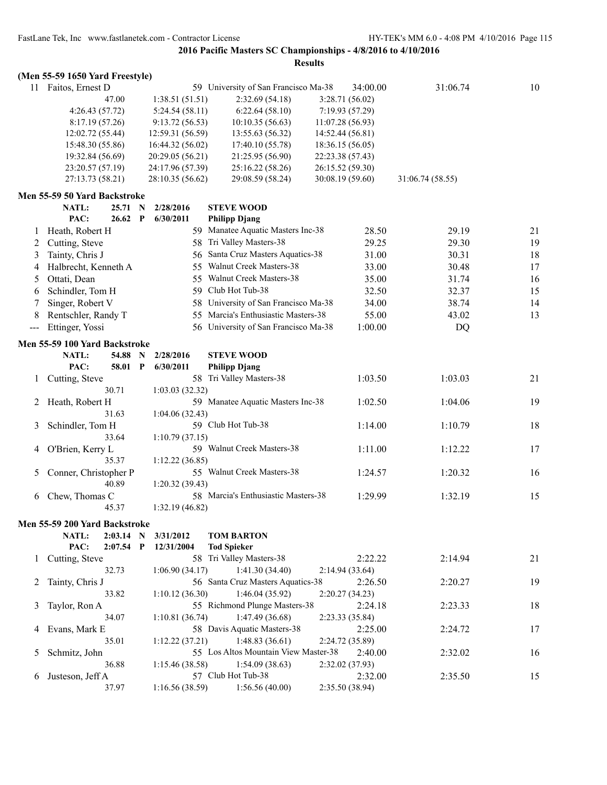|         | (Men 55-59 1650 Yard Freestyle) |             |              |                  |                                      |                  |                 |                  |    |
|---------|---------------------------------|-------------|--------------|------------------|--------------------------------------|------------------|-----------------|------------------|----|
|         | 11 Faitos, Ernest D             |             |              |                  | 59 University of San Francisco Ma-38 |                  | 34:00.00        | 31:06.74         | 10 |
|         |                                 | 47.00       |              | 1:38.51(51.51)   | 2:32.69(54.18)                       |                  | 3:28.71(56.02)  |                  |    |
|         | 4:26.43 (57.72)                 |             |              | 5:24.54(58.11)   | 6:22.64(58.10)                       |                  | 7:19.93(57.29)  |                  |    |
|         | 8:17.19(57.26)                  |             |              | 9:13.72(56.53)   | 10:10.35 (56.63)                     | 11:07.28(56.93)  |                 |                  |    |
|         | 12:02.72 (55.44)                |             |              | 12:59.31 (56.59) | 13:55.63 (56.32)                     | 14:52.44 (56.81) |                 |                  |    |
|         | 15:48.30 (55.86)                |             |              | 16:44.32 (56.02) | 17:40.10 (55.78)                     | 18:36.15 (56.05) |                 |                  |    |
|         | 19:32.84 (56.69)                |             |              | 20:29.05 (56.21) | 21:25.95 (56.90)                     | 22:23.38 (57.43) |                 |                  |    |
|         | 23:20.57 (57.19)                |             |              | 24:17.96 (57.39) | 25:16.22 (58.26)                     | 26:15.52 (59.30) |                 |                  |    |
|         | 27:13.73 (58.21)                |             |              | 28:10.35 (56.62) | 29:08.59 (58.24)                     | 30:08.19 (59.60) |                 | 31:06.74 (58.55) |    |
|         | Men 55-59 50 Yard Backstroke    |             |              |                  |                                      |                  |                 |                  |    |
|         | <b>NATL:</b>                    | 25.71       | $\mathbf N$  | 2/28/2016        | <b>STEVE WOOD</b>                    |                  |                 |                  |    |
|         | PAC:                            | 26.62       | $\mathbf{P}$ | 6/30/2011        | <b>Philipp Djang</b>                 |                  |                 |                  |    |
| 1       | Heath, Robert H                 |             |              |                  | 59 Manatee Aquatic Masters Inc-38    |                  | 28.50           | 29.19            | 21 |
| 2       | Cutting, Steve                  |             |              |                  | 58 Tri Valley Masters-38             |                  | 29.25           | 29.30            | 19 |
| 3       | Tainty, Chris J                 |             |              | 56.              | Santa Cruz Masters Aquatics-38       |                  | 31.00           | 30.31            | 18 |
| 4       | Halbrecht, Kenneth A            |             |              | 55               | Walnut Creek Masters-38              |                  | 33.00           | 30.48            | 17 |
| 5       | Ottati, Dean                    |             |              |                  | 55 Walnut Creek Masters-38           |                  | 35.00           | 31.74            | 16 |
| 6       | Schindler, Tom H                |             |              |                  | 59 Club Hot Tub-38                   |                  | 32.50           | 32.37            | 15 |
|         | Singer, Robert V                |             |              |                  | 58 University of San Francisco Ma-38 |                  | 34.00           | 38.74            | 14 |
| 8       | Rentschler, Randy T             |             |              |                  | 55 Marcia's Enthusiastic Masters-38  |                  | 55.00           | 43.02            | 13 |
| $---$   | Ettinger, Yossi                 |             |              |                  | 56 University of San Francisco Ma-38 |                  | 1:00.00         | DQ               |    |
|         |                                 |             |              |                  |                                      |                  |                 |                  |    |
|         | Men 55-59 100 Yard Backstroke   |             |              |                  |                                      |                  |                 |                  |    |
|         | <b>NATL:</b>                    | 54.88       | N            | 2/28/2016        | <b>STEVE WOOD</b>                    |                  |                 |                  |    |
|         | PAC:                            | 58.01 P     |              | 6/30/2011        | <b>Philipp Djang</b>                 |                  |                 |                  |    |
| $\perp$ | Cutting, Steve                  |             |              |                  | 58 Tri Valley Masters-38             |                  | 1:03.50         | 1:03.03          | 21 |
|         |                                 | 30.71       |              | 1:03.03(32.32)   |                                      |                  |                 |                  |    |
| 2       | Heath, Robert H                 |             |              |                  | 59 Manatee Aquatic Masters Inc-38    |                  | 1:02.50         | 1:04.06          | 19 |
|         |                                 | 31.63       |              | 1:04.06(32.43)   |                                      |                  |                 |                  |    |
| 3       | Schindler, Tom H                |             |              |                  | 59 Club Hot Tub-38                   |                  | 1:14.00         | 1:10.79          | 18 |
|         |                                 | 33.64       |              | 1:10.79(37.15)   |                                      |                  |                 |                  |    |
| 4       | O'Brien, Kerry L                |             |              |                  | 59 Walnut Creek Masters-38           |                  | 1:11.00         | 1:12.22          | 17 |
|         |                                 | 35.37       |              | 1:12.22(36.85)   |                                      |                  |                 |                  |    |
| 5       | Conner, Christopher P           |             |              |                  | 55 Walnut Creek Masters-38           |                  | 1:24.57         | 1:20.32          | 16 |
|         |                                 | 40.89       |              | 1:20.32(39.43)   |                                      |                  |                 |                  |    |
| 6       | Chew, Thomas C                  |             |              |                  | 58 Marcia's Enthusiastic Masters-38  |                  | 1:29.99         | 1:32.19          | 15 |
|         |                                 | 45.37       |              | 1:32.19 (46.82)  |                                      |                  |                 |                  |    |
|         | Men 55-59 200 Yard Backstroke   |             |              |                  |                                      |                  |                 |                  |    |
|         | NATL:                           | $2:03.14$ N |              | 3/31/2012        | <b>TOM BARTON</b>                    |                  |                 |                  |    |
|         | PAC:                            | $2:07.54$ P |              | 12/31/2004       | <b>Tod Spieker</b>                   |                  |                 |                  |    |
| $\perp$ | Cutting, Steve                  |             |              |                  | 58 Tri Valley Masters-38             |                  | 2:22.22         | 2:14.94          | 21 |
|         |                                 | 32.73       |              | 1:06.90(34.17)   | 1:41.30(34.40)                       |                  | 2:14.94(33.64)  |                  |    |
| 2       | Tainty, Chris J                 |             |              |                  | 56 Santa Cruz Masters Aquatics-38    |                  | 2:26.50         | 2:20.27          | 19 |
|         |                                 | 33.82       |              | 1:10.12(36.30)   | 1:46.04(35.92)                       |                  | 2:20.27(34.23)  |                  |    |
| 3       | Taylor, Ron A                   |             |              |                  | 55 Richmond Plunge Masters-38        |                  | 2:24.18         | 2:23.33          | 18 |
|         |                                 | 34.07       |              | 1:10.81(36.74)   | 1:47.49 (36.68)                      |                  | 2:23.33 (35.84) |                  |    |
| 4       | Evans, Mark E                   |             |              |                  | 58 Davis Aquatic Masters-38          |                  | 2:25.00         | 2:24.72          | 17 |
|         |                                 | 35.01       |              | 1:12.22 (37.21)  | 1:48.83(36.61)                       |                  | 2:24.72 (35.89) |                  |    |
| 5       | Schmitz, John                   |             |              |                  | 55 Los Altos Mountain View Master-38 |                  | 2:40.00         | 2:32.02          | 16 |
|         |                                 | 36.88       |              | 1:15.46(38.58)   | 1:54.09(38.63)                       |                  | 2:32.02 (37.93) |                  |    |
| 6       | Justeson, Jeff A                |             |              |                  | 57 Club Hot Tub-38                   |                  | 2:32.00         | 2:35.50          | 15 |
|         |                                 | 37.97       |              | 1:16.56(38.59)   | 1:56.56(40.00)                       |                  | 2:35.50 (38.94) |                  |    |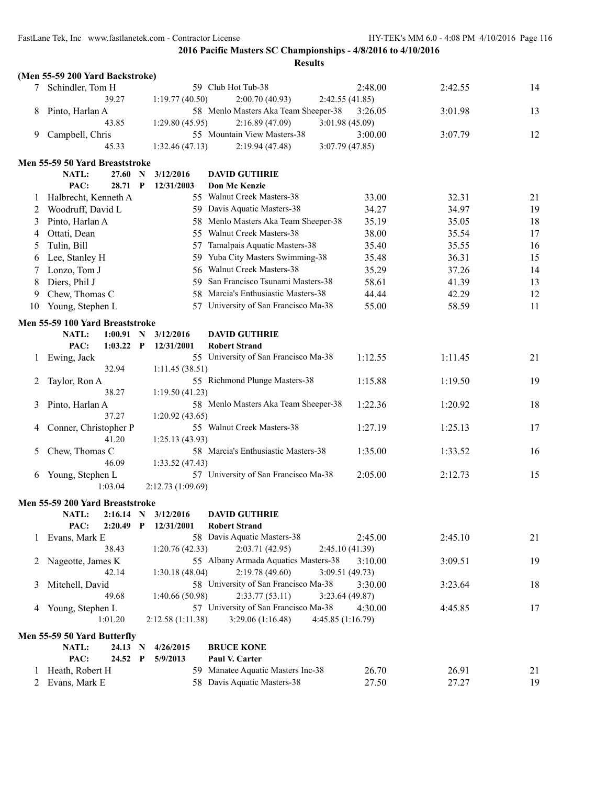|              | (Men 55-59 200 Yard Backstroke)                  |                                            |                                        |         |         |    |
|--------------|--------------------------------------------------|--------------------------------------------|----------------------------------------|---------|---------|----|
|              | Schindler, Tom H                                 |                                            | 59 Club Hot Tub-38                     | 2:48.00 | 2:42.55 | 14 |
|              | 39.27                                            | 1:19.77(40.50)                             | 2:00.70 (40.93)<br>2:42.55(41.85)      |         |         |    |
| 8            | Pinto, Harlan A                                  |                                            | 58 Menlo Masters Aka Team Sheeper-38   | 3:26.05 | 3:01.98 | 13 |
|              | 43.85                                            | 1:29.80 (45.95)                            | 2:16.89(47.09)<br>3:01.98(45.09)       |         |         |    |
| 9            | Campbell, Chris                                  |                                            | 55 Mountain View Masters-38            | 3:00.00 | 3:07.79 | 12 |
|              | 45.33                                            | 1:32.46(47.13)                             | 3:07.79(47.85)<br>2:19.94(47.48)       |         |         |    |
|              | Men 55-59 50 Yard Breaststroke                   |                                            |                                        |         |         |    |
|              | NATL:<br>27.60                                   | N<br>3/12/2016                             | <b>DAVID GUTHRIE</b>                   |         |         |    |
|              | PAC:<br>28.71 P                                  | 12/31/2003                                 | Don Mc Kenzie                          |         |         |    |
| 1            | Halbrecht, Kenneth A                             |                                            | 55 Walnut Creek Masters-38             | 33.00   | 32.31   | 21 |
| 2            | Woodruff, David L                                |                                            | 59 Davis Aquatic Masters-38            | 34.27   | 34.97   | 19 |
| 3            | Pinto, Harlan A                                  |                                            | 58 Menlo Masters Aka Team Sheeper-38   | 35.19   | 35.05   | 18 |
| 4            | Ottati, Dean                                     |                                            | 55 Walnut Creek Masters-38             | 38.00   | 35.54   | 17 |
| 5            | Tulin, Bill                                      | 57                                         | Tamalpais Aquatic Masters-38           | 35.40   | 35.55   | 16 |
| 6            | Lee, Stanley H                                   |                                            | 59 Yuba City Masters Swimming-38       | 35.48   | 36.31   | 15 |
| 7            | Lonzo, Tom J                                     | 56                                         | Walnut Creek Masters-38                | 35.29   | 37.26   | 14 |
| 8            | Diers, Phil J                                    | 59                                         | San Francisco Tsunami Masters-38       | 58.61   | 41.39   | 13 |
| 9            | Chew, Thomas C                                   | 58                                         | Marcia's Enthusiastic Masters-38       | 44.44   | 42.29   | 12 |
| 10           | Young, Stephen L                                 | 57                                         | University of San Francisco Ma-38      | 55.00   | 58.59   | 11 |
|              |                                                  |                                            |                                        |         |         |    |
|              | Men 55-59 100 Yard Breaststroke                  |                                            |                                        |         |         |    |
|              | NATL:<br>$1:00.91$ N                             | 3/12/2016                                  | <b>DAVID GUTHRIE</b>                   |         |         |    |
|              | PAC:<br>$1:03.22$ P                              | 12/31/2001                                 | <b>Robert Strand</b>                   |         |         |    |
| 1            | Ewing, Jack                                      |                                            | 55 University of San Francisco Ma-38   | 1:12.55 | 1:11.45 | 21 |
|              | 32.94                                            | 1:11.45(38.51)                             | 55 Richmond Plunge Masters-38          |         |         |    |
| 2            | Taylor, Ron A<br>38.27                           |                                            |                                        | 1:15.88 | 1:19.50 | 19 |
| 3            | Pinto, Harlan A                                  | 1:19.50(41.23)                             | 58 Menlo Masters Aka Team Sheeper-38   | 1:22.36 | 1:20.92 | 18 |
|              | 37.27                                            | 1:20.92(43.65)                             |                                        |         |         |    |
| 4            | Conner, Christopher P                            |                                            | 55 Walnut Creek Masters-38             | 1:27.19 | 1:25.13 | 17 |
|              | 41.20                                            | 1:25.13(43.93)                             |                                        |         |         |    |
| 5            | Chew, Thomas C                                   |                                            | 58 Marcia's Enthusiastic Masters-38    | 1:35.00 | 1:33.52 | 16 |
|              | 46.09                                            | 1:33.52(47.43)                             |                                        |         |         |    |
| 6            | Young, Stephen L                                 |                                            | 57 University of San Francisco Ma-38   | 2:05.00 | 2:12.73 | 15 |
|              | 1:03.04                                          | 2:12.73(1:09.69)                           |                                        |         |         |    |
|              |                                                  |                                            |                                        |         |         |    |
|              | Men 55-59 200 Yard Breaststroke                  |                                            | <b>DAVID GUTHRIE</b>                   |         |         |    |
|              | NATL: 2:16.14 N 3/12/2016<br>PAC:<br>$2:20.49$ P | 12/31/2001                                 | <b>Robert Strand</b>                   |         |         |    |
| 1            | Evans, Mark E                                    |                                            | 58 Davis Aquatic Masters-38            | 2:45.00 | 2:45.10 | 21 |
|              | 38.43                                            | 1:20.76(42.33)                             | 2:03.71(42.95)<br>2:45.10(41.39)       |         |         |    |
| 2            | Nageotte, James K                                |                                            | 55 Albany Armada Aquatics Masters-38   | 3:10.00 | 3:09.51 | 19 |
|              | 42.14                                            | 1:30.18 (48.04)                            | 2:19.78(49.60)<br>3:09.51 (49.73)      |         |         |    |
| 3            | Mitchell, David                                  |                                            | 58 University of San Francisco Ma-38   | 3:30.00 | 3:23.64 | 18 |
|              | 49.68                                            | 1:40.66 (50.98)                            | 2:33.77(53.11)<br>3:23.64(49.87)       |         |         |    |
| 4            | Young, Stephen L                                 |                                            | 57 University of San Francisco Ma-38   | 4:30.00 | 4:45.85 | 17 |
|              | 1:01.20                                          | 2:12.58 (1:11.38)                          | 3:29.06 (1:16.48)<br>4:45.85 (1:16.79) |         |         |    |
|              |                                                  |                                            |                                        |         |         |    |
|              | Men 55-59 50 Yard Butterfly                      |                                            |                                        |         |         |    |
|              | NATL:<br>24.13<br>PAC:<br>24.52                  | 4/26/2015<br>N<br>$\mathbf{P}$<br>5/9/2013 | <b>BRUCE KONE</b><br>Paul V. Carter    |         |         |    |
| $\mathbf{I}$ | Heath, Robert H                                  |                                            | 59 Manatee Aquatic Masters Inc-38      | 26.70   | 26.91   | 21 |
| 2            | Evans, Mark E                                    |                                            | 58 Davis Aquatic Masters-38            | 27.50   | 27.27   | 19 |
|              |                                                  |                                            |                                        |         |         |    |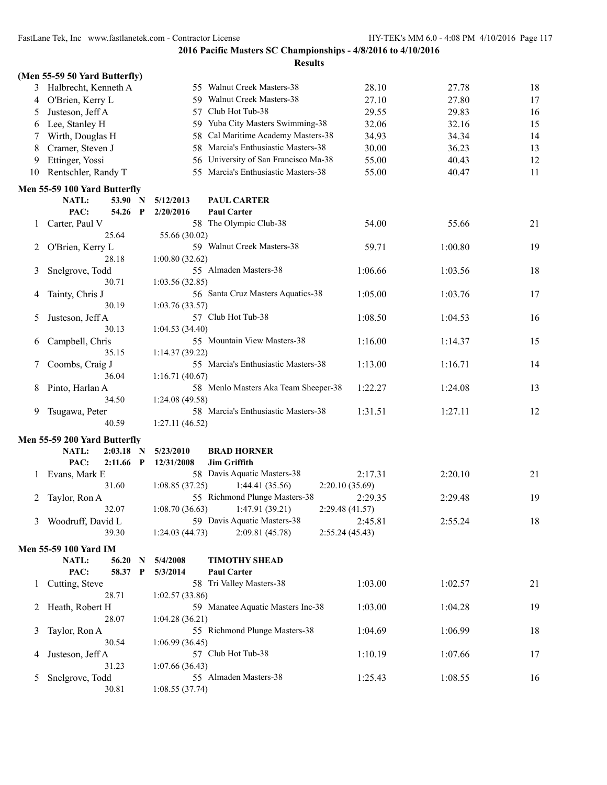|    | (Men 55-59 50 Yard Butterfly) |                |                                      |                 |         |    |
|----|-------------------------------|----------------|--------------------------------------|-----------------|---------|----|
| 3  | Halbrecht, Kenneth A          |                | 55 Walnut Creek Masters-38           | 28.10           | 27.78   | 18 |
| 4  | O'Brien, Kerry L              |                | 59 Walnut Creek Masters-38           | 27.10           | 27.80   | 17 |
| 5  | Justeson, Jeff A              | 57             | Club Hot Tub-38                      | 29.55           | 29.83   | 16 |
| 6  | Lee, Stanley H                | 59.            | Yuba City Masters Swimming-38        | 32.06           | 32.16   | 15 |
| 7  | Wirth, Douglas H              | 58             | Cal Maritime Academy Masters-38      | 34.93           | 34.34   | 14 |
| 8  | Cramer, Steven J              | 58             | Marcia's Enthusiastic Masters-38     | 30.00           | 36.23   | 13 |
| 9  | Ettinger, Yossi               | 56             | University of San Francisco Ma-38    | 55.00           | 40.43   | 12 |
| 10 | Rentschler, Randy T           | 55             | Marcia's Enthusiastic Masters-38     | 55.00           | 40.47   | 11 |
|    |                               |                |                                      |                 |         |    |
|    | Men 55-59 100 Yard Butterfly  |                |                                      |                 |         |    |
|    | NATL:<br>53.90 N              | 5/12/2013      | <b>PAUL CARTER</b>                   |                 |         |    |
|    | PAC:<br>54.26<br>P            | 2/20/2016      | <b>Paul Carter</b>                   |                 |         |    |
| 1  | Carter, Paul V                |                | 58 The Olympic Club-38               | 54.00           | 55.66   | 21 |
|    | 25.64                         | 55.66 (30.02)  |                                      |                 |         |    |
| 2  | O'Brien, Kerry L              |                | 59 Walnut Creek Masters-38           | 59.71           | 1:00.80 | 19 |
|    | 28.18                         | 1:00.80(32.62) |                                      |                 |         |    |
| 3  | Snelgrove, Todd               |                | 55 Almaden Masters-38                | 1:06.66         | 1:03.56 | 18 |
|    | 30.71                         | 1:03.56(32.85) |                                      |                 |         |    |
| 4  | Tainty, Chris J               |                | 56 Santa Cruz Masters Aquatics-38    | 1:05.00         | 1:03.76 | 17 |
|    | 30.19                         | 1:03.76(33.57) |                                      |                 |         |    |
| 5  | Justeson, Jeff A              |                | 57 Club Hot Tub-38                   | 1:08.50         | 1:04.53 | 16 |
|    | 30.13                         | 1:04.53(34.40) |                                      |                 |         |    |
| 6  | Campbell, Chris               |                | 55 Mountain View Masters-38          | 1:16.00         | 1:14.37 | 15 |
|    | 35.15                         | 1:14.37(39.22) |                                      |                 |         |    |
| 7  | Coombs, Craig J               |                | 55 Marcia's Enthusiastic Masters-38  | 1:13.00         | 1:16.71 | 14 |
|    | 36.04                         | 1:16.71(40.67) |                                      |                 |         |    |
| 8  | Pinto, Harlan A               |                | 58 Menlo Masters Aka Team Sheeper-38 | 1:22.27         | 1:24.08 | 13 |
|    | 34.50                         | 1:24.08(49.58) |                                      |                 |         |    |
| 9  | Tsugawa, Peter                |                | 58 Marcia's Enthusiastic Masters-38  | 1:31.51         | 1:27.11 | 12 |
|    | 40.59                         | 1:27.11(46.52) |                                      |                 |         |    |
|    | Men 55-59 200 Yard Butterfly  |                |                                      |                 |         |    |
|    | NATL:<br>2:03.18<br>N         | 5/23/2010      | <b>BRAD HORNER</b>                   |                 |         |    |
|    | PAC:<br>$2:11.66$ P           | 12/31/2008     | <b>Jim Griffith</b>                  |                 |         |    |
| 1  | Evans, Mark E                 |                | 58 Davis Aquatic Masters-38          | 2:17.31         | 2:20.10 | 21 |
|    | 31.60                         | 1:08.85(37.25) | 1:44.41(35.56)                       | 2:20.10(35.69)  |         |    |
| 2  | Taylor, Ron A                 |                | 55 Richmond Plunge Masters-38        | 2:29.35         | 2:29.48 | 19 |
|    | 32.07                         | 1:08.70(36.63) | 1:47.91(39.21)                       | 2:29.48 (41.57) |         |    |
| 3  | Woodruff, David L             |                | 59 Davis Aquatic Masters-38          | 2:45.81         | 2:55.24 | 18 |
|    | 39.30                         | 1:24.03(44.73) | 2:09.81 (45.78)                      | 2:55.24(45.43)  |         |    |
|    | Men 55-59 100 Yard IM         |                |                                      |                 |         |    |
|    | NATL:<br>56.20<br>N           | 5/4/2008       | <b>TIMOTHY SHEAD</b>                 |                 |         |    |
|    | PAC:<br>58.37<br>$\mathbf P$  | 5/3/2014       | <b>Paul Carter</b>                   |                 |         |    |
|    |                               |                | 58 Tri Valley Masters-38             | 1:03.00         |         |    |
| 1  | Cutting, Steve<br>28.71       |                |                                      |                 | 1:02.57 | 21 |
|    |                               | 1:02.57(33.86) | 59 Manatee Aquatic Masters Inc-38    | 1:03.00         |         | 19 |
| 2  | Heath, Robert H<br>28.07      | 1:04.28(36.21) |                                      |                 | 1:04.28 |    |
|    |                               |                | 55 Richmond Plunge Masters-38        | 1:04.69         |         | 18 |
| 3  | Taylor, Ron A<br>30.54        | 1:06.99(36.45) |                                      |                 | 1:06.99 |    |
|    | Justeson, Jeff A              |                | 57 Club Hot Tub-38                   | 1:10.19         | 1:07.66 | 17 |
| 4  | 31.23                         | 1:07.66(36.43) |                                      |                 |         |    |
| 5  | Snelgrove, Todd               |                | 55 Almaden Masters-38                | 1:25.43         | 1:08.55 | 16 |
|    | 30.81                         | 1:08.55(37.74) |                                      |                 |         |    |
|    |                               |                |                                      |                 |         |    |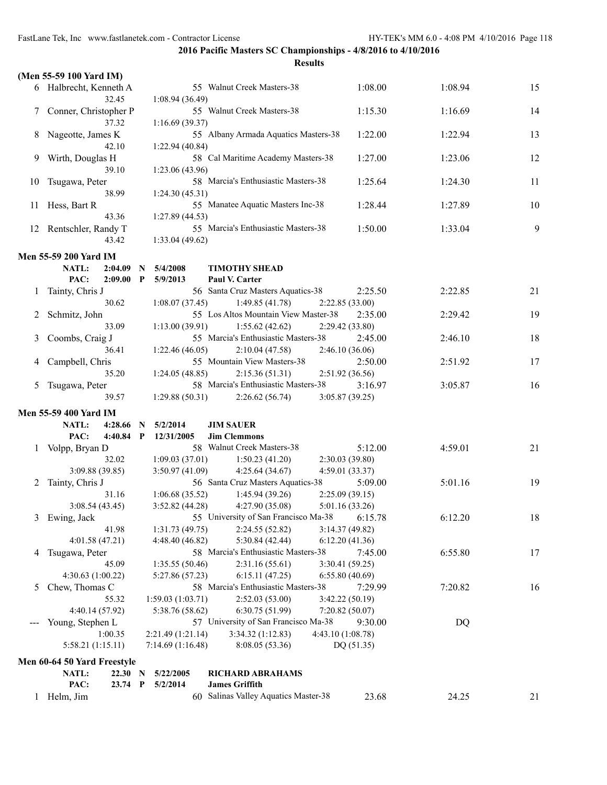|              | (Men 55-59 100 Yard IM)                   |              |                   |                                                                         |            |         |    |
|--------------|-------------------------------------------|--------------|-------------------|-------------------------------------------------------------------------|------------|---------|----|
|              | 6 Halbrecht, Kenneth A                    |              |                   | 55 Walnut Creek Masters-38                                              | 1:08.00    | 1:08.94 | 15 |
|              | 32.45                                     |              | 1:08.94(36.49)    |                                                                         |            |         |    |
|              | Conner, Christopher P                     |              |                   | 55 Walnut Creek Masters-38                                              | 1:15.30    | 1:16.69 | 14 |
|              | 37.32                                     |              | 1:16.69(39.37)    |                                                                         |            |         |    |
| 8            | Nageotte, James K                         |              |                   | 55 Albany Armada Aquatics Masters-38                                    | 1:22.00    | 1:22.94 | 13 |
|              | 42.10                                     |              | 1:22.94(40.84)    |                                                                         |            |         |    |
| 9.           | Wirth, Douglas H                          |              |                   | 58 Cal Maritime Academy Masters-38                                      | 1:27.00    | 1:23.06 | 12 |
|              | 39.10                                     |              | 1:23.06 (43.96)   |                                                                         |            |         |    |
| 10           | Tsugawa, Peter                            |              |                   | 58 Marcia's Enthusiastic Masters-38                                     | 1:25.64    | 1:24.30 | 11 |
|              | 38.99                                     |              | 1:24.30(45.31)    |                                                                         |            |         |    |
| 11           | Hess, Bart R                              |              |                   | 55 Manatee Aquatic Masters Inc-38                                       | 1:28.44    | 1:27.89 | 10 |
|              | 43.36                                     |              | 1:27.89 (44.53)   |                                                                         |            |         |    |
|              | 12 Rentschler, Randy T                    |              |                   | 55 Marcia's Enthusiastic Masters-38                                     | 1:50.00    | 1:33.04 | 9  |
|              | 43.42                                     |              | 1:33.04(49.62)    |                                                                         |            |         |    |
|              | <b>Men 55-59 200 Yard IM</b>              |              |                   |                                                                         |            |         |    |
|              | NATL:<br>2:04.09                          | N            | 5/4/2008          | <b>TIMOTHY SHEAD</b>                                                    |            |         |    |
|              | PAC:<br>2:09.00                           | $\mathbf{P}$ | 5/9/2013          | Paul V. Carter                                                          |            |         |    |
| $\perp$      | Tainty, Chris J                           |              |                   | 56 Santa Cruz Masters Aquatics-38                                       | 2:25.50    | 2:22.85 | 21 |
|              | 30.62                                     |              | 1:08.07(37.45)    | 1:49.85(41.78)<br>2:22.85(33.00)                                        |            |         |    |
|              | Schmitz, John                             |              |                   | 55 Los Altos Mountain View Master-38                                    | 2:35.00    | 2:29.42 | 19 |
|              | 33.09                                     |              | 1:13.00(39.91)    | 1:55.62(42.62)<br>2:29.42 (33.80)                                       |            |         |    |
|              | Coombs, Craig J<br>36.41                  |              | 1:22.46(46.05)    | 55 Marcia's Enthusiastic Masters-38<br>2:10.04(47.58)<br>2:46.10(36.06) | 2:45.00    | 2:46.10 | 18 |
|              | Campbell, Chris                           |              |                   | 55 Mountain View Masters-38                                             | 2:50.00    | 2:51.92 | 17 |
|              | 35.20                                     |              | 1:24.05(48.85)    | 2:15.36(51.31)<br>2:51.92(36.56)                                        |            |         |    |
| 5            | Tsugawa, Peter                            |              |                   | 58 Marcia's Enthusiastic Masters-38                                     | 3:16.97    | 3:05.87 | 16 |
|              | 39.57                                     |              | 1:29.88(50.31)    | 2:26.62(56.74)<br>3:05.87(39.25)                                        |            |         |    |
|              |                                           |              |                   |                                                                         |            |         |    |
|              | Men 55-59 400 Yard IM<br>NATL:<br>4:28.66 | N            | 5/2/2014          | <b>JIM SAUER</b>                                                        |            |         |    |
|              | PAC:<br>$4:40.84$ P                       |              | 12/31/2005        | <b>Jim Clemmons</b>                                                     |            |         |    |
| $\perp$      | Volpp, Bryan D                            |              |                   | 58 Walnut Creek Masters-38                                              | 5:12.00    | 4:59.01 | 21 |
|              | 32.02                                     |              | 1:09.03(37.01)    | 1:50.23(41.20)<br>2:30.03(39.80)                                        |            |         |    |
|              | 3:09.88 (39.85)                           |              | 3:50.97(41.09)    | 4:25.64(34.67)<br>4:59.01 (33.37)                                       |            |         |    |
| 2            | Tainty, Chris J                           |              |                   | 56 Santa Cruz Masters Aquatics-38                                       | 5:09.00    | 5:01.16 | 19 |
|              | 31.16                                     |              | 1:06.68(35.52)    | 1:45.94(39.26)<br>2:25.09(39.15)                                        |            |         |    |
|              | 3:08.54(43.45)                            |              | 3:52.82(44.28)    | 4:27.90(35.08)<br>5:01.16 (33.26)                                       |            |         |    |
| 3            | Ewing, Jack                               |              |                   | 55 University of San Francisco Ma-38                                    | 6:15.78    | 6:12.20 | 18 |
|              | 41.98                                     |              | 1:31.73(49.75)    | 2:24.55(52.82)<br>3:14.37 (49.82)                                       |            |         |    |
|              | 4:01.58(47.21)                            |              | 4:48.40 (46.82)   | 5:30.84 (42.44)<br>6:12.20(41.36)                                       |            |         |    |
| 4            | Tsugawa, Peter                            |              |                   | 58 Marcia's Enthusiastic Masters-38                                     | 7:45.00    | 6:55.80 | 17 |
|              | 45.09<br>4:30.63 (1:00.22)                |              | 1:35.55(50.46)    | 2:31.16(55.61)<br>3:30.41 (59.25)<br>6:15.11(47.25)                     |            |         |    |
| 5.           | Chew, Thomas C                            |              | 5:27.86 (57.23)   | 6:55.80(40.69)<br>58 Marcia's Enthusiastic Masters-38                   | 7:29.99    | 7:20.82 | 16 |
|              | 55.32                                     |              | 1:59.03(1:03.71)  | 2:52.03(53.00)<br>3:42.22 (50.19)                                       |            |         |    |
|              | 4:40.14 (57.92)                           |              | 5:38.76 (58.62)   | 6:30.75(51.99)<br>7:20.82 (50.07)                                       |            |         |    |
|              | Young, Stephen L                          |              |                   | 57 University of San Francisco Ma-38                                    | 9:30.00    | DQ      |    |
|              | 1:00.35                                   |              | 2:21.49 (1:21.14) | 3:34.32(1:12.83)<br>4:43.10 (1:08.78)                                   |            |         |    |
|              | 5:58.21 (1:15.11)                         |              | 7:14.69(1:16.48)  | 8:08.05(53.36)                                                          | DQ (51.35) |         |    |
|              | Men 60-64 50 Yard Freestyle               |              |                   |                                                                         |            |         |    |
|              | NATL:<br>22.30 N                          |              | 5/22/2005         | <b>RICHARD ABRAHAMS</b>                                                 |            |         |    |
|              | PAC:<br>$23.74$ P                         |              | 5/2/2014          | <b>James Griffith</b>                                                   |            |         |    |
| $\mathbf{1}$ | Helm, Jim                                 |              |                   | 60 Salinas Valley Aquatics Master-38                                    | 23.68      | 24.25   | 21 |
|              |                                           |              |                   |                                                                         |            |         |    |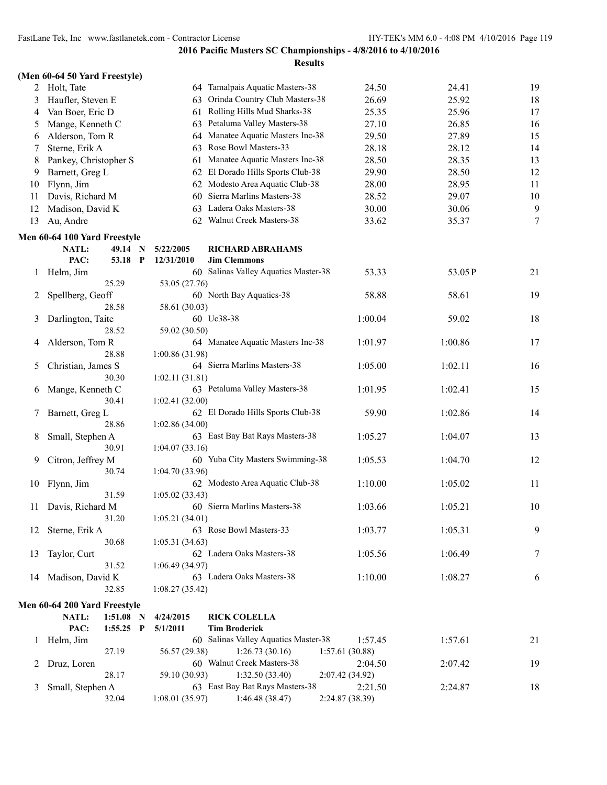|               | (Men 60-64 50 Yard Freestyle) |                |                                      |                 |         |        |
|---------------|-------------------------------|----------------|--------------------------------------|-----------------|---------|--------|
|               | 2 Holt, Tate                  |                | 64 Tamalpais Aquatic Masters-38      | 24.50           | 24.41   | 19     |
| 3             | Haufler, Steven E             | 63             | Orinda Country Club Masters-38       | 26.69           | 25.92   | 18     |
| 4             | Van Boer, Eric D              | 61             | Rolling Hills Mud Sharks-38          | 25.35           | 25.96   | 17     |
| 5             | Mange, Kenneth C              | 63             | Petaluma Valley Masters-38           | 27.10           | 26.85   | 16     |
| 6             | Alderson, Tom R               |                | 64 Manatee Aquatic Masters Inc-38    | 29.50           | 27.89   | 15     |
| 7             | Sterne, Erik A                | 63             | Rose Bowl Masters-33                 | 28.18           | 28.12   | 14     |
| 8             | Pankey, Christopher S         |                | 61 Manatee Aquatic Masters Inc-38    | 28.50           | 28.35   | 13     |
| 9             | Barnett, Greg L               |                | 62 El Dorado Hills Sports Club-38    | 29.90           | 28.50   | 12     |
| 10            | Flynn, Jim                    |                | 62 Modesto Area Aquatic Club-38      | 28.00           | 28.95   | 11     |
| 11            | Davis, Richard M              |                | 60 Sierra Marlins Masters-38         | 28.52           | 29.07   | 10     |
| 12            | Madison, David K              | 63             | Ladera Oaks Masters-38               | 30.00           | 30.06   | 9      |
| 13            | Au, Andre                     |                | 62 Walnut Creek Masters-38           | 33.62           | 35.37   | $\tau$ |
|               | Men 60-64 100 Yard Freestyle  |                |                                      |                 |         |        |
|               | NATL:<br>49.14 N              | 5/22/2005      | <b>RICHARD ABRAHAMS</b>              |                 |         |        |
|               | PAC:<br>53.18 P               | 12/31/2010     | <b>Jim Clemmons</b>                  |                 |         |        |
| 1             | Helm, Jim                     |                | 60 Salinas Valley Aquatics Master-38 | 53.33           | 53.05P  | 21     |
|               | 25.29                         | 53.05 (27.76)  |                                      |                 |         |        |
| 2             | Spellberg, Geoff              |                | 60 North Bay Aquatics-38             | 58.88           | 58.61   | 19     |
|               | 28.58                         | 58.61 (30.03)  |                                      |                 |         |        |
| 3             | Darlington, Taite             |                | 60 Uc38-38                           | 1:00.04         | 59.02   | 18     |
|               | 28.52                         | 59.02 (30.50)  |                                      |                 |         |        |
| 4             | Alderson, Tom R               |                | 64 Manatee Aquatic Masters Inc-38    | 1:01.97         | 1:00.86 | 17     |
|               | 28.88                         | 1:00.86(31.98) |                                      |                 |         |        |
| $\mathcal{L}$ | Christian, James S            |                | 64 Sierra Marlins Masters-38         | 1:05.00         | 1:02.11 | 16     |
|               | 30.30                         | 1:02.11(31.81) |                                      |                 |         |        |
| 6             | Mange, Kenneth C              |                | 63 Petaluma Valley Masters-38        | 1:01.95         | 1:02.41 | 15     |
|               | 30.41                         | 1:02.41(32.00) | 62 El Dorado Hills Sports Club-38    | 59.90           | 1:02.86 | 14     |
| Τ             | Barnett, Greg L<br>28.86      | 1:02.86(34.00) |                                      |                 |         |        |
| 8             | Small, Stephen A              |                | 63 East Bay Bat Rays Masters-38      | 1:05.27         | 1:04.07 | 13     |
|               | 30.91                         | 1:04.07(33.16) |                                      |                 |         |        |
| 9             | Citron, Jeffrey M             |                | 60 Yuba City Masters Swimming-38     | 1:05.53         | 1:04.70 | 12     |
|               | 30.74                         | 1:04.70(33.96) |                                      |                 |         |        |
| 10            | Flynn, Jim                    |                | 62 Modesto Area Aquatic Club-38      | 1:10.00         | 1:05.02 | 11     |
|               | 31.59                         | 1:05.02(33.43) |                                      |                 |         |        |
| 11            | Davis, Richard M              |                | 60 Sierra Marlins Masters-38         | 1:03.66         | 1:05.21 | 10     |
|               | 31.20                         | 1:05.21(34.01) |                                      |                 |         |        |
| 12            | Sterne, Erik A                |                | 63 Rose Bowl Masters-33              | 1:03.77         | 1:05.31 | 9      |
|               | 30.68                         | 1:05.31(34.63) |                                      |                 |         |        |
| 13            | Taylor, Curt                  |                | 62 Ladera Oaks Masters-38            | 1:05.56         | 1:06.49 | 7      |
|               | 31.52                         | 1:06.49(34.97) |                                      |                 |         |        |
| 14            | Madison, David K              |                | 63 Ladera Oaks Masters-38            | 1:10.00         | 1:08.27 | 6      |
|               | 32.85                         | 1:08.27(35.42) |                                      |                 |         |        |
|               | Men 60-64 200 Yard Freestyle  |                |                                      |                 |         |        |
|               | NATL:<br>$1:51.08$ N          | 4/24/2015      | <b>RICK COLELLA</b>                  |                 |         |        |
|               | PAC:<br>$1:55.25$ P           | 5/1/2011       | <b>Tim Broderick</b>                 |                 |         |        |
| 1             | Helm, Jim                     |                | 60 Salinas Valley Aquatics Master-38 | 1:57.45         | 1:57.61 | 21     |
|               | 27.19                         | 56.57 (29.38)  | 1:26.73(30.16)                       | 1:57.61(30.88)  |         |        |
| 2             | Druz, Loren                   |                | 60 Walnut Creek Masters-38           | 2:04.50         | 2:07.42 | 19     |
|               | 28.17                         | 59.10 (30.93)  | 1:32.50(33.40)                       | 2:07.42 (34.92) |         |        |
| 3             | Small, Stephen A              |                | 63 East Bay Bat Rays Masters-38      | 2:21.50         | 2:24.87 | 18     |
|               | 32.04                         | 1:08.01(35.97) | 1:46.48(38.47)                       | 2:24.87 (38.39) |         |        |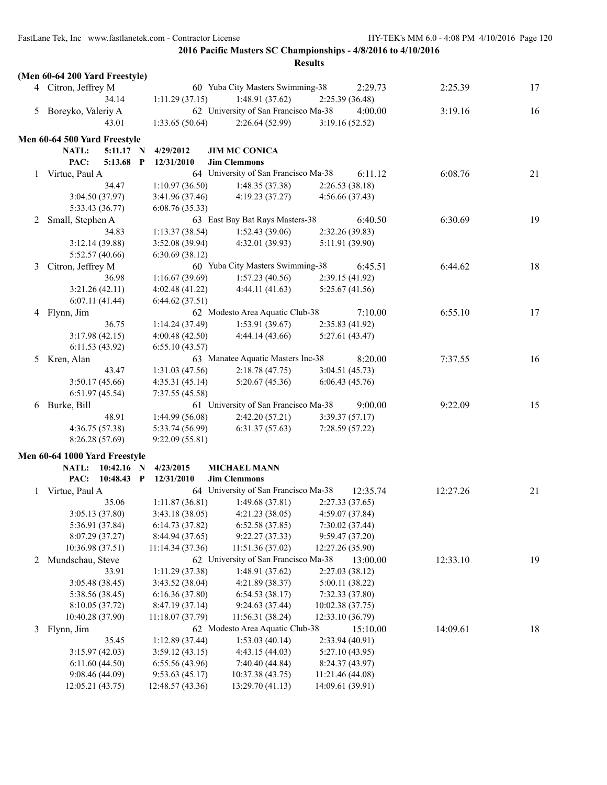|   | (Men 60-64 200 Yard Freestyle) |                  |                                                             |                  |          |          |    |
|---|--------------------------------|------------------|-------------------------------------------------------------|------------------|----------|----------|----|
|   | 4 Citron, Jeffrey M            |                  | 60 Yuba City Masters Swimming-38                            |                  | 2:29.73  | 2:25.39  | 17 |
|   | 34.14                          | 1:11.29(37.15)   | 1:48.91(37.62)                                              | 2:25.39 (36.48)  |          |          |    |
|   | 5 Boreyko, Valeriy A           |                  | 62 University of San Francisco Ma-38                        |                  | 4:00.00  | 3:19.16  | 16 |
|   | 43.01                          | 1:33.65(50.64)   | 2:26.64(52.99)                                              | 3:19.16(52.52)   |          |          |    |
|   |                                |                  |                                                             |                  |          |          |    |
|   | Men 60-64 500 Yard Freestyle   |                  |                                                             |                  |          |          |    |
|   | NATL:<br>5:11.17 N<br>PAC:     | 4/29/2012        | <b>JIM MC CONICA</b>                                        |                  |          |          |    |
|   | 5:13.68 P                      | 12/31/2010       | <b>Jim Clemmons</b><br>64 University of San Francisco Ma-38 |                  |          |          |    |
|   | 1 Virtue, Paul A               |                  |                                                             |                  | 6:11.12  | 6:08.76  | 21 |
|   | 34.47                          | 1:10.97(36.50)   | 1:48.35(37.38)                                              | 2:26.53(38.18)   |          |          |    |
|   | 3:04.50 (37.97)                | 3:41.96(37.46)   | 4:19.23(37.27)                                              | 4:56.66 (37.43)  |          |          |    |
|   | 5:33.43 (36.77)                | 6:08.76(35.33)   |                                                             |                  |          |          |    |
| 2 | Small, Stephen A               |                  | 63 East Bay Bat Rays Masters-38                             |                  | 6:40.50  | 6:30.69  | 19 |
|   | 34.83                          | 1:13.37(38.54)   | 1:52.43(39.06)                                              | 2:32.26 (39.83)  |          |          |    |
|   | 3:12.14 (39.88)                | 3:52.08(39.94)   | 4:32.01(39.93)                                              | 5:11.91 (39.90)  |          |          |    |
|   | 5:52.57(40.66)                 | 6:30.69(38.12)   |                                                             |                  |          |          |    |
| 3 | Citron, Jeffrey M              |                  | 60 Yuba City Masters Swimming-38                            |                  | 6:45.51  | 6:44.62  | 18 |
|   | 36.98                          | 1:16.67(39.69)   | 1:57.23(40.56)                                              | 2:39.15(41.92)   |          |          |    |
|   | 3:21.26(42.11)                 | 4:02.48 (41.22)  | 4:44.11(41.63)                                              | 5:25.67(41.56)   |          |          |    |
|   | 6:07.11(41.44)                 | 6:44.62(37.51)   |                                                             |                  |          |          |    |
| 4 | Flynn, Jim                     |                  | 62 Modesto Area Aquatic Club-38                             |                  | 7:10.00  | 6:55.10  | 17 |
|   | 36.75                          | 1:14.24(37.49)   | 1:53.91(39.67)                                              | 2:35.83(41.92)   |          |          |    |
|   | 3:17.98(42.15)                 | 4:00.48(42.50)   | 4:44.14(43.66)                                              | 5:27.61 (43.47)  |          |          |    |
|   | 6:11.53(43.92)                 | 6:55.10(43.57)   |                                                             |                  |          |          |    |
| 5 | Kren, Alan                     |                  | 63 Manatee Aquatic Masters Inc-38                           |                  | 8:20.00  | 7:37.55  | 16 |
|   | 43.47                          | 1:31.03(47.56)   | 2:18.78(47.75)                                              | 3:04.51(45.73)   |          |          |    |
|   | 3:50.17(45.66)                 | 4:35.31(45.14)   | 5:20.67(45.36)                                              | 6:06.43(45.76)   |          |          |    |
|   | 6:51.97(45.54)                 | 7:37.55 (45.58)  |                                                             |                  |          |          |    |
| 6 | Burke, Bill                    |                  | 61 University of San Francisco Ma-38                        |                  | 9:00.00  | 9:22.09  | 15 |
|   | 48.91                          | 1:44.99(56.08)   | 2:42.20(57.21)                                              | 3:39.37(57.17)   |          |          |    |
|   | 4:36.75(57.38)                 | 5:33.74 (56.99)  | 6:31.37(57.63)                                              | 7:28.59(57.22)   |          |          |    |
|   | 8:26.28(57.69)                 | 9:22.09(55.81)   |                                                             |                  |          |          |    |
|   | Men 60-64 1000 Yard Freestyle  |                  |                                                             |                  |          |          |    |
|   | NATL: 10:42.16 N               | 4/23/2015        | <b>MICHAEL MANN</b>                                         |                  |          |          |    |
|   | PAC:<br>10:48.43 P             | 12/31/2010       | <b>Jim Clemmons</b>                                         |                  |          |          |    |
|   | 1 Virtue, Paul A               |                  | 64 University of San Francisco Ma-38                        |                  | 12:35.74 | 12:27.26 | 21 |
|   | 35.06                          | 1:11.87(36.81)   | 1:49.68(37.81)                                              | 2:27.33(37.65)   |          |          |    |
|   | 3:05.13(37.80)                 | 3:43.18(38.05)   | 4:21.23(38.05)                                              | 4:59.07 (37.84)  |          |          |    |
|   | 5:36.91 (37.84)                | 6:14.73(37.82)   | 6:52.58(37.85)                                              | 7:30.02 (37.44)  |          |          |    |
|   | 8:07.29 (37.27)                | 8:44.94 (37.65)  | 9:22.27(37.33)                                              | 9:59.47(37.20)   |          |          |    |
|   | 10:36.98 (37.51)               | 11:14.34(37.36)  | 11:51.36 (37.02)                                            | 12:27.26 (35.90) |          |          |    |
| 2 | Mundschau, Steve               |                  | 62 University of San Francisco Ma-38                        |                  | 13:00.00 | 12:33.10 | 19 |
|   | 33.91                          | 1:11.29 (37.38)  | 1:48.91(37.62)                                              | 2:27.03(38.12)   |          |          |    |
|   | 3:05.48(38.45)                 | 3:43.52(38.04)   | 4:21.89 (38.37)                                             | 5:00.11(38.22)   |          |          |    |
|   | 5:38.56 (38.45)                | 6:16.36(37.80)   | 6:54.53(38.17)                                              | 7:32.33 (37.80)  |          |          |    |
|   | 8:10.05 (37.72)                | 8:47.19 (37.14)  | 9:24.63 (37.44)                                             | 10:02.38 (37.75) |          |          |    |
|   | 10:40.28 (37.90)               | 11:18.07 (37.79) | 11:56.31 (38.24)                                            | 12:33.10 (36.79) |          |          |    |
| 3 | Flynn, Jim                     |                  | 62 Modesto Area Aquatic Club-38                             |                  | 15:10.00 | 14:09.61 | 18 |
|   | 35.45                          | 1:12.89(37.44)   | 1:53.03(40.14)                                              | 2:33.94(40.91)   |          |          |    |
|   | 3:15.97(42.03)                 | 3:59.12(43.15)   | 4:43.15(44.03)                                              | 5:27.10(43.95)   |          |          |    |
|   | 6:11.60(44.50)                 | 6:55.56(43.96)   | 7:40.40 (44.84)                                             | 8:24.37(43.97)   |          |          |    |
|   | 9:08.46(44.09)                 | 9:53.63(45.17)   | 10:37.38 (43.75)                                            | 11:21.46 (44.08) |          |          |    |
|   | 12:05.21 (43.75)               | 12:48.57 (43.36) | 13:29.70 (41.13)                                            | 14:09.61 (39.91) |          |          |    |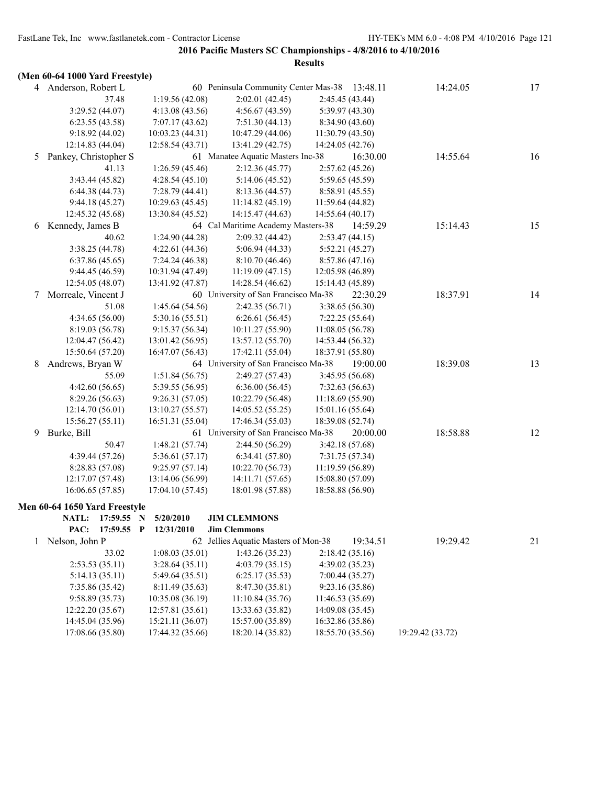|              | (Men 60-64 1000 Yard Freestyle) |                  |                                      |                                               |                  |    |
|--------------|---------------------------------|------------------|--------------------------------------|-----------------------------------------------|------------------|----|
|              | 4 Anderson, Robert L            |                  |                                      | 60 Peninsula Community Center Mas-38 13:48.11 | 14:24.05         | 17 |
|              | 37.48                           | 1:19.56(42.08)   | 2:02.01(42.45)                       | 2:45.45 (43.44)                               |                  |    |
|              | 3:29.52 (44.07)                 | 4:13.08(43.56)   | 4:56.67(43.59)                       | 5:39.97 (43.30)                               |                  |    |
|              | 6:23.55(43.58)                  | 7:07.17(43.62)   | 7:51.30(44.13)                       | 8:34.90 (43.60)                               |                  |    |
|              | 9:18.92(44.02)                  | 10:03.23(44.31)  | 10:47.29(44.06)                      | 11:30.79 (43.50)                              |                  |    |
|              | 12:14.83 (44.04)                | 12:58.54(43.71)  | 13:41.29 (42.75)                     | 14:24.05 (42.76)                              |                  |    |
| 5            | Pankey, Christopher S           |                  | 61 Manatee Aquatic Masters Inc-38    | 16:30.00                                      | 14:55.64         | 16 |
|              | 41.13                           | 1:26.59(45.46)   | 2:12.36(45.77)                       | 2:57.62(45.26)                                |                  |    |
|              | 3:43.44 (45.82)                 | 4:28.54(45.10)   | 5:14.06 (45.52)                      | 5:59.65 (45.59)                               |                  |    |
|              | 6:44.38(44.73)                  | 7:28.79(44.41)   | 8:13.36 (44.57)                      | 8:58.91 (45.55)                               |                  |    |
|              | 9:44.18(45.27)                  | 10:29.63(45.45)  | 11:14.82(45.19)                      | 11:59.64 (44.82)                              |                  |    |
|              | 12:45.32 (45.68)                | 13:30.84 (45.52) | 14:15.47 (44.63)                     | 14:55.64 (40.17)                              |                  |    |
| 6            | Kennedy, James B                |                  | 64 Cal Maritime Academy Masters-38   | 14:59.29                                      | 15:14.43         | 15 |
|              | 40.62                           | 1:24.90(44.28)   | 2:09.32(44.42)                       | 2:53.47(44.15)                                |                  |    |
|              | 3:38.25 (44.78)                 | 4:22.61(44.36)   | 5:06.94(44.33)                       | 5:52.21 (45.27)                               |                  |    |
|              | 6:37.86(45.65)                  | 7:24.24 (46.38)  | 8:10.70(46.46)                       | 8:57.86 (47.16)                               |                  |    |
|              | 9:44.45(46.59)                  | 10:31.94 (47.49) | 11:19.09(47.15)                      | 12:05.98 (46.89)                              |                  |    |
|              | 12:54.05 (48.07)                | 13:41.92 (47.87) | 14:28.54 (46.62)                     | 15:14.43 (45.89)                              |                  |    |
| 7            | Morreale, Vincent J             |                  | 60 University of San Francisco Ma-38 | 22:30.29                                      | 18:37.91         | 14 |
|              | 51.08                           | 1:45.64 (54.56)  | 2:42.35(56.71)                       | 3:38.65 (56.30)                               |                  |    |
|              | 4:34.65 (56.00)                 | 5:30.16(55.51)   | 6:26.61(56.45)                       | 7:22.25(55.64)                                |                  |    |
|              | 8:19.03 (56.78)                 | 9:15.37(56.34)   | 10:11.27 (55.90)                     | 11:08.05(56.78)                               |                  |    |
|              | 12:04.47 (56.42)                | 13:01.42 (56.95) | 13:57.12 (55.70)                     | 14:53.44 (56.32)                              |                  |    |
|              | 15:50.64 (57.20)                | 16:47.07 (56.43) | 17:42.11 (55.04)                     | 18:37.91 (55.80)                              |                  |    |
| 8            | Andrews, Bryan W                |                  | 64 University of San Francisco Ma-38 | 19:00.00                                      | 18:39.08         | 13 |
|              | 55.09                           | 1:51.84(56.75)   | 2:49.27 (57.43)                      | 3:45.95 (56.68)                               |                  |    |
|              | 4:42.60(56.65)                  | 5:39.55 (56.95)  | 6:36.00(56.45)                       | 7:32.63(56.63)                                |                  |    |
|              | 8:29.26 (56.63)                 | 9:26.31(57.05)   | 10:22.79 (56.48)                     | 11:18.69(55.90)                               |                  |    |
|              | 12:14.70 (56.01)                | 13:10.27 (55.57) | 14:05.52 (55.25)                     | 15:01.16 (55.64)                              |                  |    |
|              | 15:56.27(55.11)                 | 16:51.31 (55.04) | 17:46.34 (55.03)                     | 18:39.08 (52.74)                              |                  |    |
| 9            | Burke, Bill                     |                  | 61 University of San Francisco Ma-38 | 20:00.00                                      | 18:58.88         | 12 |
|              | 50.47                           | 1:48.21(57.74)   | 2:44.50 (56.29)                      | 3:42.18 (57.68)                               |                  |    |
|              | 4:39.44 (57.26)                 | 5:36.61(57.17)   | 6:34.41(57.80)                       | 7:31.75 (57.34)                               |                  |    |
|              | 8:28.83 (57.08)                 | 9:25.97(57.14)   | 10:22.70 (56.73)                     | 11:19.59 (56.89)                              |                  |    |
|              | 12:17.07 (57.48)                | 13:14.06 (56.99) | 14:11.71 (57.65)                     | 15:08.80 (57.09)                              |                  |    |
|              | 16:06.65(57.85)                 | 17:04.10 (57.45) | 18:01.98 (57.88)                     | 18:58.88 (56.90)                              |                  |    |
|              |                                 |                  |                                      |                                               |                  |    |
|              | Men 60-64 1650 Yard Freestyle   |                  |                                      |                                               |                  |    |
|              | NATL:<br>17:59.55               | 5/20/2010<br>N   | <b>JIM CLEMMONS</b>                  |                                               |                  |    |
|              | 17:59.55 P<br>PAC:              | 12/31/2010       | <b>Jim Clemmons</b>                  |                                               |                  |    |
| $\mathbf{1}$ | Nelson, John P                  |                  | 62 Jellies Aquatic Masters of Mon-38 | 19:34.51                                      | 19:29.42         | 21 |
|              | 33.02                           | 1:08.03(35.01)   | 1:43.26(35.23)                       | 2:18.42(35.16)                                |                  |    |
|              | 2:53.53(35.11)                  | 3:28.64(35.11)   | 4:03.79(35.15)                       | 4:39.02 (35.23)                               |                  |    |
|              | 5:14.13(35.11)                  | 5:49.64(35.51)   | 6:25.17(35.53)                       | 7:00.44 (35.27)                               |                  |    |
|              | 7:35.86 (35.42)                 | 8:11.49 (35.63)  | 8:47.30 (35.81)                      | 9:23.16 (35.86)                               |                  |    |
|              | 9:58.89(35.73)                  | 10:35.08 (36.19) | 11:10.84 (35.76)                     | 11:46.53 (35.69)                              |                  |    |
|              | 12:22.20 (35.67)                | 12:57.81 (35.61) | 13:33.63 (35.82)                     | 14:09.08 (35.45)                              |                  |    |
|              | 14:45.04 (35.96)                | 15:21.11 (36.07) | 15:57.00 (35.89)                     | 16:32.86 (35.86)                              |                  |    |
|              | 17:08.66 (35.80)                | 17:44.32 (35.66) | 18:20.14 (35.82)                     | 18:55.70 (35.56)                              | 19:29.42 (33.72) |    |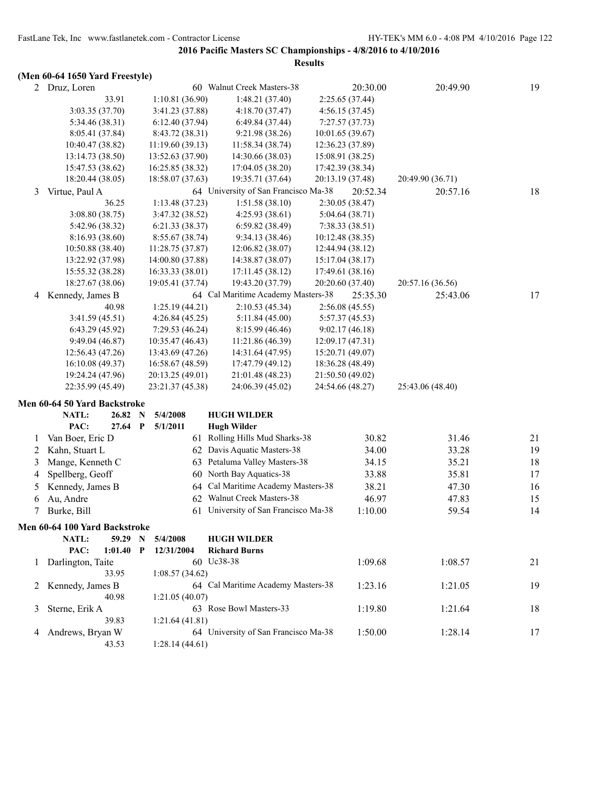## **(Men 60-64 1650 Yard Freestyle)**

|   | $(1)$ . Then you are not allowed the state $\int$ |             |                  |                                      |                  |                 |                  |    |
|---|---------------------------------------------------|-------------|------------------|--------------------------------------|------------------|-----------------|------------------|----|
|   | 2 Druz, Loren                                     |             |                  | 60 Walnut Creek Masters-38           |                  | 20:30.00        | 20:49.90         | 19 |
|   | 33.91                                             |             | 1:10.81(36.90)   | 1:48.21(37.40)                       |                  | 2:25.65 (37.44) |                  |    |
|   | 3:03.35 (37.70)                                   |             | 3:41.23 (37.88)  | 4:18.70(37.47)                       |                  | 4:56.15(37.45)  |                  |    |
|   | 5:34.46 (38.31)                                   |             | 6:12.40(37.94)   | 6:49.84(37.44)                       |                  | 7:27.57(37.73)  |                  |    |
|   | 8:05.41 (37.84)                                   |             | 8:43.72 (38.31)  | 9:21.98 (38.26)                      | 10:01.65 (39.67) |                 |                  |    |
|   | 10:40.47 (38.82)                                  |             | 11:19.60(39.13)  | 11:58.34 (38.74)                     | 12:36.23 (37.89) |                 |                  |    |
|   | 13:14.73 (38.50)                                  |             | 13:52.63 (37.90) | 14:30.66 (38.03)                     | 15:08.91 (38.25) |                 |                  |    |
|   | 15:47.53 (38.62)                                  |             | 16:25.85 (38.32) | 17:04.05 (38.20)                     | 17:42.39 (38.34) |                 |                  |    |
|   | 18:20.44 (38.05)                                  |             | 18:58.07 (37.63) | 19:35.71 (37.64)                     | 20:13.19 (37.48) |                 | 20:49.90 (36.71) |    |
| 3 | Virtue, Paul A                                    |             |                  | 64 University of San Francisco Ma-38 |                  | 20:52.34        | 20:57.16         | 18 |
|   | 36.25                                             |             | 1:13.48(37.23)   | 1:51.58(38.10)                       |                  | 2:30.05(38.47)  |                  |    |
|   | 3:08.80(38.75)                                    |             | 3:47.32 (38.52)  | 4:25.93(38.61)                       |                  | 5:04.64 (38.71) |                  |    |
|   | 5:42.96 (38.32)                                   |             | 6:21.33(38.37)   | 6:59.82 (38.49)                      |                  | 7:38.33(38.51)  |                  |    |
|   | 8:16.93(38.60)                                    |             | 8:55.67(38.74)   | 9:34.13 (38.46)                      | 10:12.48 (38.35) |                 |                  |    |
|   | 10:50.88(38.40)                                   |             | 11:28.75 (37.87) | 12:06.82 (38.07)                     | 12:44.94 (38.12) |                 |                  |    |
|   | 13:22.92 (37.98)                                  |             | 14:00.80 (37.88) | 14:38.87 (38.07)                     | 15:17.04 (38.17) |                 |                  |    |
|   | 15:55.32 (38.28)                                  |             | 16:33.33 (38.01) | 17:11.45 (38.12)                     | 17:49.61 (38.16) |                 |                  |    |
|   | 18:27.67 (38.06)                                  |             | 19:05.41 (37.74) | 19:43.20 (37.79)                     | 20:20.60 (37.40) |                 | 20:57.16 (36.56) |    |
| 4 | Kennedy, James B                                  |             |                  | 64 Cal Maritime Academy Masters-38   |                  | 25:35.30        | 25:43.06         | 17 |
|   | 40.98                                             |             | 1:25.19(44.21)   | 2:10.53(45.34)                       |                  | 2:56.08(45.55)  |                  |    |
|   | 3:41.59(45.51)                                    |             | 4:26.84(45.25)   | 5:11.84(45.00)                       |                  | 5:57.37 (45.53) |                  |    |
|   | 6:43.29(45.92)                                    |             | 7:29.53(46.24)   | 8:15.99 (46.46)                      |                  | 9:02.17(46.18)  |                  |    |
|   | 9:49.04(46.87)                                    |             | 10:35.47 (46.43) | 11:21.86 (46.39)                     | 12:09.17(47.31)  |                 |                  |    |
|   | 12:56.43(47.26)                                   |             | 13:43.69 (47.26) | 14:31.64 (47.95)                     | 15:20.71 (49.07) |                 |                  |    |
|   | 16:10.08(49.37)                                   |             | 16:58.67 (48.59) | 17:47.79 (49.12)                     | 18:36.28 (48.49) |                 |                  |    |
|   | 19:24.24 (47.96)                                  |             | 20:13.25 (49.01) | 21:01.48 (48.23)                     | 21:50.50 (49.02) |                 |                  |    |
|   | 22:35.99 (45.49)                                  |             | 23:21.37 (45.38) | 24:06.39 (45.02)                     | 24:54.66 (48.27) |                 | 25:43.06 (48.40) |    |
|   | Men 60-64 50 Yard Backstroke                      |             |                  |                                      |                  |                 |                  |    |
|   | NATL:<br>26.82                                    | $\mathbf N$ | 5/4/2008         | <b>HUGH WILDER</b>                   |                  |                 |                  |    |
|   | PAC:<br>27.64 P                                   |             | 5/1/2011         | <b>Hugh Wilder</b>                   |                  |                 |                  |    |
| 1 | Van Boer, Eric D                                  |             |                  | 61 Rolling Hills Mud Sharks-38       |                  | 30.82           | 31.46            | 21 |
| 2 | Kahn, Stuart L                                    |             |                  | 62 Davis Aquatic Masters-38          |                  | 34.00           | 33.28            | 19 |
| 3 | Mange, Kenneth C                                  |             | 63               | Petaluma Valley Masters-38           |                  | 34.15           | 35.21            | 18 |
|   |                                                   |             |                  | North Bay Aquatics-38                |                  |                 |                  | 17 |
| 4 | Spellberg, Geoff                                  |             | 60               | Cal Maritime Academy Masters-38      |                  | 33.88           | 35.81            |    |
| 5 | Kennedy, James B                                  |             | 64               |                                      |                  | 38.21           | 47.30            | 16 |
| 6 | Au, Andre                                         |             | 62               | Walnut Creek Masters-38              |                  | 46.97           | 47.83            | 15 |
| 7 | Burke, Bill                                       |             |                  | 61 University of San Francisco Ma-38 |                  | 1:10.00         | 59.54            | 14 |
|   | Men 60-64 100 Yard Backstroke                     |             |                  |                                      |                  |                 |                  |    |
|   | NATL:<br>59.29 N                                  |             | 5/4/2008         | <b>HUGH WILDER</b>                   |                  |                 |                  |    |
|   | PAC:<br>$1:01.40$ P                               |             | 12/31/2004       | <b>Richard Burns</b>                 |                  |                 |                  |    |
| 1 | Darlington, Taite                                 |             |                  | 60 Uc38-38                           |                  | 1:09.68         | 1:08.57          | 21 |
|   | 33.95                                             |             | 1:08.57(34.62)   |                                      |                  |                 |                  |    |
| 2 | Kennedy, James B                                  |             |                  | 64 Cal Maritime Academy Masters-38   |                  | 1:23.16         | 1:21.05          | 19 |
|   | 40.98                                             |             | 1:21.05(40.07)   |                                      |                  |                 |                  |    |
| 3 | Sterne, Erik A                                    |             |                  | 63 Rose Bowl Masters-33              |                  | 1:19.80         | 1:21.64          | 18 |
|   | 39.83                                             |             | 1:21.64(41.81)   |                                      |                  |                 |                  |    |
| 4 | Andrews, Bryan W                                  |             |                  | 64 University of San Francisco Ma-38 |                  | 1:50.00         | 1:28.14          | 17 |
|   | 43.53                                             |             | 1:28.14(44.61)   |                                      |                  |                 |                  |    |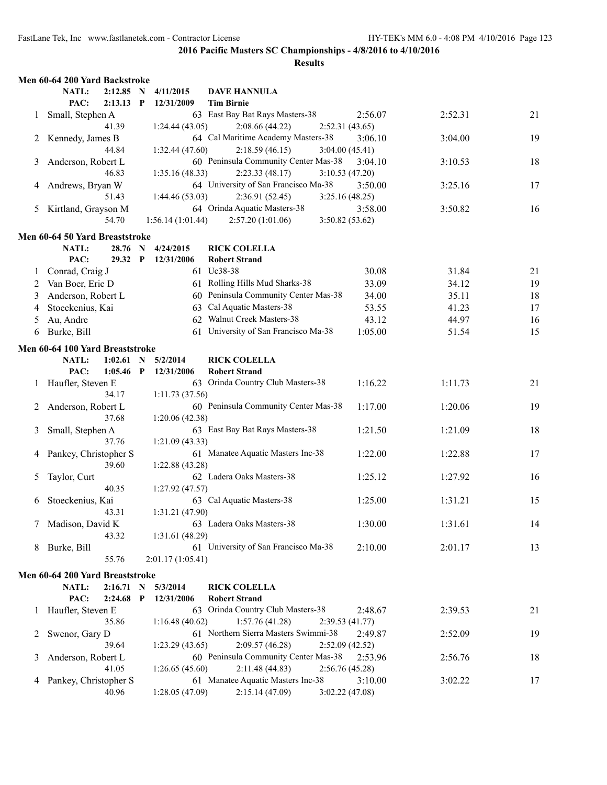|   | Men 60-64 200 Yard Backstroke   |                      |              |                         |                                                        |                           |         |    |
|---|---------------------------------|----------------------|--------------|-------------------------|--------------------------------------------------------|---------------------------|---------|----|
|   | NATL:<br>PAC:                   | 2:12.85 N<br>2:13.13 | $\mathbf{P}$ | 4/11/2015<br>12/31/2009 | <b>DAVE HANNULA</b><br><b>Tim Birnie</b>               |                           |         |    |
| 1 | Small, Stephen A                |                      |              |                         | 63 East Bay Bat Rays Masters-38                        | 2:56.07                   | 2:52.31 | 21 |
|   |                                 | 41.39                |              | 1:24.44(43.05)          | 2:08.66(44.22)                                         | 2:52.31(43.65)            |         |    |
| 2 | Kennedy, James B                |                      |              |                         | 64 Cal Maritime Academy Masters-38                     | 3:06.10                   | 3:04.00 | 19 |
|   |                                 | 44.84                |              | 1:32.44(47.60)          | 2:18.59(46.15)                                         | 3:04.00(45.41)            |         |    |
| 3 | Anderson, Robert L              |                      |              |                         | 60 Peninsula Community Center Mas-38                   | 3:04.10                   | 3:10.53 | 18 |
|   |                                 | 46.83                |              | 1:35.16(48.33)          | 2:23.33(48.17)                                         | 3:10.53(47.20)            |         |    |
| 4 | Andrews, Bryan W                |                      |              |                         | 64 University of San Francisco Ma-38                   | 3:50.00                   | 3:25.16 | 17 |
|   |                                 | 51.43                |              | 1:44.46(53.03)          | 2:36.91(52.45)                                         | 3:25.16(48.25)            |         |    |
| 5 | Kirtland, Grayson M             |                      |              |                         | 64 Orinda Aquatic Masters-38                           | 3:58.00                   | 3:50.82 | 16 |
|   |                                 | 54.70                |              | 1:56.14(1:01.44)        | 2:57.20(1:01.06)                                       | 3:50.82(53.62)            |         |    |
|   |                                 |                      |              |                         |                                                        |                           |         |    |
|   | Men 60-64 50 Yard Breaststroke  |                      |              |                         |                                                        |                           |         |    |
|   | NATL:                           | 28.76                | N            | 4/24/2015               | <b>RICK COLELLA</b>                                    |                           |         |    |
|   | PAC:                            | 29.32 P              |              | 12/31/2006              | <b>Robert Strand</b>                                   |                           |         |    |
| 1 | Conrad, Craig J                 |                      |              |                         | 61 Uc38-38                                             | 30.08                     | 31.84   | 21 |
| 2 | Van Boer, Eric D                |                      |              |                         | 61 Rolling Hills Mud Sharks-38                         | 33.09                     | 34.12   | 19 |
| 3 | Anderson, Robert L              |                      |              |                         | 60 Peninsula Community Center Mas-38                   | 34.00                     | 35.11   | 18 |
| 4 | Stoeckenius, Kai                |                      |              | 63                      | Cal Aquatic Masters-38                                 | 53.55                     | 41.23   | 17 |
| 5 | Au, Andre                       |                      |              |                         | 62 Walnut Creek Masters-38                             | 43.12                     | 44.97   | 16 |
| 6 | Burke, Bill                     |                      |              |                         | 61 University of San Francisco Ma-38                   | 1:05.00                   | 51.54   | 15 |
|   | Men 60-64 100 Yard Breaststroke |                      |              |                         |                                                        |                           |         |    |
|   | NATL:                           | 1:02.61              | N            | 5/2/2014                | <b>RICK COLELLA</b>                                    |                           |         |    |
|   | PAC:                            | 1:05.46              | P            | 12/31/2006              | <b>Robert Strand</b>                                   |                           |         |    |
|   | Haufler, Steven E               |                      |              |                         | 63 Orinda Country Club Masters-38                      | 1:16.22                   | 1:11.73 | 21 |
|   |                                 | 34.17                |              | 1:11.73(37.56)          |                                                        |                           |         |    |
| 2 | Anderson, Robert L              |                      |              |                         | 60 Peninsula Community Center Mas-38                   | 1:17.00                   | 1:20.06 | 19 |
|   |                                 | 37.68                |              | 1:20.06(42.38)          |                                                        |                           |         |    |
| 3 | Small, Stephen A                |                      |              |                         | 63 East Bay Bat Rays Masters-38                        | 1:21.50                   | 1:21.09 | 18 |
|   |                                 | 37.76                |              | 1:21.09(43.33)          |                                                        |                           |         |    |
| 4 | Pankey, Christopher S           |                      |              |                         | 61 Manatee Aquatic Masters Inc-38                      | 1:22.00                   | 1:22.88 | 17 |
|   |                                 | 39.60                |              | 1:22.88(43.28)          |                                                        |                           |         |    |
| 5 | Taylor, Curt                    |                      |              |                         | 62 Ladera Oaks Masters-38                              | 1:25.12                   | 1:27.92 | 16 |
|   |                                 | 40.35                |              | 1:27.92(47.57)          |                                                        |                           |         |    |
| 6 | Stoeckenius, Kai                |                      |              |                         | 63 Cal Aquatic Masters-38                              | 1:25.00                   | 1:31.21 | 15 |
|   |                                 | 43.31                |              | 1:31.21(47.90)          |                                                        |                           |         |    |
| 7 | Madison, David K                |                      |              |                         | 63 Ladera Oaks Masters-38                              | 1:30.00                   | 1:31.61 | 14 |
|   |                                 | 43.32                |              | 1:31.61(48.29)          |                                                        |                           |         |    |
| 8 | Burke, Bill                     |                      |              |                         | 61 University of San Francisco Ma-38                   | 2:10.00                   | 2:01.17 | 13 |
|   |                                 | 55.76                |              | 2:01.17(1:05.41)        |                                                        |                           |         |    |
|   |                                 |                      |              |                         |                                                        |                           |         |    |
|   | Men 60-64 200 Yard Breaststroke |                      |              |                         |                                                        |                           |         |    |
|   | NATL:<br>PAC:                   | 2:16.71              | $\mathbf N$  | 5/3/2014<br>12/31/2006  | <b>RICK COLELLA</b><br><b>Robert Strand</b>            |                           |         |    |
|   |                                 | 2:24.68              | $\mathbf{P}$ |                         | 63 Orinda Country Club Masters-38                      |                           |         |    |
| 1 | Haufler, Steven E               | 35.86                |              | 1:16.48(40.62)          | 1:57.76(41.28)                                         | 2:48.67                   | 2:39.53 | 21 |
|   | Swenor, Gary D                  |                      |              |                         | 61 Northern Sierra Masters Swimmi-38                   | 2:39.53(41.77)<br>2:49.87 |         |    |
| 2 |                                 | 39.64                |              |                         |                                                        |                           | 2:52.09 | 19 |
|   |                                 |                      |              | 1:23.29(43.65)          | 2:09.57(46.28)<br>60 Peninsula Community Center Mas-38 | 2:52.09(42.52)            |         |    |
| 3 | Anderson, Robert L              | 41.05                |              |                         |                                                        | 2:53.96                   | 2:56.76 | 18 |
|   |                                 |                      |              | 1:26.65(45.60)          | 2:11.48(44.83)<br>61 Manatee Aquatic Masters Inc-38    | 2:56.76(45.28)            |         |    |
| 4 | Pankey, Christopher S           | 40.96                |              |                         | 2:15.14(47.09)                                         | 3:10.00                   | 3:02.22 | 17 |
|   |                                 |                      |              | 1:28.05(47.09)          |                                                        | 3:02.22 (47.08)           |         |    |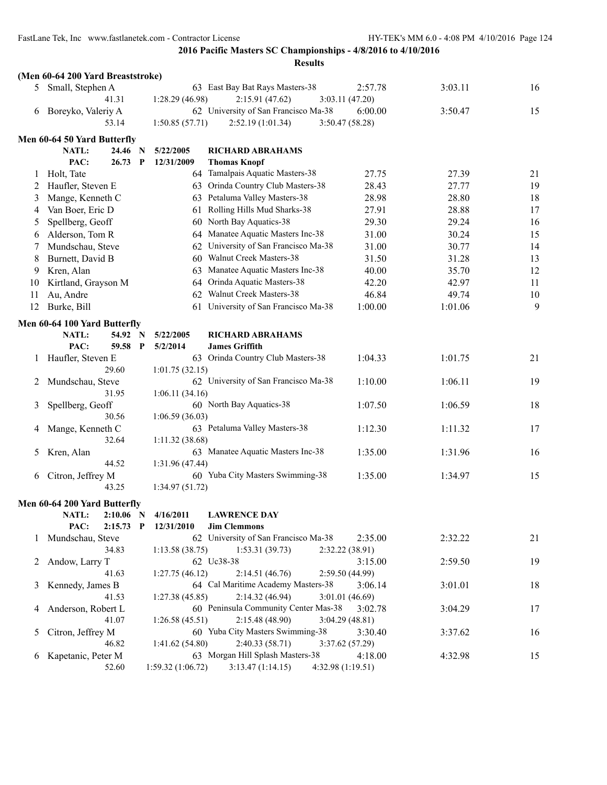|    | (Men 60-64 200 Yard Breaststroke) |                  |                                      |                  |         |    |
|----|-----------------------------------|------------------|--------------------------------------|------------------|---------|----|
|    | 5 Small, Stephen A                |                  | 63 East Bay Bat Rays Masters-38      | 2:57.78          | 3:03.11 | 16 |
|    | 41.31                             | 1:28.29 (46.98)  | 2:15.91(47.62)                       | 3:03.11(47.20)   |         |    |
| 6  | Boreyko, Valeriy A                |                  | 62 University of San Francisco Ma-38 | 6:00.00          | 3:50.47 | 15 |
|    | 53.14                             | 1:50.85(57.71)   | 2:52.19(1:01.34)                     | 3:50.47(58.28)   |         |    |
|    | Men 60-64 50 Yard Butterfly       |                  |                                      |                  |         |    |
|    | NATL:<br>24.46 N                  | 5/22/2005        | <b>RICHARD ABRAHAMS</b>              |                  |         |    |
|    | PAC:<br>$26.73$ P                 | 12/31/2009       | <b>Thomas Knopf</b>                  |                  |         |    |
| 1  | Holt, Tate                        |                  | 64 Tamalpais Aquatic Masters-38      | 27.75            | 27.39   | 21 |
| 2  | Haufler, Steven E                 |                  | 63 Orinda Country Club Masters-38    | 28.43            | 27.77   | 19 |
|    |                                   |                  | Petaluma Valley Masters-38           | 28.98            | 28.80   |    |
| 3  | Mange, Kenneth C                  | 63               | Rolling Hills Mud Sharks-38          |                  | 28.88   | 18 |
| 4  | Van Boer, Eric D                  | 61               |                                      | 27.91            |         | 17 |
| 5  | Spellberg, Geoff                  | 60               | North Bay Aquatics-38                | 29.30            | 29.24   | 16 |
| 6  | Alderson, Tom R                   | 64               | Manatee Aquatic Masters Inc-38       | 31.00            | 30.24   | 15 |
| 7  | Mundschau, Steve                  | 62               | University of San Francisco Ma-38    | 31.00            | 30.77   | 14 |
| 8  | Burnett, David B                  | 60               | Walnut Creek Masters-38              | 31.50            | 31.28   | 13 |
| 9  | Kren, Alan                        | 63               | Manatee Aquatic Masters Inc-38       | 40.00            | 35.70   | 12 |
| 10 | Kirtland, Grayson M               | 64               | Orinda Aquatic Masters-38            | 42.20            | 42.97   | 11 |
| 11 | Au, Andre                         | 62               | Walnut Creek Masters-38              | 46.84            | 49.74   | 10 |
| 12 | Burke, Bill                       | 61               | University of San Francisco Ma-38    | 1:00.00          | 1:01.06 | 9  |
|    | Men 60-64 100 Yard Butterfly      |                  |                                      |                  |         |    |
|    | NATL:<br>54.92 N                  | 5/22/2005        | <b>RICHARD ABRAHAMS</b>              |                  |         |    |
|    | PAC:<br>59.58 P                   | 5/2/2014         | <b>James Griffith</b>                |                  |         |    |
| 1  | Haufler, Steven E                 |                  | 63 Orinda Country Club Masters-38    | 1:04.33          | 1:01.75 | 21 |
|    | 29.60                             | 1:01.75(32.15)   |                                      |                  |         |    |
| 2  | Mundschau, Steve                  |                  | 62 University of San Francisco Ma-38 | 1:10.00          | 1:06.11 | 19 |
|    | 31.95                             | 1:06.11(34.16)   |                                      |                  |         |    |
| 3  | Spellberg, Geoff                  |                  | 60 North Bay Aquatics-38             | 1:07.50          | 1:06.59 | 18 |
|    | 30.56                             | 1:06.59(36.03)   |                                      |                  |         |    |
| 4  | Mange, Kenneth C                  |                  | 63 Petaluma Valley Masters-38        | 1:12.30          | 1:11.32 | 17 |
|    | 32.64                             | 1:11.32(38.68)   |                                      |                  |         |    |
| 5  | Kren, Alan                        |                  | 63 Manatee Aquatic Masters Inc-38    | 1:35.00          | 1:31.96 | 16 |
|    | 44.52                             | 1:31.96(47.44)   |                                      |                  |         |    |
| 6  | Citron, Jeffrey M                 |                  | 60 Yuba City Masters Swimming-38     | 1:35.00          | 1:34.97 | 15 |
|    | 43.25                             | 1:34.97 (51.72)  |                                      |                  |         |    |
|    | Men 60-64 200 Yard Butterfly      |                  |                                      |                  |         |    |
|    | NATL:<br>$2:10.06$ N              | 4/16/2011        | <b>LAWRENCE DAY</b>                  |                  |         |    |
|    | PAC:<br>$2:15.73$ P               | 12/31/2010       | <b>Jim Clemmons</b>                  |                  |         |    |
| 1  | Mundschau, Steve                  |                  | 62 University of San Francisco Ma-38 | 2:35.00          | 2:32.22 | 21 |
|    | 34.83                             | 1:13.58(38.75)   | 1:53.31(39.73)                       | 2:32.22(38.91)   |         |    |
| 2  | Andow, Larry T                    |                  | 62 Uc38-38                           | 3:15.00          | 2:59.50 | 19 |
|    | 41.63                             | 1:27.75(46.12)   | 2:14.51(46.76)                       | 2:59.50 (44.99)  |         |    |
| 3  | Kennedy, James B                  |                  | 64 Cal Maritime Academy Masters-38   | 3:06.14          | 3:01.01 | 18 |
|    | 41.53                             | 1:27.38(45.85)   | 2:14.32(46.94)                       | 3:01.01(46.69)   |         |    |
| 4  | Anderson, Robert L                |                  | 60 Peninsula Community Center Mas-38 | 3:02.78          | 3:04.29 | 17 |
|    | 41.07                             | 1:26.58(45.51)   | 2:15.48 (48.90)                      | 3:04.29(48.81)   |         |    |
| 5  | Citron, Jeffrey M                 |                  | 60 Yuba City Masters Swimming-38     | 3:30.40          | 3:37.62 | 16 |
|    | 46.82                             | 1:41.62(54.80)   | 2:40.33 (58.71)                      | 3:37.62(57.29)   |         |    |
| 6  | Kapetanic, Peter M                |                  | 63 Morgan Hill Splash Masters-38     | 4:18.00          | 4:32.98 | 15 |
|    | 52.60                             | 1:59.32(1:06.72) | 3:13.47(1:14.15)                     | 4:32.98(1:19.51) |         |    |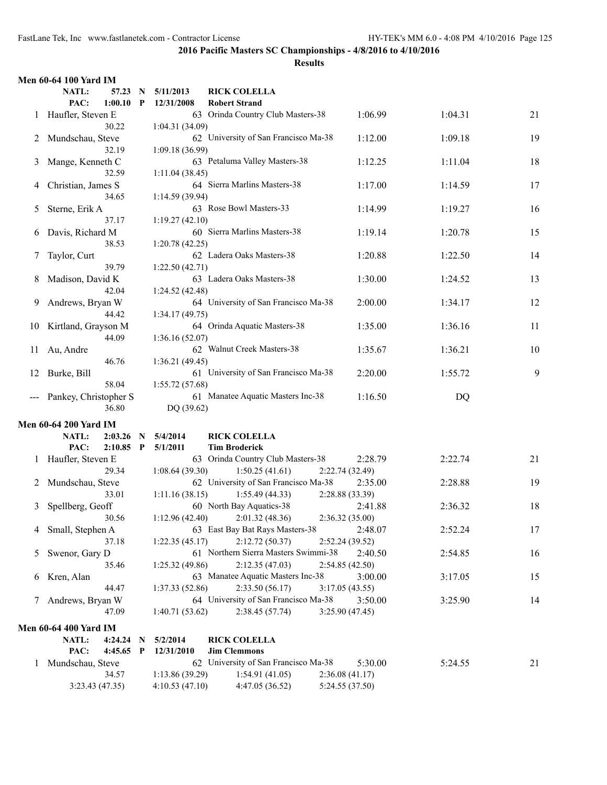|    | <b>Men 60-64 100 Yard IM</b>    |                 |                                      |                 |         |    |
|----|---------------------------------|-----------------|--------------------------------------|-----------------|---------|----|
|    | NATL:<br>57.23<br>N             | 5/11/2013       | <b>RICK COLELLA</b>                  |                 |         |    |
|    | PAC:<br>1:00.10<br>P            | 12/31/2008      | <b>Robert Strand</b>                 |                 |         |    |
| 1  | Haufler, Steven E               |                 | 63 Orinda Country Club Masters-38    | 1:06.99         | 1:04.31 | 21 |
|    | 30.22                           | 1:04.31(34.09)  |                                      |                 |         |    |
|    | 2 Mundschau, Steve              |                 | 62 University of San Francisco Ma-38 | 1:12.00         | 1:09.18 | 19 |
|    | 32.19                           | 1:09.18(36.99)  |                                      |                 |         |    |
| 3  | Mange, Kenneth C                |                 | 63 Petaluma Valley Masters-38        | 1:12.25         | 1:11.04 | 18 |
|    | 32.59                           | 1:11.04(38.45)  |                                      |                 |         |    |
|    | Christian, James S              |                 | 64 Sierra Marlins Masters-38         | 1:17.00         | 1:14.59 | 17 |
| 4  |                                 |                 |                                      |                 |         |    |
|    | 34.65                           | 1:14.59(39.94)  |                                      |                 |         |    |
| 5  | Sterne, Erik A                  |                 | 63 Rose Bowl Masters-33              | 1:14.99         | 1:19.27 | 16 |
|    | 37.17                           | 1:19.27(42.10)  |                                      |                 |         |    |
| 6  | Davis, Richard M                |                 | 60 Sierra Marlins Masters-38         | 1:19.14         | 1:20.78 | 15 |
|    | 38.53                           | 1:20.78 (42.25) |                                      |                 |         |    |
| 7  | Taylor, Curt                    |                 | 62 Ladera Oaks Masters-38            | 1:20.88         | 1:22.50 | 14 |
|    | 39.79                           | 1:22.50(42.71)  |                                      |                 |         |    |
| 8  | Madison, David K                |                 | 63 Ladera Oaks Masters-38            | 1:30.00         | 1:24.52 | 13 |
|    | 42.04                           | 1:24.52(42.48)  |                                      |                 |         |    |
| 9  | Andrews, Bryan W                |                 | 64 University of San Francisco Ma-38 | 2:00.00         | 1:34.17 | 12 |
|    | 44.42                           | 1:34.17(49.75)  |                                      |                 |         |    |
| 10 | Kirtland, Grayson M             |                 | 64 Orinda Aquatic Masters-38         | 1:35.00         | 1:36.16 | 11 |
|    | 44.09                           | 1:36.16(52.07)  |                                      |                 |         |    |
| 11 | Au, Andre                       |                 | 62 Walnut Creek Masters-38           | 1:35.67         | 1:36.21 | 10 |
|    | 46.76                           | 1:36.21(49.45)  |                                      |                 |         |    |
| 12 | Burke, Bill                     |                 | 61 University of San Francisco Ma-38 | 2:20.00         | 1:55.72 | 9  |
|    | 58.04                           | 1:55.72(57.68)  |                                      |                 |         |    |
|    |                                 |                 |                                      |                 |         |    |
|    | Pankey, Christopher S           |                 | 61 Manatee Aquatic Masters Inc-38    | 1:16.50         | DQ      |    |
|    | 36.80                           | DQ (39.62)      |                                      |                 |         |    |
|    | <b>Men 60-64 200 Yard IM</b>    |                 |                                      |                 |         |    |
|    | NATL:<br>2:03.26<br>N           | 5/4/2014        | <b>RICK COLELLA</b>                  |                 |         |    |
|    | PAC:<br>$2:10.85$ P             | 5/1/2011        | <b>Tim Broderick</b>                 |                 |         |    |
|    | 1 Haufler, Steven E             |                 | 63 Orinda Country Club Masters-38    | 2:28.79         | 2:22.74 | 21 |
|    | 29.34                           | 1:08.64(39.30)  | 1:50.25(41.61)                       | 2:22.74(32.49)  |         |    |
|    | 2 Mundschau, Steve              |                 | 62 University of San Francisco Ma-38 | 2:35.00         | 2:28.88 | 19 |
|    | 33.01                           | 1:11.16(38.15)  | 1:55.49(44.33)                       | 2:28.88 (33.39) |         |    |
| 3  | Spellberg, Geoff                |                 | 60 North Bay Aquatics-38             | 2:41.88         | 2:36.32 | 18 |
|    | 30.56                           | 1:12.96(42.40)  | 2:01.32(48.36)                       | 2:36.32(35.00)  |         |    |
| 4  | Small, Stephen A                |                 | 63 East Bay Bat Rays Masters-38      | 2:48.07         | 2:52.24 | 17 |
|    | 37.18                           | 1:22.35(45.17)  | 2:12.72(50.37)                       | 2:52.24(39.52)  |         |    |
|    |                                 |                 | 61 Northern Sierra Masters Swimmi-38 | 2:40.50         | 2:54.85 | 16 |
| 5  | Swenor, Gary D                  |                 |                                      |                 |         |    |
|    | 35.46                           | 1:25.32(49.86)  | 2:12.35(47.03)                       | 2:54.85(42.50)  |         |    |
| 6  | Kren, Alan                      |                 | 63 Manatee Aquatic Masters Inc-38    | 3:00.00         | 3:17.05 | 15 |
|    | 44.47                           | 1:37.33(52.86)  | 2:33.50(56.17)                       | 3:17.05(43.55)  |         |    |
| 7  | Andrews, Bryan W                |                 | 64 University of San Francisco Ma-38 | 3:50.00         | 3:25.90 | 14 |
|    | 47.09                           | 1:40.71(53.62)  | 2:38.45(57.74)                       | 3:25.90(47.45)  |         |    |
|    | Men 60-64 400 Yard IM           |                 |                                      |                 |         |    |
|    | NATL:<br>4:24.24<br>$\mathbf N$ | 5/2/2014        | <b>RICK COLELLA</b>                  |                 |         |    |
|    | PAC:<br>$4:45.65$ P             | 12/31/2010      | <b>Jim Clemmons</b>                  |                 |         |    |
| 1  | Mundschau, Steve                |                 | 62 University of San Francisco Ma-38 | 5:30.00         | 5:24.55 | 21 |
|    | 34.57                           | 1:13.86(39.29)  | 1:54.91(41.05)                       | 2:36.08(41.17)  |         |    |
|    | 3:23.43(47.35)                  | 4:10.53(47.10)  | 4:47.05 (36.52)                      | 5:24.55 (37.50) |         |    |
|    |                                 |                 |                                      |                 |         |    |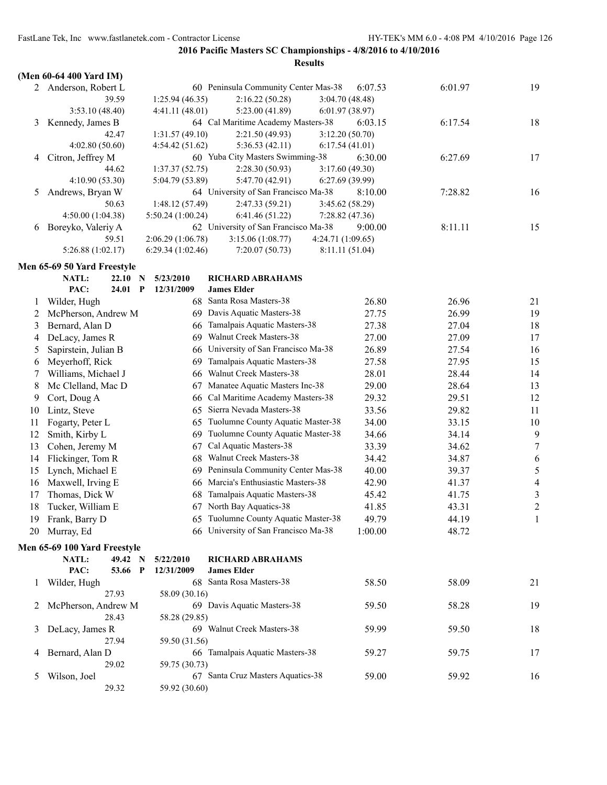**2016 Pacific Masters SC Championships - 4/8/2016 to 4/10/2016**

|              | (Men 60-64 400 Yard IM)      |                   |                                        |                 |         |                          |
|--------------|------------------------------|-------------------|----------------------------------------|-----------------|---------|--------------------------|
|              | 2 Anderson, Robert L         |                   | 60 Peninsula Community Center Mas-38   | 6:07.53         | 6:01.97 | 19                       |
|              | 39.59                        | 1:25.94(46.35)    | 2:16.22(50.28)                         | 3:04.70 (48.48) |         |                          |
|              | 3:53.10 (48.40)              | 4:41.11(48.01)    | 5:23.00 (41.89)                        | 6:01.97(38.97)  |         |                          |
| 3            | Kennedy, James B             |                   | 64 Cal Maritime Academy Masters-38     | 6:03.15         | 6:17.54 | 18                       |
|              | 42.47                        | 1:31.57(49.10)    | 2:21.50(49.93)                         | 3:12.20(50.70)  |         |                          |
|              | 4:02.80(50.60)               | 4:54.42 (51.62)   | 5:36.53(42.11)                         | 6:17.54(41.01)  |         |                          |
| 4            | Citron, Jeffrey M            |                   | 60 Yuba City Masters Swimming-38       | 6:30.00         | 6:27.69 | 17                       |
|              | 44.62                        | 1:37.37(52.75)    | 2:28.30(50.93)                         | 3:17.60 (49.30) |         |                          |
|              | 4:10.90 (53.30)              | 5:04.79 (53.89)   | 5:47.70 (42.91)                        | 6:27.69(39.99)  |         |                          |
| 5            | Andrews, Bryan W             |                   | 64 University of San Francisco Ma-38   | 8:10.00         | 7:28.82 | 16                       |
|              | 50.63                        | 1:48.12 (57.49)   | 2:47.33(59.21)                         | 3:45.62 (58.29) |         |                          |
|              | 4:50.00(1:04.38)             | 5:50.24 (1:00.24) | 6:41.46 (51.22)                        | 7:28.82(47.36)  |         |                          |
| 6            | Boreyko, Valeriy A           |                   | 62 University of San Francisco Ma-38   | 9:00.00         | 8:11.11 | 15                       |
|              | 59.51                        | 2:06.29(1:06.78)  | 3:15.06 (1:08.77)<br>4:24.71 (1:09.65) |                 |         |                          |
|              | 5:26.88 (1:02.17)            | 6:29.34(1:02.46)  | 7:20.07(50.73)                         | 8:11.11 (51.04) |         |                          |
|              | Men 65-69 50 Yard Freestyle  |                   |                                        |                 |         |                          |
|              | NATL:<br>22.10<br>N          | 5/23/2010         | <b>RICHARD ABRAHAMS</b>                |                 |         |                          |
|              | PAC:<br>24.01<br>P           | 12/31/2009        | <b>James Elder</b>                     |                 |         |                          |
| 1            | Wilder, Hugh                 | 68                | Santa Rosa Masters-38                  | 26.80           | 26.96   | 21                       |
| 2            | McPherson, Andrew M          | 69.               | Davis Aquatic Masters-38               | 27.75           | 26.99   | 19                       |
| 3            | Bernard, Alan D              | 66                | Tamalpais Aquatic Masters-38           | 27.38           | 27.04   | 18                       |
| 4            | DeLacy, James R              | 69                | Walnut Creek Masters-38                | 27.00           | 27.09   | 17                       |
| 5            | Sapirstein, Julian B         | 66                | University of San Francisco Ma-38      | 26.89           | 27.54   | 16                       |
| 6            | Meyerhoff, Rick              | 69                | Tamalpais Aquatic Masters-38           | 27.58           | 27.95   | 15                       |
| 7            | Williams, Michael J          | 66                | Walnut Creek Masters-38                | 28.01           | 28.44   | 14                       |
| 8            | Mc Clelland, Mac D           | 67                | Manatee Aquatic Masters Inc-38         | 29.00           | 28.64   | 13                       |
| 9            | Cort, Doug A                 | 66                | Cal Maritime Academy Masters-38        | 29.32           | 29.51   | 12                       |
| 10           | Lintz, Steve                 | 65                | Sierra Nevada Masters-38               | 33.56           | 29.82   | 11                       |
| 11           | Fogarty, Peter L             | 65                | Tuolumne County Aquatic Master-38      | 34.00           | 33.15   | 10                       |
| 12           | Smith, Kirby L               | 69                | Tuolumne County Aquatic Master-38      | 34.66           | 34.14   | 9                        |
| 13           | Cohen, Jeremy M              | 67                | Cal Aquatic Masters-38                 | 33.39           | 34.62   | $\tau$                   |
| 14           | Flickinger, Tom R            | 68                | Walnut Creek Masters-38                | 34.42           | 34.87   | 6                        |
| 15           | Lynch, Michael E             | 69                | Peninsula Community Center Mas-38      | 40.00           | 39.37   | $\sqrt{5}$               |
| 16           | Maxwell, Irving E            | 66                | Marcia's Enthusiastic Masters-38       | 42.90           | 41.37   | $\overline{\mathcal{A}}$ |
| 17           | Thomas, Dick W               | 68                | Tamalpais Aquatic Masters-38           | 45.42           | 41.75   | $\mathfrak{Z}$           |
| 18           | Tucker, William E            | 67                | North Bay Aquatics-38                  | 41.85           | 43.31   | $\sqrt{2}$               |
|              | 19 Frank, Barry D            |                   | 65 Tuolumne County Aquatic Master-38   | 49.79           | 44.19   | 1                        |
| 20           | Murray, Ed                   |                   | 66 University of San Francisco Ma-38   | 1:00.00         | 48.72   |                          |
|              |                              |                   |                                        |                 |         |                          |
|              | Men 65-69 100 Yard Freestyle |                   |                                        |                 |         |                          |
|              | NATL:<br>49.42 N             | 5/22/2010         | <b>RICHARD ABRAHAMS</b>                |                 |         |                          |
|              | PAC:<br>53.66 P              | 12/31/2009        | <b>James Elder</b>                     |                 |         |                          |
| $\mathbf{I}$ | Wilder, Hugh                 |                   | 68 Santa Rosa Masters-38               | 58.50           | 58.09   | 21                       |
|              | 27.93                        | 58.09 (30.16)     |                                        |                 |         |                          |
| 2            | McPherson, Andrew M          |                   | 69 Davis Aquatic Masters-38            | 59.50           | 58.28   | 19                       |
|              | 28.43                        | 58.28 (29.85)     |                                        |                 |         |                          |
| 3            | DeLacy, James R              |                   | 69 Walnut Creek Masters-38             | 59.99           | 59.50   | 18                       |
|              | 27.94                        | 59.50 (31.56)     |                                        |                 |         |                          |
| 4            | Bernard, Alan D<br>29.02     | 59.75 (30.73)     | 66 Tamalpais Aquatic Masters-38        | 59.27           | 59.75   | 17                       |
| 5            | Wilson, Joel                 |                   | 67 Santa Cruz Masters Aquatics-38      | 59.00           | 59.92   | 16                       |
|              | 29.32                        | 59.92 (30.60)     |                                        |                 |         |                          |
|              |                              |                   |                                        |                 |         |                          |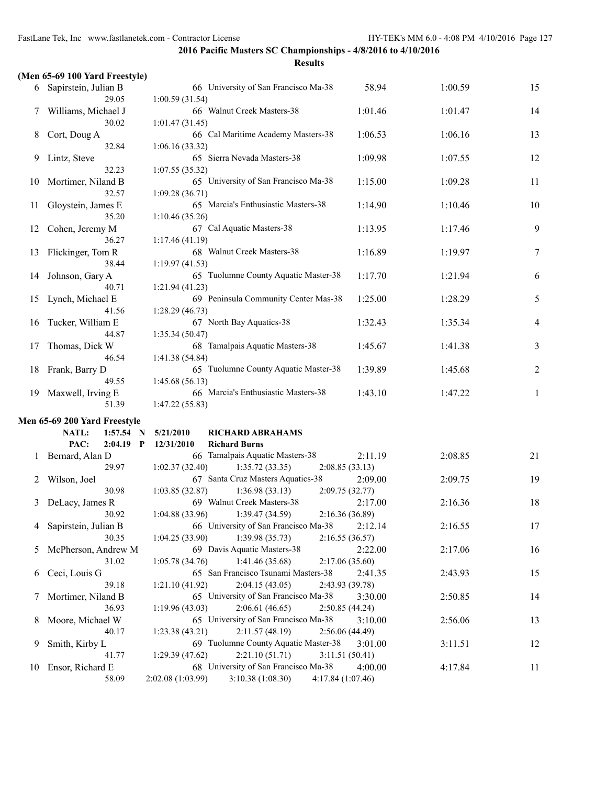|               | (Men 65-69 100 Yard Freestyle)  |                                                                                                    |         |         |                |
|---------------|---------------------------------|----------------------------------------------------------------------------------------------------|---------|---------|----------------|
|               | 6 Sapirstein, Julian B<br>29.05 | 66 University of San Francisco Ma-38<br>1:00.59(31.54)                                             | 58.94   | 1:00.59 | 15             |
| 7             | Williams, Michael J<br>30.02    | 66 Walnut Creek Masters-38<br>1:01.47(31.45)                                                       | 1:01.46 | 1:01.47 | 14             |
| 8             | Cort, Doug A<br>32.84           | 66 Cal Maritime Academy Masters-38<br>1:06.16(33.32)                                               | 1:06.53 | 1:06.16 | 13             |
| 9             | Lintz, Steve<br>32.23           | 65 Sierra Nevada Masters-38<br>1:07.55(35.32)                                                      | 1:09.98 | 1:07.55 | 12             |
| 10            | Mortimer, Niland B<br>32.57     | 65 University of San Francisco Ma-38<br>1:09.28(36.71)                                             | 1:15.00 | 1:09.28 | 11             |
| 11            | Gloystein, James E<br>35.20     | 65 Marcia's Enthusiastic Masters-38<br>1:10.46(35.26)                                              | 1:14.90 | 1:10.46 | 10             |
| 12            | Cohen, Jeremy M<br>36.27        | 67 Cal Aquatic Masters-38<br>1:17.46(41.19)                                                        | 1:13.95 | 1:17.46 | 9              |
| 13            | Flickinger, Tom R<br>38.44      | 68 Walnut Creek Masters-38<br>1:19.97(41.53)                                                       | 1:16.89 | 1:19.97 | 7              |
| 14            | Johnson, Gary A<br>40.71        | 65 Tuolumne County Aquatic Master-38<br>1:21.94(41.23)                                             | 1:17.70 | 1:21.94 | 6              |
| 15            | Lynch, Michael E<br>41.56       | 69 Peninsula Community Center Mas-38<br>1:28.29(46.73)                                             | 1:25.00 | 1:28.29 | 5              |
| 16            | Tucker, William E<br>44.87      | 67 North Bay Aquatics-38<br>1:35.34 (50.47)                                                        | 1:32.43 | 1:35.34 | $\overline{4}$ |
| 17            | Thomas, Dick W<br>46.54         | 68 Tamalpais Aquatic Masters-38<br>1:41.38 (54.84)                                                 | 1:45.67 | 1:41.38 | 3              |
| 18            | Frank, Barry D<br>49.55         | 65 Tuolumne County Aquatic Master-38<br>1:45.68(56.13)                                             | 1:39.89 | 1:45.68 | $\overline{2}$ |
| 19            | Maxwell, Irving E<br>51.39      | 66 Marcia's Enthusiastic Masters-38<br>1:47.22(55.83)                                              | 1:43.10 | 1:47.22 | 1              |
|               | Men 65-69 200 Yard Freestyle    |                                                                                                    |         |         |                |
|               | NATL:<br>1:57.54<br>N           | 5/21/2010<br><b>RICHARD ABRAHAMS</b>                                                               |         |         |                |
|               | PAC:<br>$2:04.19$ P             | 12/31/2010<br><b>Richard Burns</b>                                                                 |         |         |                |
|               | Bernard, Alan D<br>29.97        | 66 Tamalpais Aquatic Masters-38<br>1:02.37(32.40)<br>1:35.72(33.35)<br>2:08.85(33.13)              | 2:11.19 | 2:08.85 | 21             |
| 2             | Wilson, Joel<br>30.98           | 67 Santa Cruz Masters Aquatics-38<br>1:03.85(32.87)<br>1:36.98(33.13)<br>2:09.75(32.77)            | 2:09.00 | 2:09.75 | 19             |
| 3             | DeLacy, James R<br>30.92        | 69 Walnut Creek Masters-38<br>$1:04.88(33.96)$ $1:39.47(34.59)$<br>2:16.36 (36.89)                 | 2:17.00 | 2:16.36 | 18             |
| 4             | Sapirstein, Julian B<br>30.35   | 66 University of San Francisco Ma-38<br>1:04.25(33.90)<br>1:39.98(35.73)<br>2:16.55(36.57)         | 2:12.14 | 2:16.55 | 17             |
| $\mathcal{L}$ | McPherson, Andrew M<br>31.02    | 69 Davis Aquatic Masters-38<br>1:05.78(34.76)<br>1:41.46 (35.68)<br>2:17.06(35.60)                 | 2:22.00 | 2:17.06 | 16             |
| 6             | Ceci, Louis G<br>39.18          | 65 San Francisco Tsunami Masters-38<br>2:04.15(43.05)<br>2:43.93 (39.78)<br>1:21.10(41.92)         | 2:41.35 | 2:43.93 | 15             |
| 7             | Mortimer, Niland B<br>36.93     | 65 University of San Francisco Ma-38<br>2:06.61(46.65)<br>2:50.85(44.24)<br>1:19.96(43.03)         | 3:30.00 | 2:50.85 | 14             |
| 8             | Moore, Michael W<br>40.17       | 65 University of San Francisco Ma-38<br>2:11.57(48.19)<br>2:56.06(44.49)<br>1:23.38(43.21)         | 3:10.00 | 2:56.06 | 13             |
| 9             | Smith, Kirby L<br>41.77         | 69 Tuolumne County Aquatic Master-38<br>2:21.10(51.71)<br>3:11.51(50.41)<br>1:29.39(47.62)         | 3:01.00 | 3:11.51 | 12             |
| 10            | Ensor, Richard E<br>58.09       | 68 University of San Francisco Ma-38<br>3:10.38(1:08.30)<br>2:02.08 (1:03.99)<br>4:17.84 (1:07.46) | 4:00.00 | 4:17.84 | 11             |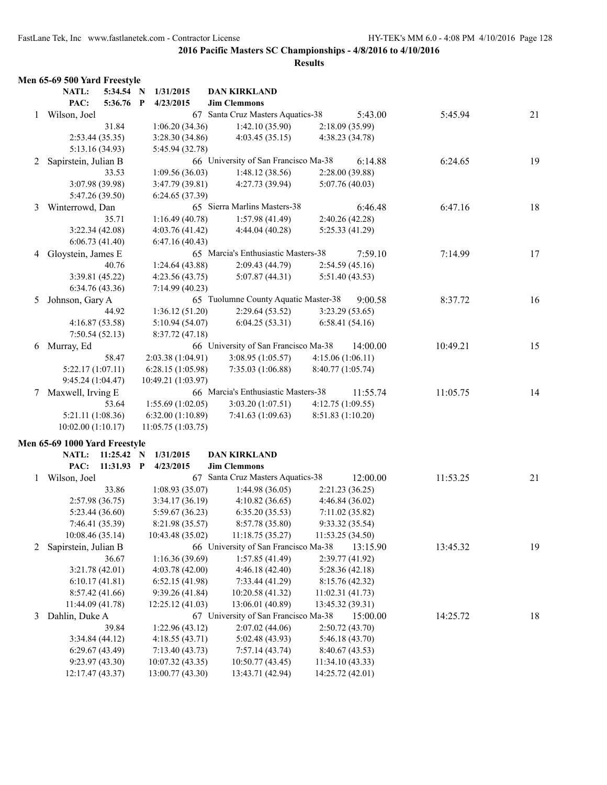|   | Men 65-69 500 Yard Freestyle        |              |                                     |                                                          |                                      |          |          |    |
|---|-------------------------------------|--------------|-------------------------------------|----------------------------------------------------------|--------------------------------------|----------|----------|----|
|   | NATL:                               | 5:34.54 N    | 1/31/2015                           | <b>DAN KIRKLAND</b>                                      |                                      |          |          |    |
|   | PAC:                                | 5:36.76 P    | 4/23/2015                           | <b>Jim Clemmons</b>                                      |                                      |          |          |    |
|   | 1 Wilson, Joel                      |              |                                     | 67 Santa Cruz Masters Aquatics-38                        |                                      | 5:43.00  | 5:45.94  | 21 |
|   |                                     | 31.84        | 1:06.20(34.36)                      | 1:42.10(35.90)                                           | 2:18.09(35.99)                       |          |          |    |
|   | 2:53.44 (35.35)                     |              | 3:28.30 (34.86)                     | 4:03.45(35.15)                                           | 4:38.23 (34.78)                      |          |          |    |
|   | 5:13.16 (34.93)                     |              | 5:45.94 (32.78)                     |                                                          |                                      |          |          |    |
| 2 | Sapirstein, Julian B                |              |                                     | 66 University of San Francisco Ma-38                     |                                      | 6:14.88  | 6:24.65  | 19 |
|   |                                     | 33.53        | 1:09.56(36.03)                      | 1:48.12(38.56)                                           | 2:28.00(39.88)                       |          |          |    |
|   | 3:07.98 (39.98)                     |              | 3:47.79(39.81)                      | 4:27.73 (39.94)                                          | 5:07.76(40.03)                       |          |          |    |
|   | 5:47.26 (39.50)                     |              | 6:24.65(37.39)                      |                                                          |                                      |          |          |    |
| 3 | Winterrowd, Dan                     |              |                                     | 65 Sierra Marlins Masters-38                             |                                      | 6:46.48  | 6:47.16  | 18 |
|   |                                     | 35.71        | 1:16.49(40.78)                      | 1:57.98(41.49)                                           | 2:40.26 (42.28)                      |          |          |    |
|   | 3:22.34(42.08)                      |              | 4:03.76(41.42)                      | 4:44.04 (40.28)                                          | 5:25.33 (41.29)                      |          |          |    |
|   | 6:06.73(41.40)                      |              | 6:47.16(40.43)                      |                                                          |                                      |          |          |    |
| 4 | Gloystein, James E                  |              |                                     | 65 Marcia's Enthusiastic Masters-38                      |                                      | 7:59.10  | 7:14.99  | 17 |
|   |                                     | 40.76        | 1:24.64(43.88)                      | 2:09.43(44.79)                                           | 2:54.59(45.16)                       |          |          |    |
|   | 3:39.81(45.22)                      |              | 4:23.56(43.75)                      | 5:07.87(44.31)                                           | 5:51.40(43.53)                       |          |          |    |
|   | 6:34.76(43.36)                      |              | 7:14.99(40.23)                      |                                                          |                                      |          |          |    |
| 5 | Johnson, Gary A                     |              |                                     | 65 Tuolumne County Aquatic Master-38                     |                                      | 9:00.58  | 8:37.72  | 16 |
|   |                                     | 44.92        | 1:36.12(51.20)                      | 2:29.64(53.52)                                           | 3:23.29(53.65)                       |          |          |    |
|   | 4:16.87(53.58)                      |              | 5:10.94(54.07)                      | 6:04.25(53.31)                                           | 6:58.41(54.16)                       |          |          |    |
|   | 7:50.54(52.13)                      |              | 8:37.72(47.18)                      |                                                          |                                      |          |          |    |
| 6 | Murray, Ed                          |              |                                     | 66 University of San Francisco Ma-38                     |                                      | 14:00.00 | 10:49.21 | 15 |
|   |                                     | 58.47        | 2:03.38(1:04.91)                    | 3:08.95 (1:05.57)                                        | 4:15.06(1:06.11)                     |          |          |    |
|   | 5:22.17(1:07.11)                    |              | 6:28.15(1:05.98)                    | 7:35.03 (1:06.88)                                        | 8:40.77 (1:05.74)                    |          |          |    |
|   | 9:45.24 (1:04.47)                   |              | 10:49.21 (1:03.97)                  |                                                          |                                      |          |          |    |
| 7 | Maxwell, Irving E                   |              |                                     | 66 Marcia's Enthusiastic Masters-38                      |                                      | 11:55.74 | 11:05.75 | 14 |
|   |                                     | 53.64        | 1:55.69(1:02.05)                    | 3:03.20(1:07.51)                                         | 4:12.75(1:09.55)                     |          |          |    |
|   | 5:21.11 (1:08.36)                   |              | 6:32.00(1:10.89)                    | 7:41.63(1:09.63)                                         | 8:51.83 (1:10.20)                    |          |          |    |
|   | 10:02.00(1:10.17)                   |              | 11:05.75(1:03.75)                   |                                                          |                                      |          |          |    |
|   |                                     |              |                                     |                                                          |                                      |          |          |    |
|   | Men 65-69 1000 Yard Freestyle       |              |                                     |                                                          |                                      |          |          |    |
|   | NATL:                               | $11:25.42$ N | 1/31/2015                           | <b>DAN KIRKLAND</b>                                      |                                      |          |          |    |
|   | PAC:                                | 11:31.93 P   | 4/23/2015                           | <b>Jim Clemmons</b><br>67 Santa Cruz Masters Aquatics-38 |                                      | 12:00.00 | 11:53.25 | 21 |
|   | 1 Wilson, Joel                      | 33.86        |                                     |                                                          |                                      |          |          |    |
|   |                                     |              | 1:08.93(35.07)                      | 1:44.98(36.05)                                           | 2:21.23(36.25)                       |          |          |    |
|   | 2:57.98(36.75)                      |              | 3:34.17(36.19)                      | 4:10.82(36.65)                                           | 4:46.84(36.02)                       |          |          |    |
|   | 5:23.44 (36.60)                     |              | 5:59.67 (36.23)                     | 6:35.20(35.53)                                           | 7:11.02(35.82)                       |          |          |    |
|   | 7:46.41 (35.39)<br>10:08.46 (35.14) |              | 8:21.98 (35.57)                     | 8:57.78 (35.80)                                          | 9:33.32 (35.54)<br>11:53.25 (34.50)  |          |          |    |
|   |                                     |              | 10:43.48 (35.02)                    | 11:18.75 (35.27)<br>66 University of San Francisco Ma-38 |                                      |          |          |    |
| 2 | Sapirstein, Julian B                | 36.67        |                                     |                                                          |                                      | 13:15.90 | 13:45.32 | 19 |
|   |                                     |              | 1:16.36(39.69)                      | 1:57.85 (41.49)                                          | 2:39.77 (41.92)<br>5:28.36(42.18)    |          |          |    |
|   | 3:21.78(42.01)                      |              | 4:03.78(42.00)                      | 4:46.18 (42.40)                                          |                                      |          |          |    |
|   | 6:10.17(41.81)                      |              | 6:52.15(41.98)                      | 7:33.44 (41.29)                                          | 8:15.76 (42.32)                      |          |          |    |
|   | 8:57.42(41.66)<br>11:44.09 (41.78)  |              | 9:39.26(41.84)                      | 10:20.58 (41.32)<br>13:06.01 (40.89)                     | 11:02.31 (41.73)                     |          |          |    |
|   |                                     |              | 12:25.12(41.03)                     |                                                          | 13:45.32 (39.31)                     |          |          |    |
| 3 | Dahlin, Duke A                      |              |                                     | 67 University of San Francisco Ma-38                     |                                      | 15:00.00 | 14:25.72 | 18 |
|   |                                     | 39.84        | 1:22.96(43.12)                      | 2:07.02(44.06)                                           | 2:50.72(43.70)                       |          |          |    |
|   | 3:34.84(44.12)                      |              | 4:18.55(43.71)                      | 5:02.48 (43.93)                                          | 5:46.18(43.70)                       |          |          |    |
|   | 6:29.67(43.49)                      |              | 7:13.40(43.73)                      | 7:57.14(43.74)                                           | 8:40.67 (43.53)                      |          |          |    |
|   | 9:23.97(43.30)<br>12:17.47 (43.37)  |              | 10:07.32(43.35)<br>13:00.77 (43.30) | 10:50.77 (43.45)<br>13:43.71 (42.94)                     | 11:34.10 (43.33)<br>14:25.72 (42.01) |          |          |    |
|   |                                     |              |                                     |                                                          |                                      |          |          |    |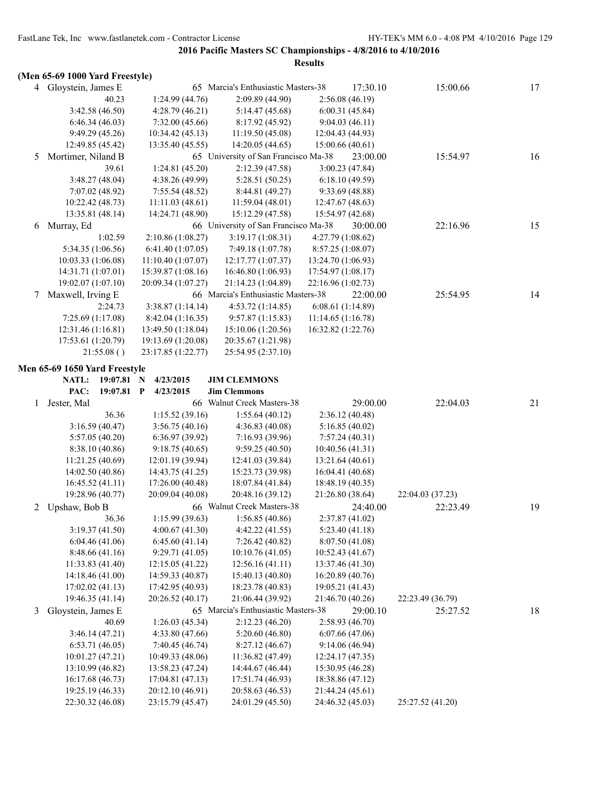|   | (Men 65-69 1000 Yard Freestyle)      |                                      |                                      |                                      |                  |    |
|---|--------------------------------------|--------------------------------------|--------------------------------------|--------------------------------------|------------------|----|
|   | 4 Gloystein, James E                 |                                      | 65 Marcia's Enthusiastic Masters-38  | 17:30.10                             | 15:00.66         | 17 |
|   | 40.23                                | 1:24.99(44.76)                       | 2:09.89 (44.90)                      | 2:56.08(46.19)                       |                  |    |
|   | 3:42.58 (46.50)                      | 4:28.79 (46.21)                      | 5:14.47 (45.68)                      | 6:00.31(45.84)                       |                  |    |
|   | 6:46.34(46.03)                       | 7:32.00(45.66)                       | 8:17.92 (45.92)                      | 9:04.03(46.11)                       |                  |    |
|   | 9:49.29(45.26)                       | 10:34.42 (45.13)                     | 11:19.50(45.08)                      | 12:04.43 (44.93)                     |                  |    |
|   | 12:49.85 (45.42)                     | 13:35.40 (45.55)                     | 14:20.05 (44.65)                     | 15:00.66(40.61)                      |                  |    |
| 5 | Mortimer, Niland B                   |                                      | 65 University of San Francisco Ma-38 | 23:00.00                             | 15:54.97         | 16 |
|   | 39.61                                | 1:24.81(45.20)                       | 2:12.39(47.58)                       | 3:00.23(47.84)                       |                  |    |
|   | 3:48.27(48.04)                       | 4:38.26 (49.99)                      | 5:28.51 (50.25)                      | 6:18.10(49.59)                       |                  |    |
|   | 7:07.02 (48.92)                      | 7:55.54(48.52)                       | 8:44.81 (49.27)                      | 9:33.69 (48.88)                      |                  |    |
|   | 10:22.42 (48.73)                     | 11:11.03(48.61)                      | 11:59.04(48.01)                      | 12:47.67 (48.63)                     |                  |    |
|   | 13:35.81 (48.14)                     | 14:24.71 (48.90)                     | 15:12.29 (47.58)                     | 15:54.97 (42.68)                     |                  |    |
| 6 | Murray, Ed                           |                                      | 66 University of San Francisco Ma-38 | 30:00.00                             | 22:16.96         | 15 |
|   | 1:02.59                              | 2:10.86(1:08.27)                     | 3:19.17(1:08.31)                     | 4:27.79 (1:08.62)                    |                  |    |
|   | 5:34.35 (1:06.56)                    | 6:41.40(1:07.05)                     | 7:49.18 (1:07.78)                    | 8:57.25 (1:08.07)                    |                  |    |
|   | 10:03.33 (1:06.08)                   | 11:10.40 (1:07.07)                   | 12:17.77 (1:07.37)                   | 13:24.70 (1:06.93)                   |                  |    |
|   | 14:31.71 (1:07.01)                   | 15:39.87 (1:08.16)                   | 16:46.80 (1:06.93)                   | 17:54.97(1:08.17)                    |                  |    |
|   | 19:02.07 (1:07.10)                   | 20:09.34 (1:07.27)                   | 21:14.23 (1:04.89)                   | 22:16.96 (1:02.73)                   |                  |    |
| 7 | Maxwell, Irving E                    |                                      | 66 Marcia's Enthusiastic Masters-38  | 22:00.00                             | 25:54.95         | 14 |
|   | 2:24.73                              | 3:38.87(1:14.14)                     | 4:53.72(1:14.85)                     | 6:08.61(1:14.89)                     |                  |    |
|   | 7:25.69 (1:17.08)                    | 8:42.04(1:16.35)                     | 9:57.87(1:15.83)                     | 11:14.65(1:16.78)                    |                  |    |
|   | 12:31.46 (1:16.81)                   | 13:49.50 (1:18.04)                   | 15:10.06 (1:20.56)                   | 16:32.82 (1:22.76)                   |                  |    |
|   | 17:53.61 (1:20.79)                   | 19:13.69 (1:20.08)                   | 20:35.67 (1:21.98)                   |                                      |                  |    |
|   | 21:55.08()                           | 23:17.85 (1:22.77)                   | 25:54.95 (2:37.10)                   |                                      |                  |    |
|   |                                      |                                      |                                      |                                      |                  |    |
|   | Men 65-69 1650 Yard Freestyle        |                                      |                                      |                                      |                  |    |
|   | NATL:<br>$19:07.81$ N                | 4/23/2015                            | <b>JIM CLEMMONS</b>                  |                                      |                  |    |
|   |                                      |                                      |                                      |                                      |                  |    |
|   | 19:07.81<br>PAC:                     | $\mathbf{P}$<br>4/23/2015            | <b>Jim Clemmons</b>                  |                                      |                  |    |
| 1 | Jester, Mal                          |                                      | 66 Walnut Creek Masters-38           | 29:00.00                             | 22:04.03         | 21 |
|   | 36.36                                | 1:15.52(39.16)                       | 1:55.64(40.12)                       | 2:36.12(40.48)                       |                  |    |
|   | 3:16.59(40.47)                       | 3:56.75(40.16)                       | 4:36.83(40.08)                       | 5:16.85(40.02)                       |                  |    |
|   | 5:57.05(40.20)                       | 6:36.97 (39.92)                      | 7:16.93 (39.96)                      | 7:57.24(40.31)                       |                  |    |
|   | 8:38.10 (40.86)                      | 9:18.75(40.65)                       | 9:59.25(40.50)                       | 10:40.56(41.31)                      |                  |    |
|   | 11:21.25(40.69)                      | 12:01.19 (39.94)                     | 12:41.03 (39.84)                     | 13:21.64 (40.61)                     |                  |    |
|   | 14:02.50 (40.86)                     | 14:43.75 (41.25)                     | 15:23.73 (39.98)                     | 16:04.41 (40.68)                     |                  |    |
|   | 16:45.52(41.11)                      | 17:26.00 (40.48)                     | 18:07.84 (41.84)                     | 18:48.19 (40.35)                     |                  |    |
|   | 19:28.96 (40.77)                     | 20:09.04 (40.08)                     | 20:48.16 (39.12)                     | 21:26.80 (38.64)                     | 22:04.03 (37.23) |    |
|   | 2 Upshaw, Bob B                      |                                      | 66 Walnut Creek Masters-38           | 24:40.00                             | 22:23.49         | 19 |
|   | 36.36                                | 1:15.99(39.63)                       | 1:56.85(40.86)                       | 2:37.87 (41.02)                      |                  |    |
|   | 3:19.37(41.50)                       | 4:00.67(41.30)                       | 4:42.22 (41.55)                      | 5:23.40(41.18)                       |                  |    |
|   | 6:04.46(41.06)                       | 6:45.60(41.14)                       | 7:26.42 (40.82)                      | 8:07.50 (41.08)                      |                  |    |
|   | 8:48.66(41.16)                       | 9:29.71(41.05)                       | 10:10.76 (41.05)                     | 10:52.43 (41.67)                     |                  |    |
|   | 11:33.83(41.40)                      | 12:15.05(41.22)                      | 12:56.16(41.11)                      | 13:37.46 (41.30)                     |                  |    |
|   | 14:18.46 (41.00)                     | 14:59.33 (40.87)                     | 15:40.13 (40.80)                     | 16:20.89 (40.76)                     |                  |    |
|   | 17:02.02 (41.13)                     | 17:42.95 (40.93)                     | 18:23.78 (40.83)                     | 19:05.21 (41.43)                     |                  |    |
|   | 19:46.35 (41.14)                     | 20:26.52 (40.17)                     | 21:06.44 (39.92)                     | 21:46.70 (40.26)                     | 22:23.49 (36.79) |    |
| 3 | Gloystein, James E                   |                                      | 65 Marcia's Enthusiastic Masters-38  | 29:00.10                             | 25:27.52         | 18 |
|   | 40.69                                | 1:26.03(45.34)                       | 2:12.23(46.20)                       | 2:58.93(46.70)                       |                  |    |
|   | 3:46.14(47.21)                       | 4:33.80 (47.66)                      | 5:20.60(46.80)                       | 6:07.66(47.06)                       |                  |    |
|   | 6:53.71(46.05)                       | 7:40.45 (46.74)                      | 8:27.12 (46.67)                      | 9:14.06(46.94)                       |                  |    |
|   | 10:01.27(47.21)                      | 10:49.33 (48.06)                     | 11:36.82 (47.49)                     | 12:24.17 (47.35)                     |                  |    |
|   | 13:10.99 (46.82)                     | 13:58.23 (47.24)                     | 14:44.67 (46.44)                     | 15:30.95 (46.28)                     |                  |    |
|   | 16:17.68 (46.73)                     | 17:04.81 (47.13)                     | 17:51.74 (46.93)                     | 18:38.86 (47.12)                     |                  |    |
|   | 19:25.19 (46.33)<br>22:30.32 (46.08) | 20:12.10 (46.91)<br>23:15.79 (45.47) | 20:58.63 (46.53)<br>24:01.29 (45.50) | 21:44.24 (45.61)<br>24:46.32 (45.03) | 25:27.52 (41.20) |    |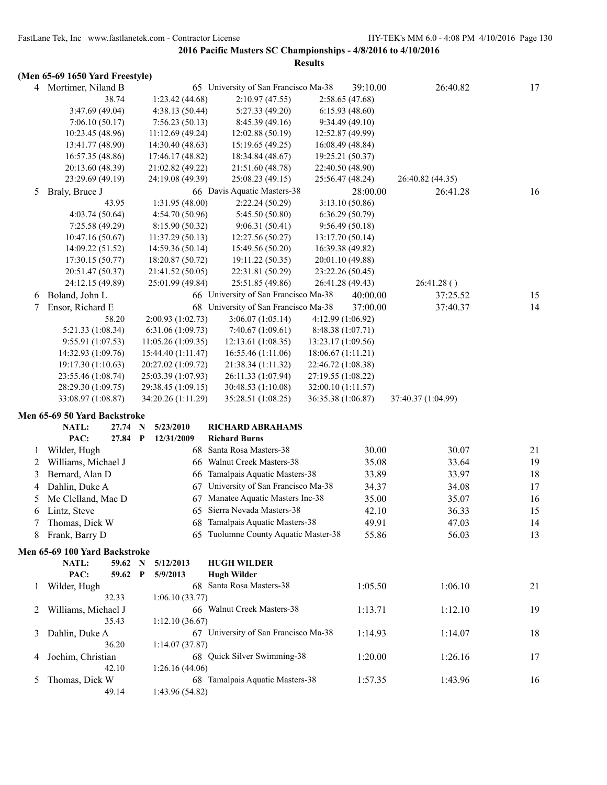|   |                                 |                    |                                      | <b>Results</b>     |                   |                    |    |
|---|---------------------------------|--------------------|--------------------------------------|--------------------|-------------------|--------------------|----|
|   | (Men 65-69 1650 Yard Freestyle) |                    |                                      |                    |                   |                    |    |
|   | 4 Mortimer, Niland B            |                    | 65 University of San Francisco Ma-38 |                    | 39:10.00          | 26:40.82           | 17 |
|   | 38.74                           | 1:23.42(44.68)     | 2:10.97(47.55)                       |                    | 2:58.65(47.68)    |                    |    |
|   | 3:47.69 (49.04)                 | 4:38.13(50.44)     | 5:27.33 (49.20)                      |                    | 6:15.93(48.60)    |                    |    |
|   | 7:06.10(50.17)                  | 7:56.23(50.13)     | 8:45.39 (49.16)                      |                    | 9:34.49(49.10)    |                    |    |
|   | 10:23.45 (48.96)                | 11:12.69 (49.24)   | 12:02.88 (50.19)                     |                    | 12:52.87 (49.99)  |                    |    |
|   | 13:41.77 (48.90)                | 14:30.40 (48.63)   | 15:19.65(49.25)                      |                    | 16:08.49 (48.84)  |                    |    |
|   | 16:57.35 (48.86)                | 17:46.17 (48.82)   | 18:34.84 (48.67)                     |                    | 19:25.21 (50.37)  |                    |    |
|   | 20:13.60 (48.39)                | 21:02.82 (49.22)   | 21:51.60 (48.78)                     |                    | 22:40.50 (48.90)  |                    |    |
|   | 23:29.69 (49.19)                | 24:19.08 (49.39)   | 25:08.23 (49.15)                     |                    | 25:56.47 (48.24)  | 26:40.82 (44.35)   |    |
| 5 | Braly, Bruce J                  |                    | 66 Davis Aquatic Masters-38          |                    | 28:00.00          | 26:41.28           | 16 |
|   | 43.95                           | 1:31.95(48.00)     | 2:22.24(50.29)                       |                    | 3:13.10(50.86)    |                    |    |
|   | 4:03.74(50.64)                  | 4:54.70(50.96)     | 5:45.50 (50.80)                      |                    | 6:36.29(50.79)    |                    |    |
|   | 7:25.58 (49.29)                 | 8:15.90 (50.32)    | 9:06.31(50.41)                       |                    | 9:56.49(50.18)    |                    |    |
|   | 10:47.16(50.67)                 | 11:37.29(50.13)    | 12:27.56 (50.27)                     |                    | 13:17.70 (50.14)  |                    |    |
|   | 14:09.22 (51.52)                | 14:59.36 (50.14)   | 15:49.56 (50.20)                     |                    | 16:39.38 (49.82)  |                    |    |
|   | 17:30.15 (50.77)                | 18:20.87 (50.72)   | 19:11.22 (50.35)                     |                    | 20:01.10 (49.88)  |                    |    |
|   | 20:51.47 (50.37)                | 21:41.52 (50.05)   | 22:31.81 (50.29)                     |                    | 23:22.26 (50.45)  |                    |    |
|   | 24:12.15 (49.89)                | 25:01.99 (49.84)   | 25:51.85 (49.86)                     |                    | 26:41.28 (49.43)  | 26:41.28()         |    |
| 6 | Boland, John L                  |                    | 66 University of San Francisco Ma-38 |                    | 40:00.00          | 37:25.52           | 15 |
| 7 | Ensor, Richard E                | 68                 | University of San Francisco Ma-38    |                    | 37:00.00          | 37:40.37           | 14 |
|   | 58.20                           | 2:00.93 (1:02.73)  | 3:06.07(1:05.14)                     |                    | 4:12.99 (1:06.92) |                    |    |
|   | 5:21.33 (1:08.34)               | 6:31.06(1:09.73)   | 7:40.67(1:09.61)                     |                    | 8:48.38 (1:07.71) |                    |    |
|   | 9:55.91 (1:07.53)               | 11:05.26(1:09.35)  | 12:13.61(1:08.35)                    | 13:23.17 (1:09.56) |                   |                    |    |
|   | 14:32.93 (1:09.76)              | 15:44.40 (1:11.47) | 16:55.46(1:11.06)                    | 18:06.67 (1:11.21) |                   |                    |    |
|   | 19:17.30 (1:10.63)              | 20:27.02 (1:09.72) | 21:38.34 (1:11.32)                   | 22:46.72 (1:08.38) |                   |                    |    |
|   | 23:55.46 (1:08.74)              | 25:03.39 (1:07.93) | 26:11.33 (1:07.94)                   | 27:19.55 (1:08.22) |                   |                    |    |
|   | 28:29.30 (1:09.75)              | 29:38.45 (1:09.15) | 30:48.53 (1:10.08)                   | 32:00.10 (1:11.57) |                   |                    |    |
|   | 33:08.97 (1:08.87)              | 34:20.26 (1:11.29) | 35:28.51 (1:08.25)                   | 36:35.38 (1:06.87) |                   | 37:40.37 (1:04.99) |    |
|   | Men 65-69 50 Yard Backstroke    |                    |                                      |                    |                   |                    |    |
|   | NATL:<br>27.74 N                | 5/23/2010          | <b>RICHARD ABRAHAMS</b>              |                    |                   |                    |    |
|   | PAC:<br>27.84 P                 | 12/31/2009         | <b>Richard Burns</b>                 |                    |                   |                    |    |
| 1 | Wilder, Hugh                    |                    | 68 Santa Rosa Masters-38             |                    | 30.00             | 30.07              | 21 |
| 2 | Williams, Michael J             |                    | 66 Walnut Creek Masters-38           |                    | 35.08             | 33.64              | 19 |
| 3 | Bernard, Alan D                 | 66                 | Tamalpais Aquatic Masters-38         |                    | 33.89             | 33.97              | 18 |
| 4 | Dahlin, Duke A                  |                    | 67 University of San Francisco Ma-38 |                    | 34.37             | 34.08              | 17 |
|   | Mc Clelland, Mac D              |                    | 67 Manatee Aquatic Masters Inc-38    |                    | 35.00             | 35.07              | 16 |
| 6 | Lintz, Steve                    |                    | 65 Sierra Nevada Masters-38          |                    | 42.10             | 36.33              | 15 |
| 7 | Thomas, Dick W                  |                    | 68 Tamalpais Aquatic Masters-38      |                    | 49.91             | 47.03              | 14 |
| 8 | Frank, Barry D                  |                    | 65 Tuolumne County Aquatic Master-38 |                    | 55.86             | 56.03              | 13 |
|   | Men 65-69 100 Yard Backstroke   |                    |                                      |                    |                   |                    |    |
|   | <b>NATL:</b><br>59.62 N         | 5/12/2013          | <b>HUGH WILDER</b>                   |                    |                   |                    |    |
|   | PAC:<br>59.62 P                 | 5/9/2013           | <b>Hugh Wilder</b>                   |                    |                   |                    |    |
| 1 | Wilder, Hugh                    |                    | 68 Santa Rosa Masters-38             |                    | 1:05.50           | 1:06.10            | 21 |
|   | 32.33                           | 1:06.10(33.77)     |                                      |                    |                   |                    |    |
| 2 | Williams, Michael J             |                    | 66 Walnut Creek Masters-38           |                    | 1:13.71           | 1:12.10            | 19 |
|   | 35.43                           | 1:12.10(36.67)     |                                      |                    |                   |                    |    |
| 3 | Dahlin, Duke A                  |                    | 67 University of San Francisco Ma-38 |                    | 1:14.93           | 1:14.07            | 18 |
|   | 36.20                           | 1:14.07(37.87)     |                                      |                    |                   |                    |    |
| 4 | Jochim, Christian               |                    | 68 Quick Silver Swimming-38          |                    | 1:20.00           | 1:26.16            | 17 |
|   | 42.10                           | 1:26.16(44.06)     |                                      |                    |                   |                    |    |
| 5 | Thomas, Dick W                  |                    | 68 Tamalpais Aquatic Masters-38      |                    | 1:57.35           | 1:43.96            | 16 |
|   | 49.14                           | 1:43.96 (54.82)    |                                      |                    |                   |                    |    |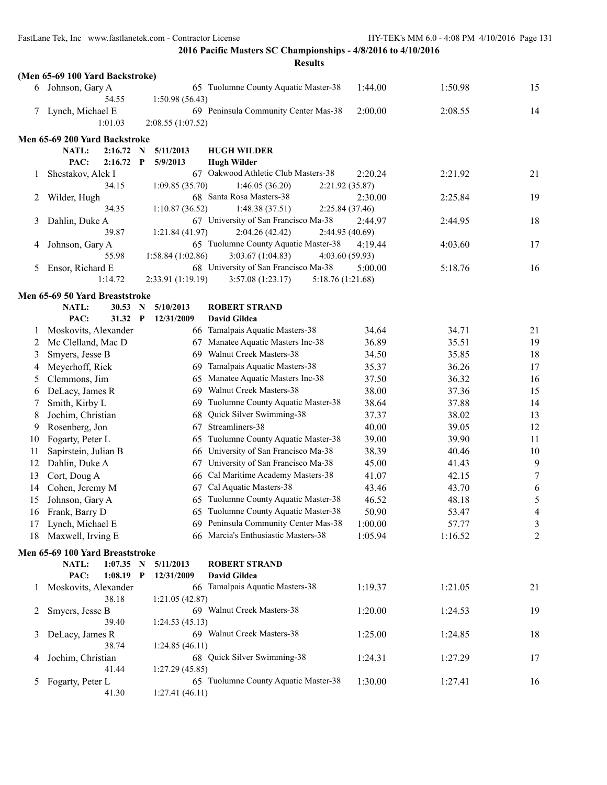|         | (Men 65-69 100 Yard Backstroke)   |              |                         |                                                                            |         |         |                |
|---------|-----------------------------------|--------------|-------------------------|----------------------------------------------------------------------------|---------|---------|----------------|
|         | 6 Johnson, Gary A                 |              |                         | 65 Tuolumne County Aquatic Master-38                                       | 1:44.00 | 1:50.98 | 15             |
|         | 54.55                             |              | 1:50.98 (56.43)         |                                                                            |         |         |                |
|         | 7 Lynch, Michael E                |              |                         | 69 Peninsula Community Center Mas-38                                       | 2:00.00 | 2:08.55 | 14             |
|         | 1:01.03                           |              | 2:08.55 (1:07.52)       |                                                                            |         |         |                |
|         | Men 65-69 200 Yard Backstroke     |              |                         |                                                                            |         |         |                |
|         | NATL:<br>2:16.72                  | N            | 5/11/2013               | <b>HUGH WILDER</b>                                                         |         |         |                |
|         | PAC:<br>2:16.72                   | $\mathbf{P}$ | 5/9/2013                | <b>Hugh Wilder</b>                                                         |         |         |                |
| 1       | Shestakov, Alek I                 |              |                         | 67 Oakwood Athletic Club Masters-38                                        | 2:20.24 | 2:21.92 | 21             |
|         | 34.15                             |              | 1:09.85(35.70)          | 1:46.05(36.20)<br>2:21.92 (35.87)                                          |         |         |                |
| 2       | Wilder, Hugh                      |              |                         | 68 Santa Rosa Masters-38                                                   | 2:30.00 | 2:25.84 | 19             |
|         | 34.35                             |              | 1:10.87(36.52)          | 1:48.38(37.51)<br>2:25.84(37.46)                                           |         |         |                |
| 3       | Dahlin, Duke A                    |              |                         | 67 University of San Francisco Ma-38                                       | 2:44.97 | 2:44.95 | 18             |
|         | 39.87                             |              | 1:21.84(41.97)          | 2:04.26(42.42)<br>2:44.95 (40.69)                                          |         |         |                |
| 4       | Johnson, Gary A                   |              |                         | 65 Tuolumne County Aquatic Master-38                                       | 4:19.44 | 4:03.60 | 17             |
|         | 55.98                             |              | 1:58.84(1:02.86)        | 3:03.67(1:04.83)<br>4:03.60(59.93)<br>68 University of San Francisco Ma-38 |         | 5:18.76 | 16             |
| 5       | Ensor, Richard E<br>1:14.72       |              | 2:33.91(1:19.19)        | 3:57.08(1:23.17)<br>5:18.76 (1:21.68)                                      | 5:00.00 |         |                |
|         |                                   |              |                         |                                                                            |         |         |                |
|         | Men 65-69 50 Yard Breaststroke    |              |                         |                                                                            |         |         |                |
|         | NATL:<br>30.53<br>PAC:<br>31.32 P | N            | 5/10/2013<br>12/31/2009 | <b>ROBERT STRAND</b><br><b>David Gildea</b>                                |         |         |                |
| $\perp$ | Moskovits, Alexander              |              |                         | 66 Tamalpais Aquatic Masters-38                                            | 34.64   | 34.71   | 21             |
| 2       | Mc Clelland, Mac D                |              |                         | 67 Manatee Aquatic Masters Inc-38                                          | 36.89   | 35.51   | 19             |
| 3       | Smyers, Jesse B                   |              |                         | 69 Walnut Creek Masters-38                                                 | 34.50   | 35.85   | 18             |
| 4       | Meyerhoff, Rick                   |              | 69                      | Tamalpais Aquatic Masters-38                                               | 35.37   | 36.26   | 17             |
| 5       | Clemmons, Jim                     |              | 65                      | Manatee Aquatic Masters Inc-38                                             | 37.50   | 36.32   | 16             |
| 6       | DeLacy, James R                   |              | 69                      | Walnut Creek Masters-38                                                    | 38.00   | 37.36   | 15             |
| 7       | Smith, Kirby L                    |              | 69                      | Tuolumne County Aquatic Master-38                                          | 38.64   | 37.88   | 14             |
| 8       | Jochim, Christian                 |              | 68                      | Quick Silver Swimming-38                                                   | 37.37   | 38.02   | 13             |
| 9       | Rosenberg, Jon                    |              | 67                      | Streamliners-38                                                            | 40.00   | 39.05   | 12             |
| 10      | Fogarty, Peter L                  |              | 65                      | Tuolumne County Aquatic Master-38                                          | 39.00   | 39.90   | 11             |
| 11      | Sapirstein, Julian B              |              |                         | 66 University of San Francisco Ma-38                                       | 38.39   | 40.46   | 10             |
| 12      | Dahlin, Duke A                    |              | 67                      | University of San Francisco Ma-38                                          | 45.00   | 41.43   | 9              |
| 13      | Cort, Doug A                      |              |                         | 66 Cal Maritime Academy Masters-38                                         | 41.07   | 42.15   | $\tau$         |
| 14      | Cohen, Jeremy M                   |              |                         | 67 Cal Aquatic Masters-38                                                  | 43.46   | 43.70   | 6              |
| 15      | Johnson, Gary A                   |              |                         | 65 Tuolumne County Aquatic Master-38                                       | 46.52   | 48.18   | 5              |
|         | 16 Frank, Barry D                 |              |                         | 65 Tuolumne County Aquatic Master-38                                       | 50.90   | 53.47   | $\overline{4}$ |
| 17      | Lynch, Michael E                  |              |                         | 69 Peninsula Community Center Mas-38                                       | 1:00.00 | 57.77   | 3              |
| 18      | Maxwell, Irving E                 |              |                         | 66 Marcia's Enthusiastic Masters-38                                        | 1:05.94 | 1:16.52 | $\overline{2}$ |
|         | Men 65-69 100 Yard Breaststroke   |              |                         |                                                                            |         |         |                |
|         | NATL:<br>$1:07.35$ N              |              | 5/11/2013               | <b>ROBERT STRAND</b>                                                       |         |         |                |
|         | PAC:<br>$1:08.19$ P               |              | 12/31/2009              | <b>David Gildea</b>                                                        |         |         |                |
| 1       | Moskovits, Alexander              |              |                         | 66 Tamalpais Aquatic Masters-38                                            | 1:19.37 | 1:21.05 | 21             |
|         | 38.18                             |              | 1:21.05(42.87)          | 69 Walnut Creek Masters-38                                                 | 1:20.00 |         | 19             |
| 2       | Smyers, Jesse B<br>39.40          |              | 1:24.53(45.13)          |                                                                            |         | 1:24.53 |                |
| 3       | DeLacy, James R                   |              |                         | 69 Walnut Creek Masters-38                                                 | 1:25.00 | 1:24.85 | 18             |
|         | 38.74                             |              | 1:24.85(46.11)          |                                                                            |         |         |                |
| 4       | Jochim, Christian                 |              |                         | 68 Quick Silver Swimming-38                                                | 1:24.31 | 1:27.29 | 17             |
|         | 41.44                             |              | 1:27.29(45.85)          |                                                                            |         |         |                |
| 5       | Fogarty, Peter L                  |              |                         | 65 Tuolumne County Aquatic Master-38                                       | 1:30.00 | 1:27.41 | 16             |
|         | 41.30                             |              | 1:27.41(46.11)          |                                                                            |         |         |                |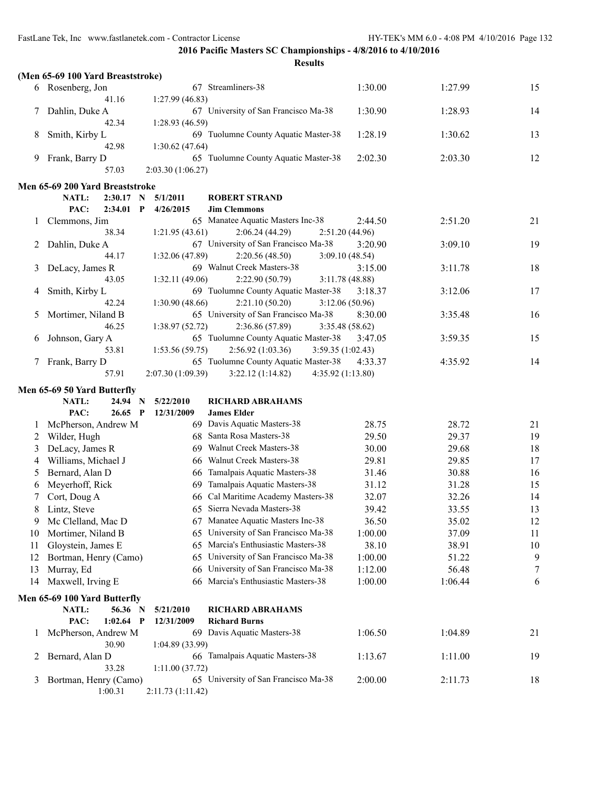|              | (Men 65-69 100 Yard Breaststroke) |                   |                                                        |                           |         |    |
|--------------|-----------------------------------|-------------------|--------------------------------------------------------|---------------------------|---------|----|
|              | 6 Rosenberg, Jon                  |                   | 67 Streamliners-38                                     | 1:30.00                   | 1:27.99 | 15 |
|              | 41.16                             | 1:27.99(46.83)    |                                                        |                           |         |    |
| 7            | Dahlin, Duke A                    |                   | 67 University of San Francisco Ma-38                   | 1:30.90                   | 1:28.93 | 14 |
|              | 42.34                             | 1:28.93(46.59)    |                                                        |                           |         |    |
| 8            | Smith, Kirby L                    |                   | 69 Tuolumne County Aquatic Master-38                   | 1:28.19                   | 1:30.62 | 13 |
|              | 42.98                             | 1:30.62 (47.64)   |                                                        |                           |         |    |
| 9            | Frank, Barry D                    |                   | 65 Tuolumne County Aquatic Master-38                   | 2:02.30                   | 2:03.30 | 12 |
|              | 57.03                             | 2:03.30(1:06.27)  |                                                        |                           |         |    |
|              | Men 65-69 200 Yard Breaststroke   |                   |                                                        |                           |         |    |
|              | NATL:<br>2:30.17<br>N             | 5/1/2011          | <b>ROBERT STRAND</b>                                   |                           |         |    |
|              | PAC:<br>$2:34.01$ P               | 4/26/2015         | <b>Jim Clemmons</b>                                    |                           |         |    |
| 1            | Clemmons, Jim                     |                   | 65 Manatee Aquatic Masters Inc-38                      | 2:44.50                   | 2:51.20 | 21 |
|              | 38.34                             | 1:21.95(43.61)    | 2:06.24(44.29)                                         | 2:51.20(44.96)            |         |    |
| 2            | Dahlin, Duke A                    |                   | 67 University of San Francisco Ma-38                   | 3:20.90                   | 3:09.10 | 19 |
|              | 44.17                             | 1:32.06 (47.89)   | 2:20.56(48.50)                                         | 3:09.10(48.54)            |         |    |
| 3            | DeLacy, James R                   |                   | 69 Walnut Creek Masters-38                             | 3:15.00                   | 3:11.78 | 18 |
|              | 43.05                             | 1:32.11(49.06)    | 2:22.90(50.79)<br>69 Tuolumne County Aquatic Master-38 | 3:11.78(48.88)            |         |    |
| 4            | Smith, Kirby L<br>42.24           | 1:30.90(48.66)    | 2:21.10(50.20)                                         | 3:18.37                   | 3:12.06 | 17 |
| 5            | Mortimer, Niland B                |                   | 65 University of San Francisco Ma-38                   | 3:12.06(50.96)<br>8:30.00 | 3:35.48 | 16 |
|              | 46.25                             | 1:38.97(52.72)    | 2:36.86 (57.89)                                        | 3:35.48 (58.62)           |         |    |
| 6            | Johnson, Gary A                   |                   | 65 Tuolumne County Aquatic Master-38                   | 3:47.05                   | 3:59.35 | 15 |
|              | 53.81                             | 1:53.56 (59.75)   | 2:56.92(1:03.36)<br>3:59.35(1:02.43)                   |                           |         |    |
| 7            | Frank, Barry D                    |                   | 65 Tuolumne County Aquatic Master-38                   | 4:33.37                   | 4:35.92 | 14 |
|              | 57.91                             | 2:07.30 (1:09.39) | 3:22.12(1:14.82)<br>4:35.92 (1:13.80)                  |                           |         |    |
|              | Men 65-69 50 Yard Butterfly       |                   |                                                        |                           |         |    |
|              | NATL:<br>24.94<br>N               | 5/22/2010         | <b>RICHARD ABRAHAMS</b>                                |                           |         |    |
|              | PAC:<br>$26.65$ P                 | 12/31/2009        | <b>James Elder</b>                                     |                           |         |    |
| 1            | McPherson, Andrew M               |                   | 69 Davis Aquatic Masters-38                            | 28.75                     | 28.72   | 21 |
| 2            | Wilder, Hugh                      |                   | 68 Santa Rosa Masters-38                               | 29.50                     | 29.37   | 19 |
| 3            | DeLacy, James R                   |                   | 69 Walnut Creek Masters-38                             | 30.00                     | 29.68   | 18 |
| 4            | Williams, Michael J               | 66                | <b>Walnut Creek Masters-38</b>                         | 29.81                     | 29.85   | 17 |
| 5            | Bernard, Alan D                   | 66                | Tamalpais Aquatic Masters-38                           | 31.46                     | 30.88   | 16 |
| 6            | Meyerhoff, Rick                   | 69                | Tamalpais Aquatic Masters-38                           | 31.12                     | 31.28   | 15 |
| 7            | Cort, Doug A                      | 66                | Cal Maritime Academy Masters-38                        | 32.07                     | 32.26   | 14 |
| 8            | Lintz, Steve                      |                   | 65 Sierra Nevada Masters-38                            | 39.42                     | 33.55   | 13 |
| 9            | Mc Clelland, Mac D                |                   | 67 Manatee Aquatic Masters Inc-38                      | 36.50                     | 35.02   | 12 |
| 10           | Mortimer, Niland B                | 65                | University of San Francisco Ma-38                      | 1:00.00                   | 37.09   | 11 |
| 11           | Gloystein, James E                | 65                | Marcia's Enthusiastic Masters-38                       | 38.10                     | 38.91   | 10 |
| 12           | Bortman, Henry (Camo)             | 65                | University of San Francisco Ma-38                      | 1:00.00                   | 51.22   | 9  |
| 13           | Murray, Ed                        | 66                | University of San Francisco Ma-38                      | 1:12.00                   | 56.48   | 7  |
| 14           | Maxwell, Irving E                 | 66                | Marcia's Enthusiastic Masters-38                       | 1:00.00                   | 1:06.44 | 6  |
|              | Men 65-69 100 Yard Butterfly      |                   |                                                        |                           |         |    |
|              | 56.36 N<br>NATL:                  | 5/21/2010         | <b>RICHARD ABRAHAMS</b>                                |                           |         |    |
|              | PAC:<br>$1:02.64$ P               | 12/31/2009        | <b>Richard Burns</b>                                   |                           |         |    |
| $\mathbf{I}$ | McPherson, Andrew M               | 69                | Davis Aquatic Masters-38                               | 1:06.50                   | 1:04.89 | 21 |
|              | 30.90                             | 1:04.89 (33.99)   |                                                        |                           |         |    |
| 2            | Bernard, Alan D                   |                   | 66 Tamalpais Aquatic Masters-38                        | 1:13.67                   | 1:11.00 | 19 |
|              | 33.28                             |                   |                                                        |                           |         |    |
|              |                                   | 1:11.00(37.72)    |                                                        |                           |         |    |
| 3            | Bortman, Henry (Camo)<br>1:00.31  | 2:11.73 (1:11.42) | 65 University of San Francisco Ma-38                   | 2:00.00                   | 2:11.73 | 18 |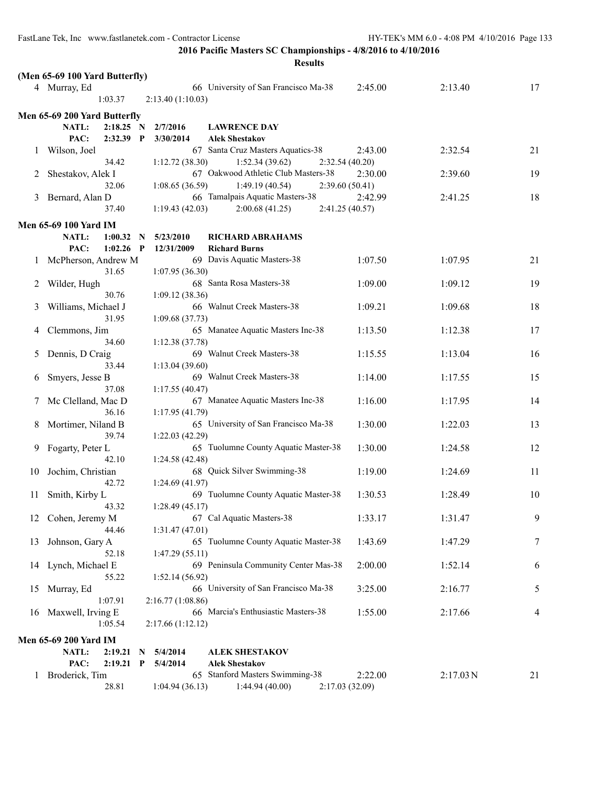|    |                                |              |                   | <b>Results</b>                       |         |                       |    |
|----|--------------------------------|--------------|-------------------|--------------------------------------|---------|-----------------------|----|
|    | (Men 65-69 100 Yard Butterfly) |              |                   |                                      |         |                       |    |
|    | 4 Murray, Ed                   |              |                   | 66 University of San Francisco Ma-38 | 2:45.00 | 2:13.40               | 17 |
|    | 1:03.37                        |              | 2:13.40 (1:10.03) |                                      |         |                       |    |
|    | Men 65-69 200 Yard Butterfly   |              |                   |                                      |         |                       |    |
|    | NATL:<br>$2:18.25$ N           |              | 2/7/2016          | <b>LAWRENCE DAY</b>                  |         |                       |    |
|    | PAC:<br>2:32.39                | $\mathbf{P}$ | 3/30/2014         | <b>Alek Shestakov</b>                |         |                       |    |
| 1  | Wilson, Joel                   |              |                   | 67 Santa Cruz Masters Aquatics-38    | 2:43.00 | 2:32.54               | 21 |
|    | 34.42                          |              | 1:12.72(38.30)    | 1:52.34(39.62)<br>2:32.54 (40.20)    |         |                       |    |
| 2  | Shestakov, Alek I              |              |                   | 67 Oakwood Athletic Club Masters-38  | 2:30.00 | 2:39.60               | 19 |
|    | 32.06                          |              | 1:08.65(36.59)    | 1:49.19(40.54)<br>2:39.60 (50.41)    |         |                       |    |
| 3  | Bernard, Alan D                |              |                   | 66 Tamalpais Aquatic Masters-38      | 2:42.99 | 2:41.25               | 18 |
|    | 37.40                          |              | 1:19.43(42.03)    | 2:00.68(41.25)<br>2:41.25 (40.57)    |         |                       |    |
|    | <b>Men 65-69 100 Yard IM</b>   |              |                   |                                      |         |                       |    |
|    | NATL:<br>1:00.32               | $\mathbf N$  | 5/23/2010         | <b>RICHARD ABRAHAMS</b>              |         |                       |    |
|    | 1:02.26<br>PAC:                | $\mathbf{P}$ | 12/31/2009        | <b>Richard Burns</b>                 |         |                       |    |
| 1  | McPherson, Andrew M            |              |                   | 69 Davis Aquatic Masters-38          | 1:07.50 | 1:07.95               | 21 |
|    | 31.65                          |              | 1:07.95(36.30)    |                                      |         |                       |    |
| 2  | Wilder, Hugh                   |              |                   | 68 Santa Rosa Masters-38             | 1:09.00 | 1:09.12               | 19 |
|    | 30.76                          |              | 1:09.12(38.36)    |                                      |         |                       |    |
| 3  | Williams, Michael J            |              |                   | 66 Walnut Creek Masters-38           | 1:09.21 | 1:09.68               | 18 |
|    | 31.95                          |              | 1:09.68(37.73)    |                                      |         |                       |    |
| 4  | Clemmons, Jim                  |              |                   | 65 Manatee Aquatic Masters Inc-38    | 1:13.50 | 1:12.38               | 17 |
|    | 34.60                          |              | 1:12.38(37.78)    |                                      |         |                       |    |
| 5  | Dennis, D Craig                |              |                   | 69 Walnut Creek Masters-38           | 1:15.55 | 1:13.04               | 16 |
|    | 33.44                          |              | 1:13.04(39.60)    | 69 Walnut Creek Masters-38           |         |                       |    |
| 6  | Smyers, Jesse B<br>37.08       |              | 1:17.55(40.47)    |                                      | 1:14.00 | 1:17.55               | 15 |
| 7  | Mc Clelland, Mac D             |              |                   | 67 Manatee Aquatic Masters Inc-38    | 1:16.00 | 1:17.95               | 14 |
|    | 36.16                          |              | 1:17.95(41.79)    |                                      |         |                       |    |
| 8  | Mortimer, Niland B             |              |                   | 65 University of San Francisco Ma-38 | 1:30.00 | 1:22.03               | 13 |
|    | 39.74                          |              | 1:22.03(42.29)    |                                      |         |                       |    |
| 9. | Fogarty, Peter L               |              |                   | 65 Tuolumne County Aquatic Master-38 | 1:30.00 | 1:24.58               | 12 |
|    | 42.10                          |              | 1:24.58(42.48)    |                                      |         |                       |    |
| 10 | Jochim, Christian              |              |                   | 68 Quick Silver Swimming-38          | 1:19.00 | 1:24.69               | 11 |
|    | 42.72                          |              | 1:24.69 (41.97)   |                                      |         |                       |    |
| 11 | Smith, Kirby L                 |              |                   | 69 Tuolumne County Aquatic Master-38 | 1:30.53 | 1:28.49               | 10 |
|    | 43.32                          |              | 1:28.49(45.17)    |                                      |         |                       |    |
| 12 | Cohen, Jeremy M                |              |                   | 67 Cal Aquatic Masters-38            | 1:33.17 | 1:31.47               | 9  |
| 13 | 44.46<br>Johnson, Gary A       |              | 1:31.47(47.01)    | 65 Tuolumne County Aquatic Master-38 | 1:43.69 | 1:47.29               | 7  |
|    | 52.18                          |              | 1:47.29(55.11)    |                                      |         |                       |    |
| 14 | Lynch, Michael E               |              |                   | 69 Peninsula Community Center Mas-38 | 2:00.00 | 1:52.14               | 6  |
|    | 55.22                          |              | 1:52.14(56.92)    |                                      |         |                       |    |
| 15 | Murray, Ed                     |              |                   | 66 University of San Francisco Ma-38 | 3:25.00 | 2:16.77               | 5  |
|    | 1:07.91                        |              | 2:16.77(1:08.86)  |                                      |         |                       |    |
| 16 | Maxwell, Irving E              |              |                   | 66 Marcia's Enthusiastic Masters-38  | 1:55.00 | 2:17.66               | 4  |
|    | 1:05.54                        |              | 2:17.66(1:12.12)  |                                      |         |                       |    |
|    | Men 65-69 200 Yard IM          |              |                   |                                      |         |                       |    |
|    | NATL:<br>2:19.21               | N            | 5/4/2014          | <b>ALEK SHESTAKOV</b>                |         |                       |    |
|    | PAC:<br>2:19.21                | $\mathbf{P}$ | 5/4/2014          | <b>Alek Shestakov</b>                |         |                       |    |
|    | 1 Broderick, Tim               |              |                   | 65 Stanford Masters Swimming-38      | 2:22.00 | $2:17.03\,\mathrm{N}$ | 21 |
|    | 28.81                          |              | 1:04.94(36.13)    | 1:44.94(40.00)<br>2:17.03(32.09)     |         |                       |    |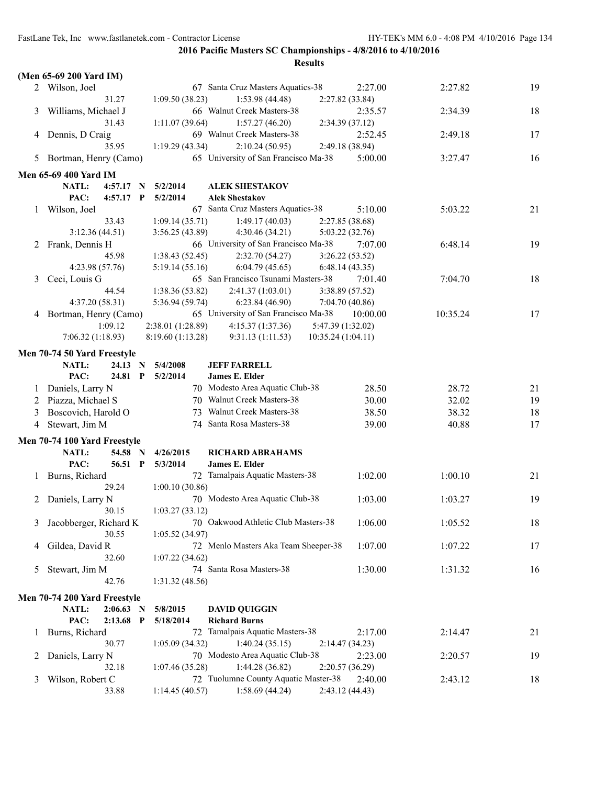|              | (Men 65-69 200 Yard IM)      |              |                   |                                        |                 |          |    |
|--------------|------------------------------|--------------|-------------------|----------------------------------------|-----------------|----------|----|
|              | 2 Wilson, Joel               |              |                   | 67 Santa Cruz Masters Aquatics-38      | 2:27.00         | 2:27.82  | 19 |
|              | 31.27                        |              | 1:09.50(38.23)    | 1:53.98(44.48)                         | 2:27.82 (33.84) |          |    |
| 3            | Williams, Michael J          |              |                   | 66 Walnut Creek Masters-38             | 2:35.57         | 2:34.39  | 18 |
|              | 31.43                        |              | 1:11.07(39.64)    | 1:57.27(46.20)                         | 2:34.39 (37.12) |          |    |
|              | 4 Dennis, D Craig            |              |                   | 69 Walnut Creek Masters-38             | 2:52.45         | 2:49.18  | 17 |
|              | 35.95                        |              | 1:19.29(43.34)    | 2:10.24(50.95)                         | 2:49.18 (38.94) |          |    |
|              | 5 Bortman, Henry (Camo)      |              |                   | 65 University of San Francisco Ma-38   | 5:00.00         | 3:27.47  | 16 |
|              | <b>Men 65-69 400 Yard IM</b> |              |                   |                                        |                 |          |    |
|              | NATL:<br>$4:57.17$ N         |              | 5/2/2014          | <b>ALEK SHESTAKOV</b>                  |                 |          |    |
|              | PAC:<br>4:57.17              | $\mathbf{P}$ | 5/2/2014          | <b>Alek Shestakov</b>                  |                 |          |    |
| $\mathbf{I}$ | Wilson, Joel                 |              |                   | 67 Santa Cruz Masters Aquatics-38      | 5:10.00         | 5:03.22  | 21 |
|              | 33.43                        |              | 1:09.14(35.71)    | 1:49.17(40.03)                         | 2:27.85 (38.68) |          |    |
|              | 3:12.36(44.51)               |              | 3:56.25(43.89)    | 4:30.46 (34.21)                        | 5:03.22 (32.76) |          |    |
| 2            | Frank, Dennis H              |              |                   | 66 University of San Francisco Ma-38   | 7:07.00         | 6:48.14  | 19 |
|              | 45.98                        |              | 1:38.43(52.45)    | 2:32.70(54.27)                         | 3:26.22(53.52)  |          |    |
|              | 4:23.98 (57.76)              |              | 5:19.14(55.16)    | 6:04.79(45.65)                         | 6:48.14(43.35)  |          |    |
| 3            | Ceci, Louis G                |              |                   | 65 San Francisco Tsunami Masters-38    | 7:01.40         | 7:04.70  | 18 |
|              | 44.54                        |              | 1:38.36(53.82)    | 2:41.37 (1:03.01)                      | 3:38.89 (57.52) |          |    |
|              | 4:37.20(58.31)               |              | 5:36.94(59.74)    | 6:23.84(46.90)                         | 7:04.70 (40.86) |          |    |
|              | 4 Bortman, Henry (Camo)      |              |                   | 65 University of San Francisco Ma-38   | 10:00.00        | 10:35.24 | 17 |
|              | 1:09.12                      |              | 2:38.01 (1:28.89) | 5:47.39 (1:32.02)<br>4:15.37(1:37.36)  |                 |          |    |
|              | 7:06.32(1:18.93)             |              | 8:19.60 (1:13.28) | 9:31.13(1:11.53)<br>10:35.24 (1:04.11) |                 |          |    |
|              | Men 70-74 50 Yard Freestyle  |              |                   |                                        |                 |          |    |
|              | NATL:<br>24.13               | $\mathbf N$  | 5/4/2008          | <b>JEFF FARRELL</b>                    |                 |          |    |
|              | PAC:<br>24.81                | $\mathbf{P}$ | 5/2/2014          | <b>James E. Elder</b>                  |                 |          |    |
| $\perp$      | Daniels, Larry N             |              |                   | 70 Modesto Area Aquatic Club-38        | 28.50           | 28.72    | 21 |
| 2            | Piazza, Michael S            |              |                   | 70 Walnut Creek Masters-38             | 30.00           | 32.02    | 19 |
| 3            | Boscovich, Harold O          |              |                   | 73 Walnut Creek Masters-38             | 38.50           | 38.32    | 18 |
| 4            | Stewart, Jim M               |              |                   | 74 Santa Rosa Masters-38               | 39.00           | 40.88    | 17 |
|              | Men 70-74 100 Yard Freestyle |              |                   |                                        |                 |          |    |
|              | NATL:                        | 54.58 N      | 4/26/2015         | <b>RICHARD ABRAHAMS</b>                |                 |          |    |
|              | PAC:                         | 56.51 P      | 5/3/2014          | <b>James E. Elder</b>                  |                 |          |    |
| 1            | Burns, Richard               |              |                   | 72 Tamalpais Aquatic Masters-38        | 1:02.00         | 1:00.10  | 21 |
|              | 29.24                        |              | 1:00.10(30.86)    |                                        |                 |          |    |
| 2            | Daniels, Larry N             |              |                   | 70 Modesto Area Aquatic Club-38        | 1:03.00         | 1:03.27  | 19 |
|              | 30.15                        |              | 1:03.27(33.12)    |                                        |                 |          |    |
| 3            | Jacobberger, Richard K       |              |                   | 70 Oakwood Athletic Club Masters-38    | 1:06.00         | 1:05.52  | 18 |
|              | 30.55                        |              | 1:05.52(34.97)    |                                        |                 |          |    |
| 4            | Gildea, David R              |              |                   | 72 Menlo Masters Aka Team Sheeper-38   | 1:07.00         | 1:07.22  | 17 |
|              | 32.60                        |              | 1:07.22(34.62)    |                                        |                 |          |    |
| 5            | Stewart, Jim M               |              |                   | 74 Santa Rosa Masters-38               | 1:30.00         | 1:31.32  | 16 |
|              | 42.76                        |              | 1:31.32(48.56)    |                                        |                 |          |    |
|              | Men 70-74 200 Yard Freestyle |              |                   |                                        |                 |          |    |
|              | NATL:<br>$2:06.63$ N         |              | 5/8/2015          | <b>DAVID QUIGGIN</b>                   |                 |          |    |
|              | PAC:<br>2:13.68              | $\mathbf{P}$ | 5/18/2014         | <b>Richard Burns</b>                   |                 |          |    |
| $\perp$      | Burns, Richard               |              |                   | 72 Tamalpais Aquatic Masters-38        | 2:17.00         | 2:14.47  | 21 |
|              | 30.77                        |              | 1:05.09(34.32)    | 1:40.24(35.15)                         | 2:14.47(34.23)  |          |    |
| 2            | Daniels, Larry N             |              |                   | 70 Modesto Area Aquatic Club-38        | 2:23.00         | 2:20.57  | 19 |
|              | 32.18                        |              | 1:07.46(35.28)    | 1:44.28 (36.82)                        | 2:20.57 (36.29) |          |    |
| 3            | Wilson, Robert C             |              |                   | 72 Tuolumne County Aquatic Master-38   | 2:40.00         | 2:43.12  | 18 |
|              | 33.88                        |              | 1:14.45(40.57)    | 1:58.69 (44.24)                        | 2:43.12 (44.43) |          |    |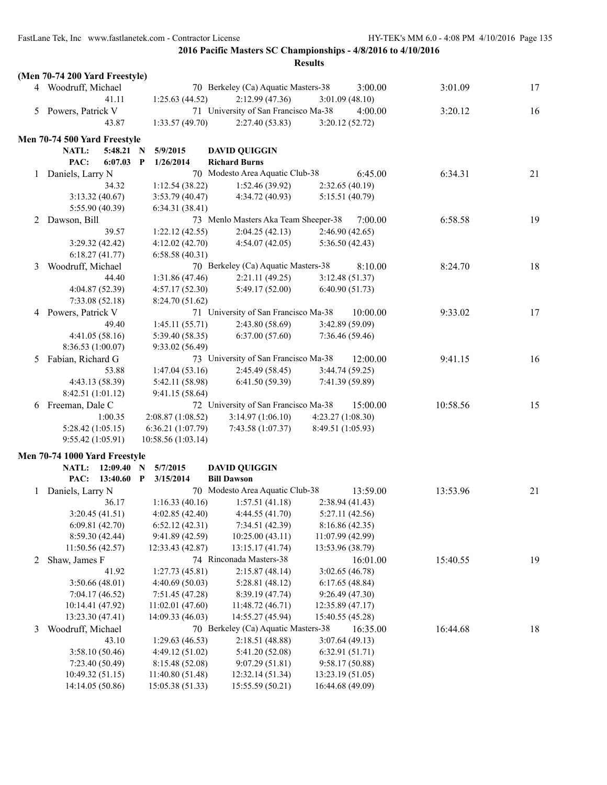|   | (Men 70-74 200 Yard Freestyle) |                                    |                                      |                   |          |    |
|---|--------------------------------|------------------------------------|--------------------------------------|-------------------|----------|----|
|   | 4 Woodruff, Michael            |                                    | 70 Berkeley (Ca) Aquatic Masters-38  | 3:00.00           | 3:01.09  | 17 |
|   | 41.11                          | 1:25.63(44.52)                     | 2:12.99(47.36)                       | 3:01.09(48.10)    |          |    |
|   | 5 Powers, Patrick V            |                                    | 71 University of San Francisco Ma-38 | 4:00.00           | 3:20.12  | 16 |
|   | 43.87                          | 1:33.57(49.70)                     | 2:27.40(53.83)                       | 3:20.12(52.72)    |          |    |
|   | Men 70-74 500 Yard Freestyle   |                                    |                                      |                   |          |    |
|   | NATL:<br>5:48.21               | 5/9/2015<br>N                      | <b>DAVID QUIGGIN</b>                 |                   |          |    |
|   | PAC:<br>6:07.03                | 1/26/2014<br>P                     | <b>Richard Burns</b>                 |                   |          |    |
|   | Daniels, Larry N               |                                    | 70 Modesto Area Aquatic Club-38      | 6:45.00           | 6:34.31  | 21 |
| 1 | 34.32                          | 1:12.54(38.22)                     | 1:52.46(39.92)                       | 2:32.65(40.19)    |          |    |
|   | 3:13.32(40.67)                 | 3:53.79 (40.47)                    | 4:34.72 (40.93)                      | 5:15.51 (40.79)   |          |    |
|   | 5:55.90 (40.39)                | 6:34.31(38.41)                     |                                      |                   |          |    |
| 2 | Dawson, Bill                   |                                    | 73 Menlo Masters Aka Team Sheeper-38 | 7:00.00           | 6:58.58  | 19 |
|   | 39.57                          | 1:22.12(42.55)                     | 2:04.25(42.13)                       | 2:46.90(42.65)    |          |    |
|   | 3:29.32(42.42)                 | 4:12.02 (42.70)                    | 4:54.07(42.05)                       | 5:36.50(42.43)    |          |    |
|   | 6:18.27(41.77)                 | 6:58.58(40.31)                     |                                      |                   |          |    |
| 3 | Woodruff, Michael              |                                    | 70 Berkeley (Ca) Aquatic Masters-38  | 8:10.00           | 8:24.70  | 18 |
|   | 44.40                          | 1:31.86 (47.46)                    | 2:21.11(49.25)                       | 3:12.48(51.37)    |          |    |
|   | 4:04.87 (52.39)                | 4:57.17(52.30)                     | 5:49.17 (52.00)                      | 6:40.90(51.73)    |          |    |
|   | 7:33.08(52.18)                 | 8:24.70 (51.62)                    |                                      |                   |          |    |
| 4 | Powers, Patrick V              |                                    | 71 University of San Francisco Ma-38 | 10:00.00          | 9:33.02  | 17 |
|   | 49.40                          | 1:45.11(55.71)                     | 2:43.80(58.69)                       | 3:42.89 (59.09)   |          |    |
|   | 4:41.05(58.16)                 | 5:39.40 (58.35)                    | 6:37.00(57.60)                       | 7:36.46(59.46)    |          |    |
|   | 8:36.53 (1:00.07)              | 9:33.02 (56.49)                    |                                      |                   |          |    |
| 5 | Fabian, Richard G              |                                    | 73 University of San Francisco Ma-38 | 12:00.00          | 9:41.15  | 16 |
|   | 53.88                          | 1:47.04(53.16)                     | 2:45.49 (58.45)                      | 3:44.74(59.25)    |          |    |
|   | 4:43.13 (58.39)                |                                    | 6:41.50(59.39)                       | 7:41.39 (59.89)   |          |    |
|   | 8:42.51(1:01.12)               | 5:42.11 (58.98)<br>9:41.15 (58.64) |                                      |                   |          |    |
| 6 | Freeman, Dale C                |                                    | 72 University of San Francisco Ma-38 | 15:00.00          | 10:58.56 | 15 |
|   | 1:00.35                        | 2:08.87 (1:08.52)                  | 3:14.97(1:06.10)                     | 4:23.27 (1:08.30) |          |    |
|   | 5:28.42(1:05.15)               | 6:36.21 (1:07.79)                  | 7:43.58 (1:07.37)                    | 8:49.51 (1:05.93) |          |    |
|   | 9:55.42(1:05.91)               | 10:58.56 (1:03.14)                 |                                      |                   |          |    |
|   |                                |                                    |                                      |                   |          |    |
|   | Men 70-74 1000 Yard Freestyle  |                                    |                                      |                   |          |    |
|   | <b>NATL:</b><br>12:09.40       | 5/7/2015<br>N                      | <b>DAVID QUIGGIN</b>                 |                   |          |    |
|   | PAC:<br>$13:40.60$ P           | 3/15/2014                          | <b>Bill Dawson</b>                   |                   |          |    |
|   | 1 Daniels, Larry N             |                                    | 70 Modesto Area Aquatic Club-38      | 13:59.00          | 13:53.96 | 21 |
|   | 36.17                          | 1:16.33(40.16)                     | 1:57.51(41.18)                       | 2:38.94(41.43)    |          |    |
|   | 3:20.45(41.51)                 | 4:02.85(42.40)                     | 4:44.55(41.70)                       | 5:27.11 (42.56)   |          |    |
|   | 6:09.81(42.70)                 | 6:52.12(42.31)                     | 7:34.51 (42.39)                      | 8:16.86 (42.35)   |          |    |
|   | 8:59.30 (42.44)                | 9:41.89 (42.59)                    | 10:25.00(43.11)                      | 11:07.99 (42.99)  |          |    |
|   | 11:50.56 (42.57)               | 12:33.43 (42.87)                   | 13:15.17 (41.74)                     | 13:53.96 (38.79)  |          |    |
| 2 | Shaw, James F                  |                                    | 74 Rinconada Masters-38              | 16:01.00          | 15:40.55 | 19 |
|   | 41.92                          | 1:27.73(45.81)                     | 2:15.87(48.14)                       | 3:02.65(46.78)    |          |    |
|   | 3:50.66(48.01)                 | 4:40.69(50.03)                     | 5:28.81 (48.12)                      | 6:17.65(48.84)    |          |    |
|   | 7:04.17(46.52)                 | 7:51.45 (47.28)                    | 8:39.19 (47.74)                      | 9:26.49 (47.30)   |          |    |
|   | 10:14.41 (47.92)               | 11:02.01(47.60)                    | 11:48.72 (46.71)                     | 12:35.89 (47.17)  |          |    |
|   | 13:23.30 (47.41)               | 14:09.33 (46.03)                   | 14:55.27 (45.94)                     | 15:40.55 (45.28)  |          |    |
| 3 | Woodruff, Michael              |                                    | 70 Berkeley (Ca) Aquatic Masters-38  | 16:35.00          | 16:44.68 | 18 |
|   | 43.10                          | 1:29.63(46.53)                     | 2:18.51(48.88)                       | 3:07.64(49.13)    |          |    |
|   | 3:58.10(50.46)                 | 4:49.12 (51.02)                    | 5:41.20 (52.08)                      | 6:32.91(51.71)    |          |    |
|   | 7:23.40 (50.49)                | 8:15.48 (52.08)                    | 9:07.29(51.81)                       | 9:58.17(50.88)    |          |    |
|   | 10:49.32(51.15)                | 11:40.80(51.48)                    | 12:32.14 (51.34)                     | 13:23.19(51.05)   |          |    |
|   | 14:14.05 (50.86)               | 15:05.38 (51.33)                   | 15:55.59 (50.21)                     | 16:44.68 (49.09)  |          |    |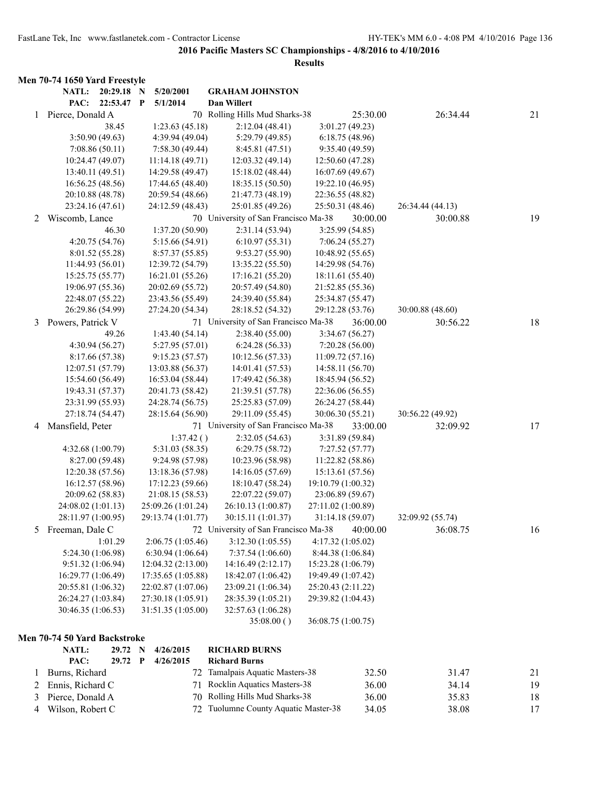|   | Men 70-74 1650 Yard Freestyle |                    |                                      |                    |                  |    |
|---|-------------------------------|--------------------|--------------------------------------|--------------------|------------------|----|
|   | NATL:<br>20:29.18 N           | 5/20/2001          | <b>GRAHAM JOHNSTON</b>               |                    |                  |    |
|   | PAC:<br>22:53.47 P            | 5/1/2014           | Dan Willert                          |                    |                  |    |
| 1 | Pierce, Donald A              |                    | 70 Rolling Hills Mud Sharks-38       | 25:30.00           | 26:34.44         | 21 |
|   | 38.45                         | 1:23.63(45.18)     | 2:12.04(48.41)                       | 3:01.27(49.23)     |                  |    |
|   | 3:50.90(49.63)                | 4:39.94 (49.04)    | 5:29.79 (49.85)                      | 6:18.75(48.96)     |                  |    |
|   | 7:08.86(50.11)                | 7:58.30 (49.44)    | 8:45.81 (47.51)                      | 9:35.40 (49.59)    |                  |    |
|   | 10:24.47 (49.07)              | 11:14.18(49.71)    | 12:03.32(49.14)                      | 12:50.60 (47.28)   |                  |    |
|   | 13:40.11 (49.51)              | 14:29.58 (49.47)   | 15:18.02 (48.44)                     | 16:07.69 (49.67)   |                  |    |
|   | 16:56.25 (48.56)              | 17:44.65 (48.40)   | 18:35.15 (50.50)                     | 19:22.10 (46.95)   |                  |    |
|   | 20:10.88 (48.78)              | 20:59.54 (48.66)   | 21:47.73 (48.19)                     | 22:36.55 (48.82)   |                  |    |
|   | 23:24.16 (47.61)              | 24:12.59 (48.43)   | 25:01.85 (49.26)                     | 25:50.31 (48.46)   | 26:34.44 (44.13) |    |
| 2 | Wiscomb, Lance                |                    | 70 University of San Francisco Ma-38 | 30:00.00           | 30:00.88         | 19 |
|   | 46.30                         | 1:37.20 (50.90)    | 2:31.14(53.94)                       | 3:25.99(54.85)     |                  |    |
|   | 4:20.75(54.76)                | 5:15.66 (54.91)    | 6:10.97(55.31)                       | 7:06.24(55.27)     |                  |    |
|   | 8:01.52 (55.28)               | 8:57.37(55.85)     | 9:53.27(55.90)                       | 10:48.92 (55.65)   |                  |    |
|   | 11:44.93(56.01)               | 12:39.72 (54.79)   | 13:35.22 (55.50)                     | 14:29.98 (54.76)   |                  |    |
|   | 15:25.75 (55.77)              | 16:21.01 (55.26)   | 17:16.21(55.20)                      | 18:11.61 (55.40)   |                  |    |
|   | 19:06.97 (55.36)              | 20:02.69 (55.72)   | 20:57.49 (54.80)                     | 21:52.85 (55.36)   |                  |    |
|   | 22:48.07 (55.22)              | 23:43.56 (55.49)   | 24:39.40 (55.84)                     | 25:34.87 (55.47)   |                  |    |
|   | 26:29.86 (54.99)              | 27:24.20 (54.34)   | 28:18.52 (54.32)                     | 29:12.28 (53.76)   | 30:00.88 (48.60) |    |
| 3 | Powers, Patrick V             |                    | 71 University of San Francisco Ma-38 | 36:00.00           | 30:56.22         | 18 |
|   | 49.26                         | 1:43.40(54.14)     | 2:38.40 (55.00)                      | 3:34.67(56.27)     |                  |    |
|   | 4:30.94 (56.27)               | 5:27.95 (57.01)    | 6:24.28(56.33)                       | 7:20.28(56.00)     |                  |    |
|   | 8:17.66 (57.38)               | 9:15.23(57.57)     | 10:12.56 (57.33)                     | 11:09.72 (57.16)   |                  |    |
|   | 12:07.51 (57.79)              | 13:03.88 (56.37)   | 14:01.41 (57.53)                     | 14:58.11 (56.70)   |                  |    |
|   | 15:54.60 (56.49)              | 16:53.04 (58.44)   | 17:49.42 (56.38)                     | 18:45.94 (56.52)   |                  |    |
|   | 19:43.31 (57.37)              | 20:41.73 (58.42)   | 21:39.51 (57.78)                     | 22:36.06 (56.55)   |                  |    |
|   | 23:31.99 (55.93)              | 24:28.74 (56.75)   | 25:25.83 (57.09)                     | 26:24.27 (58.44)   |                  |    |
|   | 27:18.74 (54.47)              | 28:15.64 (56.90)   | 29:11.09 (55.45)                     | 30:06.30 (55.21)   | 30:56.22 (49.92) |    |
| 4 | Mansfield, Peter              |                    | 71 University of San Francisco Ma-38 | 33:00.00           | 32:09.92         | 17 |
|   |                               | 1:37.42()          | 2:32.05(54.63)                       | 3:31.89 (59.84)    |                  |    |
|   | 4:32.68 (1:00.79)             | 5:31.03 (58.35)    | 6:29.75(58.72)                       | 7:27.52(57.77)     |                  |    |
|   | 8:27.00 (59.48)               | 9:24.98 (57.98)    | 10:23.96 (58.98)                     | 11:22.82 (58.86)   |                  |    |
|   | 12:20.38 (57.56)              | 13:18.36 (57.98)   | 14:16.05 (57.69)                     | 15:13.61 (57.56)   |                  |    |
|   | 16:12.57 (58.96)              | 17:12.23 (59.66)   | 18:10.47 (58.24)                     | 19:10.79 (1:00.32) |                  |    |
|   | 20:09.62 (58.83)              | 21:08.15 (58.53)   | 22:07.22 (59.07)                     | 23:06.89 (59.67)   |                  |    |
|   | 24:08.02 (1:01.13)            | 25:09.26 (1:01.24) | 26:10.13 (1:00.87)                   | 27:11.02 (1:00.89) |                  |    |
|   | 28:11.97 (1:00.95)            | 29:13.74 (1:01.77) | 30:15.11 (1:01.37)                   | 31:14.18 (59.07)   | 32:09.92 (55.74) |    |
| 5 | Freeman, Dale C               |                    | 72 University of San Francisco Ma-38 | 40:00.00           | 36:08.75         | 16 |
|   | 1:01.29                       | 2:06.75(1:05.46)   | 3:12.30(1:05.55)                     | 4:17.32 (1:05.02)  |                  |    |
|   | 5:24.30 (1:06.98)             | 6:30.94(1:06.64)   | 7:37.54 (1:06.60)                    | 8:44.38 (1:06.84)  |                  |    |
|   | 9:51.32 (1:06.94)             | 12:04.32 (2:13.00) | 14:16.49 (2:12.17)                   | 15:23.28 (1:06.79) |                  |    |
|   | 16:29.77 (1:06.49)            | 17:35.65 (1:05.88) | 18:42.07 (1:06.42)                   | 19:49.49 (1:07.42) |                  |    |
|   | 20:55.81 (1:06.32)            | 22:02.87 (1:07.06) | 23:09.21 (1:06.34)                   | 25:20.43 (2:11.22) |                  |    |
|   | 26:24.27 (1:03.84)            | 27:30.18 (1:05.91) | 28:35.39 (1:05.21)                   | 29:39.82 (1:04.43) |                  |    |
|   | 30:46.35 (1:06.53)            | 31:51.35 (1:05.00) | 32:57.63 (1:06.28)                   |                    |                  |    |
|   |                               |                    | 35:08.00()                           | 36:08.75 (1:00.75) |                  |    |
|   | Men 70-74 50 Yard Backstroke  |                    |                                      |                    |                  |    |
|   | NATL:<br>29.72 N              | 4/26/2015          | <b>RICHARD BURNS</b>                 |                    |                  |    |
|   | PAC:<br>29.72 P               | 4/26/2015          | <b>Richard Burns</b>                 |                    |                  |    |
| 1 | Burns, Richard                |                    | 72 Tamalpais Aquatic Masters-38      | 32.50              | 31.47            | 21 |
| 2 | Ennis, Richard C              |                    | 71 Rocklin Aquatics Masters-38       | 36.00              | 34.14            | 19 |
| 3 | Pierce, Donald A              | 70                 | Rolling Hills Mud Sharks-38          | 36.00              | 35.83            | 18 |
| 4 | Wilson, Robert C              |                    | 72 Tuolumne County Aquatic Master-38 | 34.05              | 38.08            | 17 |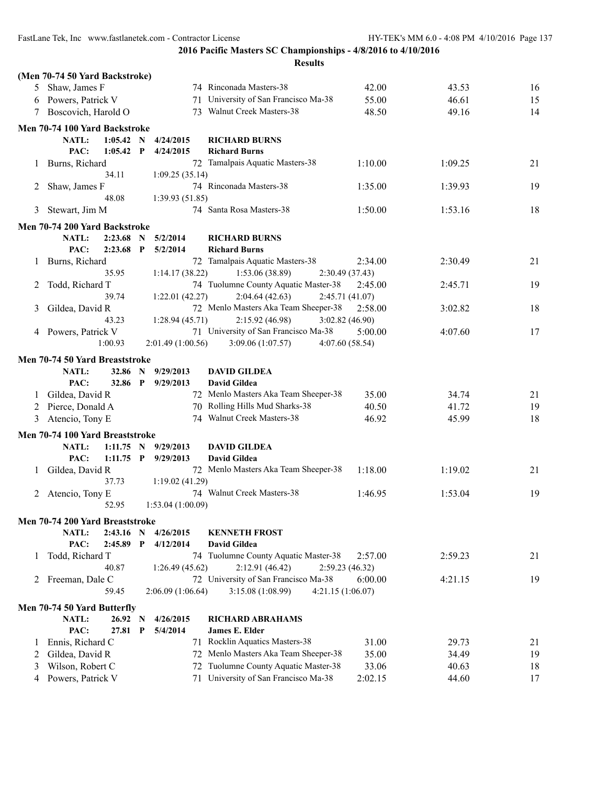|         |                                 |             |              |                   | <b>Results</b>                         |                 |         |    |
|---------|---------------------------------|-------------|--------------|-------------------|----------------------------------------|-----------------|---------|----|
|         | (Men 70-74 50 Yard Backstroke)  |             |              |                   |                                        |                 |         |    |
| 5       | Shaw, James F                   |             |              |                   | 74 Rinconada Masters-38                | 42.00           | 43.53   | 16 |
| 6       | Powers, Patrick V               |             |              |                   | 71 University of San Francisco Ma-38   | 55.00           | 46.61   | 15 |
| 7       | Boscovich, Harold O             |             |              |                   | 73 Walnut Creek Masters-38             | 48.50           | 49.16   | 14 |
|         |                                 |             |              |                   |                                        |                 |         |    |
|         | Men 70-74 100 Yard Backstroke   |             |              |                   |                                        |                 |         |    |
|         | NATL:                           | 1:05.42     | N            | 4/24/2015         | <b>RICHARD BURNS</b>                   |                 |         |    |
|         | PAC:                            | 1:05.42     | P            | 4/24/2015         | <b>Richard Burns</b>                   |                 |         |    |
| $\perp$ | Burns, Richard                  |             |              |                   | 72 Tamalpais Aquatic Masters-38        | 1:10.00         | 1:09.25 | 21 |
|         |                                 | 34.11       |              | 1:09.25(35.14)    |                                        |                 |         |    |
| 2       | Shaw, James F                   |             |              |                   | 74 Rinconada Masters-38                | 1:35.00         | 1:39.93 | 19 |
|         |                                 | 48.08       |              | 1:39.93(51.85)    |                                        |                 |         |    |
| 3       | Stewart, Jim M                  |             |              |                   | 74 Santa Rosa Masters-38               | 1:50.00         | 1:53.16 | 18 |
|         | Men 70-74 200 Yard Backstroke   |             |              |                   |                                        |                 |         |    |
|         | NATL:                           | $2:23.68$ N |              | 5/2/2014          | <b>RICHARD BURNS</b>                   |                 |         |    |
|         | PAC:                            | 2:23.68     | $\mathbf{P}$ | 5/2/2014          | <b>Richard Burns</b>                   |                 |         |    |
| 1       | Burns, Richard                  |             |              |                   | 72 Tamalpais Aquatic Masters-38        | 2:34.00         | 2:30.49 | 21 |
|         |                                 | 35.95       |              | 1:14.17 (38.22)   | 1:53.06(38.89)                         | 2:30.49 (37.43) |         |    |
| 2       | Todd, Richard T                 |             |              |                   | 74 Tuolumne County Aquatic Master-38   | 2:45.00         | 2:45.71 | 19 |
|         |                                 | 39.74       |              | 1:22.01(42.27)    | 2:04.64(42.63)                         | 2:45.71(41.07)  |         |    |
| 3       | Gildea, David R                 |             |              |                   | 72 Menlo Masters Aka Team Sheeper-38   | 2:58.00         | 3:02.82 | 18 |
|         |                                 | 43.23       |              | 1:28.94(45.71)    | 2:15.92(46.98)                         | 3:02.82(46.90)  |         |    |
|         | 4 Powers, Patrick V             |             |              |                   | 71 University of San Francisco Ma-38   | 5:00.00         | 4:07.60 | 17 |
|         |                                 | 1:00.93     |              | 2:01.49(1:00.56)  | 3:09.06(1:07.57)                       | 4:07.60(58.54)  |         |    |
|         | Men 70-74 50 Yard Breaststroke  |             |              |                   |                                        |                 |         |    |
|         | NATL:                           | 32.86       | N            | 9/29/2013         | <b>DAVID GILDEA</b>                    |                 |         |    |
|         | PAC:                            | 32.86       | $\mathbf{P}$ | 9/29/2013         | <b>David Gildea</b>                    |                 |         |    |
| 1       | Gildea, David R                 |             |              |                   | 72 Menlo Masters Aka Team Sheeper-38   | 35.00           | 34.74   | 21 |
| 2       | Pierce, Donald A                |             |              |                   | 70 Rolling Hills Mud Sharks-38         | 40.50           | 41.72   | 19 |
| 3       | Atencio, Tony E                 |             |              |                   | 74 Walnut Creek Masters-38             | 46.92           | 45.99   | 18 |
|         |                                 |             |              |                   |                                        |                 |         |    |
|         | Men 70-74 100 Yard Breaststroke |             |              |                   |                                        |                 |         |    |
|         | NATL:                           | $1:11.75$ N |              | 9/29/2013         | <b>DAVID GILDEA</b>                    |                 |         |    |
|         | PAC:                            | $1:11.75$ P |              | 9/29/2013         | <b>David Gildea</b>                    |                 |         |    |
| $\perp$ | Gildea, David R                 |             |              |                   | 72 Menlo Masters Aka Team Sheeper-38   | 1:18.00         | 1:19.02 | 21 |
|         |                                 | 37.73       |              | 1:19.02(41.29)    |                                        |                 |         |    |
|         | 2 Atencio, Tony E               |             |              |                   | 74 Walnut Creek Masters-38             | 1:46.95         | 1:53.04 | 19 |
|         |                                 | 52.95       |              | 1:53.04 (1:00.09) |                                        |                 |         |    |
|         | Men 70-74 200 Yard Breaststroke |             |              |                   |                                        |                 |         |    |
|         | NATL:                           | 2:43.16 N   |              | 4/26/2015         | <b>KENNETH FROST</b>                   |                 |         |    |
|         | PAC:                            | 2:45.89     | $\mathbf{P}$ | 4/12/2014         | David Gildea                           |                 |         |    |
| 1       | Todd, Richard T                 |             |              |                   | 74 Tuolumne County Aquatic Master-38   | 2:57.00         | 2:59.23 | 21 |
|         |                                 | 40.87       |              | 1:26.49(45.62)    | 2:12.91 (46.42)                        | 2:59.23(46.32)  |         |    |
| 2       | Freeman, Dale C                 |             |              |                   | 72 University of San Francisco Ma-38   | 6:00.00         | 4:21.15 | 19 |
|         |                                 | 59.45       |              | 2:06.09(1:06.64)  | 3:15.08 (1:08.99)<br>4:21.15 (1:06.07) |                 |         |    |
|         | Men 70-74 50 Yard Butterfly     |             |              |                   |                                        |                 |         |    |
|         | NATL:                           | 26.92 N     |              | 4/26/2015         | <b>RICHARD ABRAHAMS</b>                |                 |         |    |
|         | PAC:                            | 27.81       | P            | 5/4/2014          | <b>James E. Elder</b>                  |                 |         |    |
| $\perp$ | Ennis, Richard C                |             |              |                   | 71 Rocklin Aquatics Masters-38         | 31.00           | 29.73   | 21 |
| 2       | Gildea, David R                 |             |              |                   | 72 Menlo Masters Aka Team Sheeper-38   | 35.00           | 34.49   | 19 |
| 3       | Wilson, Robert C                |             |              | 72                | Tuolumne County Aquatic Master-38      | 33.06           | 40.63   | 18 |
| 4       | Powers, Patrick V               |             |              |                   | 71 University of San Francisco Ma-38   | 2:02.15         | 44.60   | 17 |
|         |                                 |             |              |                   |                                        |                 |         |    |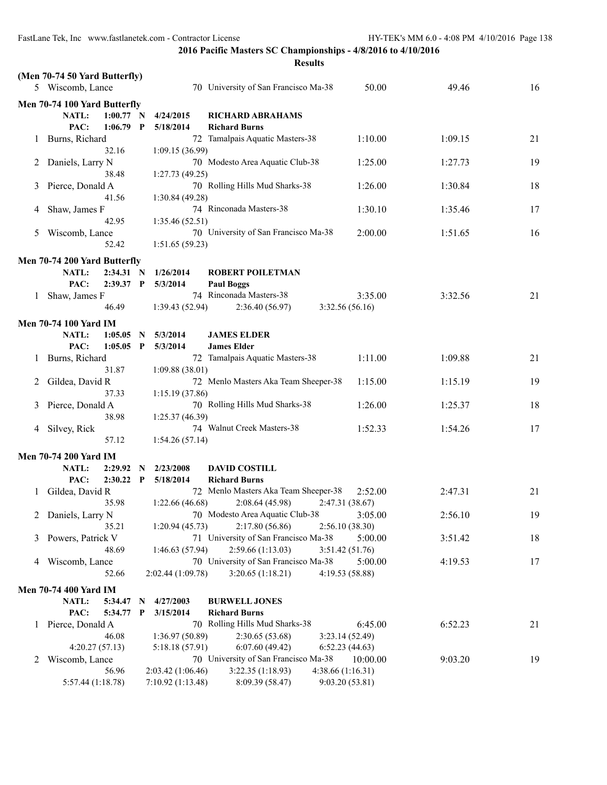|         |                               |             |   |                   | <b>Results</b>                                           |                              |         |    |
|---------|-------------------------------|-------------|---|-------------------|----------------------------------------------------------|------------------------------|---------|----|
|         | (Men 70-74 50 Yard Butterfly) |             |   |                   |                                                          |                              |         |    |
|         | 5 Wiscomb, Lance              |             |   |                   | 70 University of San Francisco Ma-38                     | 50.00                        | 49.46   | 16 |
|         | Men 70-74 100 Yard Butterfly  |             |   |                   |                                                          |                              |         |    |
|         | NATL:                         | $1:00.77$ N |   | 4/24/2015         | <b>RICHARD ABRAHAMS</b>                                  |                              |         |    |
|         | PAC:                          | $1:06.79$ P |   | 5/18/2014         | <b>Richard Burns</b>                                     |                              |         |    |
| $\perp$ | Burns, Richard                |             |   |                   | 72 Tamalpais Aquatic Masters-38                          | 1:10.00                      | 1:09.15 | 21 |
|         |                               | 32.16       |   | 1:09.15(36.99)    |                                                          |                              |         |    |
| 2       | Daniels, Larry N              |             |   |                   | 70 Modesto Area Aquatic Club-38                          | 1:25.00                      | 1:27.73 | 19 |
|         |                               | 38.48       |   | 1:27.73(49.25)    |                                                          |                              |         |    |
| 3       | Pierce, Donald A              |             |   |                   | 70 Rolling Hills Mud Sharks-38                           | 1:26.00                      | 1:30.84 | 18 |
|         |                               | 41.56       |   | 1:30.84(49.28)    |                                                          |                              |         |    |
| 4       | Shaw, James F                 |             |   |                   | 74 Rinconada Masters-38                                  | 1:30.10                      | 1:35.46 | 17 |
|         |                               | 42.95       |   | 1:35.46(52.51)    |                                                          |                              |         |    |
| 5       | Wiscomb, Lance                |             |   |                   | 70 University of San Francisco Ma-38                     | 2:00.00                      | 1:51.65 | 16 |
|         |                               | 52.42       |   | 1:51.65(59.23)    |                                                          |                              |         |    |
|         | Men 70-74 200 Yard Butterfly  |             |   |                   |                                                          |                              |         |    |
|         | <b>NATL:</b>                  | 2:34.31 N   |   | 1/26/2014         | <b>ROBERT POILETMAN</b>                                  |                              |         |    |
|         | PAC:                          | $2:39.37$ P |   | 5/3/2014          | <b>Paul Boggs</b>                                        |                              |         |    |
| 1       | Shaw, James F                 |             |   |                   | 74 Rinconada Masters-38                                  | 3:35.00                      | 3:32.56 | 21 |
|         |                               | 46.49       |   | 1:39.43(52.94)    | 2:36.40(56.97)                                           | 3:32.56(56.16)               |         |    |
|         | <b>Men 70-74 100 Yard IM</b>  |             |   |                   |                                                          |                              |         |    |
|         | <b>NATL:</b>                  | $1:05.05$ N |   | 5/3/2014          | <b>JAMES ELDER</b>                                       |                              |         |    |
|         | PAC:                          | $1:05.05$ P |   | 5/3/2014          | <b>James Elder</b>                                       |                              |         |    |
| 1       | Burns, Richard                |             |   |                   | 72 Tamalpais Aquatic Masters-38                          | 1:11.00                      | 1:09.88 | 21 |
|         |                               | 31.87       |   | 1:09.88(38.01)    |                                                          |                              |         |    |
| 2       | Gildea, David R               |             |   |                   | 72 Menlo Masters Aka Team Sheeper-38                     | 1:15.00                      | 1:15.19 | 19 |
|         |                               | 37.33       |   | 1:15.19(37.86)    |                                                          |                              |         |    |
| 3       | Pierce, Donald A              |             |   |                   | 70 Rolling Hills Mud Sharks-38                           | 1:26.00                      | 1:25.37 | 18 |
|         |                               | 38.98       |   | 1:25.37 (46.39)   |                                                          |                              |         |    |
| 4       | Silvey, Rick                  |             |   |                   | 74 Walnut Creek Masters-38                               | 1:52.33                      | 1:54.26 | 17 |
|         |                               | 57.12       |   | 1:54.26(57.14)    |                                                          |                              |         |    |
|         | <b>Men 70-74 200 Yard IM</b>  |             |   |                   |                                                          |                              |         |    |
|         | <b>NATL:</b>                  | 2:29.92 N   |   | 2/23/2008         | <b>DAVID COSTILL</b>                                     |                              |         |    |
|         | PAC:                          | $2:30.22$ P |   | 5/18/2014         | <b>Richard Burns</b>                                     |                              |         |    |
| 1       | Gildea, David R               |             |   |                   | 72 Menlo Masters Aka Team Sheeper-38                     | 2:52.00                      | 2:47.31 | 21 |
|         |                               | 35.98       |   | 1:22.66(46.68)    | 2:08.64(45.98)                                           | 2:47.31 (38.67)              |         |    |
|         | 2 Daniels, Larry N            |             |   |                   | 70 Modesto Area Aquatic Club-38                          | 3:05.00                      | 2:56.10 | 19 |
|         |                               | 35.21       |   | 1:20.94(45.73)    | 2:17.80(56.86)                                           | 2:56.10(38.30)               |         |    |
| 3       | Powers, Patrick V             |             |   |                   | 71 University of San Francisco Ma-38                     | 5:00.00                      | 3:51.42 | 18 |
|         |                               | 48.69       |   | 1:46.63(57.94)    | 2:59.66 (1:13.03)                                        | 3:51.42(51.76)               |         |    |
| 4       | Wiscomb, Lance                |             |   |                   | 70 University of San Francisco Ma-38                     | 5:00.00                      | 4:19.53 | 17 |
|         |                               | 52.66       |   | 2:02.44 (1:09.78) | 3:20.65(1:18.21)                                         | 4:19.53 (58.88)              |         |    |
|         | <b>Men 70-74 400 Yard IM</b>  |             |   |                   |                                                          |                              |         |    |
|         | NATL:                         | 5:34.47     | N | 4/27/2003         | <b>BURWELL JONES</b>                                     |                              |         |    |
|         | PAC:                          | 5:34.77 P   |   | 3/15/2014         | <b>Richard Burns</b>                                     |                              |         |    |
| 1       | Pierce, Donald A              |             |   |                   | 70 Rolling Hills Mud Sharks-38                           | 6:45.00                      | 6:52.23 | 21 |
|         |                               | 46.08       |   | 1:36.97 (50.89)   | 2:30.65(53.68)                                           | 3:23.14(52.49)               |         |    |
|         | 4:20.27(57.13)                |             |   | 5:18.18(57.91)    | 6:07.60(49.42)                                           | 6:52.23(44.63)               |         |    |
| 2       | Wiscomb, Lance                | 56.96       |   | 2:03.42 (1:06.46) | 70 University of San Francisco Ma-38<br>3:22.35(1:18.93) | 10:00.00<br>4:38.66(1:16.31) | 9:03.20 | 19 |
|         | 5:57.44 (1:18.78)             |             |   | 7:10.92 (1:13.48) | 8:09.39 (58.47)                                          | 9:03.20(53.81)               |         |    |
|         |                               |             |   |                   |                                                          |                              |         |    |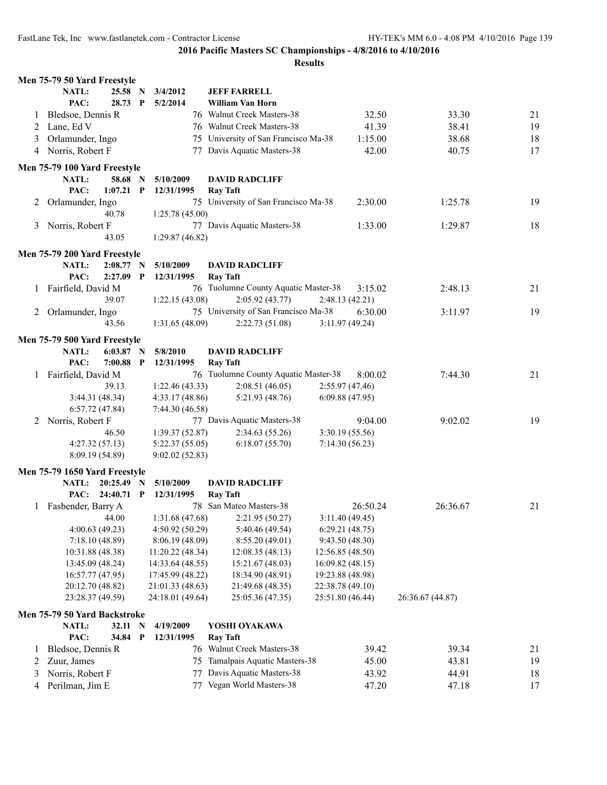|         | Men 75-79 50 Yard Freestyle   |                 |              |                  |                                      |                  |          |                  |    |
|---------|-------------------------------|-----------------|--------------|------------------|--------------------------------------|------------------|----------|------------------|----|
|         | NATL:                         | 25.58 N         |              | 3/4/2012         | <b>JEFF FARRELL</b>                  |                  |          |                  |    |
|         | PAC:                          | 28.73           | $\mathbf{P}$ | 5/2/2014         | William Van Horn                     |                  |          |                  |    |
| $\perp$ | Bledsoe, Dennis R             |                 |              |                  | 76 Walnut Creek Masters-38           |                  | 32.50    | 33.30            | 21 |
| 2       | Lane, Ed V                    |                 |              |                  | 76 Walnut Creek Masters-38           |                  | 41.39    | 38.41            | 19 |
| 3       | Orlamunder, Ingo              |                 |              |                  | 75 University of San Francisco Ma-38 |                  | 1:15.00  | 38.68            | 18 |
| 4       | Norris, Robert F              |                 |              |                  | 77 Davis Aquatic Masters-38          |                  | 42.00    | 40.75            | 17 |
|         | Men 75-79 100 Yard Freestyle  |                 |              |                  |                                      |                  |          |                  |    |
|         | <b>NATL:</b>                  | 58.68           | - N          | 5/10/2009        | <b>DAVID RADCLIFF</b>                |                  |          |                  |    |
|         | PAC:                          | $1:07.21$ P     |              | 12/31/1995       | <b>Ray Taft</b>                      |                  |          |                  |    |
| 2       | Orlamunder, Ingo              |                 |              |                  | 75 University of San Francisco Ma-38 |                  | 2:30.00  | 1:25.78          | 19 |
|         |                               | 40.78           |              | 1:25.78(45.00)   |                                      |                  |          |                  |    |
|         | 3 Norris, Robert F            |                 |              |                  | 77 Davis Aquatic Masters-38          |                  | 1:33.00  | 1:29.87          | 18 |
|         |                               | 43.05           |              | 1:29.87(46.82)   |                                      |                  |          |                  |    |
|         | Men 75-79 200 Yard Freestyle  |                 |              |                  |                                      |                  |          |                  |    |
|         | NATL:                         | 2:08.77 N       |              | 5/10/2009        | <b>DAVID RADCLIFF</b>                |                  |          |                  |    |
|         | PAC:                          | $2:27.09$ P     |              | 12/31/1995       | <b>Ray Taft</b>                      |                  |          |                  |    |
| 1       | Fairfield, David M            |                 |              |                  | 76 Tuolumne County Aquatic Master-38 |                  | 3:15.02  | 2:48.13          | 21 |
|         |                               | 39.07           |              | 1:22.15 (43.08)  | 2:05.92(43.77)                       | 2:48.13 (42.21)  |          |                  |    |
| 2       | Orlamunder, Ingo              |                 |              |                  | 75 University of San Francisco Ma-38 |                  | 6:30.00  | 3:11.97          | 19 |
|         |                               | 43.56           |              | 1:31.65 (48.09)  | 2:22.73(51.08)                       | 3:11.97(49.24)   |          |                  |    |
|         | Men 75-79 500 Yard Freestyle  |                 |              |                  |                                      |                  |          |                  |    |
|         | <b>NATL:</b>                  | 6:03.87         | $\mathbf N$  | 5/8/2010         | <b>DAVID RADCLIFF</b>                |                  |          |                  |    |
|         | PAC:                          | $7:00.88$ P     |              | 12/31/1995       | <b>Ray Taft</b>                      |                  |          |                  |    |
|         | 1 Fairfield, David M          |                 |              |                  | 76 Tuolumne County Aquatic Master-38 |                  | 8:00.02  | 7:44.30          | 21 |
|         |                               | 39.13           |              | 1:22.46(43.33)   | 2:08.51(46.05)                       | 2:55.97 (47.46)  |          |                  |    |
|         |                               | 3:44.31 (48.34) |              | 4:33.17(48.86)   | 5:21.93 (48.76)                      | 6:09.88(47.95)   |          |                  |    |
|         |                               | 6:57.72(47.84)  |              | 7:44.30 (46.58)  |                                      |                  |          |                  |    |
| 2       | Norris, Robert F              |                 |              |                  | 77 Davis Aquatic Masters-38          |                  | 9:04.00  | 9:02.02          | 19 |
|         |                               | 46.50           |              | 1:39.37(52.87)   | 2:34.63(55.26)                       | 3:30.19 (55.56)  |          |                  |    |
|         |                               | 4:27.32(57.13)  |              | 5:22.37(55.05)   | 6:18.07(55.70)                       | 7:14.30(56.23)   |          |                  |    |
|         |                               | 8:09.19 (54.89) |              | 9:02.02(52.83)   |                                      |                  |          |                  |    |
|         | Men 75-79 1650 Yard Freestyle |                 |              |                  |                                      |                  |          |                  |    |
|         | <b>NATL:</b>                  | $20:25.49$ N    |              | 5/10/2009        | <b>DAVID RADCLIFF</b>                |                  |          |                  |    |
|         | PAC:                          | 24:40.71 P      |              | 12/31/1995       | <b>Ray Taft</b>                      |                  |          |                  |    |
|         | 1 Fasbender, Barry A          |                 |              |                  | 78 San Mateo Masters-38              |                  | 26:50.24 | 26:36.67         | 21 |
|         |                               | 44.00           |              | 1:31.68(47.68)   | 2:21.95(50.27)                       | 3:11.40(49.45)   |          |                  |    |
|         |                               | 4:00.63(49.23)  |              | 4:50.92 (50.29)  | 5:40.46 (49.54)                      | 6:29.21(48.75)   |          |                  |    |
|         |                               | 7:18.10(48.89)  |              | 8:06.19(48.09)   | 8:55.20 (49.01)                      | 9:43.50 (48.30)  |          |                  |    |
|         | 10:31.88 (48.38)              |                 |              | 11:20.22 (48.34) | 12:08.35 (48.13)                     | 12:56.85 (48.50) |          |                  |    |
|         | 13:45.09 (48.24)              |                 |              | 14:33.64 (48.55) | 15:21.67 (48.03)                     | 16:09.82 (48.15) |          |                  |    |
|         | 16:57.77 (47.95)              |                 |              | 17:45.99 (48.22) | 18:34.90 (48.91)                     | 19:23.88 (48.98) |          |                  |    |
|         | 20:12.70 (48.82)              |                 |              | 21:01.33 (48.63) | 21:49.68 (48.35)                     | 22:38.78 (49.10) |          |                  |    |
|         | 23:28.37 (49.59)              |                 |              | 24:18.01 (49.64) | 25:05.36 (47.35)                     | 25:51.80 (46.44) |          | 26:36.67 (44.87) |    |
|         | Men 75-79 50 Yard Backstroke  |                 |              |                  |                                      |                  |          |                  |    |
|         | NATL:                         | 32.11 N         |              | 4/19/2009        | YOSHI OYAKAWA                        |                  |          |                  |    |
|         | PAC:                          | 34.84 P         |              | 12/31/1995       | <b>Ray Taft</b>                      |                  |          |                  |    |
| $\perp$ | Bledsoe, Dennis R             |                 |              |                  | 76 Walnut Creek Masters-38           |                  | 39.42    | 39.34            | 21 |
| 2       | Zuur, James                   |                 |              | 75               | Tamalpais Aquatic Masters-38         |                  | 45.00    | 43.81            | 19 |
| 3       | Norris, Robert F              |                 |              | 77               | Davis Aquatic Masters-38             |                  | 43.92    | 44.91            | 18 |
| 4       | Perilman, Jim E               |                 |              | 77               | Vegan World Masters-38               |                  | 47.20    | 47.18            | 17 |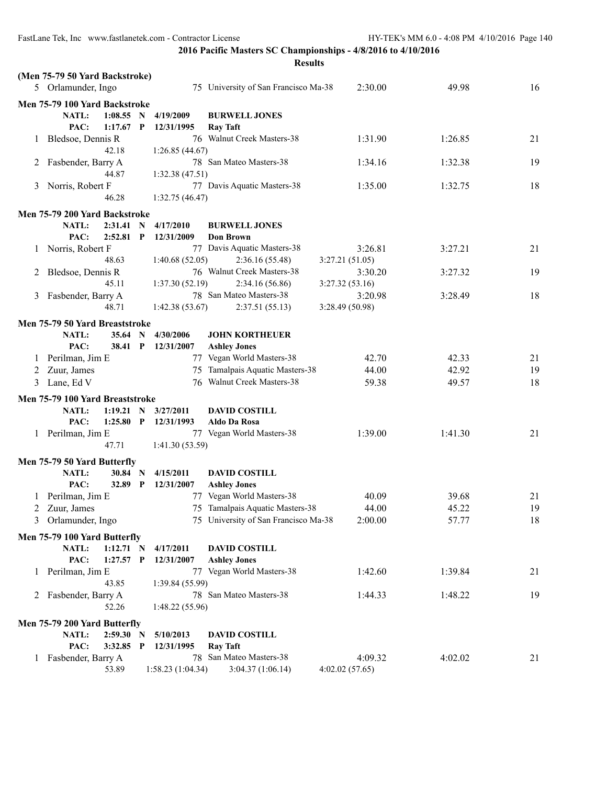|              | <b>Results</b>                  |             |             |                   |                                      |                 |         |    |  |
|--------------|---------------------------------|-------------|-------------|-------------------|--------------------------------------|-----------------|---------|----|--|
|              | (Men 75-79 50 Yard Backstroke)  |             |             |                   |                                      |                 |         |    |  |
|              | 5 Orlamunder, Ingo              |             |             |                   | 75 University of San Francisco Ma-38 | 2:30.00         | 49.98   | 16 |  |
|              | Men 75-79 100 Yard Backstroke   |             |             |                   |                                      |                 |         |    |  |
|              | NATL:                           | $1:08.55$ N |             | 4/19/2009         | <b>BURWELL JONES</b>                 |                 |         |    |  |
|              | PAC:                            | $1:17.67$ P |             | 12/31/1995        | <b>Ray Taft</b>                      |                 |         |    |  |
| $\perp$      | Bledsoe, Dennis R               |             |             |                   | 76 Walnut Creek Masters-38           | 1:31.90         | 1:26.85 | 21 |  |
|              |                                 | 42.18       |             | 1:26.85(44.67)    |                                      |                 |         |    |  |
| 2            | Fasbender, Barry A              |             |             |                   | 78 San Mateo Masters-38              | 1:34.16         | 1:32.38 | 19 |  |
|              |                                 | 44.87       |             | 1:32.38(47.51)    |                                      |                 |         |    |  |
| 3            | Norris, Robert F                |             |             |                   | 77 Davis Aquatic Masters-38          | 1:35.00         | 1:32.75 | 18 |  |
|              |                                 | 46.28       |             | 1:32.75(46.47)    |                                      |                 |         |    |  |
|              | Men 75-79 200 Yard Backstroke   |             |             |                   |                                      |                 |         |    |  |
|              | NATL:                           | $2:31.41$ N |             | 4/17/2010         | <b>BURWELL JONES</b>                 |                 |         |    |  |
|              | PAC:                            | 2:52.81     | $\mathbf P$ | 12/31/2009        | <b>Don Brown</b>                     |                 |         |    |  |
| $\mathbf{I}$ | Norris, Robert F                |             |             |                   | 77 Davis Aquatic Masters-38          | 3:26.81         | 3:27.21 | 21 |  |
|              |                                 | 48.63       |             | 1:40.68(52.05)    | 2:36.16(55.48)                       | 3:27.21 (51.05) |         |    |  |
|              | 2 Bledsoe, Dennis R             |             |             |                   | 76 Walnut Creek Masters-38           | 3:30.20         | 3:27.32 | 19 |  |
|              |                                 | 45.11       |             | 1:37.30(52.19)    | 2:34.16(56.86)                       | 3:27.32(53.16)  |         |    |  |
| 3            | Fasbender, Barry A              |             |             |                   | 78 San Mateo Masters-38              | 3:20.98         | 3:28.49 | 18 |  |
|              |                                 | 48.71       |             | 1:42.38(53.67)    | 2:37.51(55.13)                       | 3:28.49 (50.98) |         |    |  |
|              | Men 75-79 50 Yard Breaststroke  |             |             |                   |                                      |                 |         |    |  |
|              | <b>NATL:</b>                    | 35.64 N     |             | 4/30/2006         | <b>JOHN KORTHEUER</b>                |                 |         |    |  |
|              | PAC:                            | 38.41 P     |             | 12/31/2007        | <b>Ashley Jones</b>                  |                 |         |    |  |
| 1            | Perilman, Jim E                 |             |             |                   | 77 Vegan World Masters-38            | 42.70           | 42.33   | 21 |  |
| 2            | Zuur, James                     |             |             | 75                | Tamalpais Aquatic Masters-38         | 44.00           | 42.92   | 19 |  |
| 3            | Lane, Ed V                      |             |             |                   | 76 Walnut Creek Masters-38           | 59.38           | 49.57   | 18 |  |
|              | Men 75-79 100 Yard Breaststroke |             |             |                   |                                      |                 |         |    |  |
|              | <b>NATL:</b>                    | $1:19.21$ N |             | 3/27/2011         | <b>DAVID COSTILL</b>                 |                 |         |    |  |
|              | PAC:                            | $1:25.80$ P |             | 12/31/1993        | Aldo Da Rosa                         |                 |         |    |  |
|              | 1 Perilman, Jim E               |             |             |                   | 77 Vegan World Masters-38            | 1:39.00         | 1:41.30 | 21 |  |
|              |                                 | 47.71       |             | 1:41.30(53.59)    |                                      |                 |         |    |  |
|              | Men 75-79 50 Yard Butterfly     |             |             |                   |                                      |                 |         |    |  |
|              | NATL:                           | 30.84 N     |             | 4/15/2011         | <b>DAVID COSTILL</b>                 |                 |         |    |  |
|              | PAC:                            | 32.89       | $\mathbf P$ | 12/31/2007        | <b>Ashley Jones</b>                  |                 |         |    |  |
|              | 1 Perilman, Jim E               |             |             |                   | 77 Vegan World Masters-38            | 40.09           | 39.68   | 21 |  |
| 2            | Zuur, James                     |             |             |                   | 75 Tamalpais Aquatic Masters-38      | 44.00           | 45.22   | 19 |  |
| 3            | Orlamunder, Ingo                |             |             |                   | 75 University of San Francisco Ma-38 | 2:00.00         | 57.77   | 18 |  |
|              | Men 75-79 100 Yard Butterfly    |             |             |                   |                                      |                 |         |    |  |
|              | NATL:                           | $1:12.71$ N |             | 4/17/2011         | <b>DAVID COSTILL</b>                 |                 |         |    |  |
|              | PAC:                            | $1:27.57$ P |             | 12/31/2007        | <b>Ashley Jones</b>                  |                 |         |    |  |
| $\perp$      | Perilman, Jim E                 |             |             |                   | 77 Vegan World Masters-38            | 1:42.60         | 1:39.84 | 21 |  |
|              |                                 | 43.85       |             | 1:39.84 (55.99)   |                                      |                 |         |    |  |
|              | 2 Fasbender, Barry A            |             |             |                   | 78 San Mateo Masters-38              | 1:44.33         | 1:48.22 | 19 |  |
|              |                                 | 52.26       |             | 1:48.22(55.96)    |                                      |                 |         |    |  |
|              | Men 75-79 200 Yard Butterfly    |             |             |                   |                                      |                 |         |    |  |
|              | NATL:                           | 2:59.30 N   |             | 5/10/2013         | <b>DAVID COSTILL</b>                 |                 |         |    |  |
|              | PAC:                            | 3:32.85 P   |             | 12/31/1995        | <b>Ray Taft</b>                      |                 |         |    |  |
| $\perp$      | Fasbender, Barry A              |             |             |                   | 78 San Mateo Masters-38              | 4:09.32         | 4:02.02 | 21 |  |
|              |                                 | 53.89       |             | 1:58.23 (1:04.34) | 3:04.37(1:06.14)                     | 4:02.02(57.65)  |         |    |  |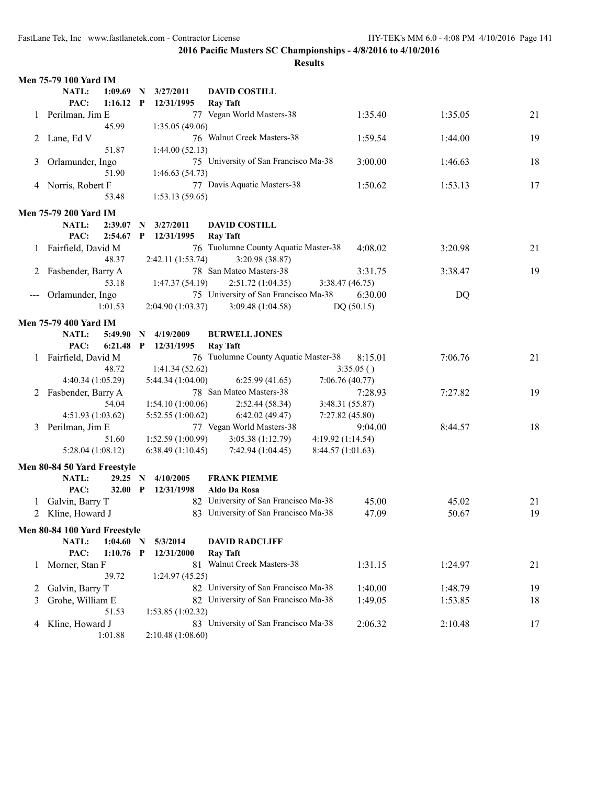|              | <b>Men 75-79 100 Yard IM</b> |              |                   |                                      |                   |         |    |
|--------------|------------------------------|--------------|-------------------|--------------------------------------|-------------------|---------|----|
|              | NATL:<br>1:09.69             | $\mathbf N$  | 3/27/2011         | <b>DAVID COSTILL</b>                 |                   |         |    |
|              | PAC:<br>1:16.12              | $\mathbf{P}$ | 12/31/1995        | <b>Ray Taft</b>                      |                   |         |    |
|              | Perilman, Jim E              |              |                   | 77 Vegan World Masters-38            | 1:35.40           | 1:35.05 | 21 |
|              | 45.99                        |              | 1:35.05 (49.06)   |                                      |                   |         |    |
| 2            | Lane, Ed V                   |              |                   | 76 Walnut Creek Masters-38           | 1:59.54           | 1:44.00 | 19 |
|              | 51.87                        |              | 1:44.00(52.13)    |                                      |                   |         |    |
| 3            | Orlamunder, Ingo             |              |                   | 75 University of San Francisco Ma-38 | 3:00.00           | 1:46.63 | 18 |
|              | 51.90                        |              | 1:46.63(54.73)    |                                      |                   |         |    |
| 4            | Norris, Robert F             |              |                   | 77 Davis Aquatic Masters-38          | 1:50.62           | 1:53.13 | 17 |
|              | 53.48                        |              | 1:53.13(59.65)    |                                      |                   |         |    |
|              | <b>Men 75-79 200 Yard IM</b> |              |                   |                                      |                   |         |    |
|              | NATL:<br>2:39.07             | N            | 3/27/2011         | <b>DAVID COSTILL</b>                 |                   |         |    |
|              | PAC:<br>2:54.67              | $\mathbf{P}$ | 12/31/1995        | <b>Ray Taft</b>                      |                   |         |    |
|              | 1 Fairfield, David M         |              |                   | 76 Tuolumne County Aquatic Master-38 | 4:08.02           | 3:20.98 | 21 |
|              | 48.37                        |              | 2:42.11 (1:53.74) | 3:20.98 (38.87)                      |                   |         |    |
| 2            | Fasbender, Barry A           |              |                   | 78 San Mateo Masters-38              | 3:31.75           | 3:38.47 | 19 |
|              | 53.18                        |              | 1:47.37(54.19)    | 2:51.72(1:04.35)                     | 3:38.47(46.75)    |         |    |
|              | Orlamunder, Ingo             |              |                   | 75 University of San Francisco Ma-38 | 6:30.00           | DQ      |    |
|              | 1:01.53                      |              | 2:04.90(1:03.37)  | 3:09.48(1:04.58)                     | DQ(50.15)         |         |    |
|              | <b>Men 75-79 400 Yard IM</b> |              |                   |                                      |                   |         |    |
|              | <b>NATL:</b><br>5:49.90      | N            | 4/19/2009         | <b>BURWELL JONES</b>                 |                   |         |    |
|              | PAC:<br>6:21.48              | $\mathbf P$  | 12/31/1995        | <b>Ray Taft</b>                      |                   |         |    |
| 1            | Fairfield, David M           |              |                   | 76 Tuolumne County Aquatic Master-38 | 8:15.01           | 7:06.76 | 21 |
|              | 48.72                        |              | 1:41.34(52.62)    |                                      | 3:35.05()         |         |    |
|              | 4:40.34 (1:05.29)            |              | 5:44.34 (1:04.00) | 6:25.99(41.65)                       | 7:06.76 (40.77)   |         |    |
| 2            | Fasbender, Barry A           |              |                   | 78 San Mateo Masters-38              | 7:28.93           | 7:27.82 | 19 |
|              | 54.04                        |              | 1:54.10(1:00.06)  | 2:52.44(58.34)                       | 3:48.31(55.87)    |         |    |
|              | 4:51.93 (1:03.62)            |              | 5:52.55(1:00.62)  | 6:42.02(49.47)                       | 7:27.82(45.80)    |         |    |
|              | 3 Perilman, Jim E            |              |                   | 77 Vegan World Masters-38            | 9:04.00           | 8:44.57 | 18 |
|              | 51.60                        |              | 1:52.59(1:00.99)  | 3:05.38(1:12.79)                     | 4:19.92 (1:14.54) |         |    |
|              | 5:28.04(1:08.12)             |              | 6:38.49(1:10.45)  | 7:42.94(1:04.45)                     | 8:44.57 (1:01.63) |         |    |
|              | Men 80-84 50 Yard Freestyle  |              |                   |                                      |                   |         |    |
|              | <b>NATL:</b><br>29.25 N      |              | 4/10/2005         | <b>FRANK PIEMME</b>                  |                   |         |    |
|              | PAC:<br>32.00 P              |              | 12/31/1998        | Aldo Da Rosa                         |                   |         |    |
|              | Galvin, Barry T              |              |                   | 82 University of San Francisco Ma-38 | 45.00             | 45.02   | 21 |
| 2            | Kline, Howard J              |              |                   | 83 University of San Francisco Ma-38 | 47.09             | 50.67   | 19 |
|              | Men 80-84 100 Yard Freestyle |              |                   |                                      |                   |         |    |
|              | NATL:<br>$1:04.60$ N         |              | 5/3/2014          | <b>DAVID RADCLIFF</b>                |                   |         |    |
|              | PAC:<br>$1:10.76$ P          |              | 12/31/2000        | <b>Ray Taft</b>                      |                   |         |    |
| $\mathbf{1}$ | Morner, Stan F               |              |                   | 81 Walnut Creek Masters-38           | 1:31.15           | 1:24.97 | 21 |
|              | 39.72                        |              | 1:24.97(45.25)    |                                      |                   |         |    |
| 2            | Galvin, Barry T              |              |                   | 82 University of San Francisco Ma-38 | 1:40.00           | 1:48.79 | 19 |
| 3            | Grohe, William E             |              |                   | 82 University of San Francisco Ma-38 | 1:49.05           | 1:53.85 | 18 |
|              | 51.53                        |              | 1:53.85(1:02.32)  |                                      |                   |         |    |
| 4            | Kline, Howard J              |              |                   | 83 University of San Francisco Ma-38 | 2:06.32           | 2:10.48 | 17 |
|              | 1:01.88                      |              | 2:10.48(1:08.60)  |                                      |                   |         |    |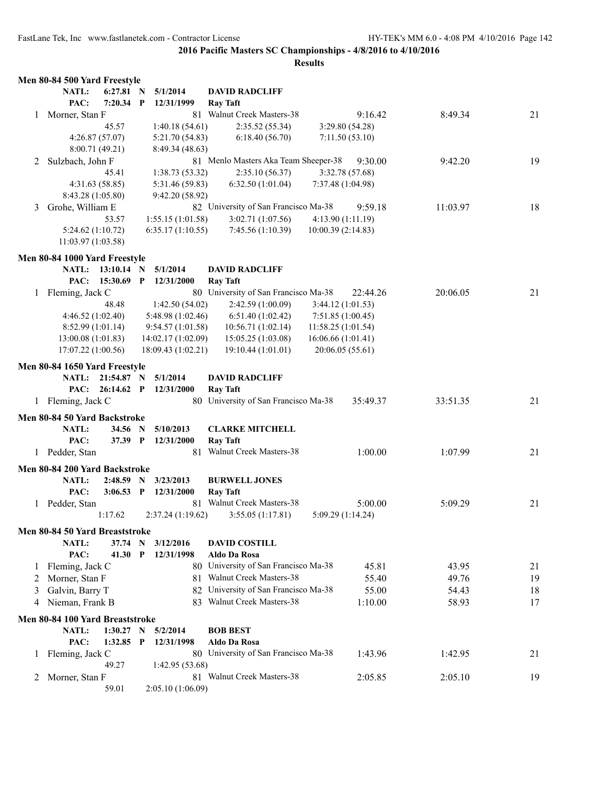|   | Men 80-84 500 Yard Freestyle    |              |              |                    |                                      |                    |          |          |    |
|---|---------------------------------|--------------|--------------|--------------------|--------------------------------------|--------------------|----------|----------|----|
|   | NATL:                           | 6:27.81 N    |              | 5/1/2014           | <b>DAVID RADCLIFF</b>                |                    |          |          |    |
|   | PAC:                            | 7:20.34      | $\mathbf{P}$ | 12/31/1999         | <b>Ray Taft</b>                      |                    |          |          |    |
| 1 | Morner, Stan F                  |              |              |                    | 81 Walnut Creek Masters-38           |                    | 9:16.42  | 8:49.34  | 21 |
|   |                                 | 45.57        |              | 1:40.18(54.61)     | 2:35.52 (55.34)                      | 3:29.80(54.28)     |          |          |    |
|   | 4:26.87(57.07)                  |              |              | 5:21.70(54.83)     | 6:18.40(56.70)                       | 7:11.50(53.10)     |          |          |    |
|   | 8:00.71(49.21)                  |              |              | 8:49.34 (48.63)    |                                      |                    |          |          |    |
| 2 | Sulzbach, John F                |              |              |                    | 81 Menlo Masters Aka Team Sheeper-38 |                    | 9:30.00  | 9:42.20  | 19 |
|   |                                 | 45.41        |              | 1:38.73(53.32)     | 2:35.10(56.37)                       | 3:32.78 (57.68)    |          |          |    |
|   | 4:31.63(58.85)                  |              |              | 5:31.46 (59.83)    | 6:32.50(1:01.04)                     | 7:37.48 (1:04.98)  |          |          |    |
|   | 8:43.28 (1:05.80)               |              |              | 9:42.20 (58.92)    |                                      |                    |          |          |    |
| 3 | Grohe, William E                |              |              |                    | 82 University of San Francisco Ma-38 |                    | 9:59.18  | 11:03.97 | 18 |
|   |                                 | 53.57        |              | 1:55.15(1:01.58)   | 3:02.71(1:07.56)                     | 4:13.90 (1:11.19)  |          |          |    |
|   | 5:24.62(1:10.72)                |              |              | 6:35.17(1:10.55)   | 7:45.56 (1:10.39)                    | 10:00.39 (2:14.83) |          |          |    |
|   | 11:03.97 (1:03.58)              |              |              |                    |                                      |                    |          |          |    |
|   |                                 |              |              |                    |                                      |                    |          |          |    |
|   | Men 80-84 1000 Yard Freestyle   |              |              |                    |                                      |                    |          |          |    |
|   | <b>NATL:</b>                    | $13:10.14$ N |              | 5/1/2014           | <b>DAVID RADCLIFF</b>                |                    |          |          |    |
|   | PAC:                            | 15:30.69     | $\mathbf{P}$ | 12/31/2000         | <b>Ray Taft</b>                      |                    |          |          |    |
|   | 1 Fleming, Jack C               |              |              |                    | 80 University of San Francisco Ma-38 |                    | 22:44.26 | 20:06.05 | 21 |
|   |                                 | 48.48        |              | 1:42.50(54.02)     | 2:42.59 (1:00.09)                    | 3:44.12(1:01.53)   |          |          |    |
|   | 4:46.52(1:02.40)                |              |              | 5:48.98(1:02.46)   | 6:51.40(1:02.42)                     | 7:51.85(1:00.45)   |          |          |    |
|   | 8:52.99(1:01.14)                |              |              | 9:54.57(1:01.58)   | 10:56.71(1:02.14)                    | 11:58.25 (1:01.54) |          |          |    |
|   | 13:00.08(1:01.83)               |              |              | 14:02.17 (1:02.09) | 15:05.25(1:03.08)                    | 16:06.66 (1:01.41) |          |          |    |
|   | 17:07.22 (1:00.56)              |              |              | 18:09.43 (1:02.21) | 19:10.44 (1:01.01)                   | 20:06.05 (55.61)   |          |          |    |
|   |                                 |              |              |                    |                                      |                    |          |          |    |
|   | Men 80-84 1650 Yard Freestyle   |              |              |                    |                                      |                    |          |          |    |
|   | <b>NATL:</b>                    | 21:54.87 N   |              | 5/1/2014           | <b>DAVID RADCLIFF</b>                |                    |          |          |    |
|   | PAC:                            | 26:14.62 P   |              | 12/31/2000         | <b>Ray Taft</b>                      |                    |          |          |    |
|   | 1 Fleming, Jack C               |              |              |                    | 80 University of San Francisco Ma-38 |                    | 35:49.37 | 33:51.35 | 21 |
|   | Men 80-84 50 Yard Backstroke    |              |              |                    |                                      |                    |          |          |    |
|   | NATL:                           | 34.56 N      |              | 5/10/2013          | <b>CLARKE MITCHELL</b>               |                    |          |          |    |
|   | PAC:                            | 37.39 P      |              | 12/31/2000         | <b>Ray Taft</b>                      |                    |          |          |    |
|   | 1 Pedder, Stan                  |              |              |                    | 81 Walnut Creek Masters-38           |                    | 1:00.00  | 1:07.99  | 21 |
|   |                                 |              |              |                    |                                      |                    |          |          |    |
|   | Men 80-84 200 Yard Backstroke   |              |              |                    |                                      |                    |          |          |    |
|   | NATL:                           | 2:48.59      | $\mathbf N$  | 3/23/2013          | <b>BURWELL JONES</b>                 |                    |          |          |    |
|   | PAC:                            | 3:06.53      | $\mathbf{P}$ | 12/31/2000         | <b>Ray Taft</b>                      |                    |          |          |    |
|   | 1 Pedder, Stan                  |              |              |                    | 81 Walnut Creek Masters-38           |                    | 5:00.00  | 5:09.29  | 21 |
|   |                                 | 1:17.62      |              | 2:37.24(1:19.62)   | 3:55.05(1:17.81)                     | 5:09.29 (1:14.24)  |          |          |    |
|   | Men 80-84 50 Yard Breaststroke  |              |              |                    |                                      |                    |          |          |    |
|   | NATL:                           | 37.74 N      |              | 3/12/2016          | <b>DAVID COSTILL</b>                 |                    |          |          |    |
|   | PAC:                            | 41.30        | $\mathbf{P}$ | 12/31/1998         | <b>Aldo Da Rosa</b>                  |                    |          |          |    |
| 1 | Fleming, Jack C                 |              |              |                    | 80 University of San Francisco Ma-38 |                    | 45.81    | 43.95    | 21 |
| 2 | Morner, Stan F                  |              |              |                    | 81 Walnut Creek Masters-38           |                    | 55.40    | 49.76    | 19 |
| 3 | Galvin, Barry T                 |              |              |                    | 82 University of San Francisco Ma-38 |                    | 55.00    | 54.43    | 18 |
| 4 | Nieman, Frank B                 |              |              |                    | 83 Walnut Creek Masters-38           |                    | 1:10.00  | 58.93    | 17 |
|   |                                 |              |              |                    |                                      |                    |          |          |    |
|   | Men 80-84 100 Yard Breaststroke |              |              |                    |                                      |                    |          |          |    |
|   | <b>NATL:</b>                    | 1:30.27      | N            | 5/2/2014           | <b>BOB BEST</b>                      |                    |          |          |    |
|   | PAC:                            | 1:32.85 P    |              | 12/31/1998         | Aldo Da Rosa                         |                    |          |          |    |
| 1 | Fleming, Jack C                 |              |              |                    | 80 University of San Francisco Ma-38 |                    | 1:43.96  | 1:42.95  | 21 |
|   |                                 | 49.27        |              | 1:42.95 (53.68)    |                                      |                    |          |          |    |
| 2 | Morner, Stan F                  |              |              |                    | 81 Walnut Creek Masters-38           |                    | 2:05.85  | 2:05.10  | 19 |
|   |                                 | 59.01        |              | 2:05.10(1:06.09)   |                                      |                    |          |          |    |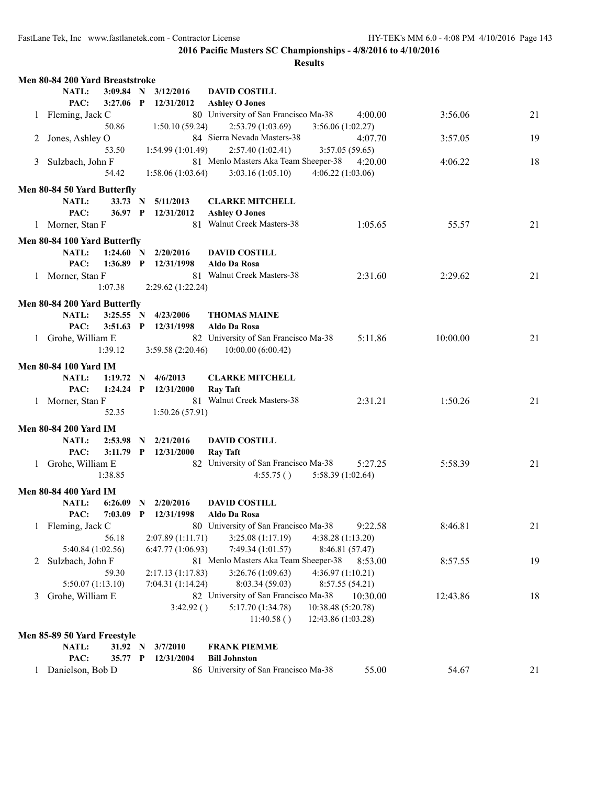|              | Men 80-84 200 Yard Breaststroke |              |                   |                                                  |          |    |
|--------------|---------------------------------|--------------|-------------------|--------------------------------------------------|----------|----|
|              | NATL:                           | $3:09.84$ N  | 3/12/2016         | <b>DAVID COSTILL</b>                             |          |    |
|              | PAC:                            | $3:27.06$ P  | 12/31/2012        | <b>Ashley O Jones</b>                            |          |    |
| $\mathbf{1}$ | Fleming, Jack C                 |              |                   | 80 University of San Francisco Ma-38<br>4:00.00  | 3:56.06  | 21 |
|              | 50.86                           |              | 1:50.10(59.24)    | 2:53.79(1:03.69)<br>3:56.06(1:02.27)             |          |    |
| 2            | Jones, Ashley O                 |              |                   | 84 Sierra Nevada Masters-38<br>4:07.70           | 3:57.05  | 19 |
|              | 53.50                           |              | 1:54.99(1:01.49)  | 2:57.40(1:02.41)<br>3:57.05(59.65)               |          |    |
| 3            | Sulzbach, John F                |              |                   | 81 Menlo Masters Aka Team Sheeper-38<br>4:20.00  | 4:06.22  | 18 |
|              | 54.42                           |              | 1:58.06(1:03.64)  | 3:03.16(1:05.10)<br>4:06.22(1:03.06)             |          |    |
|              |                                 |              |                   |                                                  |          |    |
|              | Men 80-84 50 Yard Butterfly     |              |                   |                                                  |          |    |
|              | NATL:                           | 33.73 N      | 5/11/2013         | <b>CLARKE MITCHELL</b>                           |          |    |
|              | PAC:                            | 36.97 P      | 12/31/2012        | <b>Ashley O Jones</b>                            |          |    |
|              | 1 Morner, Stan F                |              |                   | 81 Walnut Creek Masters-38<br>1:05.65            | 55.57    | 21 |
|              | Men 80-84 100 Yard Butterfly    |              |                   |                                                  |          |    |
|              | NATL:                           | 1:24.60 N    | 2/20/2016         | <b>DAVID COSTILL</b>                             |          |    |
|              | PAC:                            | $1:36.89$ P  | 12/31/1998        | Aldo Da Rosa                                     |          |    |
| $\mathbf{1}$ | Morner, Stan F                  |              |                   | 81 Walnut Creek Masters-38<br>2:31.60            | 2:29.62  | 21 |
|              | 1:07.38                         |              | 2:29.62(1:22.24)  |                                                  |          |    |
|              |                                 |              |                   |                                                  |          |    |
|              | Men 80-84 200 Yard Butterfly    |              |                   |                                                  |          |    |
|              | NATL:                           | 3:25.55 N    | 4/23/2006         | <b>THOMAS MAINE</b>                              |          |    |
|              | PAC:<br>3:51.63                 | $\mathbf{P}$ | 12/31/1998        | Aldo Da Rosa                                     |          |    |
| $\mathbf{1}$ | Grohe, William E                |              |                   | 82 University of San Francisco Ma-38<br>5:11.86  | 10:00.00 | 21 |
|              | 1:39.12                         |              | 3:59.58(2:20.46)  | 10:00.00(6:00.42)                                |          |    |
|              | <b>Men 80-84 100 Yard IM</b>    |              |                   |                                                  |          |    |
|              |                                 |              |                   |                                                  |          |    |
|              | NATL:<br>1:19.72                | N.           | 4/6/2013          | <b>CLARKE MITCHELL</b>                           |          |    |
|              | PAC:                            | $1:24.24$ P  | 12/31/2000        | <b>Ray Taft</b>                                  |          |    |
|              | 1 Morner, Stan F                |              |                   | 81 Walnut Creek Masters-38<br>2:31.21            | 1:50.26  | 21 |
|              | 52.35                           |              | 1:50.26(57.91)    |                                                  |          |    |
|              | <b>Men 80-84 200 Yard IM</b>    |              |                   |                                                  |          |    |
|              | <b>NATL:</b><br>2:53.98         | - N          | 2/21/2016         | <b>DAVID COSTILL</b>                             |          |    |
|              | PAC:                            | $3:11.79$ P  | 12/31/2000        | <b>Ray Taft</b>                                  |          |    |
|              | 1 Grohe, William E              |              |                   | 82 University of San Francisco Ma-38<br>5:27.25  | 5:58.39  | 21 |
|              | 1:38.85                         |              |                   | 4:55.75()<br>5:58.39 (1:02.64)                   |          |    |
|              |                                 |              |                   |                                                  |          |    |
|              | <b>Men 80-84 400 Yard IM</b>    |              |                   |                                                  |          |    |
|              | <b>NATL:</b><br>6:26.09         | $\mathbf N$  | 2/20/2016         | <b>DAVID COSTILL</b>                             |          |    |
|              | 7:03.09<br>PAC:                 | $\mathbf{P}$ | 12/31/1998        | Aldo Da Rosa                                     |          |    |
| $\mathbf{1}$ | Fleming, Jack C                 |              |                   | 80 University of San Francisco Ma-38<br>9:22.58  | 8:46.81  | 21 |
|              | 56.18                           |              | 2:07.89 (1:11.71) | 3:25.08 (1:17.19)<br>4:38.28 (1:13.20)           |          |    |
|              | 5:40.84 (1:02.56)               |              | 6:47.77(1:06.93)  | 7:49.34 (1:01.57)<br>8:46.81 (57.47)             |          |    |
| 2            | Sulzbach, John F                |              |                   | 81 Menlo Masters Aka Team Sheeper-38<br>8:53.00  | 8:57.55  | 19 |
|              | 59.30                           |              | 2:17.13(1:17.83)  | 3:26.76 (1:09.63)<br>4:36.97(1:10.21)            |          |    |
|              | 5:50.07(1:13.10)                |              | 7:04.31 (1:14.24) | 8:03.34 (59.03)<br>8:57.55 (54.21)               |          |    |
| 3            | Grohe, William E                |              |                   | 82 University of San Francisco Ma-38<br>10:30.00 | 12:43.86 | 18 |
|              |                                 |              | 3:42.92()         | 5:17.70 (1:34.78)<br>10:38.48 (5:20.78)          |          |    |
|              |                                 |              |                   | 12:43.86 (1:03.28)<br>11:40.58()                 |          |    |
|              |                                 |              |                   |                                                  |          |    |
|              | Men 85-89 50 Yard Freestyle     |              |                   |                                                  |          |    |
|              | NATL:                           | 31.92 N      | 3/7/2010          | <b>FRANK PIEMME</b>                              |          |    |
|              | PAC:                            | 35.77 P      | 12/31/2004        | <b>Bill Johnston</b>                             |          |    |
|              | Danielson, Bob D                |              |                   | 86 University of San Francisco Ma-38<br>55.00    | 54.67    | 21 |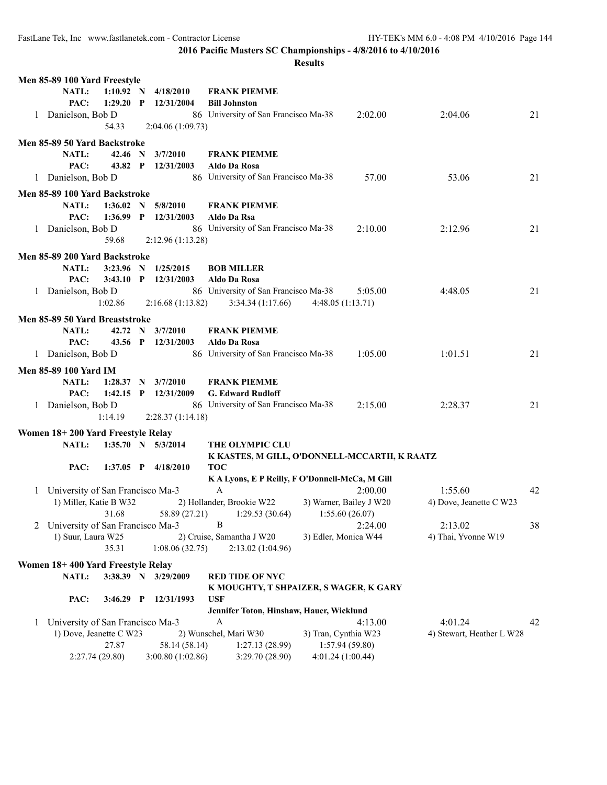| NATL:<br>$1:10.92$ N<br>4/18/2010<br><b>FRANK PIEMME</b><br>PAC:<br>$1:29.20$ P<br>12/31/2004<br><b>Bill Johnston</b><br>86 University of San Francisco Ma-38<br>Danielson, Bob D<br>2:02.00<br>2:04.06<br>21<br>1<br>54.33<br>2:04.06(1:09.73)<br>Men 85-89 50 Yard Backstroke<br>NATL:<br>42.46 N<br>3/7/2010<br><b>FRANK PIEMME</b><br>PAC:<br>43.82 P<br>12/31/2003<br>Aldo Da Rosa<br>86 University of San Francisco Ma-38<br>57.00<br>53.06<br>21<br>1 Danielson, Bob D<br>Men 85-89 100 Yard Backstroke<br>NATL:<br>1:36.02 N<br><b>FRANK PIEMME</b><br>5/8/2010<br>PAC:<br>$1:36.99$ P<br>12/31/2003<br>Aldo Da Rsa<br>86 University of San Francisco Ma-38<br>1 Danielson, Bob D<br>2:10.00<br>2:12.96<br>21<br>59.68<br>2:12.96(1:13.28)<br>Men 85-89 200 Yard Backstroke<br>NATL:<br>3:23.96 N 1/25/2015<br><b>BOB MILLER</b><br>PAC:<br>$3:43.10$ P<br>12/31/2003<br><b>Aldo Da Rosa</b><br>86 University of San Francisco Ma-38<br>Danielson, Bob D<br>5:05.00<br>4:48.05<br>21<br>$\mathbf{1}$<br>2:16.68(1:13.82)<br>3:34.34(1:17.66)<br>4:48.05 (1:13.71)<br>1:02.86<br>Men 85-89 50 Yard Breaststroke<br>3/7/2010<br>NATL:<br>42.72 N<br><b>FRANK PIEMME</b><br>PAC:<br>43.56 P<br>12/31/2003<br>Aldo Da Rosa<br>86 University of San Francisco Ma-38<br>1:05.00<br>1:01.51<br>21<br>1 Danielson, Bob D<br><b>Men 85-89 100 Yard IM</b><br><b>FRANK PIEMME</b><br>NATL:<br>1:28.37 N<br>3/7/2010<br>PAC:<br>$1:42.15$ P<br>12/31/2009<br><b>G. Edward Rudloff</b><br>86 University of San Francisco Ma-38<br>2:28.37<br>21<br>2:15.00<br>1 Danielson, Bob D<br>1:14.19<br>2:28.37(1:14.18)<br>Women 18+200 Yard Freestyle Relay<br>$1:35.70$ N $5/3/2014$<br>THE OLYMPIC CLU<br>NATL:<br>K KASTES, M GILL, O'DONNELL-MCCARTH, K RAATZ<br>1:37.05 P 4/18/2010<br><b>TOC</b><br>PAC:<br>KA Lyons, E P Reilly, F O'Donnell-McCa, M Gill<br>$\mathbf{A}$<br>1:55.60<br>1 University of San Francisco Ma-3<br>2:00.00<br>42<br>1) Miller, Katie B W32<br>2) Hollander, Brookie W22<br>3) Warner, Bailey J W20<br>4) Dove, Jeanette C W23<br>31.68<br>58.89 (27.21)<br>1:55.60(26.07)<br>1:29.53(30.64)<br>B<br>2 University of San Francisco Ma-3<br>2:24.00<br>2:13.02<br>38<br>1) Suur, Laura W25<br>2) Cruise, Samantha J W20<br>4) Thai, Yvonne W19<br>3) Edler, Monica W44<br>35.31<br>1:08.06(32.75)<br>2:13.02 (1:04.96)<br>Women 18+400 Yard Freestyle Relay<br>NATL:<br>3:38.39 N 3/29/2009<br><b>RED TIDE OF NYC</b><br>K MOUGHTY, T SHPAIZER, S WAGER, K GARY<br>PAC:<br>$3:46.29$ P<br>12/31/1993<br><b>USF</b><br>Jennifer Toton, Hinshaw, Hauer, Wicklund<br>University of San Francisco Ma-3<br>4:01.24<br>A<br>4:13.00<br>42<br>1<br>1) Dove, Jeanette C W23<br>2) Wunschel, Mari W30<br>3) Tran, Cynthia W23<br>4) Stewart, Heather L W28<br>27.87<br>58.14 (58.14)<br>1:57.94(59.80)<br>1:27.13(28.99)<br>4:01.24(1:00.44)<br>2:27.74 (29.80)<br>3:00.80 (1:02.86)<br>3:29.70 (28.90) | Men 85-89 100 Yard Freestyle |  |  |  |  |
|---------------------------------------------------------------------------------------------------------------------------------------------------------------------------------------------------------------------------------------------------------------------------------------------------------------------------------------------------------------------------------------------------------------------------------------------------------------------------------------------------------------------------------------------------------------------------------------------------------------------------------------------------------------------------------------------------------------------------------------------------------------------------------------------------------------------------------------------------------------------------------------------------------------------------------------------------------------------------------------------------------------------------------------------------------------------------------------------------------------------------------------------------------------------------------------------------------------------------------------------------------------------------------------------------------------------------------------------------------------------------------------------------------------------------------------------------------------------------------------------------------------------------------------------------------------------------------------------------------------------------------------------------------------------------------------------------------------------------------------------------------------------------------------------------------------------------------------------------------------------------------------------------------------------------------------------------------------------------------------------------------------------------------------------------------------------------------------------------------------------------------------------------------------------------------------------------------------------------------------------------------------------------------------------------------------------------------------------------------------------------------------------------------------------------------------------------------------------------------------------------------------------------------------------------------------------------------------------------------------------------------------------------------------------------------------------------------------------------------------------------------------------------------------------------------------------------------------------------------------------------------------------------------------------|------------------------------|--|--|--|--|
|                                                                                                                                                                                                                                                                                                                                                                                                                                                                                                                                                                                                                                                                                                                                                                                                                                                                                                                                                                                                                                                                                                                                                                                                                                                                                                                                                                                                                                                                                                                                                                                                                                                                                                                                                                                                                                                                                                                                                                                                                                                                                                                                                                                                                                                                                                                                                                                                                                                                                                                                                                                                                                                                                                                                                                                                                                                                                                                     |                              |  |  |  |  |
|                                                                                                                                                                                                                                                                                                                                                                                                                                                                                                                                                                                                                                                                                                                                                                                                                                                                                                                                                                                                                                                                                                                                                                                                                                                                                                                                                                                                                                                                                                                                                                                                                                                                                                                                                                                                                                                                                                                                                                                                                                                                                                                                                                                                                                                                                                                                                                                                                                                                                                                                                                                                                                                                                                                                                                                                                                                                                                                     |                              |  |  |  |  |
|                                                                                                                                                                                                                                                                                                                                                                                                                                                                                                                                                                                                                                                                                                                                                                                                                                                                                                                                                                                                                                                                                                                                                                                                                                                                                                                                                                                                                                                                                                                                                                                                                                                                                                                                                                                                                                                                                                                                                                                                                                                                                                                                                                                                                                                                                                                                                                                                                                                                                                                                                                                                                                                                                                                                                                                                                                                                                                                     |                              |  |  |  |  |
|                                                                                                                                                                                                                                                                                                                                                                                                                                                                                                                                                                                                                                                                                                                                                                                                                                                                                                                                                                                                                                                                                                                                                                                                                                                                                                                                                                                                                                                                                                                                                                                                                                                                                                                                                                                                                                                                                                                                                                                                                                                                                                                                                                                                                                                                                                                                                                                                                                                                                                                                                                                                                                                                                                                                                                                                                                                                                                                     |                              |  |  |  |  |
|                                                                                                                                                                                                                                                                                                                                                                                                                                                                                                                                                                                                                                                                                                                                                                                                                                                                                                                                                                                                                                                                                                                                                                                                                                                                                                                                                                                                                                                                                                                                                                                                                                                                                                                                                                                                                                                                                                                                                                                                                                                                                                                                                                                                                                                                                                                                                                                                                                                                                                                                                                                                                                                                                                                                                                                                                                                                                                                     |                              |  |  |  |  |
|                                                                                                                                                                                                                                                                                                                                                                                                                                                                                                                                                                                                                                                                                                                                                                                                                                                                                                                                                                                                                                                                                                                                                                                                                                                                                                                                                                                                                                                                                                                                                                                                                                                                                                                                                                                                                                                                                                                                                                                                                                                                                                                                                                                                                                                                                                                                                                                                                                                                                                                                                                                                                                                                                                                                                                                                                                                                                                                     |                              |  |  |  |  |
|                                                                                                                                                                                                                                                                                                                                                                                                                                                                                                                                                                                                                                                                                                                                                                                                                                                                                                                                                                                                                                                                                                                                                                                                                                                                                                                                                                                                                                                                                                                                                                                                                                                                                                                                                                                                                                                                                                                                                                                                                                                                                                                                                                                                                                                                                                                                                                                                                                                                                                                                                                                                                                                                                                                                                                                                                                                                                                                     |                              |  |  |  |  |
|                                                                                                                                                                                                                                                                                                                                                                                                                                                                                                                                                                                                                                                                                                                                                                                                                                                                                                                                                                                                                                                                                                                                                                                                                                                                                                                                                                                                                                                                                                                                                                                                                                                                                                                                                                                                                                                                                                                                                                                                                                                                                                                                                                                                                                                                                                                                                                                                                                                                                                                                                                                                                                                                                                                                                                                                                                                                                                                     |                              |  |  |  |  |
|                                                                                                                                                                                                                                                                                                                                                                                                                                                                                                                                                                                                                                                                                                                                                                                                                                                                                                                                                                                                                                                                                                                                                                                                                                                                                                                                                                                                                                                                                                                                                                                                                                                                                                                                                                                                                                                                                                                                                                                                                                                                                                                                                                                                                                                                                                                                                                                                                                                                                                                                                                                                                                                                                                                                                                                                                                                                                                                     |                              |  |  |  |  |
|                                                                                                                                                                                                                                                                                                                                                                                                                                                                                                                                                                                                                                                                                                                                                                                                                                                                                                                                                                                                                                                                                                                                                                                                                                                                                                                                                                                                                                                                                                                                                                                                                                                                                                                                                                                                                                                                                                                                                                                                                                                                                                                                                                                                                                                                                                                                                                                                                                                                                                                                                                                                                                                                                                                                                                                                                                                                                                                     |                              |  |  |  |  |
|                                                                                                                                                                                                                                                                                                                                                                                                                                                                                                                                                                                                                                                                                                                                                                                                                                                                                                                                                                                                                                                                                                                                                                                                                                                                                                                                                                                                                                                                                                                                                                                                                                                                                                                                                                                                                                                                                                                                                                                                                                                                                                                                                                                                                                                                                                                                                                                                                                                                                                                                                                                                                                                                                                                                                                                                                                                                                                                     |                              |  |  |  |  |
|                                                                                                                                                                                                                                                                                                                                                                                                                                                                                                                                                                                                                                                                                                                                                                                                                                                                                                                                                                                                                                                                                                                                                                                                                                                                                                                                                                                                                                                                                                                                                                                                                                                                                                                                                                                                                                                                                                                                                                                                                                                                                                                                                                                                                                                                                                                                                                                                                                                                                                                                                                                                                                                                                                                                                                                                                                                                                                                     |                              |  |  |  |  |
|                                                                                                                                                                                                                                                                                                                                                                                                                                                                                                                                                                                                                                                                                                                                                                                                                                                                                                                                                                                                                                                                                                                                                                                                                                                                                                                                                                                                                                                                                                                                                                                                                                                                                                                                                                                                                                                                                                                                                                                                                                                                                                                                                                                                                                                                                                                                                                                                                                                                                                                                                                                                                                                                                                                                                                                                                                                                                                                     |                              |  |  |  |  |
|                                                                                                                                                                                                                                                                                                                                                                                                                                                                                                                                                                                                                                                                                                                                                                                                                                                                                                                                                                                                                                                                                                                                                                                                                                                                                                                                                                                                                                                                                                                                                                                                                                                                                                                                                                                                                                                                                                                                                                                                                                                                                                                                                                                                                                                                                                                                                                                                                                                                                                                                                                                                                                                                                                                                                                                                                                                                                                                     |                              |  |  |  |  |
|                                                                                                                                                                                                                                                                                                                                                                                                                                                                                                                                                                                                                                                                                                                                                                                                                                                                                                                                                                                                                                                                                                                                                                                                                                                                                                                                                                                                                                                                                                                                                                                                                                                                                                                                                                                                                                                                                                                                                                                                                                                                                                                                                                                                                                                                                                                                                                                                                                                                                                                                                                                                                                                                                                                                                                                                                                                                                                                     |                              |  |  |  |  |
|                                                                                                                                                                                                                                                                                                                                                                                                                                                                                                                                                                                                                                                                                                                                                                                                                                                                                                                                                                                                                                                                                                                                                                                                                                                                                                                                                                                                                                                                                                                                                                                                                                                                                                                                                                                                                                                                                                                                                                                                                                                                                                                                                                                                                                                                                                                                                                                                                                                                                                                                                                                                                                                                                                                                                                                                                                                                                                                     |                              |  |  |  |  |
|                                                                                                                                                                                                                                                                                                                                                                                                                                                                                                                                                                                                                                                                                                                                                                                                                                                                                                                                                                                                                                                                                                                                                                                                                                                                                                                                                                                                                                                                                                                                                                                                                                                                                                                                                                                                                                                                                                                                                                                                                                                                                                                                                                                                                                                                                                                                                                                                                                                                                                                                                                                                                                                                                                                                                                                                                                                                                                                     |                              |  |  |  |  |
|                                                                                                                                                                                                                                                                                                                                                                                                                                                                                                                                                                                                                                                                                                                                                                                                                                                                                                                                                                                                                                                                                                                                                                                                                                                                                                                                                                                                                                                                                                                                                                                                                                                                                                                                                                                                                                                                                                                                                                                                                                                                                                                                                                                                                                                                                                                                                                                                                                                                                                                                                                                                                                                                                                                                                                                                                                                                                                                     |                              |  |  |  |  |
|                                                                                                                                                                                                                                                                                                                                                                                                                                                                                                                                                                                                                                                                                                                                                                                                                                                                                                                                                                                                                                                                                                                                                                                                                                                                                                                                                                                                                                                                                                                                                                                                                                                                                                                                                                                                                                                                                                                                                                                                                                                                                                                                                                                                                                                                                                                                                                                                                                                                                                                                                                                                                                                                                                                                                                                                                                                                                                                     |                              |  |  |  |  |
|                                                                                                                                                                                                                                                                                                                                                                                                                                                                                                                                                                                                                                                                                                                                                                                                                                                                                                                                                                                                                                                                                                                                                                                                                                                                                                                                                                                                                                                                                                                                                                                                                                                                                                                                                                                                                                                                                                                                                                                                                                                                                                                                                                                                                                                                                                                                                                                                                                                                                                                                                                                                                                                                                                                                                                                                                                                                                                                     |                              |  |  |  |  |
|                                                                                                                                                                                                                                                                                                                                                                                                                                                                                                                                                                                                                                                                                                                                                                                                                                                                                                                                                                                                                                                                                                                                                                                                                                                                                                                                                                                                                                                                                                                                                                                                                                                                                                                                                                                                                                                                                                                                                                                                                                                                                                                                                                                                                                                                                                                                                                                                                                                                                                                                                                                                                                                                                                                                                                                                                                                                                                                     |                              |  |  |  |  |
|                                                                                                                                                                                                                                                                                                                                                                                                                                                                                                                                                                                                                                                                                                                                                                                                                                                                                                                                                                                                                                                                                                                                                                                                                                                                                                                                                                                                                                                                                                                                                                                                                                                                                                                                                                                                                                                                                                                                                                                                                                                                                                                                                                                                                                                                                                                                                                                                                                                                                                                                                                                                                                                                                                                                                                                                                                                                                                                     |                              |  |  |  |  |
|                                                                                                                                                                                                                                                                                                                                                                                                                                                                                                                                                                                                                                                                                                                                                                                                                                                                                                                                                                                                                                                                                                                                                                                                                                                                                                                                                                                                                                                                                                                                                                                                                                                                                                                                                                                                                                                                                                                                                                                                                                                                                                                                                                                                                                                                                                                                                                                                                                                                                                                                                                                                                                                                                                                                                                                                                                                                                                                     |                              |  |  |  |  |
|                                                                                                                                                                                                                                                                                                                                                                                                                                                                                                                                                                                                                                                                                                                                                                                                                                                                                                                                                                                                                                                                                                                                                                                                                                                                                                                                                                                                                                                                                                                                                                                                                                                                                                                                                                                                                                                                                                                                                                                                                                                                                                                                                                                                                                                                                                                                                                                                                                                                                                                                                                                                                                                                                                                                                                                                                                                                                                                     |                              |  |  |  |  |
|                                                                                                                                                                                                                                                                                                                                                                                                                                                                                                                                                                                                                                                                                                                                                                                                                                                                                                                                                                                                                                                                                                                                                                                                                                                                                                                                                                                                                                                                                                                                                                                                                                                                                                                                                                                                                                                                                                                                                                                                                                                                                                                                                                                                                                                                                                                                                                                                                                                                                                                                                                                                                                                                                                                                                                                                                                                                                                                     |                              |  |  |  |  |
|                                                                                                                                                                                                                                                                                                                                                                                                                                                                                                                                                                                                                                                                                                                                                                                                                                                                                                                                                                                                                                                                                                                                                                                                                                                                                                                                                                                                                                                                                                                                                                                                                                                                                                                                                                                                                                                                                                                                                                                                                                                                                                                                                                                                                                                                                                                                                                                                                                                                                                                                                                                                                                                                                                                                                                                                                                                                                                                     |                              |  |  |  |  |
|                                                                                                                                                                                                                                                                                                                                                                                                                                                                                                                                                                                                                                                                                                                                                                                                                                                                                                                                                                                                                                                                                                                                                                                                                                                                                                                                                                                                                                                                                                                                                                                                                                                                                                                                                                                                                                                                                                                                                                                                                                                                                                                                                                                                                                                                                                                                                                                                                                                                                                                                                                                                                                                                                                                                                                                                                                                                                                                     |                              |  |  |  |  |
|                                                                                                                                                                                                                                                                                                                                                                                                                                                                                                                                                                                                                                                                                                                                                                                                                                                                                                                                                                                                                                                                                                                                                                                                                                                                                                                                                                                                                                                                                                                                                                                                                                                                                                                                                                                                                                                                                                                                                                                                                                                                                                                                                                                                                                                                                                                                                                                                                                                                                                                                                                                                                                                                                                                                                                                                                                                                                                                     |                              |  |  |  |  |
|                                                                                                                                                                                                                                                                                                                                                                                                                                                                                                                                                                                                                                                                                                                                                                                                                                                                                                                                                                                                                                                                                                                                                                                                                                                                                                                                                                                                                                                                                                                                                                                                                                                                                                                                                                                                                                                                                                                                                                                                                                                                                                                                                                                                                                                                                                                                                                                                                                                                                                                                                                                                                                                                                                                                                                                                                                                                                                                     |                              |  |  |  |  |
|                                                                                                                                                                                                                                                                                                                                                                                                                                                                                                                                                                                                                                                                                                                                                                                                                                                                                                                                                                                                                                                                                                                                                                                                                                                                                                                                                                                                                                                                                                                                                                                                                                                                                                                                                                                                                                                                                                                                                                                                                                                                                                                                                                                                                                                                                                                                                                                                                                                                                                                                                                                                                                                                                                                                                                                                                                                                                                                     |                              |  |  |  |  |
|                                                                                                                                                                                                                                                                                                                                                                                                                                                                                                                                                                                                                                                                                                                                                                                                                                                                                                                                                                                                                                                                                                                                                                                                                                                                                                                                                                                                                                                                                                                                                                                                                                                                                                                                                                                                                                                                                                                                                                                                                                                                                                                                                                                                                                                                                                                                                                                                                                                                                                                                                                                                                                                                                                                                                                                                                                                                                                                     |                              |  |  |  |  |
|                                                                                                                                                                                                                                                                                                                                                                                                                                                                                                                                                                                                                                                                                                                                                                                                                                                                                                                                                                                                                                                                                                                                                                                                                                                                                                                                                                                                                                                                                                                                                                                                                                                                                                                                                                                                                                                                                                                                                                                                                                                                                                                                                                                                                                                                                                                                                                                                                                                                                                                                                                                                                                                                                                                                                                                                                                                                                                                     |                              |  |  |  |  |
|                                                                                                                                                                                                                                                                                                                                                                                                                                                                                                                                                                                                                                                                                                                                                                                                                                                                                                                                                                                                                                                                                                                                                                                                                                                                                                                                                                                                                                                                                                                                                                                                                                                                                                                                                                                                                                                                                                                                                                                                                                                                                                                                                                                                                                                                                                                                                                                                                                                                                                                                                                                                                                                                                                                                                                                                                                                                                                                     |                              |  |  |  |  |
|                                                                                                                                                                                                                                                                                                                                                                                                                                                                                                                                                                                                                                                                                                                                                                                                                                                                                                                                                                                                                                                                                                                                                                                                                                                                                                                                                                                                                                                                                                                                                                                                                                                                                                                                                                                                                                                                                                                                                                                                                                                                                                                                                                                                                                                                                                                                                                                                                                                                                                                                                                                                                                                                                                                                                                                                                                                                                                                     |                              |  |  |  |  |
|                                                                                                                                                                                                                                                                                                                                                                                                                                                                                                                                                                                                                                                                                                                                                                                                                                                                                                                                                                                                                                                                                                                                                                                                                                                                                                                                                                                                                                                                                                                                                                                                                                                                                                                                                                                                                                                                                                                                                                                                                                                                                                                                                                                                                                                                                                                                                                                                                                                                                                                                                                                                                                                                                                                                                                                                                                                                                                                     |                              |  |  |  |  |
|                                                                                                                                                                                                                                                                                                                                                                                                                                                                                                                                                                                                                                                                                                                                                                                                                                                                                                                                                                                                                                                                                                                                                                                                                                                                                                                                                                                                                                                                                                                                                                                                                                                                                                                                                                                                                                                                                                                                                                                                                                                                                                                                                                                                                                                                                                                                                                                                                                                                                                                                                                                                                                                                                                                                                                                                                                                                                                                     |                              |  |  |  |  |
|                                                                                                                                                                                                                                                                                                                                                                                                                                                                                                                                                                                                                                                                                                                                                                                                                                                                                                                                                                                                                                                                                                                                                                                                                                                                                                                                                                                                                                                                                                                                                                                                                                                                                                                                                                                                                                                                                                                                                                                                                                                                                                                                                                                                                                                                                                                                                                                                                                                                                                                                                                                                                                                                                                                                                                                                                                                                                                                     |                              |  |  |  |  |
|                                                                                                                                                                                                                                                                                                                                                                                                                                                                                                                                                                                                                                                                                                                                                                                                                                                                                                                                                                                                                                                                                                                                                                                                                                                                                                                                                                                                                                                                                                                                                                                                                                                                                                                                                                                                                                                                                                                                                                                                                                                                                                                                                                                                                                                                                                                                                                                                                                                                                                                                                                                                                                                                                                                                                                                                                                                                                                                     |                              |  |  |  |  |
|                                                                                                                                                                                                                                                                                                                                                                                                                                                                                                                                                                                                                                                                                                                                                                                                                                                                                                                                                                                                                                                                                                                                                                                                                                                                                                                                                                                                                                                                                                                                                                                                                                                                                                                                                                                                                                                                                                                                                                                                                                                                                                                                                                                                                                                                                                                                                                                                                                                                                                                                                                                                                                                                                                                                                                                                                                                                                                                     |                              |  |  |  |  |
|                                                                                                                                                                                                                                                                                                                                                                                                                                                                                                                                                                                                                                                                                                                                                                                                                                                                                                                                                                                                                                                                                                                                                                                                                                                                                                                                                                                                                                                                                                                                                                                                                                                                                                                                                                                                                                                                                                                                                                                                                                                                                                                                                                                                                                                                                                                                                                                                                                                                                                                                                                                                                                                                                                                                                                                                                                                                                                                     |                              |  |  |  |  |
|                                                                                                                                                                                                                                                                                                                                                                                                                                                                                                                                                                                                                                                                                                                                                                                                                                                                                                                                                                                                                                                                                                                                                                                                                                                                                                                                                                                                                                                                                                                                                                                                                                                                                                                                                                                                                                                                                                                                                                                                                                                                                                                                                                                                                                                                                                                                                                                                                                                                                                                                                                                                                                                                                                                                                                                                                                                                                                                     |                              |  |  |  |  |
|                                                                                                                                                                                                                                                                                                                                                                                                                                                                                                                                                                                                                                                                                                                                                                                                                                                                                                                                                                                                                                                                                                                                                                                                                                                                                                                                                                                                                                                                                                                                                                                                                                                                                                                                                                                                                                                                                                                                                                                                                                                                                                                                                                                                                                                                                                                                                                                                                                                                                                                                                                                                                                                                                                                                                                                                                                                                                                                     |                              |  |  |  |  |
|                                                                                                                                                                                                                                                                                                                                                                                                                                                                                                                                                                                                                                                                                                                                                                                                                                                                                                                                                                                                                                                                                                                                                                                                                                                                                                                                                                                                                                                                                                                                                                                                                                                                                                                                                                                                                                                                                                                                                                                                                                                                                                                                                                                                                                                                                                                                                                                                                                                                                                                                                                                                                                                                                                                                                                                                                                                                                                                     |                              |  |  |  |  |
|                                                                                                                                                                                                                                                                                                                                                                                                                                                                                                                                                                                                                                                                                                                                                                                                                                                                                                                                                                                                                                                                                                                                                                                                                                                                                                                                                                                                                                                                                                                                                                                                                                                                                                                                                                                                                                                                                                                                                                                                                                                                                                                                                                                                                                                                                                                                                                                                                                                                                                                                                                                                                                                                                                                                                                                                                                                                                                                     |                              |  |  |  |  |
|                                                                                                                                                                                                                                                                                                                                                                                                                                                                                                                                                                                                                                                                                                                                                                                                                                                                                                                                                                                                                                                                                                                                                                                                                                                                                                                                                                                                                                                                                                                                                                                                                                                                                                                                                                                                                                                                                                                                                                                                                                                                                                                                                                                                                                                                                                                                                                                                                                                                                                                                                                                                                                                                                                                                                                                                                                                                                                                     |                              |  |  |  |  |
|                                                                                                                                                                                                                                                                                                                                                                                                                                                                                                                                                                                                                                                                                                                                                                                                                                                                                                                                                                                                                                                                                                                                                                                                                                                                                                                                                                                                                                                                                                                                                                                                                                                                                                                                                                                                                                                                                                                                                                                                                                                                                                                                                                                                                                                                                                                                                                                                                                                                                                                                                                                                                                                                                                                                                                                                                                                                                                                     |                              |  |  |  |  |
|                                                                                                                                                                                                                                                                                                                                                                                                                                                                                                                                                                                                                                                                                                                                                                                                                                                                                                                                                                                                                                                                                                                                                                                                                                                                                                                                                                                                                                                                                                                                                                                                                                                                                                                                                                                                                                                                                                                                                                                                                                                                                                                                                                                                                                                                                                                                                                                                                                                                                                                                                                                                                                                                                                                                                                                                                                                                                                                     |                              |  |  |  |  |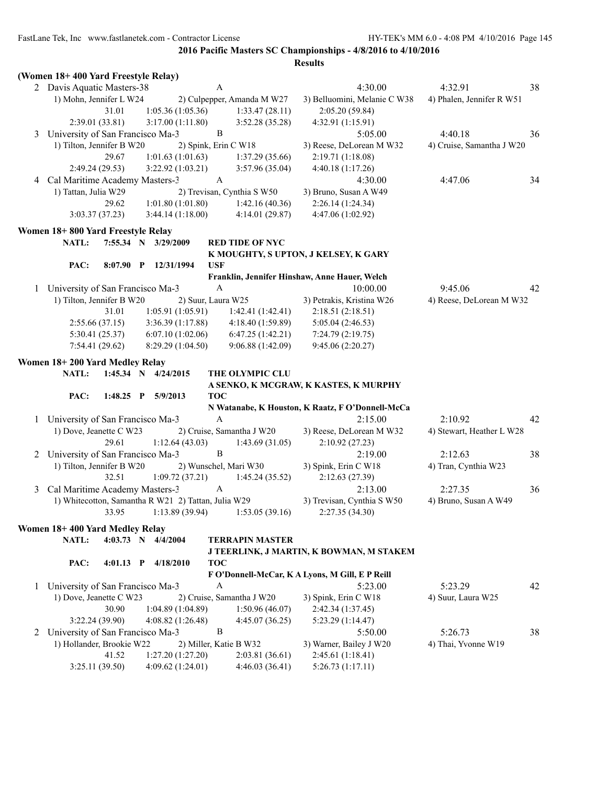|   | (Women 18+400 Yard Freestyle Relay)                 |                       |            |                                       |                                                  |                           |    |
|---|-----------------------------------------------------|-----------------------|------------|---------------------------------------|--------------------------------------------------|---------------------------|----|
|   | 2 Davis Aquatic Masters-38                          |                       | A          |                                       | 4:30.00                                          | 4:32.91                   | 38 |
|   | 1) Mohn, Jennifer L W24                             |                       |            | 2) Culpepper, Amanda M W27            | 3) Belluomini, Melanie C W38                     | 4) Phalen, Jennifer R W51 |    |
|   | 31.01                                               | 1:05.36(1:05.36)      |            | 1:33.47(28.11)                        | 2:05.20(59.84)                                   |                           |    |
|   | 2:39.01 (33.81)                                     | 3:17.00(1:11.80)      |            | 3:52.28(35.28)                        | 4:32.91(1:15.91)                                 |                           |    |
| 3 | University of San Francisco Ma-3                    |                       | B          |                                       | 5:05.00                                          | 4:40.18                   | 36 |
|   | 1) Tilton, Jennifer B W20                           |                       |            | 2) Spink, Erin C W18                  | 3) Reese, DeLorean M W32                         | 4) Cruise, Samantha J W20 |    |
|   | 29.67                                               | 1:01.63(1:01.63)      |            | 1:37.29(35.66)                        | 2:19.71 (1:18.08)                                |                           |    |
|   | 2:49.24 (29.53)                                     | 3:22.92(1:03.21)      |            | 3:57.96(35.04)                        | 4:40.18(1:17.26)                                 |                           |    |
| 4 | Cal Maritime Academy Masters-3                      |                       | A          |                                       | 4:30.00                                          | 4:47.06                   | 34 |
|   | 1) Tattan, Julia W29                                |                       |            | 2) Trevisan, Cynthia S W50            | 3) Bruno, Susan A W49                            |                           |    |
|   | 29.62                                               | 1:01.80(1:01.80)      |            | 1:42.16(40.36)                        | 2:26.14 (1:24.34)                                |                           |    |
|   | 3:03.37(37.23)                                      | 3:44.14(1:18.00)      |            | 4:14.01(29.87)                        | 4:47.06 (1:02.92)                                |                           |    |
|   | Women 18+800 Yard Freestyle Relay                   |                       |            |                                       |                                                  |                           |    |
|   | NATL:                                               | 7:55.34 N 3/29/2009   |            | <b>RED TIDE OF NYC</b>                |                                                  |                           |    |
|   |                                                     |                       |            |                                       | K MOUGHTY, S UPTON, J KELSEY, K GARY             |                           |    |
|   | $8:07.90$ P<br>PAC:                                 | 12/31/1994            | <b>USF</b> |                                       |                                                  |                           |    |
|   |                                                     |                       |            |                                       | Franklin, Jennifer Hinshaw, Anne Hauer, Welch    |                           |    |
|   | 1 University of San Francisco Ma-3                  |                       | A          |                                       | 10:00.00                                         | 9:45.06                   | 42 |
|   | 1) Tilton, Jennifer B W20                           | 2) Suur, Laura W25    |            |                                       | 3) Petrakis, Kristina W26                        | 4) Reese, DeLorean M W32  |    |
|   | 31.01                                               | 1:05.91(1:05.91)      |            | 1:42.41(1:42.41)                      | 2:18.51(2:18.51)                                 |                           |    |
|   | 2:55.66(37.15)                                      | 3:36.39(1:17.88)      |            | 4:18.40 (1:59.89)                     | 5:05.04(2:46.53)                                 |                           |    |
|   | 5:30.41(25.37)                                      | 6:07.10(1:02.06)      |            | 6:47.25(1:42.21)                      | 7:24.79 (2:19.75)                                |                           |    |
|   | 7:54.41(29.62)                                      | 8:29.29 (1:04.50)     |            | 9:06.88 (1:42.09)                     | 9:45.06 (2:20.27)                                |                           |    |
|   | Women 18+200 Yard Medley Relay                      |                       |            |                                       |                                                  |                           |    |
|   | <b>NATL:</b>                                        | 1:45.34 N $4/24/2015$ |            | THE OLYMPIC CLU                       |                                                  |                           |    |
|   |                                                     |                       |            |                                       | A SENKO, K MCGRAW, K KASTES, K MURPHY            |                           |    |
|   | PAC:<br>$1:48.25$ P                                 | 5/9/2013              | <b>TOC</b> |                                       |                                                  |                           |    |
|   |                                                     |                       |            |                                       |                                                  |                           |    |
|   |                                                     |                       |            |                                       | N Watanabe, K Houston, K Raatz, F O'Donnell-McCa |                           |    |
| 1 | University of San Francisco Ma-3                    |                       | A          |                                       | 2:15.00                                          | 2:10.92                   | 42 |
|   | 1) Dove, Jeanette C W23                             |                       |            | 2) Cruise, Samantha J W20             | 3) Reese, DeLorean M W32                         | 4) Stewart, Heather L W28 |    |
|   | 29.61                                               | 1:12.64(43.03)        |            | 1:43.69(31.05)                        | 2:10.92(27.23)                                   |                           |    |
| 2 | University of San Francisco Ma-3                    |                       | B          |                                       | 2:19.00                                          | 2:12.63                   | 38 |
|   | 1) Tilton, Jennifer B W20                           |                       |            | 2) Wunschel, Mari W30                 | 3) Spink, Erin C W18                             | 4) Tran, Cynthia W23      |    |
|   | 32.51                                               | 1:09.72(37.21)        |            | 1:45.24(35.52)                        | 2:12.63(27.39)                                   |                           |    |
| 3 | Cal Maritime Academy Masters-3                      |                       | A          |                                       | 2:13.00                                          | 2:27.35                   | 36 |
|   | 1) Whitecotton, Samantha R W21 2) Tattan, Julia W29 |                       |            |                                       | 3) Trevisan, Cynthia S W50                       | 4) Bruno, Susan A W49     |    |
|   |                                                     |                       |            | 33.95 1:13.89 (39.94) 1:53.05 (39.16) | 2:27.35(34.30)                                   |                           |    |
|   |                                                     |                       |            |                                       |                                                  |                           |    |
|   | Women 18+400 Yard Medley Relay<br>NATL:             | 4:03.73 N 4/4/2004    |            | <b>TERRAPIN MASTER</b>                |                                                  |                           |    |
|   |                                                     |                       |            |                                       | J TEERLINK, J MARTIN, K BOWMAN, M STAKEM         |                           |    |
|   | PAC:<br>$4:01.13$ P                                 | 4/18/2010             | <b>TOC</b> |                                       |                                                  |                           |    |
|   |                                                     |                       |            |                                       | F O'Donnell-McCar, K A Lyons, M Gill, E P Reill  |                           |    |
| 1 | University of San Francisco Ma-3                    |                       | A          |                                       | 5:23.00                                          | 5:23.29                   | 42 |
|   | 1) Dove, Jeanette C W23                             |                       |            | 2) Cruise, Samantha J W20             | 3) Spink, Erin C W18                             | 4) Suur, Laura W25        |    |
|   | 30.90                                               | 1:04.89(1:04.89)      |            | 1:50.96(46.07)                        | 2:42.34(1:37.45)                                 |                           |    |
|   | 3:22.24(39.90)                                      | 4:08.82(1:26.48)      |            | 4:45.07(36.25)                        | 5:23.29 (1:14.47)                                |                           |    |
| 2 | University of San Francisco Ma-3                    |                       | B          |                                       | 5:50.00                                          | 5:26.73                   | 38 |
|   | 1) Hollander, Brookie W22                           |                       |            | 2) Miller, Katie B W32                | 3) Warner, Bailey J W20                          | 4) Thai, Yvonne W19       |    |
|   | 41.52<br>3:25.11(39.50)                             | 1:27.20(1:27.20)      |            | 2:03.81 (36.61)<br>4:46.03(36.41)     | 2:45.61 (1:18.41)<br>5:26.73(1:17.11)            |                           |    |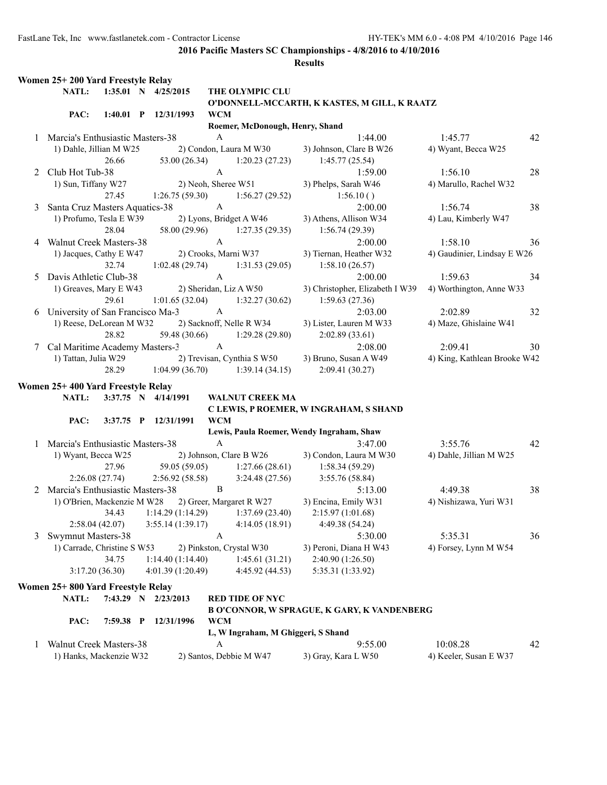|   | Women 25+200 Yard Freestyle Relay  |                |                                       |                       |                                                      |                                                    |                              |    |
|---|------------------------------------|----------------|---------------------------------------|-----------------------|------------------------------------------------------|----------------------------------------------------|------------------------------|----|
|   | NATL:                              |                | 1:35.01 N 4/25/2015                   |                       | THE OLYMPIC CLU                                      |                                                    |                              |    |
|   |                                    |                |                                       |                       |                                                      | O'DONNELL-MCCARTH, K KASTES, M GILL, K RAATZ       |                              |    |
|   | PAC:                               |                | 1:40.01 P 12/31/1993                  | <b>WCM</b>            |                                                      |                                                    |                              |    |
|   |                                    |                |                                       |                       | Roemer, McDonough, Henry, Shand                      |                                                    |                              |    |
|   | 1 Marcia's Enthusiastic Masters-38 |                |                                       | $\mathbf{A}$          |                                                      | 1:44.00                                            | 1:45.77                      | 42 |
|   | 1) Dahle, Jillian M W25            |                |                                       |                       | 2) Condon, Laura M W30                               | 3) Johnson, Clare B W26                            | 4) Wyant, Becca W25          |    |
|   |                                    | 26.66          | 53.00 (26.34)                         |                       | 1:20.23(27.23)                                       | 1:45.77(25.54)                                     |                              |    |
| 2 | Club Hot Tub-38                    |                |                                       | $\boldsymbol{\rm{A}}$ |                                                      | 1:59.00                                            | 1:56.10                      | 28 |
|   | 1) Sun, Tiffany W27                |                |                                       |                       | 2) Neoh, Sheree W51                                  | 3) Phelps, Sarah W46                               | 4) Marullo, Rachel W32       |    |
|   |                                    | 27.45          | 1:26.75(59.30)                        |                       | 1:56.27(29.52)                                       | 1:56.10()                                          |                              |    |
| 3 | Santa Cruz Masters Aquatics-38     |                |                                       | $\boldsymbol{\rm{A}}$ |                                                      | 2:00.00                                            | 1:56.74                      | 38 |
|   | 1) Profumo, Tesla E W39            |                |                                       |                       | 2) Lyons, Bridget A W46                              | 3) Athens, Allison W34                             | 4) Lau, Kimberly W47         |    |
|   |                                    | 28.04          | 58.00 (29.96)                         |                       | 1:27.35(29.35)                                       | 1:56.74(29.39)                                     |                              |    |
| 4 | <b>Walnut Creek Masters-38</b>     |                |                                       | $\mathbf{A}$          |                                                      | 2:00.00                                            | 1:58.10                      | 36 |
|   | 1) Jacques, Cathy E W47            |                | 2) Crooks, Marni W37                  |                       |                                                      | 3) Tiernan, Heather W32                            | 4) Gaudinier, Lindsay E W26  |    |
|   |                                    | 32.74          | 1:02.48(29.74)                        |                       | 1:31.53(29.05)                                       | 1:58.10(26.57)                                     |                              |    |
| 5 | Davis Athletic Club-38             |                |                                       | $\mathbf{A}$          |                                                      | 2:00.00                                            | 1:59.63                      | 34 |
|   | 1) Greaves, Mary E W43             |                | 2) Sheridan, Liz A W50                |                       |                                                      | 3) Christopher, Elizabeth I W39                    | 4) Worthington, Anne W33     |    |
|   |                                    | 29.61          | 1:01.65(32.04)                        |                       | 1:32.27(30.62)                                       | 1:59.63(27.36)                                     |                              |    |
| 6 |                                    |                | University of San Francisco Ma-3      | A                     |                                                      | 2:03.00                                            | 2:02.89                      | 32 |
|   | 1) Reese, DeLorean M W32           |                |                                       |                       | 2) Sacknoff, Nelle R W34                             | 3) Lister, Lauren M W33                            | 4) Maze, Ghislaine W41       |    |
|   |                                    | 28.82          | 59.48 (30.66)                         |                       | 1:29.28(29.80)                                       | 2:02.89(33.61)                                     |                              |    |
|   | 7 Cal Maritime Academy Masters-3   |                |                                       | $\mathbf{A}$          |                                                      | 2:08.00                                            | 2:09.41                      | 30 |
|   | 1) Tattan, Julia W29               |                |                                       |                       | 2) Trevisan, Cynthia S W50                           | 3) Bruno, Susan A W49                              | 4) King, Kathlean Brooke W42 |    |
|   |                                    | 28.29          | 1:04.99(36.70)                        |                       | 1:39.14(34.15)                                       | 2:09.41(30.27)                                     |                              |    |
|   | Women 25+400 Yard Freestyle Relay  |                |                                       |                       |                                                      |                                                    |                              |    |
|   | NATL:                              |                | 3:37.75 N 4/14/1991                   |                       | <b>WALNUT CREEK MA</b>                               |                                                    |                              |    |
|   |                                    |                |                                       |                       |                                                      | C LEWIS, P ROEMER, W INGRAHAM, S SHAND             |                              |    |
|   | PAC:                               |                | 3:37.75 P 12/31/1991                  | <b>WCM</b>            |                                                      |                                                    |                              |    |
|   |                                    |                |                                       |                       |                                                      | Lewis, Paula Roemer, Wendy Ingraham, Shaw          |                              |    |
|   | 1 Marcia's Enthusiastic Masters-38 |                |                                       | $\mathbf{A}$          |                                                      | 3:47.00                                            | 3:55.76                      | 42 |
|   | 1) Wyant, Becca W25                |                |                                       |                       | 2) Johnson, Clare B W26                              | 3) Condon, Laura M W30                             | 4) Dahle, Jillian M W25      |    |
|   |                                    | 27.96          |                                       |                       | $59.05(59.05)$ 1:27.66 (28.61)                       | 1:58.34(59.29)                                     |                              |    |
|   |                                    | 2:26.08(27.74) | 2:56.92(58.58)                        |                       | 3:24.48(27.56)                                       | 3:55.76(58.84)                                     |                              |    |
|   | 2 Marcia's Enthusiastic Masters-38 |                |                                       | B                     |                                                      | 5:13.00                                            | 4:49.38                      | 38 |
|   |                                    |                |                                       |                       | 1) O'Brien, Mackenzie M W28 2) Greer, Margaret R W27 | 3) Encina, Emily W31                               | 4) Nishizawa, Yuri W31       |    |
|   |                                    | 34.43          | 1:14.29(1:14.29)                      |                       | 1:37.69(23.40)                                       | 2:15.97 (1:01.68)                                  |                              |    |
|   |                                    | 2:58.04(42.07) | 3:55.14(1:39.17)                      |                       | 4:14.05(18.91)                                       | 4:49.38 (54.24)                                    |                              |    |
|   | <b>Swymnut Masters-38</b>          |                |                                       | A                     |                                                      |                                                    |                              |    |
| 3 | 1) Carrade, Christine S W53        |                |                                       |                       |                                                      | 5:30.00<br>3) Peroni, Diana H W43                  | 5:35.31                      | 36 |
|   |                                    | 34.75          |                                       |                       | 2) Pinkston, Crystal W30<br>1:45.61(31.21)           |                                                    | 4) Forsey, Lynn M W54        |    |
|   |                                    | 3:17.20(36.30) | 1:14.40(1:14.40)<br>4:01.39 (1:20.49) |                       | 4:45.92 (44.53)                                      | 2:40.90 (1:26.50)                                  |                              |    |
|   |                                    |                |                                       |                       |                                                      | 5:35.31 (1:33.92)                                  |                              |    |
|   | Women 25+800 Yard Freestyle Relay  |                |                                       |                       |                                                      |                                                    |                              |    |
|   | NATL:                              |                | 7:43.29 N 2/23/2013                   |                       | <b>RED TIDE OF NYC</b>                               |                                                    |                              |    |
|   |                                    |                |                                       |                       |                                                      | <b>B O'CONNOR, W SPRAGUE, K GARY, K VANDENBERG</b> |                              |    |
|   | PAC:                               | 7:59.38 P      | 12/31/1996                            | <b>WCM</b>            |                                                      |                                                    |                              |    |
|   |                                    |                |                                       |                       | L, W Ingraham, M Ghiggeri, S Shand                   |                                                    |                              |    |
| 1 | Walnut Creek Masters-38            |                |                                       | A                     |                                                      | 9:55.00                                            | 10:08.28                     | 42 |
|   | 1) Hanks, Mackenzie W32            |                |                                       |                       | 2) Santos, Debbie M W47                              | 3) Gray, Kara L W50                                | 4) Keeler, Susan E W37       |    |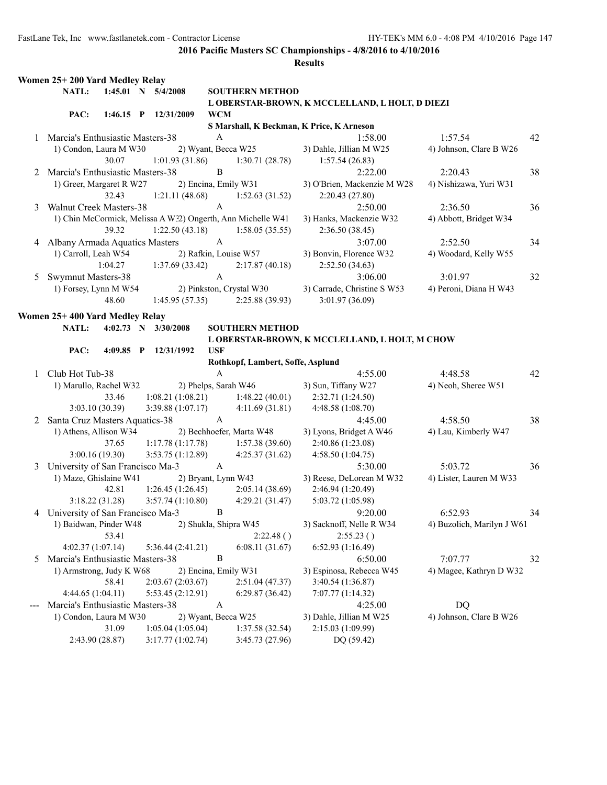|   | Women 25+200 Yard Medley Relay              |                        |  |                      |                      |                                                             |                     |                                                 |                            |    |
|---|---------------------------------------------|------------------------|--|----------------------|----------------------|-------------------------------------------------------------|---------------------|-------------------------------------------------|----------------------------|----|
|   | NATL:                                       | 1:45.01 N 5/4/2008     |  |                      |                      | <b>SOUTHERN METHOD</b>                                      |                     |                                                 |                            |    |
|   |                                             |                        |  |                      |                      |                                                             |                     | L OBERSTAR-BROWN, K MCCLELLAND, L HOLT, D DIEZI |                            |    |
|   | PAC:                                        | 1:46.15 P $12/31/2009$ |  |                      | <b>WCM</b>           |                                                             |                     |                                                 |                            |    |
|   |                                             |                        |  |                      |                      | S Marshall, K Beckman, K Price, K Arneson                   |                     |                                                 |                            |    |
|   | 1 Marcia's Enthusiastic Masters-38          |                        |  |                      | A                    |                                                             |                     | 1:58.00                                         | 1:57.54                    | 42 |
|   | 1) Condon, Laura M W30                      |                        |  |                      |                      | 2) Wyant, Becca W25                                         |                     | 3) Dahle, Jillian M W25                         | 4) Johnson, Clare B W26    |    |
|   |                                             | 30.07                  |  | 1:01.93(31.86)       |                      | 1:30.71(28.78)                                              |                     | 1:57.54(26.83)                                  |                            |    |
|   | 2 Marcia's Enthusiastic Masters-38          |                        |  |                      | B                    |                                                             |                     | 2:22.00                                         | 2:20.43                    | 38 |
|   | 1) Greer, Margaret R W27                    |                        |  | 2) Encina, Emily W31 |                      |                                                             |                     | 3) O'Brien, Mackenzie M W28                     | 4) Nishizawa, Yuri W31     |    |
|   |                                             | 32.43                  |  |                      |                      | 1:21.11 (48.68) 1:52.63 (31.52)                             |                     | 2:20.43(27.80)                                  |                            |    |
| 3 | <b>Walnut Creek Masters-38</b>              |                        |  |                      | A                    |                                                             |                     | 2:50.00                                         | 2:36.50                    | 36 |
|   |                                             |                        |  |                      |                      | 1) Chin McCormick, Melissa A W32) Ongerth, Ann Michelle W41 |                     | 3) Hanks, Mackenzie W32                         | 4) Abbott, Bridget W34     |    |
|   |                                             | 39.32                  |  |                      |                      | $1:22.50(43.18)$ $1:58.05(35.55)$                           |                     | 2:36.50(38.45)                                  |                            |    |
| 4 | Albany Armada Aquatics Masters              |                        |  |                      | $\mathbf{A}$         |                                                             |                     | 3:07.00                                         | 2:52.50                    | 34 |
|   | 1) Carroll, Leah W54                        | 1:04.27                |  |                      |                      | 2) Rafkin, Louise W57                                       |                     | 3) Bonvin, Florence W32                         | 4) Woodard, Kelly W55      |    |
|   |                                             |                        |  | 1:37.69(33.42)       | $\mathbf{A}$         | 2:17.87(40.18)                                              |                     | 2:52.50(34.63)<br>3:06.00                       | 3:01.97                    |    |
| 5 | Swymnut Masters-38<br>1) Forsey, Lynn M W54 |                        |  |                      |                      | 2) Pinkston, Crystal W30                                    |                     |                                                 | 4) Peroni, Diana H W43     | 32 |
|   |                                             | 48.60                  |  |                      |                      | $1:45.95(57.35)$ $2:25.88(39.93)$                           |                     | 3) Carrade, Christine S W53<br>3:01.97 (36.09)  |                            |    |
|   |                                             |                        |  |                      |                      |                                                             |                     |                                                 |                            |    |
|   | Women 25+400 Yard Medley Relay              |                        |  |                      |                      |                                                             |                     |                                                 |                            |    |
|   | NATL:                                       | 4:02.73 N 3/30/2008    |  |                      |                      | <b>SOUTHERN METHOD</b>                                      |                     |                                                 |                            |    |
|   |                                             |                        |  |                      |                      |                                                             |                     | L OBERSTAR-BROWN, K MCCLELLAND, L HOLT, M CHOW  |                            |    |
|   | PAC:                                        | 4:09.85 P 12/31/1992   |  |                      | <b>USF</b>           |                                                             |                     |                                                 |                            |    |
|   |                                             |                        |  |                      |                      | Rothkopf, Lambert, Soffe, Asplund                           |                     |                                                 |                            |    |
|   | 1 Club Hot Tub-38                           |                        |  |                      | $\mathbf{A}$         |                                                             |                     | 4:55.00                                         | 4:48.58                    | 42 |
|   | 1) Marullo, Rachel W32                      |                        |  | 2) Phelps, Sarah W46 |                      |                                                             | 3) Sun, Tiffany W27 |                                                 | 4) Neoh, Sheree W51        |    |
|   | 3:03.10(30.39)                              | 33.46                  |  | 3:39.88 (1:07.17)    |                      | $1:08.21(1:08.21)$ $1:48.22(40.01)$                         | 2:32.71 (1:24.50)   |                                                 |                            |    |
|   | 2 Santa Cruz Masters Aquatics-38            |                        |  |                      | A                    | 4:11.69(31.81)                                              | 4:48.58 (1:08.70)   | 4:45.00                                         | 4:58.50                    | 38 |
|   | 1) Athens, Allison W34                      |                        |  |                      |                      | 2) Bechhoefer, Marta W48                                    |                     | 3) Lyons, Bridget A W46                         | 4) Lau, Kimberly W47       |    |
|   |                                             | 37.65                  |  | 1:17.78(1:17.78)     |                      | 1:57.38(39.60)                                              | 2:40.86 (1:23.08)   |                                                 |                            |    |
|   | 3:00.16(19.30)                              |                        |  | 3:53.75(1:12.89)     |                      | 4:25.37(31.62)                                              | 4:58.50(1:04.75)    |                                                 |                            |    |
| 3 | University of San Francisco Ma-3 A          |                        |  |                      |                      |                                                             |                     | 5:30.00                                         | 5:03.72                    | 36 |
|   | 1) Maze, Ghislaine W41                      |                        |  |                      |                      | 2) Bryant, Lynn W43                                         |                     | 3) Reese, DeLorean M W32                        | 4) Lister, Lauren M W33    |    |
|   |                                             | 42.81                  |  | 1:26.45(1:26.45)     |                      | 2:05.14(38.69)                                              | 2:46.94 (1:20.49)   |                                                 |                            |    |
|   | 3:18.22(31.28)                              |                        |  |                      |                      | $3:57.74(1:10.80)$ $4:29.21(31.47)$                         | 5:03.72 (1:05.98)   |                                                 |                            |    |
|   | 4 University of San Francisco Ma-3          |                        |  |                      | B                    |                                                             |                     | 9:20.00                                         | 6:52.93                    | 34 |
|   | 1) Baidwan, Pinder W48                      |                        |  |                      |                      | 2) Shukla, Shipra W45                                       |                     | 3) Sacknoff, Nelle R W34                        | 4) Buzolich, Marilyn J W61 |    |
|   |                                             | 53.41                  |  |                      |                      | 2:22.48()                                                   |                     | 2:55.23()                                       |                            |    |
|   | 4:02.37(1:07.14)                            |                        |  | 5:36.44(2:41.21)     |                      | 6:08.11(31.67)                                              | 6:52.93(1:16.49)    |                                                 |                            |    |
|   | 5 Marcia's Enthusiastic Masters-38          |                        |  |                      | B                    |                                                             |                     | 6:50.00                                         | 7:07.77                    | 32 |
|   | 1) Armstrong, Judy K W68                    |                        |  |                      | 2) Encina, Emily W31 |                                                             |                     | 3) Espinosa, Rebecca W45                        | 4) Magee, Kathryn D W32    |    |
|   |                                             | 58.41                  |  | 2:03.67(2:03.67)     |                      | 2:51.04(47.37)                                              | 3:40.54 (1:36.87)   |                                                 |                            |    |
|   | 4:44.65(1:04.11)                            |                        |  | 5:53.45(2:12.91)     |                      | 6:29.87(36.42)                                              | 7:07.77 (1:14.32)   |                                                 |                            |    |
|   | Marcia's Enthusiastic Masters-38            |                        |  |                      | $\mathbf{A}$         |                                                             |                     | 4:25.00                                         | <b>DQ</b>                  |    |
|   | 1) Condon, Laura M W30                      |                        |  | 2) Wyant, Becca W25  |                      |                                                             |                     | 3) Dahle, Jillian M W25                         | 4) Johnson, Clare B W26    |    |
|   |                                             | 31.09                  |  | 1:05.04(1:05.04)     |                      | 1:37.58(32.54)                                              | 2:15.03 (1:09.99)   |                                                 |                            |    |
|   | 2:43.90 (28.87)                             |                        |  | 3:17.77(1:02.74)     |                      | 3:45.73 (27.96)                                             |                     | DQ (59.42)                                      |                            |    |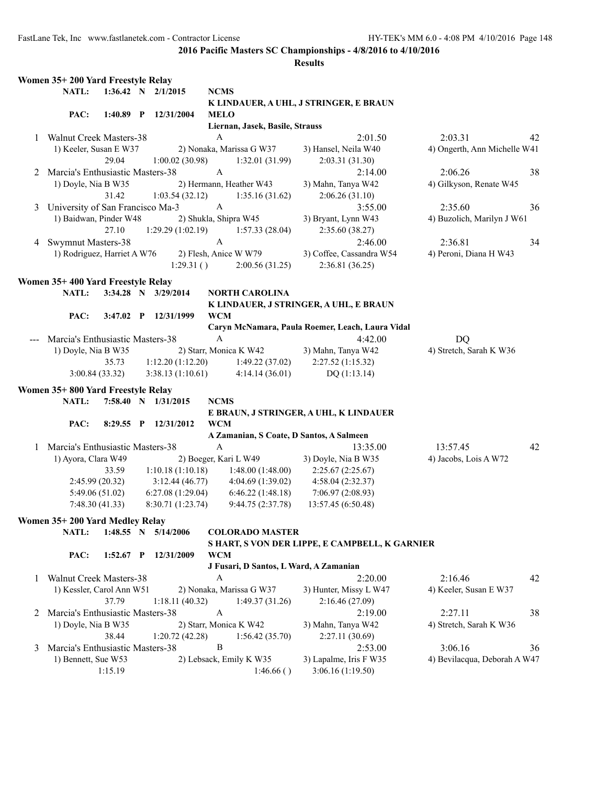|              | Women 35+200 Yard Freestyle Relay |                 |                      |                           |                                        |                                                  |                              |    |
|--------------|-----------------------------------|-----------------|----------------------|---------------------------|----------------------------------------|--------------------------------------------------|------------------------------|----|
|              | NATL:                             |                 | 1:36.42 N $2/1/2015$ | <b>NCMS</b>               |                                        |                                                  |                              |    |
|              |                                   |                 |                      |                           |                                        | K LINDAUER, A UHL, J STRINGER, E BRAUN           |                              |    |
|              | PAC:                              | $1:40.89$ P     | 12/31/2004           | <b>MELO</b>               |                                        |                                                  |                              |    |
|              |                                   |                 |                      |                           | Liernan, Jasek, Basile, Strauss        |                                                  |                              |    |
|              | 1 Walnut Creek Masters-38         |                 |                      | A                         |                                        | 2:01.50                                          | 2:03.31                      | 42 |
|              | 1) Keeler, Susan E W37            |                 |                      |                           | 2) Nonaka, Marissa G W37               | 3) Hansel, Neila W40                             | 4) Ongerth, Ann Michelle W41 |    |
|              |                                   | 29.04           | 1:00.02(30.98)       |                           | 1:32.01(31.99)                         | 2:03.31(31.30)                                   |                              |    |
| 2            | Marcia's Enthusiastic Masters-38  |                 |                      | $\mathbf{A}$              |                                        | 2:14.00                                          | 2:06.26                      | 38 |
|              | 1) Doyle, Nia B W35               |                 |                      |                           | 2) Hermann, Heather W43                | 3) Mahn, Tanya W42                               | 4) Gilkyson, Renate W45      |    |
|              |                                   | 31.42           | 1:03.54(32.12)       |                           | 1:35.16(31.62)                         | 2:06.26(31.10)                                   |                              |    |
| 3            | University of San Francisco Ma-3  |                 |                      | $\mathbf{A}$              |                                        | 3:55.00                                          | 2:35.60                      | 36 |
|              | 1) Baidwan, Pinder W48            |                 |                      |                           | 2) Shukla, Shipra W45                  | 3) Bryant, Lynn W43                              | 4) Buzolich, Marilyn J W61   |    |
|              |                                   | 27.10           | 1:29.29(1:02.19)     |                           | 1:57.33(28.04)                         | 2:35.60 (38.27)                                  |                              |    |
| 4            | Swymnut Masters-38                |                 |                      | $\boldsymbol{\mathsf{A}}$ |                                        | 2:46.00                                          | 2:36.81                      | 34 |
|              | 1) Rodriguez, Harriet A W76       |                 |                      |                           | 2) Flesh, Anice W W79                  | 3) Coffee, Cassandra W54                         | 4) Peroni, Diana H W43       |    |
|              |                                   |                 | 1:29.31()            |                           | 2:00.56(31.25)                         | 2:36.81(36.25)                                   |                              |    |
|              | Women 35+400 Yard Freestyle Relay |                 |                      |                           |                                        |                                                  |                              |    |
|              | NATL:                             |                 | 3:34.28 N 3/29/2014  |                           | <b>NORTH CAROLINA</b>                  |                                                  |                              |    |
|              |                                   |                 |                      |                           |                                        | K LINDAUER, J STRINGER, A UHL, E BRAUN           |                              |    |
|              | PAC:                              | $3:47.02$ P     | 12/31/1999           | <b>WCM</b>                |                                        |                                                  |                              |    |
|              |                                   |                 |                      |                           |                                        | Caryn McNamara, Paula Roemer, Leach, Laura Vidal |                              |    |
|              | Marcia's Enthusiastic Masters-38  |                 |                      | $\mathbf{A}$              |                                        | 4:42.00                                          | DQ                           |    |
|              | 1) Doyle, Nia B W35               |                 |                      |                           | 2) Starr, Monica K W42                 | 3) Mahn, Tanya W42                               | 4) Stretch, Sarah K W36      |    |
|              |                                   | 35.73           | 1:12.20(1:12.20)     |                           | 1:49.22(37.02)                         | 2:27.52(1:15.32)                                 |                              |    |
|              |                                   | 3:00.84(33.32)  | 3:38.13(1:10.61)     |                           | 4:14.14(36.01)                         | DQ(1:13.14)                                      |                              |    |
|              | Women 35+800 Yard Freestyle Relay |                 |                      |                           |                                        |                                                  |                              |    |
|              | NATL:                             |                 | 7:58.40 N 1/31/2015  | <b>NCMS</b>               |                                        |                                                  |                              |    |
|              |                                   |                 |                      |                           |                                        | E BRAUN, J STRINGER, A UHL, K LINDAUER           |                              |    |
|              | PAC:                              |                 | 8:29.55 P 12/31/2012 | <b>WCM</b>                |                                        |                                                  |                              |    |
|              |                                   |                 |                      |                           |                                        | A Zamanian, S Coate, D Santos, A Salmeen         |                              |    |
| $\mathbf{1}$ | Marcia's Enthusiastic Masters-38  |                 |                      | A                         |                                        | 13:35.00                                         | 13:57.45                     | 42 |
|              | 1) Ayora, Clara W49               |                 |                      |                           | 2) Boeger, Kari L W49                  | 3) Doyle, Nia B W35                              | 4) Jacobs, Lois A W72        |    |
|              |                                   | 33.59           | 1:10.18(1:10.18)     |                           | 1:48.00(1:48.00)                       | 2:25.67(2:25.67)                                 |                              |    |
|              |                                   | 2:45.99(20.32)  | 3:12.44(46.77)       |                           | 4:04.69 (1:39.02)                      | 4:58.04 (2:32.37)                                |                              |    |
|              |                                   | 5:49.06 (51.02) | 6:27.08(1:29.04)     |                           | 6:46.22(1:48.18)                       | 7:06.97 (2:08.93)                                |                              |    |
|              |                                   | 7:48.30(41.33)  | 8:30.71 (1:23.74)    |                           | 9:44.75 (2:37.78)                      | 13:57.45 (6:50.48)                               |                              |    |
|              | Women 35+200 Yard Medley Relay    |                 |                      |                           |                                        |                                                  |                              |    |
|              | NATL:                             |                 | 1:48.55 N 5/14/2006  |                           | <b>COLORADO MASTER</b>                 |                                                  |                              |    |
|              |                                   |                 |                      |                           |                                        | S HART, S VON DER LIPPE, E CAMPBELL, K GARNIER   |                              |    |
|              | PAC:                              | $1:52.67$ P     | 12/31/2009           | <b>WCM</b>                |                                        |                                                  |                              |    |
|              |                                   |                 |                      |                           | J Fusari, D Santos, L Ward, A Zamanian |                                                  |                              |    |
| 1            | <b>Walnut Creek Masters-38</b>    |                 |                      | A                         |                                        | 2:20.00                                          | 2:16.46                      | 42 |
|              | 1) Kessler, Carol Ann W51         |                 |                      |                           | 2) Nonaka, Marissa G W37               | 3) Hunter, Missy L W47                           | 4) Keeler, Susan E W37       |    |
|              |                                   | 37.79           | 1:18.11(40.32)       |                           | 1:49.37(31.26)                         | 2:16.46(27.09)                                   |                              |    |
| 2            | Marcia's Enthusiastic Masters-38  |                 |                      | A                         |                                        | 2:19.00                                          | 2:27.11                      | 38 |
|              | 1) Doyle, Nia B W35               |                 |                      |                           | 2) Starr, Monica K W42                 | 3) Mahn, Tanya W42                               | 4) Stretch, Sarah K W36      |    |
|              |                                   | 38.44           | 1:20.72(42.28)       |                           | 1:56.42(35.70)                         | 2:27.11 (30.69)                                  |                              |    |
| 3            | Marcia's Enthusiastic Masters-38  |                 |                      | $\, {\bf B}$              |                                        | 2:53.00                                          | 3:06.16                      | 36 |
|              | 1) Bennett, Sue W53               |                 |                      |                           | 2) Lebsack, Emily K W35                | 3) Lapalme, Iris F W35                           | 4) Bevilacqua, Deborah A W47 |    |
|              |                                   | 1:15.19         |                      |                           | 1:46.66()                              | 3:06.16(1:19.50)                                 |                              |    |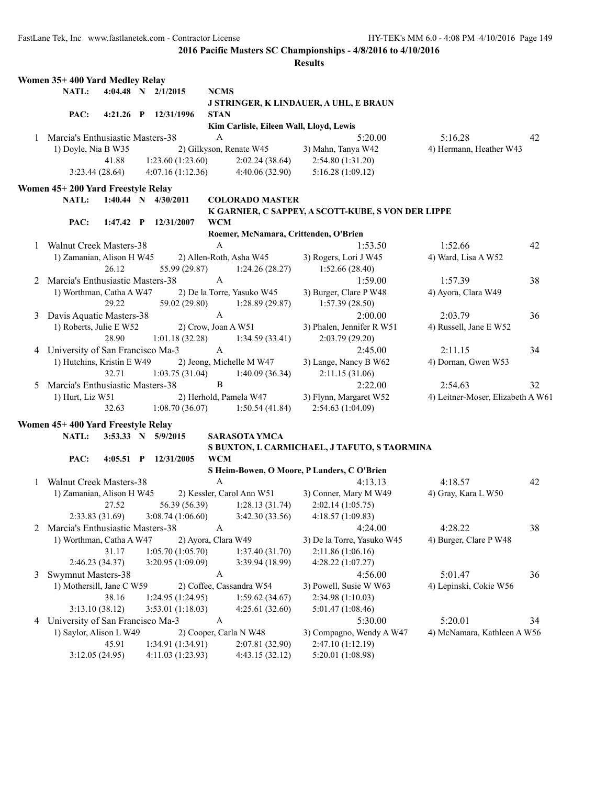|   | Women 35+400 Yard Medley Relay     |       |                        |                     |                                         |                                                                     |                                   |    |
|---|------------------------------------|-------|------------------------|---------------------|-----------------------------------------|---------------------------------------------------------------------|-----------------------------------|----|
|   | <b>NATL:</b>                       |       | 4:04.48 N 2/1/2015     | <b>NCMS</b>         |                                         |                                                                     |                                   |    |
|   |                                    |       |                        |                     |                                         | J STRINGER, K LINDAUER, A UHL, E BRAUN                              |                                   |    |
|   | PAC:                               |       | 4:21.26 P 12/31/1996   | <b>STAN</b>         |                                         |                                                                     |                                   |    |
|   |                                    |       |                        |                     | Kim Carlisle, Eileen Wall, Lloyd, Lewis |                                                                     |                                   |    |
|   | 1 Marcia's Enthusiastic Masters-38 |       |                        | А                   |                                         | 5:20.00                                                             | 5:16.28                           | 42 |
|   | 1) Doyle, Nia B W35                |       |                        |                     | 2) Gilkyson, Renate W45                 | 3) Mahn, Tanya W42                                                  | 4) Hermann, Heather W43           |    |
|   |                                    | 41.88 | 1:23.60(1:23.60)       |                     | 2:02.24(38.64)                          | 2:54.80 (1:31.20)                                                   |                                   |    |
|   | 3:23.44(28.64)                     |       | 4:07.16(1:12.36)       |                     | 4:40.06(32.90)                          | 5:16.28(1:09.12)                                                    |                                   |    |
|   | Women 45+200 Yard Freestyle Relay  |       |                        |                     |                                         |                                                                     |                                   |    |
|   | <b>NATL:</b>                       |       | 1:40.44 N $4/30/2011$  |                     | <b>COLORADO MASTER</b>                  |                                                                     |                                   |    |
|   |                                    |       |                        |                     |                                         | K GARNIER, C SAPPEY, A SCOTT-KUBE, S VON DER LIPPE                  |                                   |    |
|   | PAC:                               |       | 1:47.42 P 12/31/2007   | <b>WCM</b>          |                                         |                                                                     |                                   |    |
|   |                                    |       |                        |                     |                                         | Roemer, McNamara, Crittenden, O'Brien                               |                                   |    |
| 1 | <b>Walnut Creek Masters-38</b>     |       |                        | A                   |                                         | 1:53.50                                                             | 1:52.66                           | 42 |
|   | 1) Zamanian, Alison H W45          |       |                        |                     | 2) Allen-Roth, Asha W45                 | 3) Rogers, Lori J W45                                               | 4) Ward, Lisa A W52               |    |
|   |                                    | 26.12 | 55.99 (29.87)          |                     | 1:24.26(28.27)                          | 1:52.66(28.40)                                                      |                                   |    |
| 2 | Marcia's Enthusiastic Masters-38   |       |                        | A                   |                                         | 1:59.00                                                             | 1:57.39                           | 38 |
|   | 1) Worthman, Catha A W47           |       |                        |                     | 2) De la Torre, Yasuko W45              | 3) Burger, Clare P W48                                              | 4) Ayora, Clara W49               |    |
|   |                                    | 29.22 | 59.02 (29.80)          |                     | 1:28.89(29.87)                          | 1:57.39(28.50)                                                      |                                   |    |
| 3 | Davis Aquatic Masters-38           |       |                        | $\mathbf{A}$        |                                         | 2:00.00                                                             | 2:03.79                           | 36 |
|   | 1) Roberts, Julie E W52            |       |                        | 2) Crow, Joan A W51 |                                         | 3) Phalen, Jennifer R W51                                           | 4) Russell, Jane E W52            |    |
|   |                                    | 28.90 | 1:01.18(32.28)         |                     | 1:34.59(33.41)                          | 2:03.79(29.20)                                                      |                                   |    |
|   | 4 University of San Francisco Ma-3 |       |                        | A                   |                                         | 2:45.00                                                             | 2:11.15                           | 34 |
|   | 1) Hutchins, Kristin E W49         |       |                        |                     | 2) Jeong, Michelle M W47                | 3) Lange, Nancy B W62                                               | 4) Dornan, Gwen W53               |    |
|   |                                    | 32.71 | 1:03.75(31.04)         |                     | 1:40.09(36.34)                          | 2:11.15(31.06)                                                      |                                   |    |
| 5 | Marcia's Enthusiastic Masters-38   |       |                        | B                   |                                         | 2:22.00                                                             | 2:54.63                           | 32 |
|   | 1) Hurt, Liz W51                   |       |                        |                     | 2) Herhold, Pamela W47                  | 3) Flynn, Margaret W52                                              | 4) Leitner-Moser, Elizabeth A W61 |    |
|   |                                    | 32.63 | 1:08.70(36.07)         |                     | 1:50.54(41.84)                          | 2:54.63 (1:04.09)                                                   |                                   |    |
|   |                                    |       |                        |                     |                                         |                                                                     |                                   |    |
|   | Women 45+400 Yard Freestyle Relay  |       |                        |                     |                                         |                                                                     |                                   |    |
|   | NATL:                              |       | 3:53.33 N 5/9/2015     |                     | <b>SARASOTA YMCA</b>                    |                                                                     |                                   |    |
|   |                                    |       |                        |                     |                                         | S BUXTON, L CARMICHAEL, J TAFUTO, S TAORMINA                        |                                   |    |
|   | PAC:                               |       | 4:05.51 P $12/31/2005$ | <b>WCM</b>          |                                         |                                                                     |                                   |    |
|   |                                    |       |                        |                     |                                         | S Heim-Bowen, O Moore, P Landers, C O'Brien                         |                                   |    |
| 1 | <b>Walnut Creek Masters-38</b>     |       |                        | A                   |                                         | 4:13.13                                                             | 4:18.57                           | 42 |
|   | 1) Zamanian, Alison H W45          |       |                        |                     | 2) Kessler, Carol Ann W51               | 3) Conner, Mary M W49                                               | 4) Gray, Kara L W50               |    |
|   |                                    | 27.52 | 56.39 (56.39)          |                     | 1:28.13(31.74)                          | 2:02.14(1:05.75)                                                    |                                   |    |
|   |                                    |       |                        |                     |                                         | 2:33.83 (31.69) 3:08.74 (1:06.60) 3:42.30 (33.56) 4:18.57 (1:09.83) |                                   |    |
|   | 2 Marcia's Enthusiastic Masters-38 |       |                        | A                   |                                         | 4:24.00                                                             | 4:28.22                           | 38 |
|   | 1) Worthman, Catha A W47           |       |                        | 2) Ayora, Clara W49 |                                         | 3) De la Torre, Yasuko W45                                          | 4) Burger, Clare P W48            |    |
|   |                                    | 31.17 | 1:05.70(1:05.70)       |                     | 1:37.40(31.70)                          | 2:11.86 (1:06.16)                                                   |                                   |    |
|   | 2:46.23 (34.37)                    |       | 3:20.95 (1:09.09)      |                     | 3:39.94 (18.99)                         | 4:28.22(1:07.27)                                                    |                                   |    |
| 3 | <b>Swymnut Masters-38</b>          |       |                        | A                   |                                         | 4:56.00                                                             | 5:01.47                           | 36 |
|   | 1) Mothersill, Jane C W59          |       |                        |                     | 2) Coffee, Cassandra W54                | 3) Powell, Susie W W63                                              | 4) Lepinski, Cokie W56            |    |
|   |                                    | 38.16 | 1:24.95 (1:24.95)      |                     | 1:59.62(34.67)                          | 2:34.98 (1:10.03)                                                   |                                   |    |
|   | 3:13.10 (38.12)                    |       | 3:53.01 (1:18.03)      |                     | 4:25.61(32.60)                          | 5:01.47 (1:08.46)                                                   |                                   |    |
| 4 | University of San Francisco Ma-3   |       |                        | A                   |                                         | 5:30.00                                                             | 5:20.01                           | 34 |
|   | 1) Saylor, Alison L W49            |       |                        |                     | 2) Cooper, Carla N W48                  | 3) Compagno, Wendy A W47                                            | 4) McNamara, Kathleen A W56       |    |
|   |                                    | 45.91 | 1:34.91 (1:34.91)      |                     | 2:07.81 (32.90)                         | 2:47.10 (1:12.19)                                                   |                                   |    |
|   | 3:12.05 (24.95)                    |       | 4:11.03 (1:23.93)      |                     | 4:43.15 (32.12)                         | 5:20.01 (1:08.98)                                                   |                                   |    |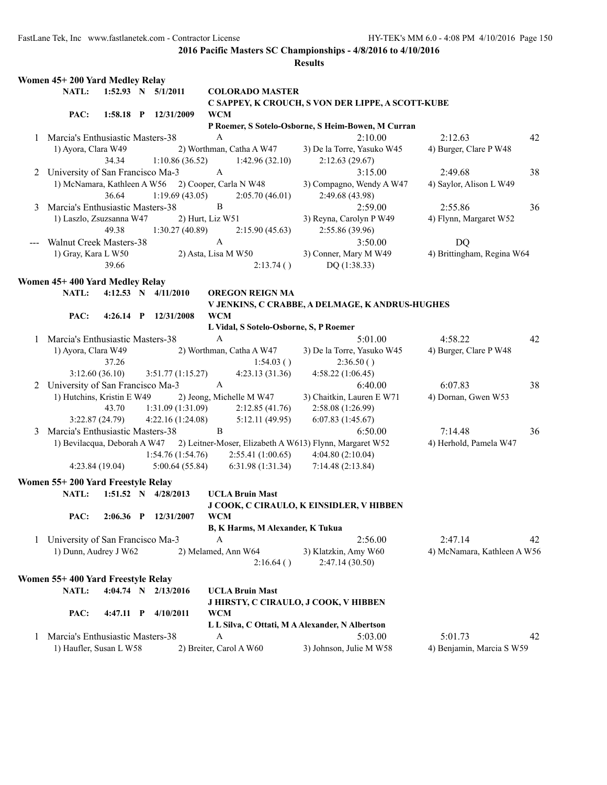|   | Women 45+200 Yard Medley Relay     |                |                      |                  |                                        |                                                         |                             |    |
|---|------------------------------------|----------------|----------------------|------------------|----------------------------------------|---------------------------------------------------------|-----------------------------|----|
|   | NATL:                              |                | 1:52.93 N 5/1/2011   |                  | <b>COLORADO MASTER</b>                 |                                                         |                             |    |
|   |                                    |                |                      |                  |                                        | C SAPPEY, K CROUCH, S VON DER LIPPE, A SCOTT-KUBE       |                             |    |
|   | PAC:                               |                | 1:58.18 P 12/31/2009 | <b>WCM</b>       |                                        |                                                         |                             |    |
|   |                                    |                |                      |                  |                                        | P Roemer, S Sotelo-Osborne, S Heim-Bowen, M Curran      |                             |    |
|   | 1 Marcia's Enthusiastic Masters-38 |                |                      | $\mathbf{A}$     |                                        | 2:10.00                                                 | 2:12.63                     | 42 |
|   | 1) Ayora, Clara W49                |                |                      |                  | 2) Worthman, Catha A W47               | 3) De la Torre, Yasuko W45                              | 4) Burger, Clare P W48      |    |
|   |                                    | 34.34          | 1:10.86(36.52)       |                  | 1:42.96(32.10)                         | 2:12.63(29.67)                                          |                             |    |
| 2 | University of San Francisco Ma-3   |                |                      | $\mathbf{A}$     |                                        | 3:15.00                                                 | 2:49.68                     | 38 |
|   | 1) McNamara, Kathleen A W56        |                |                      |                  | 2) Cooper, Carla N W48                 | 3) Compagno, Wendy A W47                                | 4) Saylor, Alison L W49     |    |
|   |                                    | 36.64          | 1:19.69(43.05)       |                  | 2:05.70(46.01)                         | 2:49.68 (43.98)                                         |                             |    |
| 3 | Marcia's Enthusiastic Masters-38   |                |                      | B                |                                        | 2:59.00                                                 | 2:55.86                     | 36 |
|   | 1) Laszlo, Zsuzsanna W47           |                |                      | 2) Hurt, Liz W51 |                                        | 3) Reyna, Carolyn P W49                                 | 4) Flynn, Margaret W52      |    |
|   |                                    | 49.38          | 1:30.27(40.89)       |                  | 2:15.90(45.63)                         | 2:55.86 (39.96)                                         |                             |    |
|   |                                    |                |                      | $\mathbf{A}$     |                                        | 3:50.00                                                 |                             |    |
|   | <b>Walnut Creek Masters-38</b>     |                |                      |                  |                                        |                                                         | DQ                          |    |
|   | 1) Gray, Kara L W50                |                |                      |                  | 2) Asta, Lisa M W50                    | 3) Conner, Mary M W49                                   | 4) Brittingham, Regina W64  |    |
|   |                                    | 39.66          |                      |                  | 2:13.74()                              | DQ (1:38.33)                                            |                             |    |
|   | Women 45+400 Yard Medley Relay     |                |                      |                  |                                        |                                                         |                             |    |
|   | NATL:                              |                | 4:12.53 N 4/11/2010  |                  | <b>OREGON REIGN MA</b>                 |                                                         |                             |    |
|   |                                    |                |                      |                  |                                        | V JENKINS, C CRABBE, A DELMAGE, K ANDRUS-HUGHES         |                             |    |
|   | PAC:                               | $4:26.14$ P    | 12/31/2008           | <b>WCM</b>       |                                        |                                                         |                             |    |
|   |                                    |                |                      |                  | L Vidal, S Sotelo-Osborne, S, P Roemer |                                                         |                             |    |
|   | 1 Marcia's Enthusiastic Masters-38 |                |                      | $\boldsymbol{A}$ |                                        | 5:01.00                                                 | 4:58.22                     | 42 |
|   | 1) Ayora, Clara W49                |                |                      |                  | 2) Worthman, Catha A W47               | 3) De la Torre, Yasuko W45                              | 4) Burger, Clare P W48      |    |
|   |                                    | 37.26          |                      |                  | 1:54.03()                              | 2:36.50()                                               |                             |    |
|   |                                    | 3:12.60(36.10) | 3:51.77(1:15.27)     |                  | 4:23.13(31.36)                         | 4:58.22 (1:06.45)                                       |                             |    |
|   | 2 University of San Francisco Ma-3 |                |                      | $\mathbf{A}$     |                                        | 6:40.00                                                 | 6:07.83                     | 38 |
|   | 1) Hutchins, Kristin E W49         |                |                      |                  | 2) Jeong, Michelle M W47               | 3) Chaitkin, Lauren E W71                               | 4) Dornan, Gwen W53         |    |
|   |                                    | 43.70          | 1:31.09(1:31.09)     |                  | 2:12.85(41.76)                         | 2:58.08 (1:26.99)                                       |                             |    |
|   |                                    | 3:22.87(24.79) | 4:22.16 (1:24.08)    |                  | 5:12.11(49.95)                         | 6:07.83(1:45.67)                                        |                             |    |
| 3 | Marcia's Enthusiastic Masters-38   |                |                      | B                |                                        | 6:50.00                                                 | 7:14.48                     | 36 |
|   | 1) Bevilacqua, Deborah A W47       |                |                      |                  |                                        | 2) Leitner-Moser, Elizabeth A W613) Flynn, Margaret W52 | 4) Herhold, Pamela W47      |    |
|   |                                    |                | 1:54.76(1:54.76)     |                  | 2:55.41(1:00.65)                       | 4:04.80(2:10.04)                                        |                             |    |
|   |                                    | 4:23.84(19.04) | 5:00.64(55.84)       |                  | 6:31.98(1:31.34)                       | 7:14.48 (2:13.84)                                       |                             |    |
|   |                                    |                |                      |                  |                                        |                                                         |                             |    |
|   | Women 55+200 Yard Freestyle Relay  |                |                      |                  |                                        |                                                         |                             |    |
|   | <b>NATL:</b>                       |                | 1:51.52 N 4/28/2013  |                  | <b>UCLA Bruin Mast</b>                 |                                                         |                             |    |
|   |                                    |                |                      |                  |                                        | J COOK, C CIRAULO, K EINSIDLER, V HIBBEN                |                             |    |
|   | PAC:                               | $2:06.36$ P    | 12/31/2007           | <b>WCM</b>       |                                        |                                                         |                             |    |
|   |                                    |                |                      |                  | B, K Harms, M Alexander, K Tukua       |                                                         |                             |    |
| 1 | University of San Francisco Ma-3   |                |                      | $\mathbf{A}$     |                                        | 2:56.00                                                 | 2:47.14                     | 42 |
|   | 1) Dunn, Audrey J W62              |                |                      |                  | 2) Melamed, Ann W64                    | 3) Klatzkin, Amy W60                                    | 4) McNamara, Kathleen A W56 |    |
|   |                                    |                |                      |                  | 2:16.64()                              | 2:47.14 (30.50)                                         |                             |    |
|   | Women 55+400 Yard Freestyle Relay  |                |                      |                  |                                        |                                                         |                             |    |
|   | NATL:                              |                | 4:04.74 N 2/13/2016  |                  | <b>UCLA Bruin Mast</b>                 |                                                         |                             |    |
|   |                                    |                |                      |                  |                                        | J HIRSTY, C CIRAULO, J COOK, V HIBBEN                   |                             |    |
|   | PAC:                               | $4:47.11$ P    | 4/10/2011            | <b>WCM</b>       |                                        |                                                         |                             |    |
|   |                                    |                |                      |                  |                                        | L L Silva, C Ottati, M A Alexander, N Albertson         |                             |    |
|   | 1 Marcia's Enthusiastic Masters-38 |                |                      | A                |                                        | 5:03.00                                                 | 5:01.73                     | 42 |
|   |                                    |                |                      |                  | 2) Breiter, Carol A W60                |                                                         |                             |    |
|   | 1) Haufler, Susan L W58            |                |                      |                  |                                        | 3) Johnson, Julie M W58                                 | 4) Benjamin, Marcia S W59   |    |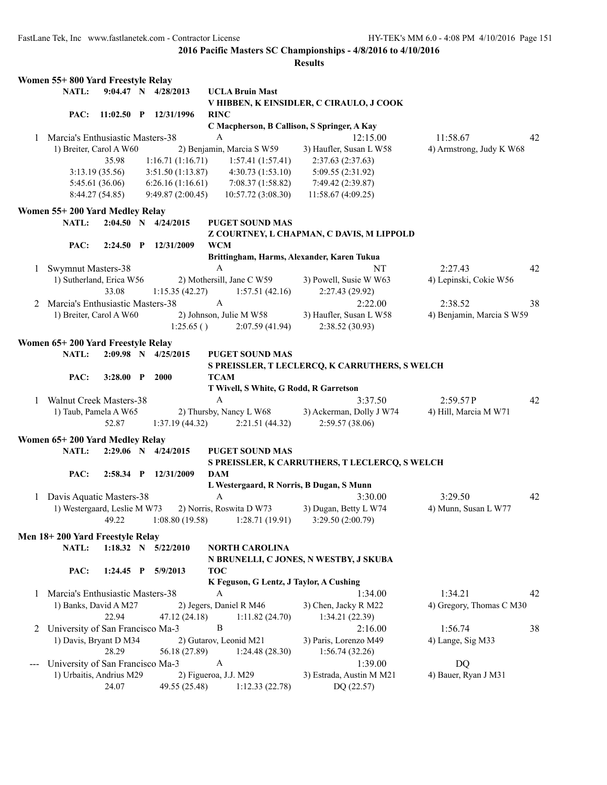|              | Women 55+800 Yard Freestyle Relay  |                 |                     |                       |                                         |                                                |                           |    |
|--------------|------------------------------------|-----------------|---------------------|-----------------------|-----------------------------------------|------------------------------------------------|---------------------------|----|
|              | NATL:                              |                 | 9:04.47 N 4/28/2013 |                       | <b>UCLA Bruin Mast</b>                  |                                                |                           |    |
|              |                                    |                 |                     |                       |                                         | V HIBBEN, K EINSIDLER, C CIRAULO, J COOK       |                           |    |
|              | PAC:                               | $11:02.50$ P    | 12/31/1996          | <b>RINC</b>           |                                         |                                                |                           |    |
|              |                                    |                 |                     |                       |                                         | C Macpherson, B Callison, S Springer, A Kay    |                           |    |
| 1.           | Marcia's Enthusiastic Masters-38   |                 |                     | A                     |                                         | 12:15.00                                       | 11:58.67                  | 42 |
|              | 1) Breiter, Carol A W60            |                 |                     |                       | 2) Benjamin, Marcia S W59               | 3) Haufler, Susan L W58                        | 4) Armstrong, Judy K W68  |    |
|              |                                    | 35.98           | 1:16.71(1:16.71)    |                       | 1:57.41(1:57.41)                        | 2:37.63 (2:37.63)                              |                           |    |
|              |                                    | 3:13.19(35.56)  | 3:51.50 (1:13.87)   |                       | 4:30.73(1:53.10)                        | 5:09.55 (2:31.92)                              |                           |    |
|              |                                    | 5:45.61 (36.06) | 6:26.16(1:16.61)    |                       | 7:08.37(1:58.82)                        | 7:49.42 (2:39.87)                              |                           |    |
|              |                                    | 8:44.27(54.85)  | 9:49.87(2:00.45)    |                       | 10:57.72 (3:08.30)                      | 11:58.67 (4:09.25)                             |                           |    |
|              | Women 55+200 Yard Medley Relay     |                 |                     |                       |                                         |                                                |                           |    |
|              | <b>NATL:</b>                       |                 | 2:04.50 N 4/24/2015 |                       | <b>PUGET SOUND MAS</b>                  |                                                |                           |    |
|              |                                    |                 |                     |                       |                                         | Z COURTNEY, L CHAPMAN, C DAVIS, M LIPPOLD      |                           |    |
|              | PAC:                               | $2:24.50$ P     | 12/31/2009          | WCM                   |                                         |                                                |                           |    |
|              |                                    |                 |                     |                       |                                         | Brittingham, Harms, Alexander, Karen Tukua     |                           |    |
| 1            | Swymnut Masters-38                 |                 |                     | A                     |                                         | NT                                             | 2:27.43                   | 42 |
|              | 1) Sutherland, Erica W56           |                 |                     |                       | 2) Mothersill, Jane C W59               | 3) Powell, Susie W W63                         | 4) Lepinski, Cokie W56    |    |
|              |                                    | 33.08           | 1:15.35(42.27)      |                       | 1:57.51(42.16)                          | 2:27.43 (29.92)                                |                           |    |
|              | 2 Marcia's Enthusiastic Masters-38 |                 |                     | $\mathbf{A}$          |                                         | 2:22.00                                        | 2:38.52                   | 38 |
|              | 1) Breiter, Carol A W60            |                 |                     |                       | 2) Johnson, Julie M W58                 | 3) Haufler, Susan L W58                        | 4) Benjamin, Marcia S W59 |    |
|              |                                    |                 | 1:25.65()           |                       | 2:07.59(41.94)                          | 2:38.52 (30.93)                                |                           |    |
|              |                                    |                 |                     |                       |                                         |                                                |                           |    |
|              | Women 65+200 Yard Freestyle Relay  |                 |                     |                       |                                         |                                                |                           |    |
|              | NATL:                              |                 | 2:09.98 N 4/25/2015 |                       | <b>PUGET SOUND MAS</b>                  |                                                |                           |    |
|              |                                    |                 |                     |                       |                                         | S PREISSLER, T LECLERCQ, K CARRUTHERS, S WELCH |                           |    |
|              | PAC:                               | $3:28.00$ P     | 2000                | TCAM                  |                                         |                                                |                           |    |
|              |                                    |                 |                     |                       | T Wivell, S White, G Rodd, R Garretson  |                                                |                           |    |
| $\mathbf{1}$ | Walnut Creek Masters-38            |                 |                     | A                     |                                         | 3:37.50                                        | 2:59.57P                  | 42 |
|              | 1) Taub, Pamela A W65              |                 |                     |                       | 2) Thursby, Nancy L W68                 | 3) Ackerman, Dolly J W74                       | 4) Hill, Marcia M W71     |    |
|              |                                    | 52.87           | 1:37.19(44.32)      |                       | 2:21.51(44.32)                          | 2:59.57(38.06)                                 |                           |    |
|              | Women 65+200 Yard Medley Relay     |                 |                     |                       |                                         |                                                |                           |    |
|              | NATL:                              |                 | 2:29.06 N 4/24/2015 |                       | <b>PUGET SOUND MAS</b>                  |                                                |                           |    |
|              |                                    |                 |                     |                       |                                         | S PREISSLER, K CARRUTHERS, T LECLERCQ, S WELCH |                           |    |
|              | PAC:                               | $2:58.34$ P     | 12/31/2009          | <b>DAM</b>            |                                         |                                                |                           |    |
|              |                                    |                 |                     |                       |                                         | L Westergaard, R Norris, B Dugan, S Munn       |                           |    |
| 1            | Davis Aquatic Masters-38           |                 |                     | A                     |                                         | 3:30.00                                        | 3:29.50                   | 42 |
|              | 1) Westergaard, Leslie M W73       |                 |                     |                       | 2) Norris, Roswita D W73                | 3) Dugan, Betty L W74                          | 4) Munn, Susan L W77      |    |
|              |                                    | 49.22           | 1:08.80(19.58)      |                       | 1:28.71(19.91)                          | 3:29.50 (2:00.79)                              |                           |    |
|              | Men 18+200 Yard Freestyle Relay    |                 |                     |                       |                                         |                                                |                           |    |
|              | NATL:                              |                 | 1:18.32 N 5/22/2010 |                       | <b>NORTH CAROLINA</b>                   |                                                |                           |    |
|              |                                    |                 |                     |                       |                                         | N BRUNELLI, C JONES, N WESTBY, J SKUBA         |                           |    |
|              | PAC:                               | $1:24.45$ P     | 5/9/2013            | <b>TOC</b>            |                                         |                                                |                           |    |
|              |                                    |                 |                     |                       | K Feguson, G Lentz, J Taylor, A Cushing |                                                |                           |    |
|              | Marcia's Enthusiastic Masters-38   |                 |                     | A                     |                                         | 1:34.00                                        | 1:34.21                   | 42 |
| 1            |                                    |                 |                     |                       |                                         |                                                | 4) Gregory, Thomas C M30  |    |
|              | 1) Banks, David A M27              | 22.94           |                     |                       | 2) Jegers, Daniel R M46                 | 3) Chen, Jacky R M22                           |                           |    |
|              |                                    |                 | 47.12 (24.18)       |                       | 1:11.82(24.70)                          | 1:34.21(22.39)                                 |                           |    |
|              | 2 University of San Francisco Ma-3 |                 |                     | B                     |                                         | 2:16.00                                        | 1:56.74                   | 38 |
|              | 1) Davis, Bryant D M34             |                 |                     |                       | 2) Gutarov, Leonid M21                  | 3) Paris, Lorenzo M49                          | 4) Lange, Sig M33         |    |
|              |                                    | 28.29           | 56.18 (27.89)       |                       | 1:24.48(28.30)                          | 1:56.74(32.26)                                 |                           |    |
|              | University of San Francisco Ma-3   |                 |                     | $\boldsymbol{A}$      |                                         | 1:39.00                                        | DQ                        |    |
|              | 1) Urbaitis, Andrius M29           |                 |                     | 2) Figueroa, J.J. M29 |                                         | 3) Estrada, Austin M M21                       | 4) Bauer, Ryan J M31      |    |
|              |                                    | 24.07           | 49.55 (25.48)       |                       | 1:12.33(22.78)                          | DQ (22.57)                                     |                           |    |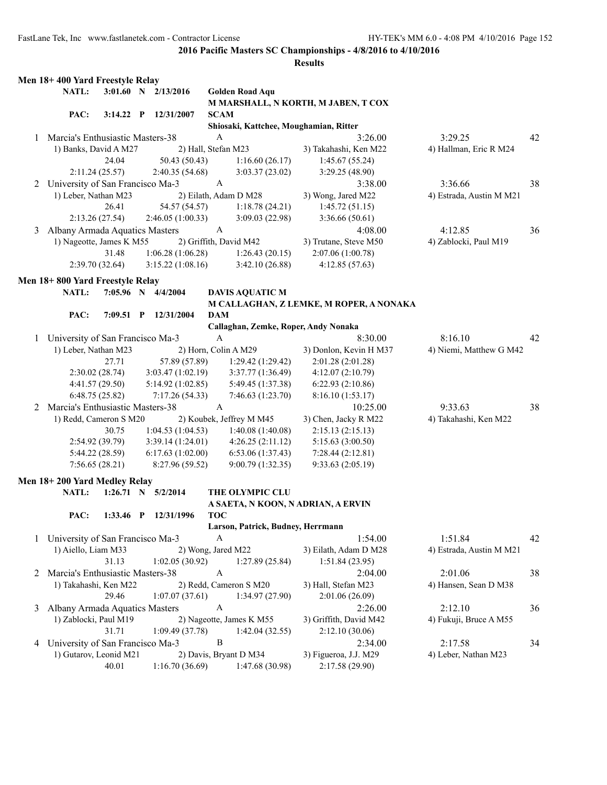|   | Men 18+ 400 Yard Freestyle Relay   |                 |              |                        |                           |                                        |                                         |                          |    |
|---|------------------------------------|-----------------|--------------|------------------------|---------------------------|----------------------------------------|-----------------------------------------|--------------------------|----|
|   | NATL:                              |                 |              | 3:01.60 N 2/13/2016    |                           | <b>Golden Road Aqu</b>                 |                                         |                          |    |
|   |                                    |                 |              |                        |                           |                                        | M MARSHALL, N KORTH, M JABEN, T COX     |                          |    |
|   | PAC:                               | $3:14.22$ P     |              | 12/31/2007             | <b>SCAM</b>               |                                        |                                         |                          |    |
|   |                                    |                 |              |                        |                           | Shiosaki, Kattchee, Moughamian, Ritter |                                         |                          |    |
| 1 | Marcia's Enthusiastic Masters-38   |                 |              |                        | A                         |                                        | 3:26.00                                 | 3:29.25                  | 42 |
|   | 1) Banks, David A M27              |                 |              |                        | 2) Hall, Stefan M23       |                                        | 3) Takahashi, Ken M22                   | 4) Hallman, Eric R M24   |    |
|   |                                    | 24.04           |              | 50.43 (50.43)          |                           | 1:16.60(26.17)                         | 1:45.67(55.24)                          |                          |    |
|   |                                    | 2:11.24(25.57)  |              | 2:40.35(54.68)         |                           | 3:03.37(23.02)                         | 3:29.25 (48.90)                         |                          |    |
|   | 2 University of San Francisco Ma-3 |                 |              |                        | $\boldsymbol{A}$          |                                        | 3:38.00                                 | 3:36.66                  | 38 |
|   | 1) Leber, Nathan M23               |                 |              |                        |                           | 2) Eilath, Adam D M28                  | 3) Wong, Jared M22                      | 4) Estrada, Austin M M21 |    |
|   |                                    | 26.41           |              | 54.57 (54.57)          |                           | 1:18.78(24.21)                         | 1:45.72(51.15)                          |                          |    |
|   |                                    | 2:13.26(27.54)  |              | 2:46.05(1:00.33)       |                           | 3:09.03(22.98)                         | 3:36.66(50.61)                          |                          |    |
| 3 | Albany Armada Aquatics Masters     |                 |              |                        | $\mathbf{A}$              |                                        | 4:08.00                                 | 4:12.85                  | 36 |
|   | 1) Nageotte, James K M55           |                 |              |                        |                           | 2) Griffith, David M42                 | 3) Trutane, Steve M50                   | 4) Zablocki, Paul M19    |    |
|   |                                    | 31.48           |              | 1:06.28(1:06.28)       |                           | 1:26.43(20.15)                         | 2:07.06 (1:00.78)                       |                          |    |
|   |                                    | 2:39.70(32.64)  |              | 3:15.22(1:08.16)       |                           | 3:42.10(26.88)                         | 4:12.85(57.63)                          |                          |    |
|   |                                    |                 |              |                        |                           |                                        |                                         |                          |    |
|   | Men 18+800 Yard Freestyle Relay    |                 |              |                        |                           |                                        |                                         |                          |    |
|   | NATL:                              |                 |              | 7:05.96 N 4/4/2004     |                           | <b>DAVIS AQUATIC M</b>                 |                                         |                          |    |
|   |                                    |                 |              |                        |                           |                                        | M CALLAGHAN, Z LEMKE, M ROPER, A NONAKA |                          |    |
|   | PAC:                               | $7:09.51$ P     |              | 12/31/2004             | <b>DAM</b>                |                                        |                                         |                          |    |
|   |                                    |                 |              |                        |                           | Callaghan, Zemke, Roper, Andy Nonaka   |                                         |                          |    |
|   | 1 University of San Francisco Ma-3 |                 |              |                        | $\boldsymbol{\mathsf{A}}$ |                                        | 8:30.00                                 | 8:16.10                  | 42 |
|   | 1) Leber, Nathan M23               |                 |              |                        |                           | 2) Horn, Colin A M29                   | 3) Donlon, Kevin H M37                  | 4) Niemi, Matthew G M42  |    |
|   |                                    | 27.71           |              | 57.89 (57.89)          |                           | 1:29.42(1:29.42)                       | 2:01.28 (2:01.28)                       |                          |    |
|   |                                    | 2:30.02(28.74)  |              | 3:03.47(1:02.19)       |                           | 3:37.77 (1:36.49)                      | 4:12.07(2:10.79)                        |                          |    |
|   |                                    | 4:41.57(29.50)  |              | 5:14.92(1:02.85)       |                           | 5:49.45 (1:37.38)                      | 6:22.93(2:10.86)                        |                          |    |
|   |                                    | 6:48.75(25.82)  |              | 7:17.26(54.33)         |                           | 7:46.63 (1:23.70)                      | 8:16.10 (1:53.17)                       |                          |    |
| 2 | Marcia's Enthusiastic Masters-38   |                 |              |                        | $\mathbf{A}$              |                                        | 10:25.00                                | 9:33.63                  | 38 |
|   | 1) Redd, Cameron S M20             |                 |              |                        |                           | 2) Koubek, Jeffrey M M45               | 3) Chen, Jacky R M22                    | 4) Takahashi, Ken M22    |    |
|   |                                    | 30.75           |              | 1:04.53(1:04.53)       |                           | 1:40.08(1:40.08)                       | 2:15.13(2:15.13)                        |                          |    |
|   |                                    | 2:54.92(39.79)  |              | 3:39.14(1:24.01)       |                           | 4:26.25(2:11.12)                       | 5:15.63 (3:00.50)                       |                          |    |
|   |                                    | 5:44.22 (28.59) |              | 6:17.63(1:02.00)       |                           | 6:53.06 (1:37.43)                      | 7:28.44(2:12.81)                        |                          |    |
|   |                                    | 7:56.65(28.21)  |              | 8:27.96 (59.52)        |                           | 9:00.79 (1:32.35)                      | 9:33.63 (2:05.19)                       |                          |    |
|   | Men 18+200 Yard Medley Relay       |                 |              |                        |                           |                                        |                                         |                          |    |
|   | NATL:                              |                 |              | $1:26.71$ N $5/2/2014$ |                           | THE OLYMPIC CLU                        |                                         |                          |    |
|   |                                    |                 |              |                        |                           |                                        | A SAETA, N KOON, N ADRIAN, A ERVIN      |                          |    |
|   | PAC:                               | 1:33.46         | $\mathbf{P}$ | 12/31/1996             | <b>TOC</b>                |                                        |                                         |                          |    |
|   |                                    |                 |              |                        |                           | Larson, Patrick, Budney, Herrmann      |                                         |                          |    |
|   | University of San Francisco Ma-3   |                 |              |                        | $\mathbf{A}$              |                                        | 1:54.00                                 | 1:51.84                  | 42 |
| 1 | 1) Aiello, Liam M33                |                 |              |                        |                           | 2) Wong, Jared M22                     | 3) Eilath, Adam D M28                   |                          |    |
|   |                                    |                 |              |                        |                           |                                        |                                         | 4) Estrada, Austin M M21 |    |
|   |                                    | 31.13           |              | 1:02.05(30.92)         |                           | 1:27.89(25.84)                         | 1:51.84(23.95)                          |                          |    |
| 2 | Marcia's Enthusiastic Masters-38   |                 |              |                        | $\boldsymbol{A}$          |                                        | 2:04.00                                 | 2:01.06                  | 38 |
|   | 1) Takahashi, Ken M22              |                 |              |                        |                           | 2) Redd, Cameron S M20                 | 3) Hall, Stefan M23                     | 4) Hansen, Sean D M38    |    |
|   |                                    | 29.46           |              | 1:07.07(37.61)         |                           | 1:34.97(27.90)                         | 2:01.06(26.09)                          |                          |    |
| 3 | Albany Armada Aquatics Masters     |                 |              |                        | $\boldsymbol{A}$          |                                        | 2:26.00                                 | 2:12.10                  | 36 |
|   | 1) Zablocki, Paul M19              |                 |              |                        |                           | 2) Nageotte, James K M55               | 3) Griffith, David M42                  | 4) Fukuji, Bruce A M55   |    |
|   |                                    | 31.71           |              | 1:09.49(37.78)         |                           | 1:42.04(32.55)                         | 2:12.10(30.06)                          |                          |    |
| 4 | University of San Francisco Ma-3   |                 |              |                        | B                         |                                        | 2:34.00                                 | 2:17.58                  | 34 |
|   | 1) Gutarov, Leonid M21             |                 |              |                        |                           | 2) Davis, Bryant D M34                 | 3) Figueroa, J.J. M29                   | 4) Leber, Nathan M23     |    |
|   |                                    | 40.01           |              | 1:16.70(36.69)         |                           | 1:47.68 (30.98)                        | 2:17.58 (29.90)                         |                          |    |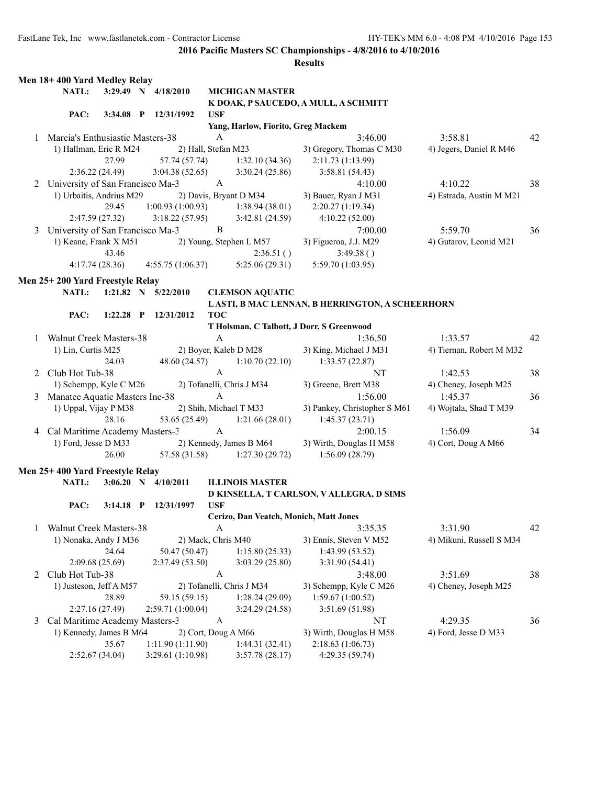|   | Men 18+400 Yard Medley Relay       |                |                         |                     |                                        |                                                 |                          |    |
|---|------------------------------------|----------------|-------------------------|---------------------|----------------------------------------|-------------------------------------------------|--------------------------|----|
|   | NATL:                              |                | 3:29.49 N 4/18/2010     |                     | <b>MICHIGAN MASTER</b>                 |                                                 |                          |    |
|   |                                    |                |                         |                     |                                        | K DOAK, P SAUCEDO, A MULL, A SCHMITT            |                          |    |
|   | PAC:                               | $3:34.08$ P    | 12/31/1992              | <b>USF</b>          |                                        |                                                 |                          |    |
|   |                                    |                |                         |                     | Yang, Harlow, Fiorito, Greg Mackem     |                                                 |                          |    |
|   | 1 Marcia's Enthusiastic Masters-38 |                |                         | $\mathbf{A}$        |                                        | 3:46.00                                         | 3:58.81                  | 42 |
|   | 1) Hallman, Eric R M24             |                |                         | 2) Hall, Stefan M23 |                                        | 3) Gregory, Thomas C M30                        | 4) Jegers, Daniel R M46  |    |
|   |                                    | 27.99          | 57.74 (57.74)           |                     | 1:32.10(34.36)                         | 2:11.73 (1:13.99)                               |                          |    |
|   |                                    | 2:36.22(24.49) | 3:04.38(52.65)          |                     | 3:30.24(25.86)                         | 3:58.81(54.43)                                  |                          |    |
| 2 | University of San Francisco Ma-3   |                |                         | $\mathbf{A}$        |                                        | 4:10.00                                         | 4:10.22                  | 38 |
|   | 1) Urbaitis, Andrius M29           |                |                         |                     | 2) Davis, Bryant D M34                 | 3) Bauer, Ryan J M31                            | 4) Estrada, Austin M M21 |    |
|   |                                    | 29.45          | 1:00.93(1:00.93)        |                     | 1:38.94(38.01)                         | 2:20.27(1:19.34)                                |                          |    |
|   |                                    | 2:47.59(27.32) | 3:18.22(57.95)          |                     | 3:42.81(24.59)                         | 4:10.22(52.00)                                  |                          |    |
| 3 | University of San Francisco Ma-3   |                |                         | $\, {\bf B}$        |                                        | 7:00.00                                         | 5:59.70                  | 36 |
|   | 1) Keane, Frank X M51              |                |                         |                     | 2) Young, Stephen L M57                | 3) Figueroa, J.J. M29                           | 4) Gutarov, Leonid M21   |    |
|   |                                    | 43.46          |                         |                     | 2:36.51()                              | 3:49.38()                                       |                          |    |
|   |                                    | 4:17.74(28.36) | 4:55.75(1:06.37)        |                     | 5:25.06(29.31)                         | 5:59.70 (1:03.95)                               |                          |    |
|   |                                    |                |                         |                     |                                        |                                                 |                          |    |
|   | Men 25+200 Yard Freestyle Relay    |                |                         |                     |                                        |                                                 |                          |    |
|   | <b>NATL:</b>                       |                | 1:21.82 N $5/22/2010$   |                     | <b>CLEMSON AQUATIC</b>                 |                                                 |                          |    |
|   |                                    |                |                         |                     |                                        | LASTI, B MAC LENNAN, B HERRINGTON, A SCHEERHORN |                          |    |
|   | PAC:                               | $1:22.28$ P    | 12/31/2012              | <b>TOC</b>          |                                        |                                                 |                          |    |
|   |                                    |                |                         |                     |                                        | T Holsman, C Talbott, J Dorr, S Greenwood       |                          |    |
| 1 | <b>Walnut Creek Masters-38</b>     |                |                         | $\mathbf{A}$        |                                        | 1:36.50                                         | 1:33.57                  | 42 |
|   | 1) Lin, Curtis M25                 |                |                         |                     | 2) Boyer, Kaleb D M28                  | 3) King, Michael J M31                          | 4) Tiernan, Robert M M32 |    |
|   |                                    | 24.03          | 48.60 (24.57)           |                     | 1:10.70(22.10)                         | 1:33.57(22.87)                                  |                          |    |
|   | 2 Club Hot Tub-38                  |                |                         | $\mathbf{A}$        |                                        | NT                                              | 1:42.53                  | 38 |
|   | 1) Schempp, Kyle C M26             |                |                         |                     | 2) Tofanelli, Chris J M34              | 3) Greene, Brett M38                            | 4) Cheney, Joseph M25    |    |
|   | Manatee Aquatic Masters Inc-38     |                |                         | $\mathbf{A}$        |                                        | 1:56.00                                         | 1:45.37                  | 36 |
|   | 1) Uppal, Vijay P M38              |                |                         |                     | 2) Shih, Michael T M33                 | 3) Pankey, Christopher S M61                    | 4) Wojtala, Shad T M39   |    |
|   |                                    | 28.16          | 53.65 (25.49)           |                     | 1:21.66(28.01)                         | 1:45.37(23.71)                                  |                          |    |
| 4 | Cal Maritime Academy Masters-3     |                |                         | $\mathbf{A}$        |                                        | 2:00.15                                         | 1:56.09                  | 34 |
|   | 1) Ford, Jesse D M33               |                |                         |                     | 2) Kennedy, James B M64                | 3) Wirth, Douglas H M58                         | 4) Cort, Doug A M66      |    |
|   |                                    | 26.00          | 57.58 (31.58)           |                     | 1:27.30(29.72)                         | 1:56.09(28.79)                                  |                          |    |
|   |                                    |                |                         |                     |                                        |                                                 |                          |    |
|   | Men 25+400 Yard Freestyle Relay    |                |                         |                     |                                        |                                                 |                          |    |
|   | NATL:                              |                | $3:06.20$ N $4/10/2011$ |                     | <b>ILLINOIS MASTER</b>                 |                                                 |                          |    |
|   |                                    |                |                         |                     |                                        | D KINSELLA, T CARLSON, V ALLEGRA, D SIMS        |                          |    |
|   | PAC:                               | $3:14.18$ P    | 12/31/1997              | <b>USF</b>          |                                        |                                                 |                          |    |
|   |                                    |                |                         |                     | Cerizo, Dan Veatch, Monich, Matt Jones |                                                 |                          |    |
|   | Walnut Creek Masters-38            |                |                         | $\mathbf{A}$        |                                        | 3:35.35                                         | 3:31.90                  | 42 |
|   | 1) Nonaka, Andy J M36              |                |                         | 2) Mack, Chris M40  |                                        | 3) Ennis, Steven V M52                          | 4) Mikuni, Russell S M34 |    |
|   |                                    | 24.64          | 50.47 (50.47)           |                     | 1:15.80(25.33)                         | 1:43.99(53.52)                                  |                          |    |
|   |                                    | 2:09.68(25.69) | 2:37.49(53.50)          |                     | 3:03.29(25.80)                         | 3:31.90 (54.41)                                 |                          |    |
| 2 | Club Hot Tub-38                    |                |                         | $\boldsymbol{A}$    |                                        | 3:48.00                                         | 3:51.69                  | 38 |
|   | 1) Justeson, Jeff A M57            |                |                         |                     | 2) Tofanelli, Chris J M34              | 3) Schempp, Kyle C M26                          | 4) Cheney, Joseph M25    |    |
|   |                                    | 28.89          | 59.15 (59.15)           |                     | 1:28.24(29.09)                         | 1:59.67(1:00.52)                                |                          |    |
|   |                                    | 2:27.16(27.49) | 2:59.71 (1:00.04)       |                     | 3:24.29 (24.58)                        | 3:51.69 (51.98)                                 |                          |    |
| 3 | Cal Maritime Academy Masters-3     |                |                         | $\boldsymbol{A}$    |                                        | NT                                              | 4:29.35                  | 36 |
|   | 1) Kennedy, James B M64            |                |                         |                     | 2) Cort, Doug A M66                    | 3) Wirth, Douglas H M58                         | 4) Ford, Jesse D M33     |    |
|   |                                    | 35.67          | 1:11.90 (1:11.90)       |                     | 1:44.31(32.41)                         | 2:18.63(1:06.73)                                |                          |    |
|   |                                    | 2:52.67(34.04) | 3:29.61 (1:10.98)       |                     | 3:57.78(28.17)                         | 4:29.35 (59.74)                                 |                          |    |
|   |                                    |                |                         |                     |                                        |                                                 |                          |    |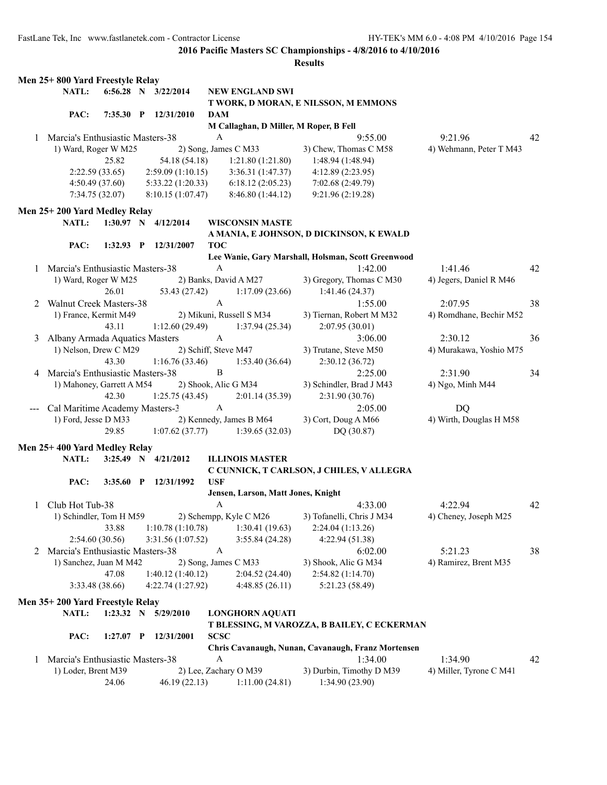|              | Men 25+800 Yard Freestyle Relay    |                 |              |                         |                      |                                        |                                                    |                         |    |
|--------------|------------------------------------|-----------------|--------------|-------------------------|----------------------|----------------------------------------|----------------------------------------------------|-------------------------|----|
|              | NATL:                              |                 |              | 6:56.28 N 3/22/2014     |                      | <b>NEW ENGLAND SWI</b>                 |                                                    |                         |    |
|              |                                    |                 |              |                         |                      |                                        | T WORK, D MORAN, E NILSSON, M EMMONS               |                         |    |
|              | PAC:                               | 7:35.30         | $\mathbf{P}$ | 12/31/2010              | <b>DAM</b>           |                                        |                                                    |                         |    |
|              |                                    |                 |              |                         |                      | M Callaghan, D Miller, M Roper, B Fell |                                                    |                         |    |
|              | 1 Marcia's Enthusiastic Masters-38 |                 |              |                         | A                    |                                        | 9:55.00                                            | 9:21.96                 | 42 |
|              | 1) Ward, Roger W M25               |                 |              |                         |                      | 2) Song, James C M33                   | 3) Chew, Thomas C M58                              | 4) Wehmann, Peter T M43 |    |
|              |                                    | 25.82           |              | 54.18 (54.18)           |                      | 1:21.80(1:21.80)                       | 1:48.94 (1:48.94)                                  |                         |    |
|              |                                    | 2:22.59(33.65)  |              | 2:59.09(1:10.15)        |                      | 3:36.31(1:47.37)                       | 4:12.89 (2:23.95)                                  |                         |    |
|              |                                    | 4:50.49(37.60)  |              | 5:33.22(1:20.33)        |                      | 6:18.12(2:05.23)                       | 7:02.68 (2:49.79)                                  |                         |    |
|              |                                    | 7:34.75(32.07)  |              | 8:10.15(1:07.47)        |                      | 8:46.80(1:44.12)                       | 9:21.96(2:19.28)                                   |                         |    |
|              |                                    |                 |              |                         |                      |                                        |                                                    |                         |    |
|              | Men 25+200 Yard Medley Relay       |                 |              |                         |                      |                                        |                                                    |                         |    |
|              | NATL:                              |                 |              | $1:30.97$ N $4/12/2014$ |                      | <b>WISCONSIN MASTE</b>                 |                                                    |                         |    |
|              |                                    |                 |              |                         |                      |                                        | A MANIA, E JOHNSON, D DICKINSON, K EWALD           |                         |    |
|              | PAC:                               | $1:32.93$ P     |              | 12/31/2007              | <b>TOC</b>           |                                        |                                                    |                         |    |
|              |                                    |                 |              |                         |                      |                                        | Lee Wanie, Gary Marshall, Holsman, Scott Greenwood |                         |    |
|              | 1 Marcia's Enthusiastic Masters-38 |                 |              |                         | $\boldsymbol{A}$     |                                        | 1:42.00                                            | 1:41.46                 | 42 |
|              | 1) Ward, Roger W M25               |                 |              |                         |                      | 2) Banks, David A M27                  | 3) Gregory, Thomas C M30                           | 4) Jegers, Daniel R M46 |    |
|              |                                    | 26.01           |              | 53.43 (27.42)           |                      | 1:17.09(23.66)                         | 1:41.46(24.37)                                     |                         |    |
| 2            | Walnut Creek Masters-38            |                 |              |                         | $\mathbf{A}$         |                                        | 1:55.00                                            | 2:07.95                 | 38 |
|              | 1) France, Kermit M49              |                 |              |                         |                      | 2) Mikuni, Russell S M34               | 3) Tiernan, Robert M M32                           | 4) Romdhane, Bechir M52 |    |
|              |                                    | 43.11           |              | 1:12.60(29.49)          |                      | 1:37.94(25.34)                         | 2:07.95(30.01)                                     |                         |    |
| 3            | Albany Armada Aquatics Masters     |                 |              |                         | $\mathbf{A}$         |                                        | 3:06.00                                            | 2:30.12                 | 36 |
|              | 1) Nelson, Drew C M29              |                 |              |                         | 2) Schiff, Steve M47 |                                        | 3) Trutane, Steve M50                              | 4) Murakawa, Yoshio M75 |    |
|              |                                    | 43.30           |              | 1:16.76(33.46)          |                      | 1:53.40(36.64)                         | 2:30.12(36.72)                                     |                         |    |
|              | 4 Marcia's Enthusiastic Masters-38 |                 |              |                         | $\mathbf B$          |                                        | 2:25.00                                            | 2:31.90                 | 34 |
|              |                                    |                 |              |                         |                      |                                        |                                                    |                         |    |
|              | 1) Mahoney, Garrett A M54          |                 |              |                         |                      | 2) Shook, Alic G M34                   | 3) Schindler, Brad J M43                           | 4) Ngo, Minh M44        |    |
|              |                                    | 42.30           |              | 1:25.75(43.45)          |                      | 2:01.14(35.39)                         | 2:31.90 (30.76)                                    |                         |    |
|              | Cal Maritime Academy Masters-3     |                 |              |                         | $\mathbf{A}$         |                                        | 2:05.00                                            | <b>DQ</b>               |    |
|              | 1) Ford, Jesse D M33               |                 |              |                         |                      | 2) Kennedy, James B M64                | 3) Cort, Doug A M66                                | 4) Wirth, Douglas H M58 |    |
|              |                                    | 29.85           |              | 1:07.62(37.77)          |                      | 1:39.65(32.03)                         | DQ (30.87)                                         |                         |    |
|              | Men 25+400 Yard Medley Relay       |                 |              |                         |                      |                                        |                                                    |                         |    |
|              | NATL:                              |                 |              | $3:25.49$ N $4/21/2012$ |                      | <b>ILLINOIS MASTER</b>                 |                                                    |                         |    |
|              |                                    |                 |              |                         |                      |                                        | C CUNNICK, T CARLSON, J CHILES, V ALLEGRA          |                         |    |
|              | PAC:                               | $3:35.60$ P     |              | 12/31/1992              | <b>USF</b>           |                                        |                                                    |                         |    |
|              |                                    |                 |              |                         |                      | Jensen, Larson, Matt Jones, Knight     |                                                    |                         |    |
| $\mathbf{1}$ | Club Hot Tub-38                    |                 |              |                         | $\mathbf{A}$         |                                        | 4:33.00                                            | 4:22.94                 | 42 |
|              | 1) Schindler, Tom H M59            |                 |              |                         |                      | 2) Schempp, Kyle C M26                 | 3) Tofanelli, Chris J M34                          | 4) Cheney, Joseph M25   |    |
|              |                                    | 33.88           |              | 1:10.78(1:10.78)        |                      | 1:30.41(19.63)                         | 2:24.04(1:13.26)                                   |                         |    |
|              |                                    | 2:54.60(30.56)  |              | 3:31.56 (1:07.52)       |                      | 3:55.84(24.28)                         | 4:22.94(51.38)                                     |                         |    |
|              | 2 Marcia's Enthusiastic Masters-38 |                 |              |                         | $\boldsymbol{A}$     |                                        |                                                    |                         |    |
|              |                                    |                 |              |                         |                      |                                        | 6:02.00                                            | 5:21.23                 | 38 |
|              | 1) Sanchez, Juan M M42             |                 |              |                         |                      | 2) Song, James C M33                   | 3) Shook, Alic G M34                               | 4) Ramirez, Brent M35   |    |
|              |                                    | 47.08           |              | 1:40.12(1:40.12)        |                      | 2:04.52(24.40)                         | 2:54.82 (1:14.70)                                  |                         |    |
|              |                                    | 3:33.48 (38.66) |              | 4:22.74 (1:27.92)       |                      | 4:48.85(26.11)                         | 5:21.23 (58.49)                                    |                         |    |
|              | Men 35+200 Yard Freestyle Relay    |                 |              |                         |                      |                                        |                                                    |                         |    |
|              | NATL:                              |                 |              | 1:23.32 N 5/29/2010     |                      | <b>LONGHORN AQUATI</b>                 |                                                    |                         |    |
|              |                                    |                 |              |                         |                      |                                        | T BLESSING, M VAROZZA, B BAILEY, C ECKERMAN        |                         |    |
|              | PAC:                               | $1:27.07$ P     |              | 12/31/2001              | <b>SCSC</b>          |                                        |                                                    |                         |    |
|              |                                    |                 |              |                         |                      |                                        | Chris Cavanaugh, Nunan, Cavanaugh, Franz Mortensen |                         |    |
| 1            | Marcia's Enthusiastic Masters-38   |                 |              |                         | A                    |                                        | 1:34.00                                            | 1:34.90                 | 42 |
|              | 1) Loder, Brent M39                |                 |              |                         |                      | 2) Lee, Zachary O M39                  | 3) Durbin, Timothy D M39                           | 4) Miller, Tyrone C M41 |    |
|              |                                    | 24.06           |              | 46.19 (22.13)           |                      | 1:11.00(24.81)                         | 1:34.90(23.90)                                     |                         |    |
|              |                                    |                 |              |                         |                      |                                        |                                                    |                         |    |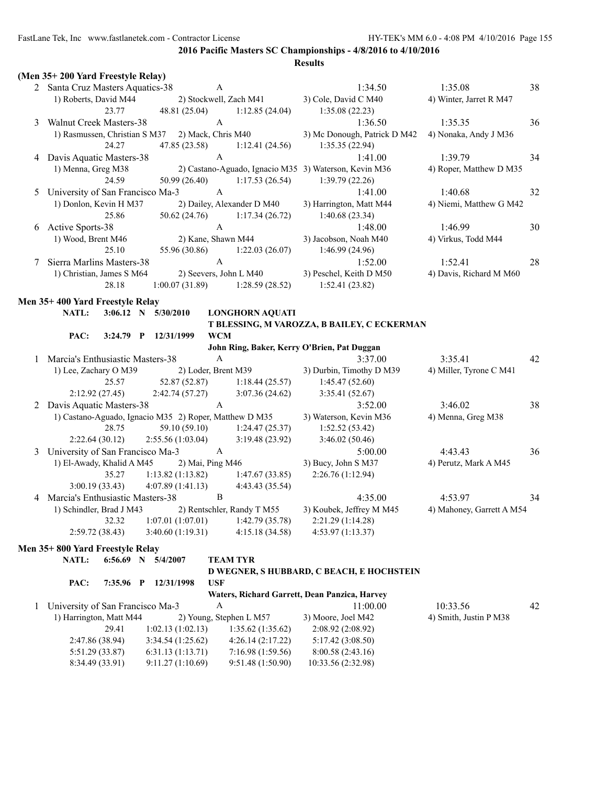|   | (Men 35+200 Yard Freestyle Relay)                      |             |                     |                    |                  |                            |                                                       |                           |    |
|---|--------------------------------------------------------|-------------|---------------------|--------------------|------------------|----------------------------|-------------------------------------------------------|---------------------------|----|
|   | 2 Santa Cruz Masters Aquatics-38                       |             |                     |                    | $\mathbf{A}$     |                            | 1:34.50                                               | 1:35.08                   | 38 |
|   | 1) Roberts, David M44                                  |             |                     |                    |                  | 2) Stockwell, Zach M41     | 3) Cole, David C M40                                  | 4) Winter, Jarret R M47   |    |
|   |                                                        | 23.77       |                     | 48.81 (25.04)      |                  | 1:12.85(24.04)             | 1:35.08(22.23)                                        |                           |    |
| 3 | Walnut Creek Masters-38                                |             |                     |                    | $\mathbf{A}$     |                            | 1:36.50                                               | 1:35.35                   | 36 |
|   | 1) Rasmussen, Christian S M37                          |             |                     | 2) Mack, Chris M40 |                  |                            | 3) Mc Donough, Patrick D M42                          | 4) Nonaka, Andy J M36     |    |
|   |                                                        | 24.27       |                     | 47.85 (23.58)      |                  | 1:12.41(24.56)             | 1:35.35(22.94)                                        |                           |    |
| 4 | Davis Aquatic Masters-38                               |             |                     |                    | A                |                            | 1:41.00                                               | 1:39.79                   | 34 |
|   | 1) Menna, Greg M38                                     |             |                     |                    |                  |                            | 2) Castano-Aguado, Ignacio M35 3) Waterson, Kevin M36 | 4) Roper, Matthew D M35   |    |
|   |                                                        | 24.59       |                     | 50.99 (26.40)      |                  | 1:17.53(26.54)             | 1:39.79(22.26)                                        |                           |    |
| 5 | University of San Francisco Ma-3                       |             |                     |                    | $\mathbf{A}$     |                            | 1:41.00                                               | 1:40.68                   | 32 |
|   | 1) Donlon, Kevin H M37                                 |             |                     |                    |                  | 2) Dailey, Alexander D M40 | 3) Harrington, Matt M44                               | 4) Niemi, Matthew G M42   |    |
|   |                                                        | 25.86       |                     | 50.62 (24.76)      |                  | 1:17.34(26.72)             | 1:40.68(23.34)                                        |                           |    |
| 6 | <b>Active Sports-38</b>                                |             |                     |                    | $\mathbf{A}$     |                            | 1:48.00                                               | 1:46.99                   | 30 |
|   | 1) Wood, Brent M46                                     |             |                     | 2) Kane, Shawn M44 |                  |                            | 3) Jacobson, Noah M40                                 | 4) Virkus, Todd M44       |    |
|   |                                                        | 25.10       |                     | 55.96 (30.86)      |                  | 1:22.03(26.07)             | 1:46.99(24.96)                                        |                           |    |
| 7 | Sierra Marlins Masters-38                              |             |                     |                    | $\mathbf{A}$     |                            | 1:52.00                                               | 1:52.41                   | 28 |
|   | 1) Christian, James S M64                              |             |                     |                    |                  | 2) Seevers, John L M40     | 3) Peschel, Keith D M50                               | 4) Davis, Richard M M60   |    |
|   |                                                        | 28.18       |                     | 1:00.07(31.89)     |                  | 1:28.59(28.52)             | 1:52.41(23.82)                                        |                           |    |
|   | Men 35+400 Yard Freestyle Relay                        |             |                     |                    |                  |                            |                                                       |                           |    |
|   | NATL:                                                  |             | 3:06.12 N 5/30/2010 |                    |                  | <b>LONGHORN AQUATI</b>     |                                                       |                           |    |
|   |                                                        |             |                     |                    |                  |                            | T BLESSING, M VAROZZA, B BAILEY, C ECKERMAN           |                           |    |
|   | PAC:                                                   | $3:24.79$ P |                     | 12/31/1999         | <b>WCM</b>       |                            |                                                       |                           |    |
|   |                                                        |             |                     |                    |                  |                            | John Ring, Baker, Kerry O'Brien, Pat Duggan           |                           |    |
| 1 | Marcia's Enthusiastic Masters-38                       |             |                     |                    | $\boldsymbol{A}$ |                            | 3:37.00                                               | 3:35.41                   | 42 |
|   | 1) Lee, Zachary O M39                                  |             |                     |                    |                  | 2) Loder, Brent M39        | 3) Durbin, Timothy D M39                              | 4) Miller, Tyrone C M41   |    |
|   |                                                        | 25.57       |                     | 52.87 (52.87)      |                  | 1:18.44(25.57)             | 1:45.47(52.60)                                        |                           |    |
|   | 2:12.92(27.45)                                         |             |                     | 2:42.74(57.27)     |                  | 3:07.36(24.62)             | 3:35.41(52.67)                                        |                           |    |
|   | 2 Davis Aquatic Masters-38                             |             |                     |                    | $\mathbf{A}$     |                            | 3:52.00                                               | 3:46.02                   | 38 |
|   | 1) Castano-Aguado, Ignacio M35 2) Roper, Matthew D M35 |             |                     |                    |                  |                            | 3) Waterson, Kevin M36                                | 4) Menna, Greg M38        |    |
|   |                                                        | 28.75       |                     | 59.10 (59.10)      |                  | 1:24.47(25.37)             | 1:52.52(53.42)                                        |                           |    |
|   | 2:22.64(30.12)                                         |             |                     | 2:55.56 (1:03.04)  |                  | 3:19.48(23.92)             | 3:46.02(50.46)                                        |                           |    |
| 3 | University of San Francisco Ma-3                       |             |                     |                    | $\mathbf{A}$     |                            | 5:00.00                                               | 4:43.43                   | 36 |
|   | 1) El-Awady, Khalid A M45                              |             |                     | 2) Mai, Ping M46   |                  |                            | 3) Bucy, John S M37                                   | 4) Perutz, Mark A M45     |    |
|   |                                                        | 35.27       |                     | 1:13.82(1:13.82)   |                  | 1:47.67(33.85)             | 2:26.76(1:12.94)                                      |                           |    |
|   | 3:00.19(33.43)                                         |             |                     | 4:07.89(1:41.13)   |                  | 4:43.43 (35.54)            |                                                       |                           |    |
| 4 | Marcia's Enthusiastic Masters-38                       |             |                     |                    | B                |                            | 4:35.00                                               | 4:53.97                   | 34 |
|   | 1) Schindler, Brad J M43                               |             |                     |                    |                  | 2) Rentschler, Randy T M55 | 3) Koubek, Jeffrey M M45                              | 4) Mahoney, Garrett A M54 |    |
|   |                                                        | 32.32       |                     | 1:07.01(1:07.01)   |                  | 1:42.79 (35.78)            | 2:21.29 (1:14.28)                                     |                           |    |
|   | 2:59.72(38.43)                                         |             |                     | 3:40.60(1:19.31)   |                  | 4:15.18(34.58)             | 4:53.97(1:13.37)                                      |                           |    |
|   | Men 35+800 Yard Freestyle Relay                        |             |                     |                    |                  |                            |                                                       |                           |    |
|   | NATL:                                                  |             | 6:56.69 N 5/4/2007  |                    |                  | <b>TEAM TYR</b>            |                                                       |                           |    |
|   |                                                        |             |                     |                    |                  |                            | D WEGNER, S HUBBARD, C BEACH, E HOCHSTEIN             |                           |    |
|   | PAC:                                                   | 7:35.96 P   |                     | 12/31/1998         | <b>USF</b>       |                            |                                                       |                           |    |
|   |                                                        |             |                     |                    |                  |                            | Waters, Richard Garrett, Dean Panzica, Harvey         |                           |    |
| 1 | University of San Francisco Ma-3                       |             |                     |                    | A                |                            | 11:00.00                                              | 10:33.56                  | 42 |
|   | 1) Harrington, Matt M44                                |             |                     |                    |                  | 2) Young, Stephen L M57    | 3) Moore, Joel M42                                    | 4) Smith, Justin P M38    |    |
|   |                                                        | 29.41       |                     | 1:02.13(1:02.13)   |                  | 1:35.62(1:35.62)           | 2:08.92(2:08.92)                                      |                           |    |
|   | 2:47.86 (38.94)                                        |             |                     | 3:34.54 (1:25.62)  |                  | 4:26.14(2:17.22)           | 5:17.42 (3:08.50)                                     |                           |    |
|   | 5:51.29 (33.87)                                        |             |                     | 6:31.13(1:13.71)   |                  | 7:16.98(1:59.56)           | 8:00.58 (2:43.16)                                     |                           |    |
|   | 8:34.49 (33.91)                                        |             |                     | 9:11.27 (1:10.69)  |                  | 9:51.48 (1:50.90)          | 10:33.56 (2:32.98)                                    |                           |    |
|   |                                                        |             |                     |                    |                  |                            |                                                       |                           |    |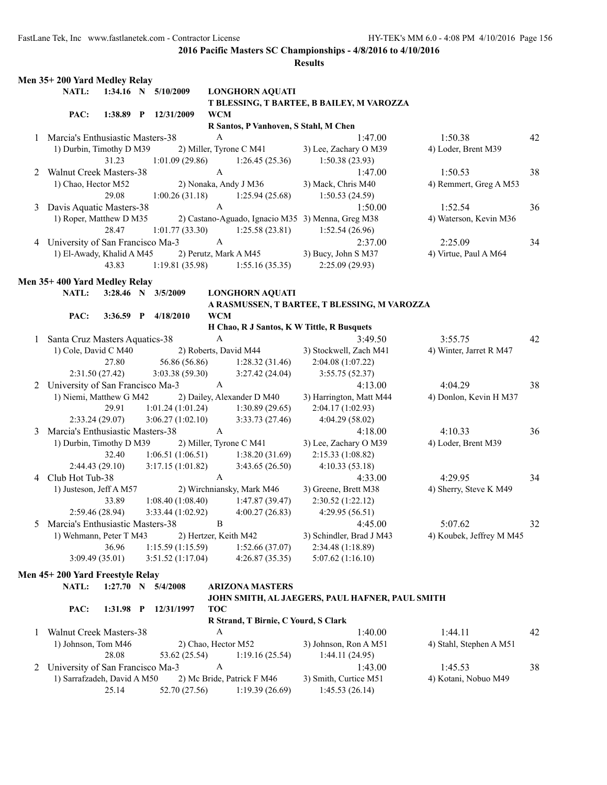|   | Men 35+200 Yard Medley Relay       |             |                      |                     |                                       |                                                   |                          |    |
|---|------------------------------------|-------------|----------------------|---------------------|---------------------------------------|---------------------------------------------------|--------------------------|----|
|   | NATL:                              |             | 1:34.16 N 5/10/2009  |                     | <b>LONGHORN AQUATI</b>                |                                                   |                          |    |
|   |                                    |             |                      |                     |                                       | T BLESSING, T BARTEE, B BAILEY, M VAROZZA         |                          |    |
|   | PAC:                               |             | 1:38.89 P 12/31/2009 | <b>WCM</b>          |                                       |                                                   |                          |    |
|   |                                    |             |                      |                     | R Santos, P Vanhoven, S Stahl, M Chen |                                                   |                          |    |
| 1 | Marcia's Enthusiastic Masters-38   |             |                      | $\boldsymbol{A}$    |                                       | 1:47.00                                           | 1:50.38                  | 42 |
|   | 1) Durbin, Timothy D M39           |             |                      |                     | 2) Miller, Tyrone C M41               | 3) Lee, Zachary O M39                             | 4) Loder, Brent M39      |    |
|   |                                    | 31.23       | 1:01.09(29.86)       |                     | 1:26.45(25.36)                        | 1:50.38(23.93)                                    |                          |    |
| 2 | Walnut Creek Masters-38            |             |                      | $\mathbf{A}$        |                                       | 1:47.00                                           | 1:50.53                  | 38 |
|   | 1) Chao, Hector M52                |             |                      |                     | 2) Nonaka, Andy J M36                 | 3) Mack, Chris M40                                | 4) Remmert, Greg A M53   |    |
|   |                                    | 29.08       | 1:00.26(31.18)       |                     | 1:25.94(25.68)                        | 1:50.53(24.59)                                    |                          |    |
| 3 | Davis Aquatic Masters-38           |             |                      | $\mathbf{A}$        |                                       | 1:50.00                                           | 1:52.54                  | 36 |
|   | 1) Roper, Matthew D M35            |             |                      |                     |                                       | 2) Castano-Aguado, Ignacio M35 3) Menna, Greg M38 | 4) Waterson, Kevin M36   |    |
|   |                                    | 28.47       | 1:01.77(33.30)       |                     | 1:25.58(23.81)                        | 1:52.54(26.96)                                    |                          |    |
|   | 4 University of San Francisco Ma-3 |             |                      | $\mathbf{A}$        |                                       | 2:37.00                                           | 2:25.09                  | 34 |
|   | 1) El-Awady, Khalid A M45          |             |                      |                     | 2) Perutz, Mark A M45                 | 3) Bucy, John S M37                               | 4) Virtue, Paul A M64    |    |
|   |                                    | 43.83       | 1:19.81(35.98)       |                     | 1:55.16(35.35)                        | 2:25.09(29.93)                                    |                          |    |
|   | Men 35+400 Yard Medley Relay       |             |                      |                     |                                       |                                                   |                          |    |
|   |                                    |             |                      |                     |                                       |                                                   |                          |    |
|   | NATL:                              |             | 3:28.46 N 3/5/2009   |                     | <b>LONGHORN AQUATI</b>                |                                                   |                          |    |
|   |                                    |             |                      |                     |                                       | A RASMUSSEN, T BARTEE, T BLESSING, M VAROZZA      |                          |    |
|   | PAC:                               | $3:36.59$ P | 4/18/2010            | <b>WCM</b>          |                                       | H Chao, R J Santos, K W Tittle, R Busquets        |                          |    |
|   | Santa Cruz Masters Aquatics-38     |             |                      | $\boldsymbol{A}$    |                                       | 3:49.50                                           | 3:55.75                  | 42 |
| 1 |                                    |             |                      |                     | 2) Roberts, David M44                 | 3) Stockwell, Zach M41                            | 4) Winter, Jarret R M47  |    |
|   | 1) Cole, David C M40               |             | 56.86 (56.86)        |                     |                                       |                                                   |                          |    |
|   |                                    | 27.80       |                      |                     | 1:28.32(31.46)                        | 2:04.08 (1:07.22)                                 |                          |    |
|   | 2:31.50(27.42)                     |             | 3:03.38(59.30)       |                     | 3:27.42(24.04)                        | 3:55.75(52.37)                                    |                          |    |
|   | 2 University of San Francisco Ma-3 |             |                      | $\mathbf{A}$        |                                       | 4:13.00                                           | 4:04.29                  | 38 |
|   | 1) Niemi, Matthew G M42            |             |                      |                     | 2) Dailey, Alexander D M40            | 3) Harrington, Matt M44                           | 4) Donlon, Kevin H M37   |    |
|   |                                    | 29.91       | 1:01.24(1:01.24)     |                     | 1:30.89(29.65)                        | 2:04.17(1:02.93)                                  |                          |    |
|   | 2:33.24(29.07)                     |             | 3:06.27(1:02.10)     |                     | 3:33.73(27.46)                        | 4:04.29 (58.02)                                   |                          |    |
| 3 | Marcia's Enthusiastic Masters-38   |             |                      | $\mathbf{A}$        |                                       | 4:18.00                                           | 4:10.33                  | 36 |
|   | 1) Durbin, Timothy D M39           |             |                      |                     | 2) Miller, Tyrone C M41               | 3) Lee, Zachary O M39                             | 4) Loder, Brent M39      |    |
|   |                                    | 32.40       | 1:06.51(1:06.51)     |                     | 1:38.20(31.69)                        | 2:15.33(1:08.82)                                  |                          |    |
|   | 2:44.43(29.10)                     |             | 3:17.15(1:01.82)     |                     | 3:43.65(26.50)                        | 4:10.33(53.18)                                    |                          |    |
| 4 | Club Hot Tub-38                    |             |                      | $\mathbf{A}$        |                                       | 4:33.00                                           | 4:29.95                  | 34 |
|   | 1) Justeson, Jeff A M57            |             |                      |                     | 2) Wirchniansky, Mark M46             | 3) Greene, Brett M38                              | 4) Sherry, Steve K M49   |    |
|   |                                    | 33.89       | 1:08.40(1:08.40)     |                     | 1:47.87(39.47)                        | 2:30.52(1:22.12)                                  |                          |    |
|   | 2:59.46 (28.94)                    |             | 3:33.44 (1:02.92)    |                     | 4:00.27(26.83)                        | 4:29.95(56.51)                                    |                          |    |
| C | Marcia's Enthusiastic Masters 38   |             |                      | Β                   |                                       | 4:45.00                                           | 5:07.62                  | 32 |
|   | 1) Wehmann, Peter T M43            |             |                      |                     | 2) Hertzer, Keith M42                 | 3) Schindler, Brad J M43                          | 4) Koubek, Jeffrey M M45 |    |
|   |                                    | 36.96       | 1:15.59(1:15.59)     |                     | 1:52.66(37.07)                        | 2:34.48 (1:18.89)                                 |                          |    |
|   | 3:09.49(35.01)                     |             | 3:51.52(1:17.04)     |                     | 4:26.87(35.35)                        | 5:07.62(1:16.10)                                  |                          |    |
|   | Men 45+ 200 Yard Freestyle Relay   |             |                      |                     |                                       |                                                   |                          |    |
|   | NATL:                              | 1:27.70 N   | 5/4/2008             |                     | <b>ARIZONA MASTERS</b>                |                                                   |                          |    |
|   |                                    |             |                      |                     |                                       | JOHN SMITH, AL JAEGERS, PAUL HAFNER, PAUL SMITH   |                          |    |
|   | PAC:                               | $1:31.98$ P | 12/31/1997           | <b>TOC</b>          |                                       |                                                   |                          |    |
|   |                                    |             |                      |                     | R Strand, T Birnie, C Yourd, S Clark  |                                                   |                          |    |
| 1 | Walnut Creek Masters-38            |             |                      | $\boldsymbol{A}$    |                                       | 1:40.00                                           | 1:44.11                  | 42 |
|   | 1) Johnson, Tom M46                |             |                      | 2) Chao, Hector M52 |                                       | 3) Johnson, Ron A M51                             | 4) Stahl, Stephen A M51  |    |
|   |                                    | 28.08       | 53.62 (25.54)        |                     | 1:19.16(25.54)                        | 1:44.11(24.95)                                    |                          |    |
| 2 | University of San Francisco Ma-3   |             |                      | $\mathbf{A}$        |                                       | 1:43.00                                           | 1:45.53                  | 38 |
|   | 1) Sarrafzadeh, David A M50        |             |                      |                     | 2) Mc Bride, Patrick F M46            | 3) Smith, Curtice M51                             | 4) Kotani, Nobuo M49     |    |
|   |                                    | 25.14       | 52.70 (27.56)        |                     | 1:19.39(26.69)                        | 1:45.53(26.14)                                    |                          |    |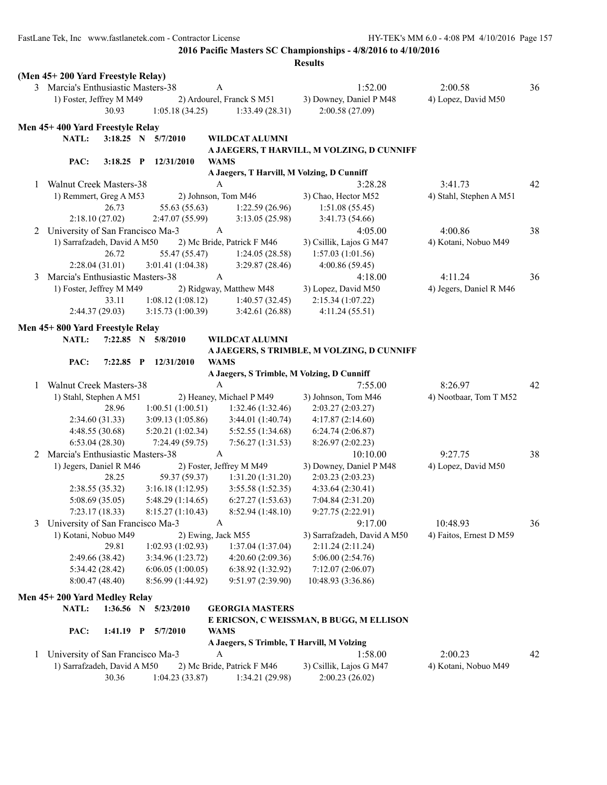FastLane Tek, Inc www.fastlanetek.com - Contractor License HY-TEK's MM 6.0 - 4:08 PM 4/10/2016 Page 157

**2016 Pacific Masters SC Championships - 4/8/2016 to 4/10/2016**

|   | (Men 45+200 Yard Freestyle Relay)  |                 |                       |                  |                                            |                                            |                         |    |
|---|------------------------------------|-----------------|-----------------------|------------------|--------------------------------------------|--------------------------------------------|-------------------------|----|
|   | 3 Marcia's Enthusiastic Masters-38 |                 |                       | A                |                                            | 1:52.00                                    | 2:00.58                 | 36 |
|   | 1) Foster, Jeffrey M M49           |                 |                       |                  | 2) Ardourel, Franck S M51                  | 3) Downey, Daniel P M48                    | 4) Lopez, David M50     |    |
|   |                                    | 30.93           | 1:05.18(34.25)        |                  | 1:33.49(28.31)                             | 2:00.58 (27.09)                            |                         |    |
|   |                                    |                 |                       |                  |                                            |                                            |                         |    |
|   | Men 45+400 Yard Freestyle Relay    |                 |                       |                  |                                            |                                            |                         |    |
|   | NATL:                              |                 | 3:18.25 N 5/7/2010    |                  | WILDCAT ALUMNI                             |                                            |                         |    |
|   |                                    |                 |                       |                  |                                            | A JAEGERS, T HARVILL, M VOLZING, D CUNNIFF |                         |    |
|   | PAC:                               | $3:18.25$ P     | 12/31/2010            | <b>WAMS</b>      |                                            |                                            |                         |    |
|   |                                    |                 |                       |                  | A Jaegers, T Harvill, M Volzing, D Cunniff |                                            |                         |    |
| 1 | <b>Walnut Creek Masters-38</b>     |                 |                       | A                |                                            | 3:28.28                                    | 3:41.73                 | 42 |
|   | 1) Remmert, Greg A M53             |                 |                       |                  | 2) Johnson, Tom M46                        | 3) Chao, Hector M52                        | 4) Stahl, Stephen A M51 |    |
|   |                                    | 26.73           | 55.63 (55.63)         |                  | 1:22.59(26.96)                             | 1:51.08(55.45)                             |                         |    |
|   |                                    | 2:18.10(27.02)  | 2:47.07(55.99)        |                  | 3:13.05(25.98)                             | 3:41.73(54.66)                             |                         |    |
| 2 | University of San Francisco Ma-3   |                 |                       | $\boldsymbol{A}$ |                                            | 4:05.00                                    | 4:00.86                 | 38 |
|   | 1) Sarrafzadeh, David A M50        |                 |                       |                  | 2) Mc Bride, Patrick F M46                 | 3) Csillik, Lajos G M47                    | 4) Kotani, Nobuo M49    |    |
|   |                                    | 26.72           | 55.47 (55.47)         |                  | 1:24.05(28.58)                             | 1:57.03(1:01.56)                           |                         |    |
|   |                                    | 2:28.04(31.01)  | 3:01.41(1:04.38)      |                  | 3:29.87(28.46)                             | 4:00.86(59.45)                             |                         |    |
| 3 | Marcia's Enthusiastic Masters-38   |                 |                       | A                |                                            | 4:18.00                                    | 4:11.24                 | 36 |
|   | 1) Foster, Jeffrey M M49           |                 |                       |                  | 2) Ridgway, Matthew M48                    | 3) Lopez, David M50                        | 4) Jegers, Daniel R M46 |    |
|   |                                    | 33.11           | 1:08.12(1:08.12)      |                  | 1:40.57(32.45)                             | 2:15.34(1:07.22)                           |                         |    |
|   |                                    | 2:44.37(29.03)  | 3:15.73(1:00.39)      |                  | 3:42.61(26.88)                             | 4:11.24(55.51)                             |                         |    |
|   | Men 45+800 Yard Freestyle Relay    |                 |                       |                  |                                            |                                            |                         |    |
|   | NATL:                              |                 | 7:22.85 N 5/8/2010    |                  | WILDCAT ALUMNI                             |                                            |                         |    |
|   |                                    |                 |                       |                  |                                            | A JAEGERS, S TRIMBLE, M VOLZING, D CUNNIFF |                         |    |
|   | PAC:                               | $7:22.85$ P     | 12/31/2010            | <b>WAMS</b>      |                                            |                                            |                         |    |
|   |                                    |                 |                       |                  |                                            | A Jaegers, S Trimble, M Volzing, D Cunniff |                         |    |
| 1 | <b>Walnut Creek Masters-38</b>     |                 |                       | $\mathbf{A}$     |                                            | 7:55.00                                    | 8:26.97                 | 42 |
|   | 1) Stahl, Stephen A M51            |                 |                       |                  | 2) Heaney, Michael P M49                   | 3) Johnson, Tom M46                        | 4) Nootbaar, Tom T M52  |    |
|   |                                    | 28.96           | 1:00.51(1:00.51)      |                  | 1:32.46(1:32.46)                           | 2:03.27(2:03.27)                           |                         |    |
|   |                                    | 2:34.60(31.33)  | 3:09.13(1:05.86)      |                  | 3:44.01(1:40.74)                           | 4:17.87(2:14.60)                           |                         |    |
|   |                                    | 4:48.55(30.68)  | 5:20.21(1:02.34)      |                  | 5:52.55 (1:34.68)                          | 6:24.74(2:06.87)                           |                         |    |
|   |                                    | 6:53.04(28.30)  | 7:24.49(59.75)        |                  | 7:56.27(1:31.53)                           | 8:26.97(2:02.23)                           |                         |    |
| 2 | Marcia's Enthusiastic Masters-38   |                 |                       | A                |                                            | 10:10.00                                   | 9:27.75                 | 38 |
|   | 1) Jegers, Daniel R M46            |                 |                       |                  | 2) Foster, Jeffrey M M49                   | 3) Downey, Daniel P M48                    | 4) Lopez, David M50     |    |
|   |                                    | 28.25           | 59.37 (59.37)         |                  | 1:31.20(1:31.20)                           | 2:03.23(2:03.23)                           |                         |    |
|   |                                    | 2:38.55(35.32)  | 3:16.18(1:12.95)      |                  | 3:55.58(1:52.35)                           | 4:33.64 (2:30.41)                          |                         |    |
|   |                                    | 5:08.69(35.05)  | 5:48.29(1:14.65)      |                  | 6:27.27(1:53.63)                           | 7:04.84 (2:31.20)                          |                         |    |
|   |                                    | 7:23.17(18.33)  | 8:15.27(1:10.43)      |                  | 8:52.94 (1:48.10)                          | 9:27.75 (2:22.91)                          |                         |    |
| 3 | University of San Francisco Ma-3   |                 |                       | A                |                                            | 9:17.00                                    | 10:48.93                | 36 |
|   | 1) Kotani, Nobuo M49               |                 |                       |                  | 2) Ewing, Jack M55                         | 3) Sarrafzadeh, David A M50                | 4) Faitos, Ernest D M59 |    |
|   |                                    | 29.81           | 1:02.93(1:02.93)      |                  | 1:37.04 (1:37.04)                          | 2:11.24 (2:11.24)                          |                         |    |
|   |                                    | 2:49.66 (38.42) | 3:34.96 (1:23.72)     |                  | 4:20.60 (2:09.36)                          | 5:06.00(2:54.76)                           |                         |    |
|   |                                    | 5:34.42 (28.42) | 6:06.05(1:00.05)      |                  | 6:38.92 (1:32.92)                          | 7:12.07(2:06.07)                           |                         |    |
|   |                                    | 8:00.47(48.40)  | 8:56.99 (1:44.92)     |                  | 9:51.97 (2:39.90)                          | 10:48.93 (3:36.86)                         |                         |    |
|   |                                    |                 |                       |                  |                                            |                                            |                         |    |
|   | Men 45+200 Yard Medley Relay       |                 |                       |                  |                                            |                                            |                         |    |
|   | NATL:                              |                 | 1:36.56 N $5/23/2010$ |                  | <b>GEORGIA MASTERS</b>                     |                                            |                         |    |
|   |                                    |                 |                       |                  |                                            | E ERICSON, C WEISSMAN, B BUGG, M ELLISON   |                         |    |
|   | PAC:                               | $1:41.19$ P     | 5/7/2010              | <b>WAMS</b>      |                                            |                                            |                         |    |
|   |                                    |                 |                       |                  | A Jaegers, S Trimble, T Harvill, M Volzing |                                            |                         |    |
| 1 | University of San Francisco Ma-3   |                 |                       | A                |                                            | 1:58.00                                    | 2:00.23                 | 42 |
|   | 1) Sarrafzadeh, David A M50        |                 |                       |                  | 2) Mc Bride, Patrick F M46                 | 3) Csillik, Lajos G M47                    | 4) Kotani, Nobuo M49    |    |
|   |                                    | 30.36           | 1:04.23(33.87)        |                  | 1:34.21(29.98)                             | 2:00.23(26.02)                             |                         |    |
|   |                                    |                 |                       |                  |                                            |                                            |                         |    |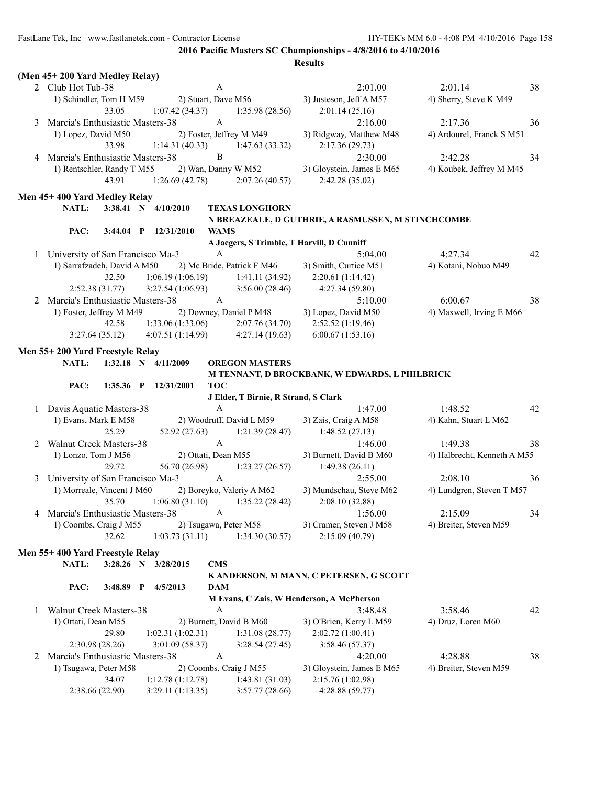|   | (Men 45+200 Yard Medley Relay)       |             |                         |                  |                                      |                                                    |                             |    |
|---|--------------------------------------|-------------|-------------------------|------------------|--------------------------------------|----------------------------------------------------|-----------------------------|----|
|   | 2 Club Hot Tub-38                    |             |                         | A                |                                      | 2:01.00                                            | 2:01.14                     | 38 |
|   | 1) Schindler, Tom H M59              |             | 2) Stuart, Dave M56     |                  |                                      | 3) Justeson, Jeff A M57                            | 4) Sherry, Steve K M49      |    |
|   |                                      | 33.05       | 1:07.42(34.37)          |                  | 1:35.98(28.56)                       | 2:01.14(25.16)                                     |                             |    |
| 3 | Marcia's Enthusiastic Masters-38     |             |                         | $\mathbf{A}$     |                                      | 2:16.00                                            | 2:17.36                     | 36 |
|   | 1) Lopez, David M50                  |             |                         |                  | 2) Foster, Jeffrey M M49             | 3) Ridgway, Matthew M48                            | 4) Ardourel, Franck S M51   |    |
|   |                                      | 33.98       | 1:14.31(40.33)          |                  | 1:47.63(33.32)                       | 2:17.36(29.73)                                     |                             |    |
| 4 | Marcia's Enthusiastic Masters-38     |             |                         | $\, {\bf B}$     |                                      | 2:30.00                                            | 2:42.28                     | 34 |
|   | 1) Rentschler, Randy T M55           |             |                         |                  | 2) Wan, Danny W M52                  | 3) Gloystein, James E M65                          | 4) Koubek, Jeffrey M M45    |    |
|   |                                      | 43.91       | 1:26.69(42.78)          |                  | 2:07.26(40.57)                       | 2:42.28 (35.02)                                    |                             |    |
|   | Men 45+400 Yard Medley Relay         |             |                         |                  |                                      |                                                    |                             |    |
|   | NATL:                                |             | 3:38.41 N 4/10/2010     |                  | <b>TEXAS LONGHORN</b>                |                                                    |                             |    |
|   |                                      |             |                         |                  |                                      | N BREAZEALE, D GUTHRIE, A RASMUSSEN, M STINCHCOMBE |                             |    |
|   | PAC:                                 |             | 3:44.04 P 12/31/2010    | <b>WAMS</b>      |                                      |                                                    |                             |    |
|   |                                      |             |                         |                  |                                      | A Jaegers, S Trimble, T Harvill, D Cunniff         |                             |    |
|   | 1 University of San Francisco Ma-3   |             |                         | $\mathbf{A}$     |                                      | 5:04.00                                            | 4:27.34                     | 42 |
|   | 1) Sarrafzadeh, David A M50          |             |                         |                  | 2) Mc Bride, Patrick F M46           | 3) Smith, Curtice M51                              | 4) Kotani, Nobuo M49        |    |
|   |                                      | 32.50       | 1:06.19(1:06.19)        |                  | 1:41.11(34.92)                       | 2:20.61(1:14.42)                                   |                             |    |
|   | 2:52.38(31.77)                       |             | 3:27.54(1:06.93)        |                  | 3:56.00(28.46)                       | 4:27.34 (59.80)                                    |                             |    |
|   | 2 Marcia's Enthusiastic Masters-38   |             |                         | A                |                                      | 5:10.00                                            | 6:00.67                     | 38 |
|   | 1) Foster, Jeffrey M M49             |             |                         |                  | 2) Downey, Daniel P M48              | 3) Lopez, David M50                                | 4) Maxwell, Irving E M66    |    |
|   |                                      | 42.58       | 1:33.06(1:33.06)        |                  | 2:07.76(34.70)                       | 2:52.52(1:19.46)                                   |                             |    |
|   | 3:27.64(35.12)                       |             | 4:07.51(1:14.99)        |                  | 4:27.14(19.63)                       | 6:00.67(1:53.16)                                   |                             |    |
|   | Men 55+200 Yard Freestyle Relay      |             |                         |                  |                                      |                                                    |                             |    |
|   | <b>NATL:</b>                         |             | $1:32.18$ N $4/11/2009$ |                  | <b>OREGON MASTERS</b>                |                                                    |                             |    |
|   |                                      |             |                         |                  |                                      | M TENNANT, D BROCKBANK, W EDWARDS, L PHILBRICK     |                             |    |
|   | PAC:                                 |             | 1:35.36 P 12/31/2001    | <b>TOC</b>       |                                      |                                                    |                             |    |
|   |                                      |             |                         |                  | J Elder, T Birnie, R Strand, S Clark |                                                    |                             |    |
|   | 1 Davis Aquatic Masters-38           |             |                         | $\mathbf{A}$     |                                      | 1:47.00                                            | 1:48.52                     | 42 |
|   | 1) Evans, Mark E M58                 |             |                         |                  | 2) Woodruff, David L M59             | 3) Zais, Craig A M58                               | 4) Kahn, Stuart L M62       |    |
|   |                                      | 25.29       | 52.92(27.63)            |                  | 1:21.39(28.47)                       | 1:48.52(27.13)                                     |                             |    |
|   | 2 Walnut Creek Masters-38            |             |                         | $\mathbf{A}$     |                                      | 1:46.00                                            | 1:49.38                     | 38 |
|   | 1) Lonzo, Tom J M56                  |             | 2) Ottati, Dean M55     |                  |                                      | 3) Burnett, David B M60                            | 4) Halbrecht, Kenneth A M55 |    |
|   |                                      | 29.72       | 56.70 (26.98)           |                  | 1:23.27(26.57)                       | 1:49.38(26.11)                                     |                             |    |
|   | 3 University of San Francisco Ma-3   |             |                         | $\mathbf{A}$     |                                      | 2:55.00                                            | 2:08.10                     | 36 |
|   | 1) Morreale, Vincent J M60           |             |                         |                  | 2) Boreyko, Valeriy A M62            | 3) Mundschau, Steve M62                            | 4) Lundgren, Steven T M57   |    |
|   |                                      | 35.70       |                         |                  | $1:06.80(31.10)$ $1:35.22(28.42)$    | 2:08.10(32.88)                                     |                             |    |
|   | 4 Marcia's Enthusiastic Masters-38 A |             |                         |                  |                                      | 1:56.00                                            | 2:15.09                     | 34 |
|   | 1) Coombs, Craig J M55               |             |                         |                  | 2) Tsugawa, Peter M58                | 3) Cramer, Steven J M58                            | 4) Breiter, Steven M59      |    |
|   |                                      | 32.62       | 1:03.73(31.11)          |                  | 1:34.30(30.57)                       | 2:15.09(40.79)                                     |                             |    |
|   | Men 55+400 Yard Freestyle Relay      |             |                         |                  |                                      |                                                    |                             |    |
|   | <b>NATL:</b>                         |             | 3:28.26 N $3/28/2015$   | <b>CMS</b>       |                                      |                                                    |                             |    |
|   |                                      |             |                         |                  |                                      | K ANDERSON, M MANN, C PETERSEN, G SCOTT            |                             |    |
|   | PAC:                                 | $3:48.89$ P | 4/5/2013                | <b>DAM</b>       |                                      |                                                    |                             |    |
|   |                                      |             |                         |                  |                                      | M Evans, C Zais, W Henderson, A McPherson          |                             |    |
| 1 | Walnut Creek Masters-38              |             |                         | A                |                                      | 3:48.48                                            | 3:58.46                     | 42 |
|   | 1) Ottati, Dean M55                  |             |                         |                  | 2) Burnett, David B M60              | 3) O'Brien, Kerry L M59                            | 4) Druz, Loren M60          |    |
|   |                                      | 29.80       | 1:02.31(1:02.31)        |                  | 1:31.08(28.77)                       | 2:02.72(1:00.41)                                   |                             |    |
|   | 2:30.98 (28.26)                      |             | 3:01.09(58.37)          |                  | 3:28.54(27.45)                       | 3:58.46 (57.37)                                    |                             |    |
| 2 | Marcia's Enthusiastic Masters-38     |             |                         | $\boldsymbol{A}$ |                                      | 4:20.00                                            | 4:28.88                     | 38 |
|   | 1) Tsugawa, Peter M58                |             |                         |                  | 2) Coombs, Craig J M55               | 3) Gloystein, James E M65                          | 4) Breiter, Steven M59      |    |
|   |                                      | 34.07       | 1:12.78(1:12.78)        |                  | 1:43.81(31.03)                       | 2:15.76 (1:02.98)                                  |                             |    |
|   | 2:38.66(22.90)                       |             | 3:29.11(1:13.35)        |                  | 3:57.77(28.66)                       | 4:28.88 (59.77)                                    |                             |    |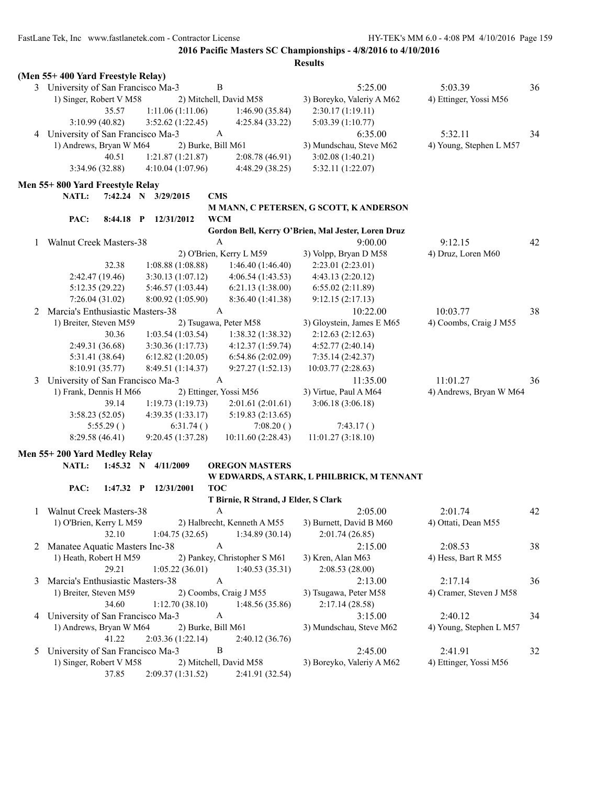|   | (Men 55+400 Yard Freestyle Relay)  |                          |                                      |                                                    |                         |    |
|---|------------------------------------|--------------------------|--------------------------------------|----------------------------------------------------|-------------------------|----|
|   | 3 University of San Francisco Ma-3 | B                        |                                      | 5:25.00                                            | 5:03.39                 | 36 |
|   | 1) Singer, Robert V M58            | 2) Mitchell, David M58   |                                      | 3) Boreyko, Valeriy A M62                          | 4) Ettinger, Yossi M56  |    |
|   | 35.57                              | 1:11.06(1:11.06)         | 1:46.90(35.84)                       | 2:30.17(1:19.11)                                   |                         |    |
|   | 3:10.99(40.82)                     | 3:52.62(1:22.45)         | 4:25.84 (33.22)                      | 5:03.39 (1:10.77)                                  |                         |    |
|   | 4 University of San Francisco Ma-3 | $\mathbf{A}$             |                                      | 6:35.00                                            | 5:32.11                 | 34 |
|   | 1) Andrews, Bryan W M64            | 2) Burke, Bill M61       |                                      | 3) Mundschau, Steve M62                            | 4) Young, Stephen L M57 |    |
|   | 40.51                              | 1:21.87(1:21.87)         | 2:08.78(46.91)                       | 3:02.08(1:40.21)                                   |                         |    |
|   | 3:34.96 (32.88)                    | 4:10.04 (1:07.96)        | 4:48.29 (38.25)                      | 5:32.11 (1:22.07)                                  |                         |    |
|   |                                    |                          |                                      |                                                    |                         |    |
|   | Men 55+800 Yard Freestyle Relay    |                          |                                      |                                                    |                         |    |
|   | NATL:<br>7:42.24 N 3/29/2015       | <b>CMS</b>               |                                      |                                                    |                         |    |
|   |                                    |                          |                                      | M MANN, C PETERSEN, G SCOTT, K ANDERSON            |                         |    |
|   | PAC:<br>$8:44.18$ P                | <b>WCM</b><br>12/31/2012 |                                      |                                                    |                         |    |
|   |                                    |                          |                                      | Gordon Bell, Kerry O'Brien, Mal Jester, Loren Druz |                         |    |
| 1 | <b>Walnut Creek Masters-38</b>     | A                        |                                      | 9:00.00                                            | 9:12.15                 | 42 |
|   |                                    | 2) O'Brien, Kerry L M59  |                                      | 3) Volpp, Bryan D M58                              | 4) Druz, Loren M60      |    |
|   | 32.38                              | 1:08.88(1:08.88)         | 1:46.40 (1:46.40)                    | 2:23.01 (2:23.01)                                  |                         |    |
|   | 2:42.47 (19.46)                    | 3:30.13(1:07.12)         | 4:06.54(1:43.53)                     | 4:43.13 (2:20.12)                                  |                         |    |
|   | 5:12.35(29.22)                     | 5:46.57 (1:03.44)        | 6:21.13(1:38.00)                     | 6:55.02(2:11.89)                                   |                         |    |
|   | 7:26.04(31.02)                     | 8:00.92 (1:05.90)        | 8:36.40 (1:41.38)                    | 9:12.15(2:17.13)                                   |                         |    |
| 2 | Marcia's Enthusiastic Masters-38   | $\mathbf{A}$             |                                      | 10:22.00                                           | 10:03.77                | 38 |
|   | 1) Breiter, Steven M59             | 2) Tsugawa, Peter M58    |                                      | 3) Gloystein, James E M65                          | 4) Coombs, Craig J M55  |    |
|   | 30.36                              | 1:03.54(1:03.54)         | 1:38.32(1:38.32)                     | 2:12.63(2:12.63)                                   |                         |    |
|   | 2:49.31 (36.68)                    | 3:30.36(1:17.73)         | 4:12.37(1:59.74)                     | 4:52.77(2:40.14)                                   |                         |    |
|   | 5:31.41 (38.64)                    | 6:12.82(1:20.05)         | 6:54.86(2:02.09)                     | 7:35.14 (2:42.37)                                  |                         |    |
|   | 8:10.91 (35.77)                    | 8:49.51 (1:14.37)        | 9:27.27(1:52.13)                     | 10:03.77(2:28.63)                                  |                         |    |
| 3 | University of San Francisco Ma-3   | A                        |                                      | 11:35.00                                           | 11:01.27                | 36 |
|   | 1) Frank, Dennis H M66             | 2) Ettinger, Yossi M56   |                                      | 3) Virtue, Paul A M64                              | 4) Andrews, Bryan W M64 |    |
|   | 39.14                              | 1:19.73(1:19.73)         | 2:01.61(2:01.61)                     | 3:06.18(3:06.18)                                   |                         |    |
|   | 3:58.23 (52.05)                    | 4:39.35 (1:33.17)        | 5:19.83(2:13.65)                     |                                                    |                         |    |
|   | 5:55.29()                          | 6:31.74()                | 7:08.20()                            | 7:43.17()                                          |                         |    |
|   | 8:29.58 (46.41)                    | 9:20.45(1:37.28)         | 10:11.60 (2:28.43)                   | 11:01.27(3:18.10)                                  |                         |    |
|   | Men 55+200 Yard Medley Relay       |                          |                                      |                                                    |                         |    |
|   | NATL:<br>$1:45.32$ N               | 4/11/2009                | <b>OREGON MASTERS</b>                |                                                    |                         |    |
|   |                                    |                          |                                      | W EDWARDS, A STARK, L PHILBRICK, M TENNANT         |                         |    |
|   | PAC:<br>1:47.32 P 12/31/2001       | <b>TOC</b>               |                                      |                                                    |                         |    |
|   |                                    |                          | T Birnie, R Strand, J Elder, S Clark |                                                    |                         |    |
|   | Walnut Creek Masters-38            | A                        |                                      | 2:05.00                                            | 2:01.74                 | 42 |
|   | 1) O'Brien, Kerry L M59            |                          | 2) Halbrecht, Kenneth A M55          | 3) Burnett, David B M60                            | 4) Ottati, Dean M55     |    |
|   | 32.10                              | 1:04.75(32.65)           | 1:34.89(30.14)                       | 2:01.74(26.85)                                     |                         |    |
| 2 | Manatee Aquatic Masters Inc-38     | A                        |                                      | 2:15.00                                            | 2:08.53                 | 38 |
|   | 1) Heath, Robert H M59             |                          | 2) Pankey, Christopher S M61         | 3) Kren, Alan M63                                  | 4) Hess, Bart R M55     |    |
|   | 29.21                              | 1:05.22(36.01)           | 1:40.53(35.31)                       | 2:08.53(28.00)                                     |                         |    |
|   | Marcia's Enthusiastic Masters-38   | A                        |                                      | 2:13.00                                            | 2:17.14                 | 36 |
| 3 |                                    |                          |                                      |                                                    |                         |    |
|   | 1) Breiter, Steven M59             | 2) Coombs, Craig J M55   |                                      | 3) Tsugawa, Peter M58                              | 4) Cramer, Steven J M58 |    |
|   | 34.60                              | 1:12.70(38.10)           | 1:48.56(35.86)                       | 2:17.14(28.58)                                     |                         |    |
|   | 4 University of San Francisco Ma-3 | $\mathbf{A}$             |                                      | 3:15.00                                            | 2:40.12                 | 34 |
|   | 1) Andrews, Bryan W M64            | 2) Burke, Bill M61       |                                      | 3) Mundschau, Steve M62                            | 4) Young, Stephen L M57 |    |
|   | 41.22                              | 2:03.36(1:22.14)         | 2:40.12(36.76)                       |                                                    |                         |    |
| 5 | University of San Francisco Ma-3   | B                        |                                      | 2:45.00                                            | 2:41.91                 | 32 |
|   | 1) Singer, Robert V M58            | 2) Mitchell, David M58   |                                      | 3) Boreyko, Valeriy A M62                          | 4) Ettinger, Yossi M56  |    |
|   | 37.85                              | 2:09.37(1:31.52)         | 2:41.91 (32.54)                      |                                                    |                         |    |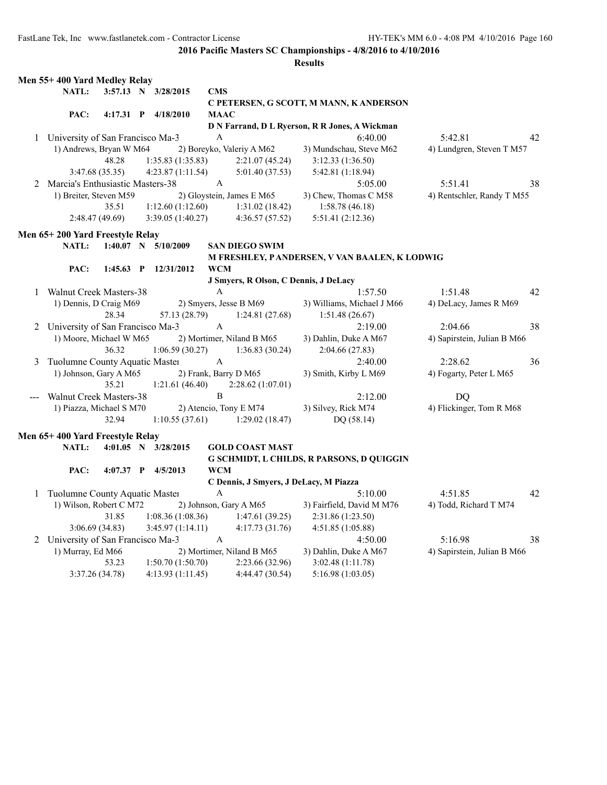|   | Men 55+400 Yard Medley Relay       |             |                         |              |                                        |                                                |                             |    |
|---|------------------------------------|-------------|-------------------------|--------------|----------------------------------------|------------------------------------------------|-----------------------------|----|
|   | NATL:                              |             | 3:57.13 N 3/28/2015     | <b>CMS</b>   |                                        | C PETERSEN, G SCOTT, M MANN, K ANDERSON        |                             |    |
|   | PAC:                               |             | 4:17.31 P 4/18/2010     | <b>MAAC</b>  |                                        |                                                |                             |    |
|   |                                    |             |                         |              |                                        | D N Farrand, D L Ryerson, R R Jones, A Wickman |                             |    |
|   | 1 University of San Francisco Ma-3 |             |                         | A            |                                        | 6:40.00                                        | 5:42.81                     | 42 |
|   | 1) Andrews, Bryan W M64            |             |                         |              | 2) Boreyko, Valeriy A M62              | 3) Mundschau, Steve M62                        | 4) Lundgren, Steven T M57   |    |
|   |                                    | 48.28       | 1:35.83(1:35.83)        |              | 2:21.07(45.24)                         | 3:12.33(1:36.50)                               |                             |    |
|   | 3:47.68 (35.35)                    |             | 4:23.87 (1:11.54)       |              | 5:01.40 (37.53)                        | 5:42.81 (1:18.94)                              |                             |    |
| 2 | Marcia's Enthusiastic Masters-38   |             |                         | A            |                                        | 5:05.00                                        | 5:51.41                     | 38 |
|   | 1) Breiter, Steven M59             |             |                         |              | 2) Gloystein, James E M65              | 3) Chew, Thomas C M58                          | 4) Rentschler, Randy T M55  |    |
|   |                                    | 35.51       | 1:12.60(1:12.60)        |              | 1:31.02(18.42)                         | 1:58.78(46.18)                                 |                             |    |
|   | 2:48.47 (49.69)                    |             | 3:39.05(1:40.27)        |              | 4:36.57(57.52)                         | 5:51.41 (2:12.36)                              |                             |    |
|   | Men 65+200 Yard Freestyle Relay    |             |                         |              |                                        |                                                |                             |    |
|   | NATL:                              |             | $1:40.07$ N $5/10/2009$ |              | <b>SAN DIEGO SWIM</b>                  |                                                |                             |    |
|   |                                    |             |                         |              |                                        | M FRESHLEY, PANDERSEN, V VAN BAALEN, K LODWIG  |                             |    |
|   | PAC:                               | $1:45.63$ P | 12/31/2012              | <b>WCM</b>   |                                        |                                                |                             |    |
|   |                                    |             |                         |              | J Smyers, R Olson, C Dennis, J DeLacy  |                                                |                             |    |
|   | 1 Walnut Creek Masters-38          |             |                         | A            |                                        | 1:57.50                                        | 1:51.48                     | 42 |
|   | 1) Dennis, D Craig M69             |             |                         |              | 2) Smyers, Jesse B M69                 | 3) Williams, Michael J M66                     | 4) DeLacy, James R M69      |    |
|   |                                    | 28.34       | 57.13 (28.79)           |              | 1:24.81(27.68)                         | 1:51.48(26.67)                                 |                             |    |
| 2 | University of San Francisco Ma-3   |             |                         | A            |                                        | 2:19.00                                        | 2:04.66                     | 38 |
|   | 1) Moore, Michael W M65            |             |                         |              | 2) Mortimer, Niland B M65              | 3) Dahlin, Duke A M67                          | 4) Sapirstein, Julian B M66 |    |
|   |                                    | 36.32       | 1:06.59(30.27)          |              | 1:36.83(30.24)                         | 2:04.66(27.83)                                 |                             |    |
| 3 | Tuolumne County Aquatic Master     |             |                         | A            |                                        | 2:40.00                                        | 2:28.62                     | 36 |
|   | 1) Johnson, Gary A M65             |             |                         |              | 2) Frank, Barry D M65                  | 3) Smith, Kirby L M69                          | 4) Fogarty, Peter L M65     |    |
|   |                                    | 35.21       | 1:21.61(46.40)          |              | 2:28.62(1:07.01)                       |                                                |                             |    |
|   | <b>Walnut Creek Masters-38</b>     |             |                         | B            |                                        | 2:12.00                                        | DQ                          |    |
|   | 1) Piazza, Michael S M70           |             |                         |              | 2) Atencio, Tony E M74                 | 3) Silvey, Rick M74                            | 4) Flickinger, Tom R M68    |    |
|   |                                    | 32.94       | 1:10.55(37.61)          |              | 1:29.02(18.47)                         | DQ (58.14)                                     |                             |    |
|   | Men 65+400 Yard Freestyle Relay    |             |                         |              |                                        |                                                |                             |    |
|   | NATL:                              |             | 4:01.05 N $3/28/2015$   |              | <b>GOLD COAST MAST</b>                 |                                                |                             |    |
|   |                                    |             |                         |              |                                        | G SCHMIDT, L CHILDS, R PARSONS, D QUIGGIN      |                             |    |
|   | PAC:                               |             | 4:07.37 P 4/5/2013      | <b>WCM</b>   |                                        |                                                |                             |    |
|   |                                    |             |                         |              | C Dennis, J Smyers, J DeLacy, M Piazza |                                                |                             |    |
| 1 | Tuolumne County Aquatic Master     |             |                         | $\mathbf{A}$ |                                        | 5:10.00                                        | 4:51.85                     | 42 |
|   | 1) Wilson, Robert C M72            |             |                         |              | 2) Johnson, Gary A M65                 | 3) Fairfield, David M M76                      | 4) Todd, Richard T M74      |    |
|   |                                    | 31.85       | 1:08.36(1:08.36)        |              | 1:47.61(39.25)                         | 2:31.86 (1:23.50)                              |                             |    |
|   | 3:06.69(34.83)                     |             | 3:45.97(1:14.11)        |              | 4:17.73(31.76)                         | 4:51.85 (1:05.88)                              |                             |    |
|   | 2 University of San Francisco Ma-3 |             |                         | A            |                                        | 4:50.00                                        | 5:16.98                     | 38 |
|   | 1) Murray, Ed M66                  |             |                         |              | 2) Mortimer, Niland B M65              | 3) Dahlin, Duke A M67                          | 4) Sapirstein, Julian B M66 |    |
|   |                                    | 53.23       | 1:50.70(1:50.70)        |              | 2:23.66 (32.96)                        | 3:02.48 (1:11.78)                              |                             |    |
|   | 3:37.26 (34.78)                    |             | 4:13.93(1:11.45)        |              | 4:44.47 (30.54)                        | 5:16.98 (1:03.05)                              |                             |    |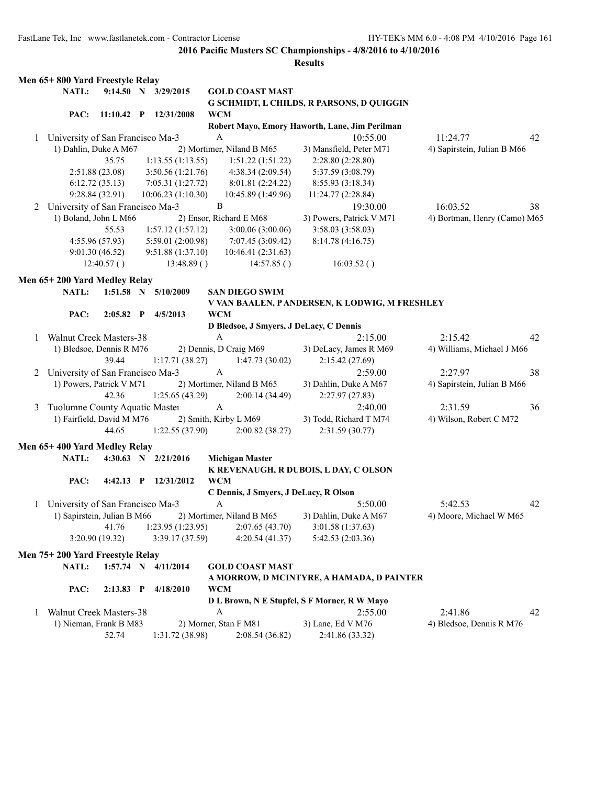|   | Men 65+800 Yard Freestyle Relay    |                 |                       |              |                                         |                                                |                              |    |
|---|------------------------------------|-----------------|-----------------------|--------------|-----------------------------------------|------------------------------------------------|------------------------------|----|
|   | NATL:                              |                 | 9:14.50 N 3/29/2015   |              | <b>GOLD COAST MAST</b>                  |                                                |                              |    |
|   |                                    |                 |                       |              |                                         | G SCHMIDT, L CHILDS, R PARSONS, D QUIGGIN      |                              |    |
|   | PAC:                               |                 | 11:10.42 P 12/31/2008 | <b>WCM</b>   |                                         |                                                |                              |    |
|   |                                    |                 |                       |              |                                         | Robert Mayo, Emory Haworth, Lane, Jim Perilman |                              |    |
|   | 1 University of San Francisco Ma-3 |                 |                       | $\mathbf{A}$ |                                         | 10:55.00                                       | 11:24.77                     | 42 |
|   | 1) Dahlin, Duke A M67              |                 |                       |              | 2) Mortimer, Niland B M65               | 3) Mansfield, Peter M71                        | 4) Sapirstein, Julian B M66  |    |
|   |                                    | 35.75           | 1:13.55(1:13.55)      |              | 1:51.22(1:51.22)                        | 2:28.80 (2:28.80)                              |                              |    |
|   |                                    | 2:51.88(23.08)  | 3:50.56(1:21.76)      |              | 4:38.34 (2:09.54)                       | 5:37.59 (3:08.79)                              |                              |    |
|   |                                    | 6:12.72(35.13)  | 7:05.31(1:27.72)      |              | 8:01.81 (2:24.22)                       | 8:55.93 (3:18.34)                              |                              |    |
|   |                                    | 9:28.84 (32.91) | 10:06.23(1:10.30)     |              | 10:45.89 (1:49.96)                      | 11:24.77 (2:28.84)                             |                              |    |
| 2 | University of San Francisco Ma-3   |                 |                       | $\, {\bf B}$ |                                         | 19:30.00                                       | 16:03.52                     | 38 |
|   | 1) Boland, John L M66              |                 |                       |              | 2) Ensor, Richard E M68                 | 3) Powers, Patrick V M71                       | 4) Bortman, Henry (Camo) M65 |    |
|   |                                    | 55.53           | 1:57.12(1:57.12)      |              | 3:00.06(3:00.06)                        | 3:58.03(3:58.03)                               |                              |    |
|   |                                    | 4:55.96(57.93)  | 5:59.01(2:00.98)      |              | 7:07.45 (3:09.42)                       | 8:14.78(4:16.75)                               |                              |    |
|   |                                    | 9:01.30(46.52)  | 9:51.88(1:37.10)      |              | 10:46.41 (2:31.63)                      |                                                |                              |    |
|   |                                    | 12:40.57()      | 13:48.89()            |              | 14:57.85()                              | 16:03.52()                                     |                              |    |
|   | Men 65+200 Yard Medley Relay       |                 |                       |              |                                         |                                                |                              |    |
|   | NATL:                              |                 | 1:51.58 N 5/10/2009   |              | <b>SAN DIEGO SWIM</b>                   |                                                |                              |    |
|   |                                    |                 |                       |              |                                         | V VAN BAALEN, P ANDERSEN, K LODWIG, M FRESHLEY |                              |    |
|   | PAC:                               |                 | 2:05.82 P 4/5/2013    | <b>WCM</b>   |                                         |                                                |                              |    |
|   |                                    |                 |                       |              | D Bledsoe, J Smyers, J DeLacy, C Dennis |                                                |                              |    |
| 1 | Walnut Creek Masters-38            |                 |                       | $\mathbf{A}$ |                                         | 2:15.00                                        | 2:15.42                      | 42 |
|   | 1) Bledsoe, Dennis R M76           |                 |                       |              | 2) Dennis, D Craig M69                  | 3) DeLacy, James R M69                         | 4) Williams, Michael J M66   |    |
|   |                                    | 39.44           | 1:17.71(38.27)        |              | 1:47.73(30.02)                          | 2:15.42(27.69)                                 |                              |    |
| 2 | University of San Francisco Ma-3   |                 |                       | $\mathbf{A}$ |                                         | 2:59.00                                        | 2:27.97                      | 38 |
|   | 1) Powers, Patrick V M71           |                 |                       |              | 2) Mortimer, Niland B M65               | 3) Dahlin, Duke A M67                          | 4) Sapirstein, Julian B M66  |    |
|   |                                    | 42.36           | 1:25.65(43.29)        |              | 2:00.14(34.49)                          | 2:27.97(27.83)                                 |                              |    |
|   | Tuolumne County Aquatic Master     |                 |                       | A            |                                         | 2:40.00                                        | 2:31.59                      | 36 |
| 3 | 1) Fairfield, David M M76          |                 |                       |              | 2) Smith, Kirby L M69                   | 3) Todd, Richard T M74                         | 4) Wilson, Robert C M72      |    |
|   |                                    | 44.65           |                       |              |                                         |                                                |                              |    |
|   |                                    |                 | 1:22.55(37.90)        |              | 2:00.82(38.27)                          | 2:31.59(30.77)                                 |                              |    |
|   | Men 65+400 Yard Medley Relay       |                 |                       |              |                                         |                                                |                              |    |
|   | NATL:                              |                 | 4:30.63 N 2/21/2016   |              | <b>Michigan Master</b>                  |                                                |                              |    |
|   |                                    |                 |                       |              |                                         | K REVENAUGH, R DUBOIS, L DAY, C OLSON          |                              |    |
|   | PAC:                               |                 | 4:42.13 P 12/31/2012  | <b>WCM</b>   |                                         |                                                |                              |    |
|   |                                    |                 |                       |              | C Dennis, J Smyers, J DeLacy, R Olson   |                                                |                              |    |
| 1 | University of San Francisco Ma-3   |                 |                       | $\mathbf{A}$ |                                         | 5:50.00                                        | 5:42.53                      | 42 |
|   | 1) Sapirstein, Julian B M66        |                 |                       |              | 2) Mortimer, Niland B M65               | 3) Dahlin, Duke A M67                          | 4) Moore, Michael W M65      |    |
|   |                                    | 41.76           | 1:23.95(1:23.95)      |              | 2:07.65(43.70)                          | 3:01.58 (1:37.63)                              |                              |    |
|   |                                    | 3:20.90 (19.32) | 3:39.17(37.59)        |              | 4:20.54(41.37)                          | 5:42.53(2:03.36)                               |                              |    |
|   | Men 75+200 Yard Freestyle Relay    |                 |                       |              |                                         |                                                |                              |    |
|   | NATL:                              |                 | 1:57.74 N 4/11/2014   |              | <b>GOLD COAST MAST</b>                  |                                                |                              |    |
|   |                                    |                 |                       |              |                                         | A MORROW, D MCINTYRE, A HAMADA, D PAINTER      |                              |    |
|   | PAC:                               | $2:13.83$ P     | 4/18/2010             | <b>WCM</b>   |                                         |                                                |                              |    |
|   |                                    |                 |                       |              |                                         | D L Brown, N E Stupfel, S F Morner, R W Mayo   |                              |    |
| 1 | Walnut Creek Masters-38            |                 |                       | A            |                                         | 2:55.00                                        | 2:41.86                      | 42 |
|   | 1) Nieman, Frank B M83             |                 |                       |              | 2) Morner, Stan F M81                   | 3) Lane, Ed V M76                              | 4) Bledsoe, Dennis R M76     |    |
|   |                                    | 52.74           | 1:31.72 (38.98)       |              | 2:08.54(36.82)                          | 2:41.86 (33.32)                                |                              |    |
|   |                                    |                 |                       |              |                                         |                                                |                              |    |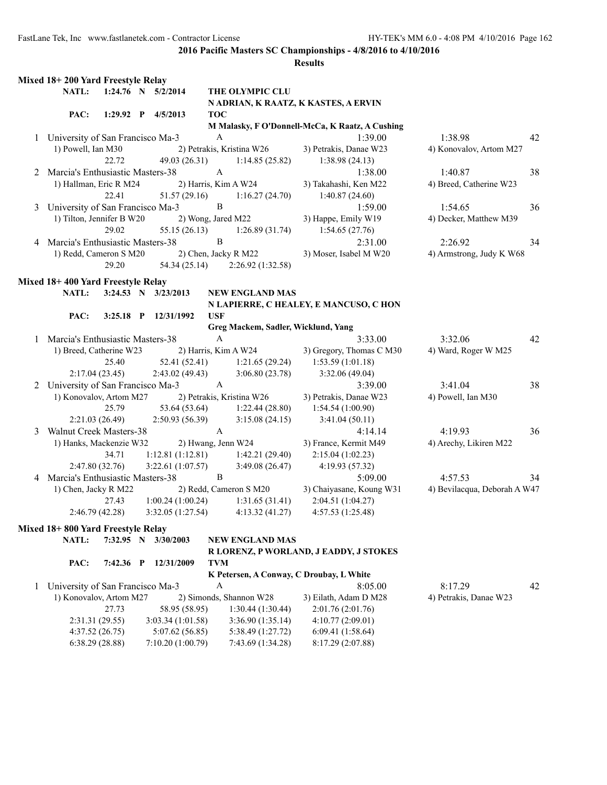|   | Mixed 18+200 Yard Freestyle Relay  |                 |                      |                    |                                       |                                                 |                              |    |
|---|------------------------------------|-----------------|----------------------|--------------------|---------------------------------------|-------------------------------------------------|------------------------------|----|
|   | NATL:                              |                 | 1:24.76 N 5/2/2014   |                    | THE OLYMPIC CLU                       |                                                 |                              |    |
|   |                                    |                 |                      |                    |                                       | N ADRIAN, K RAATZ, K KASTES, A ERVIN            |                              |    |
|   | PAC:                               |                 | 1:29.92 P 4/5/2013   | <b>TOC</b>         |                                       |                                                 |                              |    |
|   |                                    |                 |                      |                    |                                       | M Malasky, F O'Donnell-McCa, K Raatz, A Cushing |                              |    |
| 1 | University of San Francisco Ma-3   |                 |                      | $\mathbf{A}$       |                                       | 1:39.00                                         | 1:38.98                      | 42 |
|   | 1) Powell, Ian M30                 |                 |                      |                    | 2) Petrakis, Kristina W26             | 3) Petrakis, Danae W23                          | 4) Konovalov, Artom M27      |    |
|   |                                    | 22.72           | 49.03 (26.31)        |                    | 1:14.85(25.82)                        | 1:38.98(24.13)                                  |                              |    |
|   | 2 Marcia's Enthusiastic Masters-38 |                 |                      | $\mathbf{A}$       |                                       | 1:38.00                                         | 1:40.87                      | 38 |
|   | 1) Hallman, Eric R M24             |                 |                      |                    | 2) Harris, Kim A W24                  | 3) Takahashi, Ken M22                           | 4) Breed, Catherine W23      |    |
|   |                                    | 22.41           | 51.57 (29.16)        |                    | 1:16.27(24.70)                        | 1:40.87(24.60)                                  |                              |    |
| 3 | University of San Francisco Ma-3   |                 |                      | B                  |                                       | 1:59.00                                         | 1:54.65                      | 36 |
|   | 1) Tilton, Jennifer B W20          |                 |                      | 2) Wong, Jared M22 |                                       | 3) Happe, Emily W19                             | 4) Decker, Matthew M39       |    |
|   |                                    | 29.02           | 55.15 (26.13)        |                    | 1:26.89(31.74)                        | 1:54.65(27.76)                                  |                              |    |
| 4 | Marcia's Enthusiastic Masters-38   |                 |                      | B                  |                                       | 2:31.00                                         | 2:26.92                      | 34 |
|   | 1) Redd, Cameron S M20             |                 |                      |                    | 2) Chen, Jacky R M22                  | 3) Moser, Isabel M W20                          | 4) Armstrong, Judy K W68     |    |
|   |                                    | 29.20           |                      |                    | 54.34 (25.14) 2:26.92 (1:32.58)       |                                                 |                              |    |
|   |                                    |                 |                      |                    |                                       |                                                 |                              |    |
|   | Mixed 18+400 Yard Freestyle Relay  |                 |                      |                    |                                       |                                                 |                              |    |
|   | <b>NATL:</b>                       |                 | 3:24.53 N 3/23/2013  |                    | <b>NEW ENGLAND MAS</b>                |                                                 |                              |    |
|   |                                    |                 |                      |                    |                                       | N LAPIERRE, C HEALEY, E MANCUSO, C HON          |                              |    |
|   | PAC:                               |                 | 3:25.18 P 12/31/1992 | <b>USF</b>         |                                       |                                                 |                              |    |
|   |                                    |                 |                      |                    | Greg Mackem, Sadler, Wicklund, Yang   |                                                 |                              |    |
|   | 1 Marcia's Enthusiastic Masters-38 |                 |                      | $\mathbf{A}$       |                                       | 3:33.00                                         | 3:32.06                      | 42 |
|   | 1) Breed, Catherine W23            |                 |                      |                    | 2) Harris, Kim A W24                  | 3) Gregory, Thomas C M30                        | 4) Ward, Roger W M25         |    |
|   |                                    | 25.40           |                      |                    | 52.41 (52.41) 1:21.65 (29.24)         | 1:53.59(1:01.18)                                |                              |    |
|   |                                    | 2:17.04(23.45)  | 2:43.02 (49.43)      |                    | 3:06.80(23.78)                        | 3:32.06(49.04)                                  |                              |    |
|   | 2 University of San Francisco Ma-3 |                 |                      | A                  |                                       | 3:39.00                                         | 3:41.04                      | 38 |
|   | 1) Konovalov, Artom M27            |                 |                      |                    | 2) Petrakis, Kristina W26             | 3) Petrakis, Danae W23                          | 4) Powell, Ian M30           |    |
|   |                                    | 25.79           |                      |                    | 53.64 (53.64) 1:22.44 (28.80)         | 1:54.54(1:00.90)                                |                              |    |
|   |                                    | 2:21.03(26.49)  | 2:50.93 (56.39)      |                    | 3:15.08(24.15)                        | 3:41.04(50.11)                                  |                              |    |
| 3 | <b>Walnut Creek Masters-38</b>     |                 |                      | $\mathbf{A}$       |                                       | 4:14.14                                         | 4:19.93                      | 36 |
|   | 1) Hanks, Mackenzie W32            |                 |                      |                    | 2) Hwang, Jenn W24                    | 3) France, Kermit M49                           | 4) Arechy, Likiren M22       |    |
|   |                                    | 34.71           |                      |                    | $1:12.81 (1:12.81)$ $1:42.21 (29.40)$ | 2:15.04(1:02.23)                                |                              |    |
|   |                                    | 2:47.80(32.76)  | 3:22.61(1:07.57)     |                    | 3:49.08(26.47)                        | 4:19.93 (57.32)                                 |                              |    |
|   | 4 Marcia's Enthusiastic Masters-38 |                 |                      | $\mathbf{B}$       |                                       | 5:09.00                                         | 4:57.53                      | 34 |
|   | 1) Chen, Jacky R M22               |                 |                      |                    | 2) Redd, Cameron S M20                | 3) Chaiyasane, Koung W31                        | 4) Bevilacqua, Deborah A W47 |    |
|   |                                    | 27.43           |                      |                    | $1:00.24(1:00.24)$ $1:31.65(31.41)$   | 2:04.51(1:04.27)                                |                              |    |
|   |                                    | 2:46.79 (42.28) | 3:32.05(1:27.54)     |                    | 4:13.32(41.27)                        | 4:57.53 (1:25.48)                               |                              |    |
|   |                                    |                 |                      |                    |                                       |                                                 |                              |    |
|   | Mixed 18+800 Yard Freestyle Relay  |                 |                      |                    |                                       |                                                 |                              |    |
|   | NATL:                              | 7:32.95 N       | 3/30/2003            |                    | <b>NEW ENGLAND MAS</b>                |                                                 |                              |    |
|   |                                    |                 |                      |                    |                                       | R LORENZ, P WORLAND, J EADDY, J STOKES          |                              |    |
|   | PAC:                               | 7:42.36 P       | 12/31/2009           | <b>TVM</b>         |                                       |                                                 |                              |    |
|   |                                    |                 |                      |                    |                                       | K Petersen, A Conway, C Droubay, L White        |                              |    |
| 1 | University of San Francisco Ma-3   |                 |                      | A                  |                                       | 8:05.00                                         | 8:17.29                      | 42 |
|   | 1) Konovalov, Artom M27            |                 |                      |                    | 2) Simonds, Shannon W28               | 3) Eilath, Adam D M28                           | 4) Petrakis, Danae W23       |    |
|   |                                    | 27.73           | 58.95 (58.95)        |                    | 1:30.44(1:30.44)                      | 2:01.76 (2:01.76)                               |                              |    |
|   |                                    | 2:31.31(29.55)  | 3:03.34 (1:01.58)    |                    | 3:36.90 (1:35.14)                     | 4:10.77(2:09.01)                                |                              |    |
|   |                                    | 4:37.52(26.75)  | 5:07.62(56.85)       |                    | 5:38.49 (1:27.72)                     | 6:09.41(1:58.64)                                |                              |    |
|   |                                    | 6:38.29 (28.88) | 7:10.20 (1:00.79)    |                    | 7:43.69 (1:34.28)                     | 8:17.29 (2:07.88)                               |                              |    |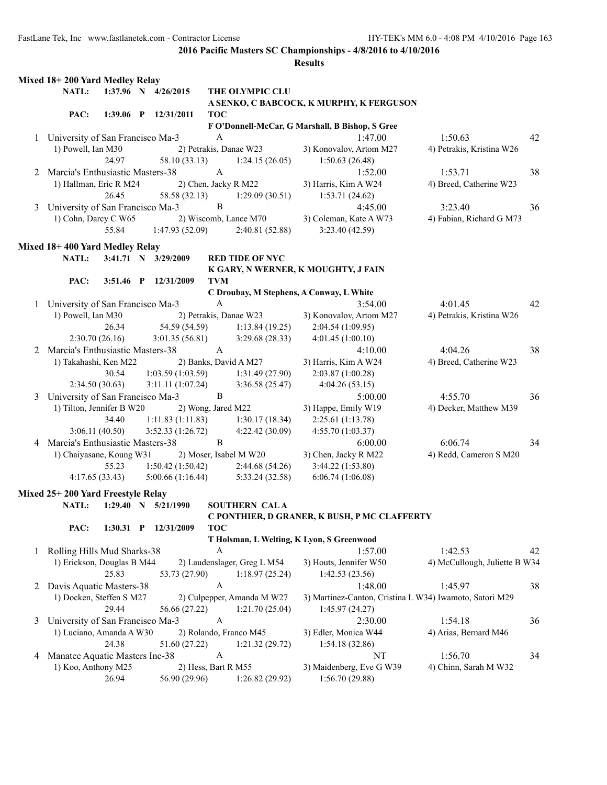|   | Mixed 18+200 Yard Medley Relay     |       |                               |                           |                                       |                                                 |                                                         |    |
|---|------------------------------------|-------|-------------------------------|---------------------------|---------------------------------------|-------------------------------------------------|---------------------------------------------------------|----|
|   | <b>NATL:</b>                       |       | 1:37.96 N 4/26/2015           |                           | THE OLYMPIC CLU                       |                                                 |                                                         |    |
|   |                                    |       |                               |                           |                                       | A SENKO, C BABCOCK, K MURPHY, K FERGUSON        |                                                         |    |
|   | PAC:                               |       | 1:39.06 P 12/31/2011          | <b>TOC</b>                |                                       |                                                 |                                                         |    |
|   |                                    |       |                               |                           |                                       | F O'Donnell-McCar, G Marshall, B Bishop, S Gree |                                                         |    |
|   | 1 University of San Francisco Ma-3 |       |                               | $\boldsymbol{A}$          |                                       | 1:47.00                                         | 1:50.63                                                 | 42 |
|   | 1) Powell, Ian M30                 |       |                               |                           | 2) Petrakis, Danae W23                | 3) Konovalov, Artom M27                         | 4) Petrakis, Kristina W26                               |    |
|   |                                    | 24.97 | 58.10 (33.13)                 |                           | 1:24.15(26.05)                        | 1:50.63(26.48)                                  |                                                         |    |
|   | 2 Marcia's Enthusiastic Masters-38 |       |                               | A                         |                                       | 1:52.00                                         | 1:53.71                                                 | 38 |
|   | 1) Hallman, Eric R M24             |       |                               |                           | 2) Chen, Jacky R M22                  | 3) Harris, Kim A W24                            | 4) Breed, Catherine W23                                 |    |
|   |                                    | 26.45 | 58.58 (32.13)                 |                           | 1:29.09(30.51)                        | 1:53.71(24.62)                                  |                                                         |    |
|   | 3 University of San Francisco Ma-3 |       |                               | B                         |                                       | 4:45.00                                         | 3:23.40                                                 | 36 |
|   | 1) Cohn, Darcy C W65               |       | 2) Wiscomb, Lance M70         |                           |                                       | 3) Coleman, Kate A W73                          | 4) Fabian, Richard G M73                                |    |
|   |                                    | 55.84 | 1:47.93(52.09)                |                           | 2:40.81(52.88)                        | 3:23.40(42.59)                                  |                                                         |    |
|   |                                    |       |                               |                           |                                       |                                                 |                                                         |    |
|   | Mixed 18+400 Yard Medley Relay     |       |                               |                           |                                       |                                                 |                                                         |    |
|   | <b>NATL:</b>                       |       | 3:41.71 N 3/29/2009           |                           | <b>RED TIDE OF NYC</b>                |                                                 |                                                         |    |
|   |                                    |       |                               |                           |                                       | K GARY, N WERNER, K MOUGHTY, J FAIN             |                                                         |    |
|   | PAC:                               |       | 3:51.46 P 12/31/2009          | <b>TVM</b>                |                                       |                                                 |                                                         |    |
|   |                                    |       |                               | $\mathbf{A}$              |                                       | C Droubay, M Stephens, A Conway, L White        |                                                         |    |
|   | 1 University of San Francisco Ma-3 |       |                               |                           |                                       | 3:54.00                                         | 4:01.45                                                 | 42 |
|   | 1) Powell, Ian M30                 |       |                               |                           | 2) Petrakis, Danae W23                | 3) Konovalov, Artom M27                         | 4) Petrakis, Kristina W26                               |    |
|   |                                    | 26.34 | 54.59 (54.59)                 |                           | 1:13.84(19.25)                        | 2:04.54 (1:09.95)                               |                                                         |    |
|   | 2:30.70(26.16)                     |       | 3:01.35(56.81)                |                           | 3:29.68(28.33)                        | 4:01.45(1:00.10)                                |                                                         |    |
|   | 2 Marcia's Enthusiastic Masters-38 |       |                               | A                         |                                       | 4:10.00                                         | 4:04.26                                                 | 38 |
|   | 1) Takahashi, Ken M22              |       |                               |                           | 2) Banks, David A M27                 | 3) Harris, Kim A W24                            | 4) Breed, Catherine W23                                 |    |
|   |                                    | 30.54 |                               |                           | $1:03.59(1:03.59)$ $1:31.49(27.90)$   | 2:03.87(1:00.28)                                |                                                         |    |
|   | 2:34.50(30.63)                     |       | 3:11.11(1:07.24)              |                           | 3:36.58(25.47)                        | 4:04.26(53.15)                                  |                                                         |    |
| 3 | University of San Francisco Ma-3   |       |                               | B                         |                                       | 5:00.00                                         | 4:55.70                                                 | 36 |
|   | 1) Tilton, Jennifer B W20          |       |                               |                           | 2) Wong, Jared M22                    | 3) Happe, Emily W19                             | 4) Decker, Matthew M39                                  |    |
|   |                                    | 34.40 |                               |                           | 1:11.83 $(1:11.83)$ 1:30.17 $(18.34)$ | 2:25.61(1:13.78)                                |                                                         |    |
|   | 3:06.11(40.50)                     |       | 3:52.33(1:26.72)              |                           | 4:22.42 (30.09)                       | 4:55.70 (1:03.37)                               |                                                         |    |
| 4 | Marcia's Enthusiastic Masters-38   |       |                               | B                         |                                       | 6:00.00                                         | 6:06.74                                                 | 34 |
|   | 1) Chaiyasane, Koung W31           |       |                               |                           | 2) Moser, Isabel M W20                | 3) Chen, Jacky R M22                            | 4) Redd, Cameron S M20                                  |    |
|   |                                    | 55.23 |                               |                           | $1:50.42(1:50.42)$ $2:44.68(54.26)$   | 3:44.22 (1:53.80)                               |                                                         |    |
|   | 4:17.65(33.43)                     |       | 5:00.66(1:16.44)              |                           | 5:33.24 (32.58)                       | 6:06.74(1:06.08)                                |                                                         |    |
|   | Mixed 25+200 Yard Freestyle Relay  |       |                               |                           |                                       |                                                 |                                                         |    |
|   | <b>NATL:</b>                       |       | $1:29.40 \quad N = 5/21/1990$ |                           | <b>SOUTHERN CALA</b>                  |                                                 |                                                         |    |
|   |                                    |       |                               |                           |                                       | C PONTHIER, D GRANER, K BUSH, P MC CLAFFERTY    |                                                         |    |
|   | PAC:                               |       | 1:30.31 P 12/31/2009          | <b>TOC</b>                |                                       |                                                 |                                                         |    |
|   |                                    |       |                               |                           |                                       | T Holsman, L Welting, K Lyon, S Greenwood       |                                                         |    |
| 1 | Rolling Hills Mud Sharks-38        |       |                               | A                         |                                       | 1:57.00                                         | 1:42.53                                                 | 42 |
|   | 1) Erickson, Douglas B M44         |       |                               |                           | 2) Laudenslager, Greg L M54           | 3) Houts, Jennifer W50                          | 4) McCullough, Juliette B W34                           |    |
|   |                                    | 25.83 | 53.73 (27.90)                 |                           | 1:18.97(25.24)                        | 1:42.53(23.56)                                  |                                                         |    |
| 2 | Davis Aquatic Masters-38           |       |                               | $\boldsymbol{\mathsf{A}}$ |                                       | 1:48.00                                         | 1:45.97                                                 | 38 |
|   | 1) Docken, Steffen S M27           |       |                               |                           | 2) Culpepper, Amanda M W27            |                                                 | 3) Martinez-Canton, Cristina L W34) Iwamoto, Satori M29 |    |
|   |                                    | 29.44 | 56.66 (27.22)                 |                           | 1:21.70(25.04)                        | 1:45.97(24.27)                                  |                                                         |    |
| 3 | University of San Francisco Ma-3   |       |                               | A                         |                                       | 2:30.00                                         | 1:54.18                                                 | 36 |
|   | 1) Luciano, Amanda A W30           |       |                               |                           | 2) Rolando, Franco M45                | 3) Edler, Monica W44                            | 4) Arias, Bernard M46                                   |    |
|   |                                    | 24.38 | 51.60 (27.22)                 |                           | 1:21.32(29.72)                        | 1:54.18(32.86)                                  |                                                         |    |
| 4 | Manatee Aquatic Masters Inc-38     |       |                               | $\boldsymbol{A}$          |                                       | NT                                              | 1:56.70                                                 | 34 |
|   | 1) Koo, Anthony M25                |       |                               |                           | 2) Hess, Bart R M55                   | 3) Maidenberg, Eve G W39                        | 4) Chinn, Sarah M W32                                   |    |
|   |                                    | 26.94 | 56.90 (29.96)                 |                           | 1:26.82(29.92)                        | 1:56.70(29.88)                                  |                                                         |    |
|   |                                    |       |                               |                           |                                       |                                                 |                                                         |    |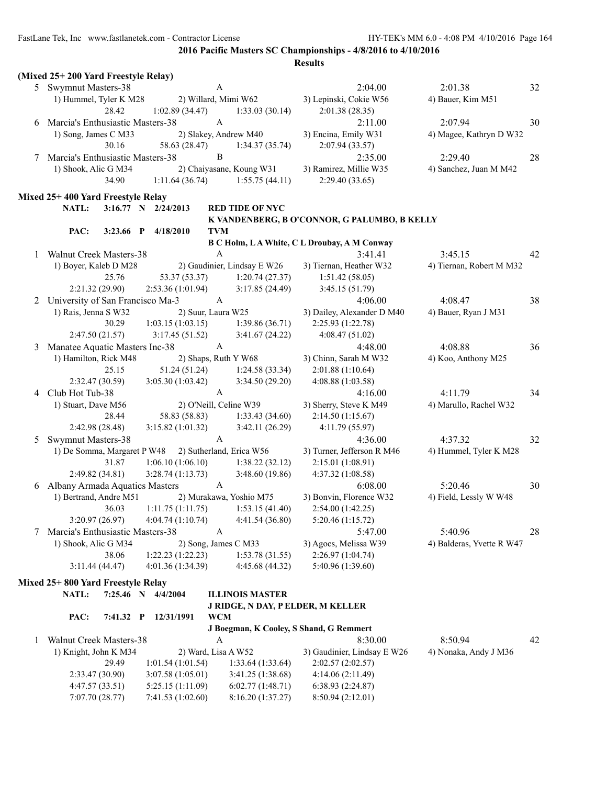|   | (Mixed 25+200 Yard Freestyle Relay)                     |             |                                        |                          |                                       |                                                        |                           |    |
|---|---------------------------------------------------------|-------------|----------------------------------------|--------------------------|---------------------------------------|--------------------------------------------------------|---------------------------|----|
|   | 5 Swymnut Masters-38                                    |             |                                        | A                        |                                       | 2:04.00                                                | 2:01.38                   | 32 |
|   | 1) Hummel, Tyler K M28                                  |             |                                        | 2) Willard, Mimi W62     |                                       | 3) Lepinski, Cokie W56                                 | 4) Bauer, Kim M51         |    |
|   | 28.42                                                   |             | 1:02.89(34.47)                         |                          | 1:33.03(30.14)                        | 2:01.38(28.35)                                         |                           |    |
| 6 | Marcia's Enthusiastic Masters-38                        |             |                                        | $\boldsymbol{A}$         |                                       | 2:11.00                                                | 2:07.94                   | 30 |
|   | 1) Song, James C M33                                    |             |                                        | 2) Slakey, Andrew M40    |                                       | 3) Encina, Emily W31                                   | 4) Magee, Kathryn D W32   |    |
|   | 30.16                                                   |             | 58.63 (28.47)                          |                          | 1:34.37(35.74)                        | 2:07.94(33.57)                                         |                           |    |
| 7 | Marcia's Enthusiastic Masters-38                        |             |                                        | $\, {\bf B}$             |                                       | 2:35.00                                                | 2:29.40                   | 28 |
|   | 1) Shook, Alic G M34                                    |             |                                        |                          | 2) Chaiyasane, Koung W31              | 3) Ramirez, Millie W35                                 | 4) Sanchez, Juan M M42    |    |
|   | 34.90                                                   |             | 1:11.64(36.74)                         |                          | 1:55.75(44.11)                        | 2:29.40(33.65)                                         |                           |    |
|   |                                                         |             |                                        |                          |                                       |                                                        |                           |    |
|   | Mixed 25+400 Yard Freestyle Relay                       |             |                                        |                          |                                       |                                                        |                           |    |
|   | <b>NATL:</b>                                            |             | 3:16.77 N 2/24/2013                    |                          | <b>RED TIDE OF NYC</b>                |                                                        |                           |    |
|   |                                                         |             |                                        | <b>TVM</b>               |                                       | K VANDENBERG, B O'CONNOR, G PALUMBO, B KELLY           |                           |    |
|   | PAC:                                                    | $3:23.66$ P | 4/18/2010                              |                          |                                       |                                                        |                           |    |
|   |                                                         |             |                                        | $\mathbf{A}$             |                                       | B C Holm, LA White, C L Droubay, A M Conway<br>3:41.41 | 3:45.15                   | 42 |
| 1 | <b>Walnut Creek Masters-38</b><br>1) Boyer, Kaleb D M28 |             |                                        |                          |                                       |                                                        |                           |    |
|   |                                                         |             |                                        |                          | 2) Gaudinier, Lindsay E W26           | 3) Tiernan, Heather W32                                | 4) Tiernan, Robert M M32  |    |
|   | 25.76                                                   |             | 53.37 (53.37)                          |                          | 1:20.74(27.37)                        | 1:51.42(58.05)                                         |                           |    |
|   | 2:21.32(29.90)                                          |             | 2:53.36(1:01.94)                       |                          | 3:17.85(24.49)                        | 3:45.15(51.79)                                         |                           |    |
| 2 | University of San Francisco Ma-3                        |             |                                        | $\mathbf{A}$             |                                       | 4:06.00                                                | 4:08.47                   | 38 |
|   | 1) Rais, Jenna S W32                                    |             |                                        | 2) Suur, Laura W25       |                                       | 3) Dailey, Alexander D M40                             | 4) Bauer, Ryan J M31      |    |
|   | 30.29                                                   |             | 1:03.15(1:03.15)                       |                          | 1:39.86(36.71)                        | 2:25.93 (1:22.78)                                      |                           |    |
|   | 2:47.50(21.57)                                          |             | 3:17.45(51.52)                         |                          | 3:41.67(24.22)                        | 4:08.47(51.02)                                         |                           |    |
| 3 | Manatee Aquatic Masters Inc-38                          |             |                                        | A                        |                                       | 4:48.00                                                | 4:08.88                   | 36 |
|   | 1) Hamilton, Rick M48                                   |             |                                        | 2) Shaps, Ruth Y W68     |                                       | 3) Chinn, Sarah M W32                                  | 4) Koo, Anthony M25       |    |
|   | 25.15                                                   |             | 51.24 (51.24)                          |                          | 1:24.58(33.34)                        | 2:01.88(1:10.64)                                       |                           |    |
|   | 2:32.47(30.59)                                          |             | 3:05.30 (1:03.42)                      |                          | 3:34.50(29.20)                        | 4:08.88 (1:03.58)                                      |                           |    |
| 4 | Club Hot Tub-38                                         |             |                                        | $\mathbf{A}$             |                                       | 4:16.00                                                | 4:11.79                   | 34 |
|   | 1) Stuart, Dave M56                                     |             |                                        | 2) O'Neill, Celine W39   |                                       | 3) Sherry, Steve K M49                                 | 4) Marullo, Rachel W32    |    |
|   | 28.44                                                   |             | 58.83 (58.83)                          |                          | 1:33.43(34.60)                        | 2:14.50(1:15.67)                                       |                           |    |
|   | 2:42.98(28.48)                                          |             | 3:15.82(1:01.32)                       |                          | 3:42.11(26.29)                        | 4:11.79 (55.97)                                        |                           |    |
| 5 | <b>Swymnut Masters-38</b>                               |             |                                        | $\mathbf{A}$             |                                       | 4:36.00                                                | 4:37.32                   | 32 |
|   | 1) De Somma, Margaret P W48                             |             |                                        | 2) Sutherland, Erica W56 |                                       | 3) Turner, Jefferson R M46                             | 4) Hummel, Tyler K M28    |    |
|   | 31.87                                                   |             | $1:06.10(1:06.10)$ $1:38.22(32.12)$    |                          |                                       | 2:15.01(1:08.91)                                       |                           |    |
|   | 2:49.82(34.81)                                          |             | 3:28.74(1:13.73)                       |                          | 3:48.60 (19.86)                       | 4:37.32 (1:08.58)                                      |                           |    |
|   | 6 Albany Armada Aquatics Masters                        |             |                                        | $\boldsymbol{A}$         |                                       | 6:08.00                                                | 5:20.46                   | 30 |
|   | 1) Bertrand, Andre M51                                  |             |                                        |                          | 2) Murakawa, Yoshio M75               | 3) Bonvin, Florence W32                                | 4) Field, Lessly W W48    |    |
|   | 36.03                                                   |             | 1:11.75 $(1:11.75)$ 1:53.15 $(41.40)$  |                          |                                       | 2:54.00 (1:42.25)                                      |                           |    |
|   | 3:20.97 (26.97)                                         |             | 4:04.74(1:10.74)                       |                          | 4:41.54 (36.80)                       | 5:20.46(1:15.72)                                       |                           |    |
| 7 | Marcia's Enthusiastic Masters-38                        |             |                                        | A                        |                                       | 5:47.00                                                | 5:40.96                   | 28 |
|   | 1) Shook, Alic G M34                                    |             |                                        | 2) Song, James C M33     |                                       | 3) Agocs, Melissa W39                                  | 4) Balderas, Yvette R W47 |    |
|   | 38.06                                                   |             | 1:22.23(1:22.23)                       |                          | 1:53.78(31.55)                        | 2:26.97(1:04.74)                                       |                           |    |
|   | 3:11.44(44.47)                                          |             | 4:01.36 (1:34.39)                      |                          | 4:45.68 (44.32)                       | 5:40.96 (1:39.60)                                      |                           |    |
|   | Mixed 25+800 Yard Freestyle Relay                       |             |                                        |                          |                                       |                                                        |                           |    |
|   | NATL:                                                   | 7:25.46 N   | 4/4/2004                               |                          | <b>ILLINOIS MASTER</b>                |                                                        |                           |    |
|   |                                                         |             |                                        |                          |                                       | J RIDGE, N DAY, P ELDER, M KELLER                      |                           |    |
|   | PAC:                                                    | 7:41.32 P   | 12/31/1991                             | <b>WCM</b>               |                                       |                                                        |                           |    |
|   |                                                         |             |                                        |                          |                                       | J Boegman, K Cooley, S Shand, G Remmert                |                           |    |
| 1 | Walnut Creek Masters-38                                 |             |                                        | A                        |                                       | 8:30.00                                                | 8:50.94                   | 42 |
|   | 1) Knight, John K M34                                   |             |                                        | 2) Ward, Lisa A W52      |                                       | 3) Gaudinier, Lindsay E W26                            | 4) Nonaka, Andy J M36     |    |
|   | 29.49                                                   |             |                                        |                          |                                       | 2:02.57 (2:02.57)                                      |                           |    |
|   |                                                         |             | 1:01.54(1:01.54)                       |                          | 1:33.64(1:33.64)                      |                                                        |                           |    |
|   | 2:33.47 (30.90)                                         |             | 3:07.58(1:05.01)                       |                          | 3:41.25(1:38.68)                      | 4:14.06(2:11.49)                                       |                           |    |
|   | 4:47.57(33.51)<br>7:07.70 (28.77)                       |             | 5:25.15 (1:11.09)<br>7:41.53 (1:02.60) |                          | 6:02.77(1:48.71)<br>8:16.20 (1:37.27) | 6:38.93(2:24.87)<br>8:50.94 (2:12.01)                  |                           |    |
|   |                                                         |             |                                        |                          |                                       |                                                        |                           |    |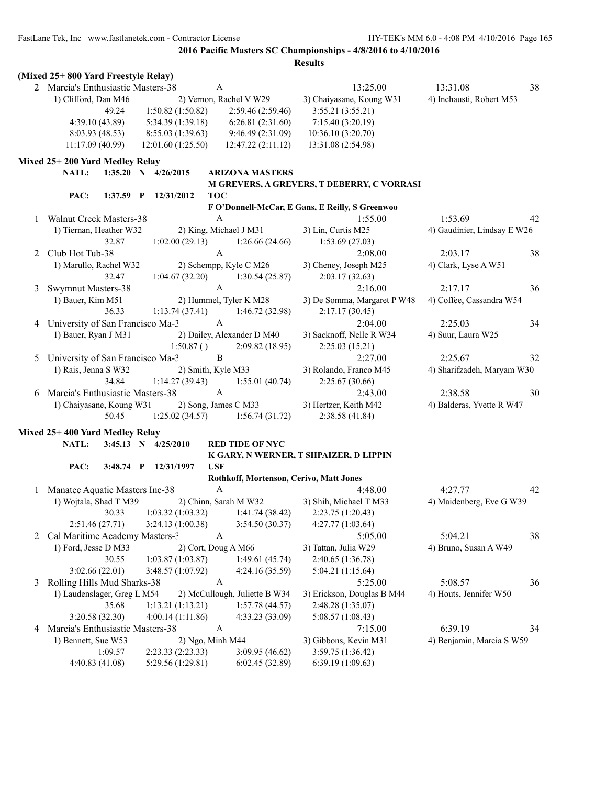|   | (Mixed 25+800 Yard Freestyle Relay) |                       |                                                           |                                                 |                             |    |
|---|-------------------------------------|-----------------------|-----------------------------------------------------------|-------------------------------------------------|-----------------------------|----|
|   | 2 Marcia's Enthusiastic Masters-38  |                       | A                                                         | 13:25.00                                        | 13:31.08                    | 38 |
|   | 1) Clifford, Dan M46                |                       | 2) Vernon, Rachel V W29                                   | 3) Chaiyasane, Koung W31                        | 4) Inchausti, Robert M53    |    |
|   | 49.24                               | 1:50.82(1:50.82)      | 2:59.46 (2:59.46)                                         | 3:55.21(3:55.21)                                |                             |    |
|   | 4:39.10(43.89)                      | 5:34.39 (1:39.18)     | 6:26.81(2:31.60)                                          | 7:15.40 (3:20.19)                               |                             |    |
|   | 8:03.93(48.53)                      | 8:55.03(1:39.63)      | 9:46.49(2:31.09)                                          | 10:36.10 (3:20.70)                              |                             |    |
|   | 11:17.09(40.99)                     | 12:01.60 (1:25.50)    | 12:47.22(2:11.12)                                         | 13:31.08 (2:54.98)                              |                             |    |
|   | Mixed 25+200 Yard Medley Relay      |                       |                                                           |                                                 |                             |    |
|   | <b>NATL:</b>                        | 1:35.20 N 4/26/2015   | <b>ARIZONA MASTERS</b>                                    |                                                 |                             |    |
|   |                                     |                       |                                                           | M GREVERS, A GREVERS, T DEBERRY, C VORRASI      |                             |    |
|   | PAC:                                | 1:37.59 P 12/31/2012  | <b>TOC</b>                                                |                                                 |                             |    |
|   |                                     |                       |                                                           | F O'Donnell-McCar, E Gans, E Reilly, S Greenwoo |                             |    |
| 1 | <b>Walnut Creek Masters-38</b>      |                       | A                                                         | 1:55.00                                         | 1:53.69                     | 42 |
|   | 1) Tiernan, Heather W32             |                       | 2) King, Michael J M31                                    | 3) Lin, Curtis M25                              | 4) Gaudinier, Lindsay E W26 |    |
|   | 32.87                               | 1:02.00(29.13)        | 1:26.66(24.66)                                            | 1:53.69(27.03)                                  |                             |    |
|   | 2 Club Hot Tub-38                   |                       | $\mathbf{A}$                                              | 2:08.00                                         | 2:03.17                     | 38 |
|   | 1) Marullo, Rachel W32              |                       | 2) Schempp, Kyle C M26                                    | 3) Cheney, Joseph M25                           | 4) Clark, Lyse A W51        |    |
|   | 32.47                               | 1:04.67(32.20)        | 1:30.54(25.87)                                            | 2:03.17(32.63)                                  |                             |    |
| 3 | Swymnut Masters-38                  |                       | $\mathbf{A}$                                              | 2:16.00                                         | 2:17.17                     | 36 |
|   | 1) Bauer, Kim M51                   |                       | 2) Hummel, Tyler K M28                                    | 3) De Somma, Margaret P W48                     | 4) Coffee, Cassandra W54    |    |
|   | 36.33                               | 1:13.74(37.41)        | 1:46.72(32.98)                                            | 2:17.17(30.45)                                  |                             |    |
|   | 4 University of San Francisco Ma-3  |                       | $\mathbf{A}$                                              | 2:04.00                                         | 2:25.03                     | 34 |
|   | 1) Bauer, Ryan J M31                |                       | 2) Dailey, Alexander D M40                                | 3) Sacknoff, Nelle R W34                        | 4) Suur, Laura W25          |    |
|   |                                     | 1:50.87()             | 2:09.82(18.95)                                            | 2:25.03(15.21)                                  |                             |    |
| 5 | University of San Francisco Ma-3    |                       | $\, {\bf B}$                                              | 2:27.00                                         | 2:25.67                     | 32 |
|   | 1) Rais, Jenna S W32                |                       | 2) Smith, Kyle M33                                        | 3) Rolando, Franco M45                          | 4) Sharifzadeh, Maryam W30  |    |
|   | 34.84                               | 1:14.27(39.43)        | 1:55.01(40.74)                                            | 2:25.67(30.66)                                  |                             |    |
| 6 | Marcia's Enthusiastic Masters-38    |                       | $\mathbf{A}$                                              | 2:43.00                                         | 2:38.58                     | 30 |
|   | 1) Chaiyasane, Koung W31            |                       | 2) Song, James C M33                                      | 3) Hertzer, Keith M42                           | 4) Balderas, Yvette R W47   |    |
|   | 50.45                               | 1:25.02(34.57)        | 1:56.74(31.72)                                            | 2:38.58 (41.84)                                 |                             |    |
|   | Mixed 25+400 Yard Medley Relay      |                       |                                                           |                                                 |                             |    |
|   | NATL:                               | 3:45.13 N $4/25/2010$ | <b>RED TIDE OF NYC</b>                                    |                                                 |                             |    |
|   |                                     |                       |                                                           | K GARY, N WERNER, T SHPAIZER, D LIPPIN          |                             |    |
|   | PAC:                                | 3:48.74 P 12/31/1997  | <b>USF</b>                                                |                                                 |                             |    |
|   |                                     |                       | Rothkoff, Mortenson, Cerivo, Matt Jones                   |                                                 |                             |    |
|   | 1 Manatee Aquatic Masters Inc-38    |                       | $\mathbf{A}$                                              | 4:48.00                                         | 4:27.77                     | 42 |
|   | 1) Wojtala, Shad T M39              |                       | 2) Chinn, Sarah M W32                                     | 3) Shih, Michael T M33                          | 4) Maidenberg, Eve G W39    |    |
|   |                                     |                       | 30.33 1:03.32 (1:03.32) 1:41.74 (38.42) 2:23.75 (1:20.43) |                                                 |                             |    |
|   | 2:51.46(27.71)                      | 3:24.13(1:00.38)      | 3:54.50(30.37)                                            | 4:27.77(1:03.64)                                |                             |    |
| 2 | Cal Maritime Academy Masters-3      |                       | $\boldsymbol{A}$                                          | 5:05.00                                         | 5:04.21                     | 38 |
|   | 1) Ford, Jesse D M33                |                       | 2) Cort, Doug A M66                                       | 3) Tattan, Julia W29                            | 4) Bruno, Susan A W49       |    |
|   | 30.55                               | 1:03.87(1:03.87)      | 1:49.61(45.74)                                            | 2:40.65 (1:36.78)                               |                             |    |
|   | 3:02.66(22.01)                      | 3:48.57 (1:07.92)     | 4:24.16 (35.59)                                           | 5:04.21(1:15.64)                                |                             |    |
| 3 | Rolling Hills Mud Sharks-38         |                       | A                                                         | 5:25.00                                         | 5:08.57                     | 36 |
|   | 1) Laudenslager, Greg L M54         |                       | 2) McCullough, Juliette B W34                             | 3) Erickson, Douglas B M44                      | 4) Houts, Jennifer W50      |    |
|   | 35.68                               | 1:13.21 (1:13.21)     | 1:57.78(44.57)                                            | 2:48.28 (1:35.07)                               |                             |    |
|   | 3:20.58 (32.30)                     | 4:00.14(1:11.86)      | 4:33.23 (33.09)                                           | 5:08.57(1:08.43)                                |                             |    |
| 4 | Marcia's Enthusiastic Masters-38    |                       | A                                                         | 7:15.00                                         | 6:39.19                     | 34 |
|   | 1) Bennett, Sue W53                 |                       | 2) Ngo, Minh M44                                          | 3) Gibbons, Kevin M31                           | 4) Benjamin, Marcia S W59   |    |
|   | 1:09.57                             | 2:23.33 (2:23.33)     | 3:09.95(46.62)                                            | 3:59.75 (1:36.42)                               |                             |    |
|   | 4:40.83 (41.08)                     | 5:29.56 (1:29.81)     | 6:02.45(32.89)                                            | 6:39.19 (1:09.63)                               |                             |    |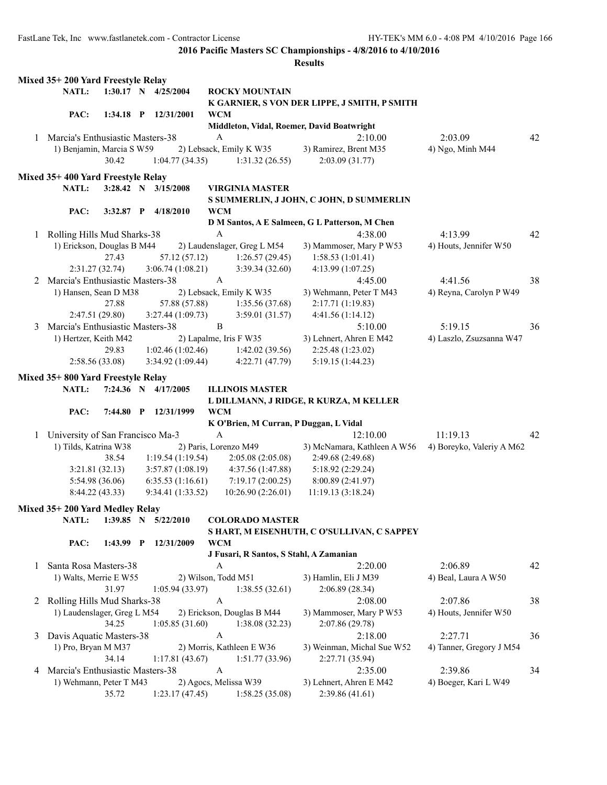|   | Mixed 35+200 Yard Freestyle Relay  |           |                           |                         |                             |                                                |                           |    |
|---|------------------------------------|-----------|---------------------------|-------------------------|-----------------------------|------------------------------------------------|---------------------------|----|
|   | NATL:                              |           | 1:30.17 N 4/25/2004       |                         | <b>ROCKY MOUNTAIN</b>       |                                                |                           |    |
|   |                                    |           |                           |                         |                             | K GARNIER, S VON DER LIPPE, J SMITH, P SMITH   |                           |    |
|   | PAC:                               |           | 1:34.18 P 12/31/2001      | <b>WCM</b>              |                             |                                                |                           |    |
|   |                                    |           |                           |                         |                             | Middleton, Vidal, Roemer, David Boatwright     |                           |    |
|   | 1 Marcia's Enthusiastic Masters-38 |           |                           | $\mathbf{A}$            |                             | 2:10.00                                        | 2:03.09                   | 42 |
|   | 1) Benjamin, Marcia S W59          |           |                           | 2) Lebsack, Emily K W35 |                             | 3) Ramirez, Brent M35                          | 4) Ngo, Minh M44          |    |
|   |                                    | 30.42     | 1:04.77(34.35)            |                         | 1:31.32(26.55)              | 2:03.09(31.77)                                 |                           |    |
|   |                                    |           |                           |                         |                             |                                                |                           |    |
|   | Mixed 35+400 Yard Freestyle Relay  |           |                           |                         |                             |                                                |                           |    |
|   | NATL:                              |           | $3:28.42$ N $3/15/2008$   |                         | <b>VIRGINIA MASTER</b>      |                                                |                           |    |
|   |                                    |           |                           |                         |                             | S SUMMERLIN, J JOHN, C JOHN, D SUMMERLIN       |                           |    |
|   | PAC:                               |           | 3:32.87 P 4/18/2010       | <b>WCM</b>              |                             |                                                |                           |    |
|   |                                    |           |                           |                         |                             | D M Santos, A E Salmeen, G L Patterson, M Chen |                           |    |
|   | 1 Rolling Hills Mud Sharks-38      |           |                           | $\mathbf{A}$            |                             | 4:38.00                                        | 4:13.99                   | 42 |
|   | 1) Erickson, Douglas B M44         |           |                           |                         | 2) Laudenslager, Greg L M54 | 3) Mammoser, Mary P W53                        | 4) Houts, Jennifer W50    |    |
|   |                                    | 27.43     | 57.12 (57.12)             |                         | 1:26.57(29.45)              | 1:58.53(1:01.41)                               |                           |    |
|   | 2:31.27(32.74)                     |           | 3:06.74(1:08.21)          |                         | 3:39.34(32.60)              | 4:13.99(1:07.25)                               |                           |    |
|   | 2 Marcia's Enthusiastic Masters-38 |           |                           | $\mathbf A$             |                             | 4:45.00                                        | 4:41.56                   | 38 |
|   | 1) Hansen, Sean D M38              |           |                           | 2) Lebsack, Emily K W35 |                             | 3) Wehmann, Peter T M43                        | 4) Reyna, Carolyn P W49   |    |
|   |                                    | 27.88     | 57.88 (57.88)             |                         | 1:35.56(37.68)              | 2:17.71 (1:19.83)                              |                           |    |
|   | 2:47.51(29.80)                     |           | 3:27.44(1:09.73)          |                         | 3:59.01(31.57)              | 4:41.56(1:14.12)                               |                           |    |
| 3 | Marcia's Enthusiastic Masters-38   |           |                           | $\, {\bf B}$            |                             | 5:10.00                                        | 5:19.15                   | 36 |
|   | 1) Hertzer, Keith M42              |           |                           | 2) Lapalme, Iris F W35  |                             | 3) Lehnert, Ahren E M42                        | 4) Laszlo, Zsuzsanna W47  |    |
|   |                                    | 29.83     | 1:02.46(1:02.46)          |                         | 1:42.02(39.56)              | 2:25.48 (1:23.02)                              |                           |    |
|   | 2:58.56(33.08)                     |           | 3:34.92(1:09.44)          |                         | 4:22.71(47.79)              | 5:19.15(1:44.23)                               |                           |    |
|   | Mixed 35+800 Yard Freestyle Relay  |           |                           |                         |                             |                                                |                           |    |
|   | NATL:                              |           | 7:24.36 N 4/17/2005       |                         | <b>ILLINOIS MASTER</b>      |                                                |                           |    |
|   |                                    |           |                           |                         |                             | L DILLMANN, J RIDGE, R KURZA, M KELLER         |                           |    |
|   | PAC:                               |           | 7:44.80 P 12/31/1999      | <b>WCM</b>              |                             |                                                |                           |    |
|   |                                    |           |                           |                         |                             | K O'Brien, M Curran, P Duggan, L Vidal         |                           |    |
|   | 1 University of San Francisco Ma-3 |           |                           | $\mathbf{A}$            |                             | 12:10.00                                       | 11:19.13                  | 42 |
|   | 1) Tilds, Katrina W38              |           |                           | 2) Paris, Lorenzo M49   |                             | 3) McNamara, Kathleen A W56                    | 4) Boreyko, Valeriy A M62 |    |
|   |                                    | 38.54     | 1:19.54(1:19.54)          |                         | 2:05.08(2:05.08)            | 2:49.68 (2:49.68)                              |                           |    |
|   | 3:21.81(32.13)                     |           | 3:57.87(1:08.19)          |                         | 4:37.56 (1:47.88)           | 5:18.92 (2:29.24)                              |                           |    |
|   | 5:54.98(36.06)                     |           | 6:35.53(1:16.61)          |                         | 7:19.17(2:00.25)            | 8:00.89 (2:41.97)                              |                           |    |
|   | 8:44.22 (43.33)                    |           | 9:34.41(1:33.52)          |                         | 10:26.90(2:26.01)           | 11:19.13 (3:18.24)                             |                           |    |
|   |                                    |           |                           |                         |                             |                                                |                           |    |
|   | Mixed 35+200 Yard Medley Relay     |           |                           |                         |                             |                                                |                           |    |
|   |                                    |           | NATL: 1:39.85 N 5/22/2010 |                         | <b>COLORADO MASTER</b>      |                                                |                           |    |
|   |                                    |           |                           |                         |                             | S HART, M EISENHUTH, C O'SULLIVAN, C SAPPEY    |                           |    |
|   | PAC:                               | 1:43.99 P | 12/31/2009                | <b>WCM</b>              |                             |                                                |                           |    |
|   |                                    |           |                           |                         |                             | J Fusari, R Santos, S Stahl, A Zamanian        |                           |    |
| 1 | Santa Rosa Masters-38              |           |                           | A                       |                             | 2:20.00                                        | 2:06.89                   | 42 |
|   | 1) Walts, Merrie E W55             |           |                           | 2) Wilson, Todd M51     |                             | 3) Hamlin, Eli J M39                           | 4) Beal, Laura A W50      |    |
|   |                                    | 31.97     | 1:05.94(33.97)            |                         | 1:38.55(32.61)              | 2:06.89 (28.34)                                |                           |    |
| 2 | Rolling Hills Mud Sharks-38        |           |                           | A                       |                             | 2:08.00                                        | 2:07.86                   | 38 |
|   | 1) Laudenslager, Greg L M54        |           |                           |                         | 2) Erickson, Douglas B M44  | 3) Mammoser, Mary P W53                        | 4) Houts, Jennifer W50    |    |
|   |                                    |           |                           |                         |                             | 2:07.86 (29.78)                                |                           |    |
|   |                                    | 34.25     | 1:05.85(31.60)            |                         | 1:38.08(32.23)              |                                                |                           |    |
| 3 | Davis Aquatic Masters-38           |           |                           | A                       |                             | 2:18.00                                        | 2:27.71                   | 36 |
|   | 1) Pro, Bryan M M37                |           |                           |                         | 2) Morris, Kathleen E W36   | 3) Weinman, Michal Sue W52                     | 4) Tanner, Gregory J M54  |    |
|   |                                    | 34.14     | 1:17.81(43.67)            |                         | 1:51.77(33.96)              | 2:27.71 (35.94)                                |                           |    |
| 4 | Marcia's Enthusiastic Masters-38   |           |                           | A                       |                             | 2:35.00                                        | 2:39.86                   | 34 |
|   | 1) Wehmann, Peter T M43            |           |                           | 2) Agocs, Melissa W39   |                             | 3) Lehnert, Ahren E M42                        | 4) Boeger, Kari L W49     |    |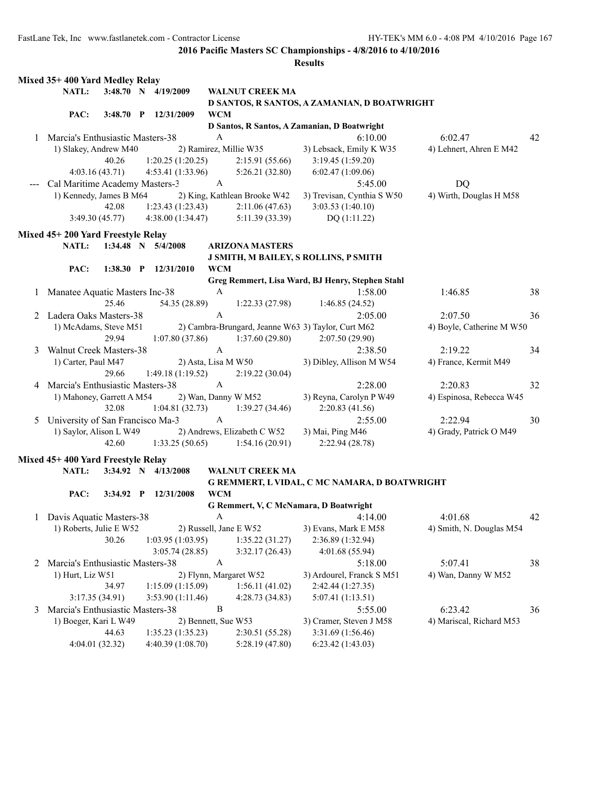|              | Mixed 35+400 Yard Medley Relay     |             |              |                     |              |                              |                                                    |                           |    |
|--------------|------------------------------------|-------------|--------------|---------------------|--------------|------------------------------|----------------------------------------------------|---------------------------|----|
|              | NATL:                              |             |              | 3:48.70 N 4/19/2009 |              | <b>WALNUT CREEK MA</b>       |                                                    |                           |    |
|              |                                    |             |              |                     |              |                              | D SANTOS, R SANTOS, A ZAMANIAN, D BOATWRIGHT       |                           |    |
|              | PAC:                               | $3:48.70$ P |              | 12/31/2009          | <b>WCM</b>   |                              |                                                    |                           |    |
|              |                                    |             |              |                     |              |                              | D Santos, R Santos, A Zamanian, D Boatwright       |                           |    |
|              | 1 Marcia's Enthusiastic Masters-38 |             |              |                     | A            |                              | 6:10.00                                            | 6:02.47                   | 42 |
|              | 1) Slakey, Andrew M40              |             |              |                     |              | 2) Ramirez, Millie W35       | 3) Lebsack, Emily K W35                            | 4) Lehnert, Ahren E M42   |    |
|              |                                    | 40.26       |              | 1:20.25(1:20.25)    |              | 2:15.91(55.66)               | 3:19.45(1:59.20)                                   |                           |    |
|              | 4:03.16(43.71)                     |             |              | 4:53.41 (1:33.96)   |              | 5:26.21(32.80)               | 6:02.47 (1:09.06)                                  |                           |    |
|              | Cal Maritime Academy Masters-3     |             |              |                     | $\mathbf{A}$ |                              | 5:45.00                                            | <b>DQ</b>                 |    |
|              | 1) Kennedy, James B M64            |             |              |                     |              | 2) King, Kathlean Brooke W42 | 3) Trevisan, Cynthia S W50                         | 4) Wirth, Douglas H M58   |    |
|              |                                    | 42.08       |              | 1:23.43(1:23.43)    |              | 2:11.06(47.63)               | 3:03.53 (1:40.10)                                  |                           |    |
|              | 3:49.30(45.77)                     |             |              | 4:38.00(1:34.47)    |              | 5:11.39 (33.39)              | DQ(1:11.22)                                        |                           |    |
|              | Mixed 45+200 Yard Freestyle Relay  |             |              |                     |              |                              |                                                    |                           |    |
|              | NATL:                              |             |              | 1:34.48 N 5/4/2008  |              | <b>ARIZONA MASTERS</b>       |                                                    |                           |    |
|              |                                    |             |              |                     |              |                              |                                                    |                           |    |
|              | PAC:                               | 1:38.30     | $\mathbf{P}$ | 12/31/2010          | <b>WCM</b>   |                              | J SMITH, M BAILEY, S ROLLINS, P SMITH              |                           |    |
|              |                                    |             |              |                     |              |                              | Greg Remmert, Lisa Ward, BJ Henry, Stephen Stahl   |                           |    |
|              |                                    |             |              |                     | $\mathbf{A}$ |                              | 1:58.00                                            | 1:46.85                   | 38 |
| $\mathbf{1}$ | Manatee Aquatic Masters Inc-38     | 25.46       |              |                     |              | 1:22.33(27.98)               |                                                    |                           |    |
|              | Ladera Oaks Masters-38             |             |              | 54.35 (28.89)       | $\mathbf{A}$ |                              | 1:46.85(24.52)                                     |                           |    |
| 2            |                                    |             |              |                     |              |                              | 2:05.00                                            | 2:07.50                   | 36 |
|              | 1) McAdams, Steve M51              |             |              |                     |              |                              | 2) Cambra-Brungard, Jeanne W63 3) Taylor, Curt M62 | 4) Boyle, Catherine M W50 |    |
|              |                                    | 29.94       |              | 1:07.80(37.86)      | $\mathbf{A}$ | 1:37.60(29.80)               | 2:07.50(29.90)                                     |                           |    |
| 3            | <b>Walnut Creek Masters-38</b>     |             |              |                     |              |                              | 2:38.50                                            | 2:19.22                   | 34 |
|              | 1) Carter, Paul M47                |             |              |                     |              | 2) Asta, Lisa M W50          | 3) Dibley, Allison M W54                           | 4) France, Kermit M49     |    |
|              |                                    | 29.66       |              | 1:49.18(1:19.52)    |              | 2:19.22(30.04)               |                                                    |                           |    |
|              | 4 Marcia's Enthusiastic Masters-38 |             |              |                     | $\mathbf{A}$ |                              | 2:28.00                                            | 2:20.83                   | 32 |
|              | 1) Mahoney, Garrett A M54          |             |              |                     |              | 2) Wan, Danny W M52          | 3) Reyna, Carolyn P W49                            | 4) Espinosa, Rebecca W45  |    |
|              |                                    | 32.08       |              | 1:04.81(32.73)      |              | 1:39.27(34.46)               | 2:20.83(41.56)                                     |                           |    |
| 5            | University of San Francisco Ma-3   |             |              |                     | $\mathbf{A}$ |                              | 2:55.00                                            | 2:22.94                   | 30 |
|              | 1) Saylor, Alison L W49            |             |              |                     |              | 2) Andrews, Elizabeth C W52  | 3) Mai, Ping M46                                   | 4) Grady, Patrick O M49   |    |
|              |                                    | 42.60       |              | 1:33.25(50.65)      |              | 1:54.16(20.91)               | 2:22.94(28.78)                                     |                           |    |
|              | Mixed 45+400 Yard Freestyle Relay  |             |              |                     |              |                              |                                                    |                           |    |
|              | NATL:                              |             |              | 3:34.92 N 4/13/2008 |              | <b>WALNUT CREEK MA</b>       |                                                    |                           |    |
|              |                                    |             |              |                     |              |                              | G REMMERT, L VIDAL, C MC NAMARA, D BOATWRIGHT      |                           |    |
|              | PAC:                               | $3:34.92$ P |              | 12/31/2008          | <b>WCM</b>   |                              |                                                    |                           |    |
|              |                                    |             |              |                     |              |                              | G Remmert, V, C McNamara, D Boatwright             |                           |    |
|              | Davis Aquatic Masters-38           |             |              |                     | A            |                              | 4:14.00                                            | 4:01.68                   | 42 |
|              | 1) Roberts, Julie E W52            |             |              |                     |              | 2) Russell, Jane E W52       | 3) Evans, Mark E M58                               | 4) Smith, N. Douglas M54  |    |
|              |                                    | 30.26       |              | 1:03.95(1:03.95)    |              | 1:35.22(31.27)               | 2:36.89 (1:32.94)                                  |                           |    |
|              |                                    |             |              | 3:05.74(28.85)      |              | 3:32.17(26.43)               | 4:01.68 (55.94)                                    |                           |    |
| 2            | Marcia's Enthusiastic Masters-38   |             |              |                     | A            |                              | 5:18.00                                            | 5:07.41                   | 38 |
|              | 1) Hurt, Liz W51                   |             |              |                     |              | 2) Flynn, Margaret W52       | 3) Ardourel, Franck S M51                          | 4) Wan, Danny W M52       |    |
|              |                                    | 34.97       |              | 1:15.09(1:15.09)    |              | 1:56.11(41.02)               | 2:42.44 (1:27.35)                                  |                           |    |
|              | 3:17.35(34.91)                     |             |              | 3:53.90 (1:11.46)   |              | 4:28.73(34.83)               | 5:07.41 (1:13.51)                                  |                           |    |
| 3            | Marcia's Enthusiastic Masters-38   |             |              |                     | B            |                              | 5:55.00                                            | 6:23.42                   | 36 |
|              | 1) Boeger, Kari L W49              |             |              |                     |              | 2) Bennett, Sue W53          | 3) Cramer, Steven J M58                            | 4) Mariscal, Richard M53  |    |
|              |                                    | 44.63       |              | 1:35.23(1:35.23)    |              | 2:30.51(55.28)               | 3:31.69 (1:56.46)                                  |                           |    |
|              | 4:04.01 (32.32)                    |             |              | 4:40.39 (1:08.70)   |              | 5:28.19(47.80)               | 6:23.42(1:43.03)                                   |                           |    |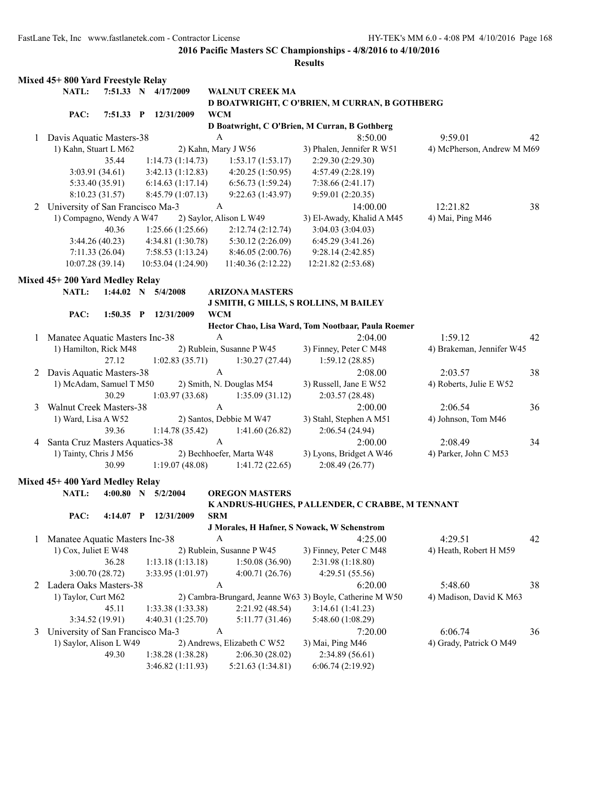|   | Mixed 45+ 800 Yard Freestyle Relay |                |   |                    |                           |                             |                                                          |                            |    |
|---|------------------------------------|----------------|---|--------------------|---------------------------|-----------------------------|----------------------------------------------------------|----------------------------|----|
|   | NATL:                              | 7:51.33 N      |   | 4/17/2009          |                           | <b>WALNUT CREEK MA</b>      |                                                          |                            |    |
|   |                                    |                |   |                    |                           |                             | D BOATWRIGHT, C O'BRIEN, M CURRAN, B GOTHBERG            |                            |    |
|   | PAC:                               | $7:51.33$ P    |   | 12/31/2009         | <b>WCM</b>                |                             |                                                          |                            |    |
|   |                                    |                |   |                    |                           |                             | D Boatwright, C O'Brien, M Curran, B Gothberg            |                            |    |
| 1 | Davis Aquatic Masters-38           |                |   |                    | A                         |                             | 8:50.00                                                  | 9:59.01                    | 42 |
|   | 1) Kahn, Stuart L M62              |                |   |                    |                           | 2) Kahn, Mary J W56         | 3) Phalen, Jennifer R W51                                | 4) McPherson, Andrew M M69 |    |
|   |                                    | 35.44          |   | 1:14.73(1:14.73)   |                           | 1:53.17(1:53.17)            | 2:29.30 (2:29.30)                                        |                            |    |
|   | 3:03.91(34.61)                     |                |   | 3:42.13(1:12.83)   |                           | 4:20.25(1:50.95)            | 4:57.49 (2:28.19)                                        |                            |    |
|   | 5:33.40 (35.91)                    |                |   | 6:14.63(1:17.14)   |                           | 6:56.73(1:59.24)            | 7:38.66(2:41.17)                                         |                            |    |
|   | 8:10.23 (31.57)                    |                |   | 8:45.79 (1:07.13)  |                           | 9:22.63 (1:43.97)           | 9:59.01(2:20.35)                                         |                            |    |
|   | 2 University of San Francisco Ma-3 |                |   |                    | $\boldsymbol{A}$          |                             | 14:00.00                                                 | 12:21.82                   | 38 |
|   | 1) Compagno, Wendy A W47           |                |   |                    |                           | 2) Saylor, Alison L W49     | 3) El-Awady, Khalid A M45                                | 4) Mai, Ping M46           |    |
|   |                                    | 40.36          |   | 1:25.66(1:25.66)   |                           | 2:12.74(2:12.74)            | 3:04.03 (3:04.03)                                        |                            |    |
|   |                                    | 3:44.26(40.23) |   | 4:34.81 (1:30.78)  |                           | 5:30.12 (2:26.09)           | 6:45.29(3:41.26)                                         |                            |    |
|   | 7:11.33(26.04)                     |                |   | 7:58.53(1:13.24)   |                           | 8:46.05(2:00.76)            | 9:28.14(2:42.85)                                         |                            |    |
|   | 10:07.28(39.14)                    |                |   | 10:53.04 (1:24.90) |                           | 11:40.36(2:12.22)           | 12:21.82 (2:53.68)                                       |                            |    |
|   |                                    |                |   |                    |                           |                             |                                                          |                            |    |
|   | Mixed 45+200 Yard Medley Relay     |                |   |                    |                           |                             |                                                          |                            |    |
|   | NATL:                              | $1:44.02$ N    |   | 5/4/2008           |                           | <b>ARIZONA MASTERS</b>      |                                                          |                            |    |
|   |                                    |                |   |                    |                           |                             | <b>J SMITH, G MILLS, S ROLLINS, M BAILEY</b>             |                            |    |
|   | PAC:                               | $1:50.35$ P    |   | 12/31/2009         | <b>WCM</b>                |                             |                                                          |                            |    |
|   |                                    |                |   |                    |                           |                             | Hector Chao, Lisa Ward, Tom Nootbaar, Paula Roemer       |                            |    |
| 1 | Manatee Aquatic Masters Inc-38     |                |   |                    | $\boldsymbol{A}$          |                             | 2:04.00                                                  | 1:59.12                    | 42 |
|   | 1) Hamilton, Rick M48              |                |   |                    |                           | 2) Rublein, Susanne P W45   | 3) Finney, Peter C M48                                   | 4) Brakeman, Jennifer W45  |    |
|   |                                    | 27.12          |   | 1:02.83(35.71)     |                           | 1:30.27(27.44)              | 1:59.12(28.85)                                           |                            |    |
| 2 | Davis Aquatic Masters-38           |                |   |                    | $\mathbf{A}$              |                             | 2:08.00                                                  | 2:03.57                    | 38 |
|   | 1) McAdam, Samuel T M50            |                |   |                    |                           | 2) Smith, N. Douglas M54    | 3) Russell, Jane E W52                                   | 4) Roberts, Julie E W52    |    |
|   |                                    | 30.29          |   | 1:03.97(33.68)     |                           | 1:35.09(31.12)              | 2:03.57(28.48)                                           |                            |    |
| 3 | <b>Walnut Creek Masters-38</b>     |                |   |                    | $\mathbf{A}$              |                             | 2:00.00                                                  | 2:06.54                    | 36 |
|   | 1) Ward, Lisa A W52                |                |   |                    |                           | 2) Santos, Debbie M W47     | 3) Stahl, Stephen A M51                                  | 4) Johnson, Tom M46        |    |
|   |                                    | 39.36          |   | 1:14.78(35.42)     |                           | 1:41.60(26.82)              | 2:06.54(24.94)                                           |                            |    |
| 4 | Santa Cruz Masters Aquatics-38     |                |   |                    | $\boldsymbol{\mathsf{A}}$ |                             | 2:00.00                                                  | 2:08.49                    | 34 |
|   | 1) Tainty, Chris J M56             |                |   |                    |                           | 2) Bechhoefer, Marta W48    | 3) Lyons, Bridget A W46                                  | 4) Parker, John C M53      |    |
|   |                                    | 30.99          |   | 1:19.07(48.08)     |                           | 1:41.72(22.65)              | 2:08.49(26.77)                                           |                            |    |
|   | Mixed 45+400 Yard Medley Relay     |                |   |                    |                           |                             |                                                          |                            |    |
|   | NATL:                              | 4:00.80        |   |                    |                           |                             |                                                          |                            |    |
|   |                                    |                | N | 5/2/2004           |                           | <b>OREGON MASTERS</b>       |                                                          |                            |    |
|   | PAC:                               | 4:14.07        | P | 12/31/2009         | <b>SRM</b>                |                             | K ANDRUS-HUGHES, PALLENDER, C CRABBE, M TENNANT          |                            |    |
|   |                                    |                |   |                    |                           |                             | J Morales, H Hafner, S Nowack, W Schenstrom              |                            |    |
|   | Manatee Aquatic Masters Inc-38     |                |   |                    | A                         |                             | 4:25.00                                                  | 4:29.51                    |    |
| 1 | 1) Cox, Juliet E W48               |                |   |                    |                           | 2) Rublein, Susanne P W45   | 3) Finney, Peter C M48                                   |                            | 42 |
|   |                                    |                |   |                    |                           |                             |                                                          | 4) Heath, Robert H M59     |    |
|   |                                    | 36.28          |   | 1:13.18(1:13.18)   |                           | 1:50.08(36.90)              | 2:31.98 (1:18.80)                                        |                            |    |
|   | 3:00.70(28.72)                     |                |   | 3:33.95 (1:01.97)  |                           | 4:00.71(26.76)              | 4:29.51(55.56)                                           |                            |    |
| 2 | Ladera Oaks Masters-38             |                |   |                    | $\boldsymbol{A}$          |                             | 6:20.00                                                  | 5:48.60                    | 38 |
|   | 1) Taylor, Curt M62                |                |   |                    |                           |                             | 2) Cambra-Brungard, Jeanne W63 3) Boyle, Catherine M W50 | 4) Madison, David K M63    |    |
|   |                                    | 45.11          |   | 1:33.38 (1:33.38)  |                           | 2:21.92(48.54)              | 3:14.61 (1:41.23)                                        |                            |    |
|   | 3:34.52 (19.91)                    |                |   | 4:40.31 (1:25.70)  |                           | 5:11.77 (31.46)             | 5:48.60 (1:08.29)                                        |                            |    |
| 3 | University of San Francisco Ma-3   |                |   |                    | $\boldsymbol{A}$          |                             | 7:20.00                                                  | 6:06.74                    | 36 |
|   | 1) Saylor, Alison L W49            |                |   |                    |                           | 2) Andrews, Elizabeth C W52 | 3) Mai, Ping M46                                         | 4) Grady, Patrick O M49    |    |
|   |                                    | 49.30          |   | 1:38.28(1:38.28)   |                           | 2:06.30(28.02)              | 2:34.89 (56.61)                                          |                            |    |
|   |                                    |                |   | 3:46.82 (1:11.93)  |                           | 5:21.63 (1:34.81)           | 6:06.74(2:19.92)                                         |                            |    |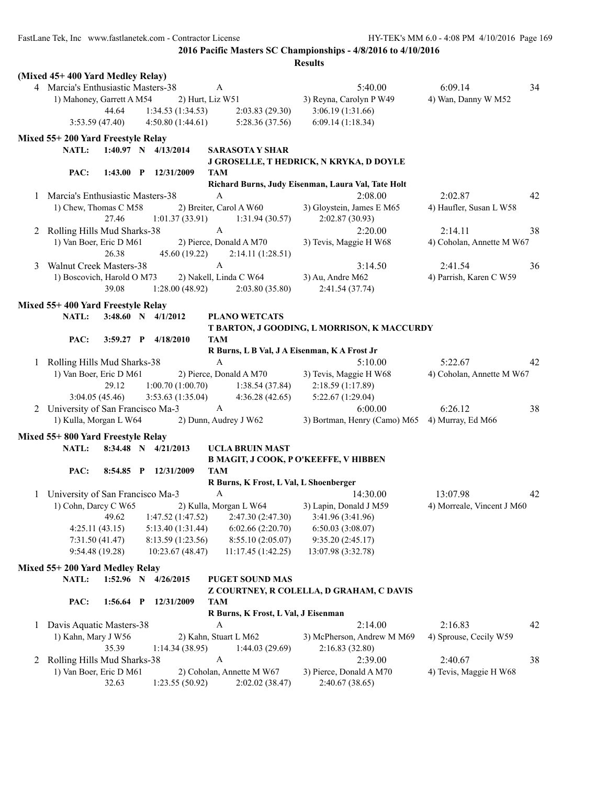FastLane Tek, Inc www.fastlanetek.com - Contractor License HY-TEK's MM 6.0 - 4:08 PM 4/10/2016 Page 169

**2016 Pacific Masters SC Championships - 4/8/2016 to 4/10/2016**

|              | (Mixed 45+400 Yard Medley Relay)                                                                 |                                                    |                            |
|--------------|--------------------------------------------------------------------------------------------------|----------------------------------------------------|----------------------------|
|              | 4 Marcia's Enthusiastic Masters-38<br>A                                                          | 5:40.00                                            | 6:09.14<br>34              |
|              | 1) Mahoney, Garrett A M54<br>2) Hurt, Liz W51                                                    | 3) Reyna, Carolyn P W49                            | 4) Wan, Danny W M52        |
|              | 1:34.53(1:34.53)<br>44.64<br>2:03.83(29.30)                                                      | 3:06.19 (1:31.66)                                  |                            |
|              | 4:50.80(1:44.61)<br>3:53.59(47.40)<br>5:28.36 (37.56)                                            | 6:09.14(1:18.34)                                   |                            |
|              | Mixed 55+200 Yard Freestyle Relay                                                                |                                                    |                            |
|              | 1:40.97 N 4/13/2014<br>NATL:<br><b>SARASOTA Y SHAR</b>                                           |                                                    |                            |
|              |                                                                                                  | J GROSELLE, T HEDRICK, N KRYKA, D DOYLE            |                            |
|              | PAC:<br>1:43.00 P 12/31/2009<br>TAM                                                              |                                                    |                            |
|              |                                                                                                  | Richard Burns, Judy Eisenman, Laura Val, Tate Holt |                            |
|              | Marcia's Enthusiastic Masters-38<br>A                                                            | 2:08.00                                            | 2:02.87<br>42              |
|              | 2) Breiter, Carol A W60<br>1) Chew, Thomas C M58                                                 | 3) Gloystein, James E M65                          | 4) Haufler, Susan L W58    |
|              | 27.46<br>1:01.37(33.91)<br>1:31.94(30.57)                                                        | 2:02.87(30.93)                                     |                            |
|              | 2 Rolling Hills Mud Sharks-38<br>A                                                               | 2:20.00                                            | 2:14.11<br>38              |
|              | 1) Van Boer, Eric D M61<br>2) Pierce, Donald A M70                                               | 3) Tevis, Maggie H W68                             | 4) Coholan, Annette M W67  |
|              | 26.38<br>45.60 (19.22)<br>2:14.11(1:28.51)                                                       |                                                    |                            |
| 3            | $\mathbf{A}$<br><b>Walnut Creek Masters-38</b>                                                   | 3:14.50                                            | 2:41.54<br>36              |
|              | 1) Boscovich, Harold O M73<br>2) Nakell, Linda C W64                                             | 3) Au, Andre M62                                   | 4) Parrish, Karen C W59    |
|              | 39.08<br>1:28.00(48.92)<br>2:03.80(35.80)                                                        | 2:41.54(37.74)                                     |                            |
|              | Mixed 55+400 Yard Freestyle Relay                                                                |                                                    |                            |
|              | <b>NATL:</b><br>$3:48.60$ N $4/1/2012$<br><b>PLANO WETCATS</b>                                   |                                                    |                            |
|              |                                                                                                  | T BARTON, J GOODING, L MORRISON, K MACCURDY        |                            |
|              | PAC:<br>$3:59.27$ P<br>4/18/2010<br>TAM                                                          |                                                    |                            |
|              |                                                                                                  | R Burns, L B Val, J A Eisenman, K A Frost Jr       |                            |
|              | 1 Rolling Hills Mud Sharks-38<br>A                                                               | 5:10.00                                            | 5:22.67<br>42              |
|              | 1) Van Boer, Eric D M61<br>2) Pierce, Donald A M70                                               | 3) Tevis, Maggie H W68                             | 4) Coholan, Annette M W67  |
|              | 1:00.70(1:00.70)<br>29.12<br>1:38.54(37.84)                                                      | 2:18.59 (1:17.89)                                  |                            |
|              | 3:04.05(45.46)<br>3:53.63(1:35.04)<br>4:36.28(42.65)                                             | 5:22.67 (1:29.04)                                  |                            |
|              | 2 University of San Francisco Ma-3<br>A                                                          | 6:00.00                                            | 6:26.12<br>38              |
|              | 1) Kulla, Morgan L W64<br>2) Dunn, Audrey J W62                                                  | 3) Bortman, Henry (Camo) M65 4) Murray, Ed M66     |                            |
|              |                                                                                                  |                                                    |                            |
|              | Mixed 55+800 Yard Freestyle Relay                                                                |                                                    |                            |
|              | NATL:<br>8:34.48 N 4/21/2013<br><b>UCLA BRUIN MAST</b>                                           |                                                    |                            |
|              |                                                                                                  | B MAGIT, J COOK, P O'KEEFFE, V HIBBEN              |                            |
|              | PAC:<br>$8:54.85$ P<br>12/31/2009<br>TAM                                                         | R Burns, K Frost, L Val, L Shoenberger             |                            |
|              | University of San Francisco Ma-3<br>A                                                            | 14:30.00                                           | 13:07.98<br>42             |
| 1            | 1) Cohn, Darcy C W65<br>2) Kulla, Morgan L W64                                                   | 3) Lapin, Donald J M59                             | 4) Morreale, Vincent J M60 |
|              | 49.62                                                                                            |                                                    |                            |
|              | 1:47.52(1:47.52)<br>2:47.30 (2:47.30)<br>5:13.40 (1:31.44)<br>6:02.66(2:20.70)<br>4:25.11(43.15) | 3:41.96 (3:41.96)<br>6:50.03(3:08.07)              |                            |
|              | 7:31.50(41.47)<br>8:13.59 (1:23.56)<br>8:55.10 (2:05.07)                                         | 9:35.20(2:45.17)                                   |                            |
|              | 9:54.48 (19.28)<br>10:23.67 (48.47)<br>11:17.45 (1:42.25)                                        | 13:07.98 (3:32.78)                                 |                            |
|              |                                                                                                  |                                                    |                            |
|              | Mixed 55+200 Yard Medley Relay                                                                   |                                                    |                            |
|              | NATL:<br>1:52.96 N<br><b>PUGET SOUND MAS</b><br>4/26/2015                                        |                                                    |                            |
|              |                                                                                                  | Z COURTNEY, R COLELLA, D GRAHAM, C DAVIS           |                            |
|              | PAC:<br>12/31/2009<br><b>TAM</b><br>1:56.64<br>$\mathbf{P}$                                      |                                                    |                            |
|              |                                                                                                  | R Burns, K Frost, L Val, J Eisenman                |                            |
| 1            | Davis Aquatic Masters-38<br>$\boldsymbol{A}$                                                     | 2:14.00                                            | 2:16.83<br>42              |
|              | 1) Kahn, Mary J W56<br>2) Kahn, Stuart L M62                                                     | 3) McPherson, Andrew M M69                         | 4) Sprouse, Cecily W59     |
|              | 35.39<br>1:14.34(38.95)<br>1:44.03(29.69)                                                        | 2:16.83 (32.80)                                    |                            |
| $\mathbf{Z}$ | Rolling Hills Mud Sharks-38<br>$\boldsymbol{A}$                                                  | 2:39.00                                            | 2:40.67<br>38              |
|              | 1) Van Boer, Eric D M61<br>2) Coholan, Annette M W67                                             | 3) Pierce, Donald A M70                            | 4) Tevis, Maggie H W68     |
|              | 32.63<br>1:23.55(50.92)<br>2:02.02(38.47)                                                        | 2:40.67 (38.65)                                    |                            |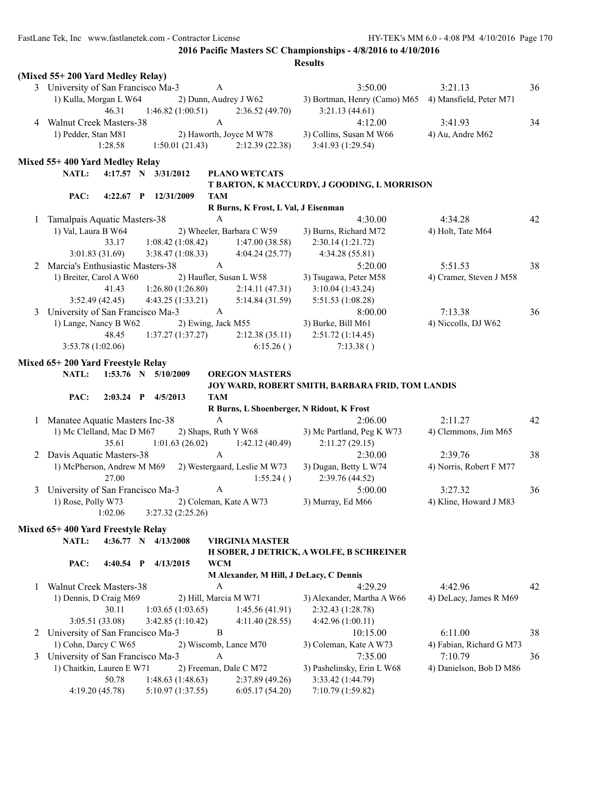|   | (Mixed 55+200 Yard Medley Relay)   |                                       |                                                         |                                                      |                          |    |
|---|------------------------------------|---------------------------------------|---------------------------------------------------------|------------------------------------------------------|--------------------------|----|
|   | 3 University of San Francisco Ma-3 |                                       | $\mathbf{A}$                                            | 3:50.00                                              | 3:21.13                  | 36 |
|   | 1) Kulla, Morgan L W64             |                                       | 2) Dunn, Audrey J W62                                   | 3) Bortman, Henry (Camo) M65 4) Mansfield, Peter M71 |                          |    |
|   | 46.31                              | 1:46.82(1:00.51)                      | 2:36.52(49.70)                                          | 3:21.13(44.61)                                       |                          |    |
|   | 4 Walnut Creek Masters-38          |                                       | $\mathbf{A}$                                            | 4:12.00                                              | 3:41.93                  | 34 |
|   | 1) Pedder, Stan M81                |                                       | 2) Haworth, Joyce M W78                                 | 3) Collins, Susan M W66                              | 4) Au, Andre M62         |    |
|   | 1:28.58                            | 1:50.01(21.43)                        | 2:12.39(22.38)                                          | 3:41.93 (1:29.54)                                    |                          |    |
|   | Mixed 55+400 Yard Medley Relay     |                                       |                                                         |                                                      |                          |    |
|   | NATL:                              | 4:17.57 N 3/31/2012                   | <b>PLANO WETCATS</b>                                    |                                                      |                          |    |
|   |                                    |                                       |                                                         | T BARTON, K MACCURDY, J GOODING, L MORRISON          |                          |    |
|   | PAC:                               | 4:22.67 P 12/31/2009                  | <b>TAM</b>                                              |                                                      |                          |    |
|   |                                    |                                       | R Burns, K Frost, L Val, J Eisenman                     |                                                      |                          |    |
| 1 | Tamalpais Aquatic Masters-38       |                                       | $\mathbf{A}$                                            | 4:30.00                                              | 4:34.28                  | 42 |
|   | 1) Val, Laura B W64                |                                       | 2) Wheeler, Barbara C W59                               | 3) Burns, Richard M72                                | 4) Holt, Tate M64        |    |
|   | 33.17                              | 1:08.42(1:08.42)                      | 1:47.00(38.58)                                          | 2:30.14(1:21.72)                                     |                          |    |
|   | 3:01.83(31.69)                     | 3:38.47(1:08.33)                      | 4:04.24(25.77)                                          | 4:34.28(55.81)                                       |                          |    |
| 2 | Marcia's Enthusiastic Masters-38   |                                       | $\mathbf{A}$                                            | 5:20.00                                              | 5:51.53                  | 38 |
|   | 1) Breiter, Carol A W60            |                                       | 2) Haufler, Susan L W58                                 | 3) Tsugawa, Peter M58                                | 4) Cramer, Steven J M58  |    |
|   | 41.43                              | 1:26.80(1:26.80)                      | 2:14.11(47.31)                                          | 3:10.04(1:43.24)                                     |                          |    |
|   | 3:52.49(42.45)                     | 4:43.25(1:33.21)                      | 5:14.84(31.59)                                          | 5:51.53 (1:08.28)                                    |                          |    |
| 3 | University of San Francisco Ma-3   |                                       | A                                                       | 8:00.00                                              | 7:13.38                  | 36 |
|   | 1) Lange, Nancy B W62              |                                       | 2) Ewing, Jack M55                                      | 3) Burke, Bill M61                                   | 4) Niccolls, DJ W62      |    |
|   | 48.45                              | 1:37.27(1:37.27)                      | 2:12.38(35.11)                                          | 2:51.72(1:14.45)                                     |                          |    |
|   | 3:53.78(1:02.06)                   |                                       | 6:15.26()                                               | 7:13.38()                                            |                          |    |
|   | Mixed 65+200 Yard Freestyle Relay  |                                       |                                                         |                                                      |                          |    |
|   | NATL:                              | $1:53.76$ N $5/10/2009$               | <b>OREGON MASTERS</b>                                   |                                                      |                          |    |
|   |                                    |                                       |                                                         |                                                      |                          |    |
|   |                                    |                                       |                                                         | JOY WARD, ROBERT SMITH, BARBARA FRID, TOM LANDIS     |                          |    |
|   | PAC:                               | 2:03.24 P 4/5/2013                    | <b>TAM</b>                                              |                                                      |                          |    |
|   |                                    |                                       | R Burns, L Shoenberger, N Ridout, K Frost               |                                                      |                          |    |
|   | 1 Manatee Aquatic Masters Inc-38   |                                       | $\mathbf{A}$                                            | 2:06.00                                              | 2:11.27                  | 42 |
|   | 1) Mc Clelland, Mac D M67          |                                       | 2) Shaps, Ruth Y W68                                    | 3) Mc Partland, Peg K W73                            | 4) Clemmons, Jim M65     |    |
|   | 35.61                              | 1:01.63(26.02)                        | 1:42.12(40.49)                                          | 2:11.27(29.15)                                       |                          |    |
| 2 | Davis Aquatic Masters-38           |                                       | A                                                       | 2:30.00                                              | 2:39.76                  | 38 |
|   |                                    |                                       | 1) McPherson, Andrew M M69 2) Westergaard, Leslie M W73 | 3) Dugan, Betty L W74                                | 4) Norris, Robert F M77  |    |
|   | 27.00                              |                                       | 1:55.24()                                               | 2:39.76 (44.52)                                      |                          |    |
| 3 | University of San Francisco Ma-3   |                                       | A                                                       | 5:00.00                                              | 3:27.32                  | 36 |
|   | 1) Rose, Polly W73                 |                                       | 2) Coleman, Kate A W73                                  | 3) Murray, Ed M66                                    | 4) Kline, Howard J M83   |    |
|   | 1:02.06                            | 3:27.32 (2:25.26)                     |                                                         |                                                      |                          |    |
|   | Mixed 65+400 Yard Freestyle Relay  |                                       |                                                         |                                                      |                          |    |
|   | NATL:                              | 4:36.77 N 4/13/2008                   | <b>VIRGINIA MASTER</b>                                  |                                                      |                          |    |
|   |                                    |                                       |                                                         | H SOBER, J DETRICK, A WOLFE, B SCHREINER             |                          |    |
|   | PAC:<br>$4:40.54$ P                | 4/13/2015                             | <b>WCM</b>                                              |                                                      |                          |    |
|   |                                    |                                       | M Alexander, M Hill, J DeLacy, C Dennis                 |                                                      |                          |    |
| 1 | Walnut Creek Masters-38            |                                       | А                                                       | 4:29.29                                              | 4:42.96                  | 42 |
|   | 1) Dennis, D Craig M69             |                                       | 2) Hill, Marcia M W71                                   | 3) Alexander, Martha A W66                           | 4) DeLacy, James R M69   |    |
|   | 30.11                              | 1:03.65(1:03.65)                      | 1:45.56(41.91)                                          | 2:32.43 (1:28.78)                                    |                          |    |
|   | 3:05.51(33.08)                     | 3:42.85 (1:10.42)                     | 4:11.40(28.55)                                          | 4:42.96 (1:00.11)                                    |                          |    |
| 2 | University of San Francisco Ma-3   |                                       | B                                                       | 10:15.00                                             | 6:11.00                  | 38 |
|   | 1) Cohn, Darcy C W65               |                                       | 2) Wiscomb, Lance M70                                   | 3) Coleman, Kate A W73                               | 4) Fabian, Richard G M73 |    |
| 3 | University of San Francisco Ma-3   |                                       | A                                                       | 7:35.00                                              | 7:10.79                  | 36 |
|   | 1) Chaitkin, Lauren E W71          |                                       | 2) Freeman, Dale C M72                                  | 3) Pashelinsky, Erin L W68                           | 4) Danielson, Bob D M86  |    |
|   | 50.78<br>4:19.20 (45.78)           | 1:48.63(1:48.63)<br>5:10.97 (1:37.55) | 2:37.89(49.26)<br>6:05.17(54.20)                        | 3:33.42 (1:44.79)<br>7:10.79 (1:59.82)               |                          |    |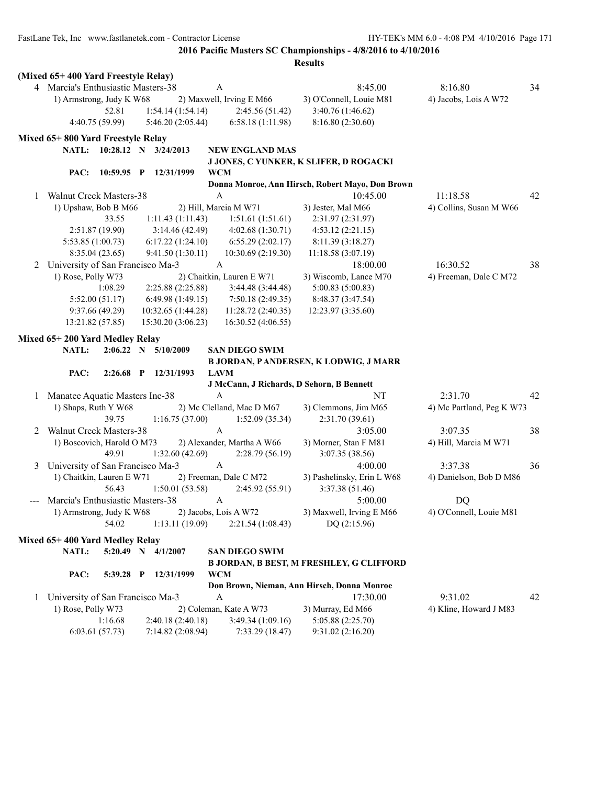|              | (Mixed 65+400 Yard Freestyle Relay) |                  |                            |              |                            |                                                  |                           |    |
|--------------|-------------------------------------|------------------|----------------------------|--------------|----------------------------|--------------------------------------------------|---------------------------|----|
|              | 4 Marcia's Enthusiastic Masters-38  |                  |                            | A            |                            | 8:45.00                                          | 8:16.80                   | 34 |
|              | 1) Armstrong, Judy K W68            |                  |                            |              | 2) Maxwell, Irving E M66   | 3) O'Connell, Louie M81                          | 4) Jacobs, Lois A W72     |    |
|              |                                     | 52.81            | 1:54.14(1:54.14)           |              | 2:45.56 (51.42)            | 3:40.76 (1:46.62)                                |                           |    |
|              |                                     | 4:40.75 (59.99)  | 5:46.20(2:05.44)           |              | 6:58.18(1:11.98)           | 8:16.80 (2:30.60)                                |                           |    |
|              | Mixed 65+800 Yard Freestyle Relay   |                  |                            |              |                            |                                                  |                           |    |
|              |                                     |                  | NATL: 10:28.12 N 3/24/2013 |              | <b>NEW ENGLAND MAS</b>     |                                                  |                           |    |
|              |                                     |                  |                            |              |                            | J JONES, C YUNKER, K SLIFER, D ROGACKI           |                           |    |
|              | PAC:                                | $10:59.95$ P     | 12/31/1999                 | <b>WCM</b>   |                            |                                                  |                           |    |
|              |                                     |                  |                            |              |                            | Donna Monroe, Ann Hirsch, Robert Mayo, Don Brown |                           |    |
| $\mathbf{1}$ | <b>Walnut Creek Masters-38</b>      |                  |                            | $\mathbf{A}$ |                            | 10:45.00                                         | 11:18.58                  | 42 |
|              | 1) Upshaw, Bob B M66                |                  |                            |              | 2) Hill, Marcia M W71      | 3) Jester, Mal M66                               | 4) Collins, Susan M W66   |    |
|              |                                     | 33.55            | 1:11.43(1:11.43)           |              | 1:51.61(1:51.61)           | 2:31.97 (2:31.97)                                |                           |    |
|              |                                     | 2:51.87 (19.90)  | 3:14.46(42.49)             |              | 4:02.68(1:30.71)           | 4:53.12(2:21.15)                                 |                           |    |
|              | 5:53.85(1:00.73)                    |                  | 6:17.22(1:24.10)           |              | 6:55.29(2:02.17)           | 8:11.39(3:18.27)                                 |                           |    |
|              |                                     | 8:35.04(23.65)   | 9:41.50 (1:30.11)          |              | 10:30.69 (2:19.30)         | 11:18.58(3:07.19)                                |                           |    |
| 2            | University of San Francisco Ma-3    |                  |                            | $\mathbf{A}$ |                            | 18:00.00                                         | 16:30.52                  | 38 |
|              | 1) Rose, Polly W73                  |                  |                            |              | 2) Chaitkin, Lauren E W71  | 3) Wiscomb, Lance M70                            | 4) Freeman, Dale C M72    |    |
|              |                                     | 1:08.29          | 2:25.88 (2:25.88)          |              | 3:44.48 (3:44.48)          | 5:00.83(5:00.83)                                 |                           |    |
|              |                                     | 5:52.00(51.17)   | 6:49.98(1:49.15)           |              | 7:50.18(2:49.35)           | 8:48.37 (3:47.54)                                |                           |    |
|              |                                     | 9:37.66 (49.29)  | 10:32.65 (1:44.28)         |              | 11:28.72(2:40.35)          | 12:23.97 (3:35.60)                               |                           |    |
|              |                                     | 13:21.82 (57.85) | 15:30.20(3:06.23)          |              | 16:30.52 (4:06.55)         |                                                  |                           |    |
|              |                                     |                  |                            |              |                            |                                                  |                           |    |
|              | Mixed 65+200 Yard Medley Relay      |                  |                            |              |                            |                                                  |                           |    |
|              | <b>NATL:</b>                        |                  | 2:06.22 N 5/10/2009        |              | <b>SAN DIEGO SWIM</b>      |                                                  |                           |    |
|              |                                     |                  |                            |              |                            | <b>B JORDAN, PANDERSEN, K LODWIG, J MARR</b>     |                           |    |
|              | PAC:                                |                  | 2:26.68 P 12/31/1993       |              | <b>LAVM</b>                |                                                  |                           |    |
|              |                                     |                  |                            |              |                            | J McCann, J Richards, D Sehorn, B Bennett        |                           |    |
| 1            | Manatee Aquatic Masters Inc-38      |                  |                            | $\mathbf{A}$ |                            | NT                                               | 2:31.70                   | 42 |
|              | 1) Shaps, Ruth Y W68                |                  |                            |              | 2) Mc Clelland, Mac D M67  | 3) Clemmons, Jim M65                             | 4) Mc Partland, Peg K W73 |    |
|              |                                     | 39.75            | 1:16.75(37.00)             |              | 1:52.09(35.34)             | 2:31.70(39.61)                                   |                           |    |
| 2            | Walnut Creek Masters-38             |                  |                            | $\mathbf{A}$ |                            | 3:05.00                                          | 3:07.35                   | 38 |
|              | 1) Boscovich, Harold O M73          |                  |                            |              | 2) Alexander, Martha A W66 | 3) Morner, Stan F M81                            | 4) Hill, Marcia M W71     |    |
|              |                                     | 49.91            | 1:32.60(42.69)             |              | 2:28.79(56.19)             | 3:07.35(38.56)                                   |                           |    |
| 3            | University of San Francisco Ma-3    |                  |                            | $\mathbf{A}$ |                            | 4:00.00                                          | 3:37.38                   | 36 |
|              | 1) Chaitkin, Lauren E W71           |                  |                            |              | 2) Freeman, Dale C M72     | 3) Pashelinsky, Erin L W68                       | 4) Danielson, Bob D M86   |    |
|              |                                     | 56.43            | 1:50.01(53.58)             |              | 2:45.92(55.91)             | 3:37.38 (51.46)                                  |                           |    |
| $---$        | Marcia's Enthusiastic Masters-38    |                  |                            | $\mathbf{A}$ |                            | 5:00.00                                          | DQ                        |    |
|              | 1) Armstrong, Judy K W68            |                  |                            |              | 2) Jacobs, Lois A W72      | 3) Maxwell, Irving E M66                         | 4) O'Connell, Louie M81   |    |
|              |                                     | 54.02            | 1:13.11(19.09)             |              | 2:21.54(1:08.43)           | DQ $(2:15.96)$                                   |                           |    |
|              | Mixed 65+400 Yard Medley Relay      |                  |                            |              |                            |                                                  |                           |    |
|              | NATL:                               | $5:20.49$ N      | 4/1/2007                   |              | <b>SAN DIEGO SWIM</b>      |                                                  |                           |    |
|              |                                     |                  |                            |              |                            | <b>B JORDAN, B BEST, M FRESHLEY, G CLIFFORD</b>  |                           |    |
|              | PAC:                                | 5:39.28 P        | 12/31/1999                 | <b>WCM</b>   |                            |                                                  |                           |    |
|              |                                     |                  |                            |              |                            | Don Brown, Nieman, Ann Hirsch, Donna Monroe      |                           |    |
| 1            | University of San Francisco Ma-3    |                  |                            | A            |                            | 17:30.00                                         | 9:31.02                   | 42 |
|              | 1) Rose, Polly W73                  |                  |                            |              | 2) Coleman, Kate A W73     | 3) Murray, Ed M66                                | 4) Kline, Howard J M83    |    |
|              |                                     | 1:16.68          | 2:40.18(2:40.18)           |              | 3:49.34(1:09.16)           | 5:05.88 (2:25.70)                                |                           |    |
|              |                                     | 6:03.61(57.73)   | 7:14.82 (2:08.94)          |              | 7:33.29(18.47)             | 9:31.02(2:16.20)                                 |                           |    |
|              |                                     |                  |                            |              |                            |                                                  |                           |    |
|              |                                     |                  |                            |              |                            |                                                  |                           |    |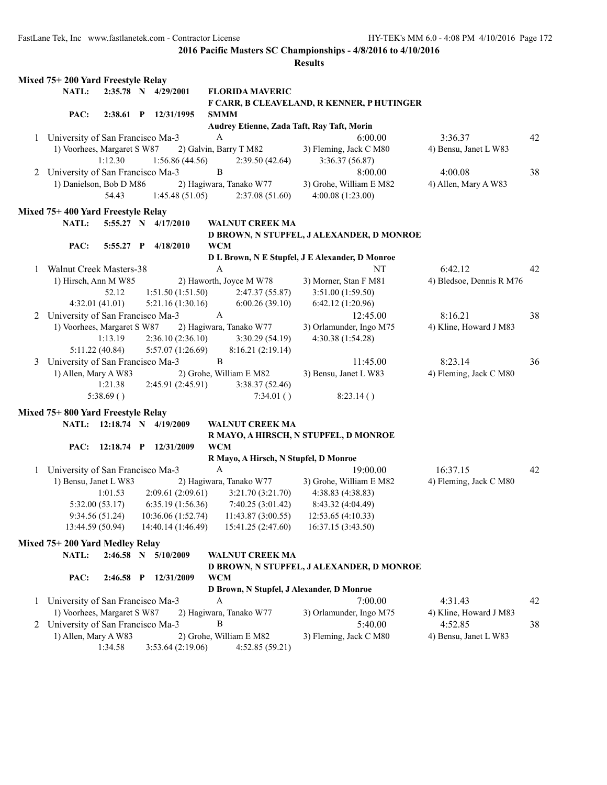|              | Mixed 75+200 Yard Freestyle Relay  |                  |                            |                        |                                       |                                                 |                          |    |
|--------------|------------------------------------|------------------|----------------------------|------------------------|---------------------------------------|-------------------------------------------------|--------------------------|----|
|              | NATL:                              |                  | 2:35.78 N 4/29/2001        |                        | <b>FLORIDA MAVERIC</b>                |                                                 |                          |    |
|              |                                    |                  |                            |                        |                                       | F CARR, B CLEAVELAND, R KENNER, P HUTINGER      |                          |    |
|              | PAC:                               |                  | 2:38.61 P 12/31/1995       | <b>SMMM</b>            |                                       |                                                 |                          |    |
|              |                                    |                  |                            |                        |                                       | Audrey Etienne, Zada Taft, Ray Taft, Morin      |                          |    |
| 1            | University of San Francisco Ma-3   |                  |                            | $\mathbf{A}$           |                                       | 6:00.00                                         | 3:36.37                  | 42 |
|              | 1) Voorhees, Margaret S W87        |                  |                            | 2) Galvin, Barry T M82 |                                       | 3) Fleming, Jack C M80                          | 4) Bensu, Janet L W83    |    |
|              |                                    | 1:12.30          | 1:56.86(44.56)             |                        | 2:39.50(42.64)                        | 3:36.37(56.87)                                  |                          |    |
|              | 2 University of San Francisco Ma-3 |                  |                            | B                      |                                       | 8:00.00                                         | 4:00.08                  | 38 |
|              | 1) Danielson, Bob D M86            |                  |                            |                        | 2) Hagiwara, Tanako W77               | 3) Grohe, William E M82                         | 4) Allen, Mary A W83     |    |
|              |                                    | 54.43            | 1:45.48(51.05)             |                        | 2:37.08(51.60)                        | 4:00.08 (1:23.00)                               |                          |    |
|              |                                    |                  |                            |                        |                                       |                                                 |                          |    |
|              | Mixed 75+400 Yard Freestyle Relay  |                  |                            |                        |                                       |                                                 |                          |    |
|              | NATL:                              |                  | 5:55.27 N 4/17/2010        |                        | <b>WALNUT CREEK MA</b>                |                                                 |                          |    |
|              |                                    |                  |                            |                        |                                       | D BROWN, N STUPFEL, J ALEXANDER, D MONROE       |                          |    |
|              | PAC:                               | $5:55.27$ P      | 4/18/2010                  | <b>WCM</b>             |                                       |                                                 |                          |    |
|              |                                    |                  |                            |                        |                                       | D L Brown, N E Stupfel, J E Alexander, D Monroe |                          |    |
| 1            | Walnut Creek Masters-38            |                  |                            | $\mathbf{A}$           |                                       | NT                                              | 6:42.12                  | 42 |
|              | 1) Hirsch, Ann M W85               |                  |                            |                        | 2) Haworth, Joyce M W78               | 3) Morner, Stan F M81                           | 4) Bledsoe, Dennis R M76 |    |
|              |                                    | 52.12            | 1:51.50(1:51.50)           |                        | 2:47.37(55.87)                        | 3:51.00 (1:59.50)                               |                          |    |
|              |                                    | 4:32.01(41.01)   | 5:21.16 (1:30.16)          |                        | 6:00.26(39.10)                        | 6:42.12 (1:20.96)                               |                          |    |
|              | University of San Francisco Ma-3   |                  |                            | $\mathbf{A}$           |                                       | 12:45.00                                        | 8:16.21                  | 38 |
| 2            |                                    |                  |                            |                        |                                       |                                                 |                          |    |
|              | 1) Voorhees, Margaret S W87        |                  |                            |                        | 2) Hagiwara, Tanako W77               | 3) Orlamunder, Ingo M75                         | 4) Kline, Howard J M83   |    |
|              |                                    | 1:13.19          | 2:36.10(2:36.10)           |                        | 3:30.29(54.19)                        | 4:30.38 (1:54.28)                               |                          |    |
|              |                                    | 5:11.22 (40.84)  | 5:57.07 (1:26.69)          |                        | 8:16.21(2:19.14)                      |                                                 |                          |    |
| 3            | University of San Francisco Ma-3   |                  |                            | $\, {\bf B}$           |                                       | 11:45.00                                        | 8:23.14                  | 36 |
|              | 1) Allen, Mary A W83               |                  |                            |                        | 2) Grohe, William E M82               | 3) Bensu, Janet L W83                           | 4) Fleming, Jack C M80   |    |
|              |                                    | 1:21.38          | 2:45.91(2:45.91)           |                        | 3:38.37(52.46)                        |                                                 |                          |    |
|              |                                    | 5:38.69()        |                            |                        | 7:34.01()                             | 8:23.14()                                       |                          |    |
|              | Mixed 75+800 Yard Freestyle Relay  |                  |                            |                        |                                       |                                                 |                          |    |
|              |                                    |                  | NATL: 12:18.74 N 4/19/2009 |                        | <b>WALNUT CREEK MA</b>                |                                                 |                          |    |
|              |                                    |                  |                            |                        |                                       |                                                 |                          |    |
|              |                                    |                  |                            |                        |                                       | R MAYO, A HIRSCH, N STUPFEL, D MONROE           |                          |    |
|              | PAC:                               |                  | 12:18.74 P 12/31/2009      | <b>WCM</b>             |                                       |                                                 |                          |    |
|              |                                    |                  |                            |                        | R Mayo, A Hirsch, N Stupfel, D Monroe |                                                 |                          |    |
| $\mathbf{1}$ | University of San Francisco Ma-3   |                  |                            | $\boldsymbol{A}$       |                                       | 19:00.00                                        | 16:37.15                 | 42 |
|              | 1) Bensu, Janet L W83              |                  |                            |                        | 2) Hagiwara, Tanako W77               | 3) Grohe, William E M82                         | 4) Fleming, Jack C M80   |    |
|              |                                    | 1:01.53          | 2:09.61(2:09.61)           |                        | 3:21.70 (3:21.70)                     | 4:38.83 (4:38.83)                               |                          |    |
|              |                                    | 5:32.00 (53.17)  | 6:35.19(1:56.36)           |                        | 7:40.25 (3:01.42)                     | 8:43.32 (4:04.49)                               |                          |    |
|              |                                    | 9:34.56(51.24)   | 10:36.06 (1:52.74)         |                        | 11:43.87 (3:00.55)                    | 12:53.65 (4:10.33)                              |                          |    |
|              |                                    | 13:44.59 (50.94) | 14:40.14 (1:46.49)         |                        | 15:41.25 (2:47.60)                    | 16:37.15 (3:43.50)                              |                          |    |
|              | Mixed 75+200 Yard Medley Relay     |                  |                            |                        |                                       |                                                 |                          |    |
|              | NATL:                              |                  | 2:46.58 N 5/10/2009        |                        | <b>WALNUT CREEK MA</b>                |                                                 |                          |    |
|              |                                    |                  |                            |                        |                                       | D BROWN, N STUPFEL, J ALEXANDER, D MONROE       |                          |    |
|              |                                    |                  |                            |                        |                                       |                                                 |                          |    |
|              | PAC:                               | $2:46.58$ P      | 12/31/2009                 | <b>WCM</b>             |                                       |                                                 |                          |    |
|              |                                    |                  |                            |                        |                                       | D Brown, N Stupfel, J Alexander, D Monroe       |                          |    |
| $\mathbf{1}$ | University of San Francisco Ma-3   |                  |                            | A                      |                                       | 7:00.00                                         | 4:31.43                  | 42 |
|              | 1) Voorhees, Margaret S W87        |                  |                            |                        | 2) Hagiwara, Tanako W77               | 3) Orlamunder, Ingo M75                         | 4) Kline, Howard J M83   |    |
| 2            | University of San Francisco Ma-3   |                  |                            | B                      |                                       | 5:40.00                                         | 4:52.85                  | 38 |
|              | 1) Allen, Mary A W83               |                  |                            |                        | 2) Grohe, William E M82               | 3) Fleming, Jack C M80                          | 4) Bensu, Janet L W83    |    |
|              |                                    | 1:34.58          | 3:53.64 (2:19.06)          |                        | 4:52.85(59.21)                        |                                                 |                          |    |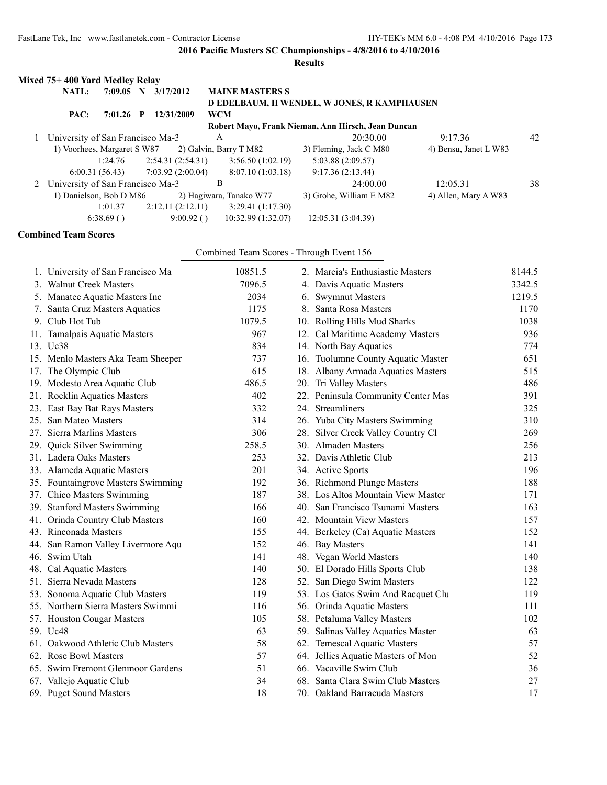# **Results**

| Mixed 75+400 Yard Medley Relay     |                |    |                   |                         |                                                    |                       |    |
|------------------------------------|----------------|----|-------------------|-------------------------|----------------------------------------------------|-----------------------|----|
| <b>NATL:</b>                       | 7:09.05        | -N | 3/17/2012         | <b>MAINE MASTERS S</b>  |                                                    |                       |    |
|                                    |                |    |                   |                         | D EDELBAUM, H WENDEL, W JONES, R KAMPHAUSEN        |                       |    |
| PAC:                               | $7:01.26$ P    |    | 12/31/2009        | <b>WCM</b>              |                                                    |                       |    |
|                                    |                |    |                   |                         | Robert Mayo, Frank Nieman, Ann Hirsch, Jean Duncan |                       |    |
| University of San Francisco Ma-3   |                |    |                   | A                       | 20:30.00                                           | 9:17.36               | 42 |
| 1) Voorhees, Margaret S W87        |                |    |                   | 2) Galvin, Barry T M82  | 3) Fleming, Jack C M80                             | 4) Bensu, Janet L W83 |    |
|                                    | 1:24.76        |    | 2:54.31(2:54.31)  | 3:56.50(1:02.19)        | 5:03.88(2:09.57)                                   |                       |    |
|                                    | 6:00.31(56.43) |    | 7:03.92 (2:00.04) | 8:07.10(1:03.18)        | 9:17.36(2:13.44)                                   |                       |    |
| 2 University of San Francisco Ma-3 |                |    |                   | B                       | 24:00.00                                           | 12:05.31              | 38 |
| 1) Danielson, Bob D M86            |                |    |                   | 2) Hagiwara, Tanako W77 | 3) Grohe, William E M82                            | 4) Allen, Mary A W83  |    |
|                                    | 1:01.37        |    | 2:12.11(2:12.11)  | 3:29.41(1:17.30)        |                                                    |                       |    |
|                                    | 6:38.69()      |    | 9:00.92()         | 10:32.99(1:32.07)       | 12:05.31 (3:04.39)                                 |                       |    |

# **Combined Team Scores**

Combined Team Scores - Through Event 156

| 1. University of San Francisco Ma  | 10851.5 | 2. Marcia's Enthusiastic Masters   | 8144.5 |
|------------------------------------|---------|------------------------------------|--------|
| 3. Walnut Creek Masters            | 7096.5  | 4. Davis Aquatic Masters           | 3342.5 |
| 5. Manatee Aquatic Masters Inc     | 2034    | 6. Swymnut Masters                 | 1219.5 |
| 7. Santa Cruz Masters Aquatics     | 1175    | 8. Santa Rosa Masters              | 1170   |
| 9. Club Hot Tub                    | 1079.5  | 10. Rolling Hills Mud Sharks       | 1038   |
| 11. Tamalpais Aquatic Masters      | 967     | 12. Cal Maritime Academy Masters   | 936    |
| 13. Uc38                           | 834     | 14. North Bay Aquatics             | 774    |
| 15. Menlo Masters Aka Team Sheeper | 737     | 16. Tuolumne County Aquatic Master | 651    |
| 17. The Olympic Club               | 615     | 18. Albany Armada Aquatics Masters | 515    |
| 19. Modesto Area Aquatic Club      | 486.5   | 20. Tri Valley Masters             | 486    |
| 21. Rocklin Aquatics Masters       | 402     | 22. Peninsula Community Center Mas | 391    |
| 23. East Bay Bat Rays Masters      | 332     | 24. Streamliners                   | 325    |
| 25. San Mateo Masters              | 314     | 26. Yuba City Masters Swimming     | 310    |
| 27. Sierra Marlins Masters         | 306     | 28. Silver Creek Valley Country Cl | 269    |
| 29. Quick Silver Swimming          | 258.5   | 30. Almaden Masters                | 256    |
| 31. Ladera Oaks Masters            | 253     | 32. Davis Athletic Club            | 213    |
| 33. Alameda Aquatic Masters        | 201     | 34. Active Sports                  | 196    |
| 35. Fountaingrove Masters Swimming | 192     | 36. Richmond Plunge Masters        | 188    |
| 37. Chico Masters Swimming         | 187     | 38. Los Altos Mountain View Master | 171    |
| 39. Stanford Masters Swimming      | 166     | 40. San Francisco Tsunami Masters  | 163    |
| 41. Orinda Country Club Masters    | 160     | 42. Mountain View Masters          | 157    |
| 43. Rinconada Masters              | 155     | 44. Berkeley (Ca) Aquatic Masters  | 152    |
| 44. San Ramon Valley Livermore Aqu | 152     | 46. Bay Masters                    | 141    |
| 46. Swim Utah                      | 141     | 48. Vegan World Masters            | 140    |
| 48. Cal Aquatic Masters            | 140     | 50. El Dorado Hills Sports Club    | 138    |
| 51. Sierra Nevada Masters          | 128     | 52. San Diego Swim Masters         | 122    |
| 53. Sonoma Aquatic Club Masters    | 119     | 53. Los Gatos Swim And Racquet Clu | 119    |
| 55. Northern Sierra Masters Swimmi | 116     | 56. Orinda Aquatic Masters         | 111    |
| 57. Houston Cougar Masters         | 105     | 58. Petaluma Valley Masters        | 102    |
| 59. Uc48                           | 63      | 59. Salinas Valley Aquatics Master | 63     |
| 61. Oakwood Athletic Club Masters  | 58      | 62. Temescal Aquatic Masters       | 57     |
| 62. Rose Bowl Masters              | 57      | 64. Jellies Aquatic Masters of Mon | 52     |
| 65. Swim Fremont Glenmoor Gardens  | 51      | 66. Vacaville Swim Club            | 36     |
| 67. Vallejo Aquatic Club           | 34      | 68. Santa Clara Swim Club Masters  | 27     |
| 69. Puget Sound Masters            | 18      | 70. Oakland Barracuda Masters      | 17     |